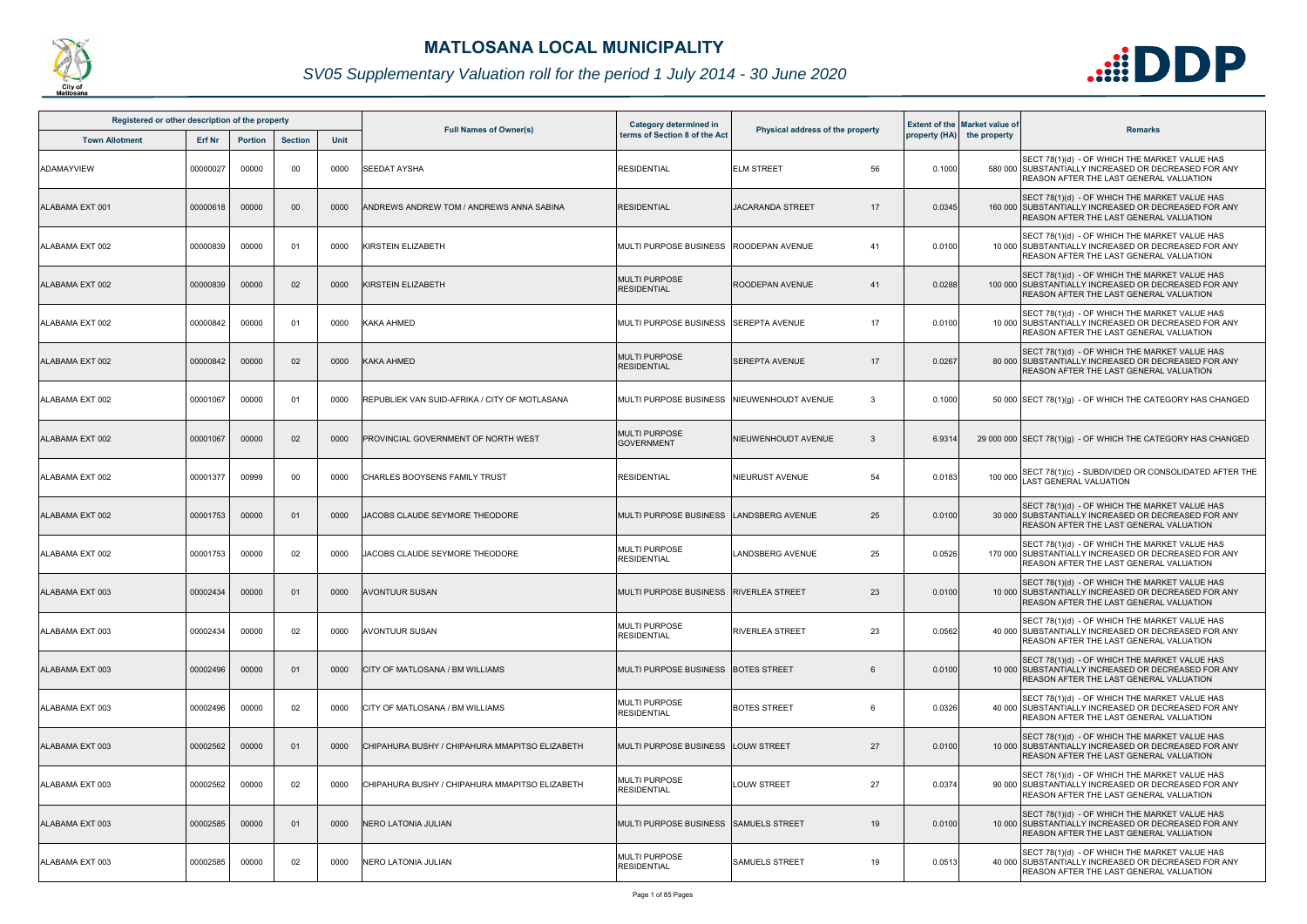| Registered or other description of the property |               |                |                |      |                                                | <b>Category determined in</b>               |                                  |        | <b>Extent of the Market value of</b> |                                                                                                                                                         |
|-------------------------------------------------|---------------|----------------|----------------|------|------------------------------------------------|---------------------------------------------|----------------------------------|--------|--------------------------------------|---------------------------------------------------------------------------------------------------------------------------------------------------------|
| <b>Town Allotment</b>                           | <b>Erf Nr</b> | <b>Portion</b> | <b>Section</b> | Unit | <b>Full Names of Owner(s)</b>                  | terms of Section 8 of the Act               | Physical address of the property |        | property (HA) the property           | <b>Remarks</b>                                                                                                                                          |
| <b>ADAMAYVIEW</b>                               | 00000027      | 00000          | 00             | 0000 | SEEDAT AYSHA                                   | <b>RESIDENTIAL</b>                          | 56<br><b>ELM STREET</b>          | 0.1000 |                                      | SECT 78(1)(d) - OF WHICH THE MARKET VALUE HAS<br>580 000 SUBSTANTIALLY INCREASED OR DECREASED FOR ANY<br>REASON AFTER THE LAST GENERAL VALUATION        |
| ALABAMA EXT 001                                 | 00000618      | 00000          | $00\,$         | 0000 | ANDREWS ANDREW TOM / ANDREWS ANNA SABINA       | <b>RESIDENTIAL</b>                          | <b>JACARANDA STREET</b><br>17    | 0.0345 |                                      | SECT 78(1)(d) - OF WHICH THE MARKET VALUE HAS<br>160 000 SUBSTANTIALLY INCREASED OR DECREASED FOR ANY<br><b>REASON AFTER THE LAST GENERAL VALUATION</b> |
| ALABAMA EXT 002                                 | 00000839      | 00000          | 01             | 0000 | KIRSTEIN ELIZABETH                             | MULTI PURPOSE BUSINESS ROODEPAN AVENUE      | 41                               | 0.0100 |                                      | SECT 78(1)(d) - OF WHICH THE MARKET VALUE HAS<br>10 000 SUBSTANTIALLY INCREASED OR DECREASED FOR ANY<br>REASON AFTER THE LAST GENERAL VALUATION         |
| ALABAMA EXT 002                                 | 00000839      | 00000          | 02             | 0000 | KIRSTEIN ELIZABETH                             | MULTI PURPOSE<br><b>RESIDENTIAL</b>         | ROODEPAN AVENUE<br>41            | 0.0288 |                                      | SECT 78(1)(d) - OF WHICH THE MARKET VALUE HAS<br>100 000 SUBSTANTIALLY INCREASED OR DECREASED FOR ANY<br><b>REASON AFTER THE LAST GENERAL VALUATION</b> |
| ALABAMA EXT 002                                 | 00000842      | 00000          | 01             | 0000 | <b>KAKA AHMED</b>                              | MULTI PURPOSE BUSINESS SSEREPTA AVENUE      | 17                               | 0.0100 |                                      | SECT 78(1)(d) - OF WHICH THE MARKET VALUE HAS<br>10 000 SUBSTANTIALLY INCREASED OR DECREASED FOR ANY<br>REASON AFTER THE LAST GENERAL VALUATION         |
| ALABAMA EXT 002                                 | 00000842      | 00000          | 02             | 0000 | <b>KAKA AHMED</b>                              | MULTI PURPOSE<br>RESIDENTIAL                | <b>SEREPTA AVENUE</b><br>17      | 0.0267 |                                      | SECT 78(1)(d) - OF WHICH THE MARKET VALUE HAS<br>80 000 SUBSTANTIALLY INCREASED OR DECREASED FOR ANY<br><b>REASON AFTER THE LAST GENERAL VALUATION</b>  |
| ALABAMA EXT 002                                 | 00001067      | 00000          | 0 <sub>1</sub> | 0000 | REPUBLIEK VAN SUID-AFRIKA / CITY OF MOTLASANA  | MULTI PURPOSE BUSINESS INIEUWENHOUDT AVENUE | -3                               | 0.1000 |                                      | 50 000 SECT 78(1)(g) - OF WHICH THE CATEGORY HAS CHANGED                                                                                                |
| ALABAMA EXT 002                                 | 00001067      | 00000          | 02             | 0000 | PROVINCIAL GOVERNMENT OF NORTH WEST            | MULTI PURPOSE<br>GOVERNMENT                 | NIEUWENHOUDT AVENUE<br>-3        | 6.9314 |                                      | 29 000 000 SECT 78(1)(g) - OF WHICH THE CATEGORY HAS CHANGED                                                                                            |
| ALABAMA EXT 002                                 | 00001377      | 00999          | 00             | 0000 | CHARLES BOOYSENS FAMILY TRUST                  | <b>RESIDENTIAL</b>                          | NIEURUST AVENUE<br>54            | 0.0183 | 100 000                              | SECT 78(1)(c) - SUBDIVIDED OR CONSOLIDATED AFTER THE<br><b>LAST GENERAL VALUATION</b>                                                                   |
| ALABAMA EXT 002                                 | 00001753      | 00000          | 0 <sup>1</sup> | 0000 | JACOBS CLAUDE SEYMORE THEODORE                 | MULTI PURPOSE BUSINESS   LANDSBERG AVENUE   | 25                               | 0.0100 |                                      | SECT 78(1)(d) - OF WHICH THE MARKET VALUE HAS<br>30 000 SUBSTANTIALLY INCREASED OR DECREASED FOR ANY<br>REASON AFTER THE LAST GENERAL VALUATION         |
| ALABAMA EXT 002                                 | 00001753      | 00000          | 02             | 0000 | JACOBS CLAUDE SEYMORE THEODORE                 | MULTI PURPOSE<br>RESIDENTIAL                | 25<br><b>LANDSBERG AVENUE</b>    | 0.0526 |                                      | SECT 78(1)(d) - OF WHICH THE MARKET VALUE HAS<br>170 000 SUBSTANTIALLY INCREASED OR DECREASED FOR ANY<br><b>REASON AFTER THE LAST GENERAL VALUATION</b> |
| ALABAMA EXT 003                                 | 00002434      | 00000          | 01             | 0000 | <b>AVONTUUR SUSAN</b>                          | MULTI PURPOSE BUSINESS RIVERLEA STREET      | 23                               | 0.0100 |                                      | SECT 78(1)(d) - OF WHICH THE MARKET VALUE HAS<br>10 000 SUBSTANTIALLY INCREASED OR DECREASED FOR ANY<br><b>REASON AFTER THE LAST GENERAL VALUATION</b>  |
| ALABAMA EXT 003                                 | 00002434      | 00000          | 02             | 0000 | <b>AVONTUUR SUSAN</b>                          | MULTI PURPOSE<br><b>RESIDENTIAL</b>         | 23<br><b>RIVERLEA STREET</b>     | 0.0562 |                                      | SECT 78(1)(d) - OF WHICH THE MARKET VALUE HAS<br>40 000 SUBSTANTIALLY INCREASED OR DECREASED FOR ANY<br><b>REASON AFTER THE LAST GENERAL VALUATION</b>  |
| ALABAMA EXT 003                                 | 00002496      | 00000          | 0 <sup>1</sup> | 0000 | CITY OF MATLOSANA / BM WILLIAMS                | MULTI PURPOSE BUSINESS   BOTES STREET       | 6                                | 0.0100 |                                      | SECT 78(1)(d) - OF WHICH THE MARKET VALUE HAS<br>10 000 SUBSTANTIALLY INCREASED OR DECREASED FOR ANY<br><b>REASON AFTER THE LAST GENERAL VALUATION</b>  |
| ALABAMA EXT 003                                 | 00002496      | 00000          | 02             | 0000 | CITY OF MATLOSANA / BM WILLIAMS                | <b>MULTI PURPOSE</b><br><b>RESIDENTIAL</b>  | <b>BOTES STREET</b><br>6         | 0.0326 |                                      | SECT 78(1)(d) - OF WHICH THE MARKET VALUE HAS<br>40 000 SUBSTANTIALLY INCREASED OR DECREASED FOR ANY<br><b>REASON AFTER THE LAST GENERAL VALUATION</b>  |
| ALABAMA EXT 003                                 | 00002562      | 00000          | 0 <sup>1</sup> | 0000 | CHIPAHURA BUSHY / CHIPAHURA MMAPITSO ELIZABETH | MULTI PURPOSE BUSINESS   LOUW STREET        | 27                               | 0.0100 |                                      | SECT 78(1)(d) - OF WHICH THE MARKET VALUE HAS<br>10 000 SUBSTANTIALLY INCREASED OR DECREASED FOR ANY<br><b>REASON AFTER THE LAST GENERAL VALUATION</b>  |
| ALABAMA EXT 003                                 | 00002562      | 00000          | 02             | 0000 | CHIPAHURA BUSHY / CHIPAHURA MMAPITSO ELIZABETH | <b>MULTI PURPOSE</b><br><b>RESIDENTIAL</b>  | 27<br><b>LOUW STREET</b>         | 0.0374 |                                      | SECT 78(1)(d) - OF WHICH THE MARKET VALUE HAS<br>90 000 SUBSTANTIALLY INCREASED OR DECREASED FOR ANY<br><b>REASON AFTER THE LAST GENERAL VALUATION</b>  |
| ALABAMA EXT 003                                 | 00002585      | 00000          | 0 <sup>1</sup> | 0000 | NERO LATONIA JULIAN                            | MULTI PURPOSE BUSINESS    SAMUELS STREET    | 19                               | 0.0100 |                                      | SECT 78(1)(d) - OF WHICH THE MARKET VALUE HAS<br>10 000 SUBSTANTIALLY INCREASED OR DECREASED FOR ANY<br><b>REASON AFTER THE LAST GENERAL VALUATION</b>  |
| ALABAMA EXT 003                                 | 00002585      | 00000          | 02             | 0000 | NERO LATONIA JULIAN                            | <b>MULTI PURPOSE</b><br><b>RESIDENTIAL</b>  | <b>SAMUELS STREET</b><br>19      | 0.0513 |                                      | SECT 78(1)(d) - OF WHICH THE MARKET VALUE HAS<br>40 000 SUBSTANTIALLY INCREASED OR DECREASED FOR ANY<br><b>REASON AFTER THE LAST GENERAL VALUATION</b>  |



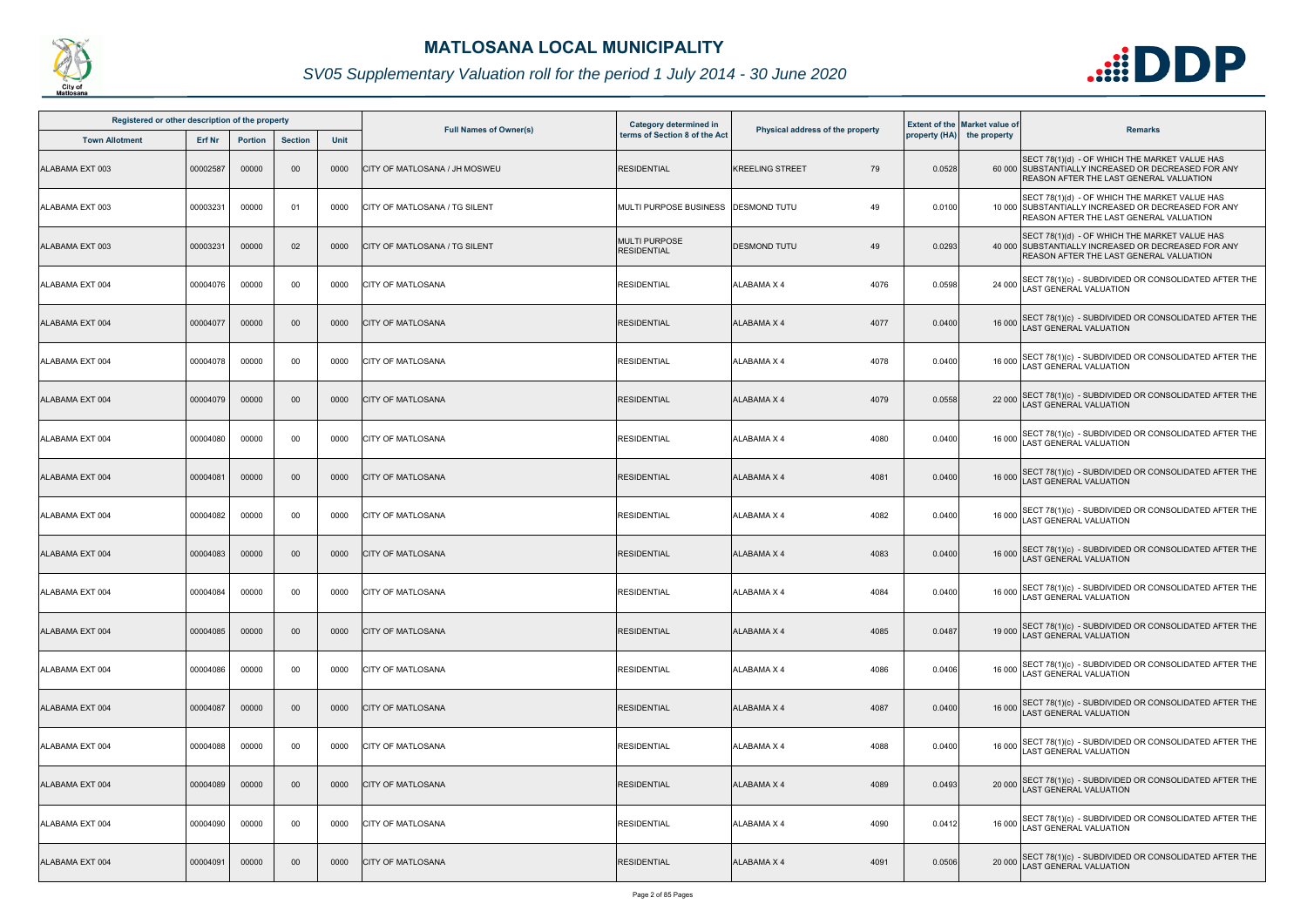

| Registered or other description of the property |               |                |                 |             |                                      | <b>Category determined in</b>              |                                  |        | <b>Extent of the Market value of</b> |                                                                                                                                                 |
|-------------------------------------------------|---------------|----------------|-----------------|-------------|--------------------------------------|--------------------------------------------|----------------------------------|--------|--------------------------------------|-------------------------------------------------------------------------------------------------------------------------------------------------|
| <b>Town Allotment</b>                           | <b>Erf Nr</b> | <b>Portion</b> | <b>Section</b>  | <b>Unit</b> | <b>Full Names of Owner(s)</b>        | terms of Section 8 of the Act              | Physical address of the property |        | property (HA) the property           | <b>Remarks</b>                                                                                                                                  |
| ALABAMA EXT 003                                 | 00002587      | 00000          | $00\,$          | 0000        | <b>CITY OF MATLOSANA / JH MOSWEU</b> | <b>RESIDENTIAL</b>                         | 79<br><b>KREELING STREET</b>     | 0.0528 |                                      | SECT 78(1)(d) - OF WHICH THE MARKET VALUE HAS<br>60 000 SUBSTANTIALLY INCREASED OR DECREASED FOR ANY<br>REASON AFTER THE LAST GENERAL VALUATION |
| ALABAMA EXT 003                                 | 00003231      | 00000          | -01             | 0000        | CITY OF MATLOSANA / TG SILENT        | MULTI PURPOSE BUSINESS                     | 49<br><b>DESMOND TUTU</b>        | 0.0100 |                                      | SECT 78(1)(d) - OF WHICH THE MARKET VALUE HAS<br>10 000 SUBSTANTIALLY INCREASED OR DECREASED FOR ANY<br>REASON AFTER THE LAST GENERAL VALUATION |
| ALABAMA EXT 003                                 | 00003231      | 00000          | 02              | 0000        | CITY OF MATLOSANA / TG SILENT        | <b>MULTI PURPOSE</b><br><b>RESIDENTIAL</b> | <b>DESMOND TUTU</b><br>49        | 0.0293 |                                      | SECT 78(1)(d) - OF WHICH THE MARKET VALUE HAS<br>40 000 SUBSTANTIALLY INCREASED OR DECREASED FOR ANY<br>REASON AFTER THE LAST GENERAL VALUATION |
| ALABAMA EXT 004                                 | 00004076      | 00000          | 00              | 0000        | <b>CITY OF MATLOSANA</b>             | <b>RESIDENTIAL</b>                         | 4076<br><b>ALABAMA X 4</b>       | 0.0598 | 24 000                               | SECT 78(1)(c) - SUBDIVIDED OR CONSOLIDATED AFTER THE LAST GENERAL VALUATION                                                                     |
| ALABAMA EXT 004                                 | 00004077      | 00000          | 00 <sub>o</sub> | 0000        | <b>CITY OF MATLOSANA</b>             | <b>RESIDENTIAL</b>                         | 4077<br><b>ALABAMA X 4</b>       | 0.0400 |                                      | 16 000 SECT 78(1)(c) - SUBDIVIDED OR CONSOLIDATED AFTER THE<br>LAST GENERAL VALUATION                                                           |
| ALABAMA EXT 004                                 | 00004078      | 00000          | 00              | 0000        | <b>CITY OF MATLOSANA</b>             | <b>RESIDENTIAL</b>                         | 4078<br>ALABAMA X 4              | 0.0400 |                                      | 16 000 SECT 78(1)(c) - SUBDIVIDED OR CONSOLIDATED AFTER THE<br>LAST GENERAL VALUATION                                                           |
| ALABAMA EXT 004                                 | 00004079      | 00000          | $00\,$          | 0000        | <b>CITY OF MATLOSANA</b>             | <b>RESIDENTIAL</b>                         | <b>ALABAMA X 4</b><br>4079       | 0.0558 |                                      | 22 000 SECT 78(1)(c) - SUBDIVIDED OR CONSOLIDATED AFTER THE<br>LAST GENERAL VALUATION                                                           |
| ALABAMA EXT 004                                 | 00004080      | 00000          | 00              | 0000        | <b>CITY OF MATLOSANA</b>             | <b>RESIDENTIAL</b>                         | 4080<br><b>ALABAMA X 4</b>       | 0.0400 |                                      | 16 000 SECT 78(1)(c) - SUBDIVIDED OR CONSOLIDATED AFTER THE<br>AST GENERAL VALUATION                                                            |
| ALABAMA EXT 004                                 | 00004081      | 00000          | 00 <sub>o</sub> | 0000        | <b>CITY OF MATLOSANA</b>             | <b>RESIDENTIAL</b>                         | <b>ALABAMA X 4</b><br>4081       | 0.0400 | 16 000                               | SECT 78(1)(c) - SUBDIVIDED OR CONSOLIDATED AFTER THE<br>AST GENERAL VALUATION                                                                   |
| ALABAMA EXT 004                                 | 00004082      | 00000          | 00              | 0000        | <b>CITY OF MATLOSANA</b>             | <b>RESIDENTIAL</b>                         | <b>ALABAMA X 4</b><br>4082       | 0.0400 |                                      | 16 000 SECT 78(1)(c) - SUBDIVIDED OR CONSOLIDATED AFTER THE<br>LAST GENERAL VALUATION                                                           |
| ALABAMA EXT 004                                 | 00004083      | 00000          | $00\,$          | 0000        | <b>CITY OF MATLOSANA</b>             | <b>RESIDENTIAL</b>                         | <b>ALABAMA X 4</b><br>4083       | 0.0400 |                                      | 16 000 SECT 78(1)(c) - SUBDIVIDED OR CONSOLIDATED AFTER THE<br>LAST GENERAL VALUATION                                                           |
| ALABAMA EXT 004                                 | 00004084      | 00000          | 00              | 0000        | <b>CITY OF MATLOSANA</b>             | <b>RESIDENTIAL</b>                         | <b>ALABAMA X 4</b><br>4084       | 0.0400 |                                      | 16 000 SECT 78(1)(c) - SUBDIVIDED OR CONSOLIDATED AFTER THE<br>LAST GENERAL VALUATION                                                           |
| ALABAMA EXT 004                                 | 00004085      | 00000          | $00\,$          | 0000        | <b>CITY OF MATLOSANA</b>             | <b>RESIDENTIAL</b>                         | 4085<br><b>ALABAMA X 4</b>       | 0.0487 |                                      | 19 000 SECT 78(1)(c) - SUBDIVIDED OR CONSOLIDATED AFTER THE<br><b>LAST GENERAL VALUATION</b>                                                    |
| ALABAMA EXT 004                                 | 00004086      | 00000          | 00              | 0000        | <b>CITY OF MATLOSANA</b>             | <b>RESIDENTIAL</b>                         | 4086<br><b>ALABAMA X 4</b>       | 0.0406 | 16 000                               | SECT 78(1)(c) - SUBDIVIDED OR CONSOLIDATED AFTER THE<br><b>AST GENERAL VALUATION</b>                                                            |
| ALABAMA EXT 004                                 | 00004087      | 00000          | 00 <sub>o</sub> | 0000        | <b>CITY OF MATLOSANA</b>             | <b>RESIDENTIAL</b>                         | 4087<br><b>ALABAMA X 4</b>       | 0.0400 | 16 000                               | SECT 78(1)(c) - SUBDIVIDED OR CONSOLIDATED AFTER THE<br><b>AST GENERAL VALUATION</b>                                                            |
| ALABAMA EXT 004                                 | 00004088      | 00000          | 00              | 0000        | <b>CITY OF MATLOSANA</b>             | <b>RESIDENTIAL</b>                         | 4088<br>ALABAMA X 4              | 0.0400 |                                      | 16 000 SECT 78(1)(c) - SUBDIVIDED OR CONSOLIDATED AFTER THE<br>LAST GENERAL VALUATION                                                           |
| ALABAMA EXT 004                                 | 00004089      | 00000          | 00 <sub>o</sub> | 0000        | <b>CITY OF MATLOSANA</b>             | <b>RESIDENTIAL</b>                         | <b>ALABAMA X 4</b><br>4089       | 0.0493 |                                      | 20 000 SECT 78(1)(c) - SUBDIVIDED OR CONSOLIDATED AFTER THE<br>LAST GENERAL VALUATION                                                           |
| ALABAMA EXT 004                                 | 00004090      | 00000          | 00              | 0000        | <b>CITY OF MATLOSANA</b>             | <b>RESIDENTIAL</b>                         | 4090<br><b>ALABAMA X 4</b>       | 0.0412 |                                      | 16 000 SECT 78(1)(c) - SUBDIVIDED OR CONSOLIDATED AFTER THE<br>LAST GENERAL VALUATION                                                           |
| ALABAMA EXT 004                                 | 00004091      | 00000          | 00 <sub>o</sub> | 0000        | <b>CITY OF MATLOSANA</b>             | <b>RESIDENTIAL</b>                         | <b>ALABAMA X 4</b><br>4091       | 0.0506 | 20 000                               | SECT 78(1)(c) - SUBDIVIDED OR CONSOLIDATED AFTER THE<br>AST GENERAL VALUATION                                                                   |

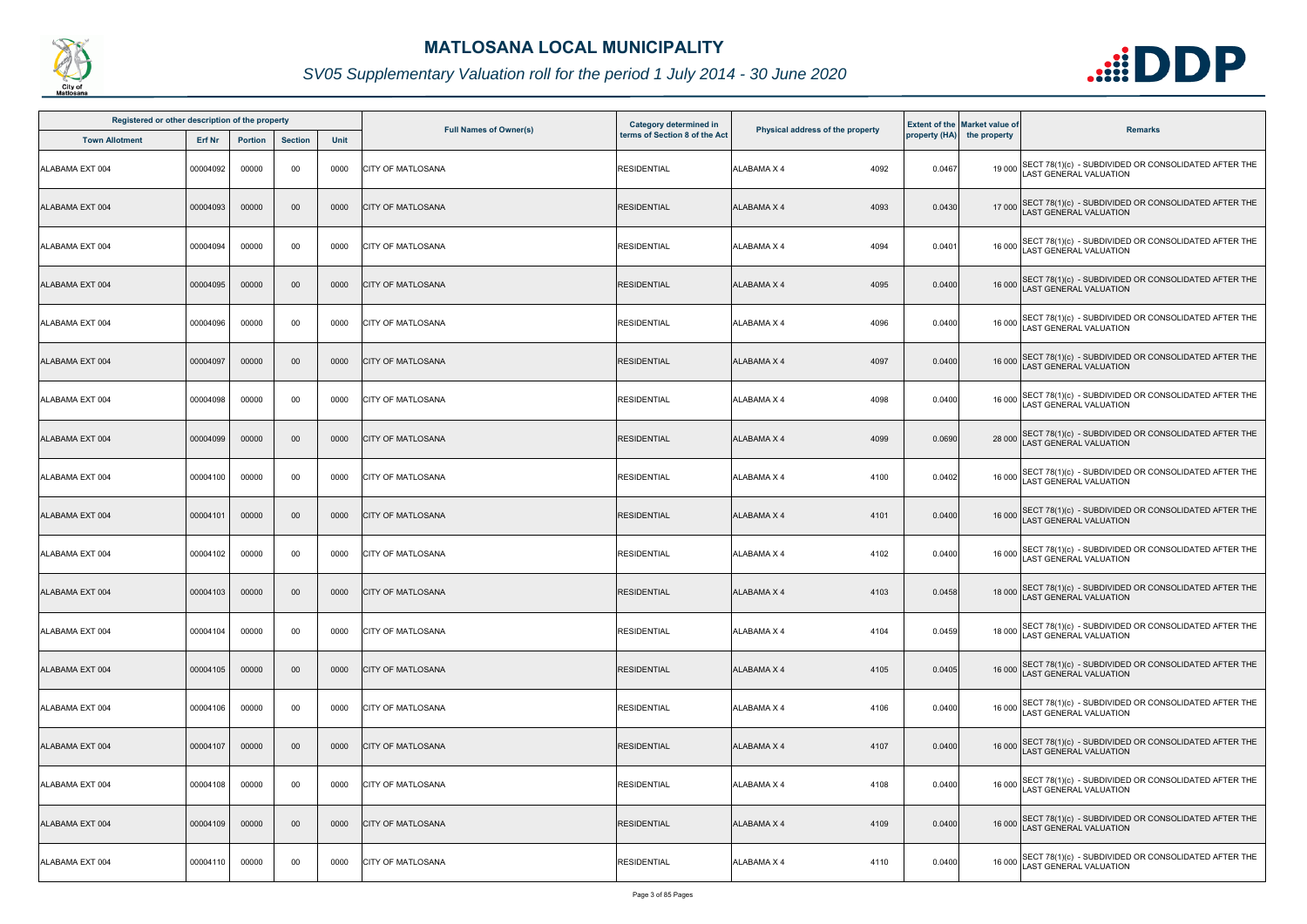

| Registered or other description of the property |          |                |                |      |                               | Category determined in        |                                  |        | <b>Extent of the Market value of</b> |                                                                                              |
|-------------------------------------------------|----------|----------------|----------------|------|-------------------------------|-------------------------------|----------------------------------|--------|--------------------------------------|----------------------------------------------------------------------------------------------|
| <b>Town Allotment</b>                           | Erf Nr   | <b>Portion</b> | <b>Section</b> | Unit | <b>Full Names of Owner(s)</b> | terms of Section 8 of the Act | Physical address of the property |        | property (HA) the property           | <b>Remarks</b>                                                                               |
| ALABAMA EXT 004                                 | 00004092 | 00000          | 00             | 0000 | <b>CITY OF MATLOSANA</b>      | <b>RESIDENTIAL</b>            | 4092<br><b>ALABAMA X 4</b>       | 0.0467 |                                      | 19 000 SECT 78(1)(c) - SUBDIVIDED OR CONSOLIDATED AFTER THE<br>LAST GENERAL VALUATION        |
| ALABAMA EXT 004                                 | 00004093 | 00000          | 00             | 0000 | <b>CITY OF MATLOSANA</b>      | <b>RESIDENTIAL</b>            | <b>ALABAMA X 4</b><br>4093       | 0.0430 |                                      | 17 000 SECT 78(1)(c) - SUBDIVIDED OR CONSOLIDATED AFTER THE<br>LAST GENERAL VALUATION        |
| ALABAMA EXT 004                                 | 00004094 | 00000          | 00             | 0000 | <b>CITY OF MATLOSANA</b>      | <b>RESIDENTIAL</b>            | <b>ALABAMA X 4</b><br>4094       | 0.0401 |                                      | 16 000 SECT 78(1)(c) - SUBDIVIDED OR CONSOLIDATED AFTER THE<br>LAST GENERAL VALUATION        |
| ALABAMA EXT 004                                 | 00004095 | 00000          | 00             | 0000 | <b>CITY OF MATLOSANA</b>      | <b>RESIDENTIAL</b>            | 4095<br><b>ALABAMA X 4</b>       | 0.0400 |                                      | 16 000 SECT 78(1)(c) - SUBDIVIDED OR CONSOLIDATED AFTER THE<br>LAST GENERAL VALUATION        |
| ALABAMA EXT 004                                 | 00004096 | 00000          | 00             | 0000 | <b>CITY OF MATLOSANA</b>      | <b>RESIDENTIAL</b>            | 4096<br><b>ALABAMA X 4</b>       | 0.0400 |                                      | 16 000 SECT 78(1)(c) - SUBDIVIDED OR CONSOLIDATED AFTER THE<br>LAST GENERAL VALUATION        |
| ALABAMA EXT 004                                 | 00004097 | 00000          | 00             | 0000 | <b>CITY OF MATLOSANA</b>      | <b>RESIDENTIAL</b>            | <b>ALABAMA X 4</b><br>4097       | 0.0400 |                                      | 16 000 SECT 78(1)(c) - SUBDIVIDED OR CONSOLIDATED AFTER THE<br>LAST GENERAL VALUATION        |
| ALABAMA EXT 004                                 | 00004098 | 00000          | 00             | 0000 | <b>CITY OF MATLOSANA</b>      | <b>RESIDENTIAL</b>            | <b>ALABAMA X 4</b><br>4098       | 0.0400 |                                      | 16 000 SECT 78(1)(c) - SUBDIVIDED OR CONSOLIDATED AFTER THE<br>LAST GENERAL VALUATION        |
| ALABAMA EXT 004                                 | 00004099 | 00000          | $00\,$         | 0000 | <b>CITY OF MATLOSANA</b>      | <b>RESIDENTIAL</b>            | <b>ALABAMA X 4</b><br>4099       | 0.0690 |                                      | 28 000 SECT 78(1)(c) - SUBDIVIDED OR CONSOLIDATED AFTER THE<br>LAST GENERAL VALUATION        |
| ALABAMA EXT 004                                 | 00004100 | 00000          | 00             | 0000 | <b>CITY OF MATLOSANA</b>      | <b>RESIDENTIAL</b>            | <b>ALABAMA X 4</b><br>4100       | 0.0402 |                                      | 16 000 SECT 78(1)(c) - SUBDIVIDED OR CONSOLIDATED AFTER THE<br>LAST GENERAL VALUATION        |
| ALABAMA EXT 004                                 | 00004101 | 00000          | 00             | 0000 | <b>CITY OF MATLOSANA</b>      | <b>RESIDENTIAL</b>            | <b>ALABAMA X 4</b><br>4101       | 0.0400 |                                      | 16 000 SECT 78(1)(c) - SUBDIVIDED OR CONSOLIDATED AFTER THE<br>LAST GENERAL VALUATION        |
| ALABAMA EXT 004                                 | 00004102 | 00000          | 00             | 0000 | <b>CITY OF MATLOSANA</b>      | <b>RESIDENTIAL</b>            | 4102<br><b>ALABAMA X 4</b>       | 0.0400 |                                      | 16 000 SECT 78(1)(c) - SUBDIVIDED OR CONSOLIDATED AFTER THE<br>LAST GENERAL VALUATION        |
| ALABAMA EXT 004                                 | 00004103 | 00000          | $00\,$         | 0000 | <b>CITY OF MATLOSANA</b>      | <b>RESIDENTIAL</b>            | <b>ALABAMA X 4</b><br>4103       | 0.0458 |                                      | 18 000 SECT 78(1)(c) - SUBDIVIDED OR CONSOLIDATED AFTER THE<br>18 000 LAST GENERAL VALUATION |
| ALABAMA EXT 004                                 | 00004104 | 00000          | 00             | 0000 | <b>ICITY OF MATLOSANA</b>     | <b>RESIDENTIAL</b>            | <b>ALABAMA X 4</b><br>4104       | 0.0459 |                                      | 18 000 SECT 78(1)(c) - SUBDIVIDED OR CONSOLIDATED AFTER THE<br><b>LAST GENERAL VALUATION</b> |
| ALABAMA EXT 004                                 | 00004105 | 00000          | 00             | 0000 | <b>CITY OF MATLOSANA</b>      | <b>RESIDENTIAL</b>            | <b>ALABAMA X 4</b><br>4105       | 0.0405 |                                      | 16 000 SECT 78(1)(c) - SUBDIVIDED OR CONSOLIDATED AFTER THE<br><b>AST GENERAL VALUATION</b>  |
| ALABAMA EXT 004                                 | 00004106 | 00000          | 00             | 0000 | <b>CITY OF MATLOSANA</b>      | <b>RESIDENTIAL</b>            | <b>ALABAMA X 4</b><br>4106       | 0.0400 |                                      | 16 000 SECT 78(1)(c) - SUBDIVIDED OR CONSOLIDATED AFTER THE<br>LAST GENERAL VALUATION        |
| ALABAMA EXT 004                                 | 00004107 | 00000          | 00             | 0000 | <b>CITY OF MATLOSANA</b>      | <b>RESIDENTIAL</b>            | <b>ALABAMA X 4</b><br>4107       | 0.0400 |                                      | 16 000 SECT 78(1)(c) - SUBDIVIDED OR CONSOLIDATED AFTER THE<br>LAST GENERAL VALUATION        |
| ALABAMA EXT 004                                 | 00004108 | 00000          | 00             | 0000 | <b>CITY OF MATLOSANA</b>      | <b>RESIDENTIAL</b>            | <b>ALABAMA X 4</b><br>4108       | 0.0400 |                                      | 16 000 SECT 78(1)(c) - SUBDIVIDED OR CONSOLIDATED AFTER THE<br>LAST GENERAL VALUATION        |
| ALABAMA EXT 004                                 | 00004109 | 00000          | $00\,$         | 0000 | <b>CITY OF MATLOSANA</b>      | <b>RESIDENTIAL</b>            | <b>ALABAMA X 4</b><br>4109       | 0.0400 |                                      | 16 000 SECT 78(1)(c) - SUBDIVIDED OR CONSOLIDATED AFTER THE<br>AST GENERAL VALUATION         |
| ALABAMA EXT 004                                 | 00004110 | 00000          | 00             | 0000 | <b>CITY OF MATLOSANA</b>      | <b>RESIDENTIAL</b>            | ALABAMA X 4<br>4110              | 0.0400 |                                      | 16 000 SECT 78(1)(c) - SUBDIVIDED OR CONSOLIDATED AFTER THE<br>LAST GENERAL VALUATION        |

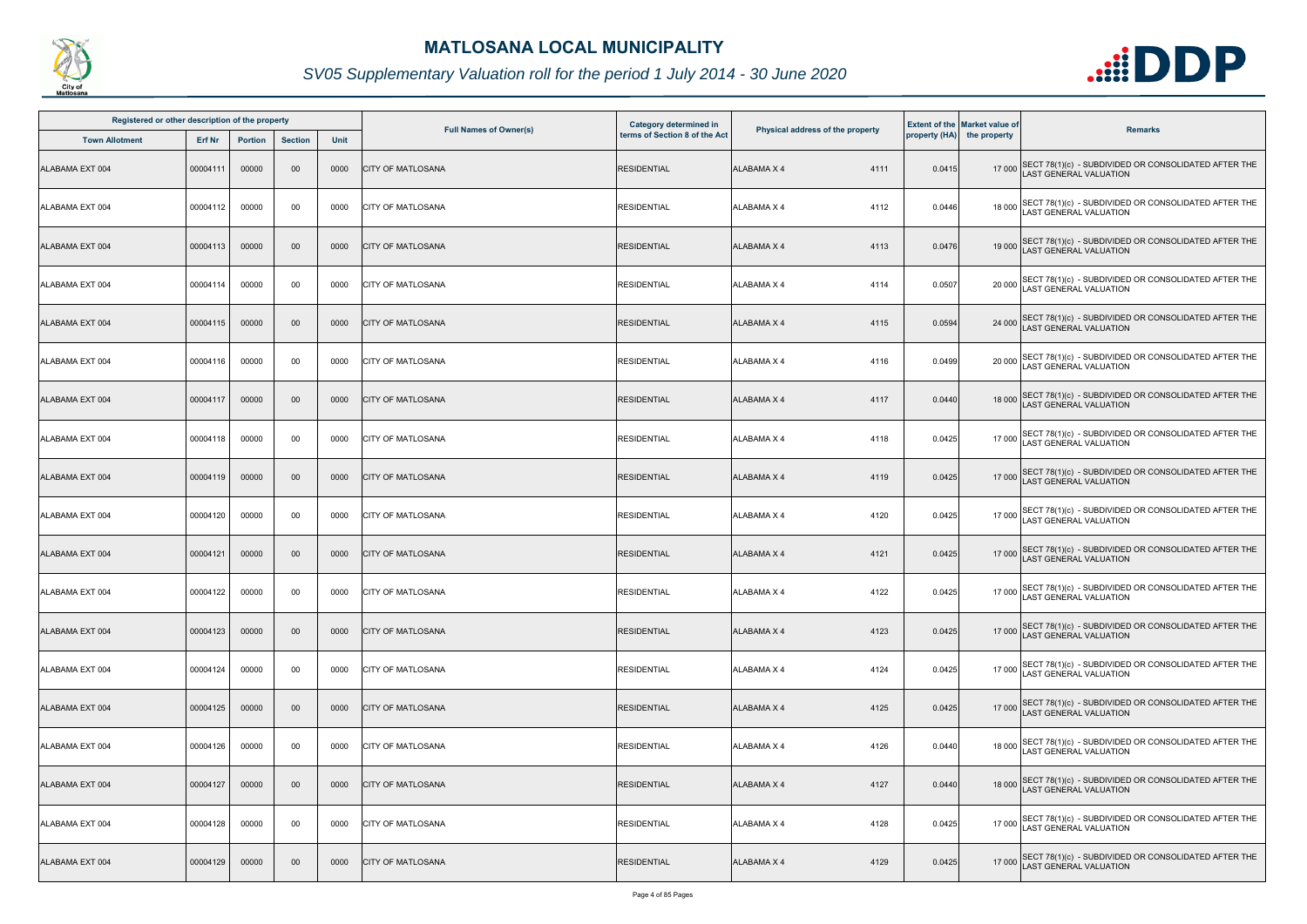

| Registered or other description of the property |          |                |                |      |                               | Category determined in        |                                  |        | <b>Extent of the Market value of</b> |                                                                                       |
|-------------------------------------------------|----------|----------------|----------------|------|-------------------------------|-------------------------------|----------------------------------|--------|--------------------------------------|---------------------------------------------------------------------------------------|
| <b>Town Allotment</b>                           | Erf Nr   | <b>Portion</b> | <b>Section</b> | Unit | <b>Full Names of Owner(s)</b> | terms of Section 8 of the Act | Physical address of the property |        | property (HA) the property           | <b>Remarks</b>                                                                        |
| ALABAMA EXT 004                                 | 00004111 | 00000          | 00             | 0000 | <b>CITY OF MATLOSANA</b>      | <b>RESIDENTIAL</b>            | <b>ALABAMA X 4</b><br>4111       | 0.0415 |                                      | 17 000 SECT 78(1)(c) - SUBDIVIDED OR CONSOLIDATED AFTER THE<br>LAST GENERAL VALUATION |
| ALABAMA EXT 004                                 | 00004112 | 00000          | 00             | 0000 | <b>CITY OF MATLOSANA</b>      | <b>RESIDENTIAL</b>            | <b>ALABAMA X 4</b><br>4112       | 0.0446 |                                      | 18 000 SECT 78(1)(c) - SUBDIVIDED OR CONSOLIDATED AFTER THE<br>LAST GENERAL VALUATION |
| ALABAMA EXT 004                                 | 00004113 | 00000          | $00\,$         | 0000 | <b>CITY OF MATLOSANA</b>      | <b>RESIDENTIAL</b>            | <b>ALABAMA X 4</b><br>4113       | 0.0476 |                                      | 19 000 SECT 78(1)(c) - SUBDIVIDED OR CONSOLIDATED AFTER THE<br>LAST GENERAL VALUATION |
| ALABAMA EXT 004                                 | 00004114 | 00000          | 00             | 0000 | <b>CITY OF MATLOSANA</b>      | <b>RESIDENTIAL</b>            | <b>ALABAMA X 4</b><br>4114       | 0.0507 |                                      | 20 000 SECT 78(1)(c) - SUBDIVIDED OR CONSOLIDATED AFTER THE<br>LAST GENERAL VALUATION |
| ALABAMA EXT 004                                 | 00004115 | 00000          | $00\,$         | 0000 | <b>CITY OF MATLOSANA</b>      | <b>RESIDENTIAL</b>            | <b>ALABAMA X 4</b><br>4115       | 0.0594 |                                      | 24 000 SECT 78(1)(c) - SUBDIVIDED OR CONSOLIDATED AFTER THE<br>LAST GENERAL VALUATION |
| ALABAMA EXT 004                                 | 00004116 | 00000          | 00             | 0000 | <b>CITY OF MATLOSANA</b>      | <b>RESIDENTIAL</b>            | <b>ALABAMA X 4</b><br>4116       | 0.0499 |                                      | 20 000 SECT 78(1)(c) - SUBDIVIDED OR CONSOLIDATED AFTER THE<br>LAST GENERAL VALUATION |
| ALABAMA EXT 004                                 | 00004117 | 00000          | $00\,$         | 0000 | <b>CITY OF MATLOSANA</b>      | <b>RESIDENTIAL</b>            | <b>ALABAMA X 4</b><br>4117       | 0.0440 |                                      | 18 000 SECT 78(1)(c) - SUBDIVIDED OR CONSOLIDATED AFTER THE<br>LAST GENERAL VALUATION |
| ALABAMA EXT 004                                 | 00004118 | 00000          | 00             | 0000 | <b>CITY OF MATLOSANA</b>      | <b>RESIDENTIAL</b>            | <b>ALABAMA X 4</b><br>4118       | 0.0425 | 17 000                               | SECT 78(1)(c) - SUBDIVIDED OR CONSOLIDATED AFTER THE<br>AST GENERAL VALUATION         |
| ALABAMA EXT 004                                 | 00004119 | 00000          | 00             | 0000 | <b>CITY OF MATLOSANA</b>      | <b>RESIDENTIAL</b>            | <b>ALABAMA X 4</b><br>4119       | 0.0425 |                                      | 17 000 SECT 78(1)(c) - SUBDIVIDED OR CONSOLIDATED AFTER THE<br>LAST GENERAL VALUATION |
| ALABAMA EXT 004                                 | 00004120 | 00000          | 00             | 0000 | <b>CITY OF MATLOSANA</b>      | <b>RESIDENTIAL</b>            | <b>ALABAMA X 4</b><br>4120       | 0.0425 |                                      | 17 000 SECT 78(1)(c) - SUBDIVIDED OR CONSOLIDATED AFTER THE<br>LAST GENERAL VALUATION |
| ALABAMA EXT 004                                 | 00004121 | 00000          | 00             | 0000 | <b>CITY OF MATLOSANA</b>      | <b>RESIDENTIAL</b>            | <b>ALABAMA X 4</b><br>4121       | 0.0425 |                                      | 17 000 SECT 78(1)(c) - SUBDIVIDED OR CONSOLIDATED AFTER THE<br>LAST GENERAL VALUATION |
| ALABAMA EXT 004                                 | 00004122 | 00000          | 00             | 0000 | <b>CITY OF MATLOSANA</b>      | <b>RESIDENTIAL</b>            | <b>ALABAMA X 4</b><br>4122       | 0.0425 |                                      | 17 000 SECT 78(1)(c) - SUBDIVIDED OR CONSOLIDATED AFTER THE<br>LAST GENERAL VALUATION |
| ALABAMA EXT 004                                 | 00004123 | 00000          | $00\,$         | 0000 | <b>CITY OF MATLOSANA</b>      | <b>RESIDENTIAL</b>            | <b>ALABAMA X 4</b><br>4123       | 0.0425 |                                      | 17 000 SECT 78(1)(c) - SUBDIVIDED OR CONSOLIDATED AFTER THE<br>LAST GENERAL VALUATION |
| ALABAMA EXT 004                                 | 00004124 | 00000          | 00             | 0000 | <b>CITY OF MATLOSANA</b>      | <b>RESIDENTIAL</b>            | <b>ALABAMA X 4</b><br>4124       | 0.0425 |                                      | 17 000 SECT 78(1)(c) - SUBDIVIDED OR CONSOLIDATED AFTER THE<br>AST GENERAL VALUATION  |
| ALABAMA EXT 004                                 | 00004125 | 00000          | $00\,$         | 0000 | <b>CITY OF MATLOSANA</b>      | <b>RESIDENTIAL</b>            | <b>ALABAMA X 4</b><br>4125       | 0.0425 |                                      | 17 000 SECT 78(1)(c) - SUBDIVIDED OR CONSOLIDATED AFTER THE<br>LAST GENERAL VALUATION |
| ALABAMA EXT 004                                 | 00004126 | 00000          | 00             | 0000 | <b>CITY OF MATLOSANA</b>      | <b>RESIDENTIAL</b>            | <b>ALABAMA X 4</b><br>4126       | 0.0440 |                                      | 18 000 SECT 78(1)(c) - SUBDIVIDED OR CONSOLIDATED AFTER THE<br>LAST GENERAL VALUATION |
| ALABAMA EXT 004                                 | 00004127 | 00000          | 00             | 0000 | <b>CITY OF MATLOSANA</b>      | <b>RESIDENTIAL</b>            | <b>ALABAMA X 4</b><br>4127       | 0.0440 |                                      | 18 000 SECT 78(1)(c) - SUBDIVIDED OR CONSOLIDATED AFTER THE<br>LAST GENERAL VALUATION |
| ALABAMA EXT 004                                 | 00004128 | 00000          | 00             | 0000 | <b>CITY OF MATLOSANA</b>      | <b>RESIDENTIAL</b>            | 4128<br><b>ALABAMA X 4</b>       | 0.0425 |                                      | 17 000 SECT 78(1)(c) - SUBDIVIDED OR CONSOLIDATED AFTER THE<br>LAST GENERAL VALUATION |
| ALABAMA EXT 004                                 | 00004129 | 00000          | $00\,$         | 0000 | <b>CITY OF MATLOSANA</b>      | <b>RESIDENTIAL</b>            | <b>ALABAMA X 4</b><br>4129       | 0.0425 |                                      | 17 000 SECT 78(1)(c) - SUBDIVIDED OR CONSOLIDATED AFTER THE<br>LAST GENERAL VALUATION |

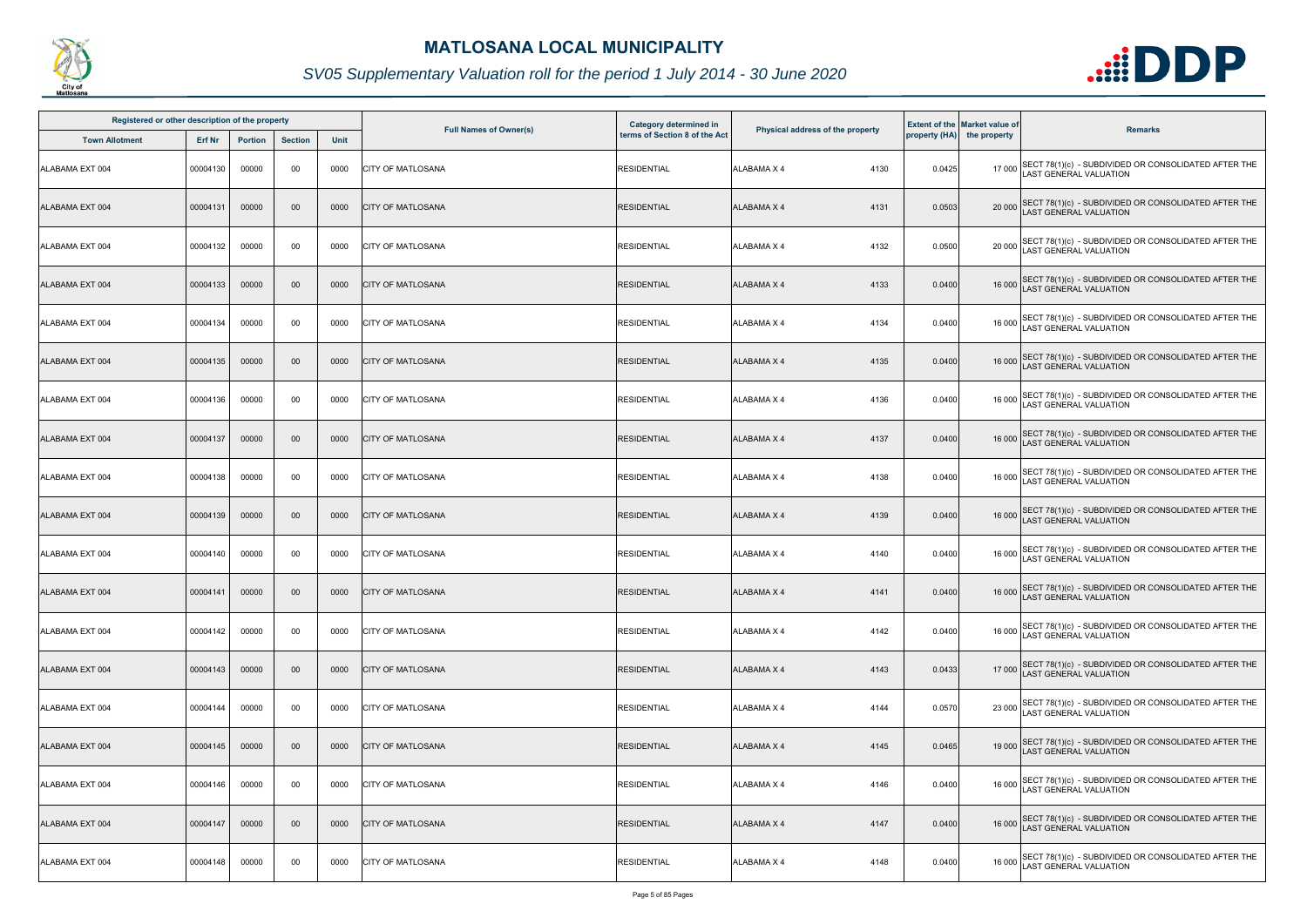

| Registered or other description of the property |          |                |                |      |                               | Category determined in        |                                  |        | <b>Extent of the Market value of</b> |                                                                                              |
|-------------------------------------------------|----------|----------------|----------------|------|-------------------------------|-------------------------------|----------------------------------|--------|--------------------------------------|----------------------------------------------------------------------------------------------|
| <b>Town Allotment</b>                           | Erf Nr   | <b>Portion</b> | <b>Section</b> | Unit | <b>Full Names of Owner(s)</b> | terms of Section 8 of the Act | Physical address of the property |        | property (HA) the property           | <b>Remarks</b>                                                                               |
| <b>ALABAMA EXT 004</b>                          | 00004130 | 00000          | 00             | 0000 | <b>CITY OF MATLOSANA</b>      | <b>RESIDENTIAL</b>            | <b>ALABAMA X 4</b><br>4130       | 0.0425 |                                      | 17 000 SECT 78(1)(c) - SUBDIVIDED OR CONSOLIDATED AFTER THE<br>LAST GENERAL VALUATION        |
| ALABAMA EXT 004                                 | 00004131 | 00000          | $00\,$         | 0000 | <b>CITY OF MATLOSANA</b>      | <b>RESIDENTIAL</b>            | <b>ALABAMA X 4</b><br>4131       | 0.0503 | 20 000                               | SECT 78(1)(c) - SUBDIVIDED OR CONSOLIDATED AFTER THE LAST GENERAL VALUATION                  |
| ALABAMA EXT 004                                 | 00004132 | 00000          | 00             | 0000 | <b>CITY OF MATLOSANA</b>      | <b>RESIDENTIAL</b>            | <b>ALABAMA X 4</b><br>4132       | 0.0500 |                                      | 20 000 SECT 78(1)(c) - SUBDIVIDED OR CONSOLIDATED AFTER THE<br>LAST GENERAL VALUATION        |
| ALABAMA EXT 004                                 | 00004133 | 00000          | 00             | 0000 | <b>CITY OF MATLOSANA</b>      | <b>RESIDENTIAL</b>            | 4133<br><b>ALABAMA X 4</b>       | 0.0400 |                                      | 16 000 SECT 78(1)(c) - SUBDIVIDED OR CONSOLIDATED AFTER THE<br>LAST GENERAL VALUATION        |
| ALABAMA EXT 004                                 | 00004134 | 00000          | 00             | 0000 | <b>CITY OF MATLOSANA</b>      | <b>RESIDENTIAL</b>            | <b>ALABAMA X 4</b><br>4134       | 0.0400 |                                      | 16 000 SECT 78(1)(c) - SUBDIVIDED OR CONSOLIDATED AFTER THE<br>LAST GENERAL VALUATION        |
| ALABAMA EXT 004                                 | 00004135 | 00000          | 00             | 0000 | <b>CITY OF MATLOSANA</b>      | <b>RESIDENTIAL</b>            | <b>ALABAMA X 4</b><br>4135       | 0.0400 |                                      | 16 000 SECT 78(1)(c) - SUBDIVIDED OR CONSOLIDATED AFTER THE<br>LAST GENERAL VALUATION        |
| ALABAMA EXT 004                                 | 00004136 | 00000          | 00             | 0000 | <b>CITY OF MATLOSANA</b>      | <b>RESIDENTIAL</b>            | <b>ALABAMA X 4</b><br>4136       | 0.0400 |                                      | 16 000 SECT 78(1)(c) - SUBDIVIDED OR CONSOLIDATED AFTER THE<br>LAST GENERAL VALUATION        |
| ALABAMA EXT 004                                 | 00004137 | 00000          | $00\,$         | 0000 | <b>CITY OF MATLOSANA</b>      | <b>RESIDENTIAL</b>            | <b>ALABAMA X 4</b><br>4137       | 0.0400 |                                      | 16 000 SECT 78(1)(c) - SUBDIVIDED OR CONSOLIDATED AFTER THE<br>LAST GENERAL VALUATION        |
| ALABAMA EXT 004                                 | 00004138 | 00000          | 00             | 0000 | <b>CITY OF MATLOSANA</b>      | <b>RESIDENTIAL</b>            | <b>ALABAMA X 4</b><br>4138       | 0.0400 |                                      | 16 000 SECT 78(1)(c) - SUBDIVIDED OR CONSOLIDATED AFTER THE<br>LAST GENERAL VALUATION        |
| ALABAMA EXT 004                                 | 00004139 | 00000          | 00             | 0000 | <b>CITY OF MATLOSANA</b>      | <b>RESIDENTIAL</b>            | <b>ALABAMA X 4</b><br>4139       | 0.0400 |                                      | 16 000 SECT 78(1)(c) - SUBDIVIDED OR CONSOLIDATED AFTER THE<br>LAST GENERAL VALUATION        |
| ALABAMA EXT 004                                 | 00004140 | 00000          | 00             | 0000 | <b>CITY OF MATLOSANA</b>      | <b>RESIDENTIAL</b>            | <b>ALABAMA X 4</b><br>4140       | 0.0400 |                                      | 16 000 SECT 78(1)(c) - SUBDIVIDED OR CONSOLIDATED AFTER THE<br>LAST GENERAL VALUATION        |
| ALABAMA EXT 004                                 | 00004141 | 00000          | $00\,$         | 0000 | <b>CITY OF MATLOSANA</b>      | <b>RESIDENTIAL</b>            | <b>ALABAMA X 4</b><br>4141       | 0.0400 |                                      | 16 000 SECT 78(1)(c) - SUBDIVIDED OR CONSOLIDATED AFTER THE<br>LAST GENERAL VALUATION        |
| ALABAMA EXT 004                                 | 00004142 | 00000          | 00             | 0000 | <b>ICITY OF MATLOSANA</b>     | <b>RESIDENTIAL</b>            | <b>ALABAMA X 4</b><br>4142       | 0.0400 |                                      | 16 000 SECT 78(1)(c) - SUBDIVIDED OR CONSOLIDATED AFTER THE<br><b>LAST GENERAL VALUATION</b> |
| ALABAMA EXT 004                                 | 00004143 | 00000          | 00             | 0000 | <b>CITY OF MATLOSANA</b>      | <b>RESIDENTIAL</b>            | <b>ALABAMA X 4</b><br>4143       | 0.0433 |                                      | 17 000 SECT 78(1)(c) - SUBDIVIDED OR CONSOLIDATED AFTER THE<br><b>AST GENERAL VALUATION</b>  |
| ALABAMA EXT 004                                 | 00004144 | 00000          | 00             | 0000 | <b>ICITY OF MATLOSANA</b>     | <b>RESIDENTIAL</b>            | <b>ALABAMA X 4</b><br>4144       | 0.0570 |                                      | 23 000 SECT 78(1)(c) - SUBDIVIDED OR CONSOLIDATED AFTER THE<br>LAST GENERAL VALUATION        |
| ALABAMA EXT 004                                 | 00004145 | 00000          | 00             | 0000 | <b>CITY OF MATLOSANA</b>      | <b>RESIDENTIAL</b>            | <b>ALABAMA X 4</b><br>4145       | 0.0465 |                                      | 19 000 SECT 78(1)(c) - SUBDIVIDED OR CONSOLIDATED AFTER THE<br>LAST GENERAL VALUATION        |
| ALABAMA EXT 004                                 | 00004146 | 00000          | 00             | 0000 | <b>CITY OF MATLOSANA</b>      | <b>RESIDENTIAL</b>            | <b>ALABAMA X 4</b><br>4146       | 0.0400 |                                      | 16 000 SECT 78(1)(c) - SUBDIVIDED OR CONSOLIDATED AFTER THE<br>LAST GENERAL VALUATION        |
| ALABAMA EXT 004                                 | 00004147 | 00000          | $00\,$         | 0000 | <b>CITY OF MATLOSANA</b>      | <b>RESIDENTIAL</b>            | <b>ALABAMA X 4</b><br>4147       | 0.0400 |                                      | 16 000 SECT 78(1)(c) - SUBDIVIDED OR CONSOLIDATED AFTER THE<br>AST GENERAL VALUATION         |
| ALABAMA EXT 004                                 | 00004148 | 00000          | 00             | 0000 | <b>CITY OF MATLOSANA</b>      | <b>RESIDENTIAL</b>            | ALABAMA X 4<br>4148              | 0.0400 |                                      | 16 000 SECT 78(1)(c) - SUBDIVIDED OR CONSOLIDATED AFTER THE<br>LAST GENERAL VALUATION        |

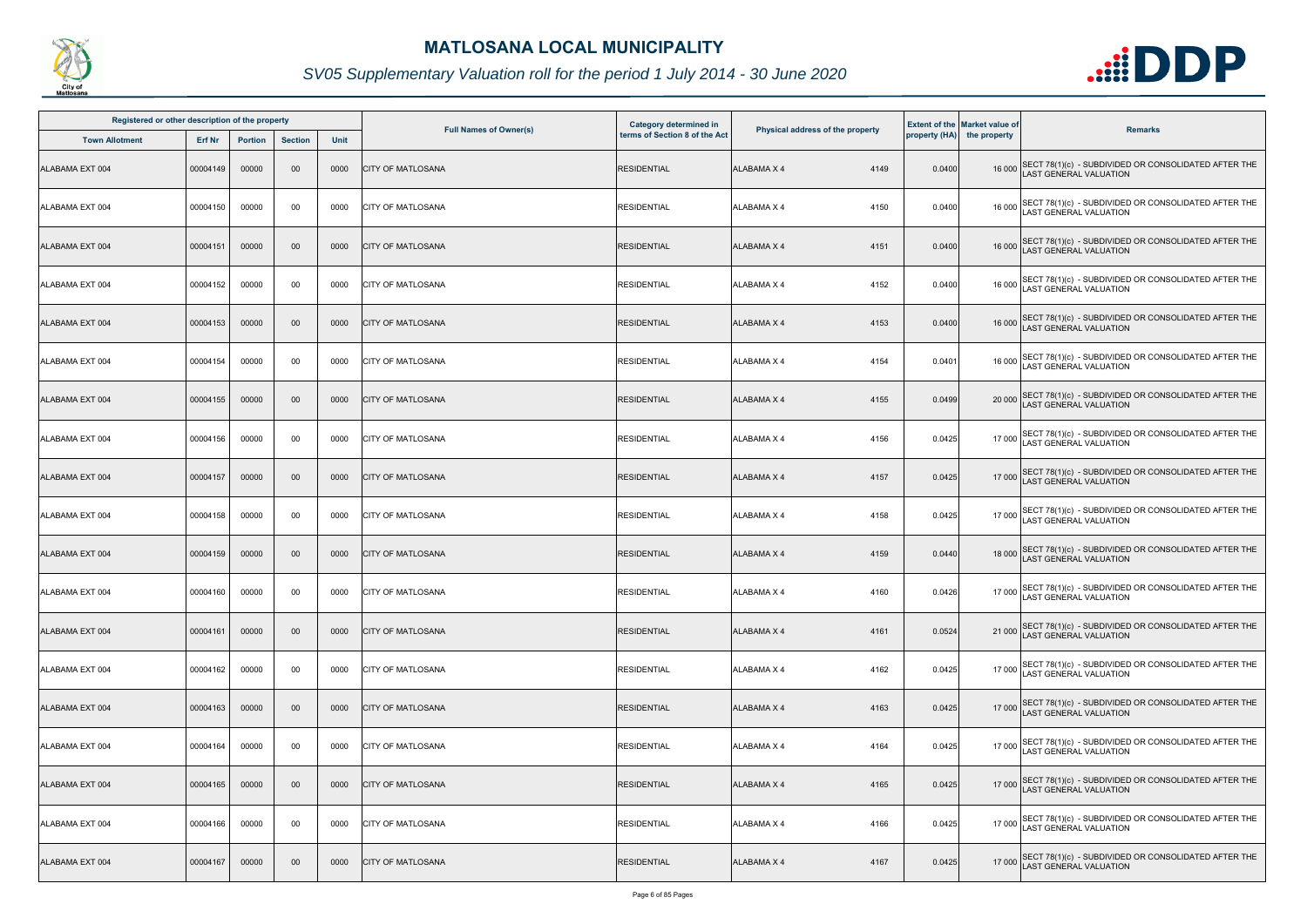

| Registered or other description of the property |          |                |                |      |                               | Category determined in        |                                  |        | <b>Extent of the Market value of</b> |                                                                                       |
|-------------------------------------------------|----------|----------------|----------------|------|-------------------------------|-------------------------------|----------------------------------|--------|--------------------------------------|---------------------------------------------------------------------------------------|
| <b>Town Allotment</b>                           | Erf Nr   | <b>Portion</b> | <b>Section</b> | Unit | <b>Full Names of Owner(s)</b> | terms of Section 8 of the Act | Physical address of the property |        | property (HA) the property           | <b>Remarks</b>                                                                        |
| ALABAMA EXT 004                                 | 00004149 | 00000          | 00             | 0000 | <b>CITY OF MATLOSANA</b>      | <b>RESIDENTIAL</b>            | <b>ALABAMA X 4</b><br>4149       | 0.0400 |                                      | 16 000 SECT 78(1)(c) - SUBDIVIDED OR CONSOLIDATED AFTER THE<br>LAST GENERAL VALUATION |
| ALABAMA EXT 004                                 | 00004150 | 00000          | 00             | 0000 | <b>CITY OF MATLOSANA</b>      | <b>RESIDENTIAL</b>            | <b>ALABAMA X 4</b><br>4150       | 0.0400 |                                      | 16 000 SECT 78(1)(c) - SUBDIVIDED OR CONSOLIDATED AFTER THE<br>LAST GENERAL VALUATION |
| ALABAMA EXT 004                                 | 00004151 | 00000          | $00\,$         | 0000 | <b>CITY OF MATLOSANA</b>      | <b>RESIDENTIAL</b>            | <b>ALABAMA X 4</b><br>4151       | 0.0400 |                                      | 16 000 SECT 78(1)(c) - SUBDIVIDED OR CONSOLIDATED AFTER THE<br>LAST GENERAL VALUATION |
| ALABAMA EXT 004                                 | 00004152 | 00000          | 00             | 0000 | <b>CITY OF MATLOSANA</b>      | <b>RESIDENTIAL</b>            | 4152<br><b>ALABAMA X 4</b>       | 0.0400 |                                      | 16 000 SECT 78(1)(c) - SUBDIVIDED OR CONSOLIDATED AFTER THE<br>LAST GENERAL VALUATION |
| ALABAMA EXT 004                                 | 00004153 | 00000          | $00\,$         | 0000 | <b>CITY OF MATLOSANA</b>      | <b>RESIDENTIAL</b>            | <b>ALABAMA X 4</b><br>4153       | 0.0400 |                                      | 16 000 SECT 78(1)(c) - SUBDIVIDED OR CONSOLIDATED AFTER THE<br>LAST GENERAL VALUATION |
| ALABAMA EXT 004                                 | 00004154 | 00000          | 00             | 0000 | <b>CITY OF MATLOSANA</b>      | <b>RESIDENTIAL</b>            | <b>ALABAMA X 4</b><br>4154       | 0.0401 |                                      | 16 000 SECT 78(1)(c) - SUBDIVIDED OR CONSOLIDATED AFTER THE<br>LAST GENERAL VALUATION |
| ALABAMA EXT 004                                 | 00004155 | 00000          | $00\,$         | 0000 | <b>CITY OF MATLOSANA</b>      | <b>RESIDENTIAL</b>            | 4155<br><b>ALABAMA X 4</b>       | 0.0499 |                                      | 20 000 SECT 78(1)(c) - SUBDIVIDED OR CONSOLIDATED AFTER THE<br>LAST GENERAL VALUATION |
| ALABAMA EXT 004                                 | 00004156 | 00000          | 00             | 0000 | <b>CITY OF MATLOSANA</b>      | <b>RESIDENTIAL</b>            | <b>ALABAMA X 4</b><br>4156       | 0.0425 | 17 000                               | SECT 78(1)(c) - SUBDIVIDED OR CONSOLIDATED AFTER THE<br>AST GENERAL VALUATION         |
| ALABAMA EXT 004                                 | 00004157 | 00000          | 00             | 0000 | <b>CITY OF MATLOSANA</b>      | <b>RESIDENTIAL</b>            | <b>ALABAMA X 4</b><br>4157       | 0.0425 |                                      | 17 000 SECT 78(1)(c) - SUBDIVIDED OR CONSOLIDATED AFTER THE<br>LAST GENERAL VALUATION |
| ALABAMA EXT 004                                 | 00004158 | 00000          | 00             | 0000 | <b>CITY OF MATLOSANA</b>      | <b>RESIDENTIAL</b>            | <b>ALABAMA X 4</b><br>4158       | 0.0425 |                                      | 17 000 SECT 78(1)(c) - SUBDIVIDED OR CONSOLIDATED AFTER THE<br>LAST GENERAL VALUATION |
| ALABAMA EXT 004                                 | 00004159 | 00000          | 00             | 0000 | <b>CITY OF MATLOSANA</b>      | <b>RESIDENTIAL</b>            | <b>ALABAMA X 4</b><br>4159       | 0.0440 |                                      | 18 000 SECT 78(1)(c) - SUBDIVIDED OR CONSOLIDATED AFTER THE<br>LAST GENERAL VALUATION |
| ALABAMA EXT 004                                 | 00004160 | 00000          | 00             | 0000 | <b>CITY OF MATLOSANA</b>      | <b>RESIDENTIAL</b>            | <b>ALABAMA X 4</b><br>4160       | 0.0426 |                                      | 17 000 SECT 78(1)(c) - SUBDIVIDED OR CONSOLIDATED AFTER THE<br>LAST GENERAL VALUATION |
| ALABAMA EXT 004                                 | 00004161 | 00000          | $00\,$         | 0000 | <b>CITY OF MATLOSANA</b>      | <b>RESIDENTIAL</b>            | <b>ALABAMA X 4</b><br>4161       | 0.0524 |                                      | SECT 78(1)(c) - SUBDIVIDED OR CONSOLIDATED AFTER THE<br>LAST GENERAL VALUATION        |
| ALABAMA EXT 004                                 | 00004162 | 00000          | 00             | 0000 | <b>CITY OF MATLOSANA</b>      | <b>RESIDENTIAL</b>            | <b>ALABAMA X 4</b><br>4162       | 0.0425 |                                      | 17 000 SECT 78(1)(c) - SUBDIVIDED OR CONSOLIDATED AFTER THE<br>AST GENERAL VALUATION  |
| ALABAMA EXT 004                                 | 00004163 | 00000          | $00\,$         | 0000 | <b>CITY OF MATLOSANA</b>      | <b>RESIDENTIAL</b>            | ALABAMA X 4<br>4163              | 0.0425 |                                      | 17 000 SECT 78(1)(c) - SUBDIVIDED OR CONSOLIDATED AFTER THE<br>LAST GENERAL VALUATION |
| ALABAMA EXT 004                                 | 00004164 | 00000          | 00             | 0000 | <b>CITY OF MATLOSANA</b>      | <b>RESIDENTIAL</b>            | <b>ALABAMA X 4</b><br>4164       | 0.0425 |                                      | 17 000 SECT 78(1)(c) - SUBDIVIDED OR CONSOLIDATED AFTER THE<br>LAST GENERAL VALUATION |
| ALABAMA EXT 004                                 | 00004165 | 00000          | 00             | 0000 | <b>CITY OF MATLOSANA</b>      | <b>RESIDENTIAL</b>            | <b>ALABAMA X 4</b><br>4165       | 0.0425 |                                      | 17 000 SECT 78(1)(c) - SUBDIVIDED OR CONSOLIDATED AFTER THE<br>LAST GENERAL VALUATION |
| ALABAMA EXT 004                                 | 00004166 | 00000          | 00             | 0000 | <b>CITY OF MATLOSANA</b>      | <b>RESIDENTIAL</b>            | <b>ALABAMA X 4</b><br>4166       | 0.0425 |                                      | 17 000 SECT 78(1)(c) - SUBDIVIDED OR CONSOLIDATED AFTER THE<br>LAST GENERAL VALUATION |
| ALABAMA EXT 004                                 | 00004167 | 00000          | $00\,$         | 0000 | <b>CITY OF MATLOSANA</b>      | <b>RESIDENTIAL</b>            | <b>ALABAMA X 4</b><br>4167       | 0.0425 |                                      | 17 000 SECT 78(1)(c) - SUBDIVIDED OR CONSOLIDATED AFTER THE<br>LAST GENERAL VALUATION |

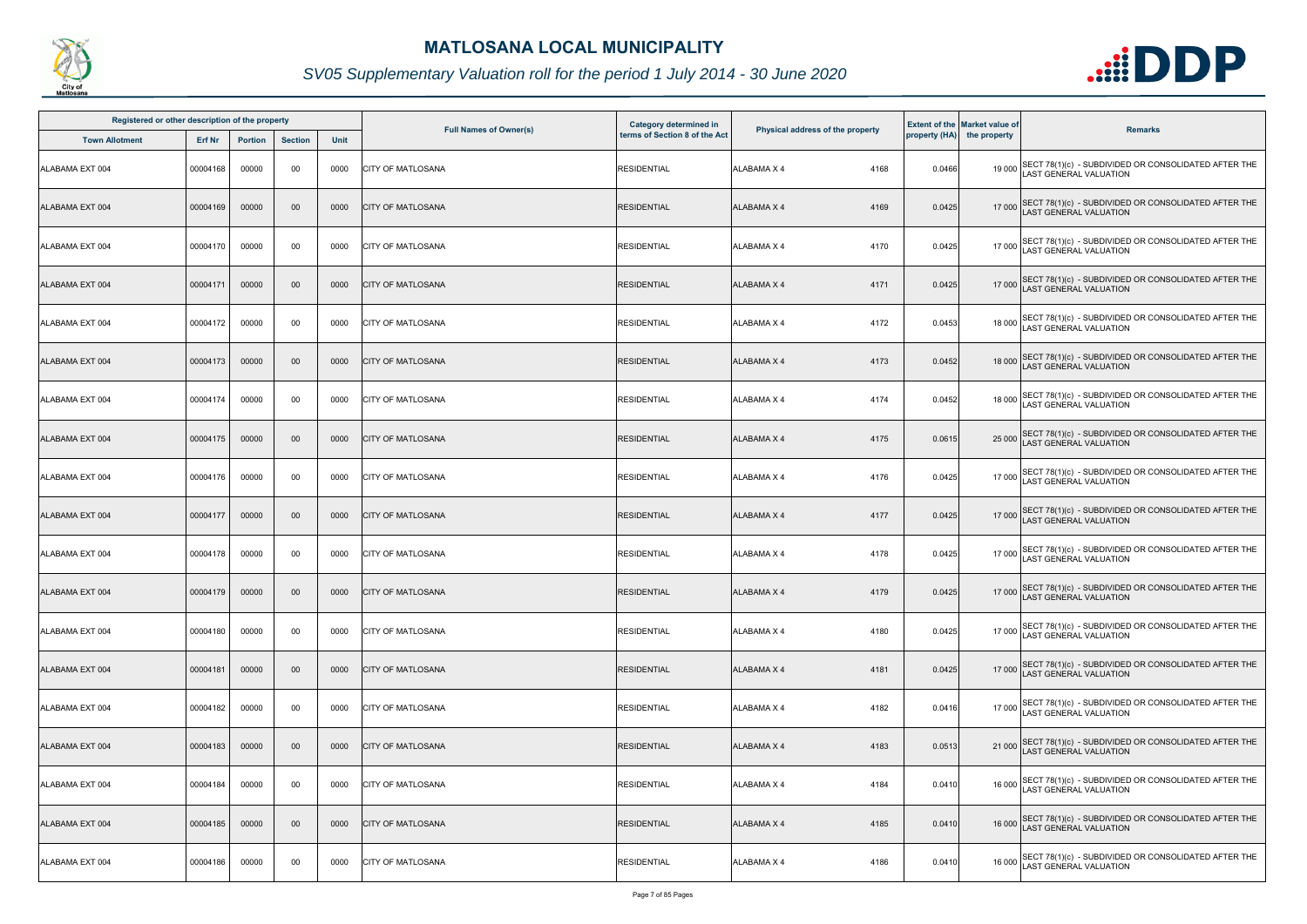

| Registered or other description of the property |          |                |                |      |                               | Category determined in        |                                  |        | <b>Extent of the Market value of</b> |                                                                                             |
|-------------------------------------------------|----------|----------------|----------------|------|-------------------------------|-------------------------------|----------------------------------|--------|--------------------------------------|---------------------------------------------------------------------------------------------|
| <b>Town Allotment</b>                           | Erf Nr   | <b>Portion</b> | <b>Section</b> | Unit | <b>Full Names of Owner(s)</b> | terms of Section 8 of the Act | Physical address of the property |        | property (HA) the property           | <b>Remarks</b>                                                                              |
| <b>ALABAMA EXT 004</b>                          | 00004168 | 00000          | 00             | 0000 | <b>CITY OF MATLOSANA</b>      | <b>RESIDENTIAL</b>            | <b>ALABAMA X 4</b><br>4168       | 0.0466 |                                      | 19 000 SECT 78(1)(c) - SUBDIVIDED OR CONSOLIDATED AFTER THE<br>LAST GENERAL VALUATION       |
| ALABAMA EXT 004                                 | 00004169 | 00000          | $00\,$         | 0000 | <b>CITY OF MATLOSANA</b>      | <b>RESIDENTIAL</b>            | <b>ALABAMA X 4</b><br>4169       | 0.0425 |                                      | 17 000 SECT 78(1)(c) - SUBDIVIDED OR CONSOLIDATED AFTER THE<br>LAST GENERAL VALUATION       |
| ALABAMA EXT 004                                 | 00004170 | 00000          | 00             | 0000 | <b>CITY OF MATLOSANA</b>      | <b>RESIDENTIAL</b>            | <b>ALABAMA X 4</b><br>4170       | 0.0425 |                                      | 17 000 SECT 78(1)(c) - SUBDIVIDED OR CONSOLIDATED AFTER THE<br>LAST GENERAL VALUATION       |
| ALABAMA EXT 004                                 | 00004171 | 00000          | 00             | 0000 | <b>CITY OF MATLOSANA</b>      | <b>RESIDENTIAL</b>            | <b>ALABAMA X 4</b><br>4171       | 0.0425 |                                      | 17 000 SECT 78(1)(c) - SUBDIVIDED OR CONSOLIDATED AFTER THE<br>LAST GENERAL VALUATION       |
| ALABAMA EXT 004                                 | 00004172 | 00000          | 00             | 0000 | <b>CITY OF MATLOSANA</b>      | <b>RESIDENTIAL</b>            | 4172<br><b>ALABAMA X 4</b>       | 0.0453 |                                      | 18 000 SECT 78(1)(c) - SUBDIVIDED OR CONSOLIDATED AFTER THE<br>LAST GENERAL VALUATION       |
| ALABAMA EXT 004                                 | 00004173 | 00000          | 00             | 0000 | <b>CITY OF MATLOSANA</b>      | <b>RESIDENTIAL</b>            | <b>ALABAMA X 4</b><br>4173       | 0.0452 |                                      | 18 000 SECT 78(1)(c) - SUBDIVIDED OR CONSOLIDATED AFTER THE<br>LAST GENERAL VALUATION       |
| ALABAMA EXT 004                                 | 00004174 | 00000          | 00             | 0000 | <b>CITY OF MATLOSANA</b>      | <b>RESIDENTIAL</b>            | <b>ALABAMA X 4</b><br>4174       | 0.0452 |                                      | 18 000 SECT 78(1)(c) - SUBDIVIDED OR CONSOLIDATED AFTER THE<br>LAST GENERAL VALUATION       |
| ALABAMA EXT 004                                 | 00004175 | 00000          | $00\,$         | 0000 | <b>CITY OF MATLOSANA</b>      | <b>RESIDENTIAL</b>            | <b>ALABAMA X 4</b><br>4175       | 0.0615 |                                      | 25 000 SECT 78(1)(c) - SUBDIVIDED OR CONSOLIDATED AFTER THE<br>LAST GENERAL VALUATION       |
| ALABAMA EXT 004                                 | 00004176 | 00000          | 00             | 0000 | <b>CITY OF MATLOSANA</b>      | <b>RESIDENTIAL</b>            | <b>ALABAMA X 4</b><br>4176       | 0.0425 |                                      | 17 000 SECT 78(1)(c) - SUBDIVIDED OR CONSOLIDATED AFTER THE<br>LAST GENERAL VALUATION       |
| ALABAMA EXT 004                                 | 00004177 | 00000          | 00             | 0000 | <b>CITY OF MATLOSANA</b>      | <b>RESIDENTIAL</b>            | <b>ALABAMA X 4</b><br>4177       | 0.0425 |                                      | 17 000 SECT 78(1)(c) - SUBDIVIDED OR CONSOLIDATED AFTER THE<br>LAST GENERAL VALUATION       |
| ALABAMA EXT 004                                 | 00004178 | 00000          | 00             | 0000 | <b>CITY OF MATLOSANA</b>      | <b>RESIDENTIAL</b>            | <b>ALABAMA X 4</b><br>4178       | 0.0425 |                                      | 17 000 SECT 78(1)(c) - SUBDIVIDED OR CONSOLIDATED AFTER THE<br>LAST GENERAL VALUATION       |
| ALABAMA EXT 004                                 | 00004179 | 00000          | $00\,$         | 0000 | <b>CITY OF MATLOSANA</b>      | <b>RESIDENTIAL</b>            | <b>ALABAMA X 4</b><br>4179       | 0.0425 |                                      | 17 000 SECT 78(1)(c) - SUBDIVIDED OR CONSOLIDATED AFTER THE<br>LAST GENERAL VALUATION       |
| ALABAMA EXT 004                                 | 00004180 | 00000          | 00             | 0000 | <b>ICITY OF MATLOSANA</b>     | <b>RESIDENTIAL</b>            | <b>ALABAMA X 4</b><br>4180       | 0.0425 |                                      | 17 000 SECT 78(1)(c) - SUBDIVIDED OR CONSOLIDATED AFTER THE<br>LAST GENERAL VALUATION       |
| ALABAMA EXT 004                                 | 00004181 | 00000          | 00             | 0000 | <b>CITY OF MATLOSANA</b>      | <b>RESIDENTIAL</b>            | <b>ALABAMA X 4</b><br>4181       | 0.0425 |                                      | 17 000 SECT 78(1)(c) - SUBDIVIDED OR CONSOLIDATED AFTER THE<br><b>AST GENERAL VALUATION</b> |
| ALABAMA EXT 004                                 | 00004182 | 00000          | 00             | 0000 | <b>CITY OF MATLOSANA</b>      | <b>RESIDENTIAL</b>            | <b>ALABAMA X 4</b><br>4182       | 0.0416 |                                      | 17 000 SECT 78(1)(c) - SUBDIVIDED OR CONSOLIDATED AFTER THE<br>LAST GENERAL VALUATION       |
| ALABAMA EXT 004                                 | 00004183 | 00000          | 00             | 0000 | <b>CITY OF MATLOSANA</b>      | <b>RESIDENTIAL</b>            | <b>ALABAMA X 4</b><br>4183       | 0.0513 |                                      | 21 000 SECT 78(1)(c) - SUBDIVIDED OR CONSOLIDATED AFTER THE<br>LAST GENERAL VALUATION       |
| ALABAMA EXT 004                                 | 00004184 | 00000          | 00             | 0000 | <b>CITY OF MATLOSANA</b>      | <b>RESIDENTIAL</b>            | <b>ALABAMA X 4</b><br>4184       | 0.0410 |                                      | 16 000 SECT 78(1)(c) - SUBDIVIDED OR CONSOLIDATED AFTER THE<br>LAST GENERAL VALUATION       |
| ALABAMA EXT 004                                 | 00004185 | 00000          | $00\,$         | 0000 | <b>CITY OF MATLOSANA</b>      | <b>RESIDENTIAL</b>            | <b>ALABAMA X 4</b><br>4185       | 0.0410 |                                      | 16 000 SECT 78(1)(c) - SUBDIVIDED OR CONSOLIDATED AFTER THE<br>AST GENERAL VALUATION        |
| ALABAMA EXT 004                                 | 00004186 | 00000          | 00             | 0000 | <b>CITY OF MATLOSANA</b>      | <b>RESIDENTIAL</b>            | ALABAMA X 4<br>4186              | 0.0410 |                                      | 16 000 SECT 78(1)(c) - SUBDIVIDED OR CONSOLIDATED AFTER THE<br>LAST GENERAL VALUATION       |

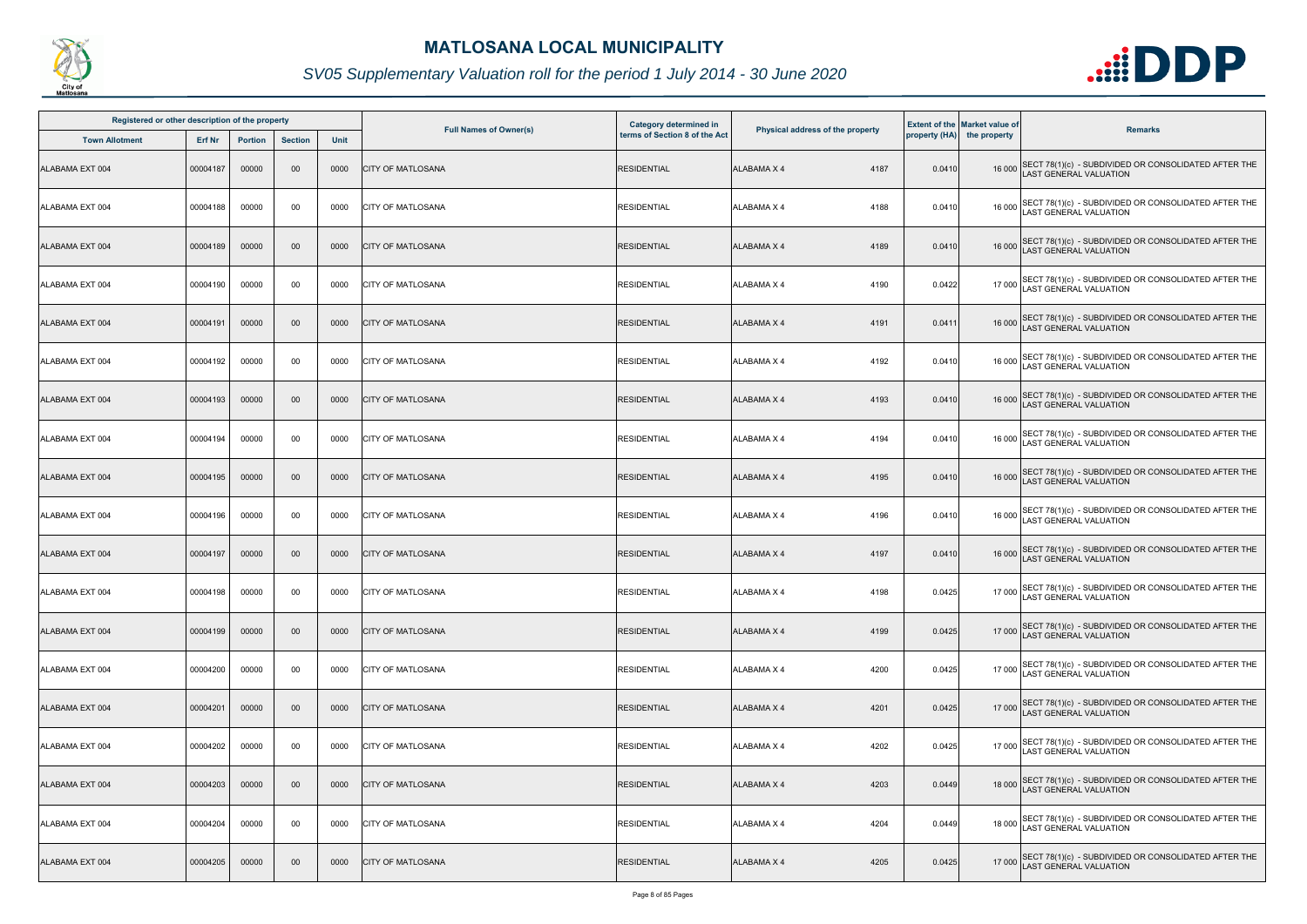

| Registered or other description of the property |          |                |                |      |                               | Category determined in        |                                  |        | <b>Extent of the Market value of</b> |                                                                                       |
|-------------------------------------------------|----------|----------------|----------------|------|-------------------------------|-------------------------------|----------------------------------|--------|--------------------------------------|---------------------------------------------------------------------------------------|
| <b>Town Allotment</b>                           | Erf Nr   | <b>Portion</b> | <b>Section</b> | Unit | <b>Full Names of Owner(s)</b> | terms of Section 8 of the Act | Physical address of the property |        | property (HA) the property           | <b>Remarks</b>                                                                        |
| ALABAMA EXT 004                                 | 00004187 | 00000          | 00             | 0000 | <b>CITY OF MATLOSANA</b>      | <b>RESIDENTIAL</b>            | <b>ALABAMA X 4</b><br>4187       | 0.0410 |                                      | 16 000 SECT 78(1)(c) - SUBDIVIDED OR CONSOLIDATED AFTER THE<br>LAST GENERAL VALUATION |
| ALABAMA EXT 004                                 | 00004188 | 00000          | 00             | 0000 | <b>CITY OF MATLOSANA</b>      | <b>RESIDENTIAL</b>            | <b>ALABAMA X 4</b><br>4188       | 0.0410 |                                      | 16 000 SECT 78(1)(c) - SUBDIVIDED OR CONSOLIDATED AFTER THE<br>LAST GENERAL VALUATION |
| ALABAMA EXT 004                                 | 00004189 | 00000          | $00\,$         | 0000 | <b>CITY OF MATLOSANA</b>      | <b>RESIDENTIAL</b>            | <b>ALABAMA X 4</b><br>4189       | 0.0410 |                                      | 16 000 SECT 78(1)(c) - SUBDIVIDED OR CONSOLIDATED AFTER THE<br>LAST GENERAL VALUATION |
| ALABAMA EXT 004                                 | 00004190 | 00000          | 00             | 0000 | <b>CITY OF MATLOSANA</b>      | <b>RESIDENTIAL</b>            | <b>ALABAMA X 4</b><br>4190       | 0.0422 |                                      | 17 000 SECT 78(1)(c) - SUBDIVIDED OR CONSOLIDATED AFTER THE<br>LAST GENERAL VALUATION |
| ALABAMA EXT 004                                 | 00004191 | 00000          | $00\,$         | 0000 | <b>CITY OF MATLOSANA</b>      | <b>RESIDENTIAL</b>            | <b>ALABAMA X 4</b><br>4191       | 0.0411 |                                      | 16 000 SECT 78(1)(c) - SUBDIVIDED OR CONSOLIDATED AFTER THE<br>LAST GENERAL VALUATION |
| ALABAMA EXT 004                                 | 00004192 | 00000          | 00             | 0000 | <b>CITY OF MATLOSANA</b>      | <b>RESIDENTIAL</b>            | <b>ALABAMA X 4</b><br>4192       | 0.0410 |                                      | 16 000 SECT 78(1)(c) - SUBDIVIDED OR CONSOLIDATED AFTER THE<br>LAST GENERAL VALUATION |
| ALABAMA EXT 004                                 | 00004193 | 00000          | $00\,$         | 0000 | <b>CITY OF MATLOSANA</b>      | <b>RESIDENTIAL</b>            | 4193<br><b>ALABAMA X 4</b>       | 0.0410 |                                      | 16 000 SECT 78(1)(c) - SUBDIVIDED OR CONSOLIDATED AFTER THE<br>LAST GENERAL VALUATION |
| ALABAMA EXT 004                                 | 00004194 | 00000          | 00             | 0000 | <b>CITY OF MATLOSANA</b>      | <b>RESIDENTIAL</b>            | <b>ALABAMA X 4</b><br>4194       | 0.0410 | 16 000                               | SECT 78(1)(c) - SUBDIVIDED OR CONSOLIDATED AFTER THE<br>AST GENERAL VALUATION         |
| ALABAMA EXT 004                                 | 00004195 | 00000          | 00             | 0000 | <b>CITY OF MATLOSANA</b>      | <b>RESIDENTIAL</b>            | <b>ALABAMA X 4</b><br>4195       | 0.0410 |                                      | 16 000 SECT 78(1)(c) - SUBDIVIDED OR CONSOLIDATED AFTER THE<br>LAST GENERAL VALUATION |
| ALABAMA EXT 004                                 | 00004196 | 00000          | 00             | 0000 | <b>CITY OF MATLOSANA</b>      | <b>RESIDENTIAL</b>            | <b>ALABAMA X 4</b><br>4196       | 0.0410 |                                      | 16 000 SECT 78(1)(c) - SUBDIVIDED OR CONSOLIDATED AFTER THE<br>LAST GENERAL VALUATION |
| ALABAMA EXT 004                                 | 00004197 | 00000          | 00             | 0000 | <b>CITY OF MATLOSANA</b>      | <b>RESIDENTIAL</b>            | <b>ALABAMA X 4</b><br>4197       | 0.0410 |                                      | 16 000 SECT 78(1)(c) - SUBDIVIDED OR CONSOLIDATED AFTER THE<br>LAST GENERAL VALUATION |
| ALABAMA EXT 004                                 | 00004198 | 00000          | 00             | 0000 | <b>CITY OF MATLOSANA</b>      | <b>RESIDENTIAL</b>            | <b>ALABAMA X 4</b><br>4198       | 0.0425 |                                      | 17 000 SECT 78(1)(c) - SUBDIVIDED OR CONSOLIDATED AFTER THE<br>LAST GENERAL VALUATION |
| ALABAMA EXT 004                                 | 00004199 | 00000          | $00\,$         | 0000 | <b>CITY OF MATLOSANA</b>      | <b>RESIDENTIAL</b>            | <b>ALABAMA X 4</b><br>4199       | 0.0425 |                                      | 17 000 SECT 78(1)(c) - SUBDIVIDED OR CONSOLIDATED AFTER THE<br>LAST GENERAL VALUATION |
| ALABAMA EXT 004                                 | 00004200 | 00000          | 00             | 0000 | <b>CITY OF MATLOSANA</b>      | <b>RESIDENTIAL</b>            | <b>ALABAMA X 4</b><br>4200       | 0.0425 |                                      | 17 000 SECT 78(1)(c) - SUBDIVIDED OR CONSOLIDATED AFTER THE<br>AST GENERAL VALUATION  |
| ALABAMA EXT 004                                 | 00004201 | 00000          | $00\,$         | 0000 | <b>CITY OF MATLOSANA</b>      | <b>RESIDENTIAL</b>            | 4201<br>ALABAMA X 4              | 0.0425 |                                      | 17 000 SECT 78(1)(c) - SUBDIVIDED OR CONSOLIDATED AFTER THE<br>LAST GENERAL VALUATION |
| ALABAMA EXT 004                                 | 00004202 | 00000          | 00             | 0000 | <b>CITY OF MATLOSANA</b>      | <b>RESIDENTIAL</b>            | <b>ALABAMA X 4</b><br>4202       | 0.0425 |                                      | 17 000 SECT 78(1)(c) - SUBDIVIDED OR CONSOLIDATED AFTER THE<br>LAST GENERAL VALUATION |
| ALABAMA EXT 004                                 | 00004203 | 00000          | 00             | 0000 | <b>CITY OF MATLOSANA</b>      | <b>RESIDENTIAL</b>            | <b>ALABAMA X 4</b><br>4203       | 0.0449 |                                      | 18 000 SECT 78(1)(c) - SUBDIVIDED OR CONSOLIDATED AFTER THE<br>LAST GENERAL VALUATION |
| ALABAMA EXT 004                                 | 00004204 | 00000          | 00             | 0000 | <b>CITY OF MATLOSANA</b>      | <b>RESIDENTIAL</b>            | 4204<br><b>ALABAMA X 4</b>       | 0.0449 |                                      | 18 000 SECT 78(1)(c) - SUBDIVIDED OR CONSOLIDATED AFTER THE<br>LAST GENERAL VALUATION |
| ALABAMA EXT 004                                 | 00004205 | 00000          | $00\,$         | 0000 | <b>CITY OF MATLOSANA</b>      | <b>RESIDENTIAL</b>            | <b>ALABAMA X 4</b><br>4205       | 0.0425 |                                      | 17 000 SECT 78(1)(c) - SUBDIVIDED OR CONSOLIDATED AFTER THE<br>LAST GENERAL VALUATION |

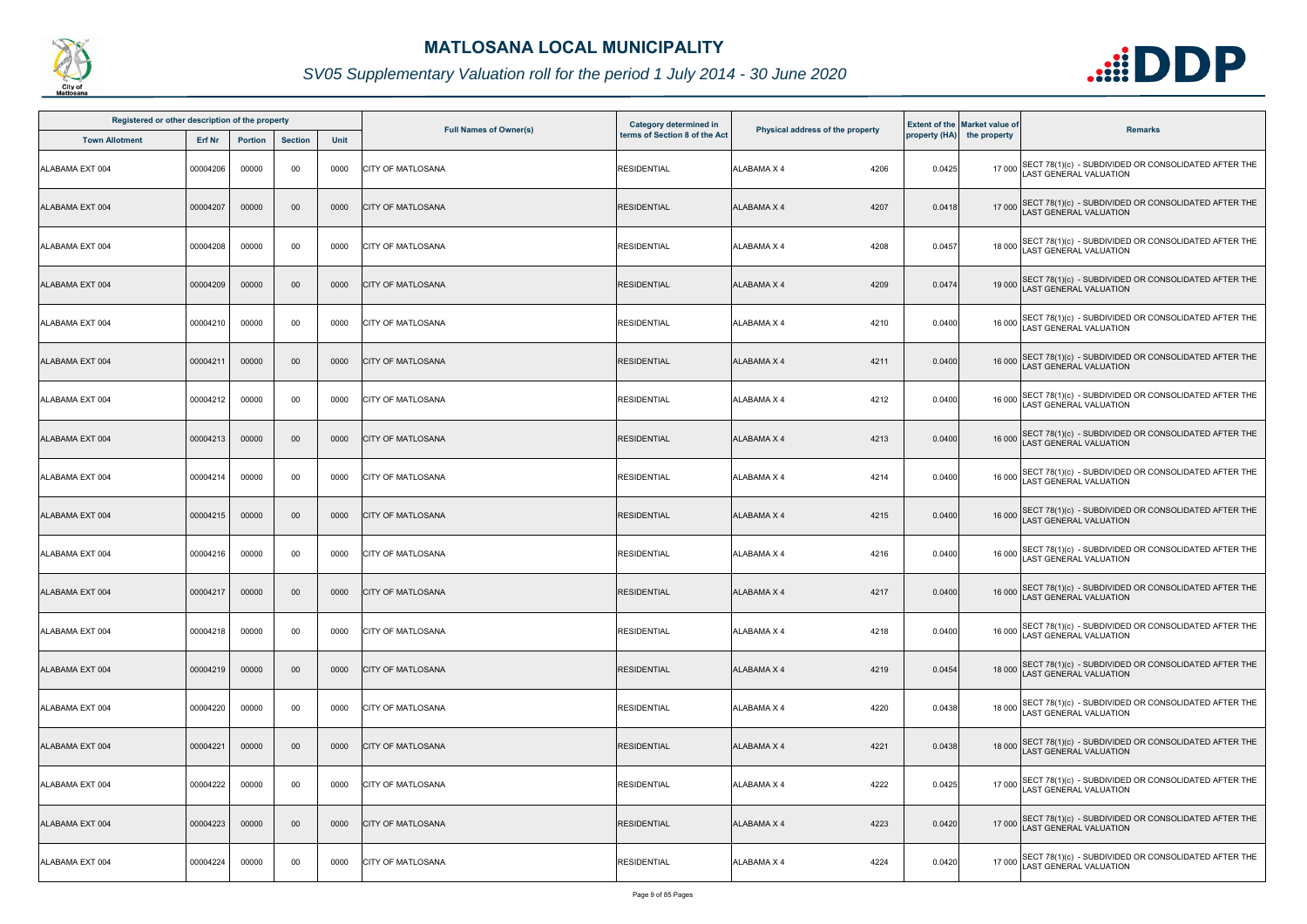

| Registered or other description of the property |          |                |                |      |                               | Category determined in        |                                  |        | <b>Extent of the Market value of</b> |                                                                                              |
|-------------------------------------------------|----------|----------------|----------------|------|-------------------------------|-------------------------------|----------------------------------|--------|--------------------------------------|----------------------------------------------------------------------------------------------|
| <b>Town Allotment</b>                           | Erf Nr   | <b>Portion</b> | <b>Section</b> | Unit | <b>Full Names of Owner(s)</b> | terms of Section 8 of the Act | Physical address of the property |        | property (HA) the property           | <b>Remarks</b>                                                                               |
| <b>ALABAMA EXT 004</b>                          | 00004206 | 00000          | 00             | 0000 | <b>CITY OF MATLOSANA</b>      | <b>RESIDENTIAL</b>            | 4206<br><b>ALABAMA X 4</b>       | 0.0425 |                                      | 17 000 SECT 78(1)(c) - SUBDIVIDED OR CONSOLIDATED AFTER THE<br>LAST GENERAL VALUATION        |
| ALABAMA EXT 004                                 | 00004207 | 00000          | $00\,$         | 0000 | <b>CITY OF MATLOSANA</b>      | <b>RESIDENTIAL</b>            | <b>ALABAMA X 4</b><br>4207       | 0.0418 |                                      | 17 000 SECT 78(1)(c) - SUBDIVIDED OR CONSOLIDATED AFTER THE<br>LAST GENERAL VALUATION        |
| ALABAMA EXT 004                                 | 00004208 | 00000          | 00             | 0000 | <b>CITY OF MATLOSANA</b>      | <b>RESIDENTIAL</b>            | <b>ALABAMA X 4</b><br>4208       | 0.0457 |                                      | 18 000 SECT 78(1)(c) - SUBDIVIDED OR CONSOLIDATED AFTER THE<br>LAST GENERAL VALUATION        |
| ALABAMA EXT 004                                 | 00004209 | 00000          | 00             | 0000 | <b>CITY OF MATLOSANA</b>      | <b>RESIDENTIAL</b>            | 4209<br><b>ALABAMA X 4</b>       | 0.0474 |                                      | 19 000 SECT 78(1)(c) - SUBDIVIDED OR CONSOLIDATED AFTER THE<br>LAST GENERAL VALUATION        |
| ALABAMA EXT 004                                 | 00004210 | 00000          | 00             | 0000 | <b>CITY OF MATLOSANA</b>      | <b>RESIDENTIAL</b>            | 4210<br><b>ALABAMA X 4</b>       | 0.0400 |                                      | 16 000 SECT 78(1)(c) - SUBDIVIDED OR CONSOLIDATED AFTER THE<br>LAST GENERAL VALUATION        |
| ALABAMA EXT 004                                 | 00004211 | 00000          | 00             | 0000 | <b>CITY OF MATLOSANA</b>      | <b>RESIDENTIAL</b>            | <b>ALABAMA X 4</b><br>4211       | 0.0400 |                                      | 16 000 SECT 78(1)(c) - SUBDIVIDED OR CONSOLIDATED AFTER THE<br>LAST GENERAL VALUATION        |
| ALABAMA EXT 004                                 | 00004212 | 00000          | 00             | 0000 | <b>CITY OF MATLOSANA</b>      | <b>RESIDENTIAL</b>            | <b>ALABAMA X 4</b><br>4212       | 0.0400 |                                      | 16 000 SECT 78(1)(c) - SUBDIVIDED OR CONSOLIDATED AFTER THE<br>LAST GENERAL VALUATION        |
| ALABAMA EXT 004                                 | 00004213 | 00000          | $00\,$         | 0000 | <b>CITY OF MATLOSANA</b>      | <b>RESIDENTIAL</b>            | <b>ALABAMA X 4</b><br>4213       | 0.0400 |                                      | 16 000 SECT 78(1)(c) - SUBDIVIDED OR CONSOLIDATED AFTER THE<br>LAST GENERAL VALUATION        |
| ALABAMA EXT 004                                 | 00004214 | 00000          | 00             | 0000 | <b>CITY OF MATLOSANA</b>      | <b>RESIDENTIAL</b>            | <b>ALABAMA X 4</b><br>4214       | 0.0400 |                                      | 16 000 SECT 78(1)(c) - SUBDIVIDED OR CONSOLIDATED AFTER THE<br>LAST GENERAL VALUATION        |
| ALABAMA EXT 004                                 | 00004215 | 00000          | 00             | 0000 | <b>CITY OF MATLOSANA</b>      | <b>RESIDENTIAL</b>            | <b>ALABAMA X 4</b><br>4215       | 0.0400 |                                      | 16 000 SECT 78(1)(c) - SUBDIVIDED OR CONSOLIDATED AFTER THE<br>LAST GENERAL VALUATION        |
| ALABAMA EXT 004                                 | 00004216 | 00000          | 00             | 0000 | <b>CITY OF MATLOSANA</b>      | <b>RESIDENTIAL</b>            | 4216<br><b>ALABAMA X 4</b>       | 0.0400 |                                      | 16 000 SECT 78(1)(c) - SUBDIVIDED OR CONSOLIDATED AFTER THE<br>LAST GENERAL VALUATION        |
| ALABAMA EXT 004                                 | 00004217 | 00000          | $00\,$         | 0000 | <b>CITY OF MATLOSANA</b>      | <b>RESIDENTIAL</b>            | <b>ALABAMA X 4</b><br>4217       | 0.0400 |                                      | 16 000 SECT 78(1)(c) - SUBDIVIDED OR CONSOLIDATED AFTER THE<br>LAST GENERAL VALUATION        |
| ALABAMA EXT 004                                 | 00004218 | 00000          | 00             | 0000 | <b>ICITY OF MATLOSANA</b>     | <b>RESIDENTIAL</b>            | <b>ALABAMA X 4</b><br>4218       | 0.0400 |                                      | 16 000 SECT 78(1)(c) - SUBDIVIDED OR CONSOLIDATED AFTER THE<br><b>LAST GENERAL VALUATION</b> |
| ALABAMA EXT 004                                 | 00004219 | 00000          | 00             | 0000 | <b>CITY OF MATLOSANA</b>      | <b>RESIDENTIAL</b>            | <b>ALABAMA X 4</b><br>4219       | 0.0454 |                                      | 18 000 SECT 78(1)(c) - SUBDIVIDED OR CONSOLIDATED AFTER THE<br><b>AST GENERAL VALUATION</b>  |
| ALABAMA EXT 004                                 | 00004220 | 00000          | 00             | 0000 | <b>CITY OF MATLOSANA</b>      | <b>RESIDENTIAL</b>            | ALABAMA X 4<br>4220              | 0.0438 |                                      | 18 000 SECT 78(1)(c) - SUBDIVIDED OR CONSOLIDATED AFTER THE<br>LAST GENERAL VALUATION        |
| ALABAMA EXT 004                                 | 00004221 | 00000          | 00             | 0000 | <b>CITY OF MATLOSANA</b>      | <b>RESIDENTIAL</b>            | <b>ALABAMA X 4</b><br>4221       | 0.0438 |                                      | 18 000 SECT 78(1)(c) - SUBDIVIDED OR CONSOLIDATED AFTER THE<br>LAST GENERAL VALUATION        |
| ALABAMA EXT 004                                 | 00004222 | 00000          | 00             | 0000 | <b>CITY OF MATLOSANA</b>      | <b>RESIDENTIAL</b>            | <b>ALABAMA X 4</b><br>4222       | 0.0425 |                                      | 17 000 SECT 78(1)(c) - SUBDIVIDED OR CONSOLIDATED AFTER THE<br>LAST GENERAL VALUATION        |
| ALABAMA EXT 004                                 | 00004223 | 00000          | $00\,$         | 0000 | <b>CITY OF MATLOSANA</b>      | <b>RESIDENTIAL</b>            | 4223<br><b>ALABAMA X 4</b>       | 0.0420 |                                      | 17 000 SECT 78(1)(c) - SUBDIVIDED OR CONSOLIDATED AFTER THE<br>LAST GENERAL VALUATION        |
| ALABAMA EXT 004                                 | 00004224 | 00000          | 00             | 0000 | <b>CITY OF MATLOSANA</b>      | <b>RESIDENTIAL</b>            | 4224<br>ALABAMA X 4              | 0.0420 |                                      | 17 000 SECT 78(1)(c) - SUBDIVIDED OR CONSOLIDATED AFTER THE<br>LAST GENERAL VALUATION        |

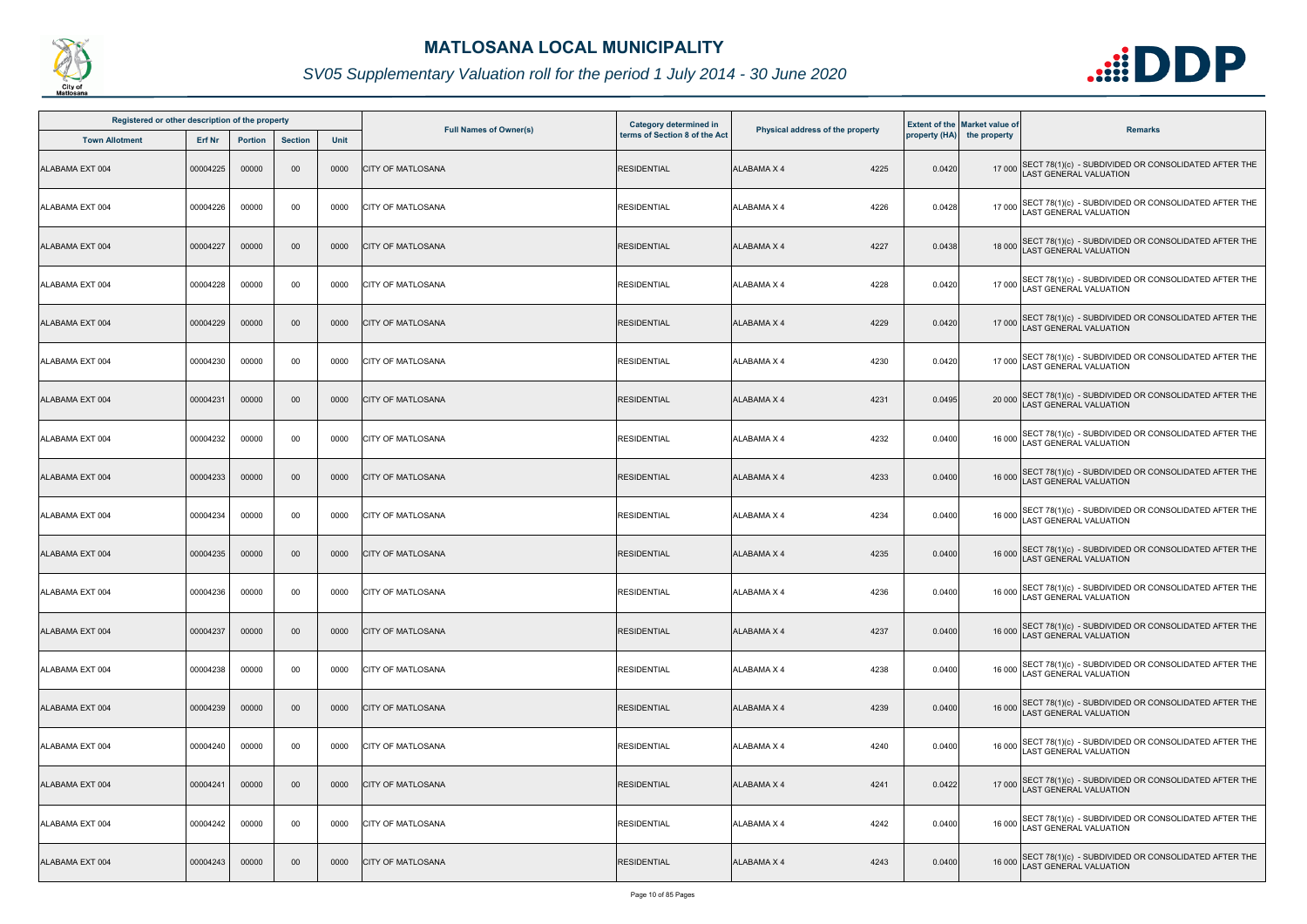

| Registered or other description of the property |          |                |                |      |                               | Category determined in        |                                  |        | <b>Extent of the Market value of</b> |                                                                                              |
|-------------------------------------------------|----------|----------------|----------------|------|-------------------------------|-------------------------------|----------------------------------|--------|--------------------------------------|----------------------------------------------------------------------------------------------|
| <b>Town Allotment</b>                           | Erf Nr   | <b>Portion</b> | <b>Section</b> | Unit | <b>Full Names of Owner(s)</b> | terms of Section 8 of the Act | Physical address of the property |        | property (HA) the property           | <b>Remarks</b>                                                                               |
| ALABAMA EXT 004                                 | 00004225 | 00000          | 00             | 0000 | <b>CITY OF MATLOSANA</b>      | <b>RESIDENTIAL</b>            | 4225<br><b>ALABAMA X 4</b>       | 0.0420 |                                      | 17 000 SECT 78(1)(c) - SUBDIVIDED OR CONSOLIDATED AFTER THE<br>LAST GENERAL VALUATION        |
| ALABAMA EXT 004                                 | 00004226 | 00000          | 00             | 0000 | <b>CITY OF MATLOSANA</b>      | <b>RESIDENTIAL</b>            | ALABAMA X 4<br>4226              | 0.0428 |                                      | 17 000 SECT 78(1)(c) - SUBDIVIDED OR CONSOLIDATED AFTER THE<br>LAST GENERAL VALUATION        |
| ALABAMA EXT 004                                 | 00004227 | 00000          | $00\,$         | 0000 | <b>CITY OF MATLOSANA</b>      | <b>RESIDENTIAL</b>            | <b>ALABAMA X 4</b><br>4227       | 0.0438 |                                      | 18 000 SECT 78(1)(c) - SUBDIVIDED OR CONSOLIDATED AFTER THE<br>LAST GENERAL VALUATION        |
| ALABAMA EXT 004                                 | 00004228 | 00000          | 00             | 0000 | <b>CITY OF MATLOSANA</b>      | <b>RESIDENTIAL</b>            | 4228<br><b>ALABAMA X 4</b>       | 0.0420 |                                      | 17 000 SECT 78(1)(c) - SUBDIVIDED OR CONSOLIDATED AFTER THE<br>LAST GENERAL VALUATION        |
| ALABAMA EXT 004                                 | 00004229 | 00000          | 00             | 0000 | <b>CITY OF MATLOSANA</b>      | <b>RESIDENTIAL</b>            | 4229<br><b>ALABAMA X 4</b>       | 0.0420 |                                      | 17 000 SECT 78(1)(c) - SUBDIVIDED OR CONSOLIDATED AFTER THE<br>LAST GENERAL VALUATION        |
| ALABAMA EXT 004                                 | 00004230 | 00000          | 00             | 0000 | <b>CITY OF MATLOSANA</b>      | <b>RESIDENTIAL</b>            | <b>ALABAMA X 4</b><br>4230       | 0.0420 |                                      | 17 000 SECT 78(1)(c) - SUBDIVIDED OR CONSOLIDATED AFTER THE<br>LAST GENERAL VALUATION        |
| ALABAMA EXT 004                                 | 00004231 | 00000          | 00             | 0000 | <b>CITY OF MATLOSANA</b>      | <b>RESIDENTIAL</b>            | 4231<br><b>ALABAMA X 4</b>       | 0.0495 |                                      | 20 000 SECT 78(1)(c) - SUBDIVIDED OR CONSOLIDATED AFTER THE<br>LAST GENERAL VALUATION        |
| ALABAMA EXT 004                                 | 00004232 | 00000          | 00             | 0000 | <b>CITY OF MATLOSANA</b>      | <b>RESIDENTIAL</b>            | 4232<br><b>ALABAMA X 4</b>       | 0.0400 | 16 000                               | SECT 78(1)(c) - SUBDIVIDED OR CONSOLIDATED AFTER THE<br>AST GENERAL VALUATION                |
| ALABAMA EXT 004                                 | 00004233 | 00000          | $00\,$         | 0000 | <b>CITY OF MATLOSANA</b>      | <b>RESIDENTIAL</b>            | ALABAMA X 4<br>4233              | 0.0400 |                                      | 16 000 SECT 78(1)(c) - SUBDIVIDED OR CONSOLIDATED AFTER THE<br>LAST GENERAL VALUATION        |
| ALABAMA EXT 004                                 | 00004234 | 00000          | 00             | 0000 | <b>CITY OF MATLOSANA</b>      | <b>RESIDENTIAL</b>            | 4234<br><b>ALABAMA X 4</b>       | 0.0400 |                                      | 16 000 SECT 78(1)(c) - SUBDIVIDED OR CONSOLIDATED AFTER THE<br>LAST GENERAL VALUATION        |
| ALABAMA EXT 004                                 | 00004235 | 00000          | 00             | 0000 | <b>CITY OF MATLOSANA</b>      | <b>RESIDENTIAL</b>            | <b>ALABAMA X 4</b><br>4235       | 0.0400 |                                      | 16 000 SECT 78(1)(c) - SUBDIVIDED OR CONSOLIDATED AFTER THE<br>LAST GENERAL VALUATION        |
| ALABAMA EXT 004                                 | 00004236 | 00000          | 00             | 0000 | <b>CITY OF MATLOSANA</b>      | <b>RESIDENTIAL</b>            | 4236<br>ALABAMA X 4              | 0.0400 |                                      | 16 000 SECT 78(1)(c) - SUBDIVIDED OR CONSOLIDATED AFTER THE<br>16 000 LAST GENERAL VALUATION |
| ALABAMA EXT 004                                 | 00004237 | 00000          | 00             | 0000 | <b>CITY OF MATLOSANA</b>      | <b>RESIDENTIAL</b>            | <b>ALABAMA X 4</b><br>4237       | 0.0400 |                                      | 16 000 SECT 78(1)(c) - SUBDIVIDED OR CONSOLIDATED AFTER THE<br>LAST GENERAL VALUATION        |
| ALABAMA EXT 004                                 | 00004238 | 00000          | 00             | 0000 | <b>CITY OF MATLOSANA</b>      | <b>RESIDENTIAL</b>            | <b>ALABAMA X 4</b><br>4238       | 0.0400 | 16 000                               | SECT 78(1)(c) - SUBDIVIDED OR CONSOLIDATED AFTER THE<br><b>AST GENERAL VALUATION</b>         |
| ALABAMA EXT 004                                 | 00004239 | 00000          | 00             | 0000 | <b>CITY OF MATLOSANA</b>      | <b>RESIDENTIAL</b>            | 4239<br>ALABAMA X 4              | 0.0400 |                                      | 16 000 SECT 78(1)(c) - SUBDIVIDED OR CONSOLIDATED AFTER THE<br>LAST GENERAL VALUATION        |
| ALABAMA EXT 004                                 | 00004240 | 00000          | 00             | 0000 | <b>CITY OF MATLOSANA</b>      | <b>RESIDENTIAL</b>            | ALABAMA X 4<br>4240              | 0.0400 | 16 000                               | SECT 78(1)(c) - SUBDIVIDED OR CONSOLIDATED AFTER THE LAST GENERAL VALUATION                  |
| ALABAMA EXT 004                                 | 00004241 | 00000          | $00\,$         | 0000 | <b>CITY OF MATLOSANA</b>      | <b>RESIDENTIAL</b>            | <b>ALABAMA X 4</b><br>4241       | 0.0422 |                                      | 17 000 SECT 78(1)(c) - SUBDIVIDED OR CONSOLIDATED AFTER THE<br>LAST GENERAL VALUATION        |
| ALABAMA EXT 004                                 | 00004242 | 00000          | 00             | 0000 | <b>CITY OF MATLOSANA</b>      | <b>RESIDENTIAL</b>            | 4242<br>ALABAMA X 4              | 0.0400 |                                      | 16 000 SECT 78(1)(c) - SUBDIVIDED OR CONSOLIDATED AFTER THE<br>LAST GENERAL VALUATION        |
| ALABAMA EXT 004                                 | 00004243 | 00000          | 00             | 0000 | <b>CITY OF MATLOSANA</b>      | <b>RESIDENTIAL</b>            | <b>ALABAMA X 4</b><br>4243       | 0.0400 |                                      | 16 000 SECT 78(1)(c) - SUBDIVIDED OR CONSOLIDATED AFTER THE<br>AST GENERAL VALUATION         |

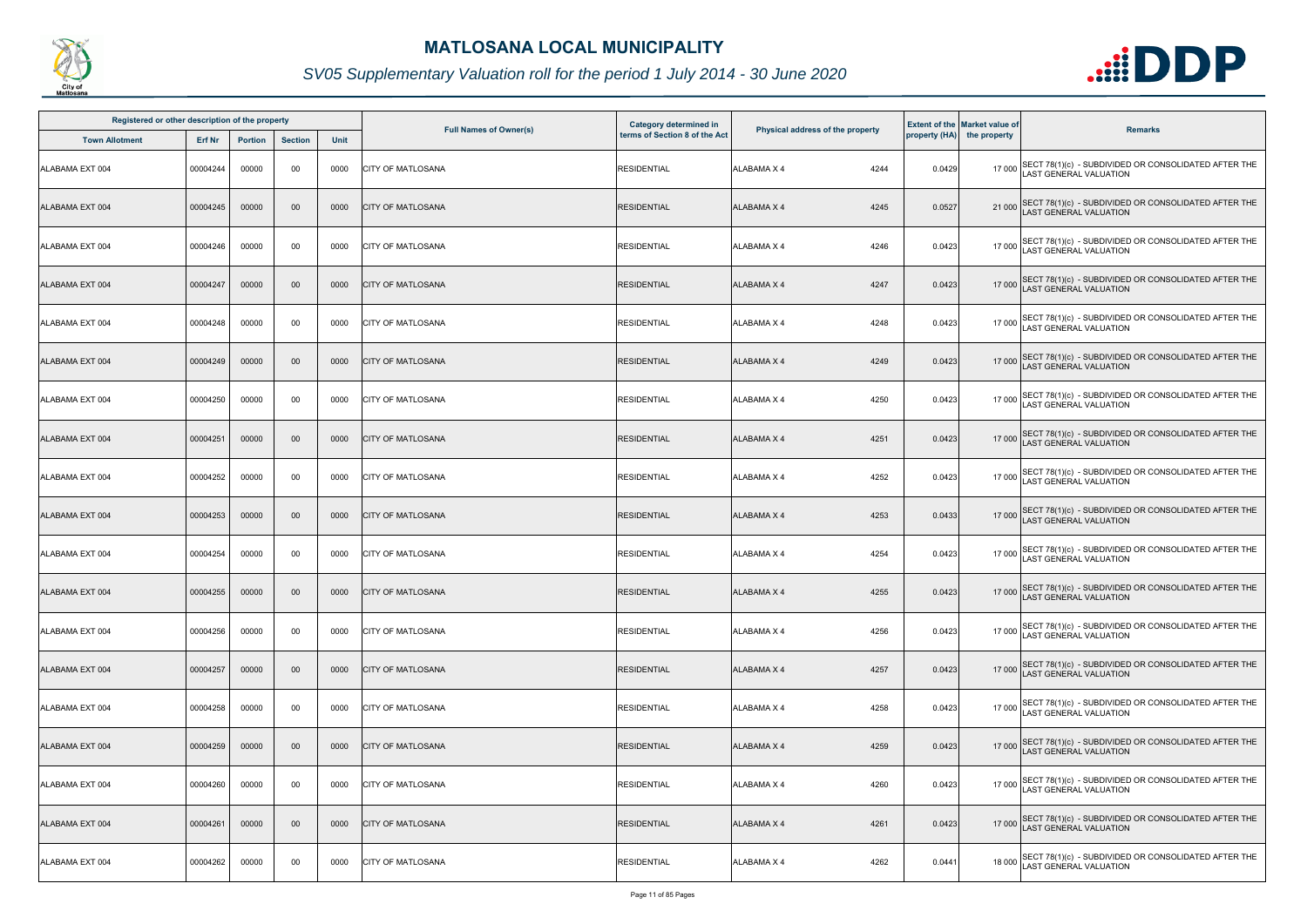

| Registered or other description of the property |          |                |                |      |                               | Category determined in        |                                  |        | <b>Extent of the Market value of</b> |                                                                                             |
|-------------------------------------------------|----------|----------------|----------------|------|-------------------------------|-------------------------------|----------------------------------|--------|--------------------------------------|---------------------------------------------------------------------------------------------|
| <b>Town Allotment</b>                           | Erf Nr   | <b>Portion</b> | <b>Section</b> | Unit | <b>Full Names of Owner(s)</b> | terms of Section 8 of the Act | Physical address of the property |        | property (HA) the property           | <b>Remarks</b>                                                                              |
| <b>ALABAMA EXT 004</b>                          | 00004244 | 00000          | 00             | 0000 | <b>CITY OF MATLOSANA</b>      | <b>RESIDENTIAL</b>            | 4244<br><b>ALABAMA X 4</b>       | 0.0429 |                                      | 17 000 SECT 78(1)(c) - SUBDIVIDED OR CONSOLIDATED AFTER THE<br>LAST GENERAL VALUATION       |
| ALABAMA EXT 004                                 | 00004245 | 00000          | 00             | 0000 | <b>CITY OF MATLOSANA</b>      | <b>RESIDENTIAL</b>            | <b>ALABAMA X 4</b><br>4245       | 0.0527 |                                      | 21 000 SECT 78(1)(c) - SUBDIVIDED OR CONSOLIDATED AFTER THE<br>LAST GENERAL VALUATION       |
| ALABAMA EXT 004                                 | 00004246 | 00000          | 00             | 0000 | <b>CITY OF MATLOSANA</b>      | <b>RESIDENTIAL</b>            | <b>ALABAMA X 4</b><br>4246       | 0.0423 |                                      | 17 000 SECT 78(1)(c) - SUBDIVIDED OR CONSOLIDATED AFTER THE<br>LAST GENERAL VALUATION       |
| ALABAMA EXT 004                                 | 00004247 | 00000          | 00             | 0000 | <b>CITY OF MATLOSANA</b>      | <b>RESIDENTIAL</b>            | 4247<br><b>ALABAMA X 4</b>       | 0.0423 |                                      | 17 000 SECT 78(1)(c) - SUBDIVIDED OR CONSOLIDATED AFTER THE<br>LAST GENERAL VALUATION       |
| ALABAMA EXT 004                                 | 00004248 | 00000          | 00             | 0000 | <b>CITY OF MATLOSANA</b>      | <b>RESIDENTIAL</b>            | 4248<br><b>ALABAMA X 4</b>       | 0.0423 |                                      | 17 000 SECT 78(1)(c) - SUBDIVIDED OR CONSOLIDATED AFTER THE<br>LAST GENERAL VALUATION       |
| ALABAMA EXT 004                                 | 00004249 | 00000          | 00             | 0000 | <b>CITY OF MATLOSANA</b>      | <b>RESIDENTIAL</b>            | <b>ALABAMA X 4</b><br>4249       | 0.0423 |                                      | 17 000 SECT 78(1)(c) - SUBDIVIDED OR CONSOLIDATED AFTER THE<br>LAST GENERAL VALUATION       |
| ALABAMA EXT 004                                 | 00004250 | 00000          | 00             | 0000 | <b>CITY OF MATLOSANA</b>      | <b>RESIDENTIAL</b>            | <b>ALABAMA X 4</b><br>4250       | 0.0423 |                                      | 17 000 SECT 78(1)(c) - SUBDIVIDED OR CONSOLIDATED AFTER THE<br>LAST GENERAL VALUATION       |
| ALABAMA EXT 004                                 | 00004251 | 00000          | $00\,$         | 0000 | <b>CITY OF MATLOSANA</b>      | <b>RESIDENTIAL</b>            | <b>ALABAMA X 4</b><br>4251       | 0.0423 |                                      | 17 000 SECT 78(1)(c) - SUBDIVIDED OR CONSOLIDATED AFTER THE<br>LAST GENERAL VALUATION       |
| ALABAMA EXT 004                                 | 00004252 | 00000          | 00             | 0000 | <b>CITY OF MATLOSANA</b>      | <b>RESIDENTIAL</b>            | <b>ALABAMA X 4</b><br>4252       | 0.0423 |                                      | 17 000 SECT 78(1)(c) - SUBDIVIDED OR CONSOLIDATED AFTER THE<br>LAST GENERAL VALUATION       |
| ALABAMA EXT 004                                 | 00004253 | 00000          | 00             | 0000 | <b>CITY OF MATLOSANA</b>      | <b>RESIDENTIAL</b>            | <b>ALABAMA X 4</b><br>4253       | 0.0433 |                                      | 17 000 SECT 78(1)(c) - SUBDIVIDED OR CONSOLIDATED AFTER THE<br>LAST GENERAL VALUATION       |
| ALABAMA EXT 004                                 | 00004254 | 00000          | 00             | 0000 | <b>CITY OF MATLOSANA</b>      | <b>RESIDENTIAL</b>            | 4254<br><b>ALABAMA X 4</b>       | 0.0423 |                                      | 17 000 SECT 78(1)(c) - SUBDIVIDED OR CONSOLIDATED AFTER THE<br>LAST GENERAL VALUATION       |
| ALABAMA EXT 004                                 | 00004255 | 00000          | $00\,$         | 0000 | <b>CITY OF MATLOSANA</b>      | <b>RESIDENTIAL</b>            | <b>ALABAMA X 4</b><br>4255       | 0.0423 |                                      | 17 000 SECT 78(1)(c) - SUBDIVIDED OR CONSOLIDATED AFTER THE<br>LAST GENERAL VALUATION       |
| ALABAMA EXT 004                                 | 00004256 | 00000          | 00             | 0000 | <b>ICITY OF MATLOSANA</b>     | <b>RESIDENTIAL</b>            | <b>ALABAMA X 4</b><br>4256       | 0.0423 |                                      | 17 000 SECT 78(1)(c) - SUBDIVIDED OR CONSOLIDATED AFTER THE<br>LAST GENERAL VALUATION       |
| ALABAMA EXT 004                                 | 00004257 | 00000          | 00             | 0000 | <b>CITY OF MATLOSANA</b>      | <b>RESIDENTIAL</b>            | <b>ALABAMA X 4</b><br>4257       | 0.0423 |                                      | 17 000 SECT 78(1)(c) - SUBDIVIDED OR CONSOLIDATED AFTER THE<br><b>AST GENERAL VALUATION</b> |
| ALABAMA EXT 004                                 | 00004258 | 00000          | 00             | 0000 | <b>CITY OF MATLOSANA</b>      | <b>RESIDENTIAL</b>            | 4258<br><b>ALABAMA X 4</b>       | 0.0423 |                                      | 17 000 SECT 78(1)(c) - SUBDIVIDED OR CONSOLIDATED AFTER THE<br>LAST GENERAL VALUATION       |
| ALABAMA EXT 004                                 | 00004259 | 00000          | 00             | 0000 | <b>CITY OF MATLOSANA</b>      | <b>RESIDENTIAL</b>            | <b>ALABAMA X 4</b><br>4259       | 0.0423 |                                      | 17 000 SECT 78(1)(c) - SUBDIVIDED OR CONSOLIDATED AFTER THE<br>LAST GENERAL VALUATION       |
| ALABAMA EXT 004                                 | 00004260 | 00000          | 00             | 0000 | <b>CITY OF MATLOSANA</b>      | <b>RESIDENTIAL</b>            | <b>ALABAMA X 4</b><br>4260       | 0.0423 |                                      | 17 000 SECT 78(1)(c) - SUBDIVIDED OR CONSOLIDATED AFTER THE<br>LAST GENERAL VALUATION       |
| ALABAMA EXT 004                                 | 00004261 | 00000          | $00\,$         | 0000 | <b>CITY OF MATLOSANA</b>      | <b>RESIDENTIAL</b>            | 4261<br><b>ALABAMA X 4</b>       | 0.0423 |                                      | 17 000 SECT 78(1)(c) - SUBDIVIDED OR CONSOLIDATED AFTER THE<br>LAST GENERAL VALUATION       |
| ALABAMA EXT 004                                 | 00004262 | 00000          | 00             | 0000 | <b>CITY OF MATLOSANA</b>      | <b>RESIDENTIAL</b>            | 4262<br>ALABAMA X 4              | 0.0441 |                                      | 18 000 SECT 78(1)(c) - SUBDIVIDED OR CONSOLIDATED AFTER THE<br>LAST GENERAL VALUATION       |

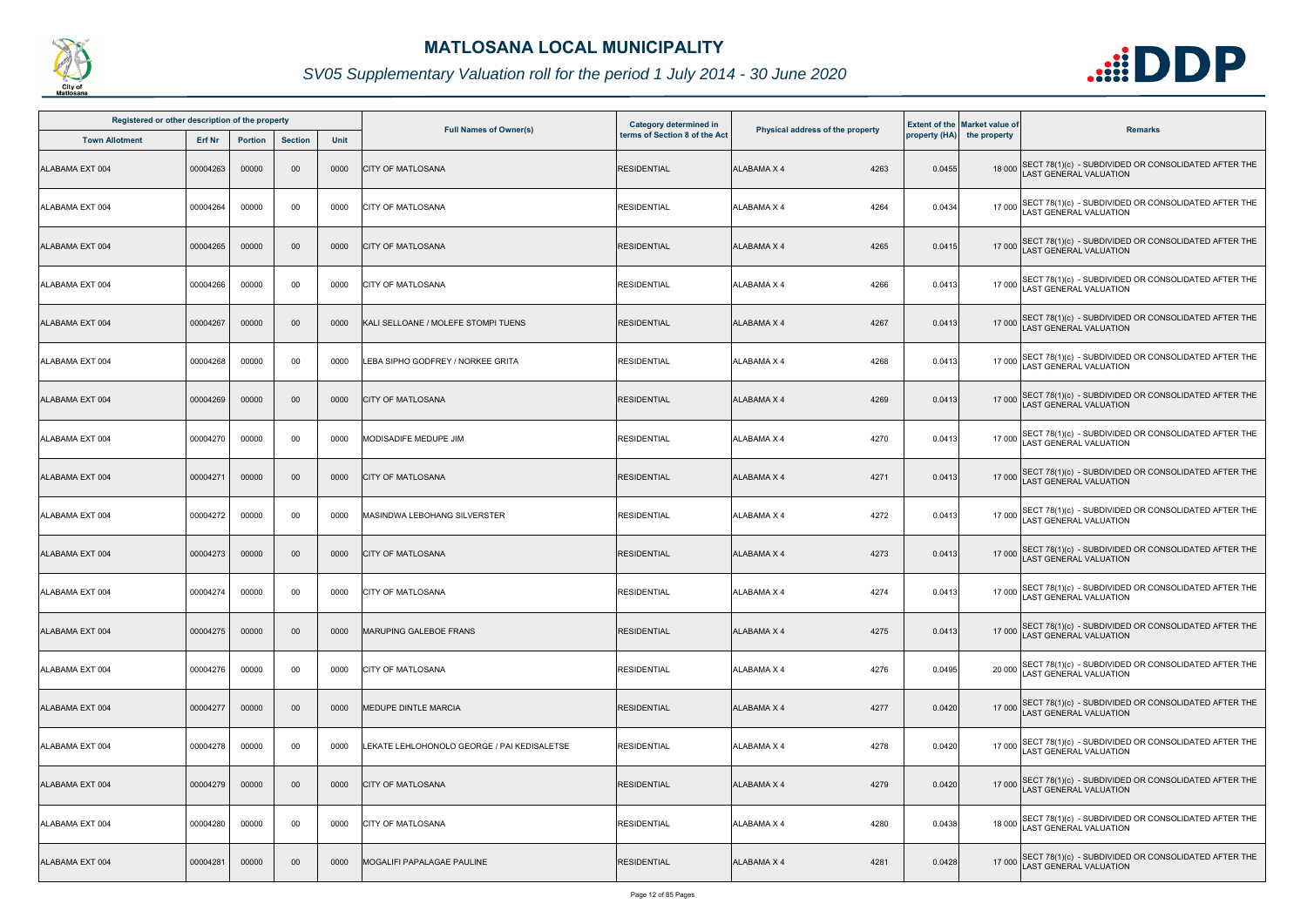

| Registered or other description of the property |          |                |                |      |                                             | Category determined in        |                                  |        | <b>Extent of the Market value of</b> |                                                                                       |
|-------------------------------------------------|----------|----------------|----------------|------|---------------------------------------------|-------------------------------|----------------------------------|--------|--------------------------------------|---------------------------------------------------------------------------------------|
| <b>Town Allotment</b>                           | Erf Nr   | <b>Portion</b> | <b>Section</b> | Unit | <b>Full Names of Owner(s)</b>               | terms of Section 8 of the Act | Physical address of the property |        | property (HA) the property           | <b>Remarks</b>                                                                        |
| ALABAMA EXT 004                                 | 00004263 | 00000          | 00             | 0000 | <b>CITY OF MATLOSANA</b>                    | <b>RESIDENTIAL</b>            | <b>ALABAMA X 4</b><br>4263       | 0.0455 |                                      | 18 000 SECT 78(1)(c) - SUBDIVIDED OR CONSOLIDATED AFTER THE<br>LAST GENERAL VALUATION |
| ALABAMA EXT 004                                 | 00004264 | 00000          | 00             | 0000 | <b>CITY OF MATLOSANA</b>                    | <b>RESIDENTIAL</b>            | <b>ALABAMA X 4</b><br>4264       | 0.0434 |                                      | 17 000 SECT 78(1)(c) - SUBDIVIDED OR CONSOLIDATED AFTER THE<br>LAST GENERAL VALUATION |
| ALABAMA EXT 004                                 | 00004265 | 00000          | 00             | 0000 | <b>CITY OF MATLOSANA</b>                    | <b>RESIDENTIAL</b>            | <b>ALABAMA X 4</b><br>4265       | 0.0415 |                                      | 17 000 SECT 78(1)(c) - SUBDIVIDED OR CONSOLIDATED AFTER THE<br>LAST GENERAL VALUATION |
| ALABAMA EXT 004                                 | 00004266 | 00000          | 00             | 0000 | <b>CITY OF MATLOSANA</b>                    | <b>RESIDENTIAL</b>            | 4266<br><b>ALABAMA X 4</b>       | 0.0413 |                                      | 17 000 SECT 78(1)(c) - SUBDIVIDED OR CONSOLIDATED AFTER THE<br>LAST GENERAL VALUATION |
| ALABAMA EXT 004                                 | 00004267 | 00000          | 00             | 0000 | KALI SELLOANE / MOLEFE STOMPI TUENS         | <b>RESIDENTIAL</b>            | 4267<br><b>ALABAMA X 4</b>       | 0.0413 |                                      | 17 000 SECT 78(1)(c) - SUBDIVIDED OR CONSOLIDATED AFTER THE<br>LAST GENERAL VALUATION |
| ALABAMA EXT 004                                 | 00004268 | 00000          | 00             | 0000 | LEBA SIPHO GODFREY / NORKEE GRITA           | <b>RESIDENTIAL</b>            | <b>ALABAMA X 4</b><br>4268       | 0.0413 |                                      | 17 000 SECT 78(1)(c) - SUBDIVIDED OR CONSOLIDATED AFTER THE<br>LAST GENERAL VALUATION |
| ALABAMA EXT 004                                 | 00004269 | 00000          | $00\,$         | 0000 | <b>CITY OF MATLOSANA</b>                    | <b>RESIDENTIAL</b>            | 4269<br><b>ALABAMA X 4</b>       | 0.0413 |                                      | 17 000 SECT 78(1)(c) - SUBDIVIDED OR CONSOLIDATED AFTER THE<br>LAST GENERAL VALUATION |
| ALABAMA EXT 004                                 | 00004270 | 00000          | 00             | 0000 | MODISADIFE MEDUPE JIM                       | <b>RESIDENTIAL</b>            | <b>ALABAMA X 4</b><br>4270       | 0.0413 |                                      | 17 000 SECT 78(1)(c) - SUBDIVIDED OR CONSOLIDATED AFTER THE<br>AST GENERAL VALUATION  |
| ALABAMA EXT 004                                 | 00004271 | 00000          | 00             | 0000 | <b>CITY OF MATLOSANA</b>                    | <b>RESIDENTIAL</b>            | <b>ALABAMA X 4</b><br>4271       | 0.0413 |                                      | 17 000 SECT 78(1)(c) - SUBDIVIDED OR CONSOLIDATED AFTER THE<br>LAST GENERAL VALUATION |
| ALABAMA EXT 004                                 | 00004272 | 00000          | 00             | 0000 | MASINDWA LEBOHANG SILVERSTER                | <b>RESIDENTIAL</b>            | ALABAMA X 4<br>4272              | 0.0413 |                                      | 17 000 SECT 78(1)(c) - SUBDIVIDED OR CONSOLIDATED AFTER THE<br>LAST GENERAL VALUATION |
| ALABAMA EXT 004                                 | 00004273 | 00000          | 00             | 0000 | <b>CITY OF MATLOSANA</b>                    | <b>RESIDENTIAL</b>            | 4273<br><b>ALABAMA X 4</b>       | 0.0413 |                                      | 17 000 SECT 78(1)(c) - SUBDIVIDED OR CONSOLIDATED AFTER THE<br>LAST GENERAL VALUATION |
| ALABAMA EXT 004                                 | 00004274 | 00000          | 00             | 0000 | <b>CITY OF MATLOSANA</b>                    | <b>RESIDENTIAL</b>            | <b>ALABAMA X 4</b><br>4274       | 0.0413 |                                      | 17 000 SECT 78(1)(c) - SUBDIVIDED OR CONSOLIDATED AFTER THE<br>LAST GENERAL VALUATION |
| ALABAMA EXT 004                                 | 00004275 | 00000          | $00\,$         | 0000 | <b>MARUPING GALEBOE FRANS</b>               | <b>RESIDENTIAL</b>            | 4275<br><b>ALABAMA X 4</b>       | 0.0413 |                                      | 17 000 SECT 78(1)(c) - SUBDIVIDED OR CONSOLIDATED AFTER THE<br>LAST GENERAL VALUATION |
| ALABAMA EXT 004                                 | 00004276 | 00000          | 00             | 0000 | <b>CITY OF MATLOSANA</b>                    | <b>RESIDENTIAL</b>            | <b>ALABAMA X 4</b><br>4276       | 0.0495 | 20 000                               | SECT 78(1)(c) - SUBDIVIDED OR CONSOLIDATED AFTER THE<br><b>AST GENERAL VALUATION</b>  |
| ALABAMA EXT 004                                 | 00004277 | 00000          | $00\,$         | 0000 | <b>MEDUPE DINTLE MARCIA</b>                 | <b>RESIDENTIAL</b>            | <b>ALABAMA X 4</b><br>4277       | 0.0420 |                                      | 17 000 SECT 78(1)(c) - SUBDIVIDED OR CONSOLIDATED AFTER THE<br>LAST GENERAL VALUATION |
| ALABAMA EXT 004                                 | 00004278 | 00000          | 00             | 0000 | LEKATE LEHLOHONOLO GEORGE / PAI KEDISALETSE | <b>RESIDENTIAL</b>            | <b>ALABAMA X 4</b><br>4278       | 0.0420 |                                      | 17 000 SECT 78(1)(c) - SUBDIVIDED OR CONSOLIDATED AFTER THE<br>LAST GENERAL VALUATION |
| ALABAMA EXT 004                                 | 00004279 | 00000          | 00             | 0000 | <b>CITY OF MATLOSANA</b>                    | <b>RESIDENTIAL</b>            | <b>ALABAMA X 4</b><br>4279       | 0.0420 |                                      | 17 000 SECT 78(1)(c) - SUBDIVIDED OR CONSOLIDATED AFTER THE<br>LAST GENERAL VALUATION |
| ALABAMA EXT 004                                 | 00004280 | 00000          | 00             | 0000 | <b>CITY OF MATLOSANA</b>                    | <b>RESIDENTIAL</b>            | 4280<br><b>ALABAMA X 4</b>       | 0.0438 |                                      | 18 000 SECT 78(1)(c) - SUBDIVIDED OR CONSOLIDATED AFTER THE<br>LAST GENERAL VALUATION |
| ALABAMA EXT 004                                 | 00004281 | 00000          | $00\,$         | 0000 | MOGALIFI PAPALAGAE PAULINE                  | <b>RESIDENTIAL</b>            | <b>ALABAMA X 4</b><br>4281       | 0.0428 |                                      | 17 000 SECT 78(1)(c) - SUBDIVIDED OR CONSOLIDATED AFTER THE<br>LAST GENERAL VALUATION |

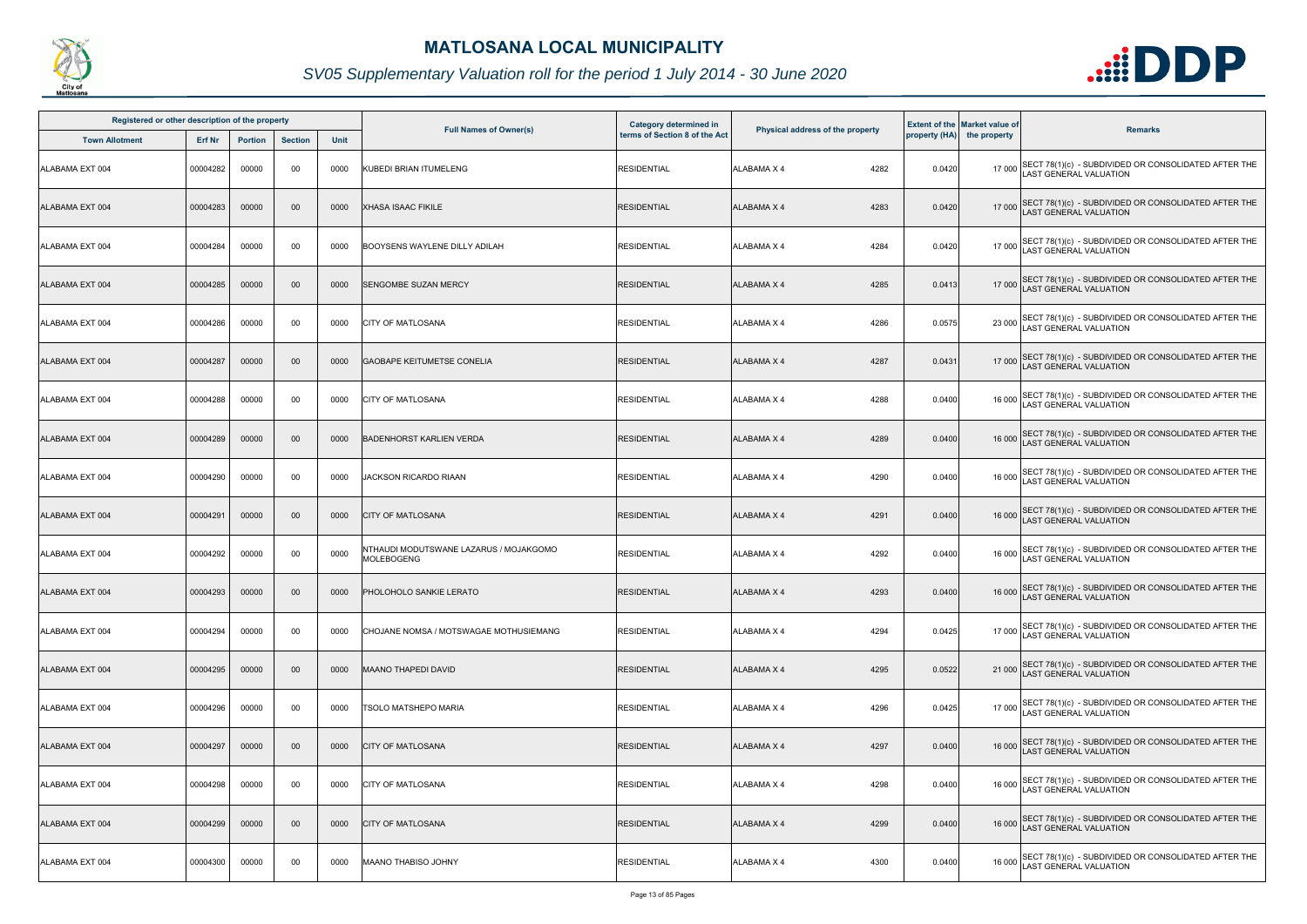

| Registered or other description of the property |               |                |                |             |                                                             | <b>Category determined in</b> |                                  |        | <b>Extent of the Market value of</b> |                                                                                              |
|-------------------------------------------------|---------------|----------------|----------------|-------------|-------------------------------------------------------------|-------------------------------|----------------------------------|--------|--------------------------------------|----------------------------------------------------------------------------------------------|
| <b>Town Allotment</b>                           | <b>Erf Nr</b> | <b>Portion</b> | <b>Section</b> | <b>Unit</b> | <b>Full Names of Owner(s)</b>                               | terms of Section 8 of the Act | Physical address of the property |        | property (HA) the property           | <b>Remarks</b>                                                                               |
| ALABAMA EXT 004                                 | 00004282      | 00000          | 00             | 0000        | KUBEDI BRIAN ITUMELENG                                      | <b>RESIDENTIAL</b>            | ALABAMA X 4<br>4282              | 0.0420 |                                      | 17 000 SECT 78(1)(c) - SUBDIVIDED OR CONSOLIDATED AFTER THE<br>LAST GENERAL VALUATION        |
| ALABAMA EXT 004                                 | 00004283      | 00000          | $00\,$         | 0000        | <b>XHASA ISAAC FIKILE</b>                                   | <b>RESIDENTIAL</b>            | ALABAMA X 4<br>4283              | 0.0420 |                                      | 17 000 SECT 78(1)(c) - SUBDIVIDED OR CONSOLIDATED AFTER THE<br>LAST GENERAL VALUATION        |
| ALABAMA EXT 004                                 | 00004284      | 00000          | 00             | 0000        | <b>BOOYSENS WAYLENE DILLY ADILAH</b>                        | <b>RESIDENTIAL</b>            | 4284<br>ALABAMA X 4              | 0.0420 |                                      | 17 000 SECT 78(1)(c) - SUBDIVIDED OR CONSOLIDATED AFTER THE<br>LAST GENERAL VALUATION        |
| ALABAMA EXT 004                                 | 00004285      | 00000          | $00\,$         | 0000        | <b>SENGOMBE SUZAN MERCY</b>                                 | <b>RESIDENTIAL</b>            | <b>ALABAMA X 4</b><br>4285       | 0.0413 |                                      | 17 000 SECT 78(1)(c) - SUBDIVIDED OR CONSOLIDATED AFTER THE<br>LAST GENERAL VALUATION        |
| ALABAMA EXT 004                                 | 00004286      | 00000          | 00             | 0000        | <b>CITY OF MATLOSANA</b>                                    | <b>RESIDENTIAL</b>            | 4286<br>ALABAMA X 4              | 0.0575 |                                      | 23 000 SECT 78(1)(c) - SUBDIVIDED OR CONSOLIDATED AFTER THE<br>LAST GENERAL VALUATION        |
| ALABAMA EXT 004                                 | 00004287      | 00000          | $00\,$         | 0000        | <b>GAOBAPE KEITUMETSE CONELIA</b>                           | <b>RESIDENTIAL</b>            | 4287<br>ALABAMA X 4              | 0.0431 |                                      | 17 000 SECT 78(1)(c) - SUBDIVIDED OR CONSOLIDATED AFTER THE<br>LAST GENERAL VALUATION        |
| ALABAMA EXT 004                                 | 00004288      | 00000          | 00             | 0000        | <b>CITY OF MATLOSANA</b>                                    | <b>RESIDENTIAL</b>            | ALABAMA X 4<br>4288              | 0.0400 |                                      | 16 000 SECT 78(1)(c) - SUBDIVIDED OR CONSOLIDATED AFTER THE<br>LAST GENERAL VALUATION        |
| ALABAMA EXT 004                                 | 00004289      | 00000          | $00\,$         | 0000        | <b>BADENHORST KARLIEN VERDA</b>                             | <b>RESIDENTIAL</b>            | 4289<br><b>ALABAMA X 4</b>       | 0.0400 |                                      | 16 000 SECT 78(1)(c) - SUBDIVIDED OR CONSOLIDATED AFTER THE<br>LAST GENERAL VALUATION        |
| ALABAMA EXT 004                                 | 00004290      | 00000          | 00             | 0000        | <b>JACKSON RICARDO RIAAN</b>                                | <b>RESIDENTIAL</b>            | 4290<br>ALABAMA X 4              | 0.0400 |                                      | 16 000 SECT 78(1)(c) - SUBDIVIDED OR CONSOLIDATED AFTER THE<br><b>LAST GENERAL VALUATION</b> |
| ALABAMA EXT 004                                 | 00004291      | 00000          | $00\,$         | 0000        | <b>CITY OF MATLOSANA</b>                                    | <b>RESIDENTIAL</b>            | <b>ALABAMA X 4</b><br>4291       | 0.0400 |                                      | 16 000 SECT 78(1)(c) - SUBDIVIDED OR CONSOLIDATED AFTER THE<br>LAST GENERAL VALUATION        |
| ALABAMA EXT 004                                 | 00004292      | 00000          | 00             | 0000        | NTHAUDI MODUTSWANE LAZARUS / MOJAKGOMO<br><b>MOLEBOGENG</b> | <b>RESIDENTIAL</b>            | ALABAMA X 4<br>4292              | 0.0400 |                                      | 16 000 SECT 78(1)(c) - SUBDIVIDED OR CONSOLIDATED AFTER THE<br>LAST GENERAL VALUATION        |
| ALABAMA EXT 004                                 | 00004293      | 00000          | $00 \,$        | 0000        | PHOLOHOLO SANKIE LERATO                                     | <b>RESIDENTIAL</b>            | ALABAMA X 4<br>4293              | 0.0400 |                                      | 16 000 SECT 78(1)(c) - SUBDIVIDED OR CONSOLIDATED AFTER THE<br>LAST GENERAL VALUATION        |
| ALABAMA EXT 004                                 | 00004294      | 00000          | 00             | 0000        | CHOJANE NOMSA / MOTSWAGAE MOTHUSIEMANG                      | <b>RESIDENTIAL</b>            | 4294<br>ALABAMA X 4              | 0.0425 |                                      | 17 000 SECT 78(1)(c) - SUBDIVIDED OR CONSOLIDATED AFTER THE<br>LAST GENERAL VALUATION        |
| ALABAMA EXT 004                                 | 00004295      | 00000          | $00\,$         | 0000        | <b>MAANO THAPEDI DAVID</b>                                  | <b>RESIDENTIAL</b>            | ALABAMA X 4<br>4295              | 0.0522 |                                      | 21 000 SECT 78(1)(c) - SUBDIVIDED OR CONSOLIDATED AFTER THE<br>LAST GENERAL VALUATION        |
| ALABAMA EXT 004                                 | 00004296      | 00000          | 00             | 0000        | <b>TSOLO MATSHEPO MARIA</b>                                 | <b>RESIDENTIAL</b>            | 4296<br>ALABAMA X 4              | 0.0425 |                                      | 17 000 SECT 78(1)(c) - SUBDIVIDED OR CONSOLIDATED AFTER THE<br>LAST GENERAL VALUATION        |
| ALABAMA EXT 004                                 | 00004297      | 00000          | $00\,$         | 0000        | <b>CITY OF MATLOSANA</b>                                    | <b>RESIDENTIAL</b>            | 4297<br>ALABAMA X 4              | 0.0400 |                                      | 16 000 SECT 78(1)(c) - SUBDIVIDED OR CONSOLIDATED AFTER THE<br>LAST GENERAL VALUATION        |
| ALABAMA EXT 004                                 | 00004298      | 00000          | 00             | 0000        | <b>CITY OF MATLOSANA</b>                                    | <b>RESIDENTIAL</b>            | ALABAMA X 4<br>4298              | 0.0400 |                                      | 16 000 SECT 78(1)(c) - SUBDIVIDED OR CONSOLIDATED AFTER THE<br>LAST GENERAL VALUATION        |
| ALABAMA EXT 004                                 | 00004299      | 00000          | $00\,$         | 0000        | <b>CITY OF MATLOSANA</b>                                    | <b>RESIDENTIAL</b>            | 4299<br><b>ALABAMA X 4</b>       | 0.0400 |                                      | 16 000 SECT 78(1)(c) - SUBDIVIDED OR CONSOLIDATED AFTER THE<br>LAST GENERAL VALUATION        |
| ALABAMA EXT 004                                 | 00004300      | 00000          | 00             | 0000        | <b>MAANO THABISO JOHNY</b>                                  | <b>RESIDENTIAL</b>            | ALABAMA X 4<br>4300              | 0.0400 | 16 000                               | SECT 78(1)(c) - SUBDIVIDED OR CONSOLIDATED AFTER THE<br>LAST GENERAL VALUATION               |

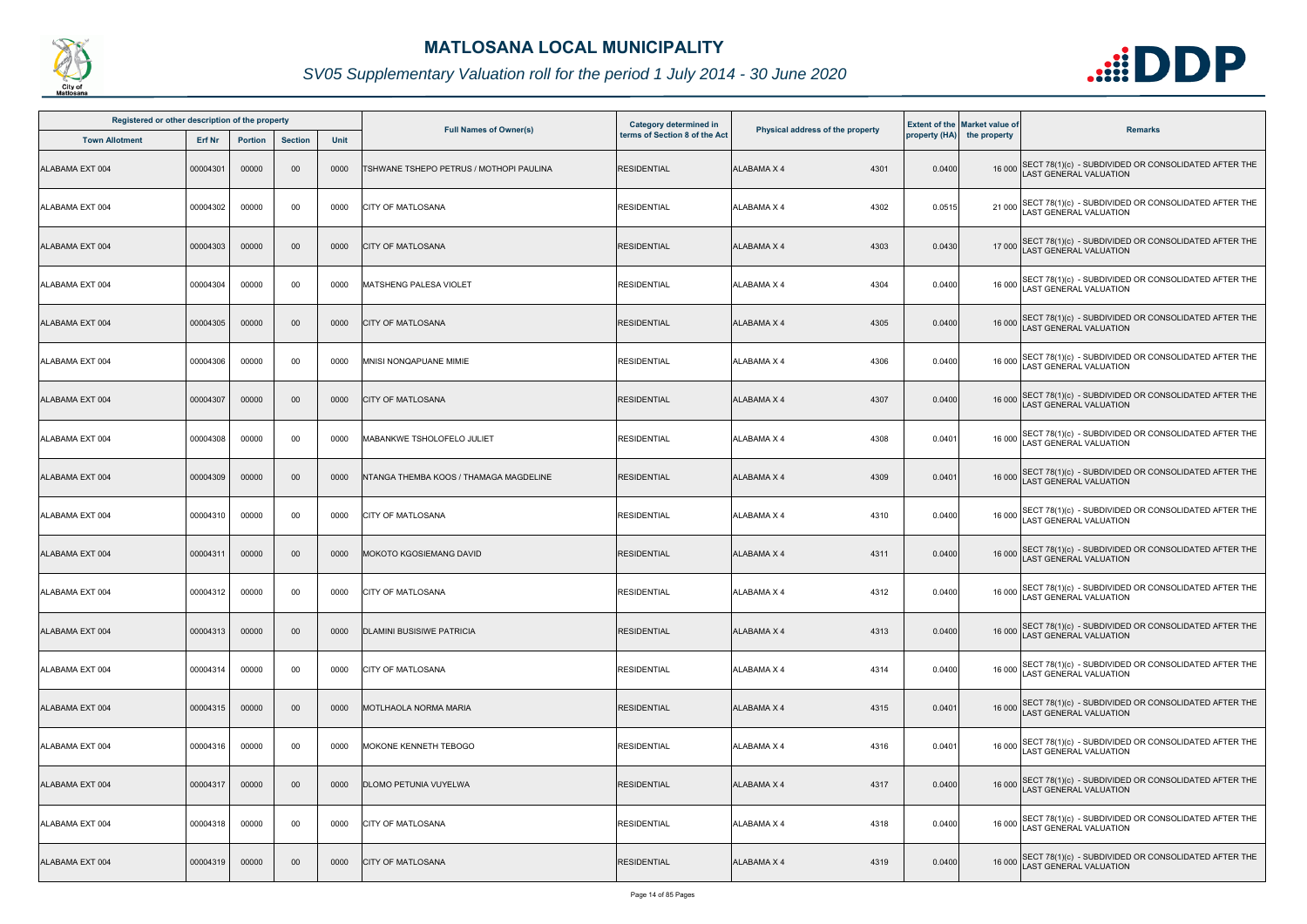

| Registered or other description of the property |               |                |                |             |                                         | <b>Category determined in</b> |                                  |        | <b>Extent of the Market value of</b> |                                                                                              |
|-------------------------------------------------|---------------|----------------|----------------|-------------|-----------------------------------------|-------------------------------|----------------------------------|--------|--------------------------------------|----------------------------------------------------------------------------------------------|
| <b>Town Allotment</b>                           | <b>Erf Nr</b> | <b>Portion</b> | <b>Section</b> | <b>Unit</b> | <b>Full Names of Owner(s)</b>           | terms of Section 8 of the Act | Physical address of the property |        | property (HA) the property           | <b>Remarks</b>                                                                               |
| ALABAMA EXT 004                                 | 00004301      | 00000          | $00\,$         | 0000        | TSHWANE TSHEPO PETRUS / MOTHOPI PAULINA | <b>RESIDENTIAL</b>            | <b>ALABAMA X 4</b><br>4301       | 0.0400 |                                      | 16 000 SECT 78(1)(c) - SUBDIVIDED OR CONSOLIDATED AFTER THE<br>LAST GENERAL VALUATION        |
| ALABAMA EXT 004                                 | 00004302      | 00000          | 00             | 0000        | <b>CITY OF MATLOSANA</b>                | <b>RESIDENTIAL</b>            | 4302<br>ALABAMA X 4              | 0.0515 |                                      | 21 000 SECT 78(1)(c) - SUBDIVIDED OR CONSOLIDATED AFTER THE<br>LAST GENERAL VALUATION        |
| ALABAMA EXT 004                                 | 00004303      | 00000          | $00\,$         | 0000        | <b>CITY OF MATLOSANA</b>                | <b>RESIDENTIAL</b>            | 4303<br>ALABAMA X 4              | 0.0430 |                                      | 17 000 SECT 78(1)(c) - SUBDIVIDED OR CONSOLIDATED AFTER THE<br>LAST GENERAL VALUATION        |
| ALABAMA EXT 004                                 | 00004304      | 00000          | 00             | 0000        | <b>MATSHENG PALESA VIOLET</b>           | <b>RESIDENTIAL</b>            | 4304<br>ALABAMA X 4              | 0.0400 |                                      | 16 000 SECT 78(1)(c) - SUBDIVIDED OR CONSOLIDATED AFTER THE<br>16 000 LAST GENERAL VALUATION |
| ALABAMA EXT 004                                 | 00004305      | 00000          | $00\,$         | 0000        | <b>CITY OF MATLOSANA</b>                | <b>RESIDENTIAL</b>            | 4305<br><b>ALABAMA X 4</b>       | 0.0400 |                                      | 16 000 SECT 78(1)(c) - SUBDIVIDED OR CONSOLIDATED AFTER THE<br>LAST GENERAL VALUATION        |
| ALABAMA EXT 004                                 | 00004306      | 00000          | 00             | 0000        | MNISI NONQAPUANE MIMIE                  | <b>RESIDENTIAL</b>            | 4306<br>ALABAMA X 4              | 0.0400 |                                      | 16 000 SECT 78(1)(c) - SUBDIVIDED OR CONSOLIDATED AFTER THE<br>LAST GENERAL VALUATION        |
| ALABAMA EXT 004                                 | 00004307      | 00000          | $00\,$         | 0000        | <b>CITY OF MATLOSANA</b>                | <b>RESIDENTIAL</b>            | <b>ALABAMA X 4</b><br>4307       | 0.0400 |                                      | 16 000 SECT 78(1)(c) - SUBDIVIDED OR CONSOLIDATED AFTER THE<br>LAST GENERAL VALUATION        |
| ALABAMA EXT 004                                 | 00004308      | 00000          | 00             | 0000        | MABANKWE TSHOLOFELO JULIET              | <b>RESIDENTIAL</b>            | 4308<br>ALABAMA X 4              | 0.0401 |                                      | 16 000 SECT 78(1)(c) - SUBDIVIDED OR CONSOLIDATED AFTER THE<br>LAST GENERAL VALUATION        |
| ALABAMA EXT 004                                 | 00004309      | 00000          | $00\,$         | 0000        | NTANGA THEMBA KOOS / THAMAGA MAGDELINE  | <b>RESIDENTIAL</b>            | ALABAMA X 4<br>4309              | 0.0401 |                                      | 16 000 SECT 78(1)(c) - SUBDIVIDED OR CONSOLIDATED AFTER THE<br>LAST GENERAL VALUATION        |
| ALABAMA EXT 004                                 | 00004310      | 00000          | 00             | 0000        | <b>CITY OF MATLOSANA</b>                | <b>RESIDENTIAL</b>            | <b>ALABAMA X 4</b><br>4310       | 0.0400 |                                      | 16 000 SECT 78(1)(c) - SUBDIVIDED OR CONSOLIDATED AFTER THE<br>LAST GENERAL VALUATION        |
| ALABAMA EXT 004                                 | 00004311      | 00000          | $00\,$         | 0000        | MOKOTO KGOSIEMANG DAVID                 | <b>RESIDENTIAL</b>            | <b>ALABAMA X 4</b><br>4311       | 0.0400 |                                      | 16 000 SECT 78(1)(c) - SUBDIVIDED OR CONSOLIDATED AFTER THE<br>LAST GENERAL VALUATION        |
| ALABAMA EXT 004                                 | 00004312      | 00000          | 00             | 0000        | <b>CITY OF MATLOSANA</b>                | <b>RESIDENTIAL</b>            | ALABAMA X 4<br>4312              | 0.0400 |                                      | 16 000 SECT 78(1)(c) - SUBDIVIDED OR CONSOLIDATED AFTER THE<br>16 000 LAST GENERAL VALUATION |
| ALABAMA EXT 004                                 | 00004313      | 00000          | $00\,$         | 0000        | <b>DLAMINI BUSISIWE PATRICIA</b>        | <b>RESIDENTIAL</b>            | 4313<br>ALABAMA X 4              | 0.0400 |                                      | 16 000 SECT 78(1)(c) - SUBDIVIDED OR CONSOLIDATED AFTER THE<br><b>LAST GENERAL VALUATION</b> |
| ALABAMA EXT 004                                 | 00004314      | 00000          | 00             | 0000        | <b>CITY OF MATLOSANA</b>                | <b>RESIDENTIAL</b>            | ALABAMA X 4<br>4314              | 0.0400 |                                      | 16 000 SECT 78(1)(c) - SUBDIVIDED OR CONSOLIDATED AFTER THE<br>LAST GENERAL VALUATION        |
| ALABAMA EXT 004                                 | 00004315      | 00000          | $00\,$         | 0000        | <b>MOTLHAOLA NORMA MARIA</b>            | <b>RESIDENTIAL</b>            | ALABAMA X 4<br>4315              | 0.0401 |                                      | 16 000 SECT 78(1)(c) - SUBDIVIDED OR CONSOLIDATED AFTER THE<br>LAST GENERAL VALUATION        |
| ALABAMA EXT 004                                 | 00004316      | 00000          | 00             | 0000        | MOKONE KENNETH TEBOGO                   | <b>RESIDENTIAL</b>            | 4316<br>ALABAMA X 4              | 0.0401 |                                      | 16 000 SECT 78(1)(c) - SUBDIVIDED OR CONSOLIDATED AFTER THE<br>LAST GENERAL VALUATION        |
| ALABAMA EXT 004                                 | 00004317      | 00000          | $00\,$         | 0000        | <b>DLOMO PETUNIA VUYELWA</b>            | <b>RESIDENTIAL</b>            | <b>ALABAMA X 4</b><br>4317       | 0.0400 |                                      | 16 000 SECT 78(1)(c) - SUBDIVIDED OR CONSOLIDATED AFTER THE<br>LAST GENERAL VALUATION        |
| ALABAMA EXT 004                                 | 00004318      | 00000          | 00             | 0000        | <b>CITY OF MATLOSANA</b>                | <b>RESIDENTIAL</b>            | ALABAMA X 4<br>4318              | 0.0400 |                                      | 16 000 SECT 78(1)(c) - SUBDIVIDED OR CONSOLIDATED AFTER THE<br>LAST GENERAL VALUATION        |
| ALABAMA EXT 004                                 | 00004319      | 00000          | $00\,$         | 0000        | <b>CITY OF MATLOSANA</b>                | <b>RESIDENTIAL</b>            | ALABAMA X 4<br>4319              | 0.0400 | 16 000                               | SECT 78(1)(c) - SUBDIVIDED OR CONSOLIDATED AFTER THE<br>AST GENERAL VALUATION                |

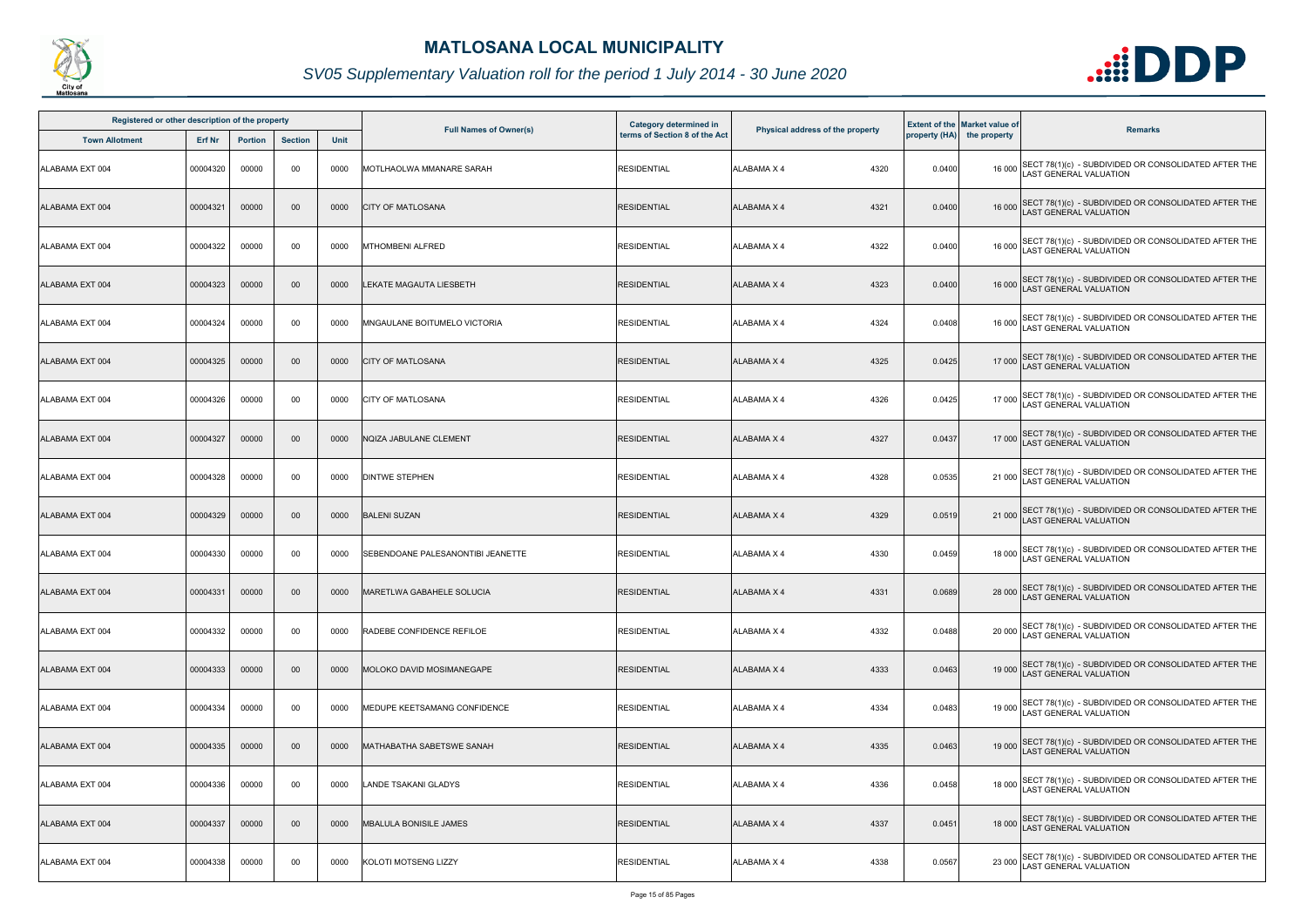

| Registered or other description of the property |               |                |                |             |                                   | <b>Category determined in</b> |                                  |        | <b>Extent of the Market value of</b> |                                                                                              |
|-------------------------------------------------|---------------|----------------|----------------|-------------|-----------------------------------|-------------------------------|----------------------------------|--------|--------------------------------------|----------------------------------------------------------------------------------------------|
| <b>Town Allotment</b>                           | <b>Erf Nr</b> | <b>Portion</b> | <b>Section</b> | <b>Unit</b> | <b>Full Names of Owner(s)</b>     | terms of Section 8 of the Act | Physical address of the property |        | property (HA) the property           | <b>Remarks</b>                                                                               |
| ALABAMA EXT 004                                 | 00004320      | 00000          | 00             | 0000        | MOTLHAOLWA MMANARE SARAH          | <b>RESIDENTIAL</b>            | ALABAMA X 4<br>4320              | 0.0400 |                                      | 16 000 SECT 78(1)(c) - SUBDIVIDED OR CONSOLIDATED AFTER THE<br>LAST GENERAL VALUATION        |
| ALABAMA EXT 004                                 | 00004321      | 00000          | $00\,$         | 0000        | <b>CITY OF MATLOSANA</b>          | <b>RESIDENTIAL</b>            | ALABAMA X 4<br>4321              | 0.0400 |                                      | 16 000 SECT 78(1)(c) - SUBDIVIDED OR CONSOLIDATED AFTER THE<br>LAST GENERAL VALUATION        |
| ALABAMA EXT 004                                 | 00004322      | 00000          | 00             | 0000        | <b>MTHOMBENI ALFRED</b>           | <b>RESIDENTIAL</b>            | 4322<br>ALABAMA X 4              | 0.0400 |                                      | 16 000 SECT 78(1)(c) - SUBDIVIDED OR CONSOLIDATED AFTER THE<br>LAST GENERAL VALUATION        |
| ALABAMA EXT 004                                 | 00004323      | 00000          | $00\,$         | 0000        | LEKATE MAGAUTA LIESBETH           | <b>RESIDENTIAL</b>            | <b>ALABAMA X 4</b><br>4323       | 0.0400 |                                      | 16 000 SECT 78(1)(c) - SUBDIVIDED OR CONSOLIDATED AFTER THE<br>LAST GENERAL VALUATION        |
| ALABAMA EXT 004                                 | 00004324      | 00000          | 00             | 0000        | MNGAULANE BOITUMELO VICTORIA      | <b>RESIDENTIAL</b>            | 4324<br>ALABAMA X 4              | 0.0408 |                                      | 16 000 SECT 78(1)(c) - SUBDIVIDED OR CONSOLIDATED AFTER THE<br>LAST GENERAL VALUATION        |
| ALABAMA EXT 004                                 | 00004325      | 00000          | $00\,$         | 0000        | <b>CITY OF MATLOSANA</b>          | <b>RESIDENTIAL</b>            | 4325<br>ALABAMA X 4              | 0.0425 |                                      | 17 000 SECT 78(1)(c) - SUBDIVIDED OR CONSOLIDATED AFTER THE<br>LAST GENERAL VALUATION        |
| ALABAMA EXT 004                                 | 00004326      | 00000          | 00             | 0000        | <b>CITY OF MATLOSANA</b>          | <b>RESIDENTIAL</b>            | ALABAMA X 4<br>4326              | 0.0425 |                                      | 17 000 SECT 78(1)(c) - SUBDIVIDED OR CONSOLIDATED AFTER THE<br>LAST GENERAL VALUATION        |
| ALABAMA EXT 004                                 | 00004327      | 00000          | $00\,$         | 0000        | NQIZA JABULANE CLEMENT            | <b>RESIDENTIAL</b>            | 4327<br><b>ALABAMA X 4</b>       | 0.0437 |                                      | 17 000 SECT 78(1)(c) - SUBDIVIDED OR CONSOLIDATED AFTER THE<br>LAST GENERAL VALUATION        |
| ALABAMA EXT 004                                 | 00004328      | 00000          | 00             | 0000        | <b>DINTWE STEPHEN</b>             | <b>RESIDENTIAL</b>            | 4328<br>ALABAMA X 4              | 0.0535 |                                      | 21 000 SECT 78(1)(c) - SUBDIVIDED OR CONSOLIDATED AFTER THE<br>LAST GENERAL VALUATION        |
| ALABAMA EXT 004                                 | 00004329      | 00000          | 00             | 0000        | <b>BALENI SUZAN</b>               | <b>RESIDENTIAL</b>            | <b>ALABAMA X 4</b><br>4329       | 0.0519 |                                      | 21 000 SECT 78(1)(c) - SUBDIVIDED OR CONSOLIDATED AFTER THE<br>LAST GENERAL VALUATION        |
| ALABAMA EXT 004                                 | 00004330      | 00000          | 00             | 0000        | SEBENDOANE PALESANONTIBI JEANETTE | <b>RESIDENTIAL</b>            | ALABAMA X 4<br>4330              | 0.0459 |                                      | 18 000 SECT 78(1)(c) - SUBDIVIDED OR CONSOLIDATED AFTER THE<br>LAST GENERAL VALUATION        |
| ALABAMA EXT 004                                 | 00004331      | 00000          | $00\,$         | 0000        | MARETLWA GABAHELE SOLUCIA         | <b>RESIDENTIAL</b>            | ALABAMA X 4<br>4331              | 0.0689 |                                      | 28 000 SECT 78(1)(c) - SUBDIVIDED OR CONSOLIDATED AFTER THE<br>LAST GENERAL VALUATION        |
| ALABAMA EXT 004                                 | 00004332      | 00000          | 00             | 0000        | <b>RADEBE CONFIDENCE REFILOE</b>  | <b>RESIDENTIAL</b>            | 4332<br>ALABAMA X 4              | 0.0488 |                                      | 20 000 SECT 78(1)(c) - SUBDIVIDED OR CONSOLIDATED AFTER THE<br>LAST GENERAL VALUATION        |
| ALABAMA EXT 004                                 | 00004333      | 00000          | $00\,$         | 0000        | MOLOKO DAVID MOSIMANEGAPE         | <b>RESIDENTIAL</b>            | ALABAMA X 4<br>4333              | 0.0463 |                                      | 19 000 SECT 78(1)(c) - SUBDIVIDED OR CONSOLIDATED AFTER THE<br>LAST GENERAL VALUATION        |
| ALABAMA EXT 004                                 | 00004334      | 00000          | 00             | 0000        | MEDUPE KEETSAMANG CONFIDENCE      | <b>RESIDENTIAL</b>            | 4334<br>ALABAMA X 4              | 0.0483 |                                      | 19 000 SECT 78(1)(c) - SUBDIVIDED OR CONSOLIDATED AFTER THE<br><b>LAST GENERAL VALUATION</b> |
| ALABAMA EXT 004                                 | 00004335      | 00000          | $00\,$         | 0000        | MATHABATHA SABETSWE SANAH         | <b>RESIDENTIAL</b>            | 4335<br>ALABAMA X 4              | 0.0463 |                                      | 19 000 SECT 78(1)(c) - SUBDIVIDED OR CONSOLIDATED AFTER THE<br>LAST GENERAL VALUATION        |
| ALABAMA EXT 004                                 | 00004336      | 00000          | 00             | 0000        | LANDE TSAKANI GLADYS              | <b>RESIDENTIAL</b>            | <b>ALABAMA X 4</b><br>4336       | 0.0458 |                                      | 18 000 SECT 78(1)(c) - SUBDIVIDED OR CONSOLIDATED AFTER THE<br>LAST GENERAL VALUATION        |
| ALABAMA EXT 004                                 | 00004337      | 00000          | $00\,$         | 0000        | <b>MBALULA BONISILE JAMES</b>     | <b>RESIDENTIAL</b>            | 4337<br><b>ALABAMA X 4</b>       | 0.0451 |                                      | 18 000 SECT 78(1)(c) - SUBDIVIDED OR CONSOLIDATED AFTER THE<br>LAST GENERAL VALUATION        |
| ALABAMA EXT 004                                 | 00004338      | 00000          | 00             | 0000        | <b>KOLOTI MOTSENG LIZZY</b>       | <b>RESIDENTIAL</b>            | 4338<br>ALABAMA X 4              | 0.0567 | 23 000                               | SECT 78(1)(c) - SUBDIVIDED OR CONSOLIDATED AFTER THE<br>LAST GENERAL VALUATION               |

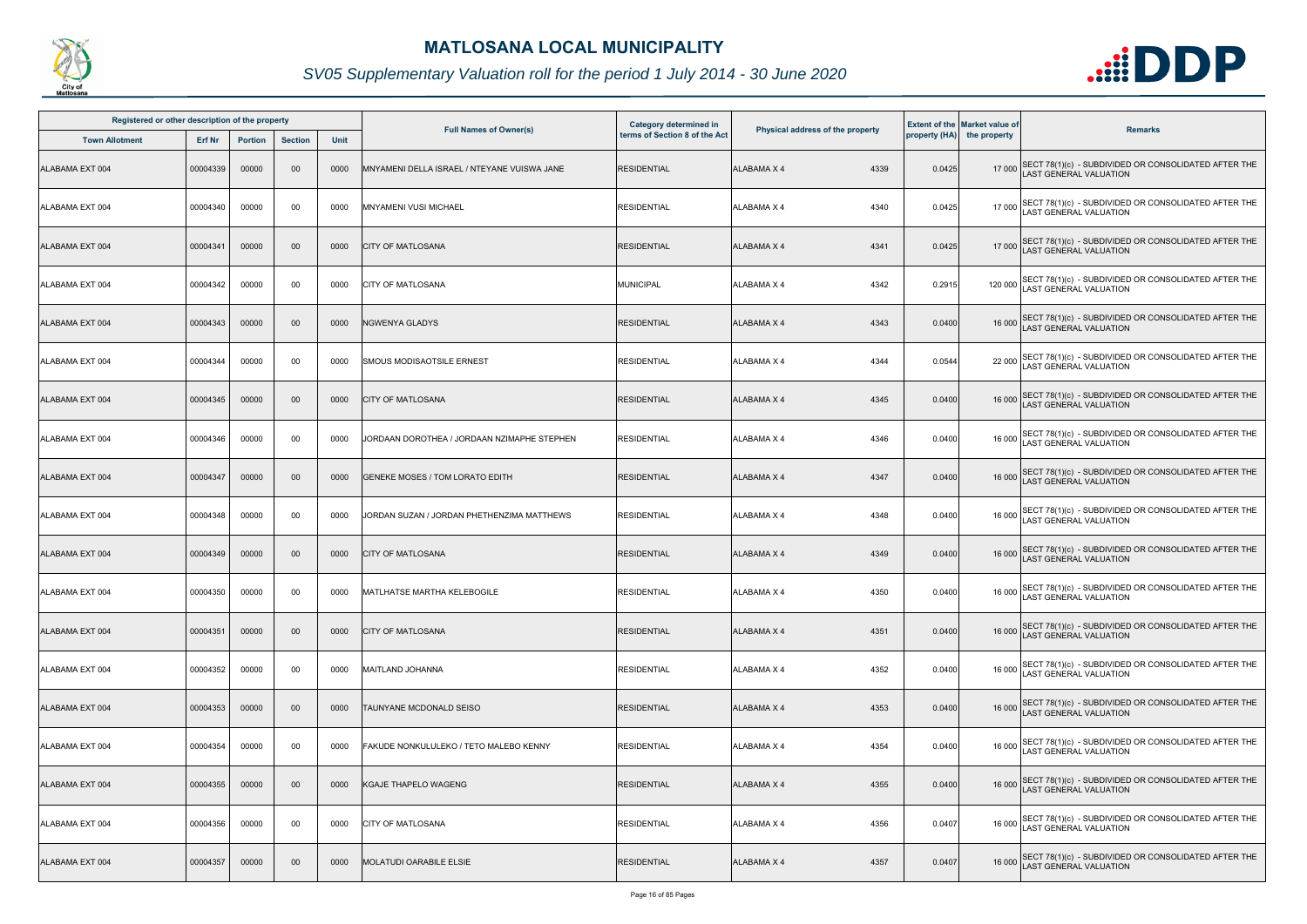

| Registered or other description of the property |          |                |                |      |                                             |                                                         |                                  |        |                                                                    |                                                                                              |
|-------------------------------------------------|----------|----------------|----------------|------|---------------------------------------------|---------------------------------------------------------|----------------------------------|--------|--------------------------------------------------------------------|----------------------------------------------------------------------------------------------|
| <b>Town Allotment</b>                           | Erf Nr   | <b>Portion</b> | <b>Section</b> | Unit | <b>Full Names of Owner(s)</b>               | Category determined in<br>terms of Section 8 of the Act | Physical address of the property |        | <b>Extent of the Market value of</b><br>property (HA) the property | <b>Remarks</b>                                                                               |
| ALABAMA EXT 004                                 | 00004339 | 00000          | 00             | 0000 | MNYAMENI DELLA ISRAEL / NTEYANE VUISWA JANE | <b>RESIDENTIAL</b>                                      | <b>ALABAMA X 4</b><br>4339       | 0.0425 |                                                                    | 17 000 SECT 78(1)(c) - SUBDIVIDED OR CONSOLIDATED AFTER THE<br>LAST GENERAL VALUATION        |
| ALABAMA EXT 004                                 | 00004340 | 00000          | 00             | 0000 | <b>MNYAMENI VUSI MICHAEL</b>                | <b>RESIDENTIAL</b>                                      | 4340<br>ALABAMA X 4              | 0.0425 | 17 000                                                             | SECT 78(1)(c) - SUBDIVIDED OR CONSOLIDATED AFTER THE<br>LAST GENERAL VALUATION               |
| ALABAMA EXT 004                                 | 00004341 | 00000          | 00             | 0000 | <b>CITY OF MATLOSANA</b>                    | <b>RESIDENTIAL</b>                                      | 4341<br><b>ALABAMA X 4</b>       | 0.0425 |                                                                    | 17 000 SECT 78(1)(c) - SUBDIVIDED OR CONSOLIDATED AFTER THE<br>LAST GENERAL VALUATION        |
| ALABAMA EXT 004                                 | 00004342 | 00000          | 00             | 0000 | <b>CITY OF MATLOSANA</b>                    | MUNICIPAL                                               | 4342<br>ALABAMA X 4              | 0.2915 |                                                                    | 120 000 SECT 78(1)(c) - SUBDIVIDED OR CONSOLIDATED AFTER THE<br>LAST GENERAL VALUATION       |
| ALABAMA EXT 004                                 | 00004343 | 00000          | 00             | 0000 | NGWENYA GLADYS                              | <b>RESIDENTIAL</b>                                      | 4343<br><b>ALABAMA X 4</b>       | 0.0400 |                                                                    | 16 000 SECT 78(1)(c) - SUBDIVIDED OR CONSOLIDATED AFTER THE<br>LAST GENERAL VALUATION        |
| ALABAMA EXT 004                                 | 00004344 | 00000          | 00             | 0000 | <b>SMOUS MODISAOTSILE ERNEST</b>            | <b>RESIDENTIAL</b>                                      | 4344<br><b>ALABAMA X 4</b>       | 0.0544 |                                                                    | 22 000 SECT 78(1)(c) - SUBDIVIDED OR CONSOLIDATED AFTER THE<br>LAST GENERAL VALUATION        |
| ALABAMA EXT 004                                 | 00004345 | 00000          | 00             | 0000 | <b>CITY OF MATLOSANA</b>                    | <b>RESIDENTIAL</b>                                      | 4345<br><b>ALABAMA X 4</b>       | 0.0400 |                                                                    | 16 000 SECT 78(1)(c) - SUBDIVIDED OR CONSOLIDATED AFTER THE<br>LAST GENERAL VALUATION        |
| ALABAMA EXT 004                                 | 00004346 | 00000          | 00             | 0000 | JORDAAN DOROTHEA / JORDAAN NZIMAPHE STEPHEN | <b>RESIDENTIAL</b>                                      | 4346<br>ALABAMA X 4              | 0.0400 |                                                                    | 16 000 SECT 78(1)(c) - SUBDIVIDED OR CONSOLIDATED AFTER THE<br>LAST GENERAL VALUATION        |
| ALABAMA EXT 004                                 | 00004347 | 00000          | 00             | 0000 | <b>GENEKE MOSES / TOM LORATO EDITH</b>      | <b>RESIDENTIAL</b>                                      | <b>ALABAMA X 4</b><br>4347       | 0.0400 |                                                                    | 16 000 SECT 78(1)(c) - SUBDIVIDED OR CONSOLIDATED AFTER THE<br>LAST GENERAL VALUATION        |
| ALABAMA EXT 004                                 | 00004348 | 00000          | 00             | 0000 | JORDAN SUZAN / JORDAN PHETHENZIMA MATTHEWS  | <b>RESIDENTIAL</b>                                      | ALABAMA X 4<br>4348              | 0.0400 |                                                                    | 16 000 SECT 78(1)(c) - SUBDIVIDED OR CONSOLIDATED AFTER THE<br>LAST GENERAL VALUATION        |
| ALABAMA EXT 004                                 | 00004349 | 00000          | 00             | 0000 | <b>CITY OF MATLOSANA</b>                    | <b>RESIDENTIAL</b>                                      | <b>ALABAMA X 4</b><br>4349       | 0.0400 |                                                                    | 16 000 SECT 78(1)(c) - SUBDIVIDED OR CONSOLIDATED AFTER THE<br>AST GENERAL VALUATION         |
| ALABAMA EXT 004                                 | 00004350 | 00000          | 00             | 0000 | <b>IMATLHATSE MARTHA KELEBOGILE</b>         | <b>RESIDENTIAL</b>                                      | <b>ALABAMA X 4</b><br>4350       | 0.0400 |                                                                    | 16 000 SECT 78(1)(c) - SUBDIVIDED OR CONSOLIDATED AFTER THE<br>16 000 LAST GENERAL VALUATION |
| ALABAMA EXT 004                                 | 00004351 | 00000          | $00\,$         | 0000 | <b>CITY OF MATLOSANA</b>                    | <b>RESIDENTIAL</b>                                      | 4351<br>ALABAMA X 4              | 0.0400 |                                                                    | 16 000 SECT 78(1)(c) - SUBDIVIDED OR CONSOLIDATED AFTER THE<br><b>AST GENERAL VALUATION</b>  |
| ALABAMA EXT 004                                 | 00004352 | 00000          | 00             | 0000 | MAITLAND JOHANNA                            | <b>RESIDENTIAL</b>                                      | <b>ALABAMA X 4</b><br>4352       | 0.0400 | 16 000                                                             | SECT 78(1)(c) - SUBDIVIDED OR CONSOLIDATED AFTER THE<br><b>AST GENERAL VALUATION</b>         |
| ALABAMA EXT 004                                 | 00004353 | 00000          | 00             | 0000 | TAUNYANE MCDONALD SEISO                     | <b>RESIDENTIAL</b>                                      | <b>ALABAMA X 4</b><br>4353       | 0.0400 |                                                                    | 16 000 SECT 78(1)(c) - SUBDIVIDED OR CONSOLIDATED AFTER THE<br>LAST GENERAL VALUATION        |
| ALABAMA EXT 004                                 | 00004354 | 00000          | 00             | 0000 | FAKUDE NONKULULEKO / TETO MALEBO KENNY      | <b>RESIDENTIAL</b>                                      | 4354<br>ALABAMA X 4              | 0.0400 | 16 000                                                             | SECT 78(1)(c) - SUBDIVIDED OR CONSOLIDATED AFTER THE<br>LAST GENERAL VALUATION               |
| ALABAMA EXT 004                                 | 00004355 | 00000          | 00             | 0000 | <b>KGAJE THAPELO WAGENG</b>                 | <b>RESIDENTIAL</b>                                      | <b>ALABAMA X 4</b><br>4355       | 0.0400 |                                                                    | 16 000 SECT 78(1)(c) - SUBDIVIDED OR CONSOLIDATED AFTER THE<br>LAST GENERAL VALUATION        |
| ALABAMA EXT 004                                 | 00004356 | 00000          | 00             | 0000 | <b>CITY OF MATLOSANA</b>                    | <b>RESIDENTIAL</b>                                      | 4356<br>ALABAMA X 4              | 0.0407 |                                                                    | 16 000 SECT 78(1)(c) - SUBDIVIDED OR CONSOLIDATED AFTER THE<br>LAST GENERAL VALUATION        |
| ALABAMA EXT 004                                 | 00004357 | 00000          | 00             | 0000 | <b>MOLATUDI OARABILE ELSIE</b>              | <b>RESIDENTIAL</b>                                      | ALABAMA X 4<br>4357              | 0.0407 |                                                                    | 16 000 SECT 78(1)(c) - SUBDIVIDED OR CONSOLIDATED AFTER THE<br>LAST GENERAL VALUATION        |

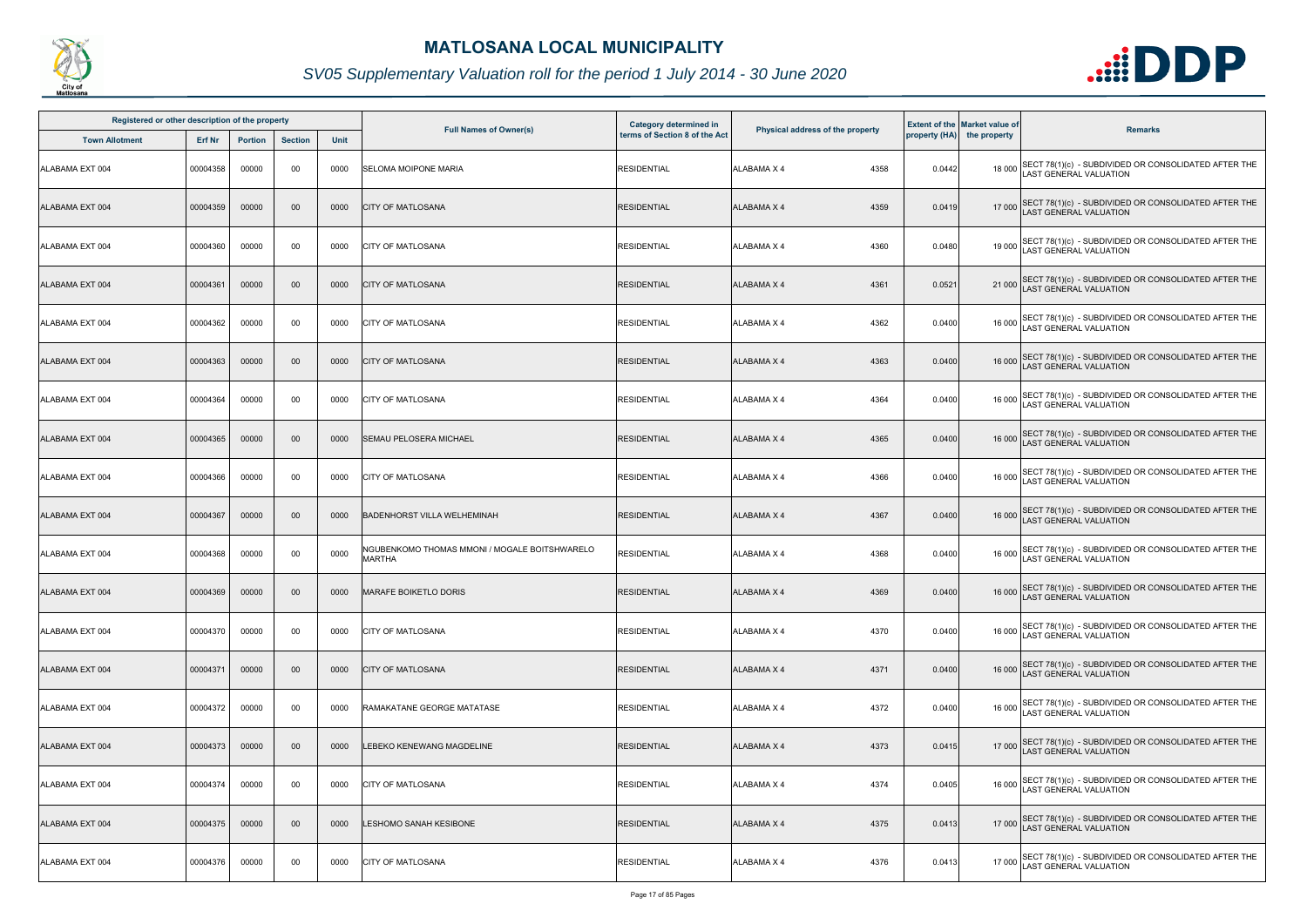

| Registered or other description of the property |          |                |                |      |                                                                | Category determined in        |                                  |        | <b>Extent of the Market value of</b> |                                                                                             |
|-------------------------------------------------|----------|----------------|----------------|------|----------------------------------------------------------------|-------------------------------|----------------------------------|--------|--------------------------------------|---------------------------------------------------------------------------------------------|
| <b>Town Allotment</b>                           | Erf Nr   | <b>Portion</b> | <b>Section</b> | Unit | <b>Full Names of Owner(s)</b>                                  | terms of Section 8 of the Act | Physical address of the property |        | property (HA) the property           | <b>Remarks</b>                                                                              |
| ALABAMA EXT 004                                 | 00004358 | 00000          | 00             | 0000 | <b>SELOMA MOIPONE MARIA</b>                                    | <b>RESIDENTIAL</b>            | <b>ALABAMA X 4</b><br>4358       | 0.0442 |                                      | 18 000 SECT 78(1)(c) - SUBDIVIDED OR CONSOLIDATED AFTER THE<br>LAST GENERAL VALUATION       |
| ALABAMA EXT 004                                 | 00004359 | 00000          | 00             | 0000 | <b>CITY OF MATLOSANA</b>                                       | <b>RESIDENTIAL</b>            | <b>ALABAMA X 4</b><br>4359       | 0.0419 |                                      | 17 000 SECT 78(1)(c) - SUBDIVIDED OR CONSOLIDATED AFTER THE<br>LAST GENERAL VALUATION       |
| ALABAMA EXT 004                                 | 00004360 | 00000          | 00             | 0000 | <b>CITY OF MATLOSANA</b>                                       | <b>RESIDENTIAL</b>            | <b>ALABAMA X 4</b><br>4360       | 0.0480 |                                      | 19 000 SECT 78(1)(c) - SUBDIVIDED OR CONSOLIDATED AFTER THE<br>LAST GENERAL VALUATION       |
| ALABAMA EXT 004                                 | 00004361 | 00000          | 00             | 0000 | <b>CITY OF MATLOSANA</b>                                       | <b>RESIDENTIAL</b>            | 4361<br><b>ALABAMA X 4</b>       | 0.0521 |                                      | 21 000 SECT 78(1)(c) - SUBDIVIDED OR CONSOLIDATED AFTER THE<br>LAST GENERAL VALUATION       |
| ALABAMA EXT 004                                 | 00004362 | 00000          | 00             | 0000 | <b>CITY OF MATLOSANA</b>                                       | <b>RESIDENTIAL</b>            | 4362<br><b>ALABAMA X 4</b>       | 0.0400 |                                      | 16 000 SECT 78(1)(c) - SUBDIVIDED OR CONSOLIDATED AFTER THE<br>LAST GENERAL VALUATION       |
| ALABAMA EXT 004                                 | 00004363 | 00000          | 00             | 0000 | <b>CITY OF MATLOSANA</b>                                       | <b>RESIDENTIAL</b>            | <b>ALABAMA X 4</b><br>4363       | 0.0400 |                                      | 16 000 SECT 78(1)(c) - SUBDIVIDED OR CONSOLIDATED AFTER THE<br>LAST GENERAL VALUATION       |
| ALABAMA EXT 004                                 | 00004364 | 00000          | 00             | 0000 | <b>CITY OF MATLOSANA</b>                                       | <b>RESIDENTIAL</b>            | <b>ALABAMA X 4</b><br>4364       | 0.0400 |                                      | 16 000 SECT 78(1)(c) - SUBDIVIDED OR CONSOLIDATED AFTER THE<br>LAST GENERAL VALUATION       |
| ALABAMA EXT 004                                 | 00004365 | 00000          | $00\,$         | 0000 | SEMAU PELOSERA MICHAEL                                         | <b>RESIDENTIAL</b>            | <b>ALABAMA X 4</b><br>4365       | 0.0400 |                                      | 16 000 SECT 78(1)(c) - SUBDIVIDED OR CONSOLIDATED AFTER THE<br>LAST GENERAL VALUATION       |
| ALABAMA EXT 004                                 | 00004366 | 00000          | 00             | 0000 | <b>CITY OF MATLOSANA</b>                                       | <b>RESIDENTIAL</b>            | <b>ALABAMA X 4</b><br>4366       | 0.0400 |                                      | 16 000 SECT 78(1)(c) - SUBDIVIDED OR CONSOLIDATED AFTER THE<br>LAST GENERAL VALUATION       |
| ALABAMA EXT 004                                 | 00004367 | 00000          | 00             | 0000 | <b>BADENHORST VILLA WELHEMINAH</b>                             | <b>RESIDENTIAL</b>            | <b>ALABAMA X 4</b><br>4367       | 0.0400 |                                      | 16 000 SECT 78(1)(c) - SUBDIVIDED OR CONSOLIDATED AFTER THE<br>LAST GENERAL VALUATION       |
| ALABAMA EXT 004                                 | 00004368 | 00000          | 00             | 0000 | NGUBENKOMO THOMAS MMONI / MOGALE BOITSHWARELO<br><b>MARTHA</b> | <b>RESIDENTIAL</b>            | 4368<br>ALABAMA X 4              | 0.0400 |                                      | 16 000 SECT 78(1)(c) - SUBDIVIDED OR CONSOLIDATED AFTER THE<br>LAST GENERAL VALUATION       |
| ALABAMA EXT 004                                 | 00004369 | 00000          | $00\,$         | 0000 | <b>MARAFE BOIKETLO DORIS</b>                                   | <b>RESIDENTIAL</b>            | <b>ALABAMA X 4</b><br>4369       | 0.0400 |                                      | 16 000 SECT 78(1)(c) - SUBDIVIDED OR CONSOLIDATED AFTER THE<br>LAST GENERAL VALUATION       |
| ALABAMA EXT 004                                 | 00004370 | 00000          | 00             | 0000 | <b>ICITY OF MATLOSANA</b>                                      | <b>RESIDENTIAL</b>            | <b>ALABAMA X 4</b><br>4370       | 0.0400 |                                      | 16 000 SECT 78(1)(c) - SUBDIVIDED OR CONSOLIDATED AFTER THE<br>LAST GENERAL VALUATION       |
| ALABAMA EXT 004                                 | 00004371 | 00000          | 00             | 0000 | <b>CITY OF MATLOSANA</b>                                       | <b>RESIDENTIAL</b>            | <b>ALABAMA X 4</b><br>4371       | 0.0400 |                                      | 16 000 SECT 78(1)(c) - SUBDIVIDED OR CONSOLIDATED AFTER THE<br><b>AST GENERAL VALUATION</b> |
| ALABAMA EXT 004                                 | 00004372 | 00000          | 00             | 0000 | RAMAKATANE GEORGE MATATASE                                     | <b>RESIDENTIAL</b>            | ALABAMA X 4<br>4372              | 0.0400 |                                      | 16 000 SECT 78(1)(c) - SUBDIVIDED OR CONSOLIDATED AFTER THE<br>LAST GENERAL VALUATION       |
| ALABAMA EXT 004                                 | 00004373 | 00000          | $00\,$         | 0000 | LEBEKO KENEWANG MAGDELINE                                      | <b>RESIDENTIAL</b>            | <b>ALABAMA X 4</b><br>4373       | 0.0415 |                                      | 17 000 SECT 78(1)(c) - SUBDIVIDED OR CONSOLIDATED AFTER THE<br>LAST GENERAL VALUATION       |
| ALABAMA EXT 004                                 | 00004374 | 00000          | 00             | 0000 | <b>CITY OF MATLOSANA</b>                                       | <b>RESIDENTIAL</b>            | <b>ALABAMA X 4</b><br>4374       | 0.0405 |                                      | 16 000 SECT 78(1)(c) - SUBDIVIDED OR CONSOLIDATED AFTER THE<br>LAST GENERAL VALUATION       |
| ALABAMA EXT 004                                 | 00004375 | 00000          | $00\,$         | 0000 | LESHOMO SANAH KESIBONE                                         | <b>RESIDENTIAL</b>            | <b>ALABAMA X 4</b><br>4375       | 0.0413 |                                      | 17 000 SECT 78(1)(c) - SUBDIVIDED OR CONSOLIDATED AFTER THE<br>LAST GENERAL VALUATION       |
| ALABAMA EXT 004                                 | 00004376 | 00000          | 00             | 0000 | <b>CITY OF MATLOSANA</b>                                       | <b>RESIDENTIAL</b>            | 4376<br>ALABAMA X 4              | 0.0413 |                                      | 17 000 SECT 78(1)(c) - SUBDIVIDED OR CONSOLIDATED AFTER THE<br>LAST GENERAL VALUATION       |

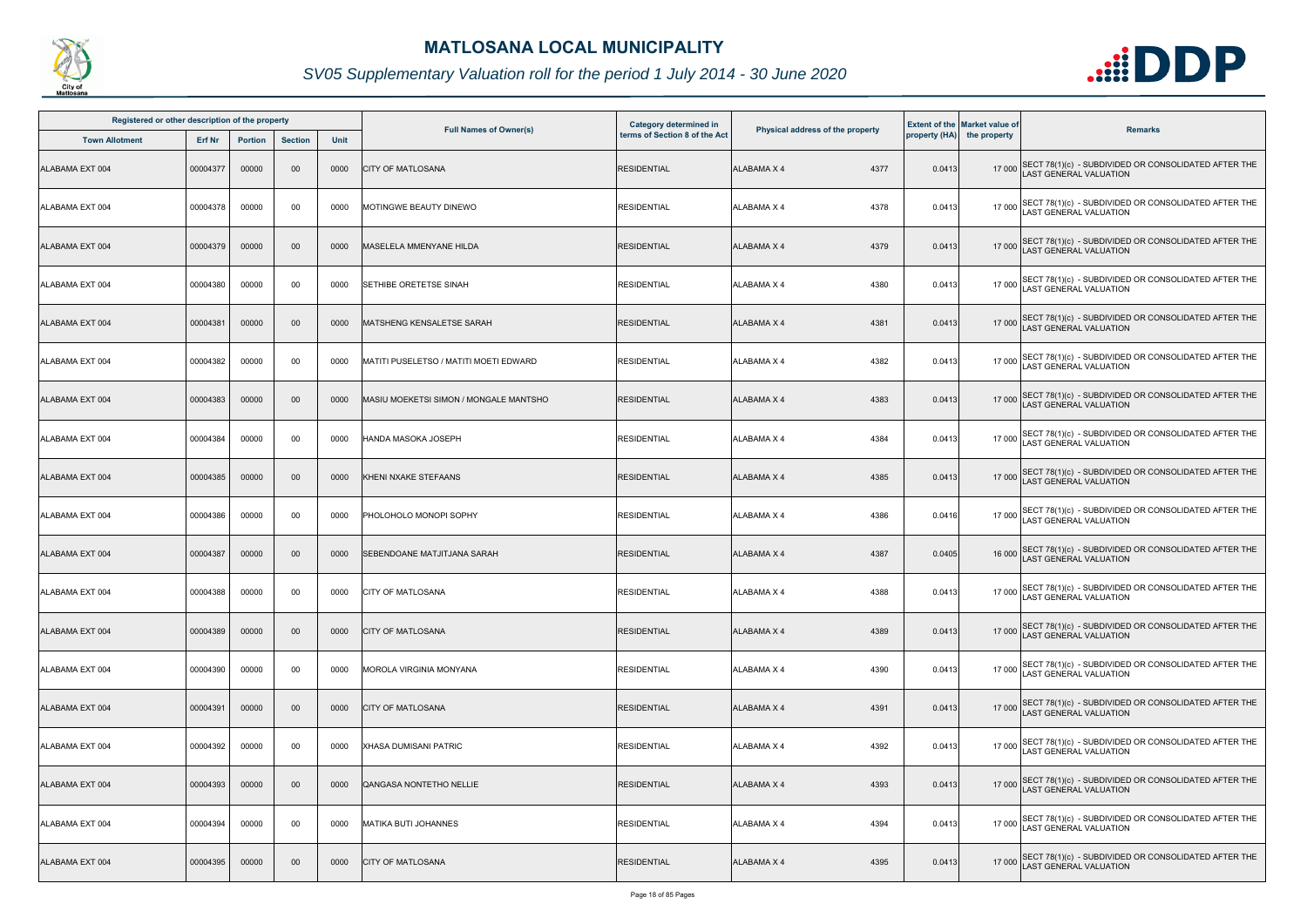

| Registered or other description of the property |          |                |                |      |                                        |                                                         |                                  |        |                                                                    |                                                                                             |
|-------------------------------------------------|----------|----------------|----------------|------|----------------------------------------|---------------------------------------------------------|----------------------------------|--------|--------------------------------------------------------------------|---------------------------------------------------------------------------------------------|
| <b>Town Allotment</b>                           | Erf Nr   | <b>Portion</b> | <b>Section</b> | Unit | <b>Full Names of Owner(s)</b>          | Category determined in<br>terms of Section 8 of the Act | Physical address of the property |        | <b>Extent of the Market value of</b><br>property (HA) the property | <b>Remarks</b>                                                                              |
| ALABAMA EXT 004                                 | 00004377 | 00000          | 00             | 0000 | <b>CITY OF MATLOSANA</b>               | <b>RESIDENTIAL</b>                                      | <b>ALABAMA X 4</b><br>4377       | 0.0413 |                                                                    | 17 000 SECT 78(1)(c) - SUBDIVIDED OR CONSOLIDATED AFTER THE<br>LAST GENERAL VALUATION       |
| ALABAMA EXT 004                                 | 00004378 | 00000          | 00             | 0000 | MOTINGWE BEAUTY DINEWO                 | <b>RESIDENTIAL</b>                                      | <b>ALABAMA X 4</b><br>4378       | 0.0413 | 17 000                                                             | SECT 78(1)(c) - SUBDIVIDED OR CONSOLIDATED AFTER THE LAST GENERAL VALUATION                 |
| ALABAMA EXT 004                                 | 00004379 | 00000          | $00\,$         | 0000 | MASELELA MMENYANE HILDA                | <b>RESIDENTIAL</b>                                      | 4379<br><b>ALABAMA X 4</b>       | 0.0413 |                                                                    | 17 000 SECT 78(1)(c) - SUBDIVIDED OR CONSOLIDATED AFTER THE<br>LAST GENERAL VALUATION       |
| ALABAMA EXT 004                                 | 00004380 | 00000          | 00             | 0000 | <b>SETHIBE ORETETSE SINAH</b>          | <b>RESIDENTIAL</b>                                      | 4380<br><b>ALABAMA X 4</b>       | 0.0413 |                                                                    | 17 000 SECT 78(1)(c) - SUBDIVIDED OR CONSOLIDATED AFTER THE<br>LAST GENERAL VALUATION       |
| ALABAMA EXT 004                                 | 00004381 | 00000          | 00             | 0000 | <b>MATSHENG KENSALETSE SARAH</b>       | <b>RESIDENTIAL</b>                                      | 4381<br>ALABAMA X 4              | 0.0413 |                                                                    | 17 000 SECT 78(1)(c) - SUBDIVIDED OR CONSOLIDATED AFTER THE<br>LAST GENERAL VALUATION       |
| ALABAMA EXT 004                                 | 00004382 | 00000          | 00             | 0000 | MATITI PUSELETSO / MATITI MOETI EDWARD | <b>RESIDENTIAL</b>                                      | 4382<br><b>ALABAMA X 4</b>       | 0.0413 |                                                                    | 17 000 SECT 78(1)(c) - SUBDIVIDED OR CONSOLIDATED AFTER THE<br>AST GENERAL VALUATION        |
| ALABAMA EXT 004                                 | 00004383 | 00000          | 00             | 0000 | MASIU MOEKETSI SIMON / MONGALE MANTSHO | <b>RESIDENTIAL</b>                                      | 4383<br><b>ALABAMA X 4</b>       | 0.0413 |                                                                    | 17 000 SECT 78(1)(c) - SUBDIVIDED OR CONSOLIDATED AFTER THE<br>LAST GENERAL VALUATION       |
| ALABAMA EXT 004                                 | 00004384 | 00000          | 00             | 0000 | HANDA MASOKA JOSEPH                    | <b>RESIDENTIAL</b>                                      | 4384<br><b>ALABAMA X 4</b>       | 0.0413 |                                                                    | 17 000 SECT 78(1)(c) - SUBDIVIDED OR CONSOLIDATED AFTER THE<br>LAST GENERAL VALUATION       |
| ALABAMA EXT 004                                 | 00004385 | 00000          | 00             | 0000 | KHENI NXAKE STEFAANS                   | <b>RESIDENTIAL</b>                                      | <b>ALABAMA X 4</b><br>4385       | 0.0413 |                                                                    | 17 000 SECT 78(1)(c) - SUBDIVIDED OR CONSOLIDATED AFTER THE<br>LAST GENERAL VALUATION       |
| ALABAMA EXT 004                                 | 00004386 | 00000          | 00             | 0000 | PHOLOHOLO MONOPI SOPHY                 | <b>RESIDENTIAL</b>                                      | ALABAMA X 4<br>4386              | 0.0416 |                                                                    | 17 000 SECT 78(1)(c) - SUBDIVIDED OR CONSOLIDATED AFTER THE<br>LAST GENERAL VALUATION       |
| ALABAMA EXT 004                                 | 00004387 | 00000          | 00             | 0000 | SEBENDOANE MATJITJANA SARAH            | <b>RESIDENTIAL</b>                                      | 4387<br><b>ALABAMA X 4</b>       | 0.0405 |                                                                    | 16 000 SECT 78(1)(c) - SUBDIVIDED OR CONSOLIDATED AFTER THE<br>LAST GENERAL VALUATION       |
| ALABAMA EXT 004                                 | 00004388 | 00000          | 00             | 0000 | <b>CITY OF MATLOSANA</b>               | <b>RESIDENTIAL</b>                                      | ALABAMA X 4<br>4388              | 0.0413 |                                                                    | 17 000 SECT 78(1)(c) - SUBDIVIDED OR CONSOLIDATED AFTER THE<br>LAST GENERAL VALUATION       |
| ALABAMA EXT 004                                 | 00004389 | 00000          | $00\,$         | 0000 | <b>CITY OF MATLOSANA</b>               | <b>RESIDENTIAL</b>                                      | 4389<br><b>ALABAMA X 4</b>       | 0.0413 |                                                                    | 17 000 SECT 78(1)(c) - SUBDIVIDED OR CONSOLIDATED AFTER THE<br><b>AST GENERAL VALUATION</b> |
| ALABAMA EXT 004                                 | 00004390 | 00000          | 00             | 0000 | MOROLA VIRGINIA MONYANA                | <b>RESIDENTIAL</b>                                      | <b>ALABAMA X 4</b><br>4390       | 0.0413 | 17 000                                                             | SECT 78(1)(c) - SUBDIVIDED OR CONSOLIDATED AFTER THE<br><b>AST GENERAL VALUATION</b>        |
| ALABAMA EXT 004                                 | 00004391 | 00000          | $00\,$         | 0000 | <b>CITY OF MATLOSANA</b>               | <b>RESIDENTIAL</b>                                      | <b>ALABAMA X 4</b><br>4391       | 0.0413 |                                                                    | 17 000 SECT 78(1)(c) - SUBDIVIDED OR CONSOLIDATED AFTER THE<br>LAST GENERAL VALUATION       |
| ALABAMA EXT 004                                 | 00004392 | 00000          | 00             | 0000 | <b>XHASA DUMISANI PATRIC</b>           | <b>RESIDENTIAL</b>                                      | ALABAMA X 4<br>4392              | 0.0413 |                                                                    | 17 000 SECT 78(1)(c) - SUBDIVIDED OR CONSOLIDATED AFTER THE<br>LAST GENERAL VALUATION       |
| ALABAMA EXT 004                                 | 00004393 | 00000          | 00             | 0000 | <b>QANGASA NONTETHO NELLIE</b>         | <b>RESIDENTIAL</b>                                      | <b>ALABAMA X 4</b><br>4393       | 0.0413 |                                                                    | 17 000 SECT 78(1)(c) - SUBDIVIDED OR CONSOLIDATED AFTER THE<br>LAST GENERAL VALUATION       |
| ALABAMA EXT 004                                 | 00004394 | 00000          | 00             | 0000 | <b>MATIKA BUTI JOHANNES</b>            | <b>RESIDENTIAL</b>                                      | 4394<br>ALABAMA X 4              | 0.0413 |                                                                    | 17 000 SECT 78(1)(c) - SUBDIVIDED OR CONSOLIDATED AFTER THE<br>LAST GENERAL VALUATION       |
| ALABAMA EXT 004                                 | 00004395 | 00000          | 00             | 0000 | <b>CITY OF MATLOSANA</b>               | <b>RESIDENTIAL</b>                                      | ALABAMA X 4<br>4395              | 0.0413 |                                                                    | 17 000 SECT 78(1)(c) - SUBDIVIDED OR CONSOLIDATED AFTER THE<br>LAST GENERAL VALUATION       |

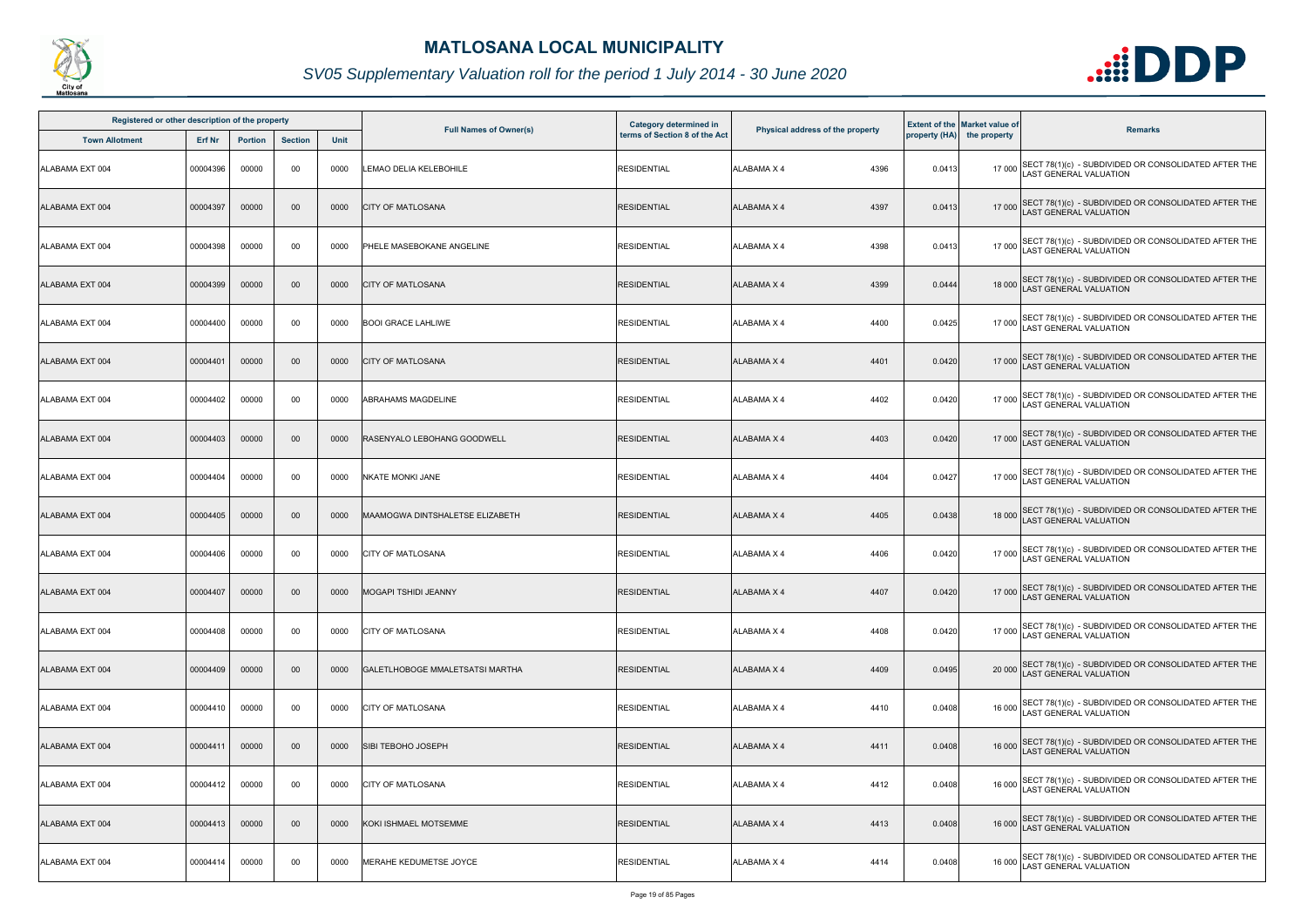

| Registered or other description of the property |               |                |                |             |                                        | <b>Category determined in</b> |                                  |        | <b>Extent of the Market value of</b> |                                                                                              |
|-------------------------------------------------|---------------|----------------|----------------|-------------|----------------------------------------|-------------------------------|----------------------------------|--------|--------------------------------------|----------------------------------------------------------------------------------------------|
| <b>Town Allotment</b>                           | <b>Erf Nr</b> | <b>Portion</b> | <b>Section</b> | <b>Unit</b> | <b>Full Names of Owner(s)</b>          | terms of Section 8 of the Act | Physical address of the property |        | property (HA) the property           | <b>Remarks</b>                                                                               |
| ALABAMA EXT 004                                 | 00004396      | 00000          | 00             | 0000        | LEMAO DELIA KELEBOHILE                 | <b>RESIDENTIAL</b>            | ALABAMA X 4<br>4396              | 0.0413 |                                      | 17 000 SECT 78(1)(c) - SUBDIVIDED OR CONSOLIDATED AFTER THE<br>LAST GENERAL VALUATION        |
| ALABAMA EXT 004                                 | 00004397      | 00000          | $00\,$         | 0000        | <b>CITY OF MATLOSANA</b>               | <b>RESIDENTIAL</b>            | ALABAMA X 4<br>4397              | 0.0413 |                                      | 17 000 SECT 78(1)(c) - SUBDIVIDED OR CONSOLIDATED AFTER THE<br>LAST GENERAL VALUATION        |
| ALABAMA EXT 004                                 | 00004398      | 00000          | 00             | 0000        | PHELE MASEBOKANE ANGELINE              | <b>RESIDENTIAL</b>            | 4398<br>ALABAMA X 4              | 0.0413 |                                      | 17 000 SECT 78(1)(c) - SUBDIVIDED OR CONSOLIDATED AFTER THE<br>LAST GENERAL VALUATION        |
| ALABAMA EXT 004                                 | 00004399      | 00000          | $00\,$         | 0000        | <b>CITY OF MATLOSANA</b>               | <b>RESIDENTIAL</b>            | <b>ALABAMA X 4</b><br>4399       | 0.0444 |                                      | 18 000 SECT 78(1)(c) - SUBDIVIDED OR CONSOLIDATED AFTER THE<br>18 000 LAST GENERAL VALUATION |
| ALABAMA EXT 004                                 | 00004400      | 00000          | 00             | 0000        | <b>BOOI GRACE LAHLIWE</b>              | <b>RESIDENTIAL</b>            | 4400<br>ALABAMA X 4              | 0.0425 |                                      | 17 000 SECT 78(1)(c) - SUBDIVIDED OR CONSOLIDATED AFTER THE<br>LAST GENERAL VALUATION        |
| ALABAMA EXT 004                                 | 00004401      | 00000          | $00\,$         | 0000        | <b>CITY OF MATLOSANA</b>               | <b>RESIDENTIAL</b>            | 4401<br>ALABAMA X 4              | 0.0420 |                                      | 17 000 SECT 78(1)(c) - SUBDIVIDED OR CONSOLIDATED AFTER THE<br>LAST GENERAL VALUATION        |
| ALABAMA EXT 004                                 | 00004402      | 00000          | 00             | 0000        | <b>ABRAHAMS MAGDELINE</b>              | <b>RESIDENTIAL</b>            | ALABAMA X 4<br>4402              | 0.0420 |                                      | 17 000 SECT 78(1)(c) - SUBDIVIDED OR CONSOLIDATED AFTER THE<br>LAST GENERAL VALUATION        |
| ALABAMA EXT 004                                 | 00004403      | 00000          | $00\,$         | 0000        | RASENYALO LEBOHANG GOODWELL            | <b>RESIDENTIAL</b>            | 4403<br><b>ALABAMA X 4</b>       | 0.0420 |                                      | 17 000 SECT 78(1)(c) - SUBDIVIDED OR CONSOLIDATED AFTER THE<br>LAST GENERAL VALUATION        |
| ALABAMA EXT 004                                 | 00004404      | 00000          | 00             | 0000        | <b>NKATE MONKI JANE</b>                | <b>RESIDENTIAL</b>            | 4404<br>ALABAMA X 4              | 0.0427 |                                      | 17 000 SECT 78(1)(c) - SUBDIVIDED OR CONSOLIDATED AFTER THE<br>LAST GENERAL VALUATION        |
| ALABAMA EXT 004                                 | 00004405      | 00000          | $00\,$         | 0000        | <b>MAAMOGWA DINTSHALETSE ELIZABETH</b> | <b>RESIDENTIAL</b>            | 4405<br><b>ALABAMA X 4</b>       | 0.0438 |                                      | 18 000 SECT 78(1)(c) - SUBDIVIDED OR CONSOLIDATED AFTER THE<br>LAST GENERAL VALUATION        |
| ALABAMA EXT 004                                 | 00004406      | 00000          | 00             | 0000        | <b>CITY OF MATLOSANA</b>               | <b>RESIDENTIAL</b>            | ALABAMA X 4<br>4406              | 0.0420 |                                      | 17 000 SECT 78(1)(c) - SUBDIVIDED OR CONSOLIDATED AFTER THE<br>LAST GENERAL VALUATION        |
| ALABAMA EXT 004                                 | 00004407      | 00000          | $00\,$         | 0000        | MOGAPI TSHIDI JEANNY                   | <b>RESIDENTIAL</b>            | ALABAMA X 4<br>4407              | 0.0420 |                                      | 17 000 SECT 78(1)(c) - SUBDIVIDED OR CONSOLIDATED AFTER THE<br>LAST GENERAL VALUATION        |
| ALABAMA EXT 004                                 | 00004408      | 00000          | 00             | 0000        | <b>CITY OF MATLOSANA</b>               | <b>RESIDENTIAL</b>            | 4408<br>ALABAMA X 4              | 0.0420 |                                      | 17 000 SECT 78(1)(c) - SUBDIVIDED OR CONSOLIDATED AFTER THE<br>LAST GENERAL VALUATION        |
| ALABAMA EXT 004                                 | 00004409      | 00000          | $00\,$         | 0000        | GALETLHOBOGE MMALETSATSI MARTHA        | <b>RESIDENTIAL</b>            | ALABAMA X 4<br>4409              | 0.0495 |                                      | 20 000 SECT 78(1)(c) - SUBDIVIDED OR CONSOLIDATED AFTER THE<br><b>LAST GENERAL VALUATION</b> |
| ALABAMA EXT 004                                 | 00004410      | 00000          | 00             | 0000        | <b>CITY OF MATLOSANA</b>               | <b>RESIDENTIAL</b>            | 4410<br>ALABAMA X 4              | 0.0408 |                                      | 16 000 SECT 78(1)(c) - SUBDIVIDED OR CONSOLIDATED AFTER THE<br>LAST GENERAL VALUATION        |
| ALABAMA EXT 004                                 | 00004411      | 00000          | $00\,$         | 0000        | SIBI TEBOHO JOSEPH                     | <b>RESIDENTIAL</b>            | ALABAMA X 4<br>4411              | 0.0408 |                                      | 16 000 SECT 78(1)(c) - SUBDIVIDED OR CONSOLIDATED AFTER THE<br>LAST GENERAL VALUATION        |
| ALABAMA EXT 004                                 | 00004412      | 00000          | 00             | 0000        | <b>CITY OF MATLOSANA</b>               | <b>RESIDENTIAL</b>            | ALABAMA X 4<br>4412              | 0.0408 |                                      | 16 000 SECT 78(1)(c) - SUBDIVIDED OR CONSOLIDATED AFTER THE<br>LAST GENERAL VALUATION        |
| ALABAMA EXT 004                                 | 00004413      | 00000          | $00\,$         | 0000        | KOKI ISHMAEL MOTSEMME                  | <b>RESIDENTIAL</b>            | 4413<br><b>ALABAMA X 4</b>       | 0.0408 |                                      | 16 000 SECT 78(1)(c) - SUBDIVIDED OR CONSOLIDATED AFTER THE<br>LAST GENERAL VALUATION        |
| ALABAMA EXT 004                                 | 00004414      | 00000          | 00             | 0000        | MERAHE KEDUMETSE JOYCE                 | <b>RESIDENTIAL</b>            | ALABAMA X 4<br>4414              | 0.0408 | 16 000                               | SECT 78(1)(c) - SUBDIVIDED OR CONSOLIDATED AFTER THE<br>LAST GENERAL VALUATION               |

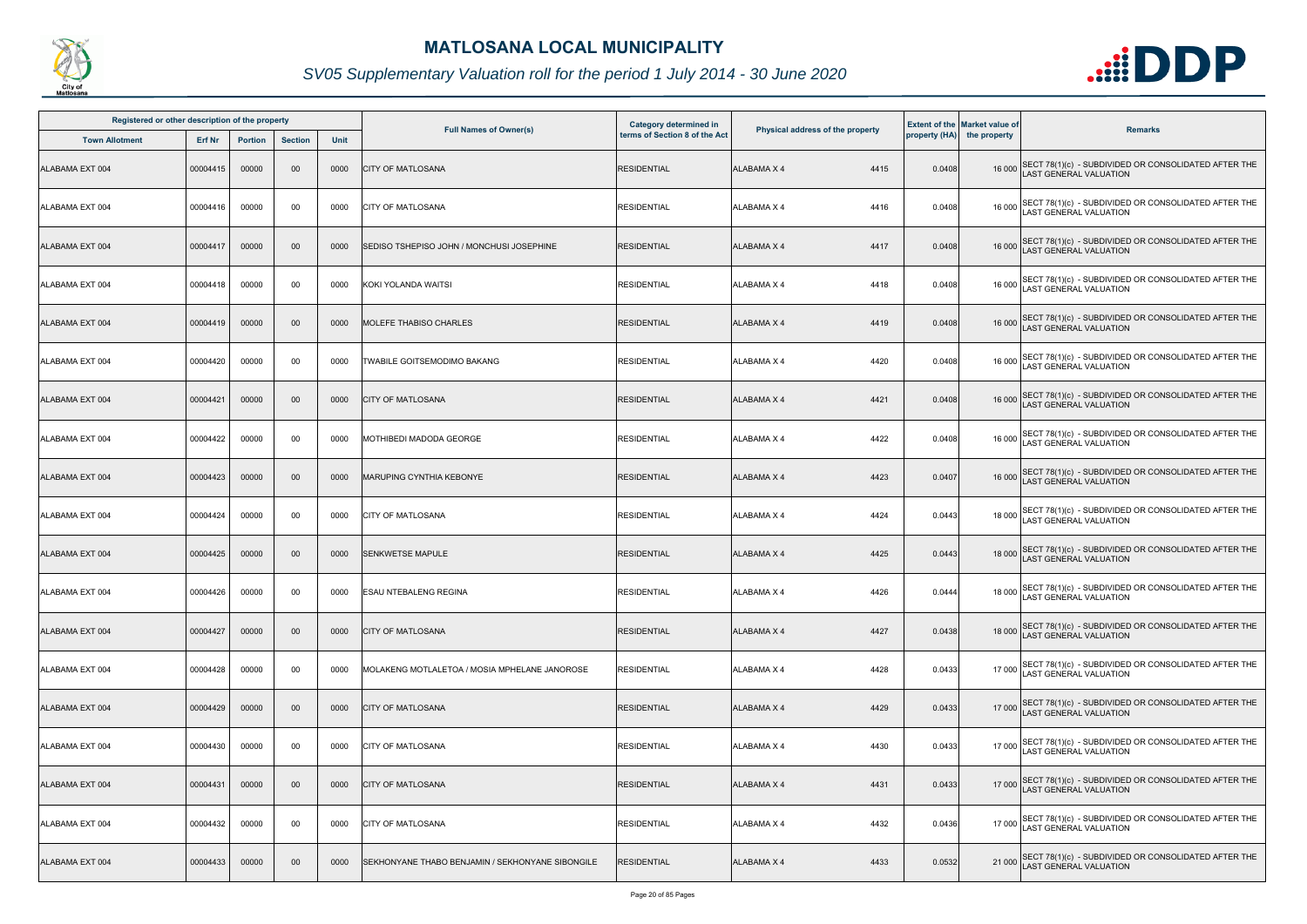

| Registered or other description of the property |          |                |                |      |                                                  | Category determined in        |                                  |        | <b>Extent of the Market value of</b> |                                                                                              |
|-------------------------------------------------|----------|----------------|----------------|------|--------------------------------------------------|-------------------------------|----------------------------------|--------|--------------------------------------|----------------------------------------------------------------------------------------------|
| <b>Town Allotment</b>                           | Erf Nr   | <b>Portion</b> | <b>Section</b> | Unit | <b>Full Names of Owner(s)</b>                    | terms of Section 8 of the Act | Physical address of the property |        | property (HA) the property           | <b>Remarks</b>                                                                               |
| ALABAMA EXT 004                                 | 00004415 | 00000          | 00             | 0000 | <b>CITY OF MATLOSANA</b>                         | <b>RESIDENTIAL</b>            | <b>ALABAMA X 4</b><br>4415       | 0.0408 |                                      | 16 000 SECT 78(1)(c) - SUBDIVIDED OR CONSOLIDATED AFTER THE<br>LAST GENERAL VALUATION        |
| ALABAMA EXT 004                                 | 00004416 | 00000          | 00             | 0000 | <b>CITY OF MATLOSANA</b>                         | <b>RESIDENTIAL</b>            | <b>ALABAMA X 4</b><br>4416       | 0.0408 | 16 000                               | SECT 78(1)(c) - SUBDIVIDED OR CONSOLIDATED AFTER THE<br>LAST GENERAL VALUATION               |
| ALABAMA EXT 004                                 | 00004417 | 00000          | $00\,$         | 0000 | SEDISO TSHEPISO JOHN / MONCHUSI JOSEPHINE        | <b>RESIDENTIAL</b>            | <b>ALABAMA X 4</b><br>4417       | 0.0408 |                                      | 16 000 SECT 78(1)(c) - SUBDIVIDED OR CONSOLIDATED AFTER THE<br>LAST GENERAL VALUATION        |
| ALABAMA EXT 004                                 | 00004418 | 00000          | 00             | 0000 | KOKI YOLANDA WAITSI                              | <b>RESIDENTIAL</b>            | 4418<br>ALABAMA X 4              | 0.0408 |                                      | 16 000 SECT 78(1)(c) - SUBDIVIDED OR CONSOLIDATED AFTER THE<br>LAST GENERAL VALUATION        |
| ALABAMA EXT 004                                 | 00004419 | 00000          | $00\,$         | 0000 | IMOLEFE THABISO CHARLES                          | <b>RESIDENTIAL</b>            | <b>ALABAMA X 4</b><br>4419       | 0.0408 |                                      | 16 000 SECT 78(1)(c) - SUBDIVIDED OR CONSOLIDATED AFTER THE<br>LAST GENERAL VALUATION        |
| ALABAMA EXT 004                                 | 00004420 | 00000          | 00             | 0000 | TWABILE GOITSEMODIMO BAKANG                      | RESIDENTIAL                   | <b>ALABAMA X 4</b><br>4420       | 0.0408 |                                      | 16 000 SECT 78(1)(c) - SUBDIVIDED OR CONSOLIDATED AFTER THE<br>LAST GENERAL VALUATION        |
| ALABAMA EXT 004                                 | 00004421 | 00000          | 00             | 0000 | <b>CITY OF MATLOSANA</b>                         | <b>RESIDENTIAL</b>            | 4421<br><b>ALABAMA X 4</b>       | 0.0408 |                                      | 16 000 SECT 78(1)(c) - SUBDIVIDED OR CONSOLIDATED AFTER THE<br>LAST GENERAL VALUATION        |
| ALABAMA EXT 004                                 | 00004422 | 00000          | 00             | 0000 | MOTHIBEDI MADODA GEORGE                          | <b>RESIDENTIAL</b>            | 4422<br><b>ALABAMA X 4</b>       | 0.0408 | 16 000                               | SECT 78(1)(c) - SUBDIVIDED OR CONSOLIDATED AFTER THE<br>AST GENERAL VALUATION                |
| ALABAMA EXT 004                                 | 00004423 | 00000          | 00             | 0000 | <b>MARUPING CYNTHIA KEBONYE</b>                  | <b>RESIDENTIAL</b>            | <b>ALABAMA X 4</b><br>4423       | 0.0407 |                                      | 16 000 SECT 78(1)(c) - SUBDIVIDED OR CONSOLIDATED AFTER THE<br>LAST GENERAL VALUATION        |
| ALABAMA EXT 004                                 | 00004424 | 00000          | 00             | 0000 | <b>CITY OF MATLOSANA</b>                         | <b>RESIDENTIAL</b>            | <b>ALABAMA X 4</b><br>4424       | 0.0443 |                                      | 18 000 SECT 78(1)(c) - SUBDIVIDED OR CONSOLIDATED AFTER THE<br>LAST GENERAL VALUATION        |
| ALABAMA EXT 004                                 | 00004425 | 00000          | 00             | 0000 | <b>SENKWETSE MAPULE</b>                          | <b>RESIDENTIAL</b>            | 4425<br><b>ALABAMA X 4</b>       | 0.0443 |                                      | 18 000 SECT 78(1)(c) - SUBDIVIDED OR CONSOLIDATED AFTER THE<br>LAST GENERAL VALUATION        |
| ALABAMA EXT 004                                 | 00004426 | 00000          | 00             | 0000 | <b>ESAU NTEBALENG REGINA</b>                     | <b>RESIDENTIAL</b>            | <b>ALABAMA X 4</b><br>4426       | 0.0444 |                                      | 18 000 SECT 78(1)(c) - SUBDIVIDED OR CONSOLIDATED AFTER THE<br>18 000 LAST GENERAL VALUATION |
| ALABAMA EXT 004                                 | 00004427 | 00000          | $00\,$         | 0000 | <b>CITY OF MATLOSANA</b>                         | <b>RESIDENTIAL</b>            | 4427<br><b>ALABAMA X 4</b>       | 0.0438 |                                      | 18 000 SECT 78(1)(c) - SUBDIVIDED OR CONSOLIDATED AFTER THE<br>LAST GENERAL VALUATION        |
| ALABAMA EXT 004                                 | 00004428 | 00000          | 00             | 0000 | MOLAKENG MOTLALETOA / MOSIA MPHELANE JANOROSE    | <b>RESIDENTIAL</b>            | <b>ALABAMA X 4</b><br>4428       | 0.0433 |                                      | 17 000 SECT 78(1)(c) - SUBDIVIDED OR CONSOLIDATED AFTER THE<br><b>AST GENERAL VALUATION</b>  |
| ALABAMA EXT 004                                 | 00004429 | 00000          | $00\,$         | 0000 | <b>CITY OF MATLOSANA</b>                         | <b>RESIDENTIAL</b>            | 4429<br>ALABAMA X 4              | 0.0433 |                                      | 17 000 SECT 78(1)(c) - SUBDIVIDED OR CONSOLIDATED AFTER THE<br>LAST GENERAL VALUATION        |
| ALABAMA EXT 004                                 | 00004430 | 00000          | 00             | 0000 | <b>CITY OF MATLOSANA</b>                         | <b>RESIDENTIAL</b>            | <b>ALABAMA X 4</b><br>4430       | 0.0433 |                                      | 17 000 SECT 78(1)(c) - SUBDIVIDED OR CONSOLIDATED AFTER THE<br>LAST GENERAL VALUATION        |
| ALABAMA EXT 004                                 | 00004431 | 00000          | 00             | 0000 | <b>CITY OF MATLOSANA</b>                         | <b>RESIDENTIAL</b>            | <b>ALABAMA X 4</b><br>4431       | 0.0433 |                                      | 17 000 SECT 78(1)(c) - SUBDIVIDED OR CONSOLIDATED AFTER THE<br>LAST GENERAL VALUATION        |
| ALABAMA EXT 004                                 | 00004432 | 00000          | 00             | 0000 | <b>CITY OF MATLOSANA</b>                         | <b>RESIDENTIAL</b>            | 4432<br><b>ALABAMA X 4</b>       | 0.0436 |                                      | 17 000 SECT 78(1)(c) - SUBDIVIDED OR CONSOLIDATED AFTER THE<br>LAST GENERAL VALUATION        |
| ALABAMA EXT 004                                 | 00004433 | 00000          | 00             | 0000 | SEKHONYANE THABO BENJAMIN / SEKHONYANE SIBONGILE | <b>RESIDENTIAL</b>            | 4433<br>ALABAMA X 4              | 0.0532 |                                      | 21 000 SECT 78(1)(c) - SUBDIVIDED OR CONSOLIDATED AFTER THE<br>LAST GENERAL VALUATION        |

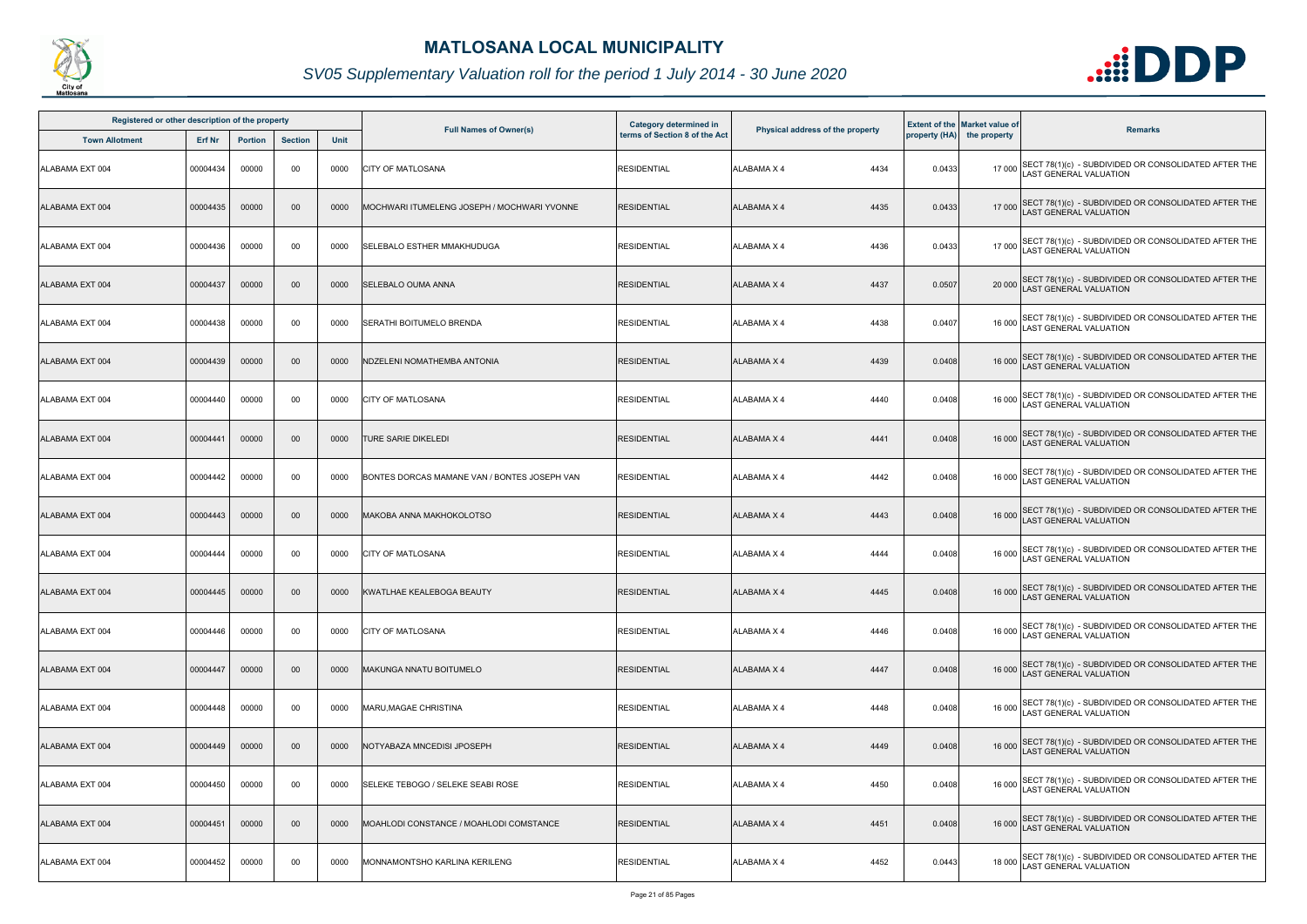

| Registered or other description of the property |          |                |                |      |                                              | Category determined in        |                                  |        | <b>Extent of the Market value of</b> |                                                                                              |
|-------------------------------------------------|----------|----------------|----------------|------|----------------------------------------------|-------------------------------|----------------------------------|--------|--------------------------------------|----------------------------------------------------------------------------------------------|
| <b>Town Allotment</b>                           | Erf Nr   | <b>Portion</b> | <b>Section</b> | Unit | <b>Full Names of Owner(s)</b>                | terms of Section 8 of the Act | Physical address of the property |        | property (HA) the property           | <b>Remarks</b>                                                                               |
| ALABAMA EXT 004                                 | 00004434 | 00000          | 00             | 0000 | <b>CITY OF MATLOSANA</b>                     | <b>RESIDENTIAL</b>            | ALABAMA X 4<br>4434              | 0.0433 |                                      | 17 000 SECT 78(1)(c) - SUBDIVIDED OR CONSOLIDATED AFTER THE<br>LAST GENERAL VALUATION        |
| ALABAMA EXT 004                                 | 00004435 | 00000          | $00\,$         | 0000 | MOCHWARI ITUMELENG JOSEPH / MOCHWARI YVONNE  | <b>RESIDENTIAL</b>            | <b>ALABAMA X 4</b><br>4435       | 0.0433 |                                      | 17 000 SECT 78(1)(c) - SUBDIVIDED OR CONSOLIDATED AFTER THE<br>LAST GENERAL VALUATION        |
| ALABAMA EXT 004                                 | 00004436 | 00000          | 00             | 0000 | SELEBALO ESTHER MMAKHUDUGA                   | <b>RESIDENTIAL</b>            | 4436<br>ALABAMA X 4              | 0.0433 |                                      | 17 000 SECT 78(1)(c) - SUBDIVIDED OR CONSOLIDATED AFTER THE<br>LAST GENERAL VALUATION        |
| ALABAMA EXT 004                                 | 00004437 | 00000          | 00             | 0000 | <b>SELEBALO OUMA ANNA</b>                    | <b>RESIDENTIAL</b>            | 4437<br><b>ALABAMA X 4</b>       | 0.0507 |                                      | 20 000 SECT 78(1)(c) - SUBDIVIDED OR CONSOLIDATED AFTER THE<br>LAST GENERAL VALUATION        |
| ALABAMA EXT 004                                 | 00004438 | 00000          | 00             | 0000 | <b>SERATHI BOITUMELO BRENDA</b>              | <b>RESIDENTIAL</b>            | 4438<br>ALABAMA X 4              | 0.0407 |                                      | 16 000 SECT 78(1)(c) - SUBDIVIDED OR CONSOLIDATED AFTER THE<br>LAST GENERAL VALUATION        |
| ALABAMA EXT 004                                 | 00004439 | 00000          | 00             | 0000 | NDZELENI NOMATHEMBA ANTONIA                  | RESIDENTIAL                   | <b>ALABAMA X 4</b><br>4439       | 0.0408 |                                      | 16 000 SECT 78(1)(c) - SUBDIVIDED OR CONSOLIDATED AFTER THE<br>LAST GENERAL VALUATION        |
| ALABAMA EXT 004                                 | 00004440 | 00000          | 00             | 0000 | <b>CITY OF MATLOSANA</b>                     | <b>RESIDENTIAL</b>            | <b>ALABAMA X 4</b><br>4440       | 0.0408 |                                      | 16 000 SECT 78(1)(c) - SUBDIVIDED OR CONSOLIDATED AFTER THE<br>LAST GENERAL VALUATION        |
| ALABAMA EXT 004                                 | 00004441 | 00000          | 00             | 0000 | TURE SARIE DIKELEDI                          | <b>RESIDENTIAL</b>            | <b>ALABAMA X 4</b><br>4441       | 0.0408 | 16 000                               | SECT 78(1)(c) - SUBDIVIDED OR CONSOLIDATED AFTER THE LAST GENERAL VALUATION                  |
| ALABAMA EXT 004                                 | 00004442 | 00000          | 00             | 0000 | BONTES DORCAS MAMANE VAN / BONTES JOSEPH VAN | <b>RESIDENTIAL</b>            | <b>ALABAMA X 4</b><br>4442       | 0.0408 |                                      | 16 000 SECT 78(1)(c) - SUBDIVIDED OR CONSOLIDATED AFTER THE<br>LAST GENERAL VALUATION        |
| ALABAMA EXT 004                                 | 00004443 | 00000          | $00\,$         | 0000 | MAKOBA ANNA MAKHOKOLOTSO                     | <b>RESIDENTIAL</b>            | <b>ALABAMA X 4</b><br>4443       | 0.0408 |                                      | 16 000 SECT 78(1)(c) - SUBDIVIDED OR CONSOLIDATED AFTER THE<br>LAST GENERAL VALUATION        |
| ALABAMA EXT 004                                 | 00004444 | 00000          | 00             | 0000 | <b>CITY OF MATLOSANA</b>                     | <b>RESIDENTIAL</b>            | ALABAMA X 4<br>4444              | 0.0408 |                                      | 16 000 SECT 78(1)(c) - SUBDIVIDED OR CONSOLIDATED AFTER THE<br>LAST GENERAL VALUATION        |
| ALABAMA EXT 004                                 | 00004445 | 00000          | $00\,$         | 0000 | KWATLHAE KEALEBOGA BEAUTY                    | <b>RESIDENTIAL</b>            | ALABAMA X 4<br>4445              | 0.0408 |                                      | 16 000 SECT 78(1)(c) - SUBDIVIDED OR CONSOLIDATED AFTER THE<br>LAST GENERAL VALUATION        |
| ALABAMA EXT 004                                 | 00004446 | 00000          | 00             | 0000 | <b>CITY OF MATLOSANA</b>                     | <b>RESIDENTIAL</b>            | ALABAMA X 4<br>4446              | 0.0408 | 16 000                               | SECT 78(1)(c) - SUBDIVIDED OR CONSOLIDATED AFTER THE<br><b>LAST GENERAL VALUATION</b>        |
| ALABAMA EXT 004                                 | 00004447 | 00000          | 00             | 0000 | <b>MAKUNGA NNATU BOITUMELO</b>               | <b>RESIDENTIAL</b>            | <b>ALABAMA X 4</b><br>4447       | 0.0408 |                                      | 16 000 SECT 78(1)(c) - SUBDIVIDED OR CONSOLIDATED AFTER THE<br><b>AST GENERAL VALUATION</b>  |
| ALABAMA EXT 004                                 | 00004448 | 00000          | 00             | 0000 | <b>MARU.MAGAE CHRISTINA</b>                  | <b>RESIDENTIAL</b>            | <b>ALABAMA X 4</b><br>4448       | 0.0408 | 16 000                               | SECT 78(1)(c) - SUBDIVIDED OR CONSOLIDATED AFTER THE<br>LAST GENERAL VALUATION               |
| ALABAMA EXT 004                                 | 00004449 | 00000          | 00             | 0000 | NOTYABAZA MNCEDISI JPOSEPH                   | <b>RESIDENTIAL</b>            | <b>ALABAMA X 4</b><br>4449       | 0.0408 |                                      | 16 000 SECT 78(1)(c) - SUBDIVIDED OR CONSOLIDATED AFTER THE<br>LAST GENERAL VALUATION        |
| ALABAMA EXT 004                                 | 00004450 | 00000          | 00             | 0000 | SELEKE TEBOGO / SELEKE SEABI ROSE            | <b>RESIDENTIAL</b>            | ALABAMA X 4<br>4450              | 0.0408 |                                      | 16 000 SECT 78(1)(c) - SUBDIVIDED OR CONSOLIDATED AFTER THE<br><b>LAST GENERAL VALUATION</b> |
| ALABAMA EXT 004                                 | 00004451 | 00000          | 00             | 0000 | MOAHLODI CONSTANCE / MOAHLODI COMSTANCE      | <b>RESIDENTIAL</b>            | ALABAMA X 4<br>4451              | 0.0408 |                                      | 16 000 SECT 78(1)(c) - SUBDIVIDED OR CONSOLIDATED AFTER THE<br>AST GENERAL VALUATION         |
| ALABAMA EXT 004                                 | 00004452 | 00000          | 00             | 0000 | MONNAMONTSHO KARLINA KERILENG                | <b>RESIDENTIAL</b>            | 4452<br>ALABAMA X 4              | 0.0443 |                                      | 18 000 SECT 78(1)(c) - SUBDIVIDED OR CONSOLIDATED AFTER THE<br>LAST GENERAL VALUATION        |

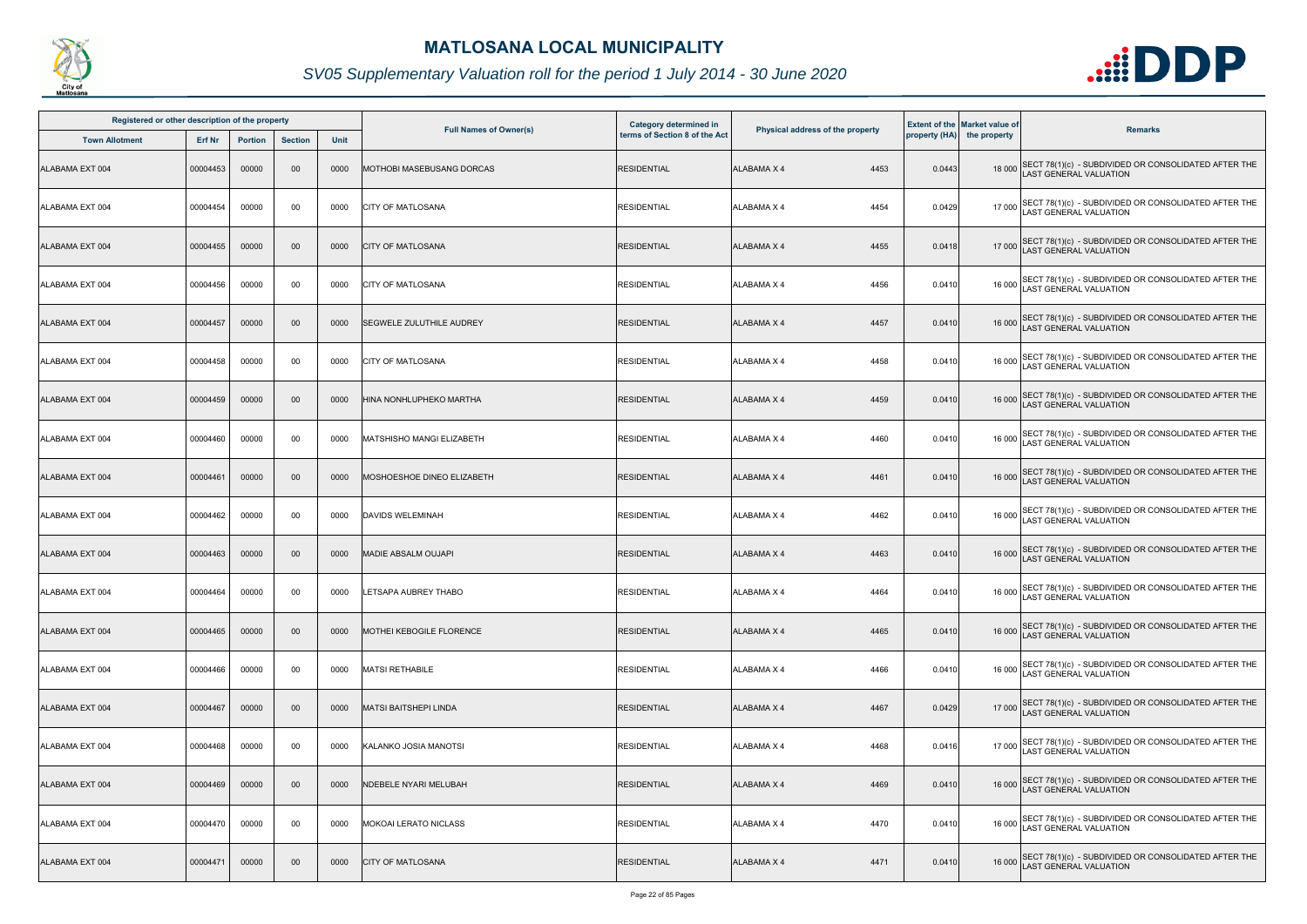

| Registered or other description of the property |               |                |                |             |                                  | <b>Category determined in</b> |                                  |        | <b>Extent of the Market value of</b> |                                                                                              |
|-------------------------------------------------|---------------|----------------|----------------|-------------|----------------------------------|-------------------------------|----------------------------------|--------|--------------------------------------|----------------------------------------------------------------------------------------------|
| <b>Town Allotment</b>                           | <b>Erf Nr</b> | <b>Portion</b> | <b>Section</b> | <b>Unit</b> | <b>Full Names of Owner(s)</b>    | terms of Section 8 of the Act | Physical address of the property |        | property (HA) the property           | <b>Remarks</b>                                                                               |
| ALABAMA EXT 004                                 | 00004453      | 00000          | 00             | 0000        | <b>MOTHOBI MASEBUSANG DORCAS</b> | <b>RESIDENTIAL</b>            | 4453<br><b>ALABAMA X 4</b>       | 0.0443 |                                      | 18 000 SECT 78(1)(c) - SUBDIVIDED OR CONSOLIDATED AFTER THE<br>LAST GENERAL VALUATION        |
| ALABAMA EXT 004                                 | 00004454      | 00000          | 00             | 0000        | <b>CITY OF MATLOSANA</b>         | <b>RESIDENTIAL</b>            | 4454<br>ALABAMA X 4              | 0.0429 |                                      | 17 000 SECT 78(1)(c) - SUBDIVIDED OR CONSOLIDATED AFTER THE<br>LAST GENERAL VALUATION        |
| ALABAMA EXT 004                                 | 00004455      | 00000          | $00\,$         | 0000        | <b>CITY OF MATLOSANA</b>         | <b>RESIDENTIAL</b>            | 4455<br>ALABAMA X 4              | 0.0418 |                                      | 17 000 SECT 78(1)(c) - SUBDIVIDED OR CONSOLIDATED AFTER THE<br>LAST GENERAL VALUATION        |
| ALABAMA EXT 004                                 | 00004456      | 00000          | 00             | 0000        | <b>CITY OF MATLOSANA</b>         | <b>RESIDENTIAL</b>            | 4456<br>ALABAMA X 4              | 0.0410 |                                      | 16 000 SECT 78(1)(c) - SUBDIVIDED OR CONSOLIDATED AFTER THE<br>16 000 LAST GENERAL VALUATION |
| ALABAMA EXT 004                                 | 00004457      | 00000          | $00\,$         | 0000        | <b>SEGWELE ZULUTHILE AUDREY</b>  | <b>RESIDENTIAL</b>            | 4457<br>ALABAMA X 4              | 0.0410 |                                      | 16 000 SECT 78(1)(c) - SUBDIVIDED OR CONSOLIDATED AFTER THE<br>LAST GENERAL VALUATION        |
| ALABAMA EXT 004                                 | 00004458      | 00000          | 00             | 0000        | <b>CITY OF MATLOSANA</b>         | <b>RESIDENTIAL</b>            | 4458<br>ALABAMA X 4              | 0.0410 |                                      | 16 000 SECT 78(1)(c) - SUBDIVIDED OR CONSOLIDATED AFTER THE<br>LAST GENERAL VALUATION        |
| ALABAMA EXT 004                                 | 00004459      | 00000          | $00\,$         | 0000        | HINA NONHLUPHEKO MARTHA          | <b>RESIDENTIAL</b>            | <b>ALABAMA X 4</b><br>4459       | 0.0410 |                                      | 16 000 SECT 78(1)(c) - SUBDIVIDED OR CONSOLIDATED AFTER THE<br>LAST GENERAL VALUATION        |
| ALABAMA EXT 004                                 | 00004460      | 00000          | 00             | 0000        | MATSHISHO MANGI ELIZABETH        | <b>RESIDENTIAL</b>            | 4460<br>ALABAMA X 4              | 0.0410 |                                      | 16 000 SECT 78(1)(c) - SUBDIVIDED OR CONSOLIDATED AFTER THE<br>LAST GENERAL VALUATION        |
| ALABAMA EXT 004                                 | 00004461      | 00000          | $00\,$         | 0000        | MOSHOESHOE DINEO ELIZABETH       | <b>RESIDENTIAL</b>            | ALABAMA X 4<br>4461              | 0.0410 |                                      | 16 000 SECT 78(1)(c) - SUBDIVIDED OR CONSOLIDATED AFTER THE<br>LAST GENERAL VALUATION        |
| ALABAMA EXT 004                                 | 00004462      | 00000          | 00             | 0000        | <b>DAVIDS WELEMINAH</b>          | <b>RESIDENTIAL</b>            | <b>ALABAMA X 4</b><br>4462       | 0.0410 |                                      | 16 000 SECT 78(1)(c) - SUBDIVIDED OR CONSOLIDATED AFTER THE<br>LAST GENERAL VALUATION        |
| ALABAMA EXT 004                                 | 00004463      | 00000          | $00\,$         | 0000        | <b>MADIE ABSALM OUJAPI</b>       | <b>RESIDENTIAL</b>            | <b>ALABAMA X 4</b><br>4463       | 0.0410 |                                      | 16 000 SECT 78(1)(c) - SUBDIVIDED OR CONSOLIDATED AFTER THE<br>LAST GENERAL VALUATION        |
| ALABAMA EXT 004                                 | 00004464      | 00000          | 00             | 0000        | <b>LETSAPA AUBREY THABO</b>      | <b>RESIDENTIAL</b>            | ALABAMA X 4<br>4464              | 0.0410 |                                      | 16 000 SECT 78(1)(c) - SUBDIVIDED OR CONSOLIDATED AFTER THE<br>16 000 LAST GENERAL VALUATION |
| ALABAMA EXT 004                                 | 00004465      | 00000          | $00\,$         | 0000        | <b>MOTHEI KEBOGILE FLORENCE</b>  | <b>RESIDENTIAL</b>            | 4465<br>ALABAMA X 4              | 0.0410 |                                      | 16 000 SECT 78(1)(c) - SUBDIVIDED OR CONSOLIDATED AFTER THE<br><b>LAST GENERAL VALUATION</b> |
| ALABAMA EXT 004                                 | 00004466      | 00000          | 00             | 0000        | <b>MATSI RETHABILE</b>           | <b>RESIDENTIAL</b>            | 4466<br>ALABAMA X 4              | 0.0410 |                                      | 16 000 SECT 78(1)(c) - SUBDIVIDED OR CONSOLIDATED AFTER THE<br>LAST GENERAL VALUATION        |
| ALABAMA EXT 004                                 | 00004467      | 00000          | $00\,$         | 0000        | <b>MATSI BAITSHEPI LINDA</b>     | <b>RESIDENTIAL</b>            | ALABAMA X 4<br>4467              | 0.0429 |                                      | 17 000 SECT 78(1)(c) - SUBDIVIDED OR CONSOLIDATED AFTER THE<br>LAST GENERAL VALUATION        |
| ALABAMA EXT 004                                 | 00004468      | 00000          | 00             | 0000        | KALANKO JOSIA MANOTSI            | <b>RESIDENTIAL</b>            | 4468<br>ALABAMA X 4              | 0.0416 |                                      | 17 000 SECT 78(1)(c) - SUBDIVIDED OR CONSOLIDATED AFTER THE<br>LAST GENERAL VALUATION        |
| ALABAMA EXT 004                                 | 00004469      | 00000          | $00\,$         | 0000        | <b>NDEBELE NYARI MELUBAH</b>     | <b>RESIDENTIAL</b>            | <b>ALABAMA X 4</b><br>4469       | 0.0410 |                                      | 16 000 SECT 78(1)(c) - SUBDIVIDED OR CONSOLIDATED AFTER THE<br>LAST GENERAL VALUATION        |
| ALABAMA EXT 004                                 | 00004470      | 00000          | 00             | 0000        | <b>MOKOAI LERATO NICLASS</b>     | <b>RESIDENTIAL</b>            | 4470<br>ALABAMA X 4              | 0.0410 |                                      | 16 000 SECT 78(1)(c) - SUBDIVIDED OR CONSOLIDATED AFTER THE<br>LAST GENERAL VALUATION        |
| ALABAMA EXT 004                                 | 00004471      | 00000          | $00\,$         | 0000        | <b>CITY OF MATLOSANA</b>         | <b>RESIDENTIAL</b>            | ALABAMA X 4<br>4471              | 0.0410 | 16 000                               | SECT 78(1)(c) - SUBDIVIDED OR CONSOLIDATED AFTER THE<br>AST GENERAL VALUATION                |

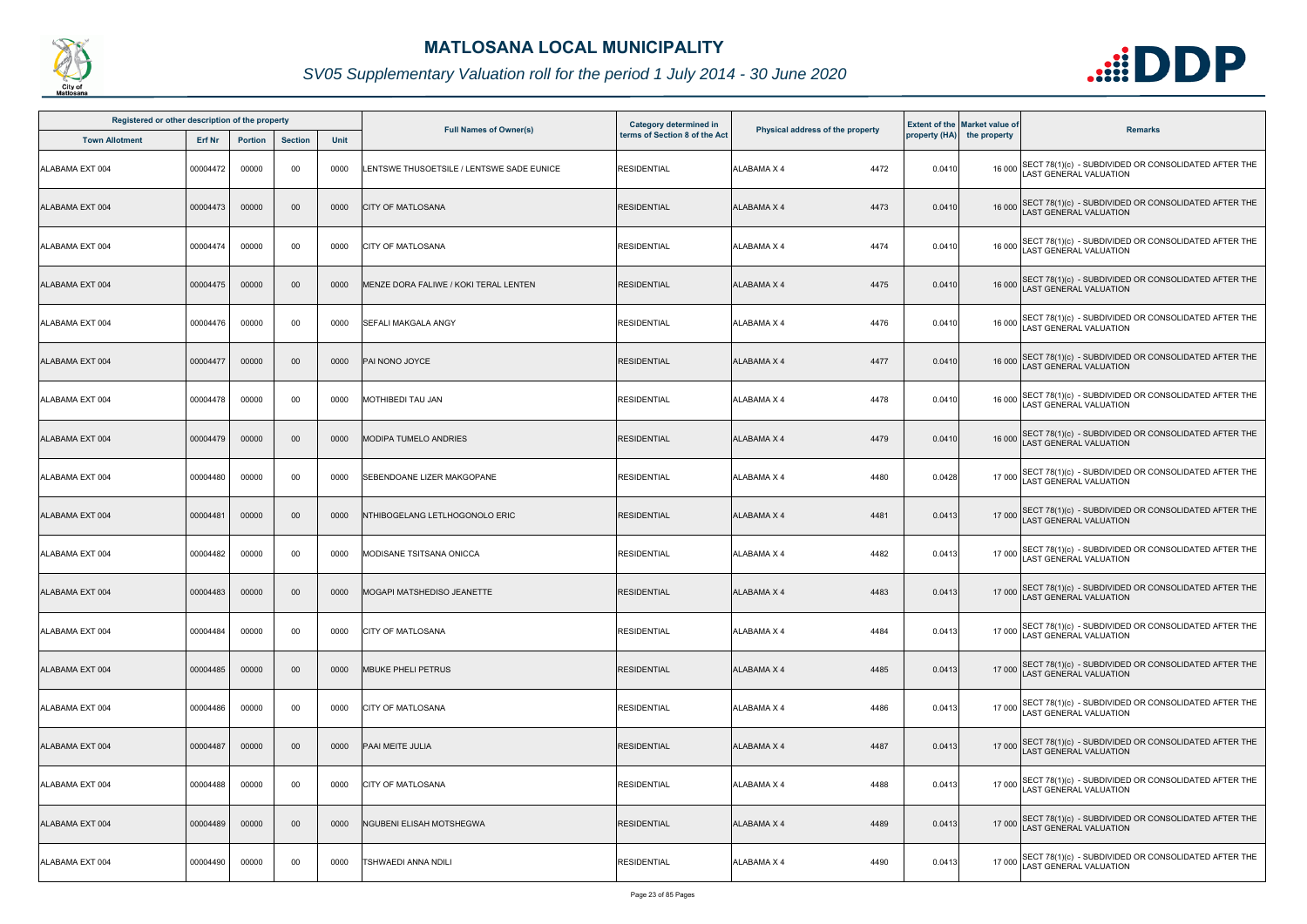

|                 | Registered or other description of the property<br><b>Section</b><br><b>Town Allotment</b><br><b>Erf Nr</b><br><b>Portion</b> |       |                 |             | Category determined in                    |                               |                                  | <b>Extent of the Market value of</b> |                            |                                                                                              |
|-----------------|-------------------------------------------------------------------------------------------------------------------------------|-------|-----------------|-------------|-------------------------------------------|-------------------------------|----------------------------------|--------------------------------------|----------------------------|----------------------------------------------------------------------------------------------|
|                 |                                                                                                                               |       |                 | <b>Unit</b> | <b>Full Names of Owner(s)</b>             | terms of Section 8 of the Act | Physical address of the property |                                      | property (HA) the property | <b>Remarks</b>                                                                               |
| ALABAMA EXT 004 | 00004472                                                                                                                      | 00000 | 00              | 0000        | LENTSWE THUSOETSILE / LENTSWE SADE EUNICE | <b>RESIDENTIAL</b>            | <b>ALABAMA X 4</b><br>4472       | 0.0410                               |                            | 16 000 SECT 78(1)(c) - SUBDIVIDED OR CONSOLIDATED AFTER THE<br>LAST GENERAL VALUATION        |
| ALABAMA EXT 004 | 00004473                                                                                                                      | 00000 | $00\,$          | 0000        | <b>CITY OF MATLOSANA</b>                  | <b>RESIDENTIAL</b>            | <b>ALABAMA X 4</b><br>4473       | 0.0410                               |                            | 16 000 SECT 78(1)(c) - SUBDIVIDED OR CONSOLIDATED AFTER THE<br>LAST GENERAL VALUATION        |
| ALABAMA EXT 004 | 00004474                                                                                                                      | 00000 | 00              | 0000        | <b>CITY OF MATLOSANA</b>                  | <b>RESIDENTIAL</b>            | 4474<br><b>ALABAMA X 4</b>       | 0.0410                               |                            | 16 000 SECT 78(1)(c) - SUBDIVIDED OR CONSOLIDATED AFTER THE<br>LAST GENERAL VALUATION        |
| ALABAMA EXT 004 | 00004475                                                                                                                      | 00000 | $00\,$          | 0000        | MENZE DORA FALIWE / KOKI TERAL LENTEN     | <b>RESIDENTIAL</b>            | 4475<br><b>ALABAMA X 4</b>       | 0.0410                               |                            | 16 000 SECT 78(1)(c) - SUBDIVIDED OR CONSOLIDATED AFTER THE<br>16 000 LAST GENERAL VALUATION |
| ALABAMA EXT 004 | 00004476                                                                                                                      | 00000 | 00              | 0000        | <b>SEFALI MAKGALA ANGY</b>                | <b>RESIDENTIAL</b>            | <b>ALABAMA X 4</b><br>4476       | 0.0410                               |                            | 16 000 SECT 78(1)(c) - SUBDIVIDED OR CONSOLIDATED AFTER THE<br>LAST GENERAL VALUATION        |
| ALABAMA EXT 004 | 00004477                                                                                                                      | 00000 | $00\,$          | 0000        | PAI NONO JOYCE                            | <b>RESIDENTIAL</b>            | 4477<br>ALABAMA X 4              | 0.0410                               |                            | 16 000 SECT 78(1)(c) - SUBDIVIDED OR CONSOLIDATED AFTER THE<br>LAST GENERAL VALUATION        |
| ALABAMA EXT 004 | 00004478                                                                                                                      | 00000 | 00              | 0000        | <b>MOTHIBEDI TAU JAN</b>                  | <b>RESIDENTIAL</b>            | <b>ALABAMA X 4</b><br>4478       | 0.0410                               |                            | 16 000 SECT 78(1)(c) - SUBDIVIDED OR CONSOLIDATED AFTER THE<br>LAST GENERAL VALUATION        |
| ALABAMA EXT 004 | 00004479                                                                                                                      | 00000 | $00\,$          | 0000        | <b>MODIPA TUMELO ANDRIES</b>              | <b>RESIDENTIAL</b>            | 4479<br><b>ALABAMA X 4</b>       | 0.0410                               |                            | 16 000 SECT 78(1)(c) - SUBDIVIDED OR CONSOLIDATED AFTER THE<br>LAST GENERAL VALUATION        |
| ALABAMA EXT 004 | 00004480                                                                                                                      | 00000 | 00              | 0000        | SEBENDOANE LIZER MAKGOPANE                | <b>RESIDENTIAL</b>            | <b>ALABAMA X 4</b><br>4480       | 0.0428                               |                            | 17 000 SECT 78(1)(c) - SUBDIVIDED OR CONSOLIDATED AFTER THE<br>LAST GENERAL VALUATION        |
| ALABAMA EXT 004 | 0000448                                                                                                                       | 00000 | $00\,$          | 0000        | NTHIBOGELANG LETLHOGONOLO ERIC            | <b>RESIDENTIAL</b>            | <b>ALABAMA X 4</b><br>4481       | 0.0413                               |                            | 17 000 SECT 78(1)(c) - SUBDIVIDED OR CONSOLIDATED AFTER THE<br>LAST GENERAL VALUATION        |
| ALABAMA EXT 004 | 00004482                                                                                                                      | 00000 | 00              | 0000        | <b>MODISANE TSITSANA ONICCA</b>           | <b>RESIDENTIAL</b>            | ALABAMA X 4<br>4482              | 0.0413                               |                            | 17 000 SECT 78(1)(c) - SUBDIVIDED OR CONSOLIDATED AFTER THE<br>LAST GENERAL VALUATION        |
| ALABAMA EXT 004 | 00004483                                                                                                                      | 00000 | 00 <sub>o</sub> | 0000        | MOGAPI MATSHEDISO JEANETTE                | <b>RESIDENTIAL</b>            | ALABAMA X 4<br>4483              | 0.0413                               |                            | 17 000 SECT 78(1)(c) - SUBDIVIDED OR CONSOLIDATED AFTER THE<br>LAST GENERAL VALUATION        |
| ALABAMA EXT 004 | 00004484                                                                                                                      | 00000 | 00              | 0000        | <b>CITY OF MATLOSANA</b>                  | <b>RESIDENTIAL</b>            | 4484<br><b>ALABAMA X 4</b>       | 0.0413                               |                            | 17 000 SECT 78(1)(c) - SUBDIVIDED OR CONSOLIDATED AFTER THE<br>LAST GENERAL VALUATION        |
| ALABAMA EXT 004 | 00004485                                                                                                                      | 00000 | $00\,$          | 0000        | <b>MBUKE PHELI PETRUS</b>                 | <b>RESIDENTIAL</b>            | <b>ALABAMA X 4</b><br>4485       | 0.0413                               |                            | 17 000 SECT 78(1)(c) - SUBDIVIDED OR CONSOLIDATED AFTER THE<br>LAST GENERAL VALUATION        |
| ALABAMA EXT 004 | 00004486                                                                                                                      | 00000 | 00              | 0000        | <b>CITY OF MATLOSANA</b>                  | <b>RESIDENTIAL</b>            | 4486<br>ALABAMA X 4              | 0.0413                               |                            | 17 000 SECT 78(1)(c) - SUBDIVIDED OR CONSOLIDATED AFTER THE<br>LAST GENERAL VALUATION        |
| ALABAMA EXT 004 | 00004487                                                                                                                      | 00000 | $00\,$          | 0000        | PAAI MEITE JULIA                          | <b>RESIDENTIAL</b>            | 4487<br><b>ALABAMA X 4</b>       | 0.0413                               |                            | 17 000 SECT 78(1)(c) - SUBDIVIDED OR CONSOLIDATED AFTER THE<br>LAST GENERAL VALUATION        |
| ALABAMA EXT 004 | 00004488                                                                                                                      | 00000 | 00              | 0000        | <b>CITY OF MATLOSANA</b>                  | <b>RESIDENTIAL</b>            | <b>ALABAMA X 4</b><br>4488       | 0.0413                               |                            | 17 000 SECT 78(1)(c) - SUBDIVIDED OR CONSOLIDATED AFTER THE<br>LAST GENERAL VALUATION        |
| ALABAMA EXT 004 | 00004489                                                                                                                      | 00000 | $00\,$          | 0000        | NGUBENI ELISAH MOTSHEGWA                  | <b>RESIDENTIAL</b>            | 4489<br><b>ALABAMA X 4</b>       | 0.0413                               |                            | 17 000 SECT 78(1)(c) - SUBDIVIDED OR CONSOLIDATED AFTER THE<br>LAST GENERAL VALUATION        |
| ALABAMA EXT 004 | 00004490                                                                                                                      | 00000 | 00              | 0000        | TSHWAEDI ANNA NDILI                       | <b>RESIDENTIAL</b>            | ALABAMA X 4<br>4490              | 0.0413                               | 17 000                     | SECT 78(1)(c) - SUBDIVIDED OR CONSOLIDATED AFTER THE<br><b>AST GENERAL VALUATION</b>         |

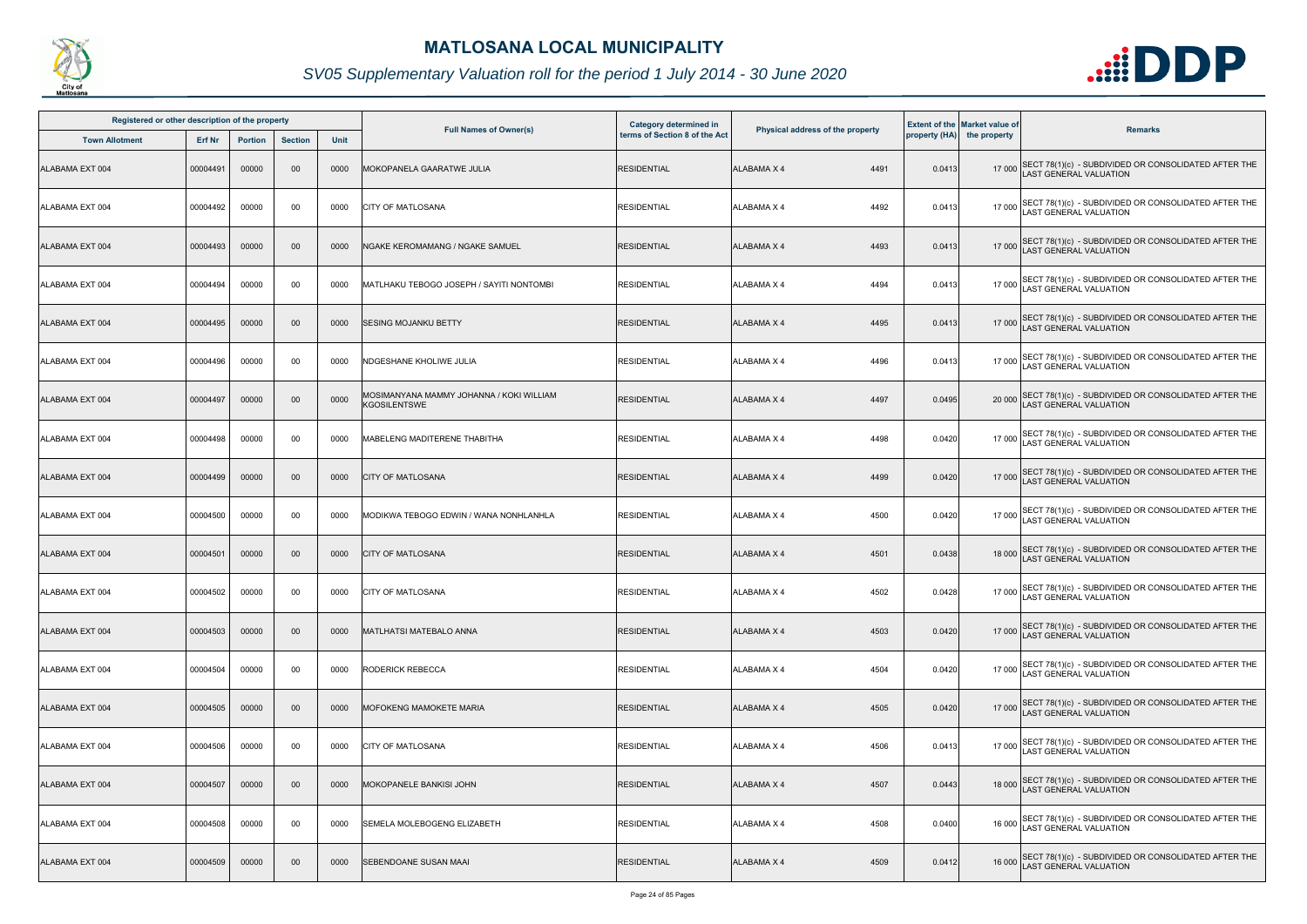

| Registered or other description of the property |          |                |                |             |                                                                 | <b>Category determined in</b> |                                  |        | <b>Extent of the Market value of</b> |                                                                                       |
|-------------------------------------------------|----------|----------------|----------------|-------------|-----------------------------------------------------------------|-------------------------------|----------------------------------|--------|--------------------------------------|---------------------------------------------------------------------------------------|
| <b>Town Allotment</b>                           | Erf Nr   | <b>Portion</b> | <b>Section</b> | <b>Unit</b> | <b>Full Names of Owner(s)</b>                                   | terms of Section 8 of the Act | Physical address of the property |        | property (HA) the property           | <b>Remarks</b>                                                                        |
| ALABAMA EXT 004                                 | 00004491 | 00000          | 00             | 0000        | MOKOPANELA GAARATWE JULIA                                       | <b>RESIDENTIAL</b>            | <b>ALABAMA X 4</b><br>4491       | 0.0413 |                                      | 17 000 SECT 78(1)(c) - SUBDIVIDED OR CONSOLIDATED AFTER THE<br>LAST GENERAL VALUATION |
| ALABAMA EXT 004                                 | 00004492 | 00000          | 00             | 0000        | <b>CITY OF MATLOSANA</b>                                        | <b>RESIDENTIAL</b>            | 4492<br>ALABAMA X 4              | 0.0413 |                                      | 17 000 SECT 78(1)(c) - SUBDIVIDED OR CONSOLIDATED AFTER THE<br>LAST GENERAL VALUATION |
| ALABAMA EXT 004                                 | 00004493 | 00000          | 00             | 0000        | NGAKE KEROMAMANG / NGAKE SAMUEL                                 | <b>RESIDENTIAL</b>            | 4493<br><b>ALABAMA X 4</b>       | 0.0413 |                                      | 17 000 SECT 78(1)(c) - SUBDIVIDED OR CONSOLIDATED AFTER THE<br>LAST GENERAL VALUATION |
| ALABAMA EXT 004                                 | 00004494 | 00000          | 00             | 0000        | MATLHAKU TEBOGO JOSEPH / SAYITI NONTOMBI                        | <b>RESIDENTIAL</b>            | 4494<br>ALABAMA X 4              | 0.0413 |                                      | 17 000 SECT 78(1)(c) - SUBDIVIDED OR CONSOLIDATED AFTER THE<br>LAST GENERAL VALUATION |
| ALABAMA EXT 004                                 | 00004495 | 00000          | $00\,$         | 0000        | <b>SESING MOJANKU BETTY</b>                                     | <b>RESIDENTIAL</b>            | <b>ALABAMA X 4</b><br>4495       | 0.0413 |                                      | 17 000 SECT 78(1)(c) - SUBDIVIDED OR CONSOLIDATED AFTER THE<br>LAST GENERAL VALUATION |
| ALABAMA EXT 004                                 | 00004496 | 00000          | 00             | 0000        | NDGESHANE KHOLIWE JULIA                                         | <b>RESIDENTIAL</b>            | 4496<br>ALABAMA X 4              | 0.0413 |                                      | 17 000 SECT 78(1)(c) - SUBDIVIDED OR CONSOLIDATED AFTER THE<br>LAST GENERAL VALUATION |
| ALABAMA EXT 004                                 | 00004497 | 00000          | $00\,$         | 0000        | MOSIMANYANA MAMMY JOHANNA / KOKI WILLIAM<br><b>KGOSILENTSWE</b> | <b>RESIDENTIAL</b>            | <b>ALABAMA X 4</b><br>4497       | 0.0495 |                                      | 20 000 SECT 78(1)(c) - SUBDIVIDED OR CONSOLIDATED AFTER THE<br>LAST GENERAL VALUATION |
| ALABAMA EXT 004                                 | 00004498 | 00000          | 00             | 0000        | MABELENG MADITERENE THABITHA                                    | <b>RESIDENTIAL</b>            | ALABAMA X 4<br>4498              | 0.0420 |                                      | 17 000 SECT 78(1)(c) - SUBDIVIDED OR CONSOLIDATED AFTER THE<br>LAST GENERAL VALUATION |
| ALABAMA EXT 004                                 | 00004499 | 00000          | $00\,$         | 0000        | <b>CITY OF MATLOSANA</b>                                        | <b>RESIDENTIAL</b>            | 4499<br><b>ALABAMA X 4</b>       | 0.0420 |                                      | 17 000 SECT 78(1)(c) - SUBDIVIDED OR CONSOLIDATED AFTER THE<br>LAST GENERAL VALUATION |
| ALABAMA EXT 004                                 | 00004500 | 00000          | 00             | 0000        | MODIKWA TEBOGO EDWIN / WANA NONHLANHLA                          | <b>RESIDENTIAL</b>            | <b>ALABAMA X 4</b><br>4500       | 0.0420 |                                      | 17 000 SECT 78(1)(c) - SUBDIVIDED OR CONSOLIDATED AFTER THE<br>LAST GENERAL VALUATION |
| ALABAMA EXT 004                                 | 00004501 | 00000          | $00\,$         | 0000        | <b>CITY OF MATLOSANA</b>                                        | <b>RESIDENTIAL</b>            | <b>ALABAMA X 4</b><br>4501       | 0.0438 |                                      | 18 000 SECT 78(1)(c) - SUBDIVIDED OR CONSOLIDATED AFTER THE<br>LAST GENERAL VALUATION |
| ALABAMA EXT 004                                 | 00004502 | 00000          | 00             | 0000        | <b>CITY OF MATLOSANA</b>                                        | <b>RESIDENTIAL</b>            | ALABAMA X 4<br>4502              | 0.0428 |                                      | 17 000 SECT 78(1)(c) - SUBDIVIDED OR CONSOLIDATED AFTER THE<br>LAST GENERAL VALUATION |
| ALABAMA EXT 004                                 | 00004503 | 00000          | $00\,$         | 0000        | <b>IMATLHATSI MATEBALO ANNA</b>                                 | <b>RESIDENTIAL</b>            | 4503<br>ALABAMA X 4              | 0.0420 |                                      | 17 000 SECT 78(1)(c) - SUBDIVIDED OR CONSOLIDATED AFTER THE<br>LAST GENERAL VALUATION |
| ALABAMA EXT 004                                 | 00004504 | 00000          | 00             | 0000        | <b>RODERICK REBECCA</b>                                         | <b>RESIDENTIAL</b>            | 4504<br>ALABAMA X 4              | 0.0420 |                                      | 17 000 SECT 78(1)(c) - SUBDIVIDED OR CONSOLIDATED AFTER THE<br>LAST GENERAL VALUATION |
| ALABAMA EXT 004                                 | 00004505 | 00000          | $00\,$         | 0000        | <b>MOFOKENG MAMOKETE MARIA</b>                                  | <b>RESIDENTIAL</b>            | 4505<br>ALABAMA X 4              | 0.0420 |                                      | 17 000 SECT 78(1)(c) - SUBDIVIDED OR CONSOLIDATED AFTER THE<br>LAST GENERAL VALUATION |
| ALABAMA EXT 004                                 | 00004506 | 00000          | 00             | 0000        | <b>ICITY OF MATLOSANA</b>                                       | <b>RESIDENTIAL</b>            | <b>ALABAMA X 4</b><br>4506       | 0.0413 |                                      | 17 000 SECT 78(1)(c) - SUBDIVIDED OR CONSOLIDATED AFTER THE<br>LAST GENERAL VALUATION |
| ALABAMA EXT 004                                 | 00004507 | 00000          | $00\,$         | 0000        | MOKOPANELE BANKISI JOHN                                         | <b>RESIDENTIAL</b>            | 4507<br><b>ALABAMA X 4</b>       | 0.0443 |                                      | 18 000 SECT 78(1)(c) - SUBDIVIDED OR CONSOLIDATED AFTER THE<br>LAST GENERAL VALUATION |
| ALABAMA EXT 004                                 | 00004508 | 00000          | 00             | 0000        | SEMELA MOLEBOGENG ELIZABETH                                     | <b>RESIDENTIAL</b>            | ALABAMA X 4<br>4508              | 0.0400 |                                      | 16 000 SECT 78(1)(c) - SUBDIVIDED OR CONSOLIDATED AFTER THE<br>LAST GENERAL VALUATION |
| ALABAMA EXT 004                                 | 00004509 | 00000          | $00\,$         | 0000        | SEBENDOANE SUSAN MAAI                                           | <b>RESIDENTIAL</b>            | 4509<br>ALABAMA X 4              | 0.0412 |                                      | 16 000 SECT 78(1)(c) - SUBDIVIDED OR CONSOLIDATED AFTER THE<br>LAST GENERAL VALUATION |

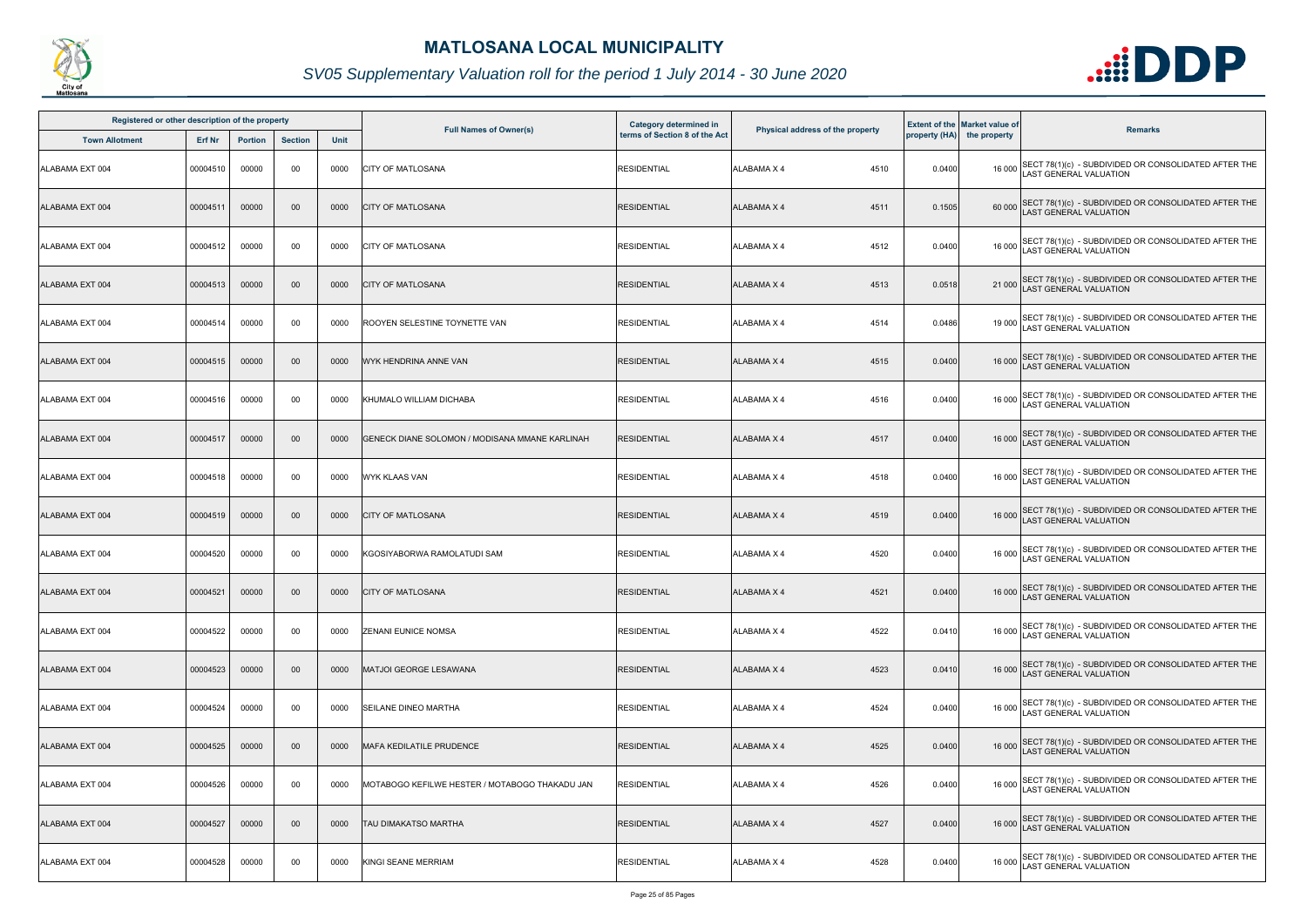

| Registered or other description of the property |               |                |                |             |                                                | <b>Category determined in</b> |                                  |        | <b>Extent of the Market value of</b> |                                                                                       |
|-------------------------------------------------|---------------|----------------|----------------|-------------|------------------------------------------------|-------------------------------|----------------------------------|--------|--------------------------------------|---------------------------------------------------------------------------------------|
| <b>Town Allotment</b>                           | <b>Erf Nr</b> | <b>Portion</b> | <b>Section</b> | <b>Unit</b> | <b>Full Names of Owner(s)</b>                  | terms of Section 8 of the Act | Physical address of the property |        | property (HA) the property           | <b>Remarks</b>                                                                        |
| ALABAMA EXT 004                                 | 00004510      | 00000          | 00             | 0000        | <b>CITY OF MATLOSANA</b>                       | <b>RESIDENTIAL</b>            | ALABAMA X 4<br>4510              | 0.0400 |                                      | 16 000 SECT 78(1)(c) - SUBDIVIDED OR CONSOLIDATED AFTER THE<br>LAST GENERAL VALUATION |
| ALABAMA EXT 004                                 | 00004511      | 00000          | $00\,$         | 0000        | <b>CITY OF MATLOSANA</b>                       | <b>RESIDENTIAL</b>            | ALABAMA X 4<br>4511              | 0.1505 |                                      | 60 000 SECT 78(1)(c) - SUBDIVIDED OR CONSOLIDATED AFTER THE<br>LAST GENERAL VALUATION |
| ALABAMA EXT 004                                 | 00004512      | 00000          | 00             | 0000        | <b>CITY OF MATLOSANA</b>                       | <b>RESIDENTIAL</b>            | 4512<br>ALABAMA X 4              | 0.0400 |                                      | 16 000 SECT 78(1)(c) - SUBDIVIDED OR CONSOLIDATED AFTER THE<br>LAST GENERAL VALUATION |
| ALABAMA EXT 004                                 | 00004513      | 00000          | $00\,$         | 0000        | <b>CITY OF MATLOSANA</b>                       | <b>RESIDENTIAL</b>            | 4513<br><b>ALABAMA X 4</b>       | 0.0518 |                                      | 21 000 SECT 78(1)(c) - SUBDIVIDED OR CONSOLIDATED AFTER THE<br>LAST GENERAL VALUATION |
| ALABAMA EXT 004                                 | 00004514      | 00000          | 00             | 0000        | ROOYEN SELESTINE TOYNETTE VAN                  | <b>RESIDENTIAL</b>            | 4514<br>ALABAMA X 4              | 0.0486 |                                      | 19 000 SECT 78(1)(c) - SUBDIVIDED OR CONSOLIDATED AFTER THE<br>LAST GENERAL VALUATION |
| ALABAMA EXT 004                                 | 00004515      | 00000          | $00\,$         | 0000        | WYK HENDRINA ANNE VAN                          | <b>RESIDENTIAL</b>            | 4515<br>ALABAMA X 4              | 0.0400 |                                      | 16 000 SECT 78(1)(c) - SUBDIVIDED OR CONSOLIDATED AFTER THE<br>LAST GENERAL VALUATION |
| ALABAMA EXT 004                                 | 00004516      | 00000          | 00             | 0000        | KHUMALO WILLIAM DICHABA                        | <b>RESIDENTIAL</b>            | ALABAMA X 4<br>4516              | 0.0400 |                                      | 16 000 SECT 78(1)(c) - SUBDIVIDED OR CONSOLIDATED AFTER THE<br>LAST GENERAL VALUATION |
| ALABAMA EXT 004                                 | 00004517      | 00000          | $00\,$         | 0000        | GENECK DIANE SOLOMON / MODISANA MMANE KARLINAH | <b>RESIDENTIAL</b>            | 4517<br><b>ALABAMA X 4</b>       | 0.0400 |                                      | 16 000 SECT 78(1)(c) - SUBDIVIDED OR CONSOLIDATED AFTER THE<br>LAST GENERAL VALUATION |
| ALABAMA EXT 004                                 | 00004518      | 00000          | 00             | 0000        | <b>WYK KLAAS VAN</b>                           | <b>RESIDENTIAL</b>            | 4518<br>ALABAMA X 4              | 0.0400 |                                      | 16 000 SECT 78(1)(c) - SUBDIVIDED OR CONSOLIDATED AFTER THE<br>LAST GENERAL VALUATION |
| ALABAMA EXT 004                                 | 00004519      | 00000          | $00\,$         | 0000        | <b>CITY OF MATLOSANA</b>                       | <b>RESIDENTIAL</b>            | <b>ALABAMA X 4</b><br>4519       | 0.0400 |                                      | 16 000 SECT 78(1)(c) - SUBDIVIDED OR CONSOLIDATED AFTER THE<br>LAST GENERAL VALUATION |
| ALABAMA EXT 004                                 | 00004520      | 00000          | 00             | 0000        | KGOSIYABORWA RAMOLATUDI SAM                    | <b>RESIDENTIAL</b>            | ALABAMA X 4<br>4520              | 0.0400 |                                      | 16 000 SECT 78(1)(c) - SUBDIVIDED OR CONSOLIDATED AFTER THE<br>LAST GENERAL VALUATION |
| ALABAMA EXT 004                                 | 00004521      | 00000          | $00\,$         | 0000        | <b>CITY OF MATLOSANA</b>                       | <b>RESIDENTIAL</b>            | ALABAMA X 4<br>4521              | 0.0400 |                                      | 16 000 SECT 78(1)(c) - SUBDIVIDED OR CONSOLIDATED AFTER THE<br>LAST GENERAL VALUATION |
| ALABAMA EXT 004                                 | 00004522      | 00000          | 00             | 0000        | <b>ZENANI EUNICE NOMSA</b>                     | <b>RESIDENTIAL</b>            | 4522<br>ALABAMA X 4              | 0.0410 |                                      | 16 000 SECT 78(1)(c) - SUBDIVIDED OR CONSOLIDATED AFTER THE<br>LAST GENERAL VALUATION |
| ALABAMA EXT 004                                 | 00004523      | 00000          | $00\,$         | 0000        | MATJOI GEORGE LESAWANA                         | <b>RESIDENTIAL</b>            | ALABAMA X 4<br>4523              | 0.0410 |                                      | 16 000 SECT 78(1)(c) - SUBDIVIDED OR CONSOLIDATED AFTER THE<br>LAST GENERAL VALUATION |
| ALABAMA EXT 004                                 | 00004524      | 00000          | 00             | 0000        | <b>SEILANE DINEO MARTHA</b>                    | <b>RESIDENTIAL</b>            | 4524<br>ALABAMA X 4              | 0.0400 |                                      | 16 000 SECT 78(1)(c) - SUBDIVIDED OR CONSOLIDATED AFTER THE<br>LAST GENERAL VALUATION |
| ALABAMA EXT 004                                 | 00004525      | 00000          | $00\,$         | 0000        | <b>MAFA KEDILATILE PRUDENCE</b>                | <b>RESIDENTIAL</b>            | 4525<br>ALABAMA X 4              | 0.0400 |                                      | 16 000 SECT 78(1)(c) - SUBDIVIDED OR CONSOLIDATED AFTER THE<br>LAST GENERAL VALUATION |
| ALABAMA EXT 004                                 | 00004526      | 00000          | 00             | 0000        | MOTABOGO KEFILWE HESTER / MOTABOGO THAKADU JAN | <b>RESIDENTIAL</b>            | <b>ALABAMA X 4</b><br>4526       | 0.0400 |                                      | 16 000 SECT 78(1)(c) - SUBDIVIDED OR CONSOLIDATED AFTER THE<br>LAST GENERAL VALUATION |
| ALABAMA EXT 004                                 | 00004527      | 00000          | $00\,$         | 0000        | <b>TAU DIMAKATSO MARTHA</b>                    | <b>RESIDENTIAL</b>            | 4527<br><b>ALABAMA X 4</b>       | 0.0400 |                                      | 16 000 SECT 78(1)(c) - SUBDIVIDED OR CONSOLIDATED AFTER THE<br>LAST GENERAL VALUATION |
| ALABAMA EXT 004                                 | 00004528      | 00000          | 00             | 0000        | <b>KINGI SEANE MERRIAM</b>                     | <b>RESIDENTIAL</b>            | 4528<br>ALABAMA X 4              | 0.0400 | 16 000                               | SECT 78(1)(c) - SUBDIVIDED OR CONSOLIDATED AFTER THE<br>LAST GENERAL VALUATION        |

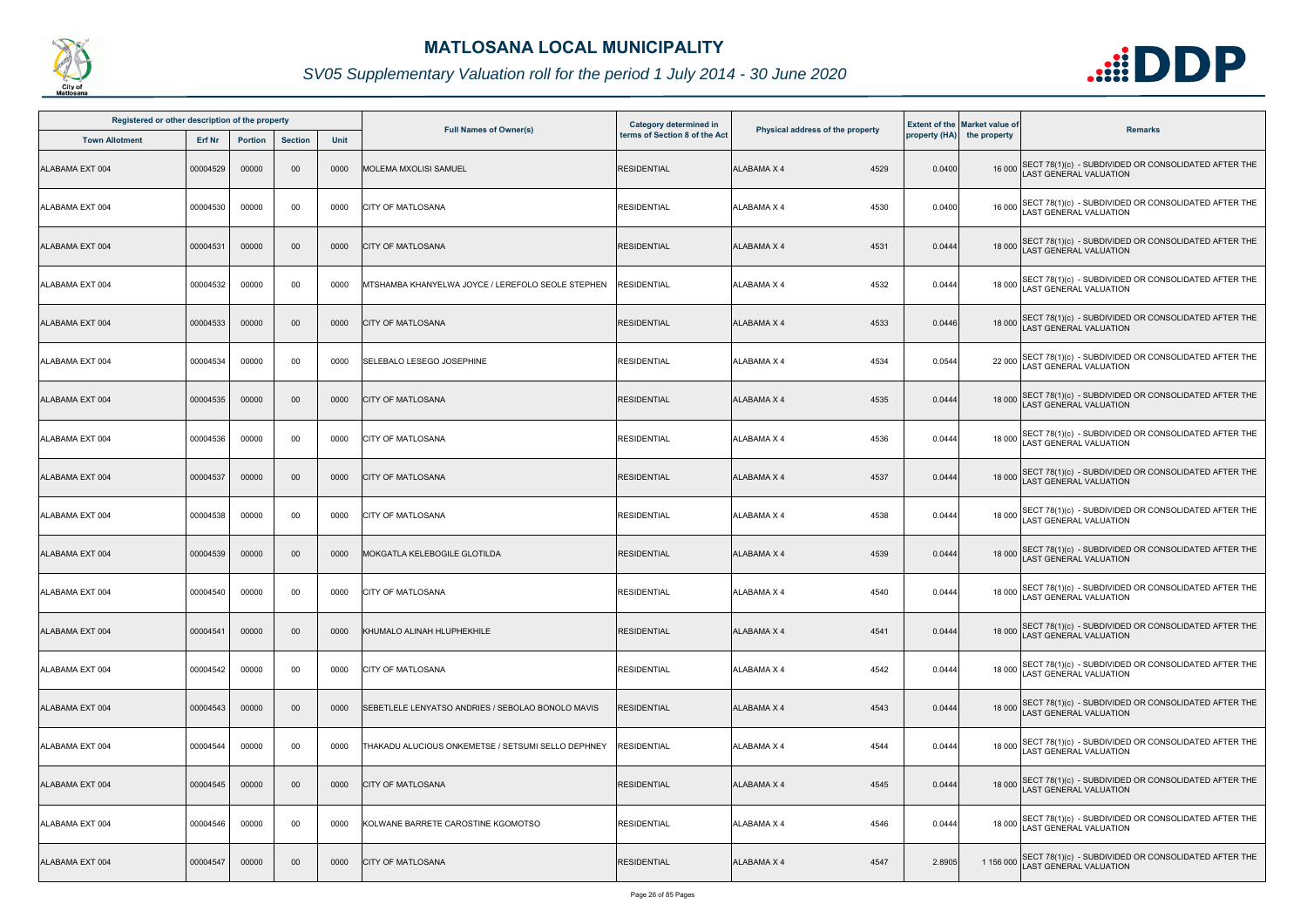

| Registered or other description of the property |          |                |                |             |                                                    | Category determined in        |                                  |        | <b>Extent of the Market value of</b> |                                                                                              |
|-------------------------------------------------|----------|----------------|----------------|-------------|----------------------------------------------------|-------------------------------|----------------------------------|--------|--------------------------------------|----------------------------------------------------------------------------------------------|
| <b>Town Allotment</b>                           | Erf Nr   | <b>Portion</b> | <b>Section</b> | <b>Unit</b> | <b>Full Names of Owner(s)</b>                      | terms of Section 8 of the Act | Physical address of the property |        | property (HA) the property           | <b>Remarks</b>                                                                               |
| ALABAMA EXT 004                                 | 00004529 | 00000          | 00             | 0000        | MOLEMA MXOLISI SAMUEL                              | <b>RESIDENTIAL</b>            | <b>ALABAMA X 4</b><br>4529       | 0.0400 |                                      | 16 000 SECT 78(1)(c) - SUBDIVIDED OR CONSOLIDATED AFTER THE<br>LAST GENERAL VALUATION        |
| ALABAMA EXT 004                                 | 00004530 | 00000          | 00             | 0000        | <b>CITY OF MATLOSANA</b>                           | <b>RESIDENTIAL</b>            | <b>ALABAMA X 4</b><br>4530       | 0.0400 |                                      | 16 000 SECT 78(1)(c) - SUBDIVIDED OR CONSOLIDATED AFTER THE<br>LAST GENERAL VALUATION        |
| ALABAMA EXT 004                                 | 00004531 | 00000          | 00             | 0000        | <b>CITY OF MATLOSANA</b>                           | <b>RESIDENTIAL</b>            | <b>ALABAMA X 4</b><br>4531       | 0.0444 |                                      | 18 000 SECT 78(1)(c) - SUBDIVIDED OR CONSOLIDATED AFTER THE<br>LAST GENERAL VALUATION        |
| ALABAMA EXT 004                                 | 00004532 | 00000          | 00             | 0000        | MTSHAMBA KHANYELWA JOYCE / LEREFOLO SEOLE STEPHEN  | <b>RESIDENTIAL</b>            | 4532<br><b>ALABAMA X 4</b>       | 0.0444 |                                      | 18 000 SECT 78(1)(c) - SUBDIVIDED OR CONSOLIDATED AFTER THE<br>18 000 LAST GENERAL VALUATION |
| ALABAMA EXT 004                                 | 00004533 | 00000          | 00             | 0000        | <b>CITY OF MATLOSANA</b>                           | <b>RESIDENTIAL</b>            | <b>ALABAMA X 4</b><br>4533       | 0.0446 |                                      | 18 000 SECT 78(1)(c) - SUBDIVIDED OR CONSOLIDATED AFTER THE<br>LAST GENERAL VALUATION        |
| ALABAMA EXT 004                                 | 00004534 | 00000          | 00             | 0000        | SELEBALO LESEGO JOSEPHINE                          | <b>RESIDENTIAL</b>            | 4534<br><b>ALABAMA X 4</b>       | 0.0544 |                                      | 22 000 SECT 78(1)(c) - SUBDIVIDED OR CONSOLIDATED AFTER THE<br>LAST GENERAL VALUATION        |
| ALABAMA EXT 004                                 | 00004535 | 00000          | 00             | 0000        | <b>CITY OF MATLOSANA</b>                           | <b>RESIDENTIAL</b>            | 4535<br><b>ALABAMA X 4</b>       | 0.0444 |                                      | 18 000 SECT 78(1)(c) - SUBDIVIDED OR CONSOLIDATED AFTER THE<br>LAST GENERAL VALUATION        |
| ALABAMA EXT 004                                 | 00004536 | 00000          | 00             | 0000        | <b>CITY OF MATLOSANA</b>                           | <b>RESIDENTIAL</b>            | <b>ALABAMA X 4</b><br>4536       | 0.0444 | 18 000                               | SECT 78(1)(c) - SUBDIVIDED OR CONSOLIDATED AFTER THE<br><b>AST GENERAL VALUATION</b>         |
| ALABAMA EXT 004                                 | 00004537 | 00000          | $00\,$         | 0000        | <b>CITY OF MATLOSANA</b>                           | <b>RESIDENTIAL</b>            | <b>ALABAMA X 4</b><br>4537       | 0.0444 |                                      | 18 000 SECT 78(1)(c) - SUBDIVIDED OR CONSOLIDATED AFTER THE<br>LAST GENERAL VALUATION        |
| ALABAMA EXT 004                                 | 00004538 | 00000          | 00             | 0000        | <b>CITY OF MATLOSANA</b>                           | <b>RESIDENTIAL</b>            | ALABAMA X 4<br>4538              | 0.0444 |                                      | 18 000 SECT 78(1)(c) - SUBDIVIDED OR CONSOLIDATED AFTER THE<br>LAST GENERAL VALUATION        |
| ALABAMA EXT 004                                 | 00004539 | 00000          | 00             | 0000        | MOKGATLA KELEBOGILE GLOTILDA                       | <b>RESIDENTIAL</b>            | <b>ALABAMA X 4</b><br>4539       | 0.0444 |                                      | 18 000 SECT 78(1)(c) - SUBDIVIDED OR CONSOLIDATED AFTER THE<br>LAST GENERAL VALUATION        |
| ALABAMA EXT 004                                 | 00004540 | 00000          | 00             | 0000        | <b>CITY OF MATLOSANA</b>                           | <b>RESIDENTIAL</b>            | <b>ALABAMA X 4</b><br>4540       | 0.0444 |                                      | 18 000 SECT 78(1)(c) - SUBDIVIDED OR CONSOLIDATED AFTER THE<br>LAST GENERAL VALUATION        |
| ALABAMA EXT 004                                 | 00004541 | 00000          | $00\,$         | 0000        | KHUMALO ALINAH HLUPHEKHILE                         | <b>RESIDENTIAL</b>            | <b>ALABAMA X 4</b><br>4541       | 0.0444 |                                      | 18 000 SECT 78(1)(c) - SUBDIVIDED OR CONSOLIDATED AFTER THE<br><b>LAST GENERAL VALUATION</b> |
| ALABAMA EXT 004                                 | 00004542 | 00000          | 00             | 0000        | <b>CITY OF MATLOSANA</b>                           | <b>RESIDENTIAL</b>            | <b>ALABAMA X 4</b><br>4542       | 0.0444 | 18 000                               | SECT 78(1)(c) - SUBDIVIDED OR CONSOLIDATED AFTER THE<br>AST GENERAL VALUATION                |
| ALABAMA EXT 004                                 | 00004543 | 00000          | $00\,$         | 0000        | SEBETLELE LENYATSO ANDRIES / SEBOLAO BONOLO MAVIS  | <b>RESIDENTIAL</b>            | 4543<br>ALABAMA X 4              | 0.0444 |                                      | 18 000 SECT 78(1)(c) - SUBDIVIDED OR CONSOLIDATED AFTER THE<br>LAST GENERAL VALUATION        |
| ALABAMA EXT 004                                 | 00004544 | 00000          | 00             | 0000        | THAKADU ALUCIOUS ONKEMETSE / SETSUMI SELLO DEPHNEY | <b>RESIDENTIAL</b>            | 4544<br><b>ALABAMA X 4</b>       | 0.0444 | 18 000                               | SECT 78(1)(c) - SUBDIVIDED OR CONSOLIDATED AFTER THE LAST GENERAL VALUATION                  |
| ALABAMA EXT 004                                 | 00004545 | 00000          | $00\,$         | 0000        | <b>CITY OF MATLOSANA</b>                           | <b>RESIDENTIAL</b>            | <b>ALABAMA X 4</b><br>4545       | 0.0444 |                                      | 18 000 SECT 78(1)(c) - SUBDIVIDED OR CONSOLIDATED AFTER THE<br>LAST GENERAL VALUATION        |
| ALABAMA EXT 004                                 | 00004546 | 00000          | 00             | 0000        | KOLWANE BARRETE CAROSTINE KGOMOTSO                 | <b>RESIDENTIAL</b>            | <b>ALABAMA X 4</b><br>4546       | 0.0444 |                                      | 18 000 SECT 78(1)(c) - SUBDIVIDED OR CONSOLIDATED AFTER THE<br>LAST GENERAL VALUATION        |
| ALABAMA EXT 004                                 | 00004547 | 00000          | 00             | 0000        | <b>CITY OF MATLOSANA</b>                           | <b>RESIDENTIAL</b>            | 4547<br>ALABAMA X 4              | 2.8905 | 1 156 000                            | SECT 78(1)(c) - SUBDIVIDED OR CONSOLIDATED AFTER THE<br><b>AST GENERAL VALUATION</b>         |

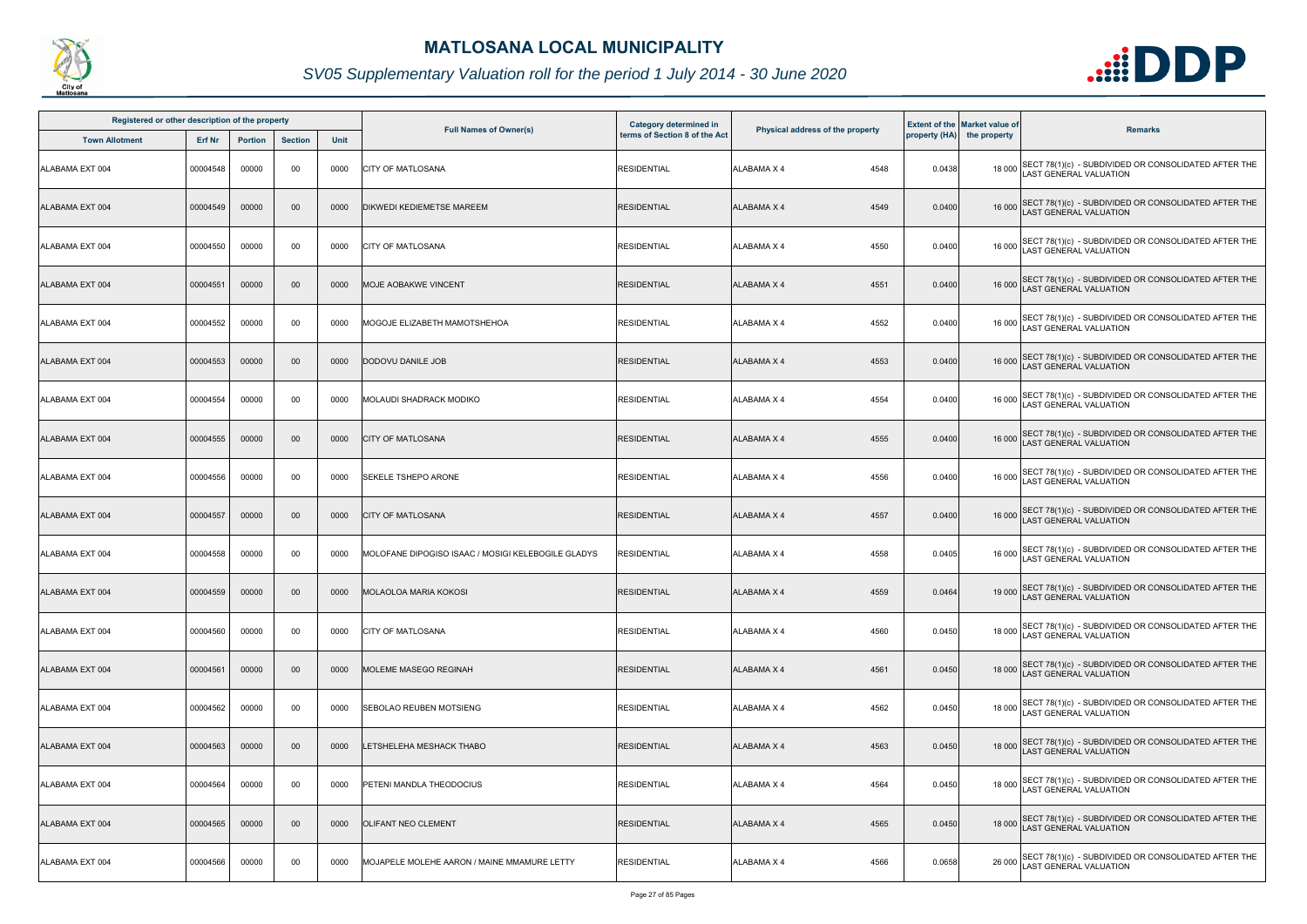

| Registered or other description of the property |          |                |                |      |                                                    | Category determined in        |                                  |        | <b>Extent of the Market value of</b> |                                                                                             |
|-------------------------------------------------|----------|----------------|----------------|------|----------------------------------------------------|-------------------------------|----------------------------------|--------|--------------------------------------|---------------------------------------------------------------------------------------------|
| <b>Town Allotment</b>                           | Erf Nr   | <b>Portion</b> | <b>Section</b> | Unit | <b>Full Names of Owner(s)</b>                      | terms of Section 8 of the Act | Physical address of the property |        | property (HA) the property           | <b>Remarks</b>                                                                              |
| <b>ALABAMA EXT 004</b>                          | 00004548 | 00000          | 00             | 0000 | <b>CITY OF MATLOSANA</b>                           | <b>RESIDENTIAL</b>            | <b>ALABAMA X 4</b><br>4548       | 0.0438 |                                      | 18 000 SECT 78(1)(c) - SUBDIVIDED OR CONSOLIDATED AFTER THE<br>LAST GENERAL VALUATION       |
| ALABAMA EXT 004                                 | 00004549 | 00000          | 00             | 0000 | DIKWEDI KEDIEMETSE MAREEM                          | <b>RESIDENTIAL</b>            | <b>ALABAMA X 4</b><br>4549       | 0.0400 |                                      | 16 000 SECT 78(1)(c) - SUBDIVIDED OR CONSOLIDATED AFTER THE<br>LAST GENERAL VALUATION       |
| ALABAMA EXT 004                                 | 00004550 | 00000          | 00             | 0000 | <b>CITY OF MATLOSANA</b>                           | <b>RESIDENTIAL</b>            | 4550<br><b>ALABAMA X 4</b>       | 0.0400 |                                      | 16 000 SECT 78(1)(c) - SUBDIVIDED OR CONSOLIDATED AFTER THE<br>LAST GENERAL VALUATION       |
| ALABAMA EXT 004                                 | 00004551 | 00000          | 00             | 0000 | <b>MOJE AOBAKWE VINCENT</b>                        | <b>RESIDENTIAL</b>            | 4551<br><b>ALABAMA X 4</b>       | 0.0400 |                                      | 16 000 SECT 78(1)(c) - SUBDIVIDED OR CONSOLIDATED AFTER THE<br>LAST GENERAL VALUATION       |
| ALABAMA EXT 004                                 | 00004552 | 00000          | 00             | 0000 | MOGOJE ELIZABETH MAMOTSHEHOA                       | <b>RESIDENTIAL</b>            | 4552<br><b>ALABAMA X 4</b>       | 0.0400 |                                      | 16 000 SECT 78(1)(c) - SUBDIVIDED OR CONSOLIDATED AFTER THE<br>LAST GENERAL VALUATION       |
| ALABAMA EXT 004                                 | 00004553 | 00000          | 00             | 0000 | DODOVU DANILE JOB                                  | <b>RESIDENTIAL</b>            | <b>ALABAMA X 4</b><br>4553       | 0.0400 |                                      | 16 000 SECT 78(1)(c) - SUBDIVIDED OR CONSOLIDATED AFTER THE<br>LAST GENERAL VALUATION       |
| ALABAMA EXT 004                                 | 00004554 | 00000          | 00             | 0000 | <b>MOLAUDI SHADRACK MODIKO</b>                     | <b>RESIDENTIAL</b>            | <b>ALABAMA X 4</b><br>4554       | 0.0400 |                                      | 16 000 SECT 78(1)(c) - SUBDIVIDED OR CONSOLIDATED AFTER THE<br>LAST GENERAL VALUATION       |
| ALABAMA EXT 004                                 | 00004555 | 00000          | $00\,$         | 0000 | <b>CITY OF MATLOSANA</b>                           | <b>RESIDENTIAL</b>            | <b>ALABAMA X 4</b><br>4555       | 0.0400 |                                      | 16 000 SECT 78(1)(c) - SUBDIVIDED OR CONSOLIDATED AFTER THE<br>LAST GENERAL VALUATION       |
| ALABAMA EXT 004                                 | 00004556 | 00000          | 00             | 0000 | SEKELE TSHEPO ARONE                                | <b>RESIDENTIAL</b>            | ALABAMA X 4<br>4556              | 0.0400 |                                      | 16 000 SECT 78(1)(c) - SUBDIVIDED OR CONSOLIDATED AFTER THE<br>LAST GENERAL VALUATION       |
| ALABAMA EXT 004                                 | 00004557 | 00000          | 00             | 0000 | <b>CITY OF MATLOSANA</b>                           | <b>RESIDENTIAL</b>            | <b>ALABAMA X 4</b><br>4557       | 0.0400 |                                      | 16 000 SECT 78(1)(c) - SUBDIVIDED OR CONSOLIDATED AFTER THE<br>LAST GENERAL VALUATION       |
| ALABAMA EXT 004                                 | 00004558 | 00000          | 00             | 0000 | MOLOFANE DIPOGISO ISAAC / MOSIGI KELEBOGILE GLADYS | <b>RESIDENTIAL</b>            | 4558<br><b>ALABAMA X 4</b>       | 0.0405 |                                      | 16 000 SECT 78(1)(c) - SUBDIVIDED OR CONSOLIDATED AFTER THE<br>LAST GENERAL VALUATION       |
| ALABAMA EXT 004                                 | 00004559 | 00000          | $00\,$         | 0000 | <b>MOLAOLOA MARIA KOKOSI</b>                       | <b>RESIDENTIAL</b>            | <b>ALABAMA X 4</b><br>4559       | 0.0464 |                                      | 19 000 SECT 78(1)(c) - SUBDIVIDED OR CONSOLIDATED AFTER THE<br>LAST GENERAL VALUATION       |
| ALABAMA EXT 004                                 | 00004560 | 00000          | 00             | 0000 | <b>ICITY OF MATLOSANA</b>                          | <b>RESIDENTIAL</b>            | <b>ALABAMA X 4</b><br>4560       | 0.0450 |                                      | 18 000 SECT 78(1)(c) - SUBDIVIDED OR CONSOLIDATED AFTER THE<br>LAST GENERAL VALUATION       |
| ALABAMA EXT 004                                 | 00004561 | 00000          | 00             | 0000 | <b>MOLEME MASEGO REGINAH</b>                       | <b>RESIDENTIAL</b>            | 4561<br><b>ALABAMA X 4</b>       | 0.0450 |                                      | 18 000 SECT 78(1)(c) - SUBDIVIDED OR CONSOLIDATED AFTER THE<br><b>AST GENERAL VALUATION</b> |
| ALABAMA EXT 004                                 | 00004562 | 00000          | 00             | 0000 | SEBOLAO REUBEN MOTSIENG                            | <b>RESIDENTIAL</b>            | ALABAMA X 4<br>4562              | 0.0450 |                                      | 18 000 SECT 78(1)(c) - SUBDIVIDED OR CONSOLIDATED AFTER THE<br>LAST GENERAL VALUATION       |
| ALABAMA EXT 004                                 | 00004563 | 00000          | 00             | 0000 | LETSHELEHA MESHACK THABO                           | <b>RESIDENTIAL</b>            | <b>ALABAMA X 4</b><br>4563       | 0.0450 |                                      | 18 000 SECT 78(1)(c) - SUBDIVIDED OR CONSOLIDATED AFTER THE<br>LAST GENERAL VALUATION       |
| ALABAMA EXT 004                                 | 00004564 | 00000          | 00             | 0000 | PETENI MANDLA THEODOCIUS                           | <b>RESIDENTIAL</b>            | <b>ALABAMA X 4</b><br>4564       | 0.0450 |                                      | 18 000 SECT 78(1)(c) - SUBDIVIDED OR CONSOLIDATED AFTER THE<br>LAST GENERAL VALUATION       |
| ALABAMA EXT 004                                 | 00004565 | 00000          | $00\,$         | 0000 | <b>OLIFANT NEO CLEMENT</b>                         | <b>RESIDENTIAL</b>            | 4565<br><b>ALABAMA X 4</b>       | 0.0450 |                                      | 18 000 SECT 78(1)(c) - SUBDIVIDED OR CONSOLIDATED AFTER THE<br>AST GENERAL VALUATION        |
| ALABAMA EXT 004                                 | 00004566 | 00000          | 00             | 0000 | MOJAPELE MOLEHE AARON / MAINE MMAMURE LETTY        | <b>RESIDENTIAL</b>            | 4566<br>ALABAMA X 4              | 0.0658 |                                      | 26 000 SECT 78(1)(c) - SUBDIVIDED OR CONSOLIDATED AFTER THE<br>LAST GENERAL VALUATION       |

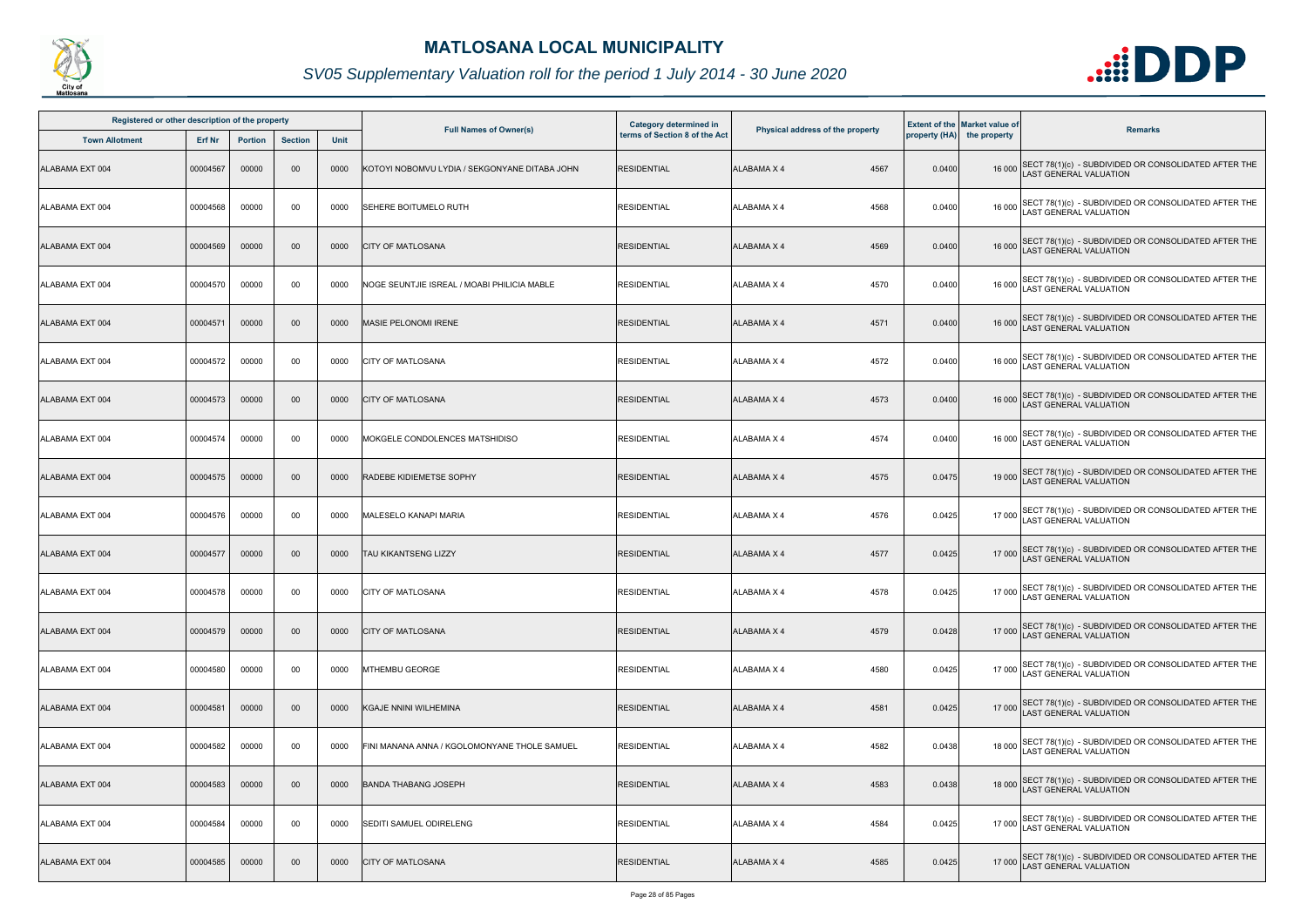

| Registered or other description of the property |               |                |                |             |                                               | <b>Category determined in</b> |                                  |        | <b>Extent of the Market value of</b> |                                                                                              |
|-------------------------------------------------|---------------|----------------|----------------|-------------|-----------------------------------------------|-------------------------------|----------------------------------|--------|--------------------------------------|----------------------------------------------------------------------------------------------|
| <b>Town Allotment</b>                           | <b>Erf Nr</b> | <b>Portion</b> | <b>Section</b> | <b>Unit</b> | <b>Full Names of Owner(s)</b>                 | terms of Section 8 of the Act | Physical address of the property |        | property (HA) the property           | <b>Remarks</b>                                                                               |
| ALABAMA EXT 004                                 | 00004567      | 00000          | $00\,$         | 0000        | KOTOYI NOBOMVU LYDIA / SEKGONYANE DITABA JOHN | <b>RESIDENTIAL</b>            | ALABAMA X 4<br>4567              | 0.0400 |                                      | 16 000 SECT 78(1)(c) - SUBDIVIDED OR CONSOLIDATED AFTER THE<br>LAST GENERAL VALUATION        |
| ALABAMA EXT 004                                 | 00004568      | 00000          | 00             | 0000        | SEHERE BOITUMELO RUTH                         | <b>RESIDENTIAL</b>            | 4568<br>ALABAMA X 4              | 0.0400 |                                      | 16 000 SECT 78(1)(c) - SUBDIVIDED OR CONSOLIDATED AFTER THE<br>LAST GENERAL VALUATION        |
| ALABAMA EXT 004                                 | 00004569      | 00000          | $00\,$         | 0000        | <b>CITY OF MATLOSANA</b>                      | <b>RESIDENTIAL</b>            | 4569<br><b>ALABAMA X 4</b>       | 0.0400 |                                      | 16 000 SECT 78(1)(c) - SUBDIVIDED OR CONSOLIDATED AFTER THE<br>LAST GENERAL VALUATION        |
| ALABAMA EXT 004                                 | 00004570      | 00000          | 00             | 0000        | NOGE SEUNTJIE ISREAL / MOABI PHILICIA MABLE   | <b>RESIDENTIAL</b>            | 4570<br>ALABAMA X 4              | 0.0400 |                                      | 16 000 SECT 78(1)(c) - SUBDIVIDED OR CONSOLIDATED AFTER THE<br>16 000 LAST GENERAL VALUATION |
| ALABAMA EXT 004                                 | 00004571      | 00000          | $00\,$         | 0000        | <b>MASIE PELONOMI IRENE</b>                   | <b>RESIDENTIAL</b>            | <b>ALABAMA X 4</b><br>4571       | 0.0400 |                                      | 16 000 SECT 78(1)(c) - SUBDIVIDED OR CONSOLIDATED AFTER THE<br>LAST GENERAL VALUATION        |
| ALABAMA EXT 004                                 | 00004572      | 00000          | 00             | 0000        | <b>CITY OF MATLOSANA</b>                      | <b>RESIDENTIAL</b>            | 4572<br>ALABAMA X 4              | 0.0400 |                                      | 16 000 SECT 78(1)(c) - SUBDIVIDED OR CONSOLIDATED AFTER THE<br>LAST GENERAL VALUATION        |
| ALABAMA EXT 004                                 | 00004573      | 00000          | $00\,$         | 0000        | <b>CITY OF MATLOSANA</b>                      | <b>RESIDENTIAL</b>            | <b>ALABAMA X 4</b><br>4573       | 0.0400 |                                      | 16 000 SECT 78(1)(c) - SUBDIVIDED OR CONSOLIDATED AFTER THE<br>LAST GENERAL VALUATION        |
| ALABAMA EXT 004                                 | 00004574      | 00000          | 00             | 0000        | MOKGELE CONDOLENCES MATSHIDISO                | <b>RESIDENTIAL</b>            | 4574<br>ALABAMA X 4              | 0.0400 |                                      | 16 000 SECT 78(1)(c) - SUBDIVIDED OR CONSOLIDATED AFTER THE<br>LAST GENERAL VALUATION        |
| ALABAMA EXT 004                                 | 00004575      | 00000          | $00\,$         | 0000        | <b>RADEBE KIDIEMETSE SOPHY</b>                | <b>RESIDENTIAL</b>            | 4575<br>ALABAMA X 4              | 0.0475 |                                      | 19 000 SECT 78(1)(c) - SUBDIVIDED OR CONSOLIDATED AFTER THE<br>LAST GENERAL VALUATION        |
| ALABAMA EXT 004                                 | 00004576      | 00000          | 00             | 0000        | MALESELO KANAPI MARIA                         | <b>RESIDENTIAL</b>            | <b>ALABAMA X 4</b><br>4576       | 0.0425 |                                      | 17 000 SECT 78(1)(c) - SUBDIVIDED OR CONSOLIDATED AFTER THE<br>LAST GENERAL VALUATION        |
| ALABAMA EXT 004                                 | 00004577      | 00000          | $00\,$         | 0000        | <b>TAU KIKANTSENG LIZZY</b>                   | <b>RESIDENTIAL</b>            | <b>ALABAMA X 4</b><br>4577       | 0.0425 |                                      | 17 000 SECT 78(1)(c) - SUBDIVIDED OR CONSOLIDATED AFTER THE<br>LAST GENERAL VALUATION        |
| ALABAMA EXT 004                                 | 00004578      | 00000          | 00             | 0000        | <b>CITY OF MATLOSANA</b>                      | <b>RESIDENTIAL</b>            | ALABAMA X 4<br>4578              | 0.0425 |                                      | 17 000 SECT 78(1)(c) - SUBDIVIDED OR CONSOLIDATED AFTER THE<br>LAST GENERAL VALUATION        |
| ALABAMA EXT 004                                 | 00004579      | 00000          | $00\,$         | 0000        | <b>CITY OF MATLOSANA</b>                      | <b>RESIDENTIAL</b>            | 4579<br>ALABAMA X 4              | 0.0428 |                                      | 17 000 SECT 78(1)(c) - SUBDIVIDED OR CONSOLIDATED AFTER THE<br><b>LAST GENERAL VALUATION</b> |
| ALABAMA EXT 004                                 | 00004580      | 00000          | 00             | 0000        | <b>MTHEMBU GEORGE</b>                         | <b>RESIDENTIAL</b>            | 4580<br>ALABAMA X 4              | 0.0425 |                                      | 17 000 SECT 78(1)(c) - SUBDIVIDED OR CONSOLIDATED AFTER THE<br>LAST GENERAL VALUATION        |
| ALABAMA EXT 004                                 | 00004581      | 00000          | $00\,$         | 0000        | <b>KGAJE NNINI WILHEMINA</b>                  | <b>RESIDENTIAL</b>            | ALABAMA X 4<br>4581              | 0.0425 |                                      | 17 000 SECT 78(1)(c) - SUBDIVIDED OR CONSOLIDATED AFTER THE<br>LAST GENERAL VALUATION        |
| ALABAMA EXT 004                                 | 00004582      | 00000          | 00             | 0000        | FINI MANANA ANNA / KGOLOMONYANE THOLE SAMUEL  | <b>RESIDENTIAL</b>            | 4582<br>ALABAMA X 4              | 0.0438 |                                      | 18 000 SECT 78(1)(c) - SUBDIVIDED OR CONSOLIDATED AFTER THE<br>LAST GENERAL VALUATION        |
| ALABAMA EXT 004                                 | 00004583      | 00000          | $00\,$         | 0000        | <b>BANDA THABANG JOSEPH</b>                   | <b>RESIDENTIAL</b>            | <b>ALABAMA X 4</b><br>4583       | 0.0438 |                                      | 18 000 SECT 78(1)(c) - SUBDIVIDED OR CONSOLIDATED AFTER THE<br>LAST GENERAL VALUATION        |
| ALABAMA EXT 004                                 | 00004584      | 00000          | 00             | 0000        | SEDITI SAMUEL ODIRELENG                       | <b>RESIDENTIAL</b>            | <b>ALABAMA X 4</b><br>4584       | 0.0425 |                                      | 17 000 SECT 78(1)(c) - SUBDIVIDED OR CONSOLIDATED AFTER THE<br>LAST GENERAL VALUATION        |
| ALABAMA EXT 004                                 | 00004585      | 00000          | $00\,$         | 0000        | <b>CITY OF MATLOSANA</b>                      | <b>RESIDENTIAL</b>            | 4585<br>ALABAMA X 4              | 0.0425 | 17 000                               | SECT 78(1)(c) - SUBDIVIDED OR CONSOLIDATED AFTER THE<br>LAST GENERAL VALUATION               |

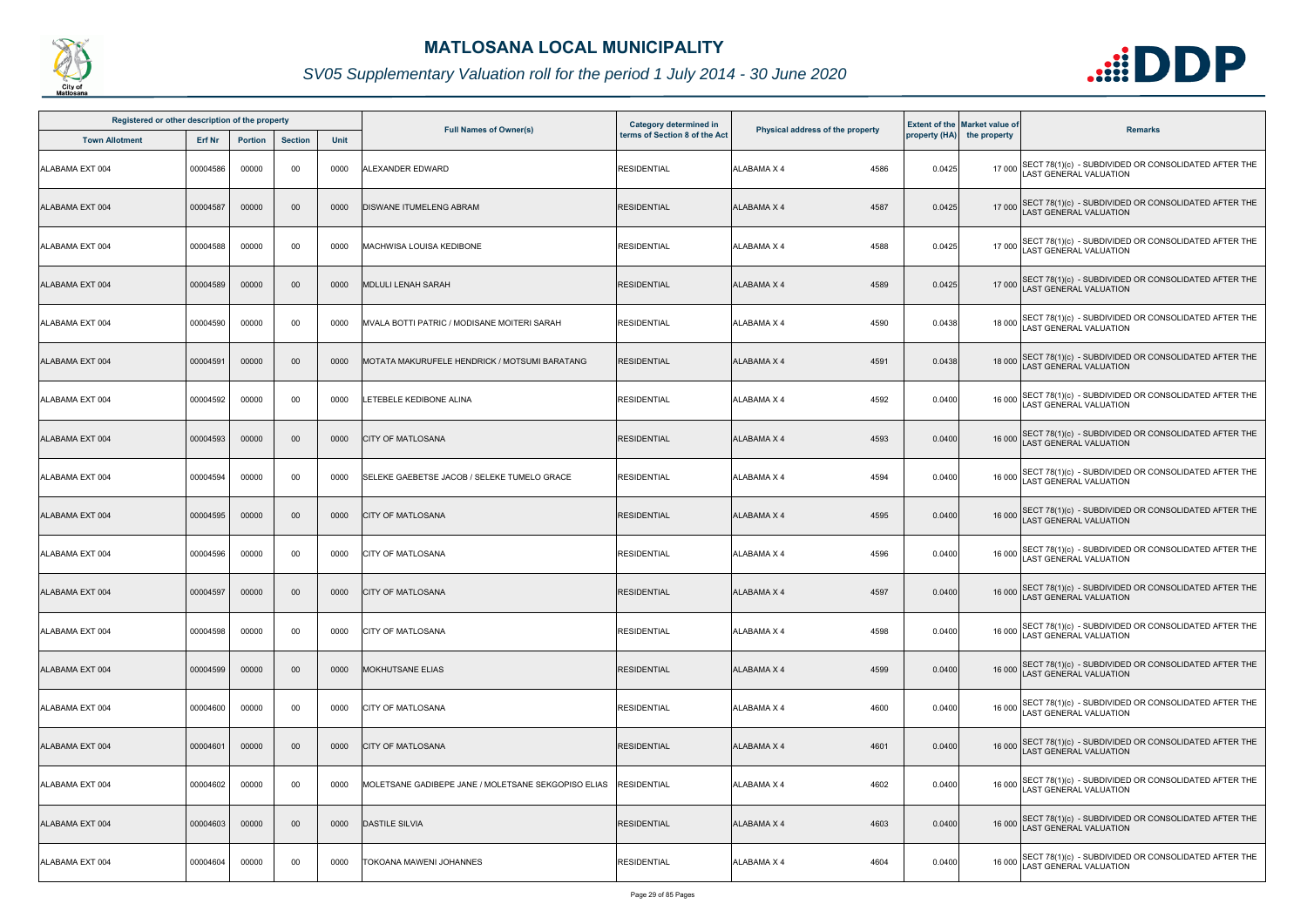

| Registered or other description of the property |          |                |                |      |                                                     |                                                         |                                  |        |                                                                    |                                                                                              |
|-------------------------------------------------|----------|----------------|----------------|------|-----------------------------------------------------|---------------------------------------------------------|----------------------------------|--------|--------------------------------------------------------------------|----------------------------------------------------------------------------------------------|
| <b>Town Allotment</b>                           | Erf Nr   | <b>Portion</b> | <b>Section</b> | Unit | <b>Full Names of Owner(s)</b>                       | Category determined in<br>terms of Section 8 of the Act | Physical address of the property |        | <b>Extent of the Market value of</b><br>property (HA) the property | <b>Remarks</b>                                                                               |
| ALABAMA EXT 004                                 | 00004586 | 00000          | 00             | 0000 | ALEXANDER EDWARD                                    | <b>RESIDENTIAL</b>                                      | 4586<br>ALABAMA X 4              | 0.0425 | 17 000                                                             | SECT 78(1)(c) - SUBDIVIDED OR CONSOLIDATED AFTER THE<br>LAST GENERAL VALUATION               |
| ALABAMA EXT 004                                 | 00004587 | 00000          | 00             | 0000 | <b>DISWANE ITUMELENG ABRAM</b>                      | <b>RESIDENTIAL</b>                                      | <b>ALABAMA X 4</b><br>4587       | 0.0425 |                                                                    | 17 000 SECT 78(1)(c) - SUBDIVIDED OR CONSOLIDATED AFTER THE<br>LAST GENERAL VALUATION        |
| ALABAMA EXT 004                                 | 00004588 | 00000          | 00             | 0000 | MACHWISA LOUISA KEDIBONE                            | <b>RESIDENTIAL</b>                                      | 4588<br>ALABAMA X 4              | 0.0425 |                                                                    | 17 000 SECT 78(1)(c) - SUBDIVIDED OR CONSOLIDATED AFTER THE<br>LAST GENERAL VALUATION        |
| ALABAMA EXT 004                                 | 00004589 | 00000          | 00             | 0000 | <b>MDLULI LENAH SARAH</b>                           | <b>RESIDENTIAL</b>                                      | 4589<br><b>ALABAMA X 4</b>       | 0.0425 |                                                                    | 17 000 SECT 78(1)(c) - SUBDIVIDED OR CONSOLIDATED AFTER THE<br>LAST GENERAL VALUATION        |
| ALABAMA EXT 004                                 | 00004590 | 00000          | 00             | 0000 | MVALA BOTTI PATRIC / MODISANE MOITERI SARAH         | <b>RESIDENTIAL</b>                                      | 4590<br>ALABAMA X 4              | 0.0438 |                                                                    | 18 000 SECT 78(1)(c) - SUBDIVIDED OR CONSOLIDATED AFTER THE<br>LAST GENERAL VALUATION        |
| ALABAMA EXT 004                                 | 00004591 | 00000          | 00             | 0000 | MOTATA MAKURUFELE HENDRICK / MOTSUMI BARATANG       | <b>RESIDENTIAL</b>                                      | <b>ALABAMA X 4</b><br>4591       | 0.0438 |                                                                    | 18 000 SECT 78(1)(c) - SUBDIVIDED OR CONSOLIDATED AFTER THE<br>AST GENERAL VALUATION         |
| ALABAMA EXT 004                                 | 00004592 | 00000          | 00             | 0000 | LETEBELE KEDIBONE ALINA                             | <b>RESIDENTIAL</b>                                      | ALABAMA X 4<br>4592              | 0.0400 | 16 000                                                             | SECT 78(1)(c) - SUBDIVIDED OR CONSOLIDATED AFTER THE<br>LAST GENERAL VALUATION               |
| ALABAMA EXT 004                                 | 00004593 | 00000          | 00             | 0000 | <b>CITY OF MATLOSANA</b>                            | <b>RESIDENTIAL</b>                                      | 4593<br><b>ALABAMA X 4</b>       | 0.0400 |                                                                    | 16 000 SECT 78(1)(c) - SUBDIVIDED OR CONSOLIDATED AFTER THE<br>LAST GENERAL VALUATION        |
| ALABAMA EXT 004                                 | 00004594 | 00000          | 00             | 0000 | SELEKE GAEBETSE JACOB / SELEKE TUMELO GRACE         | <b>RESIDENTIAL</b>                                      | <b>ALABAMA X 4</b><br>4594       | 0.0400 |                                                                    | 16 000 SECT 78(1)(c) - SUBDIVIDED OR CONSOLIDATED AFTER THE<br>LAST GENERAL VALUATION        |
| ALABAMA EXT 004                                 | 00004595 | 00000          | 00             | 0000 | <b>CITY OF MATLOSANA</b>                            | <b>RESIDENTIAL</b>                                      | <b>ALABAMA X 4</b><br>4595       | 0.0400 |                                                                    | 16 000 SECT 78(1)(c) - SUBDIVIDED OR CONSOLIDATED AFTER THE<br>LAST GENERAL VALUATION        |
| ALABAMA EXT 004                                 | 00004596 | 00000          | 00             | 0000 | <b>CITY OF MATLOSANA</b>                            | <b>RESIDENTIAL</b>                                      | 4596<br><b>ALABAMA X 4</b>       | 0.0400 |                                                                    | 16 000 SECT 78(1)(c) - SUBDIVIDED OR CONSOLIDATED AFTER THE<br>LAST GENERAL VALUATION        |
| ALABAMA EXT 004                                 | 00004597 | 00000          | $00\,$         | 0000 | <b>CITY OF MATLOSANA</b>                            | <b>RESIDENTIAL</b>                                      | <b>ALABAMA X 4</b><br>4597       | 0.0400 |                                                                    | 16 000 SECT 78(1)(c) - SUBDIVIDED OR CONSOLIDATED AFTER THE<br>LAST GENERAL VALUATION        |
| ALABAMA EXT 004                                 | 00004598 | 00000          | 00             | 0000 | <b>CITY OF MATLOSANA</b>                            | <b>RESIDENTIAL</b>                                      | 4598<br>ALABAMA X 4              | 0.0400 |                                                                    | 16 000 SECT 78(1)(c) - SUBDIVIDED OR CONSOLIDATED AFTER THE<br><b>AST GENERAL VALUATION</b>  |
| ALABAMA EXT 004                                 | 00004599 | 00000          | $00\,$         | 0000 | MOKHUTSANE ELIAS                                    | <b>RESIDENTIAL</b>                                      | <b>ALABAMA X 4</b><br>4599       | 0.0400 | 16 000                                                             | SECT 78(1)(c) - SUBDIVIDED OR CONSOLIDATED AFTER THE<br><b>AST GENERAL VALUATION</b>         |
| ALABAMA EXT 004                                 | 00004600 | 00000          | 00             | 0000 | <b>CITY OF MATLOSANA</b>                            | <b>RESIDENTIAL</b>                                      | ALABAMA X 4<br>4600              | 0.0400 |                                                                    | 16 000 SECT 78(1)(c) - SUBDIVIDED OR CONSOLIDATED AFTER THE<br>LAST GENERAL VALUATION        |
| ALABAMA EXT 004                                 | 00004601 | 00000          | $00\,$         | 0000 | <b>CITY OF MATLOSANA</b>                            | <b>RESIDENTIAL</b>                                      | <b>ALABAMA X 4</b><br>4601       | 0.0400 |                                                                    | 16 000 SECT 78(1)(c) - SUBDIVIDED OR CONSOLIDATED AFTER THE<br>LAST GENERAL VALUATION        |
| ALABAMA EXT 004                                 | 00004602 | 00000          | 00             | 0000 | MOLETSANE GADIBEPE JANE / MOLETSANE SEKGOPISO ELIAS | <b>RESIDENTIAL</b>                                      | 4602<br>ALABAMA X 4              | 0.0400 |                                                                    | 16 000 SECT 78(1)(c) - SUBDIVIDED OR CONSOLIDATED AFTER THE<br><b>LAST GENERAL VALUATION</b> |
| ALABAMA EXT 004                                 | 00004603 | 00000          | 00             | 0000 | <b>DASTILE SILVIA</b>                               | <b>RESIDENTIAL</b>                                      | 4603<br>ALABAMA X 4              | 0.0400 |                                                                    | 16 000 SECT 78(1)(c) - SUBDIVIDED OR CONSOLIDATED AFTER THE<br>LAST GENERAL VALUATION        |
| ALABAMA EXT 004                                 | 00004604 | 00000          | 00             | 0000 | TOKOANA MAWENI JOHANNES                             | <b>RESIDENTIAL</b>                                      | ALABAMA X 4<br>4604              | 0.0400 |                                                                    | 16 000 SECT 78(1)(c) - SUBDIVIDED OR CONSOLIDATED AFTER THE<br>LAST GENERAL VALUATION        |

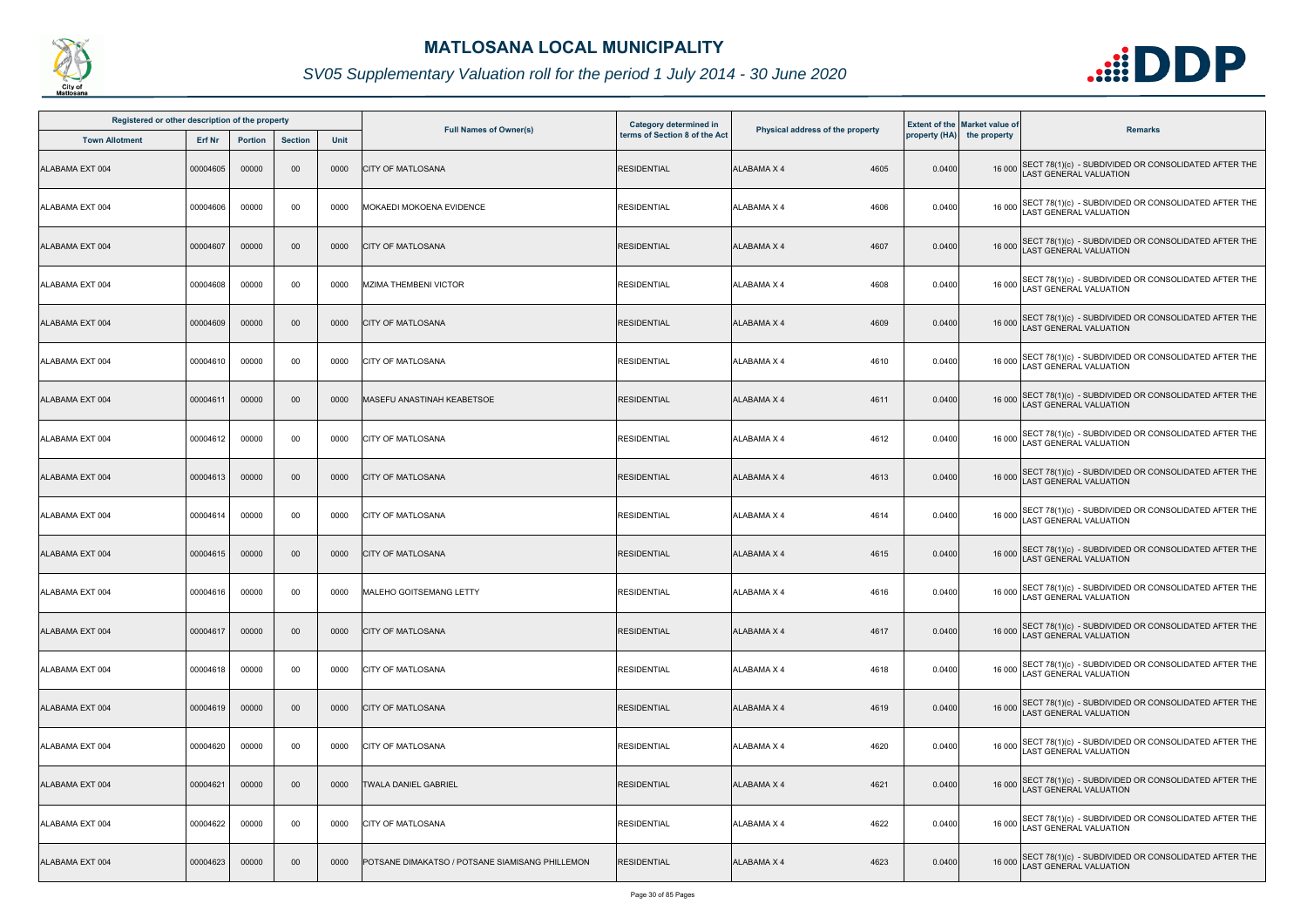

| Registered or other description of the property |          |                |                |      |                                                 | Category determined in        |                                  |        | <b>Extent of the Market value of</b> |                                                                                              |
|-------------------------------------------------|----------|----------------|----------------|------|-------------------------------------------------|-------------------------------|----------------------------------|--------|--------------------------------------|----------------------------------------------------------------------------------------------|
| <b>Town Allotment</b>                           | Erf Nr   | <b>Portion</b> | <b>Section</b> | Unit | <b>Full Names of Owner(s)</b>                   | terms of Section 8 of the Act | Physical address of the property |        | property (HA) the property           | <b>Remarks</b>                                                                               |
| ALABAMA EXT 004                                 | 00004605 | 00000          | 00             | 0000 | <b>CITY OF MATLOSANA</b>                        | <b>RESIDENTIAL</b>            | <b>ALABAMA X 4</b><br>4605       | 0.0400 |                                      | 16 000 SECT 78(1)(c) - SUBDIVIDED OR CONSOLIDATED AFTER THE<br>LAST GENERAL VALUATION        |
| ALABAMA EXT 004                                 | 00004606 | 00000          | 00             | 0000 | MOKAEDI MOKOENA EVIDENCE                        | <b>RESIDENTIAL</b>            | ALABAMA X 4<br>4606              | 0.0400 | 16 000                               | SECT 78(1)(c) - SUBDIVIDED OR CONSOLIDATED AFTER THE<br>LAST GENERAL VALUATION               |
| ALABAMA EXT 004                                 | 00004607 | 00000          | $00\,$         | 0000 | <b>CITY OF MATLOSANA</b>                        | <b>RESIDENTIAL</b>            | <b>ALABAMA X 4</b><br>4607       | 0.0400 |                                      | 16 000 SECT 78(1)(c) - SUBDIVIDED OR CONSOLIDATED AFTER THE<br>LAST GENERAL VALUATION        |
| ALABAMA EXT 004                                 | 00004608 | 00000          | 00             | 0000 | <b>MZIMA THEMBENI VICTOR</b>                    | <b>RESIDENTIAL</b>            | 4608<br>ALABAMA X 4              | 0.0400 |                                      | 16 000 SECT 78(1)(c) - SUBDIVIDED OR CONSOLIDATED AFTER THE<br>LAST GENERAL VALUATION        |
| ALABAMA EXT 004                                 | 00004609 | 00000          | 00             | 0000 | <b>CITY OF MATLOSANA</b>                        | <b>RESIDENTIAL</b>            | <b>ALABAMA X 4</b><br>4609       | 0.0400 |                                      | 16 000 SECT 78(1)(c) - SUBDIVIDED OR CONSOLIDATED AFTER THE<br>LAST GENERAL VALUATION        |
| ALABAMA EXT 004                                 | 00004610 | 00000          | 00             | 0000 | <b>CITY OF MATLOSANA</b>                        | <b>RESIDENTIAL</b>            | <b>ALABAMA X 4</b><br>4610       | 0.0400 |                                      | 16 000 SECT 78(1)(c) - SUBDIVIDED OR CONSOLIDATED AFTER THE<br>LAST GENERAL VALUATION        |
| ALABAMA EXT 004                                 | 00004611 | 00000          | 00             | 0000 | <b>MASEFU ANASTINAH KEABETSOE</b>               | <b>RESIDENTIAL</b>            | 4611<br><b>ALABAMA X 4</b>       | 0.0400 |                                      | 16 000 SECT 78(1)(c) - SUBDIVIDED OR CONSOLIDATED AFTER THE<br>LAST GENERAL VALUATION        |
| ALABAMA EXT 004                                 | 00004612 | 00000          | 00             | 0000 | <b>CITY OF MATLOSANA</b>                        | <b>RESIDENTIAL</b>            | <b>ALABAMA X 4</b><br>4612       | 0.0400 | 16 000                               | SECT 78(1)(c) - SUBDIVIDED OR CONSOLIDATED AFTER THE<br>AST GENERAL VALUATION                |
| ALABAMA EXT 004                                 | 00004613 | 00000          | $00\,$         | 0000 | <b>CITY OF MATLOSANA</b>                        | <b>RESIDENTIAL</b>            | <b>ALABAMA X 4</b><br>4613       | 0.0400 |                                      | 16 000 SECT 78(1)(c) - SUBDIVIDED OR CONSOLIDATED AFTER THE<br>LAST GENERAL VALUATION        |
| ALABAMA EXT 004                                 | 00004614 | 00000          | 00             | 0000 | <b>CITY OF MATLOSANA</b>                        | <b>RESIDENTIAL</b>            | <b>ALABAMA X 4</b><br>4614       | 0.0400 |                                      | 16 000 SECT 78(1)(c) - SUBDIVIDED OR CONSOLIDATED AFTER THE<br>LAST GENERAL VALUATION        |
| ALABAMA EXT 004                                 | 00004615 | 00000          | 00             | 0000 | <b>CITY OF MATLOSANA</b>                        | <b>RESIDENTIAL</b>            | <b>ALABAMA X 4</b><br>4615       | 0.0400 |                                      | 16 000 SECT 78(1)(c) - SUBDIVIDED OR CONSOLIDATED AFTER THE<br>LAST GENERAL VALUATION        |
| ALABAMA EXT 004                                 | 00004616 | 00000          | 00             | 0000 | MALEHO GOITSEMANG LETTY                         | <b>RESIDENTIAL</b>            | ALABAMA X 4<br>4616              | 0.0400 |                                      | 16 000 SECT 78(1)(c) - SUBDIVIDED OR CONSOLIDATED AFTER THE<br>16 000 LAST GENERAL VALUATION |
| ALABAMA EXT 004                                 | 00004617 | 00000          | $00\,$         | 0000 | <b>CITY OF MATLOSANA</b>                        | <b>RESIDENTIAL</b>            | <b>ALABAMA X 4</b><br>4617       | 0.0400 |                                      | 16 000 SECT 78(1)(c) - SUBDIVIDED OR CONSOLIDATED AFTER THE<br>LAST GENERAL VALUATION        |
| ALABAMA EXT 004                                 | 00004618 | 00000          | 00             | 0000 | <b>CITY OF MATLOSANA</b>                        | <b>RESIDENTIAL</b>            | <b>ALABAMA X 4</b><br>4618       | 0.0400 | 16 000                               | SECT 78(1)(c) - SUBDIVIDED OR CONSOLIDATED AFTER THE<br><b>AST GENERAL VALUATION</b>         |
| ALABAMA EXT 004                                 | 00004619 | 00000          | $00\,$         | 0000 | <b>CITY OF MATLOSANA</b>                        | <b>RESIDENTIAL</b>            | 4619<br><b>ALABAMA X 4</b>       | 0.0400 | 16 000                               | SECT 78(1)(c) - SUBDIVIDED OR CONSOLIDATED AFTER THE LAST GENERAL VALUATION                  |
| ALABAMA EXT 004                                 | 00004620 | 00000          | 00             | 0000 | <b>CITY OF MATLOSANA</b>                        | <b>RESIDENTIAL</b>            | ALABAMA X 4<br>4620              | 0.0400 | 16 000                               | SECT 78(1)(c) - SUBDIVIDED OR CONSOLIDATED AFTER THE<br>LAST GENERAL VALUATION               |
| ALABAMA EXT 004                                 | 00004621 | 00000          | $00\,$         | 0000 | TWALA DANIEL GABRIEL                            | <b>RESIDENTIAL</b>            | <b>ALABAMA X 4</b><br>4621       | 0.0400 |                                      | 16 000 SECT 78(1)(c) - SUBDIVIDED OR CONSOLIDATED AFTER THE<br>LAST GENERAL VALUATION        |
| ALABAMA EXT 004                                 | 00004622 | 00000          | 00             | 0000 | <b>CITY OF MATLOSANA</b>                        | <b>RESIDENTIAL</b>            | 4622<br>ALABAMA X 4              | 0.0400 |                                      | 16 000 SECT 78(1)(c) - SUBDIVIDED OR CONSOLIDATED AFTER THE<br>LAST GENERAL VALUATION        |
| ALABAMA EXT 004                                 | 00004623 | 00000          | 00             | 0000 | POTSANE DIMAKATSO / POTSANE SIAMISANG PHILLEMON | <b>RESIDENTIAL</b>            | ALABAMA X 4<br>4623              | 0.0400 |                                      | 16 000 SECT 78(1)(c) - SUBDIVIDED OR CONSOLIDATED AFTER THE<br>AST GENERAL VALUATION         |

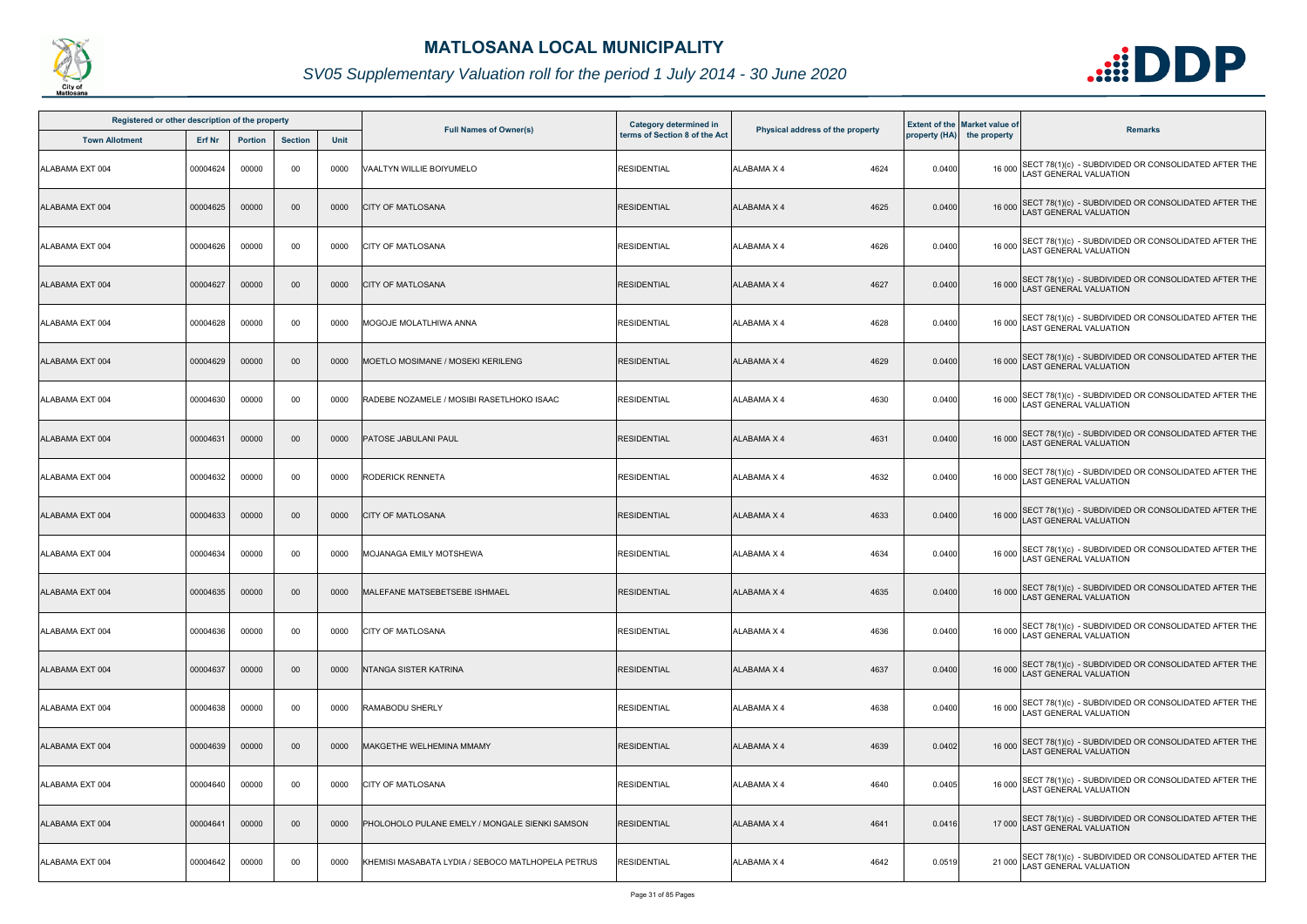

| Registered or other description of the property |               |                |                |             |                                                   | <b>Category determined in</b> |                                  |        | <b>Extent of the Market value of</b> |                                                                                              |
|-------------------------------------------------|---------------|----------------|----------------|-------------|---------------------------------------------------|-------------------------------|----------------------------------|--------|--------------------------------------|----------------------------------------------------------------------------------------------|
| <b>Town Allotment</b>                           | <b>Erf Nr</b> | <b>Portion</b> | <b>Section</b> | <b>Unit</b> | <b>Full Names of Owner(s)</b>                     | terms of Section 8 of the Act | Physical address of the property |        | property (HA) the property           | <b>Remarks</b>                                                                               |
| ALABAMA EXT 004                                 | 00004624      | 00000          | 00             | 0000        | VAALTYN WILLIE BOIYUMELO                          | <b>RESIDENTIAL</b>            | ALABAMA X 4<br>4624              | 0.0400 |                                      | 16 000 SECT 78(1)(c) - SUBDIVIDED OR CONSOLIDATED AFTER THE<br>LAST GENERAL VALUATION        |
| ALABAMA EXT 004                                 | 00004625      | 00000          | $00\,$         | 0000        | <b>CITY OF MATLOSANA</b>                          | <b>RESIDENTIAL</b>            | ALABAMA X 4<br>4625              | 0.0400 |                                      | 16 000 SECT 78(1)(c) - SUBDIVIDED OR CONSOLIDATED AFTER THE<br>LAST GENERAL VALUATION        |
| ALABAMA EXT 004                                 | 00004626      | 00000          | 00             | 0000        | <b>CITY OF MATLOSANA</b>                          | <b>RESIDENTIAL</b>            | 4626<br>ALABAMA X 4              | 0.0400 |                                      | 16 000 SECT 78(1)(c) - SUBDIVIDED OR CONSOLIDATED AFTER THE<br>LAST GENERAL VALUATION        |
| ALABAMA EXT 004                                 | 00004627      | 00000          | $00\,$         | 0000        | <b>CITY OF MATLOSANA</b>                          | <b>RESIDENTIAL</b>            | 4627<br><b>ALABAMA X 4</b>       | 0.0400 |                                      | 16 000 SECT 78(1)(c) - SUBDIVIDED OR CONSOLIDATED AFTER THE<br>16 000 LAST GENERAL VALUATION |
| ALABAMA EXT 004                                 | 00004628      | 00000          | 00             | 0000        | MOGOJE MOLATLHIWA ANNA                            | <b>RESIDENTIAL</b>            | 4628<br>ALABAMA X 4              | 0.0400 |                                      | 16 000 SECT 78(1)(c) - SUBDIVIDED OR CONSOLIDATED AFTER THE<br>LAST GENERAL VALUATION        |
| ALABAMA EXT 004                                 | 00004629      | 00000          | $00\,$         | 0000        | MOETLO MOSIMANE / MOSEKI KERILENG                 | <b>RESIDENTIAL</b>            | 4629<br>ALABAMA X 4              | 0.0400 |                                      | 16 000 SECT 78(1)(c) - SUBDIVIDED OR CONSOLIDATED AFTER THE<br>LAST GENERAL VALUATION        |
| ALABAMA EXT 004                                 | 00004630      | 00000          | 00             | 0000        | RADEBE NOZAMELE / MOSIBI RASETLHOKO ISAAC         | <b>RESIDENTIAL</b>            | ALABAMA X 4<br>4630              | 0.0400 |                                      | 16 000 SECT 78(1)(c) - SUBDIVIDED OR CONSOLIDATED AFTER THE<br>LAST GENERAL VALUATION        |
| ALABAMA EXT 004                                 | 00004631      | 00000          | $00\,$         | 0000        | PATOSE JABULANI PAUL                              | <b>RESIDENTIAL</b>            | <b>ALABAMA X 4</b><br>4631       | 0.0400 |                                      | 16 000 SECT 78(1)(c) - SUBDIVIDED OR CONSOLIDATED AFTER THE<br>LAST GENERAL VALUATION        |
| ALABAMA EXT 004                                 | 00004632      | 00000          | 00             | 0000        | <b>RODERICK RENNETA</b>                           | <b>RESIDENTIAL</b>            | 4632<br>ALABAMA X 4              | 0.0400 |                                      | 16 000 SECT 78(1)(c) - SUBDIVIDED OR CONSOLIDATED AFTER THE<br>LAST GENERAL VALUATION        |
| ALABAMA EXT 004                                 | 00004633      | 00000          | $00\,$         | 0000        | <b>CITY OF MATLOSANA</b>                          | <b>RESIDENTIAL</b>            | <b>ALABAMA X 4</b><br>4633       | 0.0400 |                                      | 16 000 SECT 78(1)(c) - SUBDIVIDED OR CONSOLIDATED AFTER THE<br>LAST GENERAL VALUATION        |
| ALABAMA EXT 004                                 | 00004634      | 00000          | 00             | 0000        | <b>MOJANAGA EMILY MOTSHEWA</b>                    | <b>RESIDENTIAL</b>            | ALABAMA X 4<br>4634              | 0.0400 |                                      | 16 000 SECT 78(1)(c) - SUBDIVIDED OR CONSOLIDATED AFTER THE<br>LAST GENERAL VALUATION        |
| ALABAMA EXT 004                                 | 00004635      | 00000          | $00\,$         | 0000        | MALEFANE MATSEBETSEBE ISHMAEL                     | <b>RESIDENTIAL</b>            | ALABAMA X 4<br>4635              | 0.0400 |                                      | 16 000 SECT 78(1)(c) - SUBDIVIDED OR CONSOLIDATED AFTER THE<br>LAST GENERAL VALUATION        |
| ALABAMA EXT 004                                 | 00004636      | 00000          | 00             | 0000        | <b>CITY OF MATLOSANA</b>                          | <b>RESIDENTIAL</b>            | 4636<br>ALABAMA X 4              | 0.0400 |                                      | 16 000 SECT 78(1)(c) - SUBDIVIDED OR CONSOLIDATED AFTER THE<br>LAST GENERAL VALUATION        |
| ALABAMA EXT 004                                 | 00004637      | 00000          | $00\,$         | 0000        | NTANGA SISTER KATRINA                             | <b>RESIDENTIAL</b>            | ALABAMA X 4<br>4637              | 0.0400 |                                      | 16 000 SECT 78(1)(c) - SUBDIVIDED OR CONSOLIDATED AFTER THE<br>LAST GENERAL VALUATION        |
| ALABAMA EXT 004                                 | 00004638      | 00000          | 00             | 0000        | RAMABODU SHERLY                                   | <b>RESIDENTIAL</b>            | 4638<br>ALABAMA X 4              | 0.0400 |                                      | 16 000 SECT 78(1)(c) - SUBDIVIDED OR CONSOLIDATED AFTER THE<br><b>LAST GENERAL VALUATION</b> |
| ALABAMA EXT 004                                 | 00004639      | 00000          | $00\,$         | 0000        | <b>MAKGETHE WELHEMINA MMAMY</b>                   | <b>RESIDENTIAL</b>            | ALABAMA X 4<br>4639              | 0.0402 |                                      | 16 000 SECT 78(1)(c) - SUBDIVIDED OR CONSOLIDATED AFTER THE<br>LAST GENERAL VALUATION        |
| ALABAMA EXT 004                                 | 00004640      | 00000          | 00             | 0000        | <b>CITY OF MATLOSANA</b>                          | <b>RESIDENTIAL</b>            | ALABAMA X 4<br>4640              | 0.0405 |                                      | 16 000 SECT 78(1)(c) - SUBDIVIDED OR CONSOLIDATED AFTER THE<br>LAST GENERAL VALUATION        |
| ALABAMA EXT 004                                 | 00004641      | 00000          | $00\,$         | 0000        | PHOLOHOLO PULANE EMELY / MONGALE SIENKI SAMSON    | <b>RESIDENTIAL</b>            | 4641<br><b>ALABAMA X 4</b>       | 0.0416 |                                      | 17 000 SECT 78(1)(c) - SUBDIVIDED OR CONSOLIDATED AFTER THE<br>LAST GENERAL VALUATION        |
| ALABAMA EXT 004                                 | 00004642      | 00000          | 00             | 0000        | KHEMISI MASABATA LYDIA / SEBOCO MATLHOPELA PETRUS | <b>RESIDENTIAL</b>            | 4642<br>ALABAMA X 4              | 0.0519 | 21 000                               | SECT 78(1)(c) - SUBDIVIDED OR CONSOLIDATED AFTER THE<br>LAST GENERAL VALUATION               |

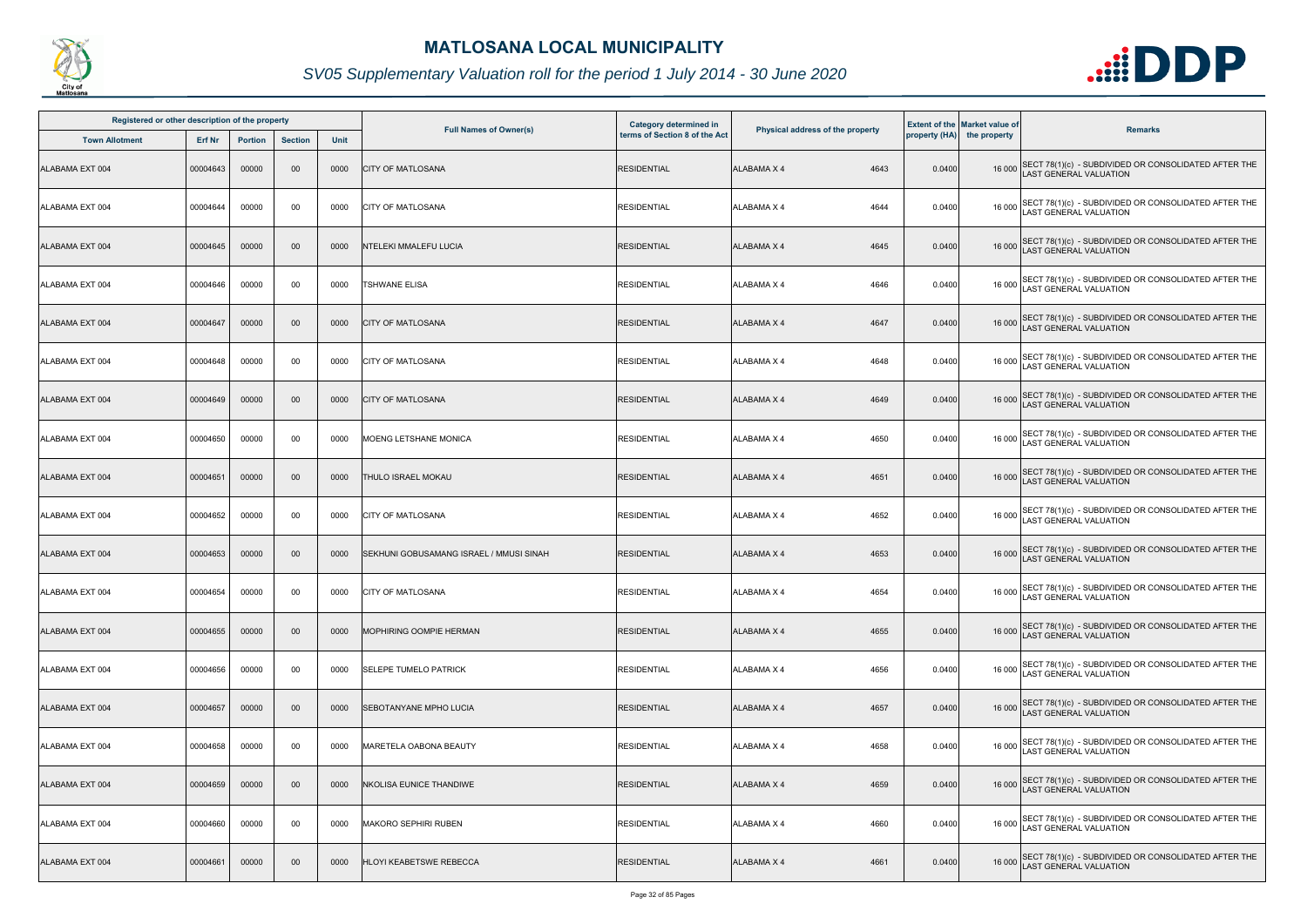

| Registered or other description of the property |          |                |                |      |                                         | Category determined in        |                                  |        | <b>Extent of the Market value of</b> |                                                                                              |
|-------------------------------------------------|----------|----------------|----------------|------|-----------------------------------------|-------------------------------|----------------------------------|--------|--------------------------------------|----------------------------------------------------------------------------------------------|
| <b>Town Allotment</b>                           | Erf Nr   | <b>Portion</b> | <b>Section</b> | Unit | <b>Full Names of Owner(s)</b>           | terms of Section 8 of the Act | Physical address of the property |        | property (HA) the property           | <b>Remarks</b>                                                                               |
| ALABAMA EXT 004                                 | 00004643 | 00000          | 00             | 0000 | <b>CITY OF MATLOSANA</b>                | <b>RESIDENTIAL</b>            | <b>ALABAMA X 4</b><br>4643       | 0.0400 |                                      | 16 000 SECT 78(1)(c) - SUBDIVIDED OR CONSOLIDATED AFTER THE<br>LAST GENERAL VALUATION        |
| ALABAMA EXT 004                                 | 00004644 | 00000          | 00             | 0000 | <b>CITY OF MATLOSANA</b>                | <b>RESIDENTIAL</b>            | ALABAMA X 4<br>4644              | 0.0400 | 16 000                               | SECT 78(1)(c) - SUBDIVIDED OR CONSOLIDATED AFTER THE<br>LAST GENERAL VALUATION               |
| ALABAMA EXT 004                                 | 00004645 | 00000          | $00\,$         | 0000 | NTELEKI MMALEFU LUCIA                   | <b>RESIDENTIAL</b>            | 4645<br><b>ALABAMA X 4</b>       | 0.0400 |                                      | 16 000 SECT 78(1)(c) - SUBDIVIDED OR CONSOLIDATED AFTER THE<br>LAST GENERAL VALUATION        |
| ALABAMA EXT 004                                 | 00004646 | 00000          | 00             | 0000 | TSHWANE ELISA                           | <b>RESIDENTIAL</b>            | 4646<br>ALABAMA X 4              | 0.0400 |                                      | 16 000 SECT 78(1)(c) - SUBDIVIDED OR CONSOLIDATED AFTER THE<br>LAST GENERAL VALUATION        |
| ALABAMA EXT 004                                 | 00004647 | 00000          | 00             | 0000 | <b>CITY OF MATLOSANA</b>                | <b>RESIDENTIAL</b>            | 4647<br><b>ALABAMA X 4</b>       | 0.0400 |                                      | 16 000 SECT 78(1)(c) - SUBDIVIDED OR CONSOLIDATED AFTER THE<br>LAST GENERAL VALUATION        |
| ALABAMA EXT 004                                 | 00004648 | 00000          | 00             | 0000 | <b>CITY OF MATLOSANA</b>                | <b>RESIDENTIAL</b>            | 4648<br><b>ALABAMA X 4</b>       | 0.0400 |                                      | 16 000 SECT 78(1)(c) - SUBDIVIDED OR CONSOLIDATED AFTER THE<br>LAST GENERAL VALUATION        |
| ALABAMA EXT 004                                 | 00004649 | 00000          | 00             | 0000 | <b>CITY OF MATLOSANA</b>                | <b>RESIDENTIAL</b>            | 4649<br><b>ALABAMA X 4</b>       | 0.0400 |                                      | 16 000 SECT 78(1)(c) - SUBDIVIDED OR CONSOLIDATED AFTER THE<br>LAST GENERAL VALUATION        |
| ALABAMA EXT 004                                 | 00004650 | 00000          | 00             | 0000 | MOENG LETSHANE MONICA                   | <b>RESIDENTIAL</b>            | 4650<br><b>ALABAMA X 4</b>       | 0.0400 | 16 000                               | SECT 78(1)(c) - SUBDIVIDED OR CONSOLIDATED AFTER THE<br>AST GENERAL VALUATION                |
| ALABAMA EXT 004                                 | 00004651 | 00000          | 00             | 0000 | THULO ISRAEL MOKAU                      | <b>RESIDENTIAL</b>            | <b>ALABAMA X 4</b><br>4651       | 0.0400 |                                      | 16 000 SECT 78(1)(c) - SUBDIVIDED OR CONSOLIDATED AFTER THE<br>LAST GENERAL VALUATION        |
| ALABAMA EXT 004                                 | 00004652 | 00000          | 00             | 0000 | <b>CITY OF MATLOSANA</b>                | <b>RESIDENTIAL</b>            | 4652<br><b>ALABAMA X 4</b>       | 0.0400 |                                      | 16 000 SECT 78(1)(c) - SUBDIVIDED OR CONSOLIDATED AFTER THE<br>LAST GENERAL VALUATION        |
| ALABAMA EXT 004                                 | 00004653 | 00000          | 00             | 0000 | SEKHUNI GOBUSAMANG ISRAEL / MMUSI SINAH | <b>RESIDENTIAL</b>            | <b>ALABAMA X 4</b><br>4653       | 0.0400 |                                      | 16 000 SECT 78(1)(c) - SUBDIVIDED OR CONSOLIDATED AFTER THE<br>LAST GENERAL VALUATION        |
| ALABAMA EXT 004                                 | 00004654 | 00000          | 00             | 0000 | <b>CITY OF MATLOSANA</b>                | <b>RESIDENTIAL</b>            | ALABAMA X 4<br>4654              | 0.0400 |                                      | 16 000 SECT 78(1)(c) - SUBDIVIDED OR CONSOLIDATED AFTER THE<br>16 000 LAST GENERAL VALUATION |
| ALABAMA EXT 004                                 | 00004655 | 00000          | 00             | 0000 | <b>MOPHIRING OOMPIE HERMAN</b>          | RESIDENTIAL                   | 4655<br>ALABAMA X 4              | 0.0400 |                                      | 16 000 SECT 78(1)(c) - SUBDIVIDED OR CONSOLIDATED AFTER THE<br><b>LAST GENERAL VALUATION</b> |
| ALABAMA EXT 004                                 | 00004656 | 00000          | 00             | 0000 | <b>SELEPE TUMELO PATRICK</b>            | <b>RESIDENTIAL</b>            | <b>ALABAMA X 4</b><br>4656       | 0.0400 | 16 000                               | SECT 78(1)(c) - SUBDIVIDED OR CONSOLIDATED AFTER THE<br><b>AST GENERAL VALUATION</b>         |
| ALABAMA EXT 004                                 | 00004657 | 00000          | 00             | 0000 | <b>SEBOTANYANE MPHO LUCIA</b>           | <b>RESIDENTIAL</b>            | 4657<br>ALABAMA X 4              | 0.0400 |                                      | 16 000 SECT 78(1)(c) - SUBDIVIDED OR CONSOLIDATED AFTER THE<br>LAST GENERAL VALUATION        |
| ALABAMA EXT 004                                 | 00004658 | 00000          | 00             | 0000 | MARETELA OABONA BEAUTY                  | <b>RESIDENTIAL</b>            | ALABAMA X 4<br>4658              | 0.0400 | 16 000                               | SECT 78(1)(c) - SUBDIVIDED OR CONSOLIDATED AFTER THE<br>LAST GENERAL VALUATION               |
| ALABAMA EXT 004                                 | 00004659 | 00000          | $00\,$         | 0000 | <b>NKOLISA EUNICE THANDIWE</b>          | <b>RESIDENTIAL</b>            | <b>ALABAMA X 4</b><br>4659       | 0.0400 |                                      | 16 000 SECT 78(1)(c) - SUBDIVIDED OR CONSOLIDATED AFTER THE<br>LAST GENERAL VALUATION        |
| ALABAMA EXT 004                                 | 00004660 | 00000          | 00             | 0000 | <b>MAKORO SEPHIRI RUBEN</b>             | <b>RESIDENTIAL</b>            | 4660<br>ALABAMA X 4              | 0.0400 |                                      | 16 000 SECT 78(1)(c) - SUBDIVIDED OR CONSOLIDATED AFTER THE<br>LAST GENERAL VALUATION        |
| ALABAMA EXT 004                                 | 00004661 | 00000          | 00             | 0000 | <b>HLOYI KEABETSWE REBECCA</b>          | <b>RESIDENTIAL</b>            | <b>ALABAMA X 4</b><br>4661       | 0.0400 |                                      | 16 000 SECT 78(1)(c) - SUBDIVIDED OR CONSOLIDATED AFTER THE<br>AST GENERAL VALUATION         |

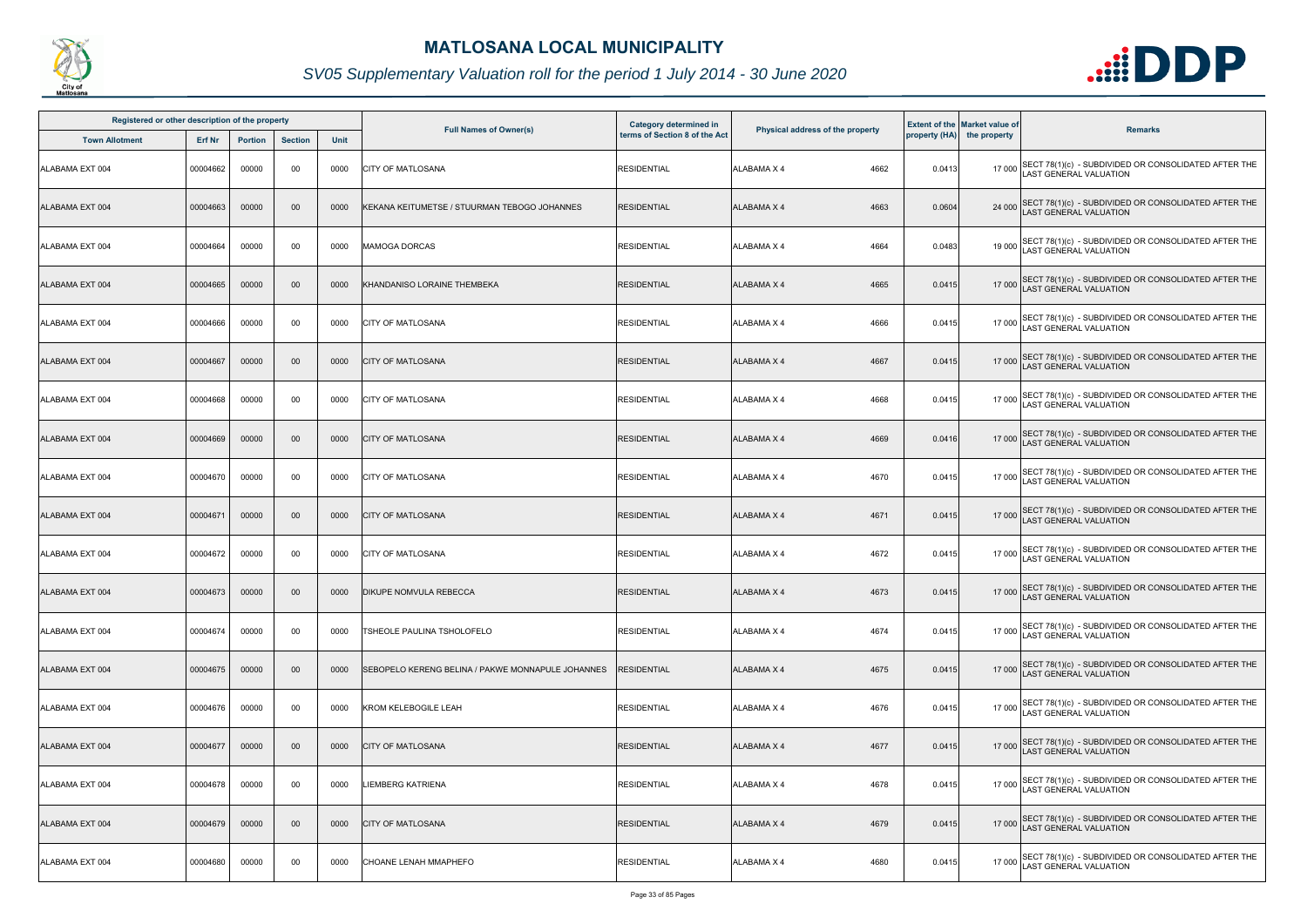

| Registered or other description of the property |          |                |                |      |                                                   | <b>Category determined in</b> |                                  |        | <b>Extent of the Market value of</b> |                                                                                              |
|-------------------------------------------------|----------|----------------|----------------|------|---------------------------------------------------|-------------------------------|----------------------------------|--------|--------------------------------------|----------------------------------------------------------------------------------------------|
| <b>Town Allotment</b>                           | Erf Nr   | <b>Portion</b> | <b>Section</b> | Unit | <b>Full Names of Owner(s)</b>                     | terms of Section 8 of the Act | Physical address of the property |        | property (HA) the property           | <b>Remarks</b>                                                                               |
| ALABAMA EXT 004                                 | 00004662 | 00000          | 00             | 0000 | <b>CITY OF MATLOSANA</b>                          | <b>RESIDENTIAL</b>            | 4662<br><b>ALABAMA X 4</b>       | 0.0413 |                                      | 17 000 SECT 78(1)(c) - SUBDIVIDED OR CONSOLIDATED AFTER THE<br>AST GENERAL VALUATION         |
| ALABAMA EXT 004                                 | 00004663 | 00000          | 00             | 0000 | KEKANA KEITUMETSE / STUURMAN TEBOGO JOHANNES      | <b>RESIDENTIAL</b>            | ALABAMA X 4<br>4663              | 0.0604 | 24 000                               | SECT 78(1)(c) - SUBDIVIDED OR CONSOLIDATED AFTER THE<br>LAST GENERAL VALUATION               |
| ALABAMA EXT 004                                 | 00004664 | 00000          | 00             | 0000 | <b>MAMOGA DORCAS</b>                              | <b>RESIDENTIAL</b>            | <b>ALABAMA X 4</b><br>4664       | 0.0483 | 19 000                               | SECT 78(1)(c) - SUBDIVIDED OR CONSOLIDATED AFTER THE<br>LAST GENERAL VALUATION               |
| ALABAMA EXT 004                                 | 00004665 | 00000          | 00             | 0000 | KHANDANISO LORAINE THEMBEKA                       | <b>RESIDENTIAL</b>            | <b>ALABAMA X 4</b><br>4665       | 0.0415 |                                      | 17 000 SECT 78(1)(c) - SUBDIVIDED OR CONSOLIDATED AFTER THE<br>17 000 LAST GENERAL VALUATION |
| ALABAMA EXT 004                                 | 00004666 | 00000          | 00             | 0000 | <b>CITY OF MATLOSANA</b>                          | <b>RESIDENTIAL</b>            | 4666<br>ALABAMA X 4              | 0.0415 |                                      | 17 000 SECT 78(1)(c) - SUBDIVIDED OR CONSOLIDATED AFTER THE<br>LAST GENERAL VALUATION        |
| ALABAMA EXT 004                                 | 00004667 | 00000          | 00             | 0000 | <b>CITY OF MATLOSANA</b>                          | <b>RESIDENTIAL</b>            | 4667<br>ALABAMA X 4              | 0.0415 |                                      | 17 000 SECT 78(1)(c) - SUBDIVIDED OR CONSOLIDATED AFTER THE<br>LAST GENERAL VALUATION        |
| ALABAMA EXT 004                                 | 00004668 | 00000          | 00             | 0000 | <b>CITY OF MATLOSANA</b>                          | <b>RESIDENTIAL</b>            | 4668<br>ALABAMA X 4              | 0.0415 |                                      | 17 000 SECT 78(1)(c) - SUBDIVIDED OR CONSOLIDATED AFTER THE<br>LAST GENERAL VALUATION        |
| ALABAMA EXT 004                                 | 00004669 | 00000          | 00             | 0000 | <b>CITY OF MATLOSANA</b>                          | <b>RESIDENTIAL</b>            | 4669<br><b>ALABAMA X 4</b>       | 0.0416 |                                      | 17 000 SECT 78(1)(c) - SUBDIVIDED OR CONSOLIDATED AFTER THE<br>LAST GENERAL VALUATION        |
| ALABAMA EXT 004                                 | 00004670 | 00000          | 00             | 0000 | <b>CITY OF MATLOSANA</b>                          | <b>RESIDENTIAL</b>            | <b>ALABAMA X 4</b><br>4670       | 0.0415 | 17 000                               | SECT 78(1)(c) - SUBDIVIDED OR CONSOLIDATED AFTER THE<br><b>AST GENERAL VALUATION</b>         |
| ALABAMA EXT 004                                 | 0000467  | 00000          | 00             | 0000 | <b>CITY OF MATLOSANA</b>                          | <b>RESIDENTIAL</b>            | <b>ALABAMA X 4</b><br>4671       | 0.0415 |                                      | 17 000 SECT 78(1)(c) - SUBDIVIDED OR CONSOLIDATED AFTER THE<br>LAST GENERAL VALUATION        |
| ALABAMA EXT 004                                 | 00004672 | 00000          | 00             | 0000 | CITY OF MATLOSANA                                 | <b>RESIDENTIAL</b>            | ALABAMA X 4<br>4672              | 0.0415 |                                      | 17 000 SECT 78(1)(c) - SUBDIVIDED OR CONSOLIDATED AFTER THE<br>LAST GENERAL VALUATION        |
| ALABAMA EXT 004                                 | 00004673 | 00000          | 00             | 0000 | <b>DIKUPE NOMVULA REBECCA</b>                     | <b>RESIDENTIAL</b>            | ALABAMA X 4<br>4673              | 0.0415 |                                      | 17 000 SECT 78(1)(c) - SUBDIVIDED OR CONSOLIDATED AFTER THE<br>LAST GENERAL VALUATION        |
| ALABAMA EXT 004                                 | 00004674 | 00000          | 00             | 0000 | TSHEOLE PAULINA TSHOLOFELO                        | <b>RESIDENTIAL</b>            | 4674<br>ALABAMA X 4              | 0.0415 |                                      | 17 000 SECT 78(1)(c) - SUBDIVIDED OR CONSOLIDATED AFTER THE<br>LAST GENERAL VALUATION        |
| ALABAMA EXT 004                                 | 00004675 | 00000          | 00             | 0000 | SEBOPELO KERENG BELINA / PAKWE MONNAPULE JOHANNES | <b>RESIDENTIAL</b>            | 4675<br>ALABAMA X 4              | 0.0415 |                                      | 17 000 SECT 78(1)(c) - SUBDIVIDED OR CONSOLIDATED AFTER THE<br>AST GENERAL VALUATION         |
| ALABAMA EXT 004                                 | 00004676 | 00000          | 00             | 0000 | <b>KROM KELEBOGILE LEAH</b>                       | <b>RESIDENTIAL</b>            | <b>ALABAMA X 4</b><br>4676       | 0.0415 |                                      | 17 000 SECT 78(1)(c) - SUBDIVIDED OR CONSOLIDATED AFTER THE<br>AST GENERAL VALUATION         |
| ALABAMA EXT 004                                 | 00004677 | 00000          | 00             | 0000 | <b>CITY OF MATLOSANA</b>                          | <b>RESIDENTIAL</b>            | 4677<br>ALABAMA X 4              | 0.0415 |                                      | 17 000 SECT 78(1)(c) - SUBDIVIDED OR CONSOLIDATED AFTER THE<br>LAST GENERAL VALUATION        |
| ALABAMA EXT 004                                 | 00004678 | 00000          | 00             | 0000 | LIEMBERG KATRIENA                                 | <b>RESIDENTIAL</b>            | ALABAMA X 4<br>4678              | 0.0415 |                                      | 17 000 SECT 78(1)(c) - SUBDIVIDED OR CONSOLIDATED AFTER THE<br>LAST GENERAL VALUATION        |
| ALABAMA EXT 004                                 | 00004679 | 00000          | 00             | 0000 | <b>CITY OF MATLOSANA</b>                          | <b>RESIDENTIAL</b>            | <b>ALABAMA X 4</b><br>4679       | 0.0415 |                                      | 17 000 SECT 78(1)(c) - SUBDIVIDED OR CONSOLIDATED AFTER THE<br>LAST GENERAL VALUATION        |
| ALABAMA EXT 004                                 | 00004680 | 00000          | 00             | 0000 | CHOANE LENAH MMAPHEFO                             | <b>RESIDENTIAL</b>            | 4680<br>ALABAMA X 4              | 0.0415 | 17 000                               | SECT 78(1)(c) - SUBDIVIDED OR CONSOLIDATED AFTER THE<br><b>AST GENERAL VALUATION</b>         |

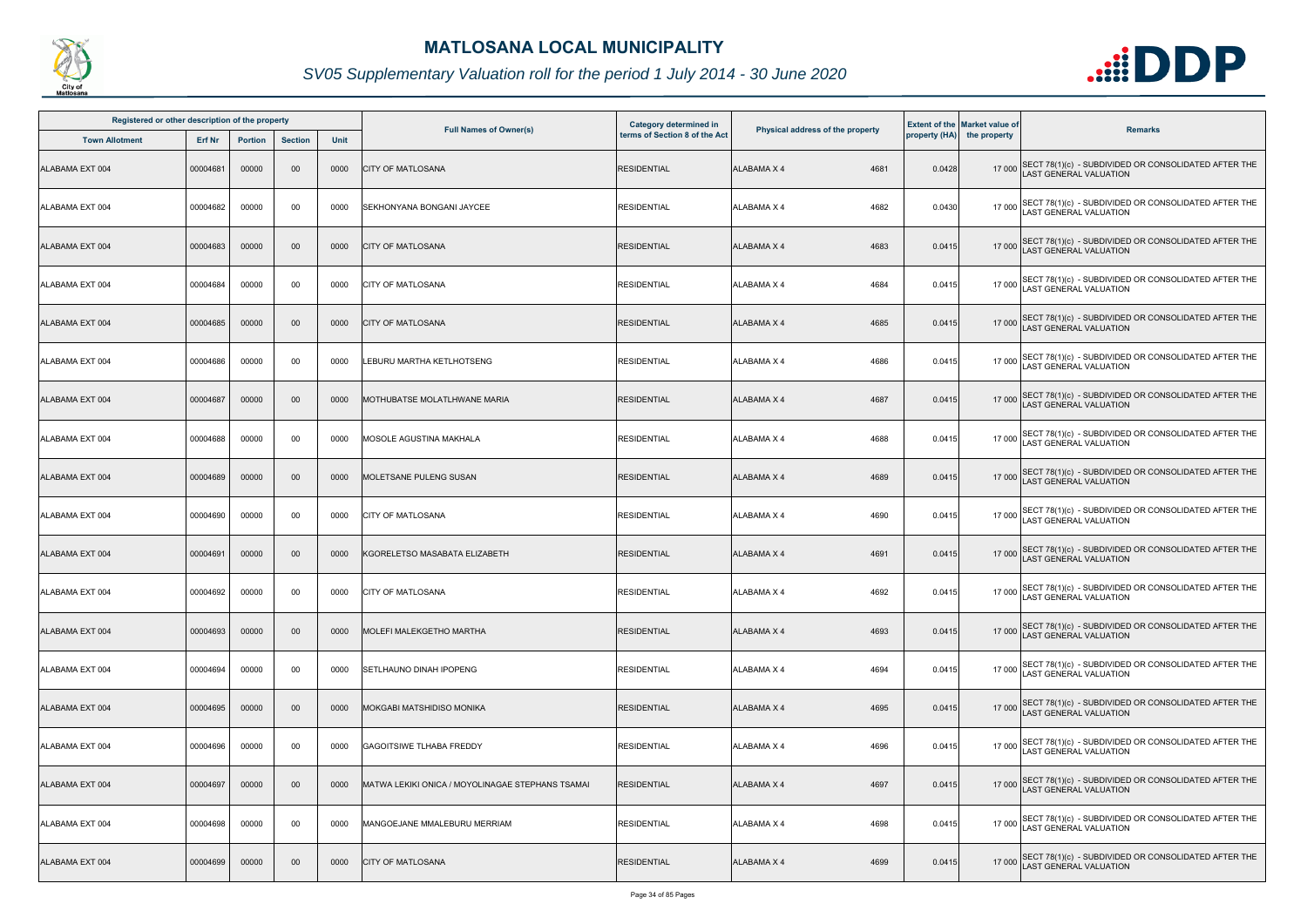

| Registered or other description of the property |          |                |                |      |                                                  | Category determined in        |                                  |        | <b>Extent of the Market value of</b> |                                                                                             |
|-------------------------------------------------|----------|----------------|----------------|------|--------------------------------------------------|-------------------------------|----------------------------------|--------|--------------------------------------|---------------------------------------------------------------------------------------------|
| <b>Town Allotment</b>                           | Erf Nr   | <b>Portion</b> | <b>Section</b> | Unit | <b>Full Names of Owner(s)</b>                    | terms of Section 8 of the Act | Physical address of the property |        | property (HA) the property           | <b>Remarks</b>                                                                              |
| ALABAMA EXT 004                                 | 00004681 | 00000          | 00             | 0000 | <b>CITY OF MATLOSANA</b>                         | <b>RESIDENTIAL</b>            | <b>ALABAMA X 4</b><br>4681       | 0.0428 |                                      | 17 000 SECT 78(1)(c) - SUBDIVIDED OR CONSOLIDATED AFTER THE<br>LAST GENERAL VALUATION       |
| ALABAMA EXT 004                                 | 00004682 | 00000          | 00             | 0000 | SEKHONYANA BONGANI JAYCEE                        | <b>RESIDENTIAL</b>            | <b>ALABAMA X 4</b><br>4682       | 0.0430 |                                      | 17 000 SECT 78(1)(c) - SUBDIVIDED OR CONSOLIDATED AFTER THE<br>LAST GENERAL VALUATION       |
| ALABAMA EXT 004                                 | 00004683 | 00000          | 00             | 0000 | <b>CITY OF MATLOSANA</b>                         | <b>RESIDENTIAL</b>            | <b>ALABAMA X 4</b><br>4683       | 0.0415 |                                      | 17 000 SECT 78(1)(c) - SUBDIVIDED OR CONSOLIDATED AFTER THE<br>LAST GENERAL VALUATION       |
| ALABAMA EXT 004                                 | 00004684 | 00000          | 00             | 0000 | <b>CITY OF MATLOSANA</b>                         | <b>RESIDENTIAL</b>            | 4684<br><b>ALABAMA X 4</b>       | 0.0415 |                                      | 17 000 SECT 78(1)(c) - SUBDIVIDED OR CONSOLIDATED AFTER THE<br>LAST GENERAL VALUATION       |
| ALABAMA EXT 004                                 | 00004685 | 00000          | $00\,$         | 0000 | <b>CITY OF MATLOSANA</b>                         | <b>RESIDENTIAL</b>            | <b>ALABAMA X 4</b><br>4685       | 0.0415 |                                      | 17 000 SECT 78(1)(c) - SUBDIVIDED OR CONSOLIDATED AFTER THE<br>LAST GENERAL VALUATION       |
| ALABAMA EXT 004                                 | 00004686 | 00000          | 00             | 0000 | LEBURU MARTHA KETLHOTSENG                        | <b>RESIDENTIAL</b>            | 4686<br><b>ALABAMA X 4</b>       | 0.0415 |                                      | 17 000 SECT 78(1)(c) - SUBDIVIDED OR CONSOLIDATED AFTER THE<br>LAST GENERAL VALUATION       |
| ALABAMA EXT 004                                 | 00004687 | 00000          | 00             | 0000 | MOTHUBATSE MOLATLHWANE MARIA                     | <b>RESIDENTIAL</b>            | 4687<br>ALABAMA X 4              | 0.0415 |                                      | 17 000 SECT 78(1)(c) - SUBDIVIDED OR CONSOLIDATED AFTER THE<br>LAST GENERAL VALUATION       |
| ALABAMA EXT 004                                 | 00004688 | 00000          | 00             | 0000 | MOSOLE AGUSTINA MAKHALA                          | <b>RESIDENTIAL</b>            | <b>ALABAMA X 4</b><br>4688       | 0.0415 |                                      | 17 000 SECT 78(1)(c) - SUBDIVIDED OR CONSOLIDATED AFTER THE<br>AST GENERAL VALUATION        |
| ALABAMA EXT 004                                 | 00004689 | 00000          | 00             | 0000 | MOLETSANE PULENG SUSAN                           | <b>RESIDENTIAL</b>            | <b>ALABAMA X 4</b><br>4689       | 0.0415 |                                      | 17 000 SECT 78(1)(c) - SUBDIVIDED OR CONSOLIDATED AFTER THE<br>LAST GENERAL VALUATION       |
| ALABAMA EXT 004                                 | 00004690 | 00000          | 00             | 0000 | <b>CITY OF MATLOSANA</b>                         | <b>RESIDENTIAL</b>            | <b>ALABAMA X 4</b><br>4690       | 0.0415 |                                      | 17 000 SECT 78(1)(c) - SUBDIVIDED OR CONSOLIDATED AFTER THE<br>LAST GENERAL VALUATION       |
| ALABAMA EXT 004                                 | 00004691 | 00000          | 00             | 0000 | KGORELETSO MASABATA ELIZABETH                    | <b>RESIDENTIAL</b>            | 4691<br><b>ALABAMA X 4</b>       | 0.0415 |                                      | 17 000 SECT 78(1)(c) - SUBDIVIDED OR CONSOLIDATED AFTER THE<br>LAST GENERAL VALUATION       |
| ALABAMA EXT 004                                 | 00004692 | 00000          | 00             | 0000 | <b>ICITY OF MATLOSANA</b>                        | <b>RESIDENTIAL</b>            | <b>ALABAMA X 4</b><br>4692       | 0.0415 |                                      | 17 000 SECT 78(1)(c) - SUBDIVIDED OR CONSOLIDATED AFTER THE<br>LAST GENERAL VALUATION       |
| ALABAMA EXT 004                                 | 00004693 | 00000          | 00             | 0000 | MOLEFI MALEKGETHO MARTHA                         | <b>RESIDENTIAL</b>            | <b>ALABAMA X 4</b><br>4693       | 0.0415 |                                      | 17 000 SECT 78(1)(c) - SUBDIVIDED OR CONSOLIDATED AFTER THE<br>LAST GENERAL VALUATION       |
| ALABAMA EXT 004                                 | 00004694 | 00000          | 00             | 0000 | SETLHAUNO DINAH IPOPENG                          | <b>RESIDENTIAL</b>            | ALABAMA X 4<br>4694              | 0.0415 |                                      | 17 000 SECT 78(1)(c) - SUBDIVIDED OR CONSOLIDATED AFTER THE<br><b>AST GENERAL VALUATION</b> |
| ALABAMA EXT 004                                 | 00004695 | 00000          | $00\,$         | 0000 | MOKGABI MATSHIDISO MONIKA                        | <b>RESIDENTIAL</b>            | 4695<br><b>ALABAMA X 4</b>       | 0.0415 |                                      | 17 000 SECT 78(1)(c) - SUBDIVIDED OR CONSOLIDATED AFTER THE<br>LAST GENERAL VALUATION       |
| ALABAMA EXT 004                                 | 00004696 | 00000          | 00             | 0000 | <b>GAGOITSIWE TLHABA FREDDY</b>                  | <b>RESIDENTIAL</b>            | <b>ALABAMA X 4</b><br>4696       | 0.0415 |                                      | 17 000 SECT 78(1)(c) - SUBDIVIDED OR CONSOLIDATED AFTER THE<br>LAST GENERAL VALUATION       |
| ALABAMA EXT 004                                 | 00004697 | 00000          | 00             | 0000 | MATWA LEKIKI ONICA / MOYOLINAGAE STEPHANS TSAMAI | <b>RESIDENTIAL</b>            | <b>ALABAMA X 4</b><br>4697       | 0.0415 |                                      | 17 000 SECT 78(1)(c) - SUBDIVIDED OR CONSOLIDATED AFTER THE<br>LAST GENERAL VALUATION       |
| ALABAMA EXT 004                                 | 00004698 | 00000          | 00             | 0000 | MANGOEJANE MMALEBURU MERRIAM                     | <b>RESIDENTIAL</b>            | ALABAMA X 4<br>4698              | 0.0415 |                                      | 17 000 SECT 78(1)(c) - SUBDIVIDED OR CONSOLIDATED AFTER THE<br>LAST GENERAL VALUATION       |
| ALABAMA EXT 004                                 | 00004699 | 00000          | $00\,$         | 0000 | <b>CITY OF MATLOSANA</b>                         | <b>RESIDENTIAL</b>            | 4699<br>ALABAMA X 4              | 0.0415 |                                      | 17 000 SECT 78(1)(c) - SUBDIVIDED OR CONSOLIDATED AFTER THE<br>LAST GENERAL VALUATION       |

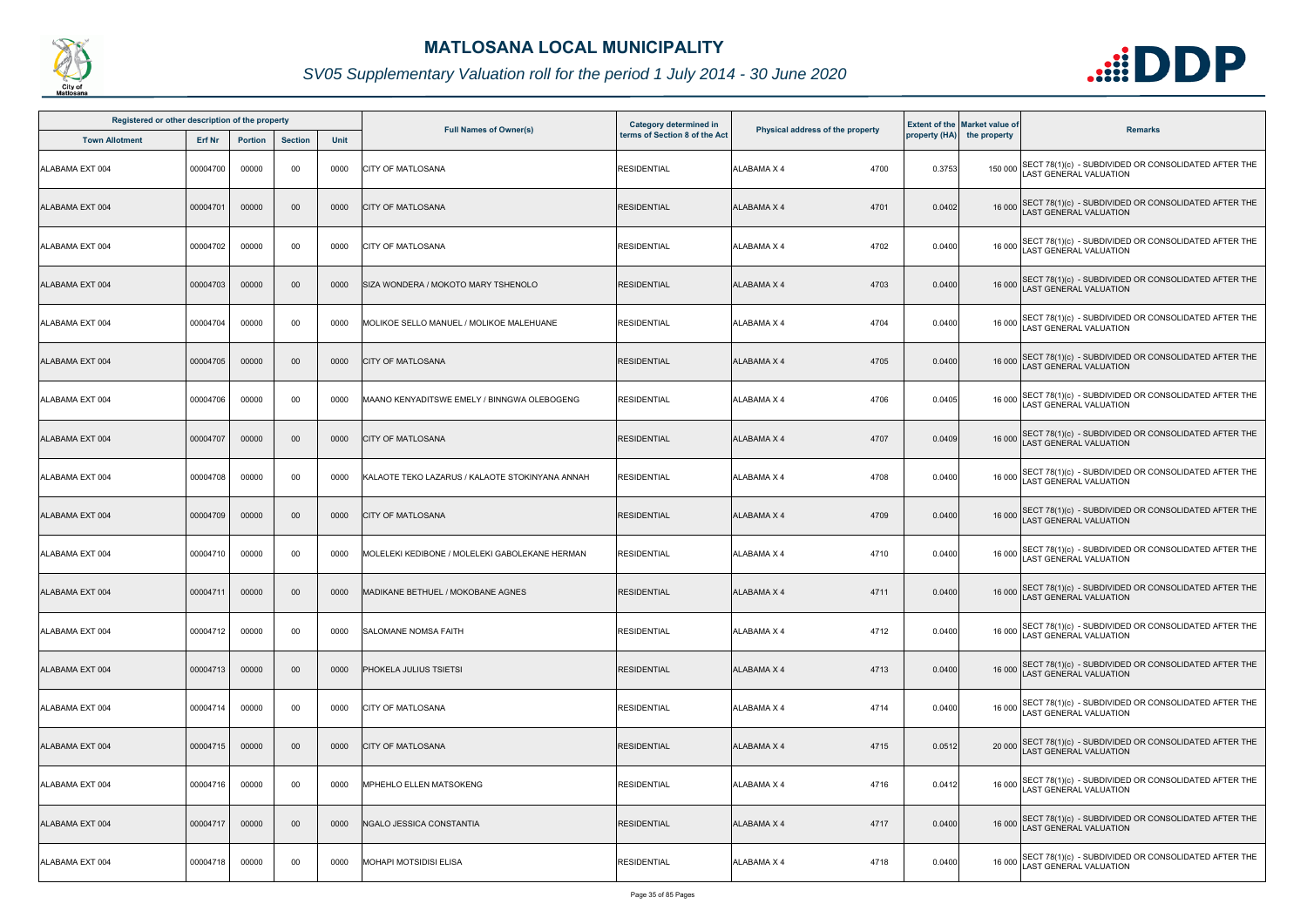

| Registered or other description of the property |               |                |                |      |                                                 |                                                                |                                  |               |                                                      |                                                                                              |
|-------------------------------------------------|---------------|----------------|----------------|------|-------------------------------------------------|----------------------------------------------------------------|----------------------------------|---------------|------------------------------------------------------|----------------------------------------------------------------------------------------------|
| <b>Town Allotment</b>                           | <b>Erf Nr</b> | <b>Portion</b> | <b>Section</b> | Unit | <b>Full Names of Owner(s)</b>                   | <b>Category determined in</b><br>terms of Section 8 of the Act | Physical address of the property | property (HA) | <b>Extent of the Market value of</b><br>the property | <b>Remarks</b>                                                                               |
| ALABAMA EXT 004                                 | 00004700      | 00000          | 00             | 0000 | <b>CITY OF MATLOSANA</b>                        | <b>RESIDENTIAL</b>                                             | ALABAMA X 4<br>4700              | 0.3753        |                                                      | 150 000 SECT 78(1)(c) - SUBDIVIDED OR CONSOLIDATED AFTER THE<br>LAST GENERAL VALUATION       |
| ALABAMA EXT 004                                 | 00004701      | 00000          | $00\,$         | 0000 | <b>CITY OF MATLOSANA</b>                        | <b>RESIDENTIAL</b>                                             | 4701<br>ALABAMA X 4              | 0.0402        |                                                      | 16 000 SECT 78(1)(c) - SUBDIVIDED OR CONSOLIDATED AFTER THE<br>LAST GENERAL VALUATION        |
| ALABAMA EXT 004                                 | 00004702      | 00000          | 00             | 0000 | <b>CITY OF MATLOSANA</b>                        | <b>RESIDENTIAL</b>                                             | 4702<br>ALABAMA X 4              | 0.0400        |                                                      | 16 000 SECT 78(1)(c) - SUBDIVIDED OR CONSOLIDATED AFTER THE<br>LAST GENERAL VALUATION        |
| ALABAMA EXT 004                                 | 00004703      | 00000          | $00\,$         | 0000 | SIZA WONDERA / MOKOTO MARY TSHENOLO             | <b>RESIDENTIAL</b>                                             | <b>ALABAMA X 4</b><br>4703       | 0.0400        |                                                      | 16 000 SECT 78(1)(c) - SUBDIVIDED OR CONSOLIDATED AFTER THE<br>16 000 LAST GENERAL VALUATION |
| ALABAMA EXT 004                                 | 00004704      | 00000          | 00             | 0000 | MOLIKOE SELLO MANUEL / MOLIKOE MALEHUANE        | <b>RESIDENTIAL</b>                                             | 4704<br>ALABAMA X 4              | 0.0400        |                                                      | 16 000 SECT 78(1)(c) - SUBDIVIDED OR CONSOLIDATED AFTER THE<br>LAST GENERAL VALUATION        |
| ALABAMA EXT 004                                 | 00004705      | 00000          | $00\,$         | 0000 | <b>CITY OF MATLOSANA</b>                        | <b>RESIDENTIAL</b>                                             | ALABAMA X 4<br>4705              | 0.0400        |                                                      | 16 000 SECT 78(1)(c) - SUBDIVIDED OR CONSOLIDATED AFTER THE<br>LAST GENERAL VALUATION        |
| ALABAMA EXT 004                                 | 00004706      | 00000          | 00             | 0000 | MAANO KENYADITSWE EMELY / BINNGWA OLEBOGENG     | <b>RESIDENTIAL</b>                                             | 4706<br>ALABAMA X 4              | 0.0405        |                                                      | 16 000 SECT 78(1)(c) - SUBDIVIDED OR CONSOLIDATED AFTER THE<br>LAST GENERAL VALUATION        |
| ALABAMA EXT 004                                 | 00004707      | 00000          | $00\,$         | 0000 | <b>CITY OF MATLOSANA</b>                        | <b>RESIDENTIAL</b>                                             | <b>ALABAMA X 4</b><br>4707       | 0.0409        |                                                      | 16 000 SECT 78(1)(c) - SUBDIVIDED OR CONSOLIDATED AFTER THE<br>LAST GENERAL VALUATION        |
| ALABAMA EXT 004                                 | 00004708      | 00000          | 00             | 0000 | KALAOTE TEKO LAZARUS / KALAOTE STOKINYANA ANNAH | <b>RESIDENTIAL</b>                                             | 4708<br>ALABAMA X 4              | 0.0400        |                                                      | 16 000 SECT 78(1)(c) - SUBDIVIDED OR CONSOLIDATED AFTER THE<br>LAST GENERAL VALUATION        |
| ALABAMA EXT 004                                 | 00004709      | 00000          | $00\,$         | 0000 | <b>CITY OF MATLOSANA</b>                        | <b>RESIDENTIAL</b>                                             | <b>ALABAMA X 4</b><br>4709       | 0.0400        |                                                      | 16 000 SECT 78(1)(c) - SUBDIVIDED OR CONSOLIDATED AFTER THE<br>LAST GENERAL VALUATION        |
| ALABAMA EXT 004                                 | 00004710      | 00000          | 00             | 0000 | MOLELEKI KEDIBONE / MOLELEKI GABOLEKANE HERMAN  | <b>RESIDENTIAL</b>                                             | <b>ALABAMA X 4</b><br>4710       | 0.0400        |                                                      | 16 000 SECT 78(1)(c) - SUBDIVIDED OR CONSOLIDATED AFTER THE<br>LAST GENERAL VALUATION        |
| ALABAMA EXT 004                                 | 00004711      | 00000          | $00\,$         | 0000 | MADIKANE BETHUEL / MOKOBANE AGNES               | <b>RESIDENTIAL</b>                                             | ALABAMA X 4<br>4711              | 0.0400        |                                                      | 16 000 SECT 78(1)(c) - SUBDIVIDED OR CONSOLIDATED AFTER THE<br>LAST GENERAL VALUATION        |
| ALABAMA EXT 004                                 | 00004712      | 00000          | 00             | 0000 | <b>SALOMANE NOMSA FAITH</b>                     | <b>RESIDENTIAL</b>                                             | 4712<br>ALABAMA X 4              | 0.0400        |                                                      | 16 000 SECT 78(1)(c) - SUBDIVIDED OR CONSOLIDATED AFTER THE<br>LAST GENERAL VALUATION        |
| ALABAMA EXT 004                                 | 00004713      | 00000          | $00\,$         | 0000 | <b> PHOKELA JULIUS TSIETSI</b>                  | <b>RESIDENTIAL</b>                                             | ALABAMA X 4<br>4713              | 0.0400        |                                                      | 16 000 SECT 78(1)(c) - SUBDIVIDED OR CONSOLIDATED AFTER THE<br>LAST GENERAL VALUATION        |
| ALABAMA EXT 004                                 | 00004714      | 00000          | 00             | 0000 | <b>CITY OF MATLOSANA</b>                        | <b>RESIDENTIAL</b>                                             | <b>ALABAMA X 4</b><br>4714       | 0.0400        |                                                      | 16 000 SECT 78(1)(c) - SUBDIVIDED OR CONSOLIDATED AFTER THE<br>LAST GENERAL VALUATION        |
| ALABAMA EXT 004                                 | 00004715      | 00000          | $00\,$         | 0000 | <b>CITY OF MATLOSANA</b>                        | <b>RESIDENTIAL</b>                                             | ALABAMA X 4<br>4715              | 0.0512        |                                                      | 20 000 SECT 78(1)(c) - SUBDIVIDED OR CONSOLIDATED AFTER THE<br>LAST GENERAL VALUATION        |
| ALABAMA EXT 004                                 | 00004716      | 00000          | 00             | 0000 | <b>MPHEHLO ELLEN MATSOKENG</b>                  | <b>RESIDENTIAL</b>                                             | ALABAMA X 4<br>4716              | 0.0412        |                                                      | 16 000 SECT 78(1)(c) - SUBDIVIDED OR CONSOLIDATED AFTER THE<br>LAST GENERAL VALUATION        |
| ALABAMA EXT 004                                 | 00004717      | 00000          | $00\,$         | 0000 | NGALO JESSICA CONSTANTIA                        | <b>RESIDENTIAL</b>                                             | <b>ALABAMA X 4</b><br>4717       | 0.0400        |                                                      | 16 000 SECT 78(1)(c) - SUBDIVIDED OR CONSOLIDATED AFTER THE<br>LAST GENERAL VALUATION        |
| ALABAMA EXT 004                                 | 00004718      | 00000          | 00             | 0000 | <b>MOHAPI MOTSIDISI ELISA</b>                   | <b>RESIDENTIAL</b>                                             | 4718<br>ALABAMA X 4              | 0.0400        | 16 000                                               | SECT 78(1)(c) - SUBDIVIDED OR CONSOLIDATED AFTER THE<br>LAST GENERAL VALUATION               |

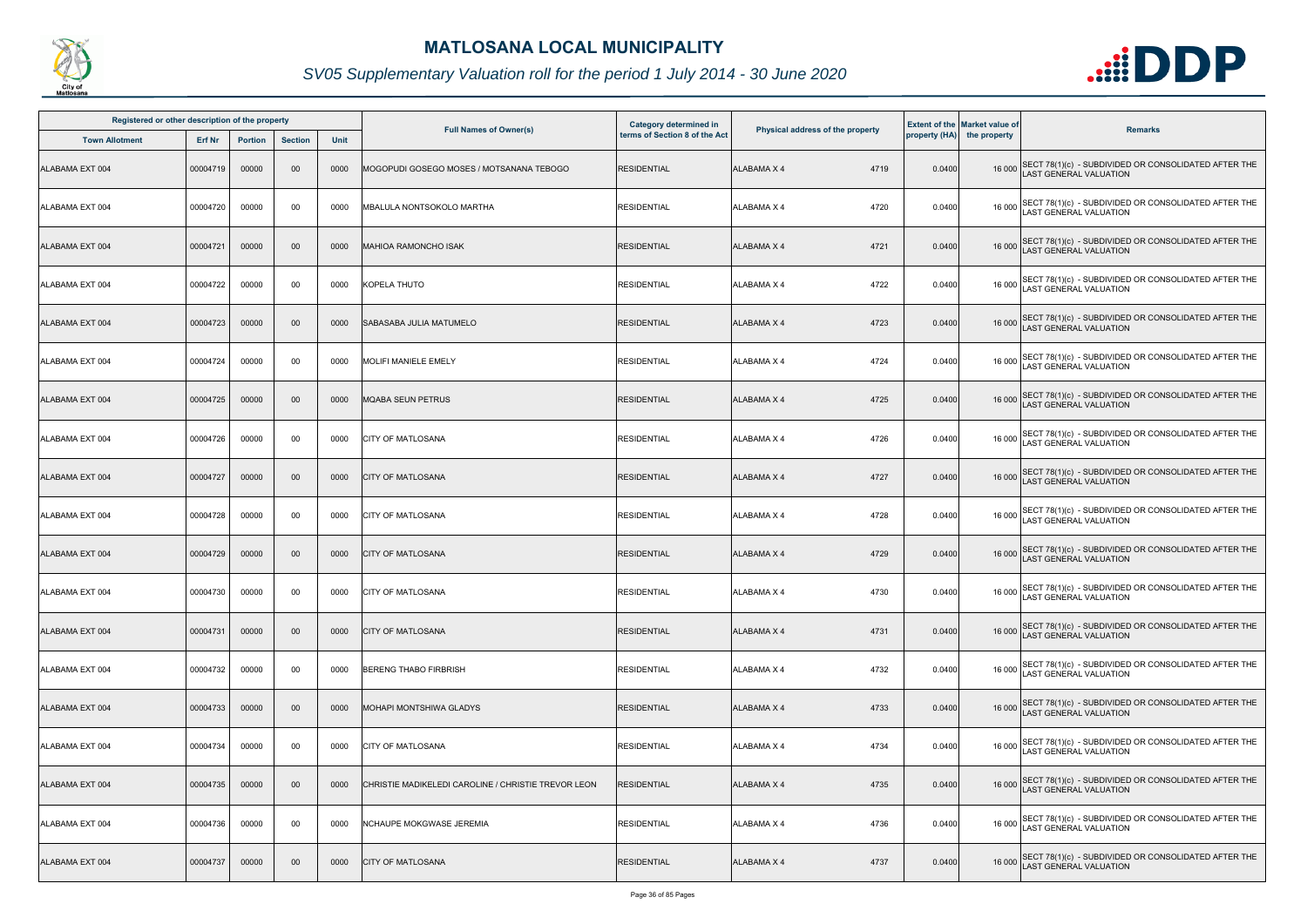

| Registered or other description of the property<br><b>Town Allotment</b><br><b>Section</b><br><b>Erf Nr</b><br><b>Portion</b> |          |       |        |             |                                                     | <b>Category determined in</b> |                                  |        | <b>Extent of the Market value of</b> |                                                                                              |
|-------------------------------------------------------------------------------------------------------------------------------|----------|-------|--------|-------------|-----------------------------------------------------|-------------------------------|----------------------------------|--------|--------------------------------------|----------------------------------------------------------------------------------------------|
|                                                                                                                               |          |       |        | <b>Unit</b> | <b>Full Names of Owner(s)</b>                       | terms of Section 8 of the Act | Physical address of the property |        | property (HA) the property           | <b>Remarks</b>                                                                               |
| ALABAMA EXT 004                                                                                                               | 00004719 | 00000 | 00     | 0000        | MOGOPUDI GOSEGO MOSES / MOTSANANA TEBOGO            | <b>RESIDENTIAL</b>            | <b>ALABAMA X 4</b><br>4719       | 0.0400 |                                      | 16 000 SECT 78(1)(c) - SUBDIVIDED OR CONSOLIDATED AFTER THE<br>LAST GENERAL VALUATION        |
| ALABAMA EXT 004                                                                                                               | 00004720 | 00000 | 00     | 0000        | MBALULA NONTSOKOLO MARTHA                           | <b>RESIDENTIAL</b>            | ALABAMA X 4<br>4720              | 0.0400 |                                      | 16 000 SECT 78(1)(c) - SUBDIVIDED OR CONSOLIDATED AFTER THE<br>LAST GENERAL VALUATION        |
| ALABAMA EXT 004                                                                                                               | 00004721 | 00000 | $00\,$ | 0000        | MAHIOA RAMONCHO ISAK                                | <b>RESIDENTIAL</b>            | 4721<br><b>ALABAMA X 4</b>       | 0.0400 |                                      | 16 000 SECT 78(1)(c) - SUBDIVIDED OR CONSOLIDATED AFTER THE<br>LAST GENERAL VALUATION        |
| ALABAMA EXT 004                                                                                                               | 00004722 | 00000 | 00     | 0000        | KOPELA THUTO                                        | <b>RESIDENTIAL</b>            | 4722<br><b>ALABAMA X 4</b>       | 0.0400 |                                      | 16 000 SECT 78(1)(c) - SUBDIVIDED OR CONSOLIDATED AFTER THE<br>16 000 LAST GENERAL VALUATION |
| ALABAMA EXT 004                                                                                                               | 00004723 | 00000 | $00\,$ | 0000        | <b>SABASABA JULIA MATUMELO</b>                      | <b>RESIDENTIAL</b>            | 4723<br><b>ALABAMA X 4</b>       | 0.0400 |                                      | 16 000 SECT 78(1)(c) - SUBDIVIDED OR CONSOLIDATED AFTER THE<br>LAST GENERAL VALUATION        |
| ALABAMA EXT 004                                                                                                               | 00004724 | 00000 | 00     | 0000        | <b>MOLIFI MANIELE EMELY</b>                         | <b>RESIDENTIAL</b>            | 4724<br>ALABAMA X 4              | 0.0400 |                                      | 16 000 SECT 78(1)(c) - SUBDIVIDED OR CONSOLIDATED AFTER THE<br>LAST GENERAL VALUATION        |
| ALABAMA EXT 004                                                                                                               | 00004725 | 00000 | $00\,$ | 0000        | <b>MQABA SEUN PETRUS</b>                            | <b>RESIDENTIAL</b>            | <b>ALABAMA X 4</b><br>4725       | 0.0400 |                                      | 16 000 SECT 78(1)(c) - SUBDIVIDED OR CONSOLIDATED AFTER THE<br>LAST GENERAL VALUATION        |
| ALABAMA EXT 004                                                                                                               | 00004726 | 00000 | 00     | 0000        | <b>CITY OF MATLOSANA</b>                            | <b>RESIDENTIAL</b>            | 4726<br><b>ALABAMA X 4</b>       | 0.0400 |                                      | 16 000 SECT 78(1)(c) - SUBDIVIDED OR CONSOLIDATED AFTER THE<br>LAST GENERAL VALUATION        |
| ALABAMA EXT 004                                                                                                               | 00004727 | 00000 | $00\,$ | 0000        | <b>CITY OF MATLOSANA</b>                            | <b>RESIDENTIAL</b>            | <b>ALABAMA X 4</b><br>4727       | 0.0400 |                                      | 16 000 SECT 78(1)(c) - SUBDIVIDED OR CONSOLIDATED AFTER THE<br>LAST GENERAL VALUATION        |
| ALABAMA EXT 004                                                                                                               | 00004728 | 00000 | 00     | 0000        | <b>CITY OF MATLOSANA</b>                            | <b>RESIDENTIAL</b>            | <b>ALABAMA X 4</b><br>4728       | 0.0400 |                                      | 16 000 SECT 78(1)(c) - SUBDIVIDED OR CONSOLIDATED AFTER THE<br>LAST GENERAL VALUATION        |
| ALABAMA EXT 004                                                                                                               | 00004729 | 00000 | $00\,$ | 0000        | <b>CITY OF MATLOSANA</b>                            | <b>RESIDENTIAL</b>            | 4729<br><b>ALABAMA X 4</b>       | 0.0400 |                                      | 16 000 SECT 78(1)(c) - SUBDIVIDED OR CONSOLIDATED AFTER THE<br>LAST GENERAL VALUATION        |
| ALABAMA EXT 004                                                                                                               | 00004730 | 00000 | 00     | 0000        | <b>CITY OF MATLOSANA</b>                            | <b>RESIDENTIAL</b>            | <b>ALABAMA X 4</b><br>4730       | 0.0400 |                                      | 16 000 SECT 78(1)(c) - SUBDIVIDED OR CONSOLIDATED AFTER THE<br>16 000 LAST GENERAL VALUATION |
| ALABAMA EXT 004                                                                                                               | 00004731 | 00000 | $00\,$ | 0000        | <b>CITY OF MATLOSANA</b>                            | <b>RESIDENTIAL</b>            | 4731<br>ALABAMA X 4              | 0.0400 |                                      | 16 000 SECT 78(1)(c) - SUBDIVIDED OR CONSOLIDATED AFTER THE<br><b>LAST GENERAL VALUATION</b> |
| ALABAMA EXT 004                                                                                                               | 00004732 | 00000 | 00     | 0000        | <b>BERENG THABO FIRBRISH</b>                        | <b>RESIDENTIAL</b>            | 4732<br><b>ALABAMA X 4</b>       | 0.0400 |                                      | 16 000 SECT 78(1)(c) - SUBDIVIDED OR CONSOLIDATED AFTER THE<br><b>LAST GENERAL VALUATION</b> |
| ALABAMA EXT 004                                                                                                               | 00004733 | 00000 | $00\,$ | 0000        | MOHAPI MONTSHIWA GLADYS                             | <b>RESIDENTIAL</b>            | <b>ALABAMA X 4</b><br>4733       | 0.0400 |                                      | 16 000 SECT 78(1)(c) - SUBDIVIDED OR CONSOLIDATED AFTER THE<br>LAST GENERAL VALUATION        |
| ALABAMA EXT 004                                                                                                               | 00004734 | 00000 | 00     | 0000        | <b>CITY OF MATLOSANA</b>                            | <b>RESIDENTIAL</b>            | 4734<br>ALABAMA X 4              | 0.0400 |                                      | 16 000 SECT 78(1)(c) - SUBDIVIDED OR CONSOLIDATED AFTER THE<br>LAST GENERAL VALUATION        |
| ALABAMA EXT 004                                                                                                               | 00004735 | 00000 | $00\,$ | 0000        | CHRISTIE MADIKELEDI CAROLINE / CHRISTIE TREVOR LEON | <b>RESIDENTIAL</b>            | <b>ALABAMA X 4</b><br>4735       | 0.0400 |                                      | 16 000 SECT 78(1)(c) - SUBDIVIDED OR CONSOLIDATED AFTER THE<br>LAST GENERAL VALUATION        |
| ALABAMA EXT 004                                                                                                               | 00004736 | 00000 | 00     | 0000        | <b>NCHAUPE MOKGWASE JEREMIA</b>                     | <b>RESIDENTIAL</b>            | 4736<br><b>ALABAMA X 4</b>       | 0.0400 |                                      | 16 000 SECT 78(1)(c) - SUBDIVIDED OR CONSOLIDATED AFTER THE<br>LAST GENERAL VALUATION        |
| ALABAMA EXT 004                                                                                                               | 00004737 | 00000 | $00\,$ | 0000        | <b>CITY OF MATLOSANA</b>                            | <b>RESIDENTIAL</b>            | 4737<br><b>ALABAMA X 4</b>       | 0.0400 | 16 000                               | SECT 78(1)(c) - SUBDIVIDED OR CONSOLIDATED AFTER THE<br>AST GENERAL VALUATION                |

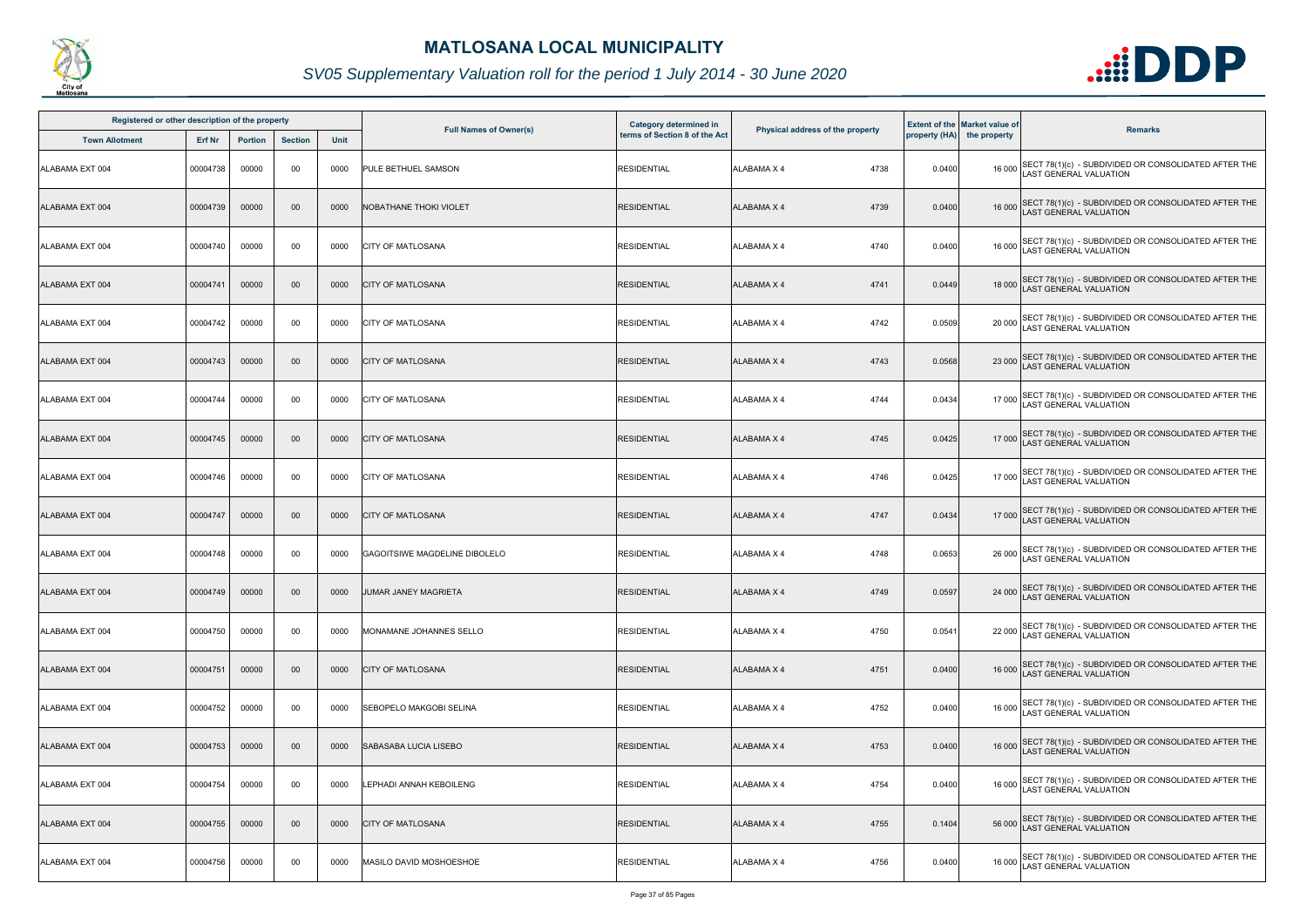

| Registered or other description of the property |               |                |                |             |                                | <b>Category determined in</b> |                                  |        | <b>Extent of the Market value of</b> |                                                                                              |
|-------------------------------------------------|---------------|----------------|----------------|-------------|--------------------------------|-------------------------------|----------------------------------|--------|--------------------------------------|----------------------------------------------------------------------------------------------|
| <b>Town Allotment</b>                           | <b>Erf Nr</b> | <b>Portion</b> | <b>Section</b> | <b>Unit</b> | <b>Full Names of Owner(s)</b>  | terms of Section 8 of the Act | Physical address of the property |        | property (HA) the property           | <b>Remarks</b>                                                                               |
| ALABAMA EXT 004                                 | 00004738      | 00000          | 00             | 0000        | PULE BETHUEL SAMSON            | <b>RESIDENTIAL</b>            | ALABAMA X 4<br>4738              | 0.0400 |                                      | 16 000 SECT 78(1)(c) - SUBDIVIDED OR CONSOLIDATED AFTER THE<br>LAST GENERAL VALUATION        |
| ALABAMA EXT 004                                 | 00004739      | 00000          | $00\,$         | 0000        | <b>NOBATHANE THOKI VIOLET</b>  | <b>RESIDENTIAL</b>            | ALABAMA X 4<br>4739              | 0.0400 |                                      | 16 000 SECT 78(1)(c) - SUBDIVIDED OR CONSOLIDATED AFTER THE<br>LAST GENERAL VALUATION        |
| ALABAMA EXT 004                                 | 00004740      | 00000          | 00             | 0000        | <b>CITY OF MATLOSANA</b>       | <b>RESIDENTIAL</b>            | 4740<br>ALABAMA X 4              | 0.0400 |                                      | 16 000 SECT 78(1)(c) - SUBDIVIDED OR CONSOLIDATED AFTER THE<br>LAST GENERAL VALUATION        |
| ALABAMA EXT 004                                 | 00004741      | 00000          | $00\,$         | 0000        | <b>CITY OF MATLOSANA</b>       | <b>RESIDENTIAL</b>            | 4741<br><b>ALABAMA X 4</b>       | 0.0449 |                                      | 18 000 SECT 78(1)(c) - SUBDIVIDED OR CONSOLIDATED AFTER THE<br>18 000 LAST GENERAL VALUATION |
| ALABAMA EXT 004                                 | 00004742      | 00000          | 00             | 0000        | <b>CITY OF MATLOSANA</b>       | <b>RESIDENTIAL</b>            | 4742<br>ALABAMA X 4              | 0.0509 |                                      | 20 000 SECT 78(1)(c) - SUBDIVIDED OR CONSOLIDATED AFTER THE<br>LAST GENERAL VALUATION        |
| ALABAMA EXT 004                                 | 00004743      | 00000          | $00\,$         | 0000        | <b>CITY OF MATLOSANA</b>       | <b>RESIDENTIAL</b>            | 4743<br>ALABAMA X 4              | 0.0568 |                                      | 23 000 SECT 78(1)(c) - SUBDIVIDED OR CONSOLIDATED AFTER THE<br>LAST GENERAL VALUATION        |
| ALABAMA EXT 004                                 | 00004744      | 00000          | 00             | 0000        | <b>CITY OF MATLOSANA</b>       | <b>RESIDENTIAL</b>            | 4744<br>ALABAMA X 4              | 0.0434 |                                      | 17 000 SECT 78(1)(c) - SUBDIVIDED OR CONSOLIDATED AFTER THE<br>LAST GENERAL VALUATION        |
| ALABAMA EXT 004                                 | 00004745      | 00000          | $00\,$         | 0000        | <b>CITY OF MATLOSANA</b>       | <b>RESIDENTIAL</b>            | 4745<br><b>ALABAMA X 4</b>       | 0.0425 |                                      | 17 000 SECT 78(1)(c) - SUBDIVIDED OR CONSOLIDATED AFTER THE<br>LAST GENERAL VALUATION        |
| ALABAMA EXT 004                                 | 00004746      | 00000          | 00             | 0000        | <b>CITY OF MATLOSANA</b>       | <b>RESIDENTIAL</b>            | 4746<br>ALABAMA X 4              | 0.0425 |                                      | 17 000 SECT 78(1)(c) - SUBDIVIDED OR CONSOLIDATED AFTER THE<br>LAST GENERAL VALUATION        |
| ALABAMA EXT 004                                 | 00004747      | 00000          | $00\,$         | 0000        | <b>CITY OF MATLOSANA</b>       | <b>RESIDENTIAL</b>            | <b>ALABAMA X 4</b><br>4747       | 0.0434 |                                      | 17 000 SECT 78(1)(c) - SUBDIVIDED OR CONSOLIDATED AFTER THE<br>LAST GENERAL VALUATION        |
| ALABAMA EXT 004                                 | 00004748      | 00000          | 00             | 0000        | GAGOITSIWE MAGDELINE DIBOLELO  | <b>RESIDENTIAL</b>            | ALABAMA X 4<br>4748              | 0.0653 |                                      | 26 000 SECT 78(1)(c) - SUBDIVIDED OR CONSOLIDATED AFTER THE<br>LAST GENERAL VALUATION        |
| ALABAMA EXT 004                                 | 00004749      | 00000          | $00\,$         | 0000        | JUMAR JANEY MAGRIETA           | <b>RESIDENTIAL</b>            | ALABAMA X 4<br>4749              | 0.0597 |                                      | 24 000 SECT 78(1)(c) - SUBDIVIDED OR CONSOLIDATED AFTER THE<br>LAST GENERAL VALUATION        |
| ALABAMA EXT 004                                 | 00004750      | 00000          | 00             | 0000        | MONAMANE JOHANNES SELLO        | <b>RESIDENTIAL</b>            | 4750<br>ALABAMA X 4              | 0.0541 |                                      | 22 000 SECT 78(1)(c) - SUBDIVIDED OR CONSOLIDATED AFTER THE<br>LAST GENERAL VALUATION        |
| ALABAMA EXT 004                                 | 00004751      | 00000          | $00\,$         | 0000        | <b>CITY OF MATLOSANA</b>       | <b>RESIDENTIAL</b>            | ALABAMA X 4<br>4751              | 0.0400 |                                      | 16 000 SECT 78(1)(c) - SUBDIVIDED OR CONSOLIDATED AFTER THE<br>LAST GENERAL VALUATION        |
| ALABAMA EXT 004                                 | 00004752      | 00000          | 00             | 0000        | <b>SEBOPELO MAKGOBI SELINA</b> | <b>RESIDENTIAL</b>            | 4752<br>ALABAMA X 4              | 0.0400 |                                      | 16 000 SECT 78(1)(c) - SUBDIVIDED OR CONSOLIDATED AFTER THE<br>LAST GENERAL VALUATION        |
| ALABAMA EXT 004                                 | 00004753      | 00000          | $00\,$         | 0000        | SABASABA LUCIA LISEBO          | <b>RESIDENTIAL</b>            | 4753<br>ALABAMA X 4              | 0.0400 |                                      | 16 000 SECT 78(1)(c) - SUBDIVIDED OR CONSOLIDATED AFTER THE<br>LAST GENERAL VALUATION        |
| ALABAMA EXT 004                                 | 00004754      | 00000          | 00             | 0000        | <b>LEPHADI ANNAH KEBOILENG</b> | <b>RESIDENTIAL</b>            | 4754<br>ALABAMA X 4              | 0.0400 |                                      | 16 000 SECT 78(1)(c) - SUBDIVIDED OR CONSOLIDATED AFTER THE<br>LAST GENERAL VALUATION        |
| ALABAMA EXT 004                                 | 00004755      | 00000          | $00\,$         | 0000        | <b>CITY OF MATLOSANA</b>       | <b>RESIDENTIAL</b>            | 4755<br><b>ALABAMA X 4</b>       | 0.1404 |                                      | 56 000 SECT 78(1)(c) - SUBDIVIDED OR CONSOLIDATED AFTER THE<br>LAST GENERAL VALUATION        |
| ALABAMA EXT 004                                 | 00004756      | 00000          | 00             | 0000        | MASILO DAVID MOSHOESHOE        | <b>RESIDENTIAL</b>            | 4756<br>ALABAMA X 4              | 0.0400 | 16 000                               | SECT 78(1)(c) - SUBDIVIDED OR CONSOLIDATED AFTER THE<br>LAST GENERAL VALUATION               |

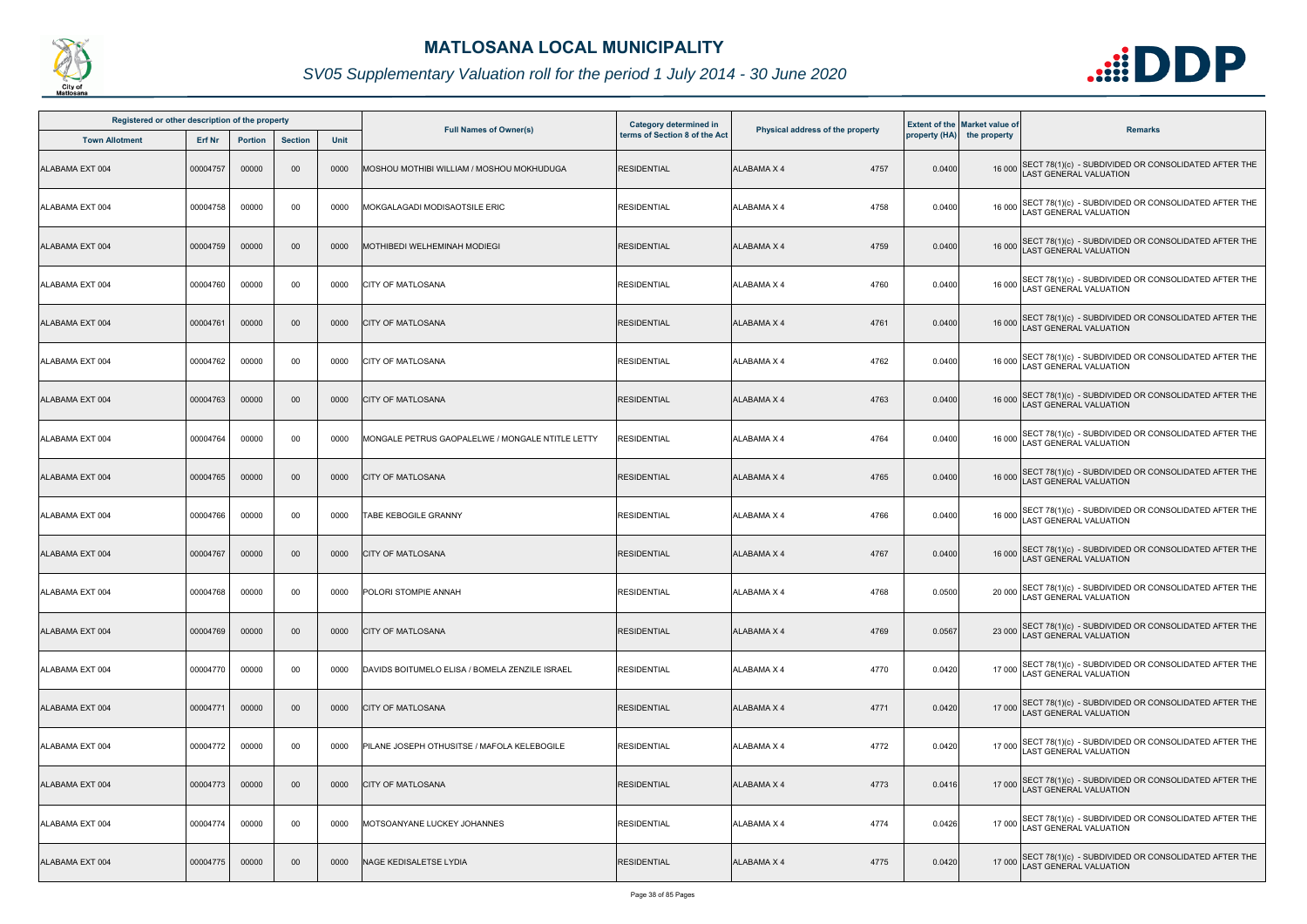

| Registered or other description of the property |          |                |                |             |                                                  | <b>Category determined in</b> |                                  |        | <b>Extent of the Market value of</b> |                                                                                              |
|-------------------------------------------------|----------|----------------|----------------|-------------|--------------------------------------------------|-------------------------------|----------------------------------|--------|--------------------------------------|----------------------------------------------------------------------------------------------|
| <b>Town Allotment</b>                           | Erf Nr   | <b>Portion</b> | <b>Section</b> | <b>Unit</b> | <b>Full Names of Owner(s)</b>                    | terms of Section 8 of the Act | Physical address of the property |        | property (HA) the property           | <b>Remarks</b>                                                                               |
| ALABAMA EXT 004                                 | 00004757 | 00000          | $00\,$         | 0000        | MOSHOU MOTHIBI WILLIAM / MOSHOU MOKHUDUGA        | <b>RESIDENTIAL</b>            | 4757<br><b>ALABAMA X 4</b>       | 0.0400 |                                      | 16 000 SECT 78(1)(c) - SUBDIVIDED OR CONSOLIDATED AFTER THE<br>LAST GENERAL VALUATION        |
| ALABAMA EXT 004                                 | 00004758 | 00000          | 00             | 0000        | MOKGALAGADI MODISAOTSILE ERIC                    | <b>RESIDENTIAL</b>            | 4758<br>ALABAMA X 4              | 0.0400 |                                      | 16 000 SECT 78(1)(c) - SUBDIVIDED OR CONSOLIDATED AFTER THE<br>LAST GENERAL VALUATION        |
| ALABAMA EXT 004                                 | 00004759 | 00000          | $00\,$         | 0000        | <b>MOTHIBEDI WELHEMINAH MODIEGI</b>              | <b>RESIDENTIAL</b>            | 4759<br>ALABAMA X 4              | 0.0400 |                                      | 16 000 SECT 78(1)(c) - SUBDIVIDED OR CONSOLIDATED AFTER THE<br>LAST GENERAL VALUATION        |
| ALABAMA EXT 004                                 | 00004760 | 00000          | 00             | 0000        | <b>CITY OF MATLOSANA</b>                         | <b>RESIDENTIAL</b>            | 4760<br>ALABAMA X 4              | 0.0400 |                                      | 16 000 SECT 78(1)(c) - SUBDIVIDED OR CONSOLIDATED AFTER THE<br>16 000 LAST GENERAL VALUATION |
| ALABAMA EXT 004                                 | 00004761 | 00000          | $00\,$         | 0000        | <b>CITY OF MATLOSANA</b>                         | <b>RESIDENTIAL</b>            | 4761<br>ALABAMA X 4              | 0.0400 |                                      | 16 000 SECT 78(1)(c) - SUBDIVIDED OR CONSOLIDATED AFTER THE<br>LAST GENERAL VALUATION        |
| ALABAMA EXT 004                                 | 00004762 | 00000          | 00             | 0000        | <b>CITY OF MATLOSANA</b>                         | <b>RESIDENTIAL</b>            | 4762<br>ALABAMA X 4              | 0.0400 |                                      | 16 000 SECT 78(1)(c) - SUBDIVIDED OR CONSOLIDATED AFTER THE<br>LAST GENERAL VALUATION        |
| ALABAMA EXT 004                                 | 00004763 | 00000          | $00\,$         | 0000        | <b>CITY OF MATLOSANA</b>                         | <b>RESIDENTIAL</b>            | <b>ALABAMA X 4</b><br>4763       | 0.0400 |                                      | 16 000 SECT 78(1)(c) - SUBDIVIDED OR CONSOLIDATED AFTER THE<br>LAST GENERAL VALUATION        |
| ALABAMA EXT 004                                 | 00004764 | 00000          | 00             | 0000        | MONGALE PETRUS GAOPALELWE / MONGALE NTITLE LETTY | <b>RESIDENTIAL</b>            | ALABAMA X 4<br>4764              | 0.0400 |                                      | 16 000 SECT 78(1)(c) - SUBDIVIDED OR CONSOLIDATED AFTER THE<br>LAST GENERAL VALUATION        |
| ALABAMA EXT 004                                 | 00004765 | 00000          | $00\,$         | 0000        | <b>CITY OF MATLOSANA</b>                         | <b>RESIDENTIAL</b>            | 4765<br>ALABAMA X 4              | 0.0400 |                                      | 16 000 SECT 78(1)(c) - SUBDIVIDED OR CONSOLIDATED AFTER THE<br>LAST GENERAL VALUATION        |
| ALABAMA EXT 004                                 | 00004766 | 00000          | 00             | 0000        | TABE KEBOGILE GRANNY                             | <b>RESIDENTIAL</b>            | <b>ALABAMA X 4</b><br>4766       | 0.0400 |                                      | 16 000 SECT 78(1)(c) - SUBDIVIDED OR CONSOLIDATED AFTER THE<br>LAST GENERAL VALUATION        |
| ALABAMA EXT 004                                 | 00004767 | 00000          | $00\,$         | 0000        | <b>CITY OF MATLOSANA</b>                         | <b>RESIDENTIAL</b>            | <b>ALABAMA X 4</b><br>4767       | 0.0400 |                                      | 16 000 SECT 78(1)(c) - SUBDIVIDED OR CONSOLIDATED AFTER THE<br>LAST GENERAL VALUATION        |
| ALABAMA EXT 004                                 | 00004768 | 00000          | 00             | 0000        | <b>POLORI STOMPIE ANNAH</b>                      | <b>RESIDENTIAL</b>            | ALABAMA X 4<br>4768              | 0.0500 |                                      | 20 000 SECT 78(1)(c) - SUBDIVIDED OR CONSOLIDATED AFTER THE<br>LAST GENERAL VALUATION        |
| ALABAMA EXT 004                                 | 00004769 | 00000          | $00\,$         | 0000        | <b>CITY OF MATLOSANA</b>                         | <b>RESIDENTIAL</b>            | 4769<br>ALABAMA X 4              | 0.0567 |                                      | 23 000 SECT 78(1)(c) - SUBDIVIDED OR CONSOLIDATED AFTER THE<br><b>LAST GENERAL VALUATION</b> |
| ALABAMA EXT 004                                 | 00004770 | 00000          | 00             | 0000        | DAVIDS BOITUMELO ELISA / BOMELA ZENZILE ISRAEL   | <b>RESIDENTIAL</b>            | <b>ALABAMA X 4</b><br>4770       | 0.0420 |                                      | 17 000 SECT 78(1)(c) - SUBDIVIDED OR CONSOLIDATED AFTER THE<br>LAST GENERAL VALUATION        |
| ALABAMA EXT 004                                 | 00004771 | 00000          | $00\,$         | 0000        | <b>CITY OF MATLOSANA</b>                         | <b>RESIDENTIAL</b>            | 4771<br>ALABAMA X 4              | 0.0420 |                                      | 17 000 SECT 78(1)(c) - SUBDIVIDED OR CONSOLIDATED AFTER THE<br>LAST GENERAL VALUATION        |
| ALABAMA EXT 004                                 | 00004772 | 00000          | 00             | 0000        | PILANE JOSEPH OTHUSITSE / MAFOLA KELEBOGILE      | <b>RESIDENTIAL</b>            | ALABAMA X 4<br>4772              | 0.0420 |                                      | 17 000 SECT 78(1)(c) - SUBDIVIDED OR CONSOLIDATED AFTER THE<br>LAST GENERAL VALUATION        |
| ALABAMA EXT 004                                 | 00004773 | 00000          | $00\,$         | 0000        | <b>CITY OF MATLOSANA</b>                         | <b>RESIDENTIAL</b>            | <b>ALABAMA X 4</b><br>4773       | 0.0416 |                                      | 17 000 SECT 78(1)(c) - SUBDIVIDED OR CONSOLIDATED AFTER THE<br>LAST GENERAL VALUATION        |
| ALABAMA EXT 004                                 | 00004774 | 00000          | 00             | 0000        | MOTSOANYANE LUCKEY JOHANNES                      | <b>RESIDENTIAL</b>            | ALABAMA X 4<br>4774              | 0.0426 |                                      | 17 000 SECT 78(1)(c) - SUBDIVIDED OR CONSOLIDATED AFTER THE<br>LAST GENERAL VALUATION        |
| ALABAMA EXT 004                                 | 00004775 | 00000          | $00\,$         | 0000        | NAGE KEDISALETSE LYDIA                           | <b>RESIDENTIAL</b>            | 4775<br>ALABAMA X 4              | 0.0420 |                                      | 17 000 SECT 78(1)(c) - SUBDIVIDED OR CONSOLIDATED AFTER THE<br>LAST GENERAL VALUATION        |

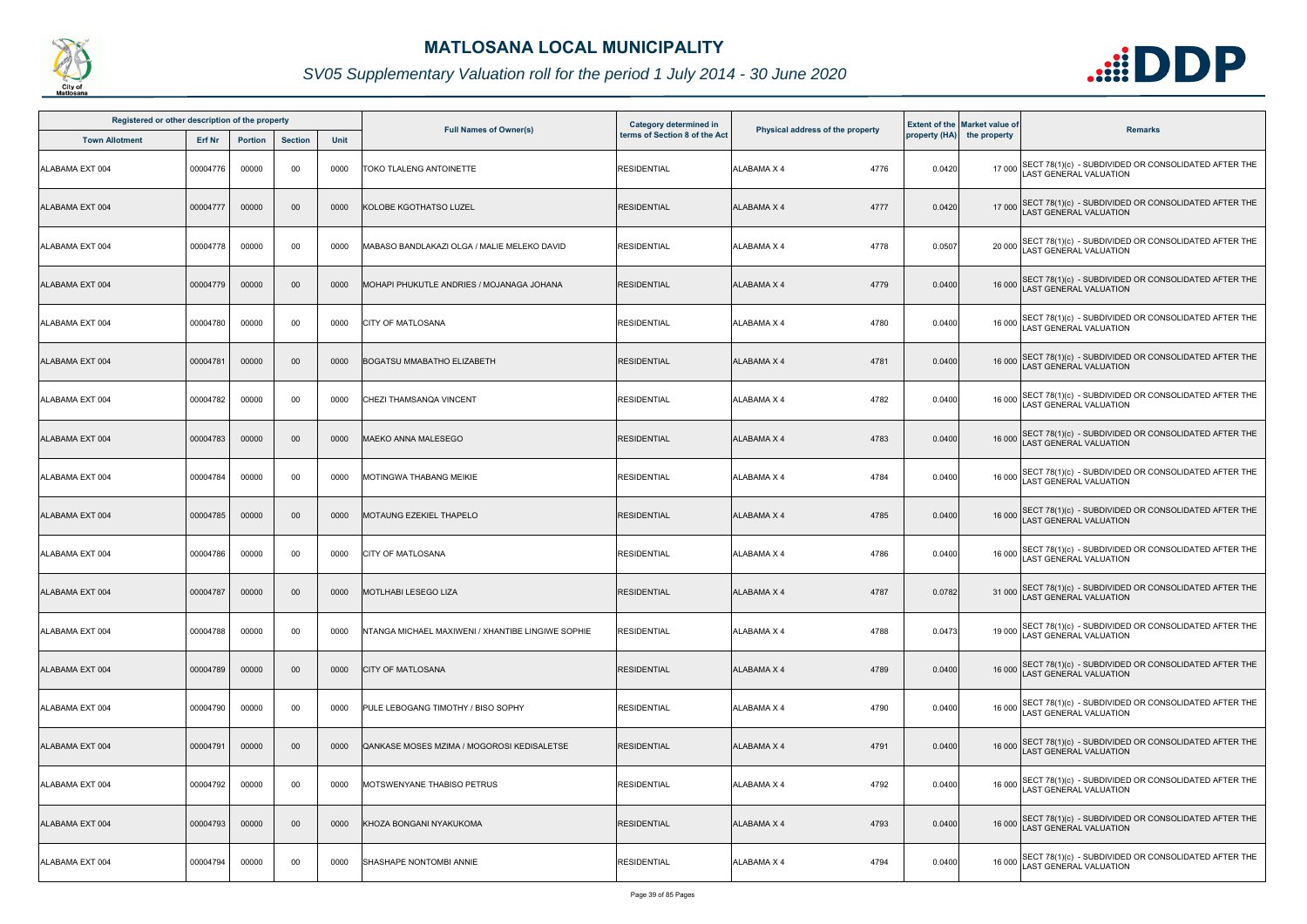

| Registered or other description of the property |               |                |                |             |                                                   | <b>Category determined in</b> |                                  |        | <b>Extent of the Market value of</b> |                                                                                              |
|-------------------------------------------------|---------------|----------------|----------------|-------------|---------------------------------------------------|-------------------------------|----------------------------------|--------|--------------------------------------|----------------------------------------------------------------------------------------------|
| <b>Town Allotment</b>                           | <b>Erf Nr</b> | <b>Portion</b> | <b>Section</b> | <b>Unit</b> | <b>Full Names of Owner(s)</b>                     | terms of Section 8 of the Act | Physical address of the property |        | property (HA) the property           | <b>Remarks</b>                                                                               |
| ALABAMA EXT 004                                 | 00004776      | 00000          | 00             | 0000        | TOKO TLALENG ANTOINETTE                           | <b>RESIDENTIAL</b>            | ALABAMA X 4<br>4776              | 0.0420 |                                      | 17 000 SECT 78(1)(c) - SUBDIVIDED OR CONSOLIDATED AFTER THE<br>LAST GENERAL VALUATION        |
| ALABAMA EXT 004                                 | 00004777      | 00000          | $00\,$         | 0000        | KOLOBE KGOTHATSO LUZEL                            | <b>RESIDENTIAL</b>            | ALABAMA X 4<br>4777              | 0.0420 |                                      | 17 000 SECT 78(1)(c) - SUBDIVIDED OR CONSOLIDATED AFTER THE<br>LAST GENERAL VALUATION        |
| ALABAMA EXT 004                                 | 00004778      | 00000          | 00             | 0000        | MABASO BANDLAKAZI OLGA / MALIE MELEKO DAVID       | <b>RESIDENTIAL</b>            | 4778<br>ALABAMA X 4              | 0.0507 |                                      | 20 000 SECT 78(1)(c) - SUBDIVIDED OR CONSOLIDATED AFTER THE<br>LAST GENERAL VALUATION        |
| ALABAMA EXT 004                                 | 00004779      | 00000          | $00\,$         | 0000        | MOHAPI PHUKUTLE ANDRIES / MOJANAGA JOHANA         | <b>RESIDENTIAL</b>            | 4779<br><b>ALABAMA X 4</b>       | 0.0400 |                                      | 16 000 SECT 78(1)(c) - SUBDIVIDED OR CONSOLIDATED AFTER THE<br>16 000 LAST GENERAL VALUATION |
| ALABAMA EXT 004                                 | 00004780      | 00000          | 00             | 0000        | <b>CITY OF MATLOSANA</b>                          | <b>RESIDENTIAL</b>            | 4780<br>ALABAMA X 4              | 0.0400 |                                      | 16 000 SECT 78(1)(c) - SUBDIVIDED OR CONSOLIDATED AFTER THE<br>LAST GENERAL VALUATION        |
| ALABAMA EXT 004                                 | 00004781      | 00000          | $00\,$         | 0000        | <b>BOGATSU MMABATHO ELIZABETH</b>                 | <b>RESIDENTIAL</b>            | 4781<br>ALABAMA X 4              | 0.0400 |                                      | 16 000 SECT 78(1)(c) - SUBDIVIDED OR CONSOLIDATED AFTER THE<br>LAST GENERAL VALUATION        |
| ALABAMA EXT 004                                 | 00004782      | 00000          | 00             | 0000        | CHEZI THAMSANQA VINCENT                           | <b>RESIDENTIAL</b>            | ALABAMA X 4<br>4782              | 0.0400 |                                      | 16 000 SECT 78(1)(c) - SUBDIVIDED OR CONSOLIDATED AFTER THE<br>LAST GENERAL VALUATION        |
| ALABAMA EXT 004                                 | 00004783      | 00000          | $00\,$         | 0000        | <b>MAEKO ANNA MALESEGO</b>                        | <b>RESIDENTIAL</b>            | 4783<br><b>ALABAMA X 4</b>       | 0.0400 |                                      | 16 000 SECT 78(1)(c) - SUBDIVIDED OR CONSOLIDATED AFTER THE<br>LAST GENERAL VALUATION        |
| ALABAMA EXT 004                                 | 00004784      | 00000          | 00             | 0000        | MOTINGWA THABANG MEIKIE                           | <b>RESIDENTIAL</b>            | 4784<br>ALABAMA X 4              | 0.0400 |                                      | 16 000 SECT 78(1)(c) - SUBDIVIDED OR CONSOLIDATED AFTER THE<br>LAST GENERAL VALUATION        |
| ALABAMA EXT 004                                 | 00004785      | 00000          | 00             | 0000        | <b>MOTAUNG EZEKIEL THAPELO</b>                    | <b>RESIDENTIAL</b>            | <b>ALABAMA X 4</b><br>4785       | 0.0400 |                                      | 16 000 SECT 78(1)(c) - SUBDIVIDED OR CONSOLIDATED AFTER THE<br>LAST GENERAL VALUATION        |
| ALABAMA EXT 004                                 | 00004786      | 00000          | 00             | 0000        | <b>CITY OF MATLOSANA</b>                          | <b>RESIDENTIAL</b>            | ALABAMA X 4<br>4786              | 0.0400 |                                      | 16 000 SECT 78(1)(c) - SUBDIVIDED OR CONSOLIDATED AFTER THE<br>LAST GENERAL VALUATION        |
| ALABAMA EXT 004                                 | 00004787      | 00000          | $00\,$         | 0000        | MOTLHABI LESEGO LIZA                              | <b>RESIDENTIAL</b>            | ALABAMA X 4<br>4787              | 0.0782 |                                      | 31 000 SECT 78(1)(c) - SUBDIVIDED OR CONSOLIDATED AFTER THE<br>LAST GENERAL VALUATION        |
| ALABAMA EXT 004                                 | 00004788      | 00000          | 00             | 0000        | NTANGA MICHAEL MAXIWENI / XHANTIBE LINGIWE SOPHIE | <b>RESIDENTIAL</b>            | 4788<br>ALABAMA X 4              | 0.0473 |                                      | 19 000 SECT 78(1)(c) - SUBDIVIDED OR CONSOLIDATED AFTER THE<br>LAST GENERAL VALUATION        |
| ALABAMA EXT 004                                 | 00004789      | 00000          | $00\,$         | 0000        | <b>CITY OF MATLOSANA</b>                          | <b>RESIDENTIAL</b>            | ALABAMA X 4<br>4789              | 0.0400 |                                      | 16 000 SECT 78(1)(c) - SUBDIVIDED OR CONSOLIDATED AFTER THE<br>LAST GENERAL VALUATION        |
| ALABAMA EXT 004                                 | 00004790      | 00000          | 00             | 0000        | PULE LEBOGANG TIMOTHY / BISO SOPHY                | <b>RESIDENTIAL</b>            | ALABAMA X 4<br>4790              | 0.0400 |                                      | 16 000 SECT 78(1)(c) - SUBDIVIDED OR CONSOLIDATED AFTER THE<br><b>AST GENERAL VALUATION</b>  |
| ALABAMA EXT 004                                 | 00004791      | 00000          | $00\,$         | 0000        | QANKASE MOSES MZIMA / MOGOROSI KEDISALETSE        | <b>RESIDENTIAL</b>            | 4791<br>ALABAMA X 4              | 0.0400 |                                      | 16 000 SECT 78(1)(c) - SUBDIVIDED OR CONSOLIDATED AFTER THE<br>LAST GENERAL VALUATION        |
| ALABAMA EXT 004                                 | 00004792      | 00000          | 00             | 0000        | MOTSWENYANE THABISO PETRUS                        | <b>RESIDENTIAL</b>            | <b>ALABAMA X 4</b><br>4792       | 0.0400 |                                      | 16 000 SECT 78(1)(c) - SUBDIVIDED OR CONSOLIDATED AFTER THE<br>LAST GENERAL VALUATION        |
| ALABAMA EXT 004                                 | 00004793      | 00000          | 00             | 0000        | KHOZA BONGANI NYAKUKOMA                           | <b>RESIDENTIAL</b>            | 4793<br><b>ALABAMA X 4</b>       | 0.0400 |                                      | 16 000 SECT 78(1)(c) - SUBDIVIDED OR CONSOLIDATED AFTER THE<br>LAST GENERAL VALUATION        |
| ALABAMA EXT 004                                 | 00004794      | 00000          | 00             | 0000        | SHASHAPE NONTOMBI ANNIE                           | <b>RESIDENTIAL</b>            | 4794<br>ALABAMA X 4              | 0.0400 | 16 000                               | SECT 78(1)(c) - SUBDIVIDED OR CONSOLIDATED AFTER THE<br>LAST GENERAL VALUATION               |

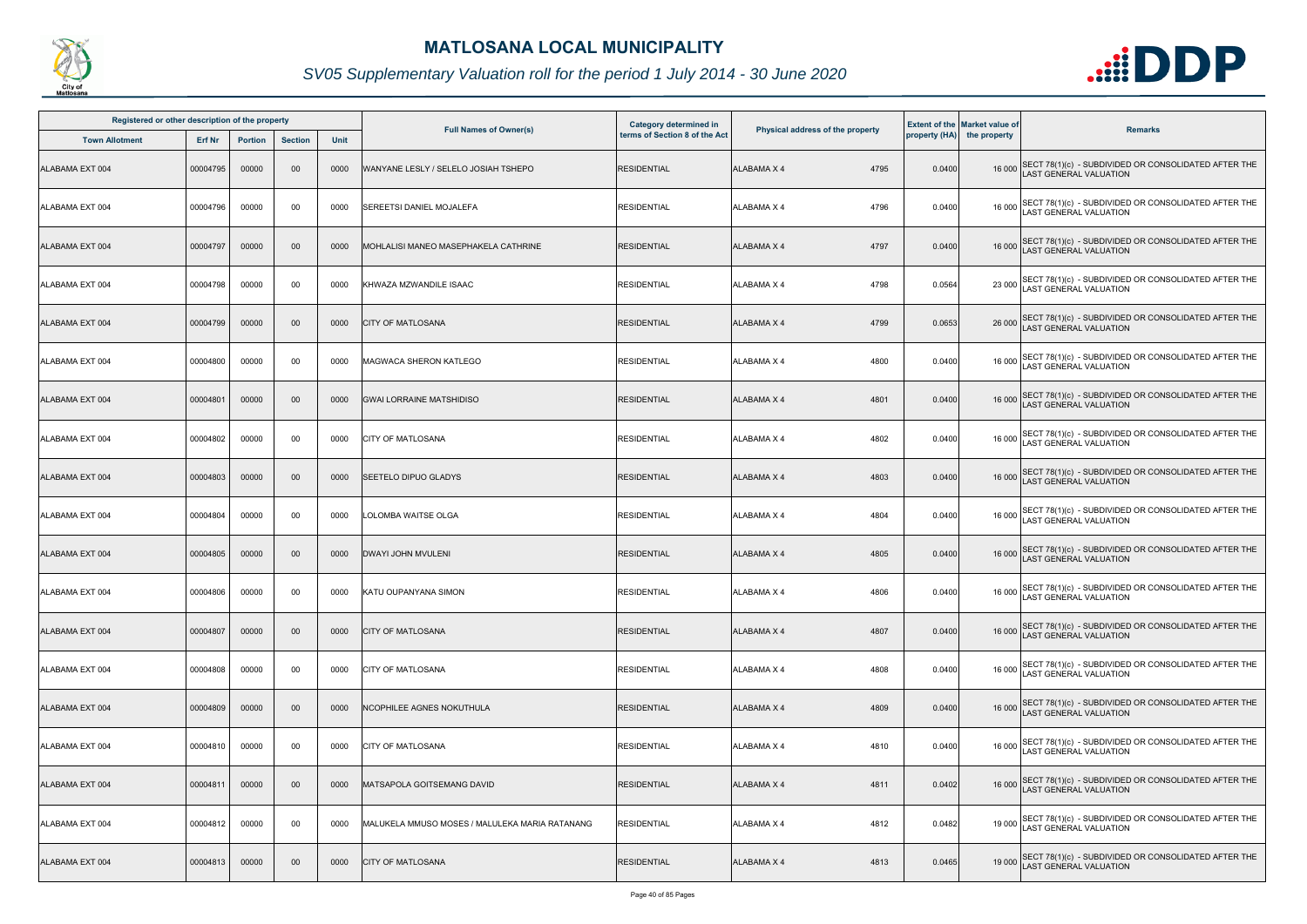

| Registered or other description of the property |               |                |                |      |                                                |                                                                |                                  |        |                                                                    |                                                                                              |
|-------------------------------------------------|---------------|----------------|----------------|------|------------------------------------------------|----------------------------------------------------------------|----------------------------------|--------|--------------------------------------------------------------------|----------------------------------------------------------------------------------------------|
| <b>Town Allotment</b>                           | <b>Erf Nr</b> | <b>Portion</b> | <b>Section</b> | Unit | <b>Full Names of Owner(s)</b>                  | <b>Category determined in</b><br>terms of Section 8 of the Act | Physical address of the property |        | <b>Extent of the Market value of</b><br>property (HA) the property | <b>Remarks</b>                                                                               |
| ALABAMA EXT 004                                 | 00004795      | 00000          | 00             | 0000 | WANYANE LESLY / SELELO JOSIAH TSHEPO           | <b>RESIDENTIAL</b>                                             | <b>ALABAMA X 4</b><br>4795       | 0.0400 |                                                                    | 16 000 SECT 78(1)(c) - SUBDIVIDED OR CONSOLIDATED AFTER THE<br>LAST GENERAL VALUATION        |
| ALABAMA EXT 004                                 | 00004796      | 00000          | 00             | 0000 | SEREETSI DANIEL MOJALEFA                       | <b>RESIDENTIAL</b>                                             | 4796<br>ALABAMA X 4              | 0.0400 |                                                                    | 16 000 SECT 78(1)(c) - SUBDIVIDED OR CONSOLIDATED AFTER THE<br>LAST GENERAL VALUATION        |
| ALABAMA EXT 004                                 | 00004797      | 00000          | $00\,$         | 0000 | MOHLALISI MANEO MASEPHAKELA CATHRINE           | <b>RESIDENTIAL</b>                                             | 4797<br>ALABAMA X 4              | 0.0400 |                                                                    | 16 000 SECT 78(1)(c) - SUBDIVIDED OR CONSOLIDATED AFTER THE<br>LAST GENERAL VALUATION        |
| ALABAMA EXT 004                                 | 00004798      | 00000          | 00             | 0000 | KHWAZA MZWANDILE ISAAC                         | <b>RESIDENTIAL</b>                                             | 4798<br>ALABAMA X 4              | 0.0564 |                                                                    | 23 000 SECT 78(1)(c) - SUBDIVIDED OR CONSOLIDATED AFTER THE<br>LAST GENERAL VALUATION        |
| ALABAMA EXT 004                                 | 00004799      | 00000          | $00\,$         | 0000 | <b>CITY OF MATLOSANA</b>                       | <b>RESIDENTIAL</b>                                             | 4799<br><b>ALABAMA X 4</b>       | 0.0653 |                                                                    | 26 000 SECT 78(1)(c) - SUBDIVIDED OR CONSOLIDATED AFTER THE<br>LAST GENERAL VALUATION        |
| ALABAMA EXT 004                                 | 00004800      | 00000          | 00             | 0000 | <b>MAGWACA SHERON KATLEGO</b>                  | <b>RESIDENTIAL</b>                                             | ALABAMA X 4<br>4800              | 0.0400 |                                                                    | 16 000 SECT 78(1)(c) - SUBDIVIDED OR CONSOLIDATED AFTER THE<br>LAST GENERAL VALUATION        |
| ALABAMA EXT 004                                 | 00004801      | 00000          | 00             | 0000 | <b>GWAI LORRAINE MATSHIDISO</b>                | <b>RESIDENTIAL</b>                                             | ALABAMA X 4<br>4801              | 0.0400 |                                                                    | 16 000 SECT 78(1)(c) - SUBDIVIDED OR CONSOLIDATED AFTER THE<br>LAST GENERAL VALUATION        |
| ALABAMA EXT 004                                 | 00004802      | 00000          | 00             | 0000 | <b>CITY OF MATLOSANA</b>                       | <b>RESIDENTIAL</b>                                             | 4802<br>ALABAMA X 4              | 0.0400 |                                                                    | 16 000 SECT 78(1)(c) - SUBDIVIDED OR CONSOLIDATED AFTER THE<br>LAST GENERAL VALUATION        |
| ALABAMA EXT 004                                 | 00004803      | 00000          | 00             | 0000 | <b>SEETELO DIPUO GLADYS</b>                    | <b>RESIDENTIAL</b>                                             | ALABAMA X 4<br>4803              | 0.0400 |                                                                    | 16 000 SECT 78(1)(c) - SUBDIVIDED OR CONSOLIDATED AFTER THE<br>LAST GENERAL VALUATION        |
| ALABAMA EXT 004                                 | 00004804      | 00000          | 00             | 0000 | LOLOMBA WAITSE OLGA                            | <b>RESIDENTIAL</b>                                             | ALABAMA X 4<br>4804              | 0.0400 |                                                                    | 16 000 SECT 78(1)(c) - SUBDIVIDED OR CONSOLIDATED AFTER THE<br>LAST GENERAL VALUATION        |
| ALABAMA EXT 004                                 | 00004805      | 00000          | $00\,$         | 0000 | <b>DWAYI JOHN MVULENI</b>                      | <b>RESIDENTIAL</b>                                             | <b>ALABAMA X 4</b><br>4805       | 0.0400 |                                                                    | 16 000 SECT 78(1)(c) - SUBDIVIDED OR CONSOLIDATED AFTER THE<br>LAST GENERAL VALUATION        |
| ALABAMA EXT 004                                 | 00004806      | 00000          | 00             |      | 0000 KATU OUPANYANA SIMON                      | <b>RESIDENTIAL</b>                                             | ALABAMA X 4<br>4806              | 0.0400 |                                                                    | 16 000 SECT 78(1)(c) - SUBDIVIDED OR CONSOLIDATED AFTER THE<br>LAST GENERAL VALUATION        |
| ALABAMA EXT 004                                 | 00004807      | 00000          | $00\,$         | 0000 | <b>CITY OF MATLOSANA</b>                       | <b>RESIDENTIAL</b>                                             | 4807<br>ALABAMA X 4              | 0.0400 |                                                                    | 16 000 SECT 78(1)(c) - SUBDIVIDED OR CONSOLIDATED AFTER THE<br>LAST GENERAL VALUATION        |
| ALABAMA EXT 004                                 | 00004808      | 00000          | 00             | 0000 | <b>CITY OF MATLOSANA</b>                       | <b>RESIDENTIAL</b>                                             | ALABAMA X 4<br>4808              | 0.0400 |                                                                    | 16 000 SECT 78(1)(c) - SUBDIVIDED OR CONSOLIDATED AFTER THE<br>LAST GENERAL VALUATION        |
| ALABAMA EXT 004                                 | 00004809      | 00000          | 00             | 0000 | NCOPHILEE AGNES NOKUTHULA                      | <b>RESIDENTIAL</b>                                             | 4809<br>ALABAMA X 4              | 0.0400 |                                                                    | 16 000 SECT 78(1)(c) - SUBDIVIDED OR CONSOLIDATED AFTER THE<br>LAST GENERAL VALUATION        |
| ALABAMA EXT 004                                 | 00004810      | 00000          | 00             | 0000 | <b>CITY OF MATLOSANA</b>                       | <b>RESIDENTIAL</b>                                             | 4810<br>ALABAMA X 4              | 0.0400 |                                                                    | 16 000 SECT 78(1)(c) - SUBDIVIDED OR CONSOLIDATED AFTER THE<br><b>LAST GENERAL VALUATION</b> |
| ALABAMA EXT 004                                 | 00004811      | 00000          | $00\,$         | 0000 | <b>IMATSAPOLA GOITSEMANG DAVID</b>             | <b>RESIDENTIAL</b>                                             | ALABAMA X 4<br>4811              | 0.0402 |                                                                    | 16 000 SECT 78(1)(c) - SUBDIVIDED OR CONSOLIDATED AFTER THE<br>LAST GENERAL VALUATION        |
| ALABAMA EXT 004                                 | 00004812      | 00000          | 00             | 0000 | MALUKELA MMUSO MOSES / MALULEKA MARIA RATANANG | <b>RESIDENTIAL</b>                                             | <b>ALABAMA X 4</b><br>4812       | 0.0482 |                                                                    | 19 000 SECT 78(1)(c) - SUBDIVIDED OR CONSOLIDATED AFTER THE<br>LAST GENERAL VALUATION        |
| ALABAMA EXT 004                                 | 00004813      | 00000          | $00\,$         | 0000 | <b>CITY OF MATLOSANA</b>                       | <b>RESIDENTIAL</b>                                             | 4813<br>ALABAMA X 4              | 0.0465 | 19 000                                                             | SECT 78(1)(c) - SUBDIVIDED OR CONSOLIDATED AFTER THE LAST GENERAL VALUATION                  |

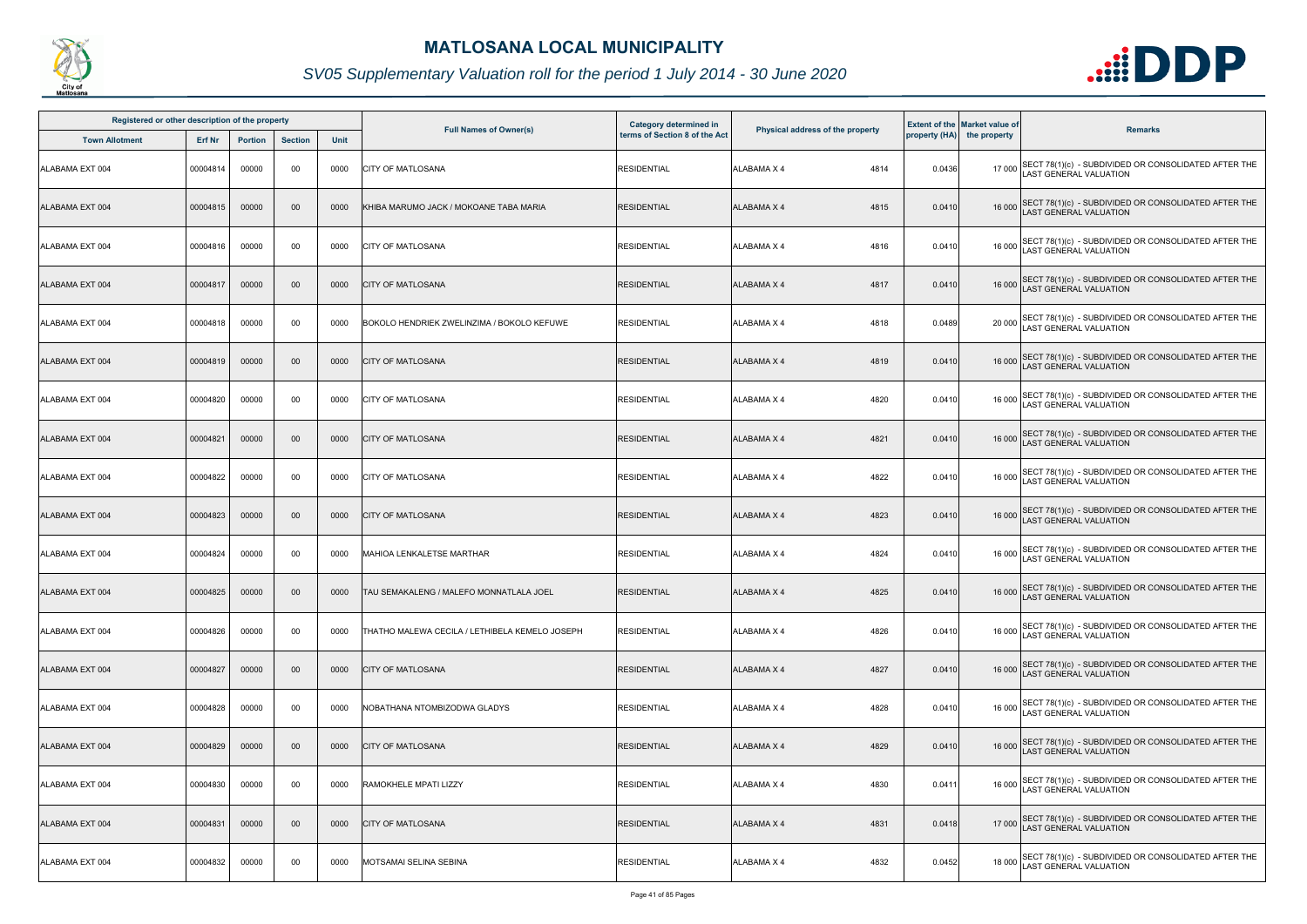

| Registered or other description of the property |          |                |                |      |                                                | Category determined in        |                                  |        | <b>Extent of the Market value of</b> |                                                                                             |
|-------------------------------------------------|----------|----------------|----------------|------|------------------------------------------------|-------------------------------|----------------------------------|--------|--------------------------------------|---------------------------------------------------------------------------------------------|
| <b>Town Allotment</b>                           | Erf Nr   | <b>Portion</b> | <b>Section</b> | Unit | <b>Full Names of Owner(s)</b>                  | terms of Section 8 of the Act | Physical address of the property |        | property (HA) the property           | <b>Remarks</b>                                                                              |
| ALABAMA EXT 004                                 | 00004814 | 00000          | 00             | 0000 | <b>CITY OF MATLOSANA</b>                       | <b>RESIDENTIAL</b>            | 4814<br><b>ALABAMA X 4</b>       | 0.0436 |                                      | 17 000 SECT 78(1)(c) - SUBDIVIDED OR CONSOLIDATED AFTER THE<br>LAST GENERAL VALUATION       |
| ALABAMA EXT 004                                 | 00004815 | 00000          | 00             | 0000 | KHIBA MARUMO JACK / MOKOANE TABA MARIA         | <b>RESIDENTIAL</b>            | <b>ALABAMA X 4</b><br>4815       | 0.0410 |                                      | 16 000 SECT 78(1)(c) - SUBDIVIDED OR CONSOLIDATED AFTER THE<br>LAST GENERAL VALUATION       |
| ALABAMA EXT 004                                 | 00004816 | 00000          | 00             | 0000 | <b>CITY OF MATLOSANA</b>                       | <b>RESIDENTIAL</b>            | <b>ALABAMA X 4</b><br>4816       | 0.0410 |                                      | 16 000 SECT 78(1)(c) - SUBDIVIDED OR CONSOLIDATED AFTER THE<br>LAST GENERAL VALUATION       |
| ALABAMA EXT 004                                 | 00004817 | 00000          | $00\,$         | 0000 | <b>CITY OF MATLOSANA</b>                       | <b>RESIDENTIAL</b>            | 4817<br><b>ALABAMA X 4</b>       | 0.0410 |                                      | 16 000 SECT 78(1)(c) - SUBDIVIDED OR CONSOLIDATED AFTER THE<br>LAST GENERAL VALUATION       |
| ALABAMA EXT 004                                 | 00004818 | 00000          | 00             | 0000 | BOKOLO HENDRIEK ZWELINZIMA / BOKOLO KEFUWE     | <b>RESIDENTIAL</b>            | 4818<br><b>ALABAMA X 4</b>       | 0.0489 |                                      | 20 000 SECT 78(1)(c) - SUBDIVIDED OR CONSOLIDATED AFTER THE<br>LAST GENERAL VALUATION       |
| ALABAMA EXT 004                                 | 00004819 | 00000          | 00             | 0000 | <b>CITY OF MATLOSANA</b>                       | <b>RESIDENTIAL</b>            | <b>ALABAMA X 4</b><br>4819       | 0.0410 |                                      | 16 000 SECT 78(1)(c) - SUBDIVIDED OR CONSOLIDATED AFTER THE<br>LAST GENERAL VALUATION       |
| ALABAMA EXT 004                                 | 00004820 | 00000          | 00             | 0000 | <b>CITY OF MATLOSANA</b>                       | <b>RESIDENTIAL</b>            | <b>ALABAMA X 4</b><br>4820       | 0.0410 |                                      | 16 000 SECT 78(1)(c) - SUBDIVIDED OR CONSOLIDATED AFTER THE<br>LAST GENERAL VALUATION       |
| ALABAMA EXT 004                                 | 00004821 | 00000          | $00\,$         | 0000 | <b>CITY OF MATLOSANA</b>                       | <b>RESIDENTIAL</b>            | <b>ALABAMA X 4</b><br>4821       | 0.0410 |                                      | 16 000 SECT 78(1)(c) - SUBDIVIDED OR CONSOLIDATED AFTER THE<br>LAST GENERAL VALUATION       |
| ALABAMA EXT 004                                 | 00004822 | 00000          | 00             | 0000 | <b>CITY OF MATLOSANA</b>                       | <b>RESIDENTIAL</b>            | <b>ALABAMA X 4</b><br>4822       | 0.0410 |                                      | 16 000 SECT 78(1)(c) - SUBDIVIDED OR CONSOLIDATED AFTER THE<br>LAST GENERAL VALUATION       |
| ALABAMA EXT 004                                 | 00004823 | 00000          | 00             | 0000 | <b>CITY OF MATLOSANA</b>                       | <b>RESIDENTIAL</b>            | <b>ALABAMA X 4</b><br>4823       | 0.0410 |                                      | 16 000 SECT 78(1)(c) - SUBDIVIDED OR CONSOLIDATED AFTER THE<br>LAST GENERAL VALUATION       |
| ALABAMA EXT 004                                 | 00004824 | 00000          | 00             | 0000 | MAHIOA LENKALETSE MARTHAR                      | <b>RESIDENTIAL</b>            | 4824<br>ALABAMA X 4              | 0.0410 |                                      | 16 000 SECT 78(1)(c) - SUBDIVIDED OR CONSOLIDATED AFTER THE<br>LAST GENERAL VALUATION       |
| ALABAMA EXT 004                                 | 00004825 | 00000          | $00\,$         | 0000 | <b>TAU SEMAKALENG / MALEFO MONNATLALA JOEL</b> | <b>RESIDENTIAL</b>            | <b>ALABAMA X 4</b><br>4825       | 0.0410 |                                      | 16 000 SECT 78(1)(c) - SUBDIVIDED OR CONSOLIDATED AFTER THE<br>LAST GENERAL VALUATION       |
| ALABAMA EXT 004                                 | 00004826 | 00000          | 00             | 0000 | THATHO MALEWA CECILA / LETHIBELA KEMELO JOSEPH | <b>RESIDENTIAL</b>            | <b>ALABAMA X 4</b><br>4826       | 0.0410 | 16 000                               | SECT 78(1)(c) - SUBDIVIDED OR CONSOLIDATED AFTER THE<br><b>LAST GENERAL VALUATION</b>       |
| ALABAMA EXT 004                                 | 00004827 | 00000          | 00             | 0000 | <b>CITY OF MATLOSANA</b>                       | <b>RESIDENTIAL</b>            | <b>ALABAMA X 4</b><br>4827       | 0.0410 |                                      | 16 000 SECT 78(1)(c) - SUBDIVIDED OR CONSOLIDATED AFTER THE<br><b>AST GENERAL VALUATION</b> |
| ALABAMA EXT 004                                 | 00004828 | 00000          | 00             | 0000 | NOBATHANA NTOMBIZODWA GLADYS                   | <b>RESIDENTIAL</b>            | <b>ALABAMA X 4</b><br>4828       | 0.0410 |                                      | 16 000 SECT 78(1)(c) - SUBDIVIDED OR CONSOLIDATED AFTER THE<br>LAST GENERAL VALUATION       |
| ALABAMA EXT 004                                 | 00004829 | 00000          | 00             | 0000 | <b>CITY OF MATLOSANA</b>                       | <b>RESIDENTIAL</b>            | <b>ALABAMA X 4</b><br>4829       | 0.0410 |                                      | 16 000 SECT 78(1)(c) - SUBDIVIDED OR CONSOLIDATED AFTER THE<br>LAST GENERAL VALUATION       |
| ALABAMA EXT 004                                 | 00004830 | 00000          | 00             | 0000 | <b>RAMOKHELE MPATI LIZZY</b>                   | <b>RESIDENTIAL</b>            | <b>ALABAMA X 4</b><br>4830       | 0.0411 |                                      | 16 000 SECT 78(1)(c) - SUBDIVIDED OR CONSOLIDATED AFTER THE<br>LAST GENERAL VALUATION       |
| ALABAMA EXT 004                                 | 00004831 | 00000          | $00\,$         | 0000 | <b>CITY OF MATLOSANA</b>                       | <b>RESIDENTIAL</b>            | 4831<br><b>ALABAMA X 4</b>       | 0.0418 |                                      | 17 000 SECT 78(1)(c) - SUBDIVIDED OR CONSOLIDATED AFTER THE<br>LAST GENERAL VALUATION       |
| ALABAMA EXT 004                                 | 00004832 | 00000          | 00             | 0000 | MOTSAMAI SELINA SEBINA                         | <b>RESIDENTIAL</b>            | 4832<br>ALABAMA X 4              | 0.0452 |                                      | 18 000 SECT 78(1)(c) - SUBDIVIDED OR CONSOLIDATED AFTER THE<br>LAST GENERAL VALUATION       |

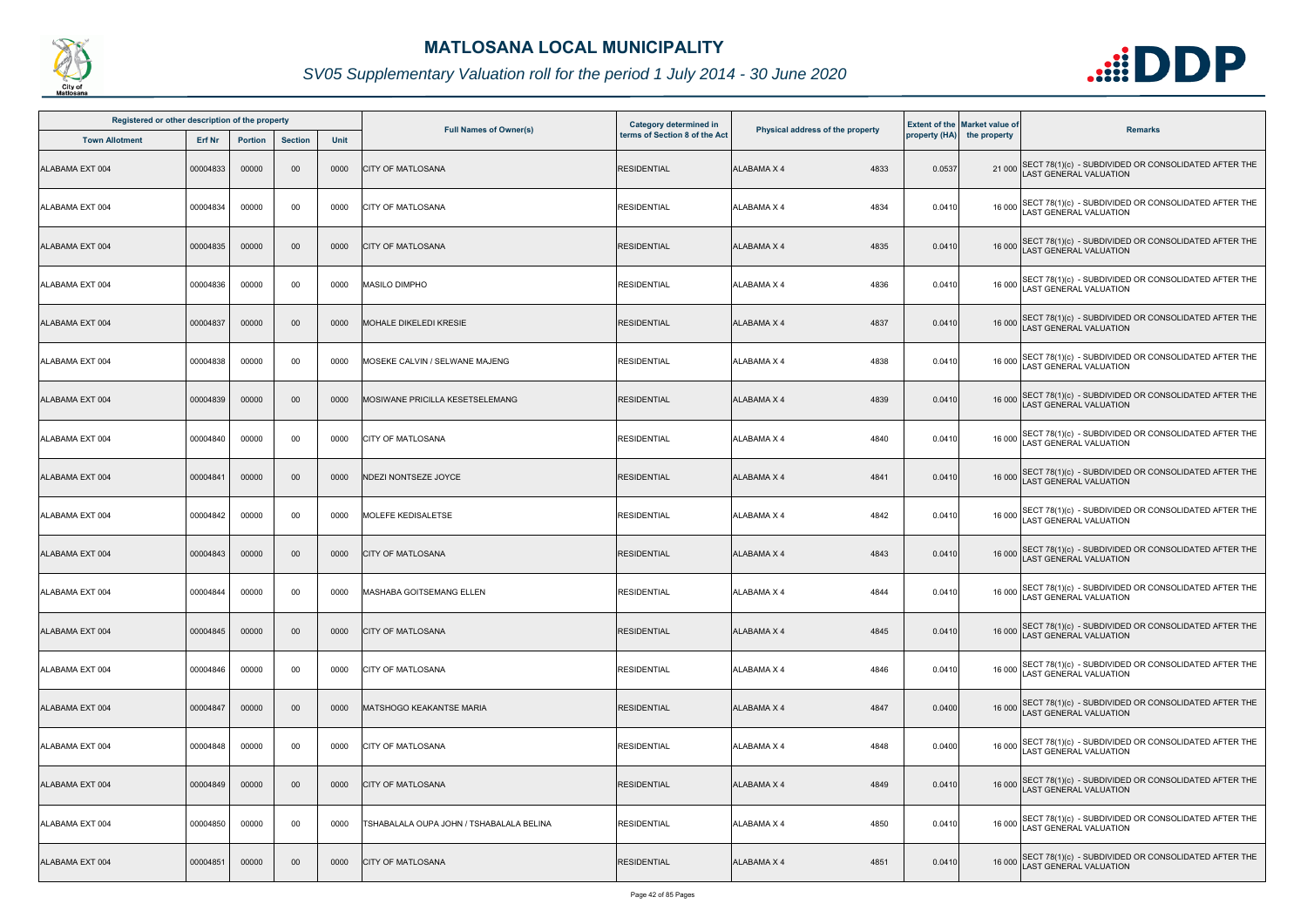

| Registered or other description of the property |          |                |                |      |                                          | Category determined in        |                                  |        | <b>Extent of the Market value of</b> |                                                                                       |
|-------------------------------------------------|----------|----------------|----------------|------|------------------------------------------|-------------------------------|----------------------------------|--------|--------------------------------------|---------------------------------------------------------------------------------------|
| <b>Town Allotment</b>                           | Erf Nr   | <b>Portion</b> | <b>Section</b> | Unit | <b>Full Names of Owner(s)</b>            | terms of Section 8 of the Act | Physical address of the property |        | property (HA) the property           | <b>Remarks</b>                                                                        |
| ALABAMA EXT 004                                 | 00004833 | 00000          | 00             | 0000 | <b>CITY OF MATLOSANA</b>                 | <b>RESIDENTIAL</b>            | 4833<br><b>ALABAMA X 4</b>       | 0.0537 |                                      | 21 000 SECT 78(1)(c) - SUBDIVIDED OR CONSOLIDATED AFTER THE<br>LAST GENERAL VALUATION |
| ALABAMA EXT 004                                 | 00004834 | 00000          | 00             | 0000 | <b>CITY OF MATLOSANA</b>                 | <b>RESIDENTIAL</b>            | ALABAMA X 4<br>4834              | 0.0410 | 16 000                               | SECT 78(1)(c) - SUBDIVIDED OR CONSOLIDATED AFTER THE<br>LAST GENERAL VALUATION        |
| ALABAMA EXT 004                                 | 00004835 | 00000          | $00\,$         | 0000 | <b>CITY OF MATLOSANA</b>                 | <b>RESIDENTIAL</b>            | <b>ALABAMA X 4</b><br>4835       | 0.0410 |                                      | 16 000 SECT 78(1)(c) - SUBDIVIDED OR CONSOLIDATED AFTER THE<br>LAST GENERAL VALUATION |
| ALABAMA EXT 004                                 | 00004836 | 00000          | 00             | 0000 | <b>MASILO DIMPHO</b>                     | <b>RESIDENTIAL</b>            | 4836<br>ALABAMA X 4              | 0.0410 |                                      | 16 000 SECT 78(1)(c) - SUBDIVIDED OR CONSOLIDATED AFTER THE<br>LAST GENERAL VALUATION |
| ALABAMA EXT 004                                 | 00004837 | 00000          | 00             | 0000 | <b>MOHALE DIKELEDI KRESIE</b>            | <b>RESIDENTIAL</b>            | 4837<br><b>ALABAMA X 4</b>       | 0.0410 |                                      | 16 000 SECT 78(1)(c) - SUBDIVIDED OR CONSOLIDATED AFTER THE<br>LAST GENERAL VALUATION |
| ALABAMA EXT 004                                 | 00004838 | 00000          | 00             | 0000 | MOSEKE CALVIN / SELWANE MAJENG           | RESIDENTIAL                   | 4838<br>ALABAMA X 4              | 0.0410 |                                      | 16 000 SECT 78(1)(c) - SUBDIVIDED OR CONSOLIDATED AFTER THE<br>LAST GENERAL VALUATION |
| ALABAMA EXT 004                                 | 00004839 | 00000          | 00             | 0000 | MOSIWANE PRICILLA KESETSELEMANG          | <b>RESIDENTIAL</b>            | <b>ALABAMA X 4</b><br>4839       | 0.0410 |                                      | 16 000 SECT 78(1)(c) - SUBDIVIDED OR CONSOLIDATED AFTER THE<br>LAST GENERAL VALUATION |
| ALABAMA EXT 004                                 | 00004840 | 00000          | 00             | 0000 | <b>CITY OF MATLOSANA</b>                 | <b>RESIDENTIAL</b>            | <b>ALABAMA X 4</b><br>4840       | 0.0410 | 16 000                               | SECT 78(1)(c) - SUBDIVIDED OR CONSOLIDATED AFTER THE<br>AST GENERAL VALUATION         |
| ALABAMA EXT 004                                 | 00004841 | 00000          | 00             | 0000 | <b>NDEZI NONTSEZE JOYCE</b>              | <b>RESIDENTIAL</b>            | <b>ALABAMA X 4</b><br>4841       | 0.0410 |                                      | 16 000 SECT 78(1)(c) - SUBDIVIDED OR CONSOLIDATED AFTER THE<br>LAST GENERAL VALUATION |
| ALABAMA EXT 004                                 | 00004842 | 00000          | 00             | 0000 | MOLEFE KEDISALETSE                       | <b>RESIDENTIAL</b>            | ALABAMA X 4<br>4842              | 0.0410 |                                      | 16 000 SECT 78(1)(c) - SUBDIVIDED OR CONSOLIDATED AFTER THE<br>LAST GENERAL VALUATION |
| ALABAMA EXT 004                                 | 00004843 | 00000          | 00             | 0000 | <b>CITY OF MATLOSANA</b>                 | <b>RESIDENTIAL</b>            | <b>ALABAMA X 4</b><br>4843       | 0.0410 |                                      | 16 000 SECT 78(1)(c) - SUBDIVIDED OR CONSOLIDATED AFTER THE<br>LAST GENERAL VALUATION |
| ALABAMA EXT 004                                 | 00004844 | 00000          | 00             | 0000 | MASHABA GOITSEMANG ELLEN                 | <b>RESIDENTIAL</b>            | ALABAMA X 4<br>4844              | 0.0410 |                                      | 16 000 SECT 78(1)(c) - SUBDIVIDED OR CONSOLIDATED AFTER THE<br>LAST GENERAL VALUATION |
| ALABAMA EXT 004                                 | 00004845 | 00000          | $00\,$         | 0000 | <b>CITY OF MATLOSANA</b>                 | <b>RESIDENTIAL</b>            | 4845<br><b>ALABAMA X 4</b>       | 0.0410 |                                      | 16 000 SECT 78(1)(c) - SUBDIVIDED OR CONSOLIDATED AFTER THE<br>LAST GENERAL VALUATION |
| ALABAMA EXT 004                                 | 00004846 | 00000          | 00             | 0000 | <b>CITY OF MATLOSANA</b>                 | <b>RESIDENTIAL</b>            | <b>ALABAMA X 4</b><br>4846       | 0.0410 | 16 000                               | SECT 78(1)(c) - SUBDIVIDED OR CONSOLIDATED AFTER THE<br><b>AST GENERAL VALUATION</b>  |
| ALABAMA EXT 004                                 | 00004847 | 00000          | $00\,$         | 0000 | <b>MATSHOGO KEAKANTSE MARIA</b>          | <b>RESIDENTIAL</b>            | <b>ALABAMA X 4</b><br>4847       | 0.0400 | 16 000                               | SECT 78(1)(c) - SUBDIVIDED OR CONSOLIDATED AFTER THE LAST GENERAL VALUATION           |
| ALABAMA EXT 004                                 | 00004848 | 00000          | 00             | 0000 | <b>CITY OF MATLOSANA</b>                 | <b>RESIDENTIAL</b>            | ALABAMA X 4<br>4848              | 0.0400 | 16 000                               | SECT 78(1)(c) - SUBDIVIDED OR CONSOLIDATED AFTER THE<br>LAST GENERAL VALUATION        |
| ALABAMA EXT 004                                 | 00004849 | 00000          | $00\,$         | 0000 | <b>CITY OF MATLOSANA</b>                 | <b>RESIDENTIAL</b>            | <b>ALABAMA X 4</b><br>4849       | 0.0410 |                                      | 16 000 SECT 78(1)(c) - SUBDIVIDED OR CONSOLIDATED AFTER THE<br>LAST GENERAL VALUATION |
| ALABAMA EXT 004                                 | 00004850 | 00000          | 00             | 0000 | TSHABALALA OUPA JOHN / TSHABALALA BELINA | <b>RESIDENTIAL</b>            | 4850<br>ALABAMA X 4              | 0.0410 |                                      | 16 000 SECT 78(1)(c) - SUBDIVIDED OR CONSOLIDATED AFTER THE<br>LAST GENERAL VALUATION |
| ALABAMA EXT 004                                 | 00004851 | 00000          | 00             | 0000 | <b>CITY OF MATLOSANA</b>                 | <b>RESIDENTIAL</b>            | <b>ALABAMA X 4</b><br>4851       | 0.0410 |                                      | 16 000 SECT 78(1)(c) - SUBDIVIDED OR CONSOLIDATED AFTER THE<br>AST GENERAL VALUATION  |

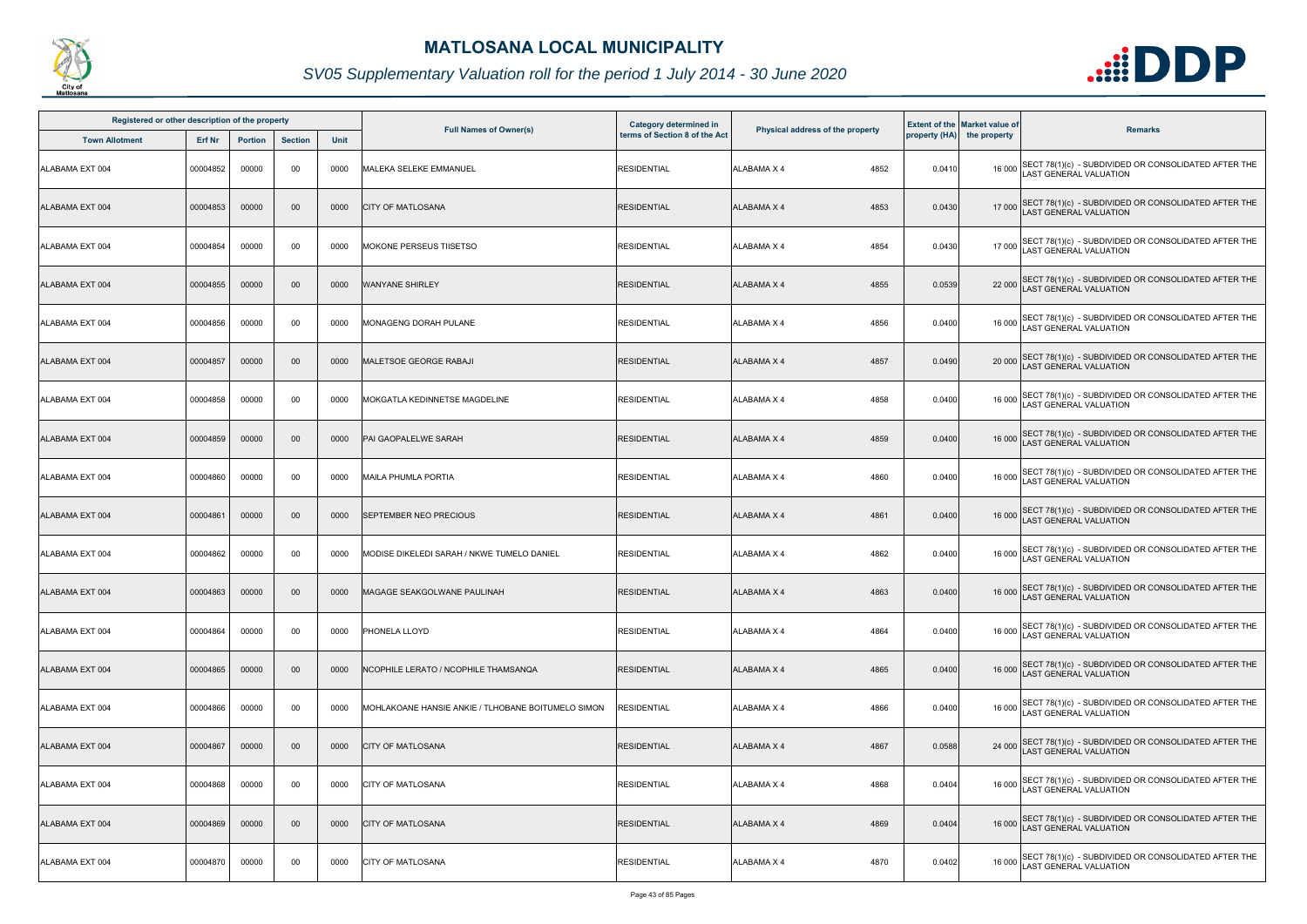

| Registered or other description of the property |          |                |                |      |                                                    | Category determined in        |                                  |        | <b>Extent of the Market value of</b> |                                                                                             |
|-------------------------------------------------|----------|----------------|----------------|------|----------------------------------------------------|-------------------------------|----------------------------------|--------|--------------------------------------|---------------------------------------------------------------------------------------------|
| <b>Town Allotment</b>                           | Erf Nr   | <b>Portion</b> | <b>Section</b> | Unit | <b>Full Names of Owner(s)</b>                      | terms of Section 8 of the Act | Physical address of the property |        | property (HA) the property           | <b>Remarks</b>                                                                              |
| ALABAMA EXT 004                                 | 00004852 | 00000          | 00             | 0000 | MALEKA SELEKE EMMANUEL                             | <b>RESIDENTIAL</b>            | 4852<br><b>ALABAMA X 4</b>       | 0.0410 | 16 000                               | SECT 78(1)(c) - SUBDIVIDED OR CONSOLIDATED AFTER THE<br>LAST GENERAL VALUATION              |
| ALABAMA EXT 004                                 | 00004853 | 00000          | 00             | 0000 | <b>CITY OF MATLOSANA</b>                           | <b>RESIDENTIAL</b>            | <b>ALABAMA X 4</b><br>4853       | 0.0430 |                                      | 17 000 SECT 78(1)(c) - SUBDIVIDED OR CONSOLIDATED AFTER THE<br>LAST GENERAL VALUATION       |
| ALABAMA EXT 004                                 | 00004854 | 00000          | 00             | 0000 | <b>MOKONE PERSEUS TIISETSO</b>                     | <b>RESIDENTIAL</b>            | 4854<br>ALABAMA X 4              | 0.0430 |                                      | 17 000 SECT 78(1)(c) - SUBDIVIDED OR CONSOLIDATED AFTER THE<br>LAST GENERAL VALUATION       |
| ALABAMA EXT 004                                 | 00004855 | 00000          | 00             | 0000 | <b>WANYANE SHIRLEY</b>                             | <b>RESIDENTIAL</b>            | 4855<br><b>ALABAMA X 4</b>       | 0.0539 |                                      | 22 000 SECT 78(1)(c) - SUBDIVIDED OR CONSOLIDATED AFTER THE<br>LAST GENERAL VALUATION       |
| ALABAMA EXT 004                                 | 00004856 | 00000          | 00             | 0000 | MONAGENG DORAH PULANE                              | <b>RESIDENTIAL</b>            | 4856<br>ALABAMA X 4              | 0.0400 |                                      | 16 000 SECT 78(1)(c) - SUBDIVIDED OR CONSOLIDATED AFTER THE<br>LAST GENERAL VALUATION       |
| ALABAMA EXT 004                                 | 00004857 | 00000          | 00             | 0000 | MALETSOE GEORGE RABAJI                             | RESIDENTIAL                   | 4857<br><b>ALABAMA X 4</b>       | 0.0490 |                                      | 20 000 SECT 78(1)(c) - SUBDIVIDED OR CONSOLIDATED AFTER THE<br>LAST GENERAL VALUATION       |
| ALABAMA EXT 004                                 | 00004858 | 00000          | 00             | 0000 | MOKGATLA KEDINNETSE MAGDELINE                      | <b>RESIDENTIAL</b>            | 4858<br>ALABAMA X 4              | 0.0400 | 16 000                               | SECT 78(1)(c) - SUBDIVIDED OR CONSOLIDATED AFTER THE LAST GENERAL VALUATION                 |
| ALABAMA EXT 004                                 | 00004859 | 00000          | 00             | 0000 | PAI GAOPALELWE SARAH                               | <b>RESIDENTIAL</b>            | 4859<br><b>ALABAMA X 4</b>       | 0.0400 |                                      | 16 000 SECT 78(1)(c) - SUBDIVIDED OR CONSOLIDATED AFTER THE<br>LAST GENERAL VALUATION       |
| ALABAMA EXT 004                                 | 00004860 | 00000          | 00             | 0000 | <b>MAILA PHUMLA PORTIA</b>                         | <b>RESIDENTIAL</b>            | <b>ALABAMA X 4</b><br>4860       | 0.0400 |                                      | 16 000 SECT 78(1)(c) - SUBDIVIDED OR CONSOLIDATED AFTER THE<br>LAST GENERAL VALUATION       |
| ALABAMA EXT 004                                 | 00004861 | 00000          | 00             | 0000 | SEPTEMBER NEO PRECIOUS                             | <b>RESIDENTIAL</b>            | <b>ALABAMA X 4</b><br>4861       | 0.0400 |                                      | 16 000 SECT 78(1)(c) - SUBDIVIDED OR CONSOLIDATED AFTER THE<br>LAST GENERAL VALUATION       |
| ALABAMA EXT 004                                 | 00004862 | 00000          | 00             | 0000 | MODISE DIKELEDI SARAH / NKWE TUMELO DANIEL         | <b>RESIDENTIAL</b>            | 4862<br><b>ALABAMA X 4</b>       | 0.0400 |                                      | 16 000 SECT 78(1)(c) - SUBDIVIDED OR CONSOLIDATED AFTER THE<br>LAST GENERAL VALUATION       |
| ALABAMA EXT 004                                 | 00004863 | 00000          | 00             | 0000 | MAGAGE SEAKGOLWANE PAULINAH                        | <b>RESIDENTIAL</b>            | <b>ALABAMA X 4</b><br>4863       | 0.0400 |                                      | 16 000 SECT 78(1)(c) - SUBDIVIDED OR CONSOLIDATED AFTER THE<br>LAST GENERAL VALUATION       |
| ALABAMA EXT 004                                 | 00004864 | 00000          | 00             | 0000 | <b>PHONELA LLOYD</b>                               | <b>RESIDENTIAL</b>            | <b>ALABAMA X 4</b><br>4864       | 0.0400 |                                      | 16 000 SECT 78(1)(c) - SUBDIVIDED OR CONSOLIDATED AFTER THE<br><b>AST GENERAL VALUATION</b> |
| ALABAMA EXT 004                                 | 00004865 | 00000          | $00\,$         | 0000 | NCOPHILE LERATO / NCOPHILE THAMSANQA               | <b>RESIDENTIAL</b>            | <b>ALABAMA X 4</b><br>4865       | 0.0400 | 16 000                               | SECT 78(1)(c) - SUBDIVIDED OR CONSOLIDATED AFTER THE<br><b>AST GENERAL VALUATION</b>        |
| ALABAMA EXT 004                                 | 00004866 | 00000          | 00             | 0000 | MOHLAKOANE HANSIE ANKIE / TLHOBANE BOITUMELO SIMON | <b>RESIDENTIAL</b>            | ALABAMA X 4<br>4866              | 0.0400 |                                      | 16 000 SECT 78(1)(c) - SUBDIVIDED OR CONSOLIDATED AFTER THE<br>LAST GENERAL VALUATION       |
| ALABAMA EXT 004                                 | 00004867 | 00000          | 00             | 0000 | <b>CITY OF MATLOSANA</b>                           | <b>RESIDENTIAL</b>            | <b>ALABAMA X 4</b><br>4867       | 0.0588 |                                      | 24 000 SECT 78(1)(c) - SUBDIVIDED OR CONSOLIDATED AFTER THE<br>LAST GENERAL VALUATION       |
| ALABAMA EXT 004                                 | 00004868 | 00000          | 00             | 0000 | CITY OF MATLOSANA                                  | <b>RESIDENTIAL</b>            | 4868<br><b>ALABAMA X 4</b>       | 0.0404 |                                      | 16 000 SECT 78(1)(c) - SUBDIVIDED OR CONSOLIDATED AFTER THE<br>LAST GENERAL VALUATION       |
| ALABAMA EXT 004                                 | 00004869 | 00000          | 00             | 0000 | <b>CITY OF MATLOSANA</b>                           | <b>RESIDENTIAL</b>            | 4869<br>ALABAMA X 4              | 0.0404 |                                      | 16 000 SECT 78(1)(c) - SUBDIVIDED OR CONSOLIDATED AFTER THE<br>LAST GENERAL VALUATION       |
| ALABAMA EXT 004                                 | 00004870 | 00000          | 00             | 0000 | <b>CITY OF MATLOSANA</b>                           | <b>RESIDENTIAL</b>            | <b>ALABAMA X 4</b><br>4870       | 0.0402 |                                      | 16 000 SECT 78(1)(c) - SUBDIVIDED OR CONSOLIDATED AFTER THE<br>LAST GENERAL VALUATION       |

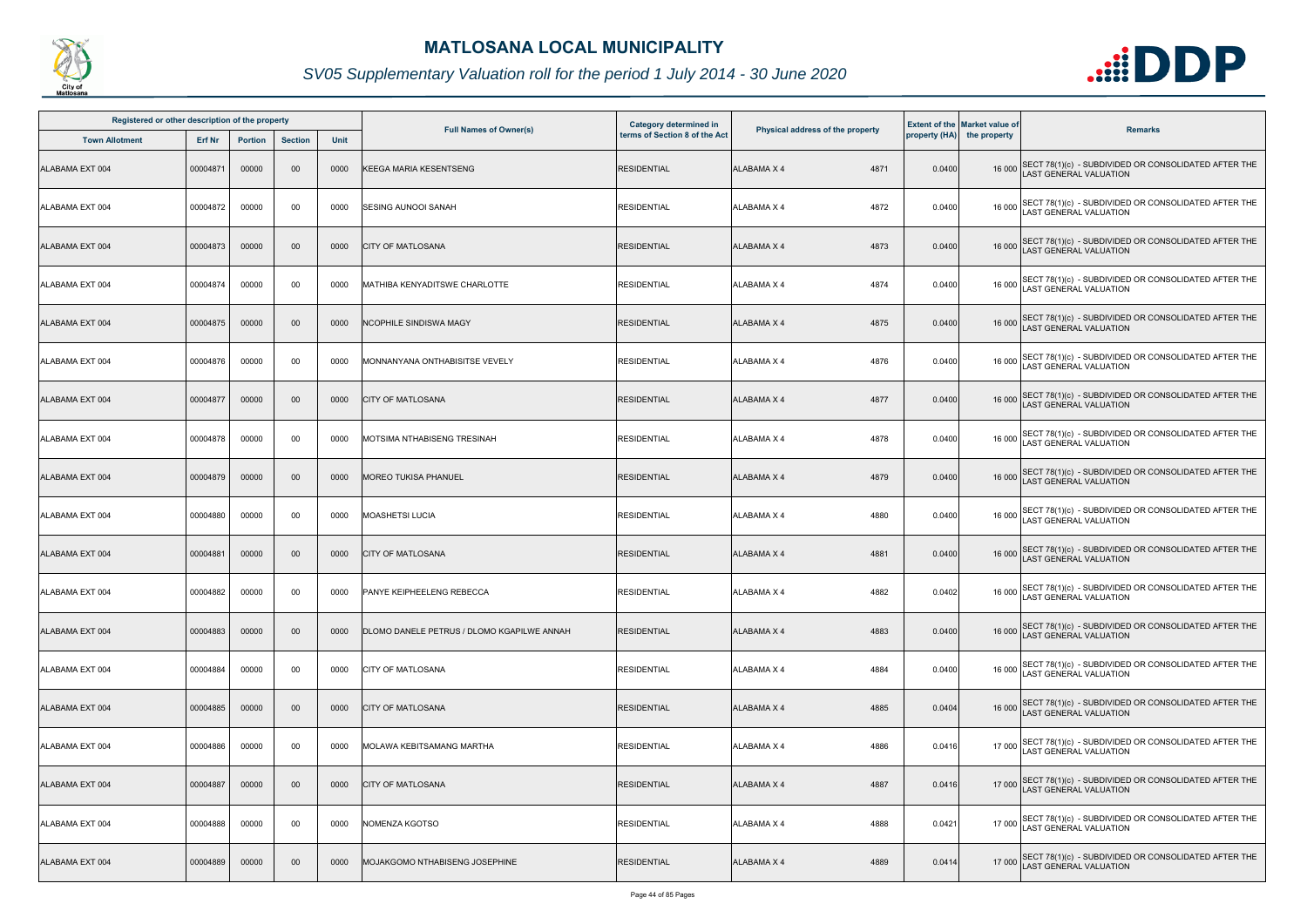

| Registered or other description of the property |          |                |                |             |                                                   | <b>Category determined in</b> |                                  |        | <b>Extent of the Market value of</b> |                                                                                              |
|-------------------------------------------------|----------|----------------|----------------|-------------|---------------------------------------------------|-------------------------------|----------------------------------|--------|--------------------------------------|----------------------------------------------------------------------------------------------|
| <b>Town Allotment</b>                           | Erf Nr   | <b>Portion</b> | <b>Section</b> | <b>Unit</b> | <b>Full Names of Owner(s)</b>                     | terms of Section 8 of the Act | Physical address of the property |        | property (HA) the property           | <b>Remarks</b>                                                                               |
| ALABAMA EXT 004                                 | 00004871 | 00000          | 00             | 0000        | <b>KEEGA MARIA KESENTSENG</b>                     | <b>RESIDENTIAL</b>            | 4871<br><b>ALABAMA X 4</b>       | 0.0400 |                                      | 16 000 SECT 78(1)(c) - SUBDIVIDED OR CONSOLIDATED AFTER THE<br>LAST GENERAL VALUATION        |
| ALABAMA EXT 004                                 | 00004872 | 00000          | 00             | 0000        | <b>SESING AUNOOI SANAH</b>                        | <b>RESIDENTIAL</b>            | 4872<br>ALABAMA X 4              | 0.0400 |                                      | 16 000 SECT 78(1)(c) - SUBDIVIDED OR CONSOLIDATED AFTER THE<br>LAST GENERAL VALUATION        |
| ALABAMA EXT 004                                 | 00004873 | 00000          | $00\,$         | 0000        | <b>CITY OF MATLOSANA</b>                          | <b>RESIDENTIAL</b>            | 4873<br><b>ALABAMA X 4</b>       | 0.0400 |                                      | 16 000 SECT 78(1)(c) - SUBDIVIDED OR CONSOLIDATED AFTER THE<br>LAST GENERAL VALUATION        |
| ALABAMA EXT 004                                 | 00004874 | 00000          | 00             | 0000        | MATHIBA KENYADITSWE CHARLOTTE                     | <b>RESIDENTIAL</b>            | 4874<br>ALABAMA X 4              | 0.0400 |                                      | 16 000 SECT 78(1)(c) - SUBDIVIDED OR CONSOLIDATED AFTER THE<br>16 000 LAST GENERAL VALUATION |
| ALABAMA EXT 004                                 | 00004875 | 00000          | $00\,$         | 0000        | <b>NCOPHILE SINDISWA MAGY</b>                     | <b>RESIDENTIAL</b>            | ALABAMA X 4<br>4875              | 0.0400 |                                      | 16 000 SECT 78(1)(c) - SUBDIVIDED OR CONSOLIDATED AFTER THE<br>LAST GENERAL VALUATION        |
| ALABAMA EXT 004                                 | 00004876 | 00000          | 00             | 0000        | MONNANYANA ONTHABISITSE VEVELY                    | <b>RESIDENTIAL</b>            | 4876<br>ALABAMA X 4              | 0.0400 |                                      | 16 000 SECT 78(1)(c) - SUBDIVIDED OR CONSOLIDATED AFTER THE<br>LAST GENERAL VALUATION        |
| ALABAMA EXT 004                                 | 00004877 | 00000          | $00\,$         | 0000        | <b>CITY OF MATLOSANA</b>                          | <b>RESIDENTIAL</b>            | <b>ALABAMA X 4</b><br>4877       | 0.0400 |                                      | 16 000 SECT 78(1)(c) - SUBDIVIDED OR CONSOLIDATED AFTER THE<br>LAST GENERAL VALUATION        |
| ALABAMA EXT 004                                 | 00004878 | 00000          | 00             | 0000        | MOTSIMA NTHABISENG TRESINAH                       | <b>RESIDENTIAL</b>            | ALABAMA X 4<br>4878              | 0.0400 |                                      | 16 000 SECT 78(1)(c) - SUBDIVIDED OR CONSOLIDATED AFTER THE<br>LAST GENERAL VALUATION        |
| ALABAMA EXT 004                                 | 00004879 | 00000          | $00\,$         | 0000        | <b>MOREO TUKISA PHANUEL</b>                       | <b>RESIDENTIAL</b>            | 4879<br>ALABAMA X 4              | 0.0400 |                                      | 16 000 SECT 78(1)(c) - SUBDIVIDED OR CONSOLIDATED AFTER THE<br>LAST GENERAL VALUATION        |
| ALABAMA EXT 004                                 | 00004880 | 00000          | 00             | 0000        | <b>MOASHETSI LUCIA</b>                            | <b>RESIDENTIAL</b>            | <b>ALABAMA X 4</b><br>4880       | 0.0400 |                                      | 16 000 SECT 78(1)(c) - SUBDIVIDED OR CONSOLIDATED AFTER THE<br>LAST GENERAL VALUATION        |
| ALABAMA EXT 004                                 | 00004881 | 00000          | $00\,$         | 0000        | <b>CITY OF MATLOSANA</b>                          | <b>RESIDENTIAL</b>            | <b>ALABAMA X 4</b><br>4881       | 0.0400 |                                      | 16 000 SECT 78(1)(c) - SUBDIVIDED OR CONSOLIDATED AFTER THE<br>LAST GENERAL VALUATION        |
| ALABAMA EXT 004                                 | 00004882 | 00000          | 00             | 0000        | <b>IPANYE KEIPHEELENG REBECCA</b>                 | <b>RESIDENTIAL</b>            | ALABAMA X 4<br>4882              | 0.0402 |                                      | 16 000 SECT 78(1)(c) - SUBDIVIDED OR CONSOLIDATED AFTER THE<br>LAST GENERAL VALUATION        |
| ALABAMA EXT 004                                 | 00004883 | 00000          | $00\,$         | 0000        | <b>DLOMO DANELE PETRUS / DLOMO KGAPILWE ANNAH</b> | <b>RESIDENTIAL</b>            | 4883<br>ALABAMA X 4              | 0.0400 |                                      | 16 000 SECT 78(1)(c) - SUBDIVIDED OR CONSOLIDATED AFTER THE<br><b>LAST GENERAL VALUATION</b> |
| ALABAMA EXT 004                                 | 00004884 | 00000          | 00             | 0000        | <b>CITY OF MATLOSANA</b>                          | <b>RESIDENTIAL</b>            | 4884<br>ALABAMA X 4              | 0.0400 |                                      | 16 000 SECT 78(1)(c) - SUBDIVIDED OR CONSOLIDATED AFTER THE<br>LAST GENERAL VALUATION        |
| ALABAMA EXT 004                                 | 00004885 | 00000          | $00\,$         | 0000        | <b>CITY OF MATLOSANA</b>                          | <b>RESIDENTIAL</b>            | 4885<br>ALABAMA X 4              | 0.0404 |                                      | 16 000 SECT 78(1)(c) - SUBDIVIDED OR CONSOLIDATED AFTER THE<br>LAST GENERAL VALUATION        |
| ALABAMA EXT 004                                 | 00004886 | 00000          | 00             | 0000        | MOLAWA KEBITSAMANG MARTHA                         | <b>RESIDENTIAL</b>            | ALABAMA X 4<br>4886              | 0.0416 |                                      | 17 000 SECT 78(1)(c) - SUBDIVIDED OR CONSOLIDATED AFTER THE<br>LAST GENERAL VALUATION        |
| ALABAMA EXT 004                                 | 00004887 | 00000          | $00\,$         | 0000        | <b>CITY OF MATLOSANA</b>                          | <b>RESIDENTIAL</b>            | <b>ALABAMA X 4</b><br>4887       | 0.0416 |                                      | 17 000 SECT 78(1)(c) - SUBDIVIDED OR CONSOLIDATED AFTER THE<br>LAST GENERAL VALUATION        |
| ALABAMA EXT 004                                 | 00004888 | 00000          | 00             | 0000        | NOMENZA KGOTSO                                    | <b>RESIDENTIAL</b>            | ALABAMA X 4<br>4888              | 0.0421 |                                      | 17 000 SECT 78(1)(c) - SUBDIVIDED OR CONSOLIDATED AFTER THE<br>LAST GENERAL VALUATION        |
| ALABAMA EXT 004                                 | 00004889 | 00000          | $00\,$         | 0000        | MOJAKGOMO NTHABISENG JOSEPHINE                    | <b>RESIDENTIAL</b>            | 4889<br>ALABAMA X 4              | 0.0414 |                                      | 17 000 SECT 78(1)(c) - SUBDIVIDED OR CONSOLIDATED AFTER THE<br>LAST GENERAL VALUATION        |

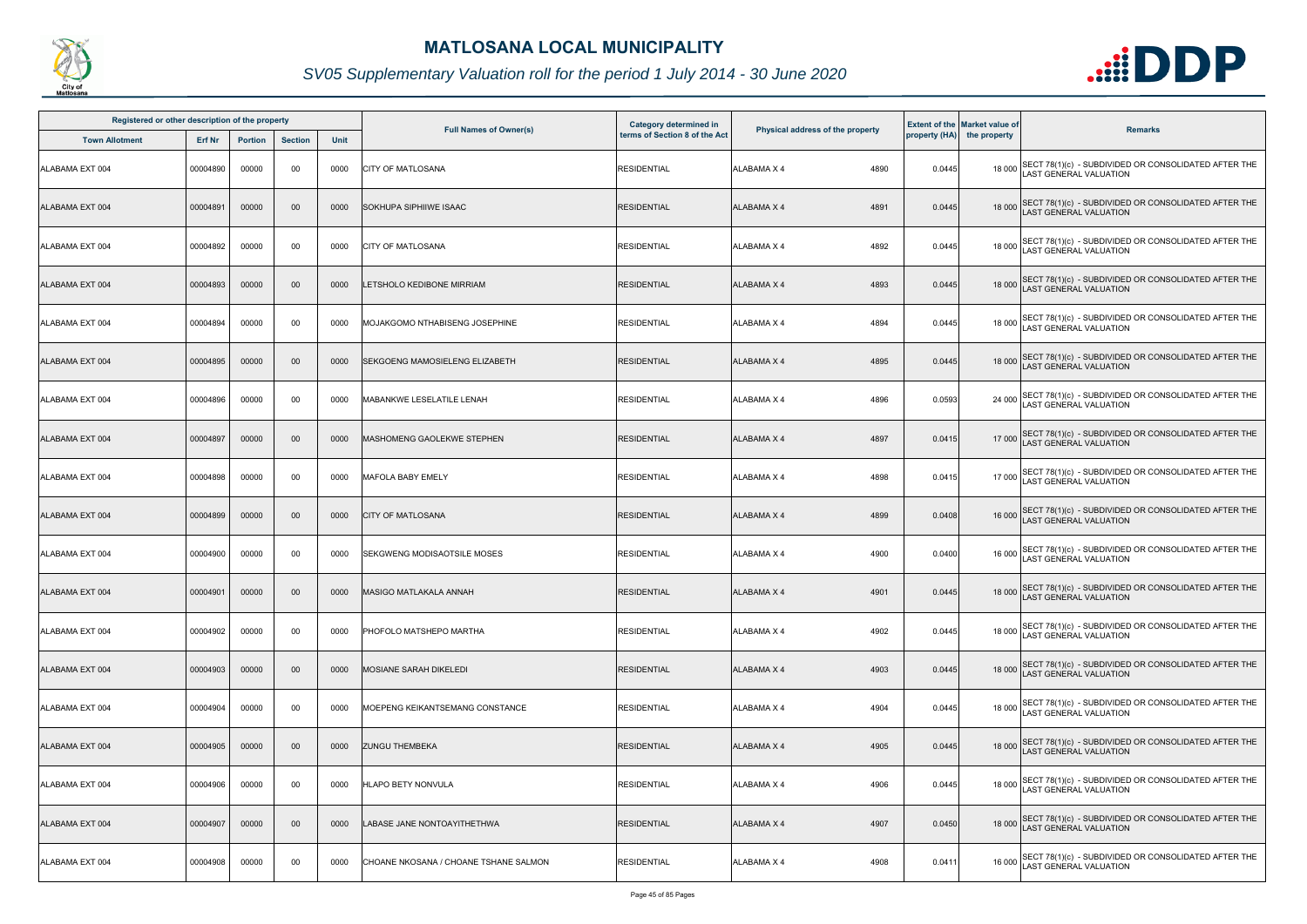

| Registered or other description of the property |          |                |                |      |                                       | Category determined in        |                                  |        | <b>Extent of the Market value of</b> |                                                                                              |
|-------------------------------------------------|----------|----------------|----------------|------|---------------------------------------|-------------------------------|----------------------------------|--------|--------------------------------------|----------------------------------------------------------------------------------------------|
| <b>Town Allotment</b>                           | Erf Nr   | <b>Portion</b> | <b>Section</b> | Unit | <b>Full Names of Owner(s)</b>         | terms of Section 8 of the Act | Physical address of the property |        | property (HA) the property           | <b>Remarks</b>                                                                               |
| ALABAMA EXT 004                                 | 00004890 | 00000          | 00             | 0000 | <b>CITY OF MATLOSANA</b>              | <b>RESIDENTIAL</b>            | 4890<br><b>ALABAMA X 4</b>       | 0.0445 |                                      | 18 000 SECT 78(1)(c) - SUBDIVIDED OR CONSOLIDATED AFTER THE<br>LAST GENERAL VALUATION        |
| ALABAMA EXT 004                                 | 00004891 | 00000          | 00             | 0000 | <b>SOKHUPA SIPHIIWE ISAAC</b>         | <b>RESIDENTIAL</b>            | <b>ALABAMA X 4</b><br>4891       | 0.0445 |                                      | 18 000 SECT 78(1)(c) - SUBDIVIDED OR CONSOLIDATED AFTER THE<br>LAST GENERAL VALUATION        |
| ALABAMA EXT 004                                 | 00004892 | 00000          | 00             | 0000 | <b>CITY OF MATLOSANA</b>              | <b>RESIDENTIAL</b>            | <b>ALABAMA X 4</b><br>4892       | 0.0445 |                                      | 18 000 SECT 78(1)(c) - SUBDIVIDED OR CONSOLIDATED AFTER THE<br>LAST GENERAL VALUATION        |
| ALABAMA EXT 004                                 | 00004893 | 00000          | 00             | 0000 | LETSHOLO KEDIBONE MIRRIAM             | <b>RESIDENTIAL</b>            | 4893<br><b>ALABAMA X 4</b>       | 0.0445 |                                      | 18 000 SECT 78(1)(c) - SUBDIVIDED OR CONSOLIDATED AFTER THE<br>18 000 LAST GENERAL VALUATION |
| ALABAMA EXT 004                                 | 00004894 | 00000          | 00             | 0000 | MOJAKGOMO NTHABISENG JOSEPHINE        | <b>RESIDENTIAL</b>            | 4894<br>ALABAMA X 4              | 0.0445 |                                      | 18 000 SECT 78(1)(c) - SUBDIVIDED OR CONSOLIDATED AFTER THE<br>LAST GENERAL VALUATION        |
| ALABAMA EXT 004                                 | 00004895 | 00000          | 00             | 0000 | <b>SEKGOENG MAMOSIELENG ELIZABETH</b> | <b>RESIDENTIAL</b>            | <b>ALABAMA X 4</b><br>4895       | 0.0445 |                                      | 18 000 SECT 78(1)(c) - SUBDIVIDED OR CONSOLIDATED AFTER THE<br>LAST GENERAL VALUATION        |
| ALABAMA EXT 004                                 | 00004896 | 00000          | 00             | 0000 | <b>MABANKWE LESELATILE LENAH</b>      | <b>RESIDENTIAL</b>            | <b>ALABAMA X 4</b><br>4896       | 0.0593 |                                      | 24 000 SECT 78(1)(c) - SUBDIVIDED OR CONSOLIDATED AFTER THE<br>LAST GENERAL VALUATION        |
| ALABAMA EXT 004                                 | 00004897 | 00000          | 00             | 0000 | MASHOMENG GAOLEKWE STEPHEN            | <b>RESIDENTIAL</b>            | <b>ALABAMA X 4</b><br>4897       | 0.0415 |                                      | 17 000 SECT 78(1)(c) - SUBDIVIDED OR CONSOLIDATED AFTER THE<br>LAST GENERAL VALUATION        |
| ALABAMA EXT 004                                 | 00004898 | 00000          | 00             | 0000 | MAFOLA BABY EMELY                     | <b>RESIDENTIAL</b>            | <b>ALABAMA X 4</b><br>4898       | 0.0415 |                                      | 17 000 SECT 78(1)(c) - SUBDIVIDED OR CONSOLIDATED AFTER THE<br>LAST GENERAL VALUATION        |
| ALABAMA EXT 004                                 | 00004899 | 00000          | 00             | 0000 | <b>CITY OF MATLOSANA</b>              | <b>RESIDENTIAL</b>            | <b>ALABAMA X 4</b><br>4899       | 0.0408 |                                      | 16 000 SECT 78(1)(c) - SUBDIVIDED OR CONSOLIDATED AFTER THE<br>LAST GENERAL VALUATION        |
| ALABAMA EXT 004                                 | 00004900 | 00000          | 00             | 0000 | SEKGWENG MODISAOTSILE MOSES           | <b>RESIDENTIAL</b>            | 4900<br>ALABAMA X 4              | 0.0400 |                                      | 16 000 SECT 78(1)(c) - SUBDIVIDED OR CONSOLIDATED AFTER THE<br>LAST GENERAL VALUATION        |
| ALABAMA EXT 004                                 | 00004901 | 00000          | 00             | 0000 | MASIGO MATLAKALA ANNAH                | <b>RESIDENTIAL</b>            | <b>ALABAMA X 4</b><br>4901       | 0.0445 |                                      | 18 000 SECT 78(1)(c) - SUBDIVIDED OR CONSOLIDATED AFTER THE<br>18 000 LAST GENERAL VALUATION |
| ALABAMA EXT 004                                 | 00004902 | 00000          | 00             | 0000 | PHOFOLO MATSHEPO MARTHA               | <b>RESIDENTIAL</b>            | <b>ALABAMA X 4</b><br>4902       | 0.0445 |                                      | 18 000 SECT 78(1)(c) - SUBDIVIDED OR CONSOLIDATED AFTER THE<br>LAST GENERAL VALUATION        |
| ALABAMA EXT 004                                 | 00004903 | 00000          | 00             | 0000 | <b>MOSIANE SARAH DIKELEDI</b>         | <b>RESIDENTIAL</b>            | <b>ALABAMA X 4</b><br>4903       | 0.0445 |                                      | 18 000 SECT 78(1)(c) - SUBDIVIDED OR CONSOLIDATED AFTER THE<br><b>AST GENERAL VALUATION</b>  |
| ALABAMA EXT 004                                 | 00004904 | 00000          | 00             | 0000 | MOEPENG KEIKANTSEMANG CONSTANCE       | <b>RESIDENTIAL</b>            | ALABAMA X 4<br>4904              | 0.0445 |                                      | 18 000 SECT 78(1)(c) - SUBDIVIDED OR CONSOLIDATED AFTER THE<br>LAST GENERAL VALUATION        |
| ALABAMA EXT 004                                 | 00004905 | 00000          | 00             | 0000 | <b>ZUNGU THEMBEKA</b>                 | <b>RESIDENTIAL</b>            | <b>ALABAMA X 4</b><br>4905       | 0.0445 |                                      | 18 000 SECT 78(1)(c) - SUBDIVIDED OR CONSOLIDATED AFTER THE<br>LAST GENERAL VALUATION        |
| ALABAMA EXT 004                                 | 00004906 | 00000          | 00             | 0000 | <b>HLAPO BETY NONVULA</b>             | <b>RESIDENTIAL</b>            | <b>ALABAMA X 4</b><br>4906       | 0.0445 |                                      | 18 000 SECT 78(1)(c) - SUBDIVIDED OR CONSOLIDATED AFTER THE<br>LAST GENERAL VALUATION        |
| ALABAMA EXT 004                                 | 00004907 | 00000          | 00             | 0000 | LABASE JANE NONTOAYITHETHWA           | <b>RESIDENTIAL</b>            | <b>ALABAMA X 4</b><br>4907       | 0.0450 |                                      | 18 000 SECT 78(1)(c) - SUBDIVIDED OR CONSOLIDATED AFTER THE<br>AST GENERAL VALUATION         |
| ALABAMA EXT 004                                 | 00004908 | 00000          | 00             | 0000 | CHOANE NKOSANA / CHOANE TSHANE SALMON | <b>RESIDENTIAL</b>            | 4908<br>ALABAMA X 4              | 0.0411 |                                      | 16 000 SECT 78(1)(c) - SUBDIVIDED OR CONSOLIDATED AFTER THE<br>LAST GENERAL VALUATION        |

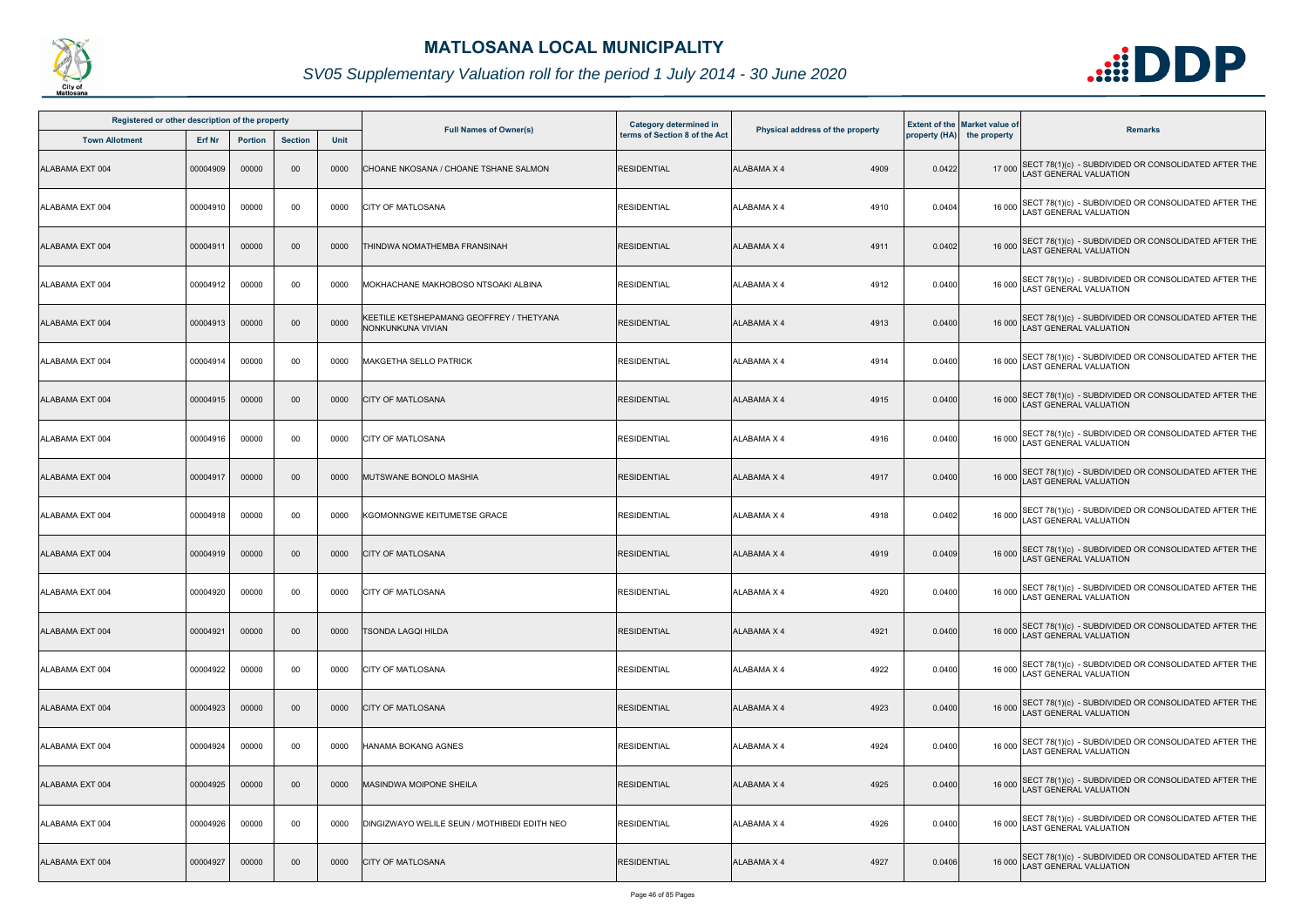

| Registered or other description of the property |          |                |                |             |                                                               | <b>Category determined in</b> |                                  |        | <b>Extent of the Market value of</b> |                                                                                              |
|-------------------------------------------------|----------|----------------|----------------|-------------|---------------------------------------------------------------|-------------------------------|----------------------------------|--------|--------------------------------------|----------------------------------------------------------------------------------------------|
| <b>Town Allotment</b>                           | Erf Nr   | <b>Portion</b> | <b>Section</b> | <b>Unit</b> | <b>Full Names of Owner(s)</b>                                 | terms of Section 8 of the Act | Physical address of the property |        | property (HA) the property           | <b>Remarks</b>                                                                               |
| ALABAMA EXT 004                                 | 00004909 | 00000          | $00\,$         | 0000        | CHOANE NKOSANA / CHOANE TSHANE SALMON                         | <b>RESIDENTIAL</b>            | 4909<br><b>ALABAMA X 4</b>       | 0.0422 |                                      | 17 000 SECT 78(1)(c) - SUBDIVIDED OR CONSOLIDATED AFTER THE<br>LAST GENERAL VALUATION        |
| ALABAMA EXT 004                                 | 00004910 | 00000          | 00             | 0000        | <b>CITY OF MATLOSANA</b>                                      | <b>RESIDENTIAL</b>            | ALABAMA X 4<br>4910              | 0.0404 |                                      | 16 000 SECT 78(1)(c) - SUBDIVIDED OR CONSOLIDATED AFTER THE<br>LAST GENERAL VALUATION        |
| ALABAMA EXT 004                                 | 00004911 | 00000          | $00\,$         | 0000        | THINDWA NOMATHEMBA FRANSINAH                                  | <b>RESIDENTIAL</b>            | ALABAMA X 4<br>4911              | 0.0402 |                                      | 16 000 SECT 78(1)(c) - SUBDIVIDED OR CONSOLIDATED AFTER THE<br>LAST GENERAL VALUATION        |
| ALABAMA EXT 004                                 | 00004912 | 00000          | 00             | 0000        | MOKHACHANE MAKHOBOSO NTSOAKI ALBINA                           | <b>RESIDENTIAL</b>            | 4912<br>ALABAMA X 4              | 0.0400 |                                      | 16 000 SECT 78(1)(c) - SUBDIVIDED OR CONSOLIDATED AFTER THE<br>16 000 LAST GENERAL VALUATION |
| ALABAMA EXT 004                                 | 00004913 | 00000          | $00\,$         | 0000        | KEETILE KETSHEPAMANG GEOFFREY / THETYANA<br>NONKUNKUNA VIVIAN | <b>RESIDENTIAL</b>            | <b>ALABAMA X 4</b><br>4913       | 0.0400 |                                      | 16 000 SECT 78(1)(c) - SUBDIVIDED OR CONSOLIDATED AFTER THE<br>LAST GENERAL VALUATION        |
| ALABAMA EXT 004                                 | 00004914 | 00000          | 00             | 0000        | MAKGETHA SELLO PATRICK                                        | <b>RESIDENTIAL</b>            | 4914<br>ALABAMA X 4              | 0.0400 |                                      | 16 000 SECT 78(1)(c) - SUBDIVIDED OR CONSOLIDATED AFTER THE<br>LAST GENERAL VALUATION        |
| ALABAMA EXT 004                                 | 00004915 | 00000          | $00\,$         | 0000        | <b>CITY OF MATLOSANA</b>                                      | <b>RESIDENTIAL</b>            | 4915<br>ALABAMA X 4              | 0.0400 |                                      | 16 000 SECT 78(1)(c) - SUBDIVIDED OR CONSOLIDATED AFTER THE<br>LAST GENERAL VALUATION        |
| ALABAMA EXT 004                                 | 00004916 | 00000          | 00             | 0000        | <b>CITY OF MATLOSANA</b>                                      | <b>RESIDENTIAL</b>            | <b>ALABAMA X 4</b><br>4916       | 0.0400 |                                      | 16 000 SECT 78(1)(c) - SUBDIVIDED OR CONSOLIDATED AFTER THE<br>LAST GENERAL VALUATION        |
| ALABAMA EXT 004                                 | 00004917 | 00000          | $00\,$         | 0000        | MUTSWANE BONOLO MASHIA                                        | <b>RESIDENTIAL</b>            | 4917<br>ALABAMA X 4              | 0.0400 |                                      | 16 000 SECT 78(1)(c) - SUBDIVIDED OR CONSOLIDATED AFTER THE<br>LAST GENERAL VALUATION        |
| ALABAMA EXT 004                                 | 00004918 | 00000          | 00             | 0000        | KGOMONNGWE KEITUMETSE GRACE                                   | <b>RESIDENTIAL</b>            | <b>ALABAMA X 4</b><br>4918       | 0.0402 |                                      | 16 000 SECT 78(1)(c) - SUBDIVIDED OR CONSOLIDATED AFTER THE<br>LAST GENERAL VALUATION        |
| ALABAMA EXT 004                                 | 00004919 | 00000          | $00\,$         | 0000        | <b>CITY OF MATLOSANA</b>                                      | <b>RESIDENTIAL</b>            | <b>ALABAMA X 4</b><br>4919       | 0.0409 |                                      | 16 000 SECT 78(1)(c) - SUBDIVIDED OR CONSOLIDATED AFTER THE<br>LAST GENERAL VALUATION        |
| ALABAMA EXT 004                                 | 00004920 | 00000          | 00             | 0000        | <b>CITY OF MATLOSANA</b>                                      | <b>RESIDENTIAL</b>            | ALABAMA X 4<br>4920              | 0.0400 |                                      | 16 000 SECT 78(1)(c) - SUBDIVIDED OR CONSOLIDATED AFTER THE<br>LAST GENERAL VALUATION        |
| ALABAMA EXT 004                                 | 00004921 | 00000          | $00\,$         | 0000        | <b>TSONDA LAGQI HILDA</b>                                     | <b>RESIDENTIAL</b>            | 4921<br>ALABAMA X 4              | 0.0400 |                                      | 16 000 SECT 78(1)(c) - SUBDIVIDED OR CONSOLIDATED AFTER THE<br><b>LAST GENERAL VALUATION</b> |
| ALABAMA EXT 004                                 | 00004922 | 00000          | 00             | 0000        | <b>CITY OF MATLOSANA</b>                                      | <b>RESIDENTIAL</b>            | 4922<br>ALABAMA X 4              | 0.0400 |                                      | 16 000 SECT 78(1)(c) - SUBDIVIDED OR CONSOLIDATED AFTER THE<br>LAST GENERAL VALUATION        |
| ALABAMA EXT 004                                 | 00004923 | 00000          | $00\,$         | 0000        | <b>CITY OF MATLOSANA</b>                                      | <b>RESIDENTIAL</b>            | 4923<br>ALABAMA X 4              | 0.0400 |                                      | 16 000 SECT 78(1)(c) - SUBDIVIDED OR CONSOLIDATED AFTER THE<br>LAST GENERAL VALUATION        |
| ALABAMA EXT 004                                 | 00004924 | 00000          | 00             | 0000        | HANAMA BOKANG AGNES                                           | <b>RESIDENTIAL</b>            | <b>ALABAMA X 4</b><br>4924       | 0.0400 |                                      | 16 000 SECT 78(1)(c) - SUBDIVIDED OR CONSOLIDATED AFTER THE<br>LAST GENERAL VALUATION        |
| ALABAMA EXT 004                                 | 00004925 | 00000          | $00\,$         | 0000        | <b>MASINDWA MOIPONE SHEILA</b>                                | <b>RESIDENTIAL</b>            | <b>ALABAMA X 4</b><br>4925       | 0.0400 |                                      | 16 000 SECT 78(1)(c) - SUBDIVIDED OR CONSOLIDATED AFTER THE<br>LAST GENERAL VALUATION        |
| ALABAMA EXT 004                                 | 00004926 | 00000          | 00             | 0000        | DINGIZWAYO WELILE SEUN / MOTHIBEDI EDITH NEO                  | <b>RESIDENTIAL</b>            | ALABAMA X 4<br>4926              | 0.0400 |                                      | 16 000 SECT 78(1)(c) - SUBDIVIDED OR CONSOLIDATED AFTER THE<br>LAST GENERAL VALUATION        |
| ALABAMA EXT 004                                 | 00004927 | 00000          | $00\,$         | 0000        | <b>CITY OF MATLOSANA</b>                                      | <b>RESIDENTIAL</b>            | 4927<br>ALABAMA X 4              | 0.0406 | 16 000                               | SECT 78(1)(c) - SUBDIVIDED OR CONSOLIDATED AFTER THE<br><b>LAST GENERAL VALUATION</b>        |

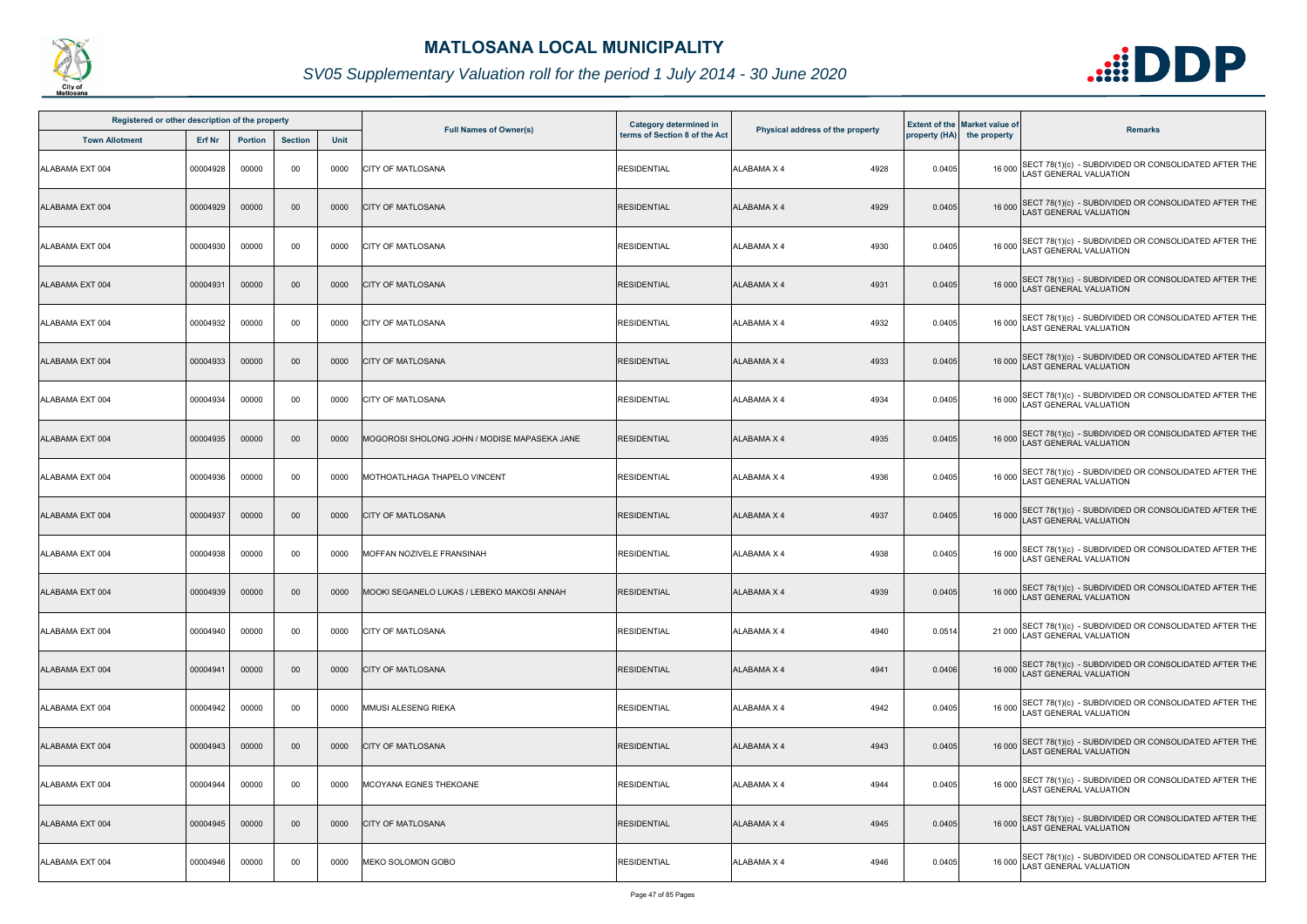

| Registered or other description of the property |          |                |                |      |                                              | Category determined in        |                                  |        | <b>Extent of the Market value of</b> |                                                                                             |
|-------------------------------------------------|----------|----------------|----------------|------|----------------------------------------------|-------------------------------|----------------------------------|--------|--------------------------------------|---------------------------------------------------------------------------------------------|
| <b>Town Allotment</b>                           | Erf Nr   | <b>Portion</b> | <b>Section</b> | Unit | <b>Full Names of Owner(s)</b>                | terms of Section 8 of the Act | Physical address of the property |        | property (HA) the property           | <b>Remarks</b>                                                                              |
| ALABAMA EXT 004                                 | 00004928 | 00000          | 00             | 0000 | <b>CITY OF MATLOSANA</b>                     | <b>RESIDENTIAL</b>            | <b>ALABAMA X 4</b><br>4928       | 0.0405 |                                      | 16 000 SECT 78(1)(c) - SUBDIVIDED OR CONSOLIDATED AFTER THE<br>LAST GENERAL VALUATION       |
| ALABAMA EXT 004                                 | 00004929 | 00000          | 00             | 0000 | <b>CITY OF MATLOSANA</b>                     | <b>RESIDENTIAL</b>            | <b>ALABAMA X 4</b><br>4929       | 0.0405 |                                      | 16 000 SECT 78(1)(c) - SUBDIVIDED OR CONSOLIDATED AFTER THE<br>LAST GENERAL VALUATION       |
| ALABAMA EXT 004                                 | 00004930 | 00000          | 00             | 0000 | <b>CITY OF MATLOSANA</b>                     | <b>RESIDENTIAL</b>            | <b>ALABAMA X 4</b><br>4930       | 0.0405 |                                      | 16 000 SECT 78(1)(c) - SUBDIVIDED OR CONSOLIDATED AFTER THE<br>LAST GENERAL VALUATION       |
| ALABAMA EXT 004                                 | 00004931 | 00000          | 00             | 0000 | <b>CITY OF MATLOSANA</b>                     | <b>RESIDENTIAL</b>            | 4931<br><b>ALABAMA X 4</b>       | 0.0405 |                                      | 16 000 SECT 78(1)(c) - SUBDIVIDED OR CONSOLIDATED AFTER THE<br>LAST GENERAL VALUATION       |
| ALABAMA EXT 004                                 | 00004932 | 00000          | 00             | 0000 | <b>CITY OF MATLOSANA</b>                     | <b>RESIDENTIAL</b>            | 4932<br><b>ALABAMA X 4</b>       | 0.0405 |                                      | 16 000 SECT 78(1)(c) - SUBDIVIDED OR CONSOLIDATED AFTER THE<br>LAST GENERAL VALUATION       |
| ALABAMA EXT 004                                 | 00004933 | 00000          | 00             | 0000 | <b>CITY OF MATLOSANA</b>                     | <b>RESIDENTIAL</b>            | <b>ALABAMA X 4</b><br>4933       | 0.0405 |                                      | 16 000 SECT 78(1)(c) - SUBDIVIDED OR CONSOLIDATED AFTER THE<br>LAST GENERAL VALUATION       |
| ALABAMA EXT 004                                 | 00004934 | 00000          | 00             | 0000 | <b>CITY OF MATLOSANA</b>                     | <b>RESIDENTIAL</b>            | <b>ALABAMA X 4</b><br>4934       | 0.0405 |                                      | 16 000 SECT 78(1)(c) - SUBDIVIDED OR CONSOLIDATED AFTER THE<br>LAST GENERAL VALUATION       |
| ALABAMA EXT 004                                 | 00004935 | 00000          | $00\,$         | 0000 | MOGOROSI SHOLONG JOHN / MODISE MAPASEKA JANE | <b>RESIDENTIAL</b>            | <b>ALABAMA X 4</b><br>4935       | 0.0405 |                                      | 16 000 SECT 78(1)(c) - SUBDIVIDED OR CONSOLIDATED AFTER THE<br>LAST GENERAL VALUATION       |
| ALABAMA EXT 004                                 | 00004936 | 00000          | 00             | 0000 | MOTHOATLHAGA THAPELO VINCENT                 | <b>RESIDENTIAL</b>            | <b>ALABAMA X 4</b><br>4936       | 0.0405 |                                      | 16 000 SECT 78(1)(c) - SUBDIVIDED OR CONSOLIDATED AFTER THE<br>LAST GENERAL VALUATION       |
| ALABAMA EXT 004                                 | 00004937 | 00000          | 00             | 0000 | <b>CITY OF MATLOSANA</b>                     | <b>RESIDENTIAL</b>            | <b>ALABAMA X 4</b><br>4937       | 0.0405 |                                      | 16 000 SECT 78(1)(c) - SUBDIVIDED OR CONSOLIDATED AFTER THE<br>LAST GENERAL VALUATION       |
| ALABAMA EXT 004                                 | 00004938 | 00000          | 00             | 0000 | MOFFAN NOZIVELE FRANSINAH                    | <b>RESIDENTIAL</b>            | 4938<br>ALABAMA X 4              | 0.0405 |                                      | 16 000 SECT 78(1)(c) - SUBDIVIDED OR CONSOLIDATED AFTER THE<br>LAST GENERAL VALUATION       |
| ALABAMA EXT 004                                 | 00004939 | 00000          | $00\,$         | 0000 | MOOKI SEGANELO LUKAS / LEBEKO MAKOSI ANNAH   | <b>RESIDENTIAL</b>            | <b>ALABAMA X 4</b><br>4939       | 0.0405 |                                      | 16 000 SECT 78(1)(c) - SUBDIVIDED OR CONSOLIDATED AFTER THE<br>LAST GENERAL VALUATION       |
| ALABAMA EXT 004                                 | 00004940 | 00000          | 00             | 0000 | <b>ICITY OF MATLOSANA</b>                    | <b>RESIDENTIAL</b>            | <b>ALABAMA X 4</b><br>4940       | 0.0514 |                                      | SECT 78(1)(c) - SUBDIVIDED OR CONSOLIDATED AFTER THE<br>LAST GENERAL VALUATION              |
| ALABAMA EXT 004                                 | 00004941 | 00000          | 00             | 0000 | <b>CITY OF MATLOSANA</b>                     | <b>RESIDENTIAL</b>            | <b>ALABAMA X 4</b><br>4941       | 0.0406 |                                      | 16 000 SECT 78(1)(c) - SUBDIVIDED OR CONSOLIDATED AFTER THE<br><b>AST GENERAL VALUATION</b> |
| ALABAMA EXT 004                                 | 00004942 | 00000          | 00             | 0000 | MMUSI ALESENG RIEKA                          | <b>RESIDENTIAL</b>            | 4942<br><b>ALABAMA X 4</b>       | 0.0405 |                                      | 16 000 SECT 78(1)(c) - SUBDIVIDED OR CONSOLIDATED AFTER THE<br>LAST GENERAL VALUATION       |
| ALABAMA EXT 004                                 | 00004943 | 00000          | 00             | 0000 | <b>CITY OF MATLOSANA</b>                     | <b>RESIDENTIAL</b>            | <b>ALABAMA X 4</b><br>4943       | 0.0405 |                                      | 16 000 SECT 78(1)(c) - SUBDIVIDED OR CONSOLIDATED AFTER THE<br>LAST GENERAL VALUATION       |
| ALABAMA EXT 004                                 | 00004944 | 00000          | 00             | 0000 | MCOYANA EGNES THEKOANE                       | <b>RESIDENTIAL</b>            | <b>ALABAMA X 4</b><br>4944       | 0.0405 |                                      | 16 000 SECT 78(1)(c) - SUBDIVIDED OR CONSOLIDATED AFTER THE<br>LAST GENERAL VALUATION       |
| ALABAMA EXT 004                                 | 00004945 | 00000          | $00\,$         | 0000 | <b>CITY OF MATLOSANA</b>                     | <b>RESIDENTIAL</b>            | <b>ALABAMA X 4</b><br>4945       | 0.0405 |                                      | 16 000 SECT 78(1)(c) - SUBDIVIDED OR CONSOLIDATED AFTER THE<br>AST GENERAL VALUATION        |
| ALABAMA EXT 004                                 | 00004946 | 00000          | 00             | 0000 | MEKO SOLOMON GOBO                            | <b>RESIDENTIAL</b>            | 4946<br>ALABAMA X 4              | 0.0405 |                                      | 16 000 SECT 78(1)(c) - SUBDIVIDED OR CONSOLIDATED AFTER THE<br>LAST GENERAL VALUATION       |

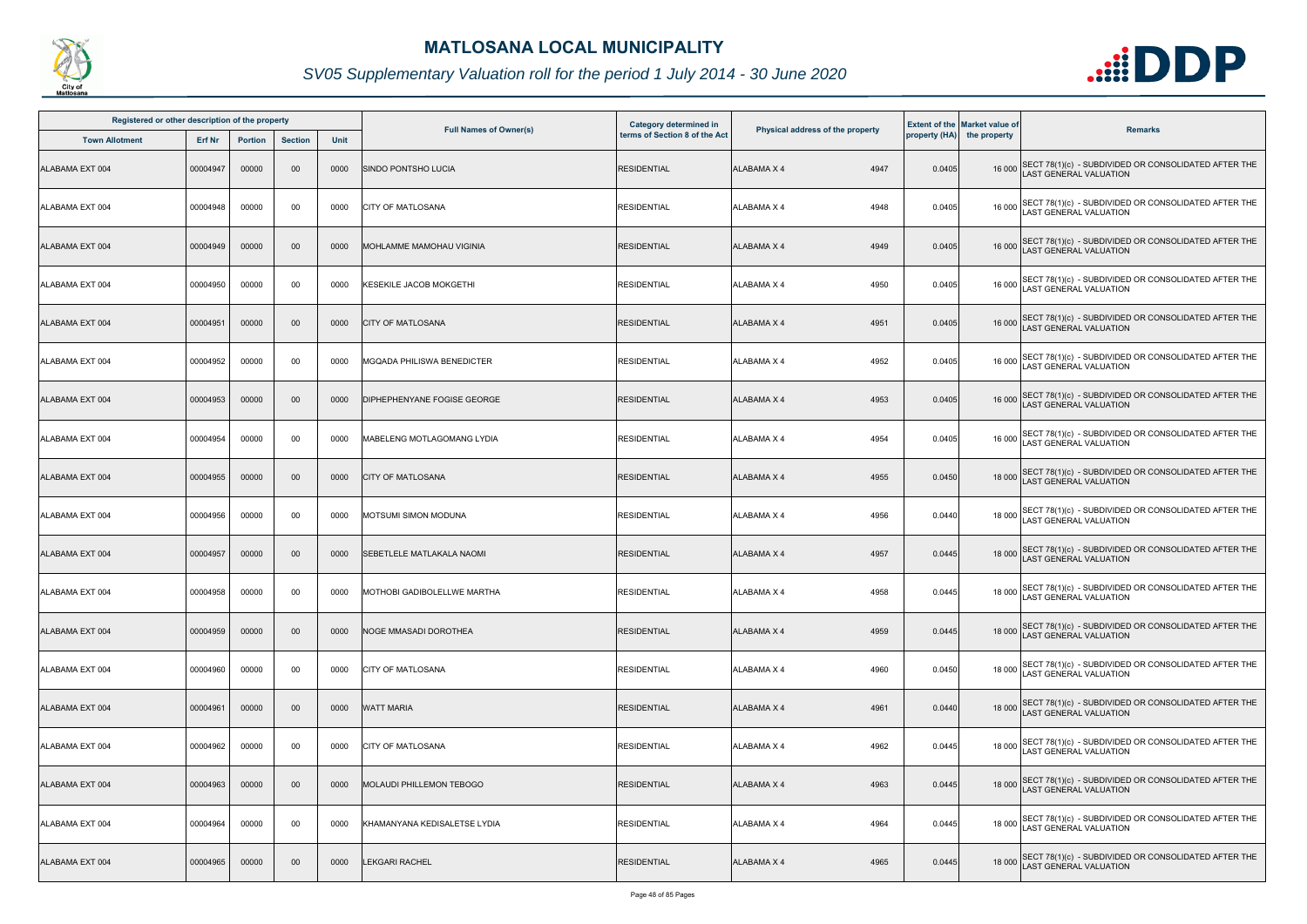

| Registered or other description of the property<br><b>Town Allotment</b> | Erf Nr   | <b>Portion</b> | <b>Section</b> | Unit | <b>Full Names of Owner(s)</b>     | Category determined in<br>terms of Section 8 of the Act | Physical address of the property |        | <b>Extent of the Market value of</b><br>property (HA) the property | <b>Remarks</b>                                                                              |
|--------------------------------------------------------------------------|----------|----------------|----------------|------|-----------------------------------|---------------------------------------------------------|----------------------------------|--------|--------------------------------------------------------------------|---------------------------------------------------------------------------------------------|
| ALABAMA EXT 004                                                          | 00004947 | 00000          | 00             | 0000 | <b>SINDO PONTSHO LUCIA</b>        | <b>RESIDENTIAL</b>                                      | <b>ALABAMA X 4</b><br>4947       | 0.0405 |                                                                    | 16 000 SECT 78(1)(c) - SUBDIVIDED OR CONSOLIDATED AFTER THE<br>AST GENERAL VALUATION        |
| ALABAMA EXT 004                                                          | 00004948 | 00000          | 00             | 0000 | <b>CITY OF MATLOSANA</b>          | <b>RESIDENTIAL</b>                                      | 4948<br><b>ALABAMA X 4</b>       | 0.0405 | 16 000                                                             | SECT 78(1)(c) - SUBDIVIDED OR CONSOLIDATED AFTER THE<br>LAST GENERAL VALUATION              |
| ALABAMA EXT 004                                                          | 00004949 | 00000          | 00             | 0000 | MOHLAMME MAMOHAU VIGINIA          | <b>RESIDENTIAL</b>                                      | 4949<br><b>ALABAMA X 4</b>       | 0.0405 |                                                                    | 16 000 SECT 78(1)(c) - SUBDIVIDED OR CONSOLIDATED AFTER THE<br>LAST GENERAL VALUATION       |
| ALABAMA EXT 004                                                          | 00004950 | 00000          | 00             | 0000 | <b>KESEKILE JACOB MOKGETHI</b>    | <b>RESIDENTIAL</b>                                      | 4950<br>ALABAMA X 4              | 0.0405 |                                                                    | 16 000 SECT 78(1)(c) - SUBDIVIDED OR CONSOLIDATED AFTER THE<br>LAST GENERAL VALUATION       |
| ALABAMA EXT 004                                                          | 00004951 | 00000          | 00             | 0000 | <b>CITY OF MATLOSANA</b>          | <b>RESIDENTIAL</b>                                      | 4951<br><b>ALABAMA X 4</b>       | 0.0405 |                                                                    | 16 000 SECT 78(1)(c) - SUBDIVIDED OR CONSOLIDATED AFTER THE<br>LAST GENERAL VALUATION       |
| ALABAMA EXT 004                                                          | 00004952 | 00000          | 00             | 0000 | <b>MGQADA PHILISWA BENEDICTER</b> | <b>RESIDENTIAL</b>                                      | 4952<br><b>ALABAMA X 4</b>       | 0.0405 |                                                                    | 16 000 SECT 78(1)(c) - SUBDIVIDED OR CONSOLIDATED AFTER THE<br>AST GENERAL VALUATION        |
| ALABAMA EXT 004                                                          | 00004953 | 00000          | 00             | 0000 | DIPHEPHENYANE FOGISE GEORGE       | <b>RESIDENTIAL</b>                                      | <b>ALABAMA X 4</b><br>4953       | 0.0405 |                                                                    | 16 000 SECT 78(1)(c) - SUBDIVIDED OR CONSOLIDATED AFTER THE<br>LAST GENERAL VALUATION       |
| ALABAMA EXT 004                                                          | 00004954 | 00000          | 00             | 0000 | MABELENG MOTLAGOMANG LYDIA        | <b>RESIDENTIAL</b>                                      | 4954<br>ALABAMA X 4              | 0.0405 |                                                                    | 16 000 SECT 78(1)(c) - SUBDIVIDED OR CONSOLIDATED AFTER THE<br>LAST GENERAL VALUATION       |
| ALABAMA EXT 004                                                          | 00004955 | 00000          | 00             | 0000 | <b>CITY OF MATLOSANA</b>          | <b>RESIDENTIAL</b>                                      | <b>ALABAMA X 4</b><br>4955       | 0.0450 |                                                                    | 18 000 SECT 78(1)(c) - SUBDIVIDED OR CONSOLIDATED AFTER THE<br>LAST GENERAL VALUATION       |
| ALABAMA EXT 004                                                          | 00004956 | 00000          | 00             | 0000 | MOTSUMI SIMON MODUNA              | <b>RESIDENTIAL</b>                                      | ALABAMA X 4<br>4956              | 0.0440 |                                                                    | 18 000 SECT 78(1)(c) - SUBDIVIDED OR CONSOLIDATED AFTER THE<br>LAST GENERAL VALUATION       |
| ALABAMA EXT 004                                                          | 00004957 | 00000          | 00             | 0000 | SEBETLELE MATLAKALA NAOMI         | <b>RESIDENTIAL</b>                                      | 4957<br><b>ALABAMA X 4</b>       | 0.0445 |                                                                    | 18 000 SECT 78(1)(c) - SUBDIVIDED OR CONSOLIDATED AFTER THE<br>AST GENERAL VALUATION        |
| ALABAMA EXT 004                                                          | 00004958 | 00000          | 00             | 0000 | MOTHOBI GADIBOLELLWE MARTHA       | <b>RESIDENTIAL</b>                                      | ALABAMA X 4<br>4958              | 0.0445 |                                                                    | 18 000 SECT 78(1)(c) - SUBDIVIDED OR CONSOLIDATED AFTER THE<br>LAST GENERAL VALUATION       |
| ALABAMA EXT 004                                                          | 00004959 | 00000          | $00\,$         | 0000 | <b>NOGE MMASADI DOROTHEA</b>      | <b>RESIDENTIAL</b>                                      | 4959<br><b>ALABAMA X 4</b>       | 0.0445 |                                                                    | 18 000 SECT 78(1)(c) - SUBDIVIDED OR CONSOLIDATED AFTER THE<br><b>AST GENERAL VALUATION</b> |
| ALABAMA EXT 004                                                          | 00004960 | 00000          | 00             | 0000 | CITY OF MATLOSANA                 | <b>RESIDENTIAL</b>                                      | ALABAMA X 4<br>4960              | 0.0450 | 18 000                                                             | SECT 78(1)(c) - SUBDIVIDED OR CONSOLIDATED AFTER THE<br><b>AST GENERAL VALUATION</b>        |
| ALABAMA EXT 004                                                          | 00004961 | 00000          | $00\,$         | 0000 | <b>WATT MARIA</b>                 | <b>RESIDENTIAL</b>                                      | <b>ALABAMA X 4</b><br>4961       | 0.0440 |                                                                    | 18 000 SECT 78(1)(c) - SUBDIVIDED OR CONSOLIDATED AFTER THE<br>LAST GENERAL VALUATION       |
| ALABAMA EXT 004                                                          | 00004962 | 00000          | 00             | 0000 | <b>CITY OF MATLOSANA</b>          | <b>RESIDENTIAL</b>                                      | ALABAMA X 4<br>4962              | 0.0445 | 18 000                                                             | SECT 78(1)(c) - SUBDIVIDED OR CONSOLIDATED AFTER THE<br>LAST GENERAL VALUATION              |
| ALABAMA EXT 004                                                          | 00004963 | 00000          | 00             | 0000 | <b>MOLAUDI PHILLEMON TEBOGO</b>   | <b>RESIDENTIAL</b>                                      | <b>ALABAMA X 4</b><br>4963       | 0.0445 |                                                                    | 18 000 SECT 78(1)(c) - SUBDIVIDED OR CONSOLIDATED AFTER THE<br>LAST GENERAL VALUATION       |
| ALABAMA EXT 004                                                          | 00004964 | 00000          | 00             | 0000 | KHAMANYANA KEDISALETSE LYDIA      | <b>RESIDENTIAL</b>                                      | 4964<br>ALABAMA X 4              | 0.0445 |                                                                    | 18 000 SECT 78(1)(c) - SUBDIVIDED OR CONSOLIDATED AFTER THE<br>LAST GENERAL VALUATION       |
| ALABAMA EXT 004                                                          | 00004965 | 00000          | 00             | 0000 | LEKGARI RACHEL                    | <b>RESIDENTIAL</b>                                      | ALABAMA X 4<br>4965              | 0.0445 |                                                                    | 18 000 SECT 78(1)(c) - SUBDIVIDED OR CONSOLIDATED AFTER THE<br>LAST GENERAL VALUATION       |

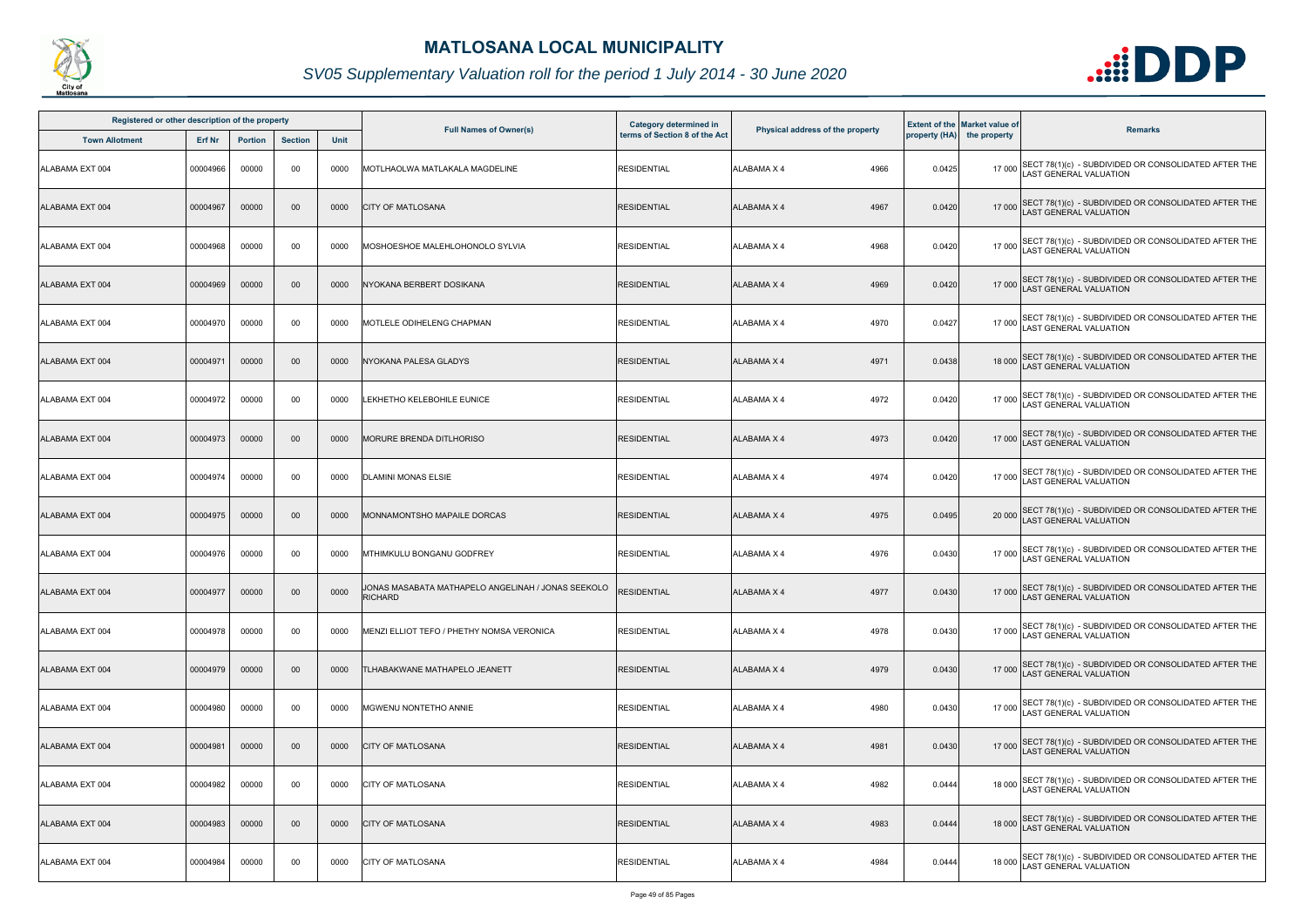

| Registered or other description of the property |          |                |                |      | Category determined in                                               |                               |                                  | <b>Extent of the Market value of</b> |                            |                                                                                              |
|-------------------------------------------------|----------|----------------|----------------|------|----------------------------------------------------------------------|-------------------------------|----------------------------------|--------------------------------------|----------------------------|----------------------------------------------------------------------------------------------|
| <b>Town Allotment</b>                           | Erf Nr   | <b>Portion</b> | <b>Section</b> | Unit | <b>Full Names of Owner(s)</b>                                        | terms of Section 8 of the Act | Physical address of the property |                                      | property (HA) the property | <b>Remarks</b>                                                                               |
| ALABAMA EXT 004                                 | 00004966 | 00000          | 00             | 0000 | MOTLHAOLWA MATLAKALA MAGDELINE                                       | <b>RESIDENTIAL</b>            | 4966<br><b>ALABAMA X 4</b>       | 0.0425                               | 17 000                     | SECT 78(1)(c) - SUBDIVIDED OR CONSOLIDATED AFTER THE LAST GENERAL VALUATION                  |
| ALABAMA EXT 004                                 | 00004967 | 00000          | 00             | 0000 | <b>CITY OF MATLOSANA</b>                                             | <b>RESIDENTIAL</b>            | <b>ALABAMA X 4</b><br>4967       | 0.0420                               |                            | 17 000 SECT 78(1)(c) - SUBDIVIDED OR CONSOLIDATED AFTER THE<br>LAST GENERAL VALUATION        |
| ALABAMA EXT 004                                 | 00004968 | 00000          | 00             | 0000 | MOSHOESHOE MALEHLOHONOLO SYLVIA                                      | <b>RESIDENTIAL</b>            | 4968<br>ALABAMA X 4              | 0.0420                               |                            | 17 000 SECT 78(1)(c) - SUBDIVIDED OR CONSOLIDATED AFTER THE<br>LAST GENERAL VALUATION        |
| ALABAMA EXT 004                                 | 00004969 | 00000          | 00             | 0000 | NYOKANA BERBERT DOSIKANA                                             | <b>RESIDENTIAL</b>            | 4969<br><b>ALABAMA X 4</b>       | 0.0420                               |                            | 17 000 SECT 78(1)(c) - SUBDIVIDED OR CONSOLIDATED AFTER THE<br>LAST GENERAL VALUATION        |
| ALABAMA EXT 004                                 | 00004970 | 00000          | 00             | 0000 | MOTLELE ODIHELENG CHAPMAN                                            | <b>RESIDENTIAL</b>            | 4970<br><b>ALABAMA X 4</b>       | 0.0427                               |                            | 17 000 SECT 78(1)(c) - SUBDIVIDED OR CONSOLIDATED AFTER THE<br>LAST GENERAL VALUATION        |
| ALABAMA EXT 004                                 | 00004971 | 00000          | 00             | 0000 | NYOKANA PALESA GLADYS                                                | RESIDENTIAL                   | <b>ALABAMA X 4</b><br>4971       | 0.0438                               |                            | 18 000 SECT 78(1)(c) - SUBDIVIDED OR CONSOLIDATED AFTER THE<br>AST GENERAL VALUATION         |
| ALABAMA EXT 004                                 | 00004972 | 00000          | 00             | 0000 | LEKHETHO KELEBOHILE EUNICE                                           | <b>RESIDENTIAL</b>            | 4972<br><b>ALABAMA X 4</b>       | 0.0420                               | 17 000                     | SECT 78(1)(c) - SUBDIVIDED OR CONSOLIDATED AFTER THE LAST GENERAL VALUATION                  |
| ALABAMA EXT 004                                 | 00004973 | 00000          | $00\,$         | 0000 | MORURE BRENDA DITLHORISO                                             | <b>RESIDENTIAL</b>            | <b>ALABAMA X 4</b><br>4973       | 0.0420                               |                            | 17 000 SECT 78(1)(c) - SUBDIVIDED OR CONSOLIDATED AFTER THE<br>LAST GENERAL VALUATION        |
| ALABAMA EXT 004                                 | 00004974 | 00000          | 00             | 0000 | <b>DLAMINI MONAS ELSIE</b>                                           | <b>RESIDENTIAL</b>            | <b>ALABAMA X 4</b><br>4974       | 0.0420                               |                            | 17 000 SECT 78(1)(c) - SUBDIVIDED OR CONSOLIDATED AFTER THE<br>LAST GENERAL VALUATION        |
| ALABAMA EXT 004                                 | 00004975 | 00000          | 00             | 0000 | MONNAMONTSHO MAPAILE DORCAS                                          | <b>RESIDENTIAL</b>            | 4975<br><b>ALABAMA X 4</b>       | 0.0495                               |                            | 20 000 SECT 78(1)(c) - SUBDIVIDED OR CONSOLIDATED AFTER THE<br>LAST GENERAL VALUATION        |
| ALABAMA EXT 004                                 | 00004976 | 00000          | 00             | 0000 | MTHIMKULU BONGANU GODFREY                                            | <b>RESIDENTIAL</b>            | 4976<br><b>ALABAMA X 4</b>       | 0.0430                               |                            | 17 000 SECT 78(1)(c) - SUBDIVIDED OR CONSOLIDATED AFTER THE<br>LAST GENERAL VALUATION        |
| ALABAMA EXT 004                                 | 00004977 | 00000          | 00             | 0000 | JONAS MASABATA MATHAPELO ANGELINAH / JONAS SEEKOLO<br><b>RICHARD</b> | <b>RESIDENTIAL</b>            | <b>ALABAMA X 4</b><br>4977       | 0.0430                               |                            | 17 000 SECT 78(1)(c) - SUBDIVIDED OR CONSOLIDATED AFTER THE<br>LAST GENERAL VALUATION        |
| ALABAMA EXT 004                                 | 00004978 | 00000          | 00             | 0000 | MENZI ELLIOT TEFO / PHETHY NOMSA VERONICA                            | <b>RESIDENTIAL</b>            | <b>ALABAMA X 4</b><br>4978       | 0.0430                               |                            | 17 000 SECT 78(1)(c) - SUBDIVIDED OR CONSOLIDATED AFTER THE<br><b>AST GENERAL VALUATION</b>  |
| ALABAMA EXT 004                                 | 00004979 | 00000          | $00\,$         | 0000 | TLHABAKWANE MATHAPELO JEANETT                                        | <b>RESIDENTIAL</b>            | <b>ALABAMA X 4</b><br>4979       | 0.0430                               |                            | 17 000 SECT 78(1)(c) - SUBDIVIDED OR CONSOLIDATED AFTER THE<br><b>AST GENERAL VALUATION</b>  |
| ALABAMA EXT 004                                 | 00004980 | 00000          | 00             | 0000 | MGWENU NONTETHO ANNIE                                                | <b>RESIDENTIAL</b>            | <b>ALABAMA X 4</b><br>4980       | 0.0430                               |                            | 17 000 SECT 78(1)(c) - SUBDIVIDED OR CONSOLIDATED AFTER THE<br>LAST GENERAL VALUATION        |
| ALABAMA EXT 004                                 | 00004981 | 00000          | 00             | 0000 | <b>CITY OF MATLOSANA</b>                                             | <b>RESIDENTIAL</b>            | <b>ALABAMA X 4</b><br>4981       | 0.0430                               |                            | 17 000 SECT 78(1)(c) - SUBDIVIDED OR CONSOLIDATED AFTER THE<br>LAST GENERAL VALUATION        |
| ALABAMA EXT 004                                 | 00004982 | 00000          | 00             | 0000 | CITY OF MATLOSANA                                                    | <b>RESIDENTIAL</b>            | 4982<br><b>ALABAMA X 4</b>       | 0.0444                               |                            | 18 000 SECT 78(1)(c) - SUBDIVIDED OR CONSOLIDATED AFTER THE<br><b>LAST GENERAL VALUATION</b> |
| ALABAMA EXT 004                                 | 00004983 | 00000          | 00             | 0000 | <b>CITY OF MATLOSANA</b>                                             | <b>RESIDENTIAL</b>            | 4983<br>ALABAMA X 4              | 0.0444                               |                            | 18 000 SECT 78(1)(c) - SUBDIVIDED OR CONSOLIDATED AFTER THE<br>LAST GENERAL VALUATION        |
| ALABAMA EXT 004                                 | 00004984 | 00000          | 00             | 0000 | <b>CITY OF MATLOSANA</b>                                             | <b>RESIDENTIAL</b>            | <b>ALABAMA X 4</b><br>4984       | 0.0444                               |                            | 18 000 SECT 78(1)(c) - SUBDIVIDED OR CONSOLIDATED AFTER THE<br>LAST GENERAL VALUATION        |

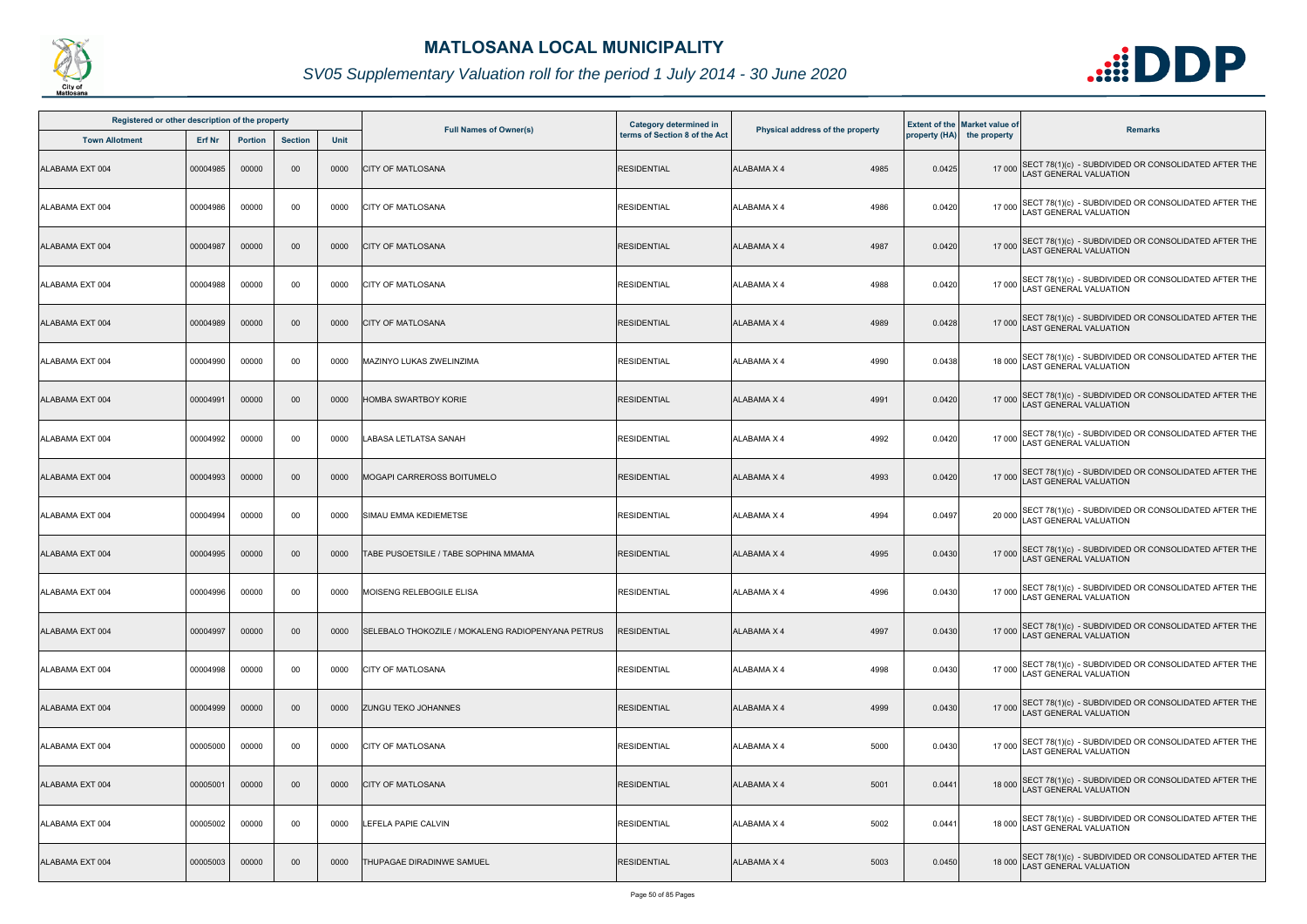

| Registered or other description of the property |          |                |                |      | Category determined in                            |                               |                                  | <b>Extent of the Market value of</b> |                            |                                                                                       |
|-------------------------------------------------|----------|----------------|----------------|------|---------------------------------------------------|-------------------------------|----------------------------------|--------------------------------------|----------------------------|---------------------------------------------------------------------------------------|
| <b>Town Allotment</b>                           | Erf Nr   | <b>Portion</b> | <b>Section</b> | Unit | <b>Full Names of Owner(s)</b>                     | terms of Section 8 of the Act | Physical address of the property |                                      | property (HA) the property | <b>Remarks</b>                                                                        |
| ALABAMA EXT 004                                 | 00004985 | 00000          | 00             | 0000 | <b>CITY OF MATLOSANA</b>                          | <b>RESIDENTIAL</b>            | 4985<br><b>ALABAMA X 4</b>       | 0.0425                               |                            | 17 000 SECT 78(1)(c) - SUBDIVIDED OR CONSOLIDATED AFTER THE<br>LAST GENERAL VALUATION |
| ALABAMA EXT 004                                 | 00004986 | 00000          | 00             | 0000 | <b>CITY OF MATLOSANA</b>                          | <b>RESIDENTIAL</b>            | <b>ALABAMA X 4</b><br>4986       | 0.0420                               |                            | 17 000 SECT 78(1)(c) - SUBDIVIDED OR CONSOLIDATED AFTER THE<br>LAST GENERAL VALUATION |
| ALABAMA EXT 004                                 | 00004987 | 00000          | $00\,$         | 0000 | <b>CITY OF MATLOSANA</b>                          | <b>RESIDENTIAL</b>            | 4987<br><b>ALABAMA X 4</b>       | 0.0420                               |                            | 17 000 SECT 78(1)(c) - SUBDIVIDED OR CONSOLIDATED AFTER THE<br>LAST GENERAL VALUATION |
| ALABAMA EXT 004                                 | 00004988 | 00000          | 00             | 0000 | <b>CITY OF MATLOSANA</b>                          | <b>RESIDENTIAL</b>            | 4988<br><b>ALABAMA X 4</b>       | 0.0420                               |                            | 17 000 SECT 78(1)(c) - SUBDIVIDED OR CONSOLIDATED AFTER THE<br>LAST GENERAL VALUATION |
| ALABAMA EXT 004                                 | 00004989 | 00000          | 00             | 0000 | <b>CITY OF MATLOSANA</b>                          | <b>RESIDENTIAL</b>            | 4989<br><b>ALABAMA X 4</b>       | 0.0428                               |                            | 17 000 SECT 78(1)(c) - SUBDIVIDED OR CONSOLIDATED AFTER THE<br>LAST GENERAL VALUATION |
| ALABAMA EXT 004                                 | 00004990 | 00000          | 00             | 0000 | MAZINYO LUKAS ZWELINZIMA                          | RESIDENTIAL                   | 4990<br>ALABAMA X 4              | 0.0438                               |                            | 18 000 SECT 78(1)(c) - SUBDIVIDED OR CONSOLIDATED AFTER THE<br>LAST GENERAL VALUATION |
| ALABAMA EXT 004                                 | 00004991 | 00000          | 00             | 0000 | HOMBA SWARTBOY KORIE                              | <b>RESIDENTIAL</b>            | 4991<br><b>ALABAMA X 4</b>       | 0.0420                               |                            | 17 000 SECT 78(1)(c) - SUBDIVIDED OR CONSOLIDATED AFTER THE<br>LAST GENERAL VALUATION |
| ALABAMA EXT 004                                 | 00004992 | 00000          | 00             | 0000 | LABASA LETLATSA SANAH                             | <b>RESIDENTIAL</b>            | ALABAMA X 4<br>4992              | 0.0420                               | 17 000                     | SECT 78(1)(c) - SUBDIVIDED OR CONSOLIDATED AFTER THE<br>AST GENERAL VALUATION         |
| ALABAMA EXT 004                                 | 00004993 | 00000          | 00             | 0000 | <b>MOGAPI CARREROSS BOITUMELO</b>                 | <b>RESIDENTIAL</b>            | <b>ALABAMA X 4</b><br>4993       | 0.0420                               |                            | 17 000 SECT 78(1)(c) - SUBDIVIDED OR CONSOLIDATED AFTER THE<br>LAST GENERAL VALUATION |
| ALABAMA EXT 004                                 | 00004994 | 00000          | 00             | 0000 | <b>SIMAU EMMA KEDIEMETSE</b>                      | <b>RESIDENTIAL</b>            | ALABAMA X 4<br>4994              | 0.0497                               |                            | 20 000 SECT 78(1)(c) - SUBDIVIDED OR CONSOLIDATED AFTER THE<br>LAST GENERAL VALUATION |
| ALABAMA EXT 004                                 | 00004995 | 00000          | 00             | 0000 | TABE PUSOETSILE / TABE SOPHINA MMAMA              | <b>RESIDENTIAL</b>            | <b>ALABAMA X 4</b><br>4995       | 0.0430                               |                            | 17 000 SECT 78(1)(c) - SUBDIVIDED OR CONSOLIDATED AFTER THE<br>LAST GENERAL VALUATION |
| ALABAMA EXT 004                                 | 00004996 | 00000          | 00             | 0000 | MOISENG RELEBOGILE ELISA                          | <b>RESIDENTIAL</b>            | ALABAMA X 4<br>4996              | 0.0430                               |                            | 17 000 SECT 78(1)(c) - SUBDIVIDED OR CONSOLIDATED AFTER THE<br>LAST GENERAL VALUATION |
| ALABAMA EXT 004                                 | 00004997 | 00000          | $00\,$         | 0000 | SELEBALO THOKOZILE / MOKALENG RADIOPENYANA PETRUS | RESIDENTIAL                   | 4997<br><b>ALABAMA X 4</b>       | 0.0430                               |                            | 17 000 SECT 78(1)(c) - SUBDIVIDED OR CONSOLIDATED AFTER THE<br>LAST GENERAL VALUATION |
| ALABAMA EXT 004                                 | 00004998 | 00000          | 00             | 0000 | <b>CITY OF MATLOSANA</b>                          | <b>RESIDENTIAL</b>            | <b>ALABAMA X 4</b><br>4998       | 0.0430                               | 17 000                     | SECT 78(1)(c) - SUBDIVIDED OR CONSOLIDATED AFTER THE<br><b>AST GENERAL VALUATION</b>  |
| ALABAMA EXT 004                                 | 00004999 | 00000          | $00\,$         | 0000 | <b>ZUNGU TEKO JOHANNES</b>                        | <b>RESIDENTIAL</b>            | <b>ALABAMA X 4</b><br>4999       | 0.0430                               |                            | 17 000 SECT 78(1)(c) - SUBDIVIDED OR CONSOLIDATED AFTER THE<br>LAST GENERAL VALUATION |
| ALABAMA EXT 004                                 | 00005000 | 00000          | 00             | 0000 | <b>CITY OF MATLOSANA</b>                          | <b>RESIDENTIAL</b>            | ALABAMA X 4<br>5000              | 0.0430                               |                            | 17 000 SECT 78(1)(c) - SUBDIVIDED OR CONSOLIDATED AFTER THE<br>LAST GENERAL VALUATION |
| ALABAMA EXT 004                                 | 00005001 | 00000          | $00\,$         | 0000 | <b>CITY OF MATLOSANA</b>                          | <b>RESIDENTIAL</b>            | <b>ALABAMA X 4</b><br>5001       | 0.0441                               |                            | 18 000 SECT 78(1)(c) - SUBDIVIDED OR CONSOLIDATED AFTER THE<br>LAST GENERAL VALUATION |
| ALABAMA EXT 004                                 | 00005002 | 00000          | 00             | 0000 | LEFELA PAPIE CALVIN                               | <b>RESIDENTIAL</b>            | 5002<br>ALABAMA X 4              | 0.0441                               |                            | 18 000 SECT 78(1)(c) - SUBDIVIDED OR CONSOLIDATED AFTER THE<br>LAST GENERAL VALUATION |
| ALABAMA EXT 004                                 | 00005003 | 00000          | 00             | 0000 | THUPAGAE DIRADINWE SAMUEL                         | <b>RESIDENTIAL</b>            | <b>ALABAMA X 4</b><br>5003       | 0.0450                               |                            | 18 000 SECT 78(1)(c) - SUBDIVIDED OR CONSOLIDATED AFTER THE<br>AST GENERAL VALUATION  |

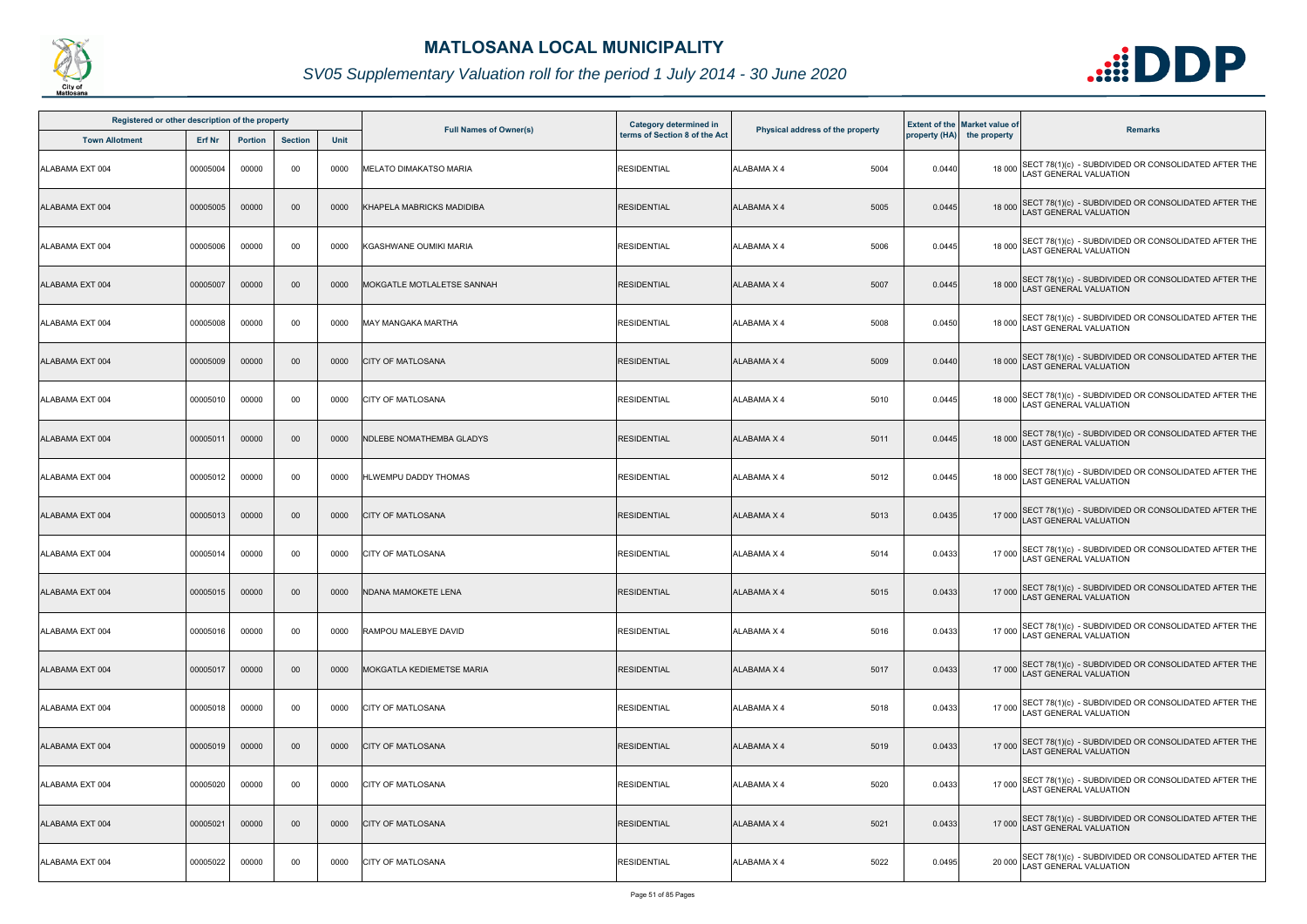

| Registered or other description of the property<br><b>Town Allotment</b> |          |                |                |             |                                  | <b>Category determined in</b> |                                  |        | <b>Extent of the Market value of</b> |                                                                                              |
|--------------------------------------------------------------------------|----------|----------------|----------------|-------------|----------------------------------|-------------------------------|----------------------------------|--------|--------------------------------------|----------------------------------------------------------------------------------------------|
|                                                                          | Erf Nr   | <b>Portion</b> | <b>Section</b> | <b>Unit</b> | <b>Full Names of Owner(s)</b>    | terms of Section 8 of the Act | Physical address of the property |        | property (HA) the property           | <b>Remarks</b>                                                                               |
| ALABAMA EXT 004                                                          | 00005004 | 00000          | 00             | 0000        | <b>MELATO DIMAKATSO MARIA</b>    | <b>RESIDENTIAL</b>            | ALABAMA X 4<br>5004              | 0.0440 |                                      | 18 000 SECT 78(1)(c) - SUBDIVIDED OR CONSOLIDATED AFTER THE<br>LAST GENERAL VALUATION        |
| ALABAMA EXT 004                                                          | 00005005 | 00000          | $00\,$         | 0000        | KHAPELA MABRICKS MADIDIBA        | <b>RESIDENTIAL</b>            | ALABAMA X 4<br>5005              | 0.0445 |                                      | 18 000 SECT 78(1)(c) - SUBDIVIDED OR CONSOLIDATED AFTER THE<br>LAST GENERAL VALUATION        |
| ALABAMA EXT 004                                                          | 00005006 | 00000          | 00             | 0000        | KGASHWANE OUMIKI MARIA           | <b>RESIDENTIAL</b>            | 5006<br>ALABAMA X 4              | 0.0445 |                                      | 18 000 SECT 78(1)(c) - SUBDIVIDED OR CONSOLIDATED AFTER THE<br>LAST GENERAL VALUATION        |
| ALABAMA EXT 004                                                          | 00005007 | 00000          | $00\,$         | 0000        | MOKGATLE MOTLALETSE SANNAH       | <b>RESIDENTIAL</b>            | 5007<br><b>ALABAMA X 4</b>       | 0.0445 |                                      | 18 000 SECT 78(1)(c) - SUBDIVIDED OR CONSOLIDATED AFTER THE<br>18 000 LAST GENERAL VALUATION |
| ALABAMA EXT 004                                                          | 00005008 | 00000          | 00             | 0000        | <b>MAY MANGAKA MARTHA</b>        | <b>RESIDENTIAL</b>            | 5008<br>ALABAMA X 4              | 0.0450 |                                      | 18 000 SECT 78(1)(c) - SUBDIVIDED OR CONSOLIDATED AFTER THE<br>LAST GENERAL VALUATION        |
| ALABAMA EXT 004                                                          | 00005009 | 00000          | $00\,$         | 0000        | <b>CITY OF MATLOSANA</b>         | <b>RESIDENTIAL</b>            | 5009<br>ALABAMA X 4              | 0.0440 |                                      | 18 000 SECT 78(1)(c) - SUBDIVIDED OR CONSOLIDATED AFTER THE<br>LAST GENERAL VALUATION        |
| ALABAMA EXT 004                                                          | 00005010 | 00000          | 00             | 0000        | <b>CITY OF MATLOSANA</b>         | <b>RESIDENTIAL</b>            | ALABAMA X 4<br>5010              | 0.0445 |                                      | 18 000 SECT 78(1)(c) - SUBDIVIDED OR CONSOLIDATED AFTER THE<br>LAST GENERAL VALUATION        |
| ALABAMA EXT 004                                                          | 00005011 | 00000          | $00\,$         | 0000        | <b>NDLEBE NOMATHEMBA GLADYS</b>  | <b>RESIDENTIAL</b>            | 5011<br><b>ALABAMA X 4</b>       | 0.0445 |                                      | 18 000 SECT 78(1)(c) - SUBDIVIDED OR CONSOLIDATED AFTER THE<br>LAST GENERAL VALUATION        |
| ALABAMA EXT 004                                                          | 00005012 | 00000          | 00             | 0000        | HLWEMPU DADDY THOMAS             | <b>RESIDENTIAL</b>            | 5012<br>ALABAMA X 4              | 0.0445 |                                      | 18 000 SECT 78(1)(c) - SUBDIVIDED OR CONSOLIDATED AFTER THE<br>LAST GENERAL VALUATION        |
| ALABAMA EXT 004                                                          | 00005013 | 00000          | 00             | 0000        | <b>CITY OF MATLOSANA</b>         | <b>RESIDENTIAL</b>            | 5013<br><b>ALABAMA X 4</b>       | 0.0435 |                                      | 17 000 SECT 78(1)(c) - SUBDIVIDED OR CONSOLIDATED AFTER THE<br>LAST GENERAL VALUATION        |
| ALABAMA EXT 004                                                          | 00005014 | 00000          | 00             | 0000        | <b>CITY OF MATLOSANA</b>         | <b>RESIDENTIAL</b>            | ALABAMA X 4<br>5014              | 0.0433 |                                      | 17 000 SECT 78(1)(c) - SUBDIVIDED OR CONSOLIDATED AFTER THE<br>LAST GENERAL VALUATION        |
| ALABAMA EXT 004                                                          | 00005015 | 00000          | $00\,$         | 0000        | NDANA MAMOKETE LENA              | <b>RESIDENTIAL</b>            | ALABAMA X 4<br>5015              | 0.0433 |                                      | 17 000 SECT 78(1)(c) - SUBDIVIDED OR CONSOLIDATED AFTER THE<br>LAST GENERAL VALUATION        |
| ALABAMA EXT 004                                                          | 00005016 | 00000          | 00             | 0000        | <b>RAMPOU MALEBYE DAVID</b>      | <b>RESIDENTIAL</b>            | 5016<br>ALABAMA X 4              | 0.0433 |                                      | 17 000 SECT 78(1)(c) - SUBDIVIDED OR CONSOLIDATED AFTER THE<br>LAST GENERAL VALUATION        |
| ALABAMA EXT 004                                                          | 00005017 | 00000          | $00\,$         | 0000        | <b>MOKGATLA KEDIEMETSE MARIA</b> | <b>RESIDENTIAL</b>            | ALABAMA X 4<br>5017              | 0.0433 |                                      | 17 000 SECT 78(1)(c) - SUBDIVIDED OR CONSOLIDATED AFTER THE<br>LAST GENERAL VALUATION        |
| ALABAMA EXT 004                                                          | 00005018 | 00000          | 00             | 0000        | <b>CITY OF MATLOSANA</b>         | <b>RESIDENTIAL</b>            | 5018<br>ALABAMA X 4              | 0.0433 |                                      | 17 000 SECT 78(1)(c) - SUBDIVIDED OR CONSOLIDATED AFTER THE<br>LAST GENERAL VALUATION        |
| ALABAMA EXT 004                                                          | 00005019 | 00000          | $00\,$         | 0000        | <b>CITY OF MATLOSANA</b>         | <b>RESIDENTIAL</b>            | 5019<br>ALABAMA X 4              | 0.0433 |                                      | 17 000 SECT 78(1)(c) - SUBDIVIDED OR CONSOLIDATED AFTER THE<br>LAST GENERAL VALUATION        |
| ALABAMA EXT 004                                                          | 00005020 | 00000          | 00             | 0000        | <b>CITY OF MATLOSANA</b>         | <b>RESIDENTIAL</b>            | <b>ALABAMA X 4</b><br>5020       | 0.0433 |                                      | 17 000 SECT 78(1)(c) - SUBDIVIDED OR CONSOLIDATED AFTER THE<br>LAST GENERAL VALUATION        |
| ALABAMA EXT 004                                                          | 00005021 | 00000          | $00\,$         | 0000        | <b>CITY OF MATLOSANA</b>         | <b>RESIDENTIAL</b>            | 5021<br>ALABAMA X 4              | 0.0433 |                                      | 17 000 SECT 78(1)(c) - SUBDIVIDED OR CONSOLIDATED AFTER THE<br>LAST GENERAL VALUATION        |
| ALABAMA EXT 004                                                          | 00005022 | 00000          | 00             | 0000        | <b>CITY OF MATLOSANA</b>         | <b>RESIDENTIAL</b>            | 5022<br>ALABAMA X 4              | 0.0495 | 20 000                               | SECT 78(1)(c) - SUBDIVIDED OR CONSOLIDATED AFTER THE<br><b>LAST GENERAL VALUATION</b>        |

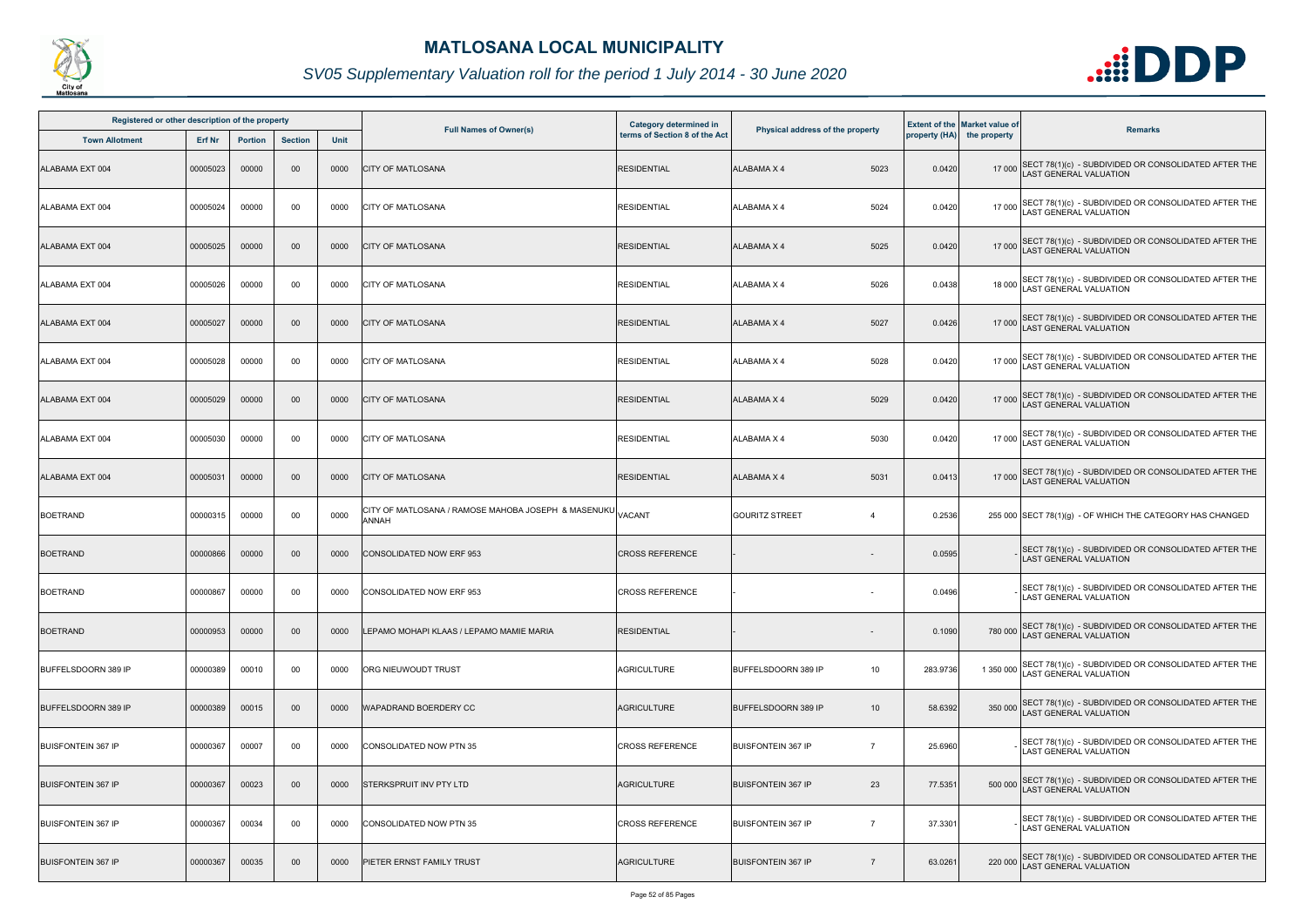

| Registered or other description of the property |          |                |                |      |                                                                                           |                                                         |                                               |          |                                                                    |                                                                                              |
|-------------------------------------------------|----------|----------------|----------------|------|-------------------------------------------------------------------------------------------|---------------------------------------------------------|-----------------------------------------------|----------|--------------------------------------------------------------------|----------------------------------------------------------------------------------------------|
| <b>Town Allotment</b>                           | Erf Nr   | <b>Portion</b> | <b>Section</b> | Unit | <b>Full Names of Owner(s)</b>                                                             | Category determined in<br>terms of Section 8 of the Act | Physical address of the property              |          | <b>Extent of the Market value of</b><br>property (HA) the property | <b>Remarks</b>                                                                               |
| ALABAMA EXT 004                                 | 00005023 | 00000          | 00             | 0000 | <b>CITY OF MATLOSANA</b>                                                                  | <b>RESIDENTIAL</b>                                      | <b>ALABAMA X 4</b><br>5023                    | 0.0420   |                                                                    | 17 000 SECT 78(1)(c) - SUBDIVIDED OR CONSOLIDATED AFTER THE<br>LAST GENERAL VALUATION        |
| ALABAMA EXT 004                                 | 00005024 | 00000          | 00             | 0000 | <b>CITY OF MATLOSANA</b>                                                                  | <b>RESIDENTIAL</b>                                      | 5024<br>ALABAMA X 4                           | 0.0420   |                                                                    | 17 000 SECT 78(1)(c) - SUBDIVIDED OR CONSOLIDATED AFTER THE<br>LAST GENERAL VALUATION        |
| ALABAMA EXT 004                                 | 00005025 | 00000          | $00\,$         | 0000 | <b>CITY OF MATLOSANA</b>                                                                  | <b>RESIDENTIAL</b>                                      | <b>ALABAMA X 4</b><br>5025                    | 0.0420   |                                                                    | 17 000 SECT 78(1)(c) - SUBDIVIDED OR CONSOLIDATED AFTER THE<br>LAST GENERAL VALUATION        |
| ALABAMA EXT 004                                 | 00005026 | 00000          | 00             | 0000 | <b>CITY OF MATLOSANA</b>                                                                  | <b>RESIDENTIAL</b>                                      | 5026<br><b>ALABAMA X 4</b>                    | 0.0438   |                                                                    | 18 000 SECT 78(1)(c) - SUBDIVIDED OR CONSOLIDATED AFTER THE<br>18 000 LAST GENERAL VALUATION |
| ALABAMA EXT 004                                 | 00005027 | 00000          | 00             | 0000 | <b>CITY OF MATLOSANA</b>                                                                  | <b>RESIDENTIAL</b>                                      | 5027<br><b>ALABAMA X 4</b>                    | 0.0426   |                                                                    | 17 000 SECT 78(1)(c) - SUBDIVIDED OR CONSOLIDATED AFTER THE<br>LAST GENERAL VALUATION        |
| ALABAMA EXT 004                                 | 00005028 | 00000          | 00             | 0000 | <b>CITY OF MATLOSANA</b>                                                                  | <b>RESIDENTIAL</b>                                      | 5028<br><b>ALABAMA X 4</b>                    | 0.0420   |                                                                    | 17 000 SECT 78(1)(c) - SUBDIVIDED OR CONSOLIDATED AFTER THE<br>LAST GENERAL VALUATION        |
| ALABAMA EXT 004                                 | 00005029 | 00000          | 00             | 0000 | <b>CITY OF MATLOSANA</b>                                                                  | <b>RESIDENTIAL</b>                                      | 5029<br><b>ALABAMA X 4</b>                    | 0.0420   |                                                                    | 17 000 SECT 78(1)(c) - SUBDIVIDED OR CONSOLIDATED AFTER THE<br>LAST GENERAL VALUATION        |
| ALABAMA EXT 004                                 | 00005030 | 00000          | 00             | 0000 | <b>CITY OF MATLOSANA</b>                                                                  | <b>RESIDENTIAL</b>                                      | <b>ALABAMA X 4</b><br>5030                    | 0.0420   | 17 000                                                             | SECT 78(1)(c) - SUBDIVIDED OR CONSOLIDATED AFTER THE<br>AST GENERAL VALUATION                |
| ALABAMA EXT 004                                 | 00005031 | 00000          | $00\,$         | 0000 | <b>CITY OF MATLOSANA</b>                                                                  | <b>RESIDENTIAL</b>                                      | 5031<br><b>ALABAMA X 4</b>                    | 0.0413   |                                                                    | 17 000 SECT 78(1)(c) - SUBDIVIDED OR CONSOLIDATED AFTER THE<br>LAST GENERAL VALUATION        |
| <b>BOETRAND</b>                                 | 00000315 | 00000          | 00             | 0000 | CITY OF MATLOSANA / RAMOSE MAHOBA JOSEPH  & MASENUKU $\rm\big\vert_{\rm VACANT}$<br>ANNAH |                                                         | <b>GOURITZ STREET</b><br>$\overline{4}$       | 0.2536   |                                                                    | 255 000 SECT 78(1)(g) - OF WHICH THE CATEGORY HAS CHANGED                                    |
| <b>BOETRAND</b>                                 | 00000866 | 00000          | 00             | 0000 | <b>CONSOLIDATED NOW ERF 953</b>                                                           | <b>CROSS REFERENCE</b>                                  |                                               | 0.0595   |                                                                    | SECT 78(1)(c) - SUBDIVIDED OR CONSOLIDATED AFTER THE<br><b>LAST GENERAL VALUATION</b>        |
| <b>BOETRAND</b>                                 | 00000867 | 00000          | 00             | 0000 | CONSOLIDATED NOW ERF 953                                                                  | <b>CROSS REFERENCE</b>                                  |                                               | 0.0496   |                                                                    | SECT 78(1)(c) - SUBDIVIDED OR CONSOLIDATED AFTER THE<br>LAST GENERAL VALUATION               |
| <b>BOETRAND</b>                                 | 00000953 | 00000          | $00\,$         | 0000 | LEPAMO MOHAPI KLAAS / LEPAMO MAMIE MARIA                                                  | RESIDENTIAL                                             |                                               | 0.1090   |                                                                    | 780 000 SECT 78(1)(c) - SUBDIVIDED OR CONSOLIDATED AFTER THE<br>LAST GENERAL VALUATION       |
| <b>BUFFELSDOORN 389 IP</b>                      | 00000389 | 00010          | 00             | 0000 | ORG NIEUWOUDT TRUST                                                                       | <b>AGRICULTURE</b>                                      | 10<br>BUFFELSDOORN 389 IP                     | 283.9736 | 1 350 000                                                          | SECT 78(1)(c) - SUBDIVIDED OR CONSOLIDATED AFTER THE<br><b>AST GENERAL VALUATION</b>         |
| <b>BUFFELSDOORN 389 IP</b>                      | 00000389 | 00015          | $00\,$         | 0000 | <b>WAPADRAND BOERDERY CC</b>                                                              | AGRICULTURE                                             | <b>BUFFELSDOORN 389 IP</b><br>10 <sup>°</sup> | 58.6392  |                                                                    | 350 000 SECT 78(1)(c) - SUBDIVIDED OR CONSOLIDATED AFTER THE<br>AST GENERAL VALUATION        |
| <b>BUISFONTEIN 367 IP</b>                       | 00000367 | 00007          | 00             | 0000 | <b>CONSOLIDATED NOW PTN 35</b>                                                            | <b>CROSS REFERENCE</b>                                  | $\overline{7}$<br><b>BUISFONTEIN 367 IP</b>   | 25.6960  |                                                                    | SECT 78(1)(c) - SUBDIVIDED OR CONSOLIDATED AFTER THE<br><b>LAST GENERAL VALUATION</b>        |
| <b>BUISFONTEIN 367 IP</b>                       | 00000367 | 00023          | $00\,$         | 0000 | STERKSPRUIT INV PTY LTD                                                                   | <b>AGRICULTURE</b>                                      | 23<br><b>BUISFONTEIN 367 IP</b>               | 77.5351  | 500 000                                                            | SECT 78(1)(c) - SUBDIVIDED OR CONSOLIDATED AFTER THE LAST GENERAL VALUATION                  |
| <b>BUISFONTEIN 367 IP</b>                       | 00000367 | 00034          | 00             | 0000 | <b>CONSOLIDATED NOW PTN 35</b>                                                            | <b>CROSS REFERENCE</b>                                  | <b>BUISFONTEIN 367 IP</b><br>$\overline{7}$   | 37.3301  |                                                                    | SECT 78(1)(c) - SUBDIVIDED OR CONSOLIDATED AFTER THE<br><b>LAST GENERAL VALUATION</b>        |
| <b>BUISFONTEIN 367 IP</b>                       | 00000367 | 00035          | $00\,$         | 0000 | PIETER ERNST FAMILY TRUST                                                                 | AGRICULTURE                                             | <b>BUISFONTEIN 367 IP</b><br>$\overline{7}$   | 63.0261  |                                                                    | 220 000 SECT 78(1)(c) - SUBDIVIDED OR CONSOLIDATED AFTER THE<br>LAST GENERAL VALUATION       |

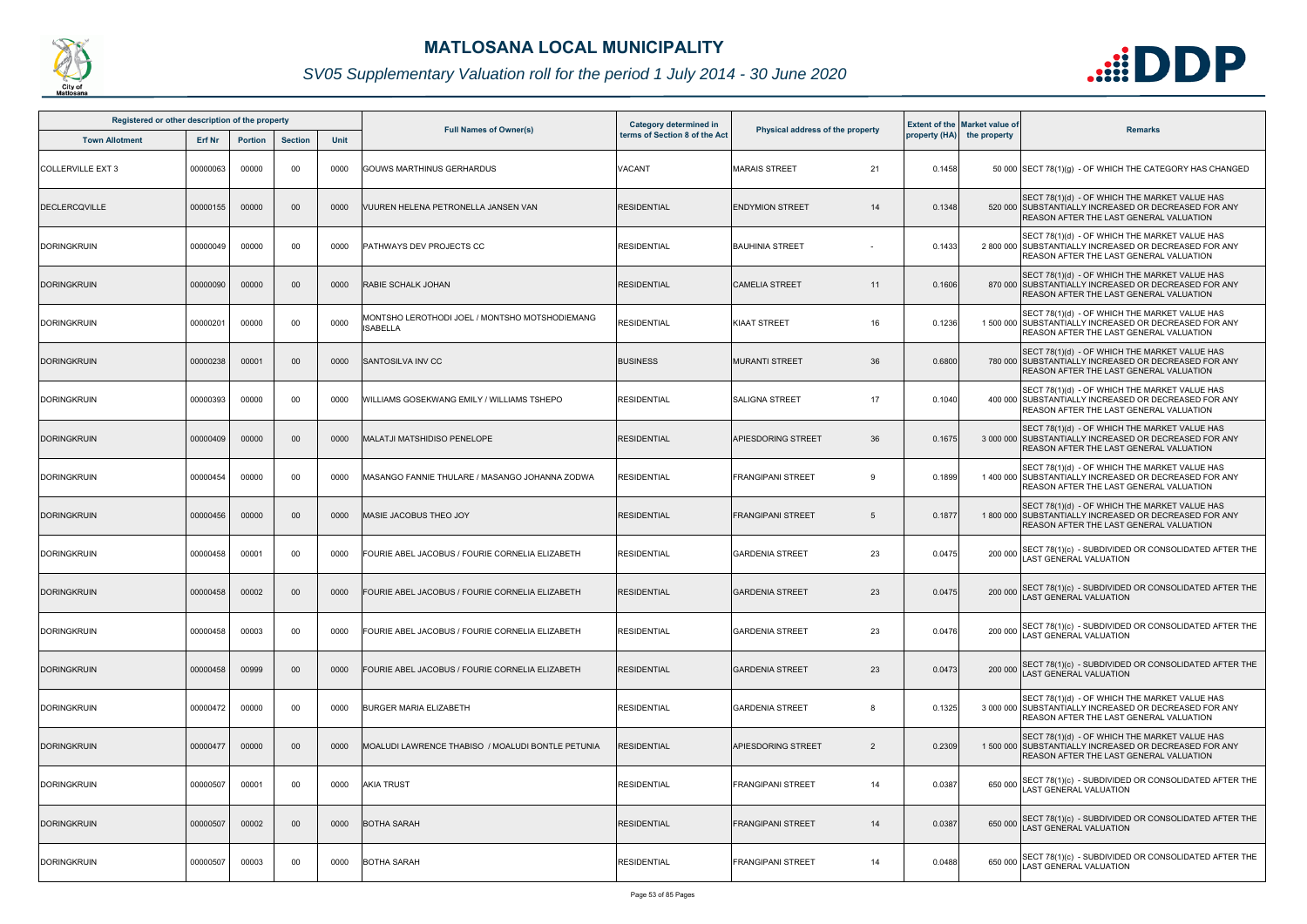

| Registered or other description of the property |               |                |                |      |                                                                   | Category determined in        |                                      |        | <b>Extent of the Market value of</b> |                                                                                                                                                           |
|-------------------------------------------------|---------------|----------------|----------------|------|-------------------------------------------------------------------|-------------------------------|--------------------------------------|--------|--------------------------------------|-----------------------------------------------------------------------------------------------------------------------------------------------------------|
| <b>Town Allotment</b>                           | <b>Erf Nr</b> | <b>Portion</b> | <b>Section</b> | Unit | <b>Full Names of Owner(s)</b>                                     | terms of Section 8 of the Act | Physical address of the property     |        | property (HA) the property           | <b>Remarks</b>                                                                                                                                            |
| <b>COLLERVILLE EXT 3</b>                        | 00000063      | 00000          | 00             | 0000 | <b>GOUWS MARTHINUS GERHARDUS</b>                                  | VACANT                        | <b>MARAIS STREET</b><br>21           | 0.1458 |                                      | 50 000 SECT 78(1)(g) - OF WHICH THE CATEGORY HAS CHANGED                                                                                                  |
| <b>DECLERCQVILLE</b>                            | 00000155      | 00000          | $00\,$         | 0000 | VUUREN HELENA PETRONELLA JANSEN VAN                               | <b>RESIDENTIAL</b>            | <b>ENDYMION STREET</b><br>14         | 0.1348 |                                      | SECT 78(1)(d) - OF WHICH THE MARKET VALUE HAS<br>520 000 SUBSTANTIALLY INCREASED OR DECREASED FOR ANY<br>REASON AFTER THE LAST GENERAL VALUATION          |
| <b>DORINGKRUIN</b>                              | 00000049      | 00000          | 00             | 0000 | PATHWAYS DEV PROJECTS CC                                          | <b>RESIDENTIAL</b>            | <b>BAUHINIA STREET</b>               | 0.1433 |                                      | SECT 78(1)(d) - OF WHICH THE MARKET VALUE HAS<br>2 800 000 SUBSTANTIALLY INCREASED OR DECREASED FOR ANY<br>REASON AFTER THE LAST GENERAL VALUATION        |
| <b>DORINGKRUIN</b>                              | 00000090      | 00000          | 00             | 0000 | <b>RABIE SCHALK JOHAN</b>                                         | <b>RESIDENTIAL</b>            | <b>CAMELIA STREET</b><br>11          | 0.1606 |                                      | SECT 78(1)(d) - OF WHICH THE MARKET VALUE HAS<br>870 000 SUBSTANTIALLY INCREASED OR DECREASED FOR ANY<br>REASON AFTER THE LAST GENERAL VALUATION          |
| <b>DORINGKRUIN</b>                              | 00000201      | 00000          | 00             | 0000 | MONTSHO LEROTHODI JOEL / MONTSHO MOTSHODIEMANG<br><b>ISABELLA</b> | <b>RESIDENTIAL</b>            | 16<br><b>KIAAT STREET</b>            | 0.1236 |                                      | SECT 78(1)(d) - OF WHICH THE MARKET VALUE HAS<br>1 500 000 SUBSTANTIALLY INCREASED OR DECREASED FOR ANY<br>REASON AFTER THE LAST GENERAL VALUATION        |
| <b>DORINGKRUIN</b>                              | 00000238      | 00001          | $00\,$         | 0000 | <b>SANTOSILVA INV CC</b>                                          | <b>BUSINESS</b>               | 36<br><b>MURANTI STREET</b>          | 0.6800 |                                      | SECT 78(1)(d) - OF WHICH THE MARKET VALUE HAS<br>780 000 SUBSTANTIALLY INCREASED OR DECREASED FOR ANY<br>REASON AFTER THE LAST GENERAL VALUATION          |
| <b>DORINGKRUIN</b>                              | 00000393      | 00000          | 00             | 0000 | WILLIAMS GOSEKWANG EMILY / WILLIAMS TSHEPO                        | <b>RESIDENTIAL</b>            | <b>SALIGNA STREET</b><br>17          | 0.1040 |                                      | SECT 78(1)(d) - OF WHICH THE MARKET VALUE HAS<br>400 000 SUBSTANTIALLY INCREASED OR DECREASED FOR ANY<br>REASON AFTER THE LAST GENERAL VALUATION          |
| <b>DORINGKRUIN</b>                              | 00000409      | 00000          | $00\,$         | 0000 | <b>MALATJI MATSHIDISO PENELOPE</b>                                | <b>RESIDENTIAL</b>            | 36<br><b>APIESDORING STREET</b>      | 0.1675 |                                      | SECT 78(1)(d) - OF WHICH THE MARKET VALUE HAS<br>3 000 000 SUBSTANTIALLY INCREASED OR DECREASED FOR ANY<br><b>REASON AFTER THE LAST GENERAL VALUATION</b> |
| <b>DORINGKRUIN</b>                              | 00000454      | 00000          | 00             | 0000 | MASANGO FANNIE THULARE / MASANGO JOHANNA ZODWA                    | <b>RESIDENTIAL</b>            | <b>FRANGIPANI STREET</b><br>-9       | 0.1899 |                                      | SECT 78(1)(d) - OF WHICH THE MARKET VALUE HAS<br>1 400 000 SUBSTANTIALLY INCREASED OR DECREASED FOR ANY<br>REASON AFTER THE LAST GENERAL VALUATION        |
| <b>DORINGKRUIN</b>                              | 00000456      | 00000          | $00\,$         | 0000 | MASIE JACOBUS THEO JOY                                            | <b>RESIDENTIAL</b>            | <b>FRANGIPANI STREET</b><br>5        | 0.1877 |                                      | SECT 78(1)(d) - OF WHICH THE MARKET VALUE HAS<br>1 800 000 SUBSTANTIALLY INCREASED OR DECREASED FOR ANY<br>REASON AFTER THE LAST GENERAL VALUATION        |
| <b>DORINGKRUIN</b>                              | 00000458      | 00001          | 00             | 0000 | FOURIE ABEL JACOBUS / FOURIE CORNELIA ELIZABETH                   | <b>RESIDENTIAL</b>            | 23<br><b>GARDENIA STREET</b>         | 0.0475 | 200 000                              | SECT 78(1)(c) - SUBDIVIDED OR CONSOLIDATED AFTER THE<br><b>AST GENERAL VALUATION</b>                                                                      |
| <b>DORINGKRUIN</b>                              | 00000458      | 00002          | $00\,$         | 0000 | FOURIE ABEL JACOBUS / FOURIE CORNELIA ELIZABETH                   | <b>RESIDENTIAL</b>            | <b>GARDENIA STREET</b><br>23         | 0.0475 |                                      | 200 000 SECT 78(1)(c) - SUBDIVIDED OR CONSOLIDATED AFTER THE<br>LAST GENERAL VALUATION                                                                    |
| <b>DORINGKRUIN</b>                              | 00000458      | 00003          | 00             | 0000 | FOURIE ABEL JACOBUS / FOURIE CORNELIA ELIZABETH                   | <b>RESIDENTIAL</b>            | 23<br><b>GARDENIA STREET</b>         | 0.0476 | 200 000                              | SECT 78(1)(c) - SUBDIVIDED OR CONSOLIDATED AFTER THE<br><b>LAST GENERAL VALUATION</b>                                                                     |
| <b>DORINGKRUIN</b>                              | 00000458      | 00999          | $00\,$         | 0000 | FOURIE ABEL JACOBUS / FOURIE CORNELIA ELIZABETH                   | <b>RESIDENTIAL</b>            | 23<br><b>GARDENIA STREET</b>         | 0.0473 | 200 000                              | SECT 78(1)(c) - SUBDIVIDED OR CONSOLIDATED AFTER THE<br><b>AST GENERAL VALUATION</b>                                                                      |
| <b>DORINGKRUIN</b>                              | 00000472      | 00000          | 00             | 0000 | <b>BURGER MARIA ELIZABETH</b>                                     | <b>RESIDENTIAL</b>            | <b>GARDENIA STREET</b><br>8          | 0.1325 |                                      | SECT 78(1)(d) - OF WHICH THE MARKET VALUE HAS<br>3 000 000 SUBSTANTIALLY INCREASED OR DECREASED FOR ANY<br><b>REASON AFTER THE LAST GENERAL VALUATION</b> |
| <b>DORINGKRUIN</b>                              | 00000477      | 00000          | $00\,$         | 0000 | IMOALUDI LAWRENCE THABISO / MOALUDI BONTLE PETUNIA                | <b>RESIDENTIAL</b>            | APIESDORING STREET<br>$\overline{2}$ | 0.2309 |                                      | SECT 78(1)(d) - OF WHICH THE MARKET VALUE HAS<br>1500 000 SUBSTANTIALLY INCREASED OR DECREASED FOR ANY<br>REASON AFTER THE LAST GENERAL VALUATION         |
| <b>DORINGKRUIN</b>                              | 00000507      | 00001          | 00             | 0000 | <b>AKIA TRUST</b>                                                 | <b>RESIDENTIAL</b>            | <b>FRANGIPANI STREET</b><br>14       | 0.0387 | 650 000                              | SECT 78(1)(c) - SUBDIVIDED OR CONSOLIDATED AFTER THE<br><b>AST GENERAL VALUATION</b>                                                                      |
| <b>DORINGKRUIN</b>                              | 00000507      | 00002          | $00\,$         | 0000 | <b>BOTHA SARAH</b>                                                | <b>RESIDENTIAL</b>            | <b>FRANGIPANI STREET</b><br>14       | 0.0387 |                                      | 650 000 SECT 78(1)(c) - SUBDIVIDED OR CONSOLIDATED AFTER THE<br>AST GENERAL VALUATION                                                                     |
| <b>DORINGKRUIN</b>                              | 00000507      | 00003          | 00             | 0000 | <b>BOTHA SARAH</b>                                                | <b>RESIDENTIAL</b>            | <b>FRANGIPANI STREET</b><br>14       | 0.0488 | 650 000                              | SECT 78(1)(c) - SUBDIVIDED OR CONSOLIDATED AFTER THE<br><b>AST GENERAL VALUATION</b>                                                                      |

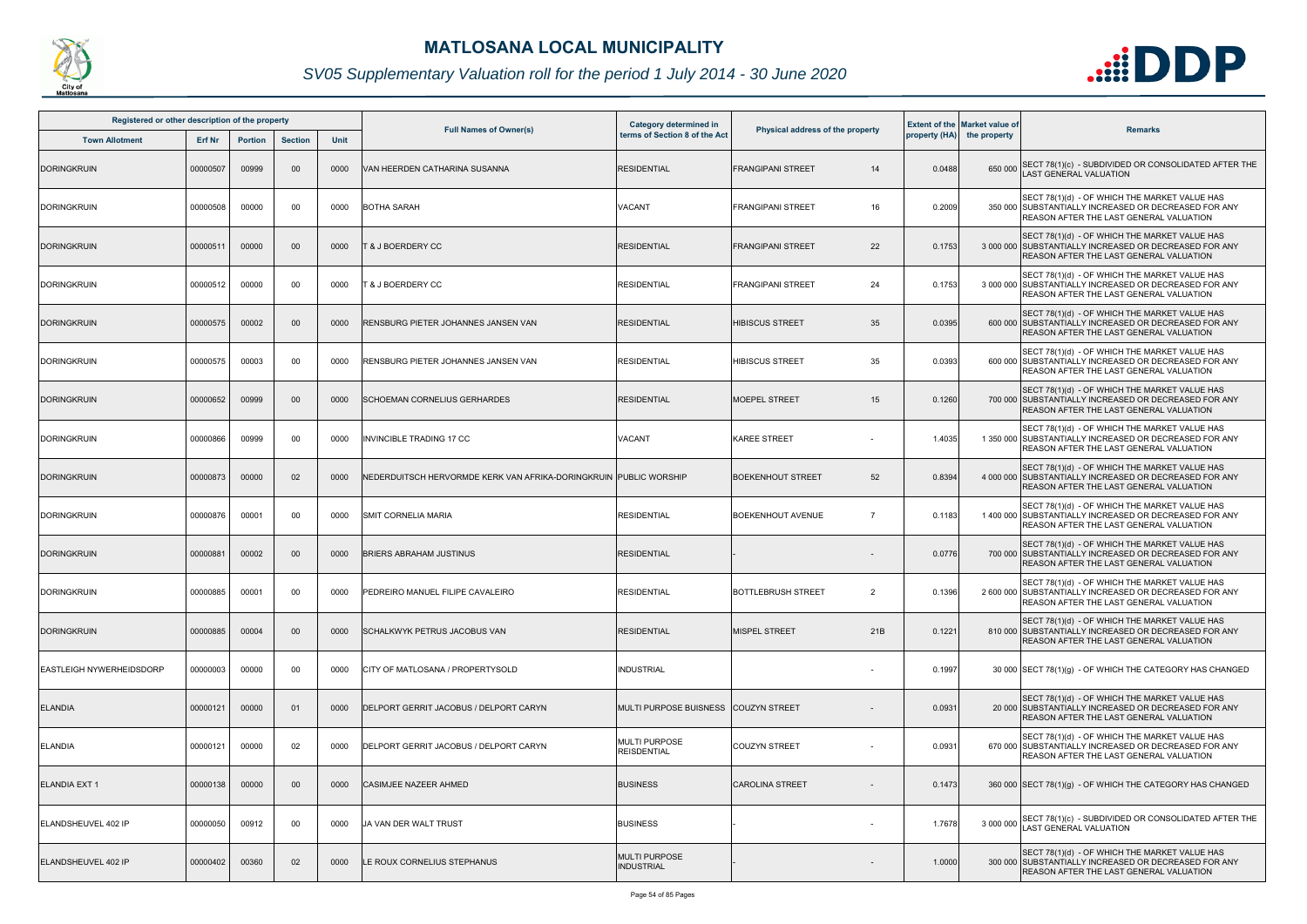

| Registered or other description of the property<br><b>Section</b><br><b>Town Allotment</b><br>Erf Nr<br><b>Portion</b> |          |       |        |      |                                                                    | Category determined in                     |                                  |        | <b>Extent of the Market value of</b>                                                                                                                      |
|------------------------------------------------------------------------------------------------------------------------|----------|-------|--------|------|--------------------------------------------------------------------|--------------------------------------------|----------------------------------|--------|-----------------------------------------------------------------------------------------------------------------------------------------------------------|
|                                                                                                                        |          |       |        | Unit | <b>Full Names of Owner(s)</b>                                      | terms of Section 8 of the Act              | Physical address of the property |        | <b>Remarks</b><br>property (HA) the property                                                                                                              |
| <b>DORINGKRUIN</b>                                                                                                     | 00000507 | 00999 | 00     | 0000 | VAN HEERDEN CATHARINA SUSANNA                                      | <b>RESIDENTIAL</b>                         | <b>FRANGIPANI STREET</b><br>14   | 0.0488 | SECT 78(1)(c) - SUBDIVIDED OR CONSOLIDATED AFTER THE<br>650 000<br><b>AST GENERAL VALUATION</b>                                                           |
| <b>DORINGKRUIN</b>                                                                                                     | 00000508 | 00000 | $00\,$ | 0000 | <b>BOTHA SARAH</b>                                                 | VACANT                                     | 16<br><b>FRANGIPANI STREET</b>   | 0.2009 | SECT 78(1)(d) - OF WHICH THE MARKET VALUE HAS<br>350 000 SUBSTANTIALLY INCREASED OR DECREASED FOR ANY<br>REASON AFTER THE LAST GENERAL VALUATION          |
| <b>DORINGKRUIN</b>                                                                                                     | 00000511 | 00000 | $00\,$ | 0000 | <b>T &amp; J BOERDERY CC</b>                                       | <b>RESIDENTIAL</b>                         | 22<br><b>FRANGIPANI STREET</b>   | 0.1753 | SECT 78(1)(d) - OF WHICH THE MARKET VALUE HAS<br>3 000 000 SUBSTANTIALLY INCREASED OR DECREASED FOR ANY<br><b>REASON AFTER THE LAST GENERAL VALUATION</b> |
| <b>DORINGKRUIN</b>                                                                                                     | 00000512 | 00000 | 00     | 0000 | <b>T &amp; J BOERDERY CC</b>                                       | <b>RESIDENTIAL</b>                         | 24<br><b>FRANGIPANI STREET</b>   | 0.1753 | SECT 78(1)(d) - OF WHICH THE MARKET VALUE HAS<br>3 000 000 SUBSTANTIALLY INCREASED OR DECREASED FOR ANY<br>REASON AFTER THE LAST GENERAL VALUATION        |
| <b>DORINGKRUIN</b>                                                                                                     | 00000575 | 00002 | 00     | 0000 | RENSBURG PIETER JOHANNES JANSEN VAN                                | RESIDENTIAL                                | 35<br><b>HIBISCUS STREET</b>     | 0.0395 | SECT 78(1)(d) - OF WHICH THE MARKET VALUE HAS<br>600 000 SUBSTANTIALLY INCREASED OR DECREASED FOR ANY<br><b>REASON AFTER THE LAST GENERAL VALUATION</b>   |
| <b>DORINGKRUIN</b>                                                                                                     | 00000575 | 00003 | 00     | 0000 | RENSBURG PIETER JOHANNES JANSEN VAN                                | RESIDENTIAL                                | 35<br><b>HIBISCUS STREET</b>     | 0.0393 | SECT 78(1)(d) - OF WHICH THE MARKET VALUE HAS<br>600 000 SUBSTANTIALLY INCREASED OR DECREASED FOR ANY<br>REASON AFTER THE LAST GENERAL VALUATION          |
| <b>DORINGKRUIN</b>                                                                                                     | 00000652 | 00999 | 00     | 0000 | SCHOEMAN CORNELIUS GERHARDES                                       | <b>RESIDENTIAL</b>                         | 15<br><b>MOEPEL STREET</b>       | 0.1260 | SECT 78(1)(d) - OF WHICH THE MARKET VALUE HAS<br>700 000 SUBSTANTIALLY INCREASED OR DECREASED FOR ANY<br><b>REASON AFTER THE LAST GENERAL VALUATION</b>   |
| <b>DORINGKRUIN</b>                                                                                                     | 00000866 | 00999 | $00\,$ | 0000 | <b>INVINCIBLE TRADING 17 CC</b>                                    | VACANT                                     | <b>KAREE STREET</b>              | 1.4035 | SECT 78(1)(d) - OF WHICH THE MARKET VALUE HAS<br>1 350 000 SUBSTANTIALLY INCREASED OR DECREASED FOR ANY<br><b>REASON AFTER THE LAST GENERAL VALUATION</b> |
| <b>DORINGKRUIN</b>                                                                                                     | 00000873 | 00000 | 02     | 0000 | NEDERDUITSCH HERVORMDE KERK VAN AFRIKA-DORINGKRUIN  PUBLIC WORSHIP |                                            | 52<br><b>BOEKENHOUT STREET</b>   | 0.8394 | SECT 78(1)(d) - OF WHICH THE MARKET VALUE HAS<br>4 000 000 SUBSTANTIALLY INCREASED OR DECREASED FOR ANY<br>REASON AFTER THE LAST GENERAL VALUATION        |
| <b>DORINGKRUIN</b>                                                                                                     | 00000876 | 00001 | 00     | 0000 | SMIT CORNELIA MARIA                                                | <b>RESIDENTIAL</b>                         | <b>BOEKENHOUT AVENUE</b>         | 0.1183 | SECT 78(1)(d) - OF WHICH THE MARKET VALUE HAS<br>1 400 000 SUBSTANTIALLY INCREASED OR DECREASED FOR ANY<br>REASON AFTER THE LAST GENERAL VALUATION        |
| <b>DORINGKRUIN</b>                                                                                                     | 00000881 | 00002 | 00     | 0000 | <b>BRIERS ABRAHAM JUSTINUS</b>                                     | <b>RESIDENTIAL</b>                         |                                  | 0.0776 | SECT 78(1)(d) - OF WHICH THE MARKET VALUE HAS<br>700 000 SUBSTANTIALLY INCREASED OR DECREASED FOR ANY<br>REASON AFTER THE LAST GENERAL VALUATION          |
| <b>DORINGKRUIN</b>                                                                                                     | 00000885 | 00001 | 00     | 0000 | PEDREIRO MANUEL FILIPE CAVALEIRO                                   | <b>RESIDENTIAL</b>                         | <b>BOTTLEBRUSH STREET</b><br>2   | 0.1396 | SECT 78(1)(d) - OF WHICH THE MARKET VALUE HAS<br>2 600 000 SUBSTANTIALLY INCREASED OR DECREASED FOR ANY<br><b>REASON AFTER THE LAST GENERAL VALUATION</b> |
| <b>DORINGKRUIN</b>                                                                                                     | 00000885 | 00004 | $00\,$ | 0000 | <b>SCHALKWYK PETRUS JACOBUS VAN</b>                                | RESIDENTIAL                                | 21B<br><b>MISPEL STREET</b>      | 0.1221 | SECT 78(1)(d) - OF WHICH THE MARKET VALUE HAS<br>810 000 SUBSTANTIALLY INCREASED OR DECREASED FOR ANY<br><b>REASON AFTER THE LAST GENERAL VALUATION</b>   |
| <b>EASTLEIGH NYWERHEIDSDORP</b>                                                                                        | 00000003 | 00000 | 00     | 0000 | CITY OF MATLOSANA / PROPERTYSOLD                                   | <b>INDUSTRIAL</b>                          |                                  | 0.1997 | 30 000 SECT 78(1)(g) - OF WHICH THE CATEGORY HAS CHANGED                                                                                                  |
| <b>ELANDIA</b>                                                                                                         | 00000121 | 00000 | 01     | 0000 | DELPORT GERRIT JACOBUS / DELPORT CARYN                             | MULTI PURPOSE BUISNESS COUZYN STREET       |                                  | 0.0931 | SECT 78(1)(d) - OF WHICH THE MARKET VALUE HAS<br>20 000 SUBSTANTIALLY INCREASED OR DECREASED FOR ANY<br><b>REASON AFTER THE LAST GENERAL VALUATION</b>    |
| <b>ELANDIA</b>                                                                                                         | 00000121 | 00000 | 02     | 0000 | DELPORT GERRIT JACOBUS / DELPORT CARYN                             | <b>MULTI PURPOSE</b><br><b>REISDENTIAL</b> | <b>COUZYN STREET</b>             | 0.0931 | SECT 78(1)(d) - OF WHICH THE MARKET VALUE HAS<br>670 000 SUBSTANTIALLY INCREASED OR DECREASED FOR ANY<br>REASON AFTER THE LAST GENERAL VALUATION          |
| <b>ELANDIA EXT 1</b>                                                                                                   | 00000138 | 00000 | $00\,$ | 0000 | CASIMJEE NAZEER AHMED                                              | <b>BUSINESS</b>                            | <b>CAROLINA STREET</b>           | 0.1473 | 360 000 SECT 78(1)(g) - OF WHICH THE CATEGORY HAS CHANGED                                                                                                 |
| ELANDSHEUVEL 402 IP                                                                                                    | 00000050 | 00912 | 00     | 0000 | <b>JA VAN DER WALT TRUST</b>                                       | <b>BUSINESS</b>                            |                                  | 1.7678 | SECT 78(1)(c) - SUBDIVIDED OR CONSOLIDATED AFTER THE<br>3 000 000<br><b>AST GENERAL VALUATION</b>                                                         |
| ELANDSHEUVEL 402 IP                                                                                                    | 00000402 | 00360 | 02     | 0000 | E ROUX CORNELIUS STEPHANUS                                         | <b>MULTI PURPOSE</b><br><b>INDUSTRIAL</b>  |                                  | 1.0000 | SECT 78(1)(d) - OF WHICH THE MARKET VALUE HAS<br>300 000 SUBSTANTIALLY INCREASED OR DECREASED FOR ANY<br>REASON AFTER THE LAST GENERAL VALUATION          |

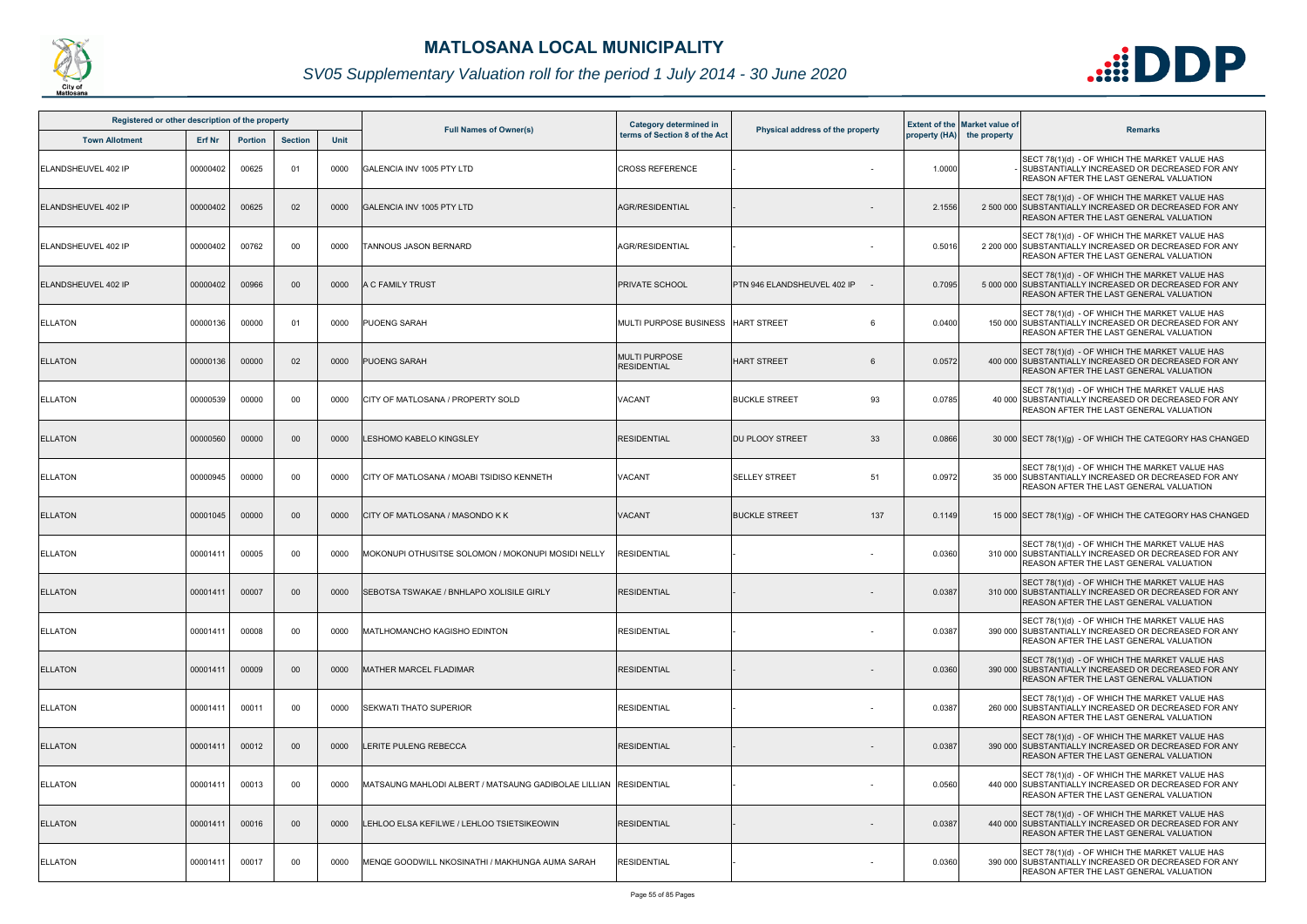

| Registered or other description of the property |               |                |                |      |                                                      | <b>Category determined in</b>              |                                  |        | <b>Extent of the Market value of</b> |                                                                                                                                                         |
|-------------------------------------------------|---------------|----------------|----------------|------|------------------------------------------------------|--------------------------------------------|----------------------------------|--------|--------------------------------------|---------------------------------------------------------------------------------------------------------------------------------------------------------|
| <b>Town Allotment</b>                           | <b>Erf Nr</b> | <b>Portion</b> | <b>Section</b> | Unit | <b>Full Names of Owner(s)</b>                        | terms of Section 8 of the Act              | Physical address of the property |        | property (HA) the property           | <b>Remarks</b>                                                                                                                                          |
| ELANDSHEUVEL 402 IP                             | 00000402      | 00625          | 01             | 0000 | <b>GALENCIA INV 1005 PTY LTD</b>                     | <b>CROSS REFERENCE</b>                     |                                  | 1.0000 |                                      | SECT 78(1)(d) - OF WHICH THE MARKET VALUE HAS<br>- ISUBSTANTIALLY INCREASED OR DECREASED FOR ANY<br><b>REASON AFTER THE LAST GENERAL VALUATION</b>      |
| ELANDSHEUVEL 402 IP                             | 00000402      | 00625          | 02             | 0000 | GALENCIA INV 1005 PTY LTD                            | <b>AGR/RESIDENTIAL</b>                     |                                  | 2.1556 |                                      | SECT 78(1)(d) - OF WHICH THE MARKET VALUE HAS<br>2 500 000 SUBSTANTIALLY INCREASED OR DECREASED FOR ANY<br>REASON AFTER THE LAST GENERAL VALUATION      |
| ELANDSHEUVEL 402 IP                             | 00000402      | 00762          | 00             | 0000 | <b>TANNOUS JASON BERNARD</b>                         | <b>AGR/RESIDENTIAL</b>                     |                                  | 0.5016 |                                      | SECT 78(1)(d) - OF WHICH THE MARKET VALUE HAS<br>2 200 000 SUBSTANTIALLY INCREASED OR DECREASED FOR ANY<br>REASON AFTER THE LAST GENERAL VALUATION      |
| ELANDSHEUVEL 402 IP                             | 00000402      | 00966          | 00             | 0000 | A C FAMILY TRUST                                     | <b>PRIVATE SCHOOL</b>                      | PTN 946 ELANDSHEUVEL 402 IP      | 0.7095 |                                      | SECT 78(1)(d) - OF WHICH THE MARKET VALUE HAS<br>5 000 000 SUBSTANTIALLY INCREASED OR DECREASED FOR ANY<br>REASON AFTER THE LAST GENERAL VALUATION      |
| <b>ELLATON</b>                                  | 00000136      | 00000          | 01             | 0000 | PUOENG SARAH                                         | MULTI PURPOSE BUSINESS                     | <b>HART STREET</b><br>6          | 0.0400 |                                      | SECT 78(1)(d) - OF WHICH THE MARKET VALUE HAS<br>150 000 SUBSTANTIALLY INCREASED OR DECREASED FOR ANY<br>REASON AFTER THE LAST GENERAL VALUATION        |
| <b>ELLATON</b>                                  | 00000136      | 00000          | 02             | 0000 | <b>PUOENG SARAH</b>                                  | <b>MULTI PURPOSE</b><br><b>RESIDENTIAL</b> | <b>HART STREET</b><br>6          | 0.0572 |                                      | SECT 78(1)(d) - OF WHICH THE MARKET VALUE HAS<br>400 000 SUBSTANTIALLY INCREASED OR DECREASED FOR ANY<br>REASON AFTER THE LAST GENERAL VALUATION        |
| <b>ELLATON</b>                                  | 00000539      | 00000          | 00             | 0000 | CITY OF MATLOSANA / PROPERTY SOLD                    | VACANT                                     | <b>BUCKLE STREET</b><br>93       | 0.0785 |                                      | SECT 78(1)(d) - OF WHICH THE MARKET VALUE HAS<br>40 000 SUBSTANTIALLY INCREASED OR DECREASED FOR ANY<br>REASON AFTER THE LAST GENERAL VALUATION         |
| <b>ELLATON</b>                                  | 00000560      | 00000          | 00             | 0000 | LESHOMO KABELO KINGSLEY                              | <b>RESIDENTIAL</b>                         | 33<br><b>DU PLOOY STREET</b>     | 0.0866 |                                      | 30 000 SECT 78(1)(g) - OF WHICH THE CATEGORY HAS CHANGED                                                                                                |
| <b>ELLATON</b>                                  | 00000945      | 00000          | 00             | 0000 | CITY OF MATLOSANA / MOABI TSIDISO KENNETH            | VACANT                                     | <b>SELLEY STREET</b><br>51       | 0.0972 |                                      | SECT 78(1)(d) - OF WHICH THE MARKET VALUE HAS<br>35 000 SUBSTANTIALLY INCREASED OR DECREASED FOR ANY<br>REASON AFTER THE LAST GENERAL VALUATION         |
| <b>ELLATON</b>                                  | 00001045      | 00000          | 00             | 0000 | CITY OF MATLOSANA / MASONDO K K                      | <b>VACANT</b>                              | <b>BUCKLE STREET</b><br>137      | 0.1149 |                                      | 15 000 SECT 78(1)(g) - OF WHICH THE CATEGORY HAS CHANGED                                                                                                |
| <b>ELLATON</b>                                  | 00001411      | 00005          | 00             | 0000 | MOKONUPI OTHUSITSE SOLOMON / MOKONUPI MOSIDI NELLY   | <b>RESIDENTIAL</b>                         |                                  | 0.0360 |                                      | SECT 78(1)(d) - OF WHICH THE MARKET VALUE HAS<br>310 000 SUBSTANTIALLY INCREASED OR DECREASED FOR ANY<br>REASON AFTER THE LAST GENERAL VALUATION        |
| <b>ELLATON</b>                                  | 00001411      | 00007          | $00\,$         | 0000 | <b>ISEBOTSA TSWAKAE / BNHLAPO XOLISILE GIRLY</b>     | <b>RESIDENTIAL</b>                         |                                  | 0.0387 |                                      | SECT 78(1)(d) - OF WHICH THE MARKET VALUE HAS<br>310 000 SUBSTANTIALLY INCREASED OR DECREASED FOR ANY<br><b>REASON AFTER THE LAST GENERAL VALUATION</b> |
| <b>ELLATON</b>                                  | 00001411      | 00008          | 00             | 0000 | MATLHOMANCHO KAGISHO EDINTON                         | <b>RESIDENTIAL</b>                         |                                  | 0.0387 |                                      | SECT 78(1)(d) - OF WHICH THE MARKET VALUE HAS<br>390 000 SUBSTANTIALLY INCREASED OR DECREASED FOR ANY<br><b>REASON AFTER THE LAST GENERAL VALUATION</b> |
| <b>ELLATON</b>                                  | 00001411      | 00009          | 00             | 0000 | <b>MATHER MARCEL FLADIMAR</b>                        | <b>RESIDENTIAL</b>                         |                                  | 0.0360 |                                      | SECT 78(1)(d) - OF WHICH THE MARKET VALUE HAS<br>390 000 SUBSTANTIALLY INCREASED OR DECREASED FOR ANY<br><b>REASON AFTER THE LAST GENERAL VALUATION</b> |
| <b>ELLATON</b>                                  | 00001411      | 00011          | 00             | 0000 | SEKWATI THATO SUPERIOR                               | <b>RESIDENTIAL</b>                         | $\sim$                           | 0.0387 |                                      | SECT 78(1)(d) - OF WHICH THE MARKET VALUE HAS<br>260 000 SUBSTANTIALLY INCREASED OR DECREASED FOR ANY<br>REASON AFTER THE LAST GENERAL VALUATION        |
| <b>ELLATON</b>                                  | 00001411      | 00012          | 00             | 0000 | LERITE PULENG REBECCA                                | <b>RESIDENTIAL</b>                         |                                  | 0.0387 |                                      | SECT 78(1)(d) - OF WHICH THE MARKET VALUE HAS<br>390 000 SUBSTANTIALLY INCREASED OR DECREASED FOR ANY<br>REASON AFTER THE LAST GENERAL VALUATION        |
| <b>ELLATON</b>                                  | 00001411      | 00013          | 00             | 0000 | MATSAUNG MAHLODI ALBERT / MATSAUNG GADIBOLAE LILLIAN | <b>RESIDENTIAL</b>                         |                                  | 0.0560 |                                      | SECT 78(1)(d) - OF WHICH THE MARKET VALUE HAS<br>440 000 SUBSTANTIALLY INCREASED OR DECREASED FOR ANY<br>REASON AFTER THE LAST GENERAL VALUATION        |
| <b>ELLATON</b>                                  | 00001411      | 00016          | 00             | 0000 | LEHLOO ELSA KEFILWE / LEHLOO TSIETSIKEOWIN           | <b>RESIDENTIAL</b>                         |                                  | 0.0387 |                                      | SECT 78(1)(d) - OF WHICH THE MARKET VALUE HAS<br>440 000 SUBSTANTIALLY INCREASED OR DECREASED FOR ANY<br><b>REASON AFTER THE LAST GENERAL VALUATION</b> |
| <b>ELLATON</b>                                  | 00001411      | 00017          | 00             | 0000 | MENQE GOODWILL NKOSINATHI / MAKHUNGA AUMA SARAH      | <b>RESIDENTIAL</b>                         |                                  | 0.0360 |                                      | SECT 78(1)(d) - OF WHICH THE MARKET VALUE HAS<br>390 000 SUBSTANTIALLY INCREASED OR DECREASED FOR ANY<br>REASON AFTER THE LAST GENERAL VALUATION        |

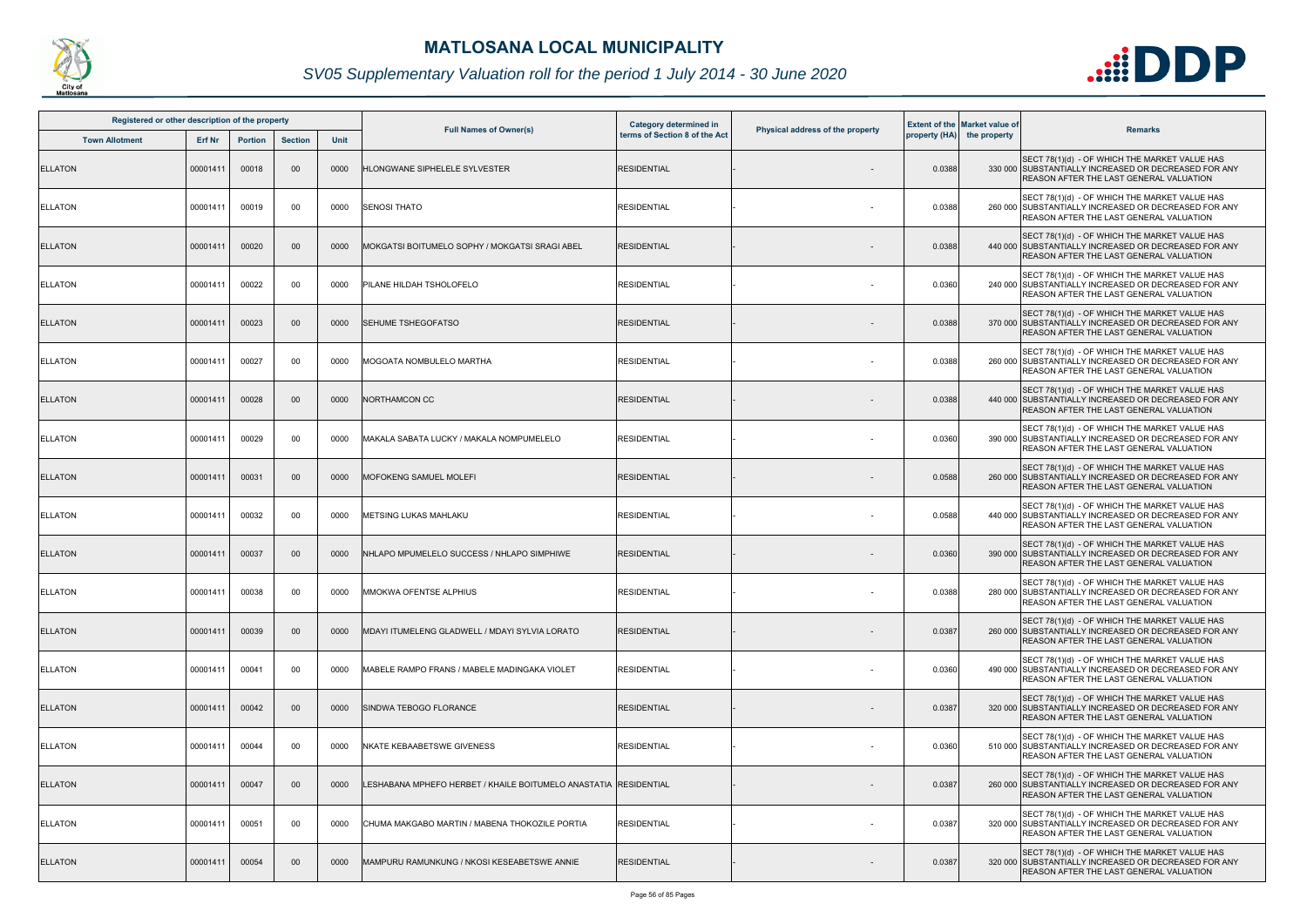

| Registered or other description of the property |               |                |                |      |                                                                   |                                                                |                                  |               |                                                      |                                                                                                                                                         |
|-------------------------------------------------|---------------|----------------|----------------|------|-------------------------------------------------------------------|----------------------------------------------------------------|----------------------------------|---------------|------------------------------------------------------|---------------------------------------------------------------------------------------------------------------------------------------------------------|
| <b>Town Allotment</b>                           | <b>Erf Nr</b> | <b>Portion</b> | <b>Section</b> | Unit | <b>Full Names of Owner(s)</b>                                     | <b>Category determined in</b><br>terms of Section 8 of the Act | Physical address of the property | property (HA) | <b>Extent of the Market value of</b><br>the property | <b>Remarks</b>                                                                                                                                          |
| <b>ELLATON</b>                                  | 00001411      | 00018          | 00             | 0000 | HLONGWANE SIPHELELE SYLVESTER                                     | <b>RESIDENTIAL</b>                                             |                                  | 0.0388        |                                                      | SECT 78(1)(d) - OF WHICH THE MARKET VALUE HAS<br>330 000 SUBSTANTIALLY INCREASED OR DECREASED FOR ANY<br><b>REASON AFTER THE LAST GENERAL VALUATION</b> |
| <b>ELLATON</b>                                  | 00001411      | 00019          | 00             | 0000 | <b>SENOSI THATO</b>                                               | <b>RESIDENTIAL</b>                                             |                                  | 0.0388        |                                                      | SECT 78(1)(d) - OF WHICH THE MARKET VALUE HAS<br>260 000 SUBSTANTIALLY INCREASED OR DECREASED FOR ANY<br><b>REASON AFTER THE LAST GENERAL VALUATION</b> |
| <b>ELLATON</b>                                  | 00001411      | 00020          | 00             | 0000 | MOKGATSI BOITUMELO SOPHY / MOKGATSI SRAGI ABEL                    | <b>RESIDENTIAL</b>                                             |                                  | 0.0388        |                                                      | SECT 78(1)(d) - OF WHICH THE MARKET VALUE HAS<br>440 000 SUBSTANTIALLY INCREASED OR DECREASED FOR ANY<br><b>REASON AFTER THE LAST GENERAL VALUATION</b> |
| <b>ELLATON</b>                                  | 00001411      | 00022          | 00             | 0000 | PILANE HILDAH TSHOLOFELO                                          | <b>RESIDENTIAL</b>                                             |                                  | 0.0360        |                                                      | SECT 78(1)(d) - OF WHICH THE MARKET VALUE HAS<br>240 000 SUBSTANTIALLY INCREASED OR DECREASED FOR ANY<br>REASON AFTER THE LAST GENERAL VALUATION        |
| <b>ELLATON</b>                                  | 00001411      | 00023          | $00\,$         | 0000 | SEHUME TSHEGOFATSO                                                | <b>RESIDENTIAL</b>                                             |                                  | 0.0388        |                                                      | SECT 78(1)(d) - OF WHICH THE MARKET VALUE HAS<br>370 000 SUBSTANTIALLY INCREASED OR DECREASED FOR ANY<br>REASON AFTER THE LAST GENERAL VALUATION        |
| <b>ELLATON</b>                                  | 00001411      | 00027          | 00             | 0000 | MOGOATA NOMBULELO MARTHA                                          | <b>RESIDENTIAL</b>                                             |                                  | 0.0388        |                                                      | SECT 78(1)(d) - OF WHICH THE MARKET VALUE HAS<br>260 000 SUBSTANTIALLY INCREASED OR DECREASED FOR ANY<br>REASON AFTER THE LAST GENERAL VALUATION        |
| <b>ELLATON</b>                                  | 00001411      | 00028          | 00             | 0000 | NORTHAMCON CC                                                     | <b>RESIDENTIAL</b>                                             |                                  | 0.0388        |                                                      | SECT 78(1)(d) - OF WHICH THE MARKET VALUE HAS<br>440 000 SUBSTANTIALLY INCREASED OR DECREASED FOR ANY<br><b>REASON AFTER THE LAST GENERAL VALUATION</b> |
| <b>ELLATON</b>                                  | 00001411      | 00029          | 00             | 0000 | MAKALA SABATA LUCKY / MAKALA NOMPUMELELO                          | <b>RESIDENTIAL</b>                                             |                                  | 0.0360        |                                                      | SECT 78(1)(d) - OF WHICH THE MARKET VALUE HAS<br>390 000 SUBSTANTIALLY INCREASED OR DECREASED FOR ANY<br><b>REASON AFTER THE LAST GENERAL VALUATION</b> |
| <b>ELLATON</b>                                  | 00001411      | 00031          | $00\,$         | 0000 | <b>MOFOKENG SAMUEL MOLEFI</b>                                     | <b>RESIDENTIAL</b>                                             |                                  | 0.0588        |                                                      | SECT 78(1)(d) - OF WHICH THE MARKET VALUE HAS<br>260 000 SUBSTANTIALLY INCREASED OR DECREASED FOR ANY<br><b>REASON AFTER THE LAST GENERAL VALUATION</b> |
| <b>ELLATON</b>                                  | 00001411      | 00032          | 00             | 0000 | METSING LUKAS MAHLAKU                                             | <b>RESIDENTIAL</b>                                             | $\overline{\phantom{a}}$         | 0.0588        |                                                      | SECT 78(1)(d) - OF WHICH THE MARKET VALUE HAS<br>440 000 SUBSTANTIALLY INCREASED OR DECREASED FOR ANY<br>REASON AFTER THE LAST GENERAL VALUATION        |
| <b>ELLATON</b>                                  | 00001411      | 00037          | $00\,$         | 0000 | NHLAPO MPUMELELO SUCCESS / NHLAPO SIMPHIWE                        | <b>RESIDENTIAL</b>                                             |                                  | 0.0360        |                                                      | SECT 78(1)(d) - OF WHICH THE MARKET VALUE HAS<br>390 000 SUBSTANTIALLY INCREASED OR DECREASED FOR ANY<br>REASON AFTER THE LAST GENERAL VALUATION        |
| <b>ELLATON</b>                                  | 00001411      | 00038          | 00             | 0000 | MMOKWA OFENTSE ALPHIUS                                            | <b>RESIDENTIAL</b>                                             |                                  | 0.0388        |                                                      | SECT 78(1)(d) - OF WHICH THE MARKET VALUE HAS<br>280 000 SUBSTANTIALLY INCREASED OR DECREASED FOR ANY<br><b>REASON AFTER THE LAST GENERAL VALUATION</b> |
| <b>ELLATON</b>                                  | 00001411      | 00039          | 00             | 0000 | MDAYI ITUMELENG GLADWELL / MDAYI SYLVIA LORATO                    | <b>RESIDENTIAL</b>                                             | $\overline{\phantom{0}}$         | 0.0387        |                                                      | SECT 78(1)(d) - OF WHICH THE MARKET VALUE HAS<br>260 000 SUBSTANTIALLY INCREASED OR DECREASED FOR ANY<br><b>REASON AFTER THE LAST GENERAL VALUATION</b> |
| <b>ELLATON</b>                                  | 00001411      | 00041          | 00             | 0000 | MABELE RAMPO FRANS / MABELE MADINGAKA VIOLET                      | <b>RESIDENTIAL</b>                                             |                                  | 0.0360        |                                                      | SECT 78(1)(d) - OF WHICH THE MARKET VALUE HAS<br>490 000 SUBSTANTIALLY INCREASED OR DECREASED FOR ANY<br><b>REASON AFTER THE LAST GENERAL VALUATION</b> |
| <b>ELLATON</b>                                  | 00001411      | 00042          | 00             | 0000 | SINDWA TEBOGO FLORANCE                                            | <b>RESIDENTIAL</b>                                             | $\overline{\phantom{a}}$         | 0.0387        |                                                      | SECT 78(1)(d) - OF WHICH THE MARKET VALUE HAS<br>320 000 SUBSTANTIALLY INCREASED OR DECREASED FOR ANY<br><b>REASON AFTER THE LAST GENERAL VALUATION</b> |
| <b>ELLATON</b>                                  | 00001411      | 00044          | 00             | 0000 | <b>NKATE KEBAABETSWE GIVENESS</b>                                 | <b>RESIDENTIAL</b>                                             | $\overline{\phantom{a}}$         | 0.0360        |                                                      | SECT 78(1)(d) - OF WHICH THE MARKET VALUE HAS<br>510 000 SUBSTANTIALLY INCREASED OR DECREASED FOR ANY<br><b>REASON AFTER THE LAST GENERAL VALUATION</b> |
| <b>ELLATON</b>                                  | 00001411      | 00047          | $00\,$         | 0000 | LESHABANA MPHEFO HERBET / KHAILE BOITUMELO ANASTATIA IRESIDENTIAL |                                                                |                                  | 0.0387        |                                                      | SECT 78(1)(d) - OF WHICH THE MARKET VALUE HAS<br>260 000 SUBSTANTIALLY INCREASED OR DECREASED FOR ANY<br><b>REASON AFTER THE LAST GENERAL VALUATION</b> |
| <b>ELLATON</b>                                  | 00001411      | 00051          | 00             | 0000 | CHUMA MAKGABO MARTIN / MABENA THOKOZILE PORTIA                    | <b>RESIDENTIAL</b>                                             |                                  | 0.0387        |                                                      | SECT 78(1)(d) - OF WHICH THE MARKET VALUE HAS<br>320 000 SUBSTANTIALLY INCREASED OR DECREASED FOR ANY<br>REASON AFTER THE LAST GENERAL VALUATION        |
| <b>ELLATON</b>                                  | 00001411      | 00054          | $00\,$         | 0000 | MAMPURU RAMUNKUNG / NKOSI KESEABETSWE ANNIE                       | <b>RESIDENTIAL</b>                                             |                                  | 0.0387        |                                                      | SECT 78(1)(d) - OF WHICH THE MARKET VALUE HAS<br>320 000 SUBSTANTIALLY INCREASED OR DECREASED FOR ANY<br>REASON AFTER THE LAST GENERAL VALUATION        |

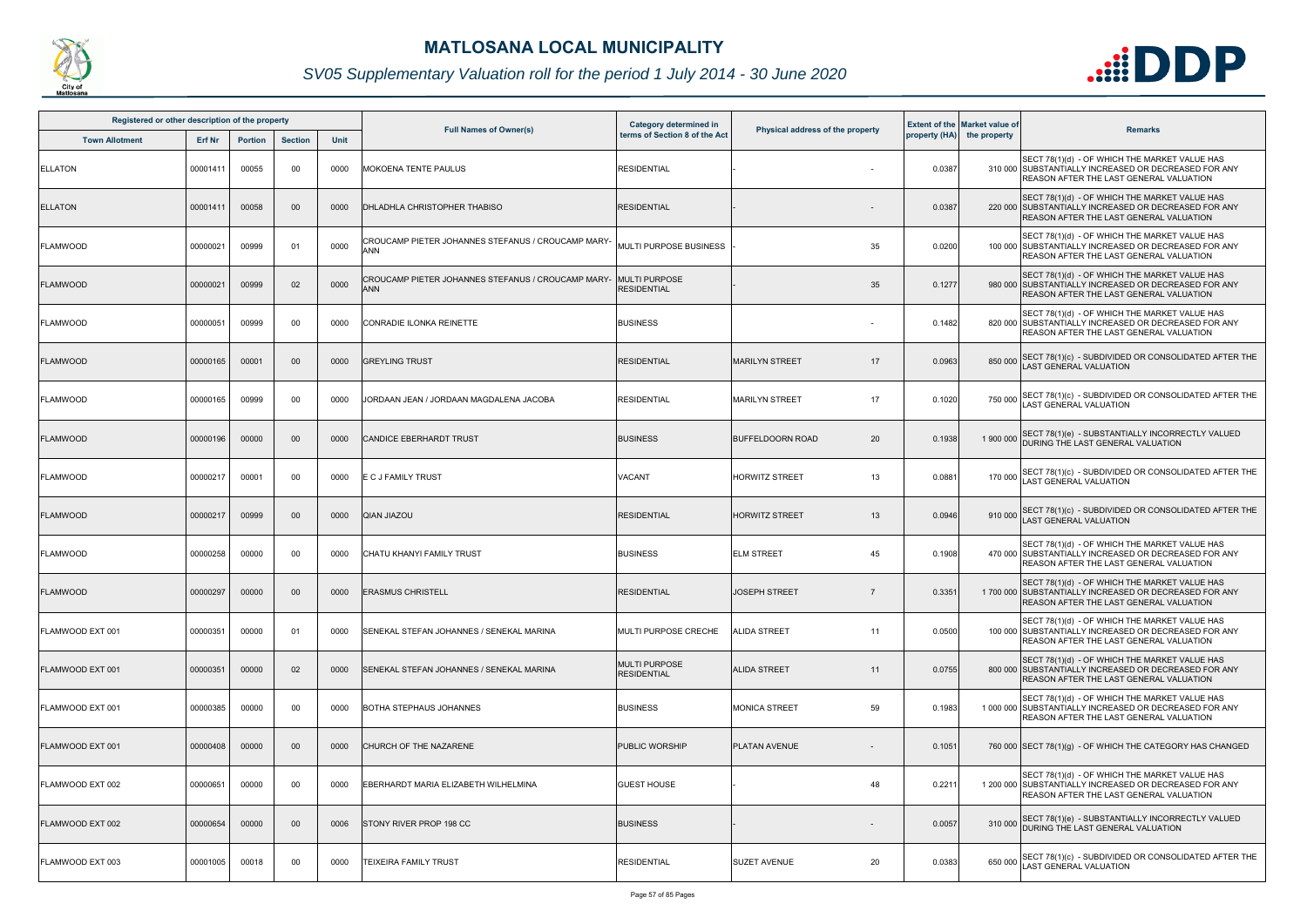

| Registered or other description of the property<br><b>Section</b><br><b>Town Allotment</b><br><b>Erf Nr</b><br><b>Portion</b> |          |       |        |      |                                                                  | Category determined in                     |                                  |        | <b>Extent of the Market value of</b> |                                                                                                                                                           |
|-------------------------------------------------------------------------------------------------------------------------------|----------|-------|--------|------|------------------------------------------------------------------|--------------------------------------------|----------------------------------|--------|--------------------------------------|-----------------------------------------------------------------------------------------------------------------------------------------------------------|
|                                                                                                                               |          |       |        | Unit | <b>Full Names of Owner(s)</b>                                    | terms of Section 8 of the Act              | Physical address of the property |        | property (HA) the property           | <b>Remarks</b>                                                                                                                                            |
| <b>ELLATON</b>                                                                                                                | 00001411 | 00055 | 00     | 0000 | <b>MOKOENA TENTE PAULUS</b>                                      | <b>RESIDENTIAL</b>                         |                                  | 0.0387 |                                      | SECT 78(1)(d) - OF WHICH THE MARKET VALUE HAS<br>310 000 SUBSTANTIALLY INCREASED OR DECREASED FOR ANY<br>REASON AFTER THE LAST GENERAL VALUATION          |
| <b>ELLATON</b>                                                                                                                | 00001411 | 00058 | $00\,$ | 0000 | DHLADHLA CHRISTOPHER THABISO                                     | <b>RESIDENTIAL</b>                         |                                  | 0.0387 |                                      | SECT 78(1)(d) - OF WHICH THE MARKET VALUE HAS<br>220 000 SUBSTANTIALLY INCREASED OR DECREASED FOR ANY<br>REASON AFTER THE LAST GENERAL VALUATION          |
| <b>FLAMWOOD</b>                                                                                                               | 00000021 | 00999 | 01     | 0000 | CROUCAMP PIETER JOHANNES STEFANUS / CROUCAMP MARY-<br><b>ANN</b> | MULTI PURPOSE BUSINESS                     | 35                               | 0.0200 |                                      | SECT 78(1)(d) - OF WHICH THE MARKET VALUE HAS<br>100 000 SUBSTANTIALLY INCREASED OR DECREASED FOR ANY<br>REASON AFTER THE LAST GENERAL VALUATION          |
| <b>FLAMWOOD</b>                                                                                                               | 00000021 | 00999 | 02     | 0000 | CROUCAMP PIETER JOHANNES STEFANUS / CROUCAMP MARY-<br><b>ANN</b> | <b>MULTI PURPOSE</b><br><b>RESIDENTIAL</b> | 35                               | 0.1277 |                                      | SECT 78(1)(d) - OF WHICH THE MARKET VALUE HAS<br>980 000 SUBSTANTIALLY INCREASED OR DECREASED FOR ANY<br>REASON AFTER THE LAST GENERAL VALUATION          |
| <b>FLAMWOOD</b>                                                                                                               | 00000051 | 00999 | 00     | 0000 | CONRADIE ILONKA REINETTE                                         | <b>BUSINESS</b>                            |                                  | 0.1482 |                                      | SECT 78(1)(d) - OF WHICH THE MARKET VALUE HAS<br>820 000 SUBSTANTIALLY INCREASED OR DECREASED FOR ANY<br>REASON AFTER THE LAST GENERAL VALUATION          |
| <b>FLAMWOOD</b>                                                                                                               | 00000165 | 00001 | 00     | 0000 | <b>GREYLING TRUST</b>                                            | <b>RESIDENTIAL</b>                         | 17<br><b>MARILYN STREET</b>      | 0.0963 | 850 000                              | SECT 78(1)(c) - SUBDIVIDED OR CONSOLIDATED AFTER THE<br>AST GENERAL VALUATION                                                                             |
| <b>FLAMWOOD</b>                                                                                                               | 00000165 | 00999 | 00     | 0000 | JORDAAN JEAN / JORDAAN MAGDALENA JACOBA                          | <b>RESIDENTIAL</b>                         | 17<br><b>MARILYN STREET</b>      | 0.1020 | 750 000                              | SECT 78(1)(c) - SUBDIVIDED OR CONSOLIDATED AFTER THE<br><b>AST GENERAL VALUATION</b>                                                                      |
| <b>FLAMWOOD</b>                                                                                                               | 00000196 | 00000 | 00     | 0000 | <b>CANDICE EBERHARDT TRUST</b>                                   | <b>BUSINESS</b>                            | 20<br><b>BUFFELDOORN ROAD</b>    | 0.1938 | 1 900 000                            | SECT 78(1)(e) - SUBSTANTIALLY INCORRECTLY VALUED<br>DURING THE LAST GENERAL VALUATION                                                                     |
| <b>FLAMWOOD</b>                                                                                                               | 00000217 | 00001 | 00     | 0000 | E C J FAMILY TRUST                                               | VACANT                                     | <b>HORWITZ STREET</b><br>13      | 0.0881 | 170 000                              | SECT 78(1)(c) - SUBDIVIDED OR CONSOLIDATED AFTER THE<br><b>AST GENERAL VALUATION</b>                                                                      |
| <b>FLAMWOOD</b>                                                                                                               | 00000217 | 00999 | $00\,$ | 0000 | <b>QIAN JIAZOU</b>                                               | <b>RESIDENTIAL</b>                         | <b>HORWITZ STREET</b><br>13      | 0.0946 | 910 000                              | SECT 78(1)(c) - SUBDIVIDED OR CONSOLIDATED AFTER THE<br>AST GENERAL VALUATION                                                                             |
| <b>FLAMWOOD</b>                                                                                                               | 00000258 | 00000 | 00     | 0000 | CHATU KHANYI FAMILY TRUST                                        | <b>BUSINESS</b>                            | <b>ELM STREET</b><br>45          | 0.1908 |                                      | SECT 78(1)(d) - OF WHICH THE MARKET VALUE HAS<br>470 000 SUBSTANTIALLY INCREASED OR DECREASED FOR ANY<br>REASON AFTER THE LAST GENERAL VALUATION          |
| <b>FLAMWOOD</b>                                                                                                               | 00000297 | 00000 | $00\,$ | 0000 | <b>ERASMUS CHRISTELL</b>                                         | <b>RESIDENTIAL</b>                         | <b>JOSEPH STREET</b>             | 0.3351 |                                      | SECT 78(1)(d) - OF WHICH THE MARKET VALUE HAS<br>1700 000 SUBSTANTIALLY INCREASED OR DECREASED FOR ANY<br><b>REASON AFTER THE LAST GENERAL VALUATION</b>  |
| FLAMWOOD EXT 001                                                                                                              | 00000351 | 00000 | 01     | 0000 | SENEKAL STEFAN JOHANNES / SENEKAL MARINA                         | MULTI PURPOSE CRECHE                       | 11<br><b>ALIDA STREET</b>        | 0.0500 |                                      | SECT 78(1)(d) - OF WHICH THE MARKET VALUE HAS<br>100 000 SUBSTANTIALLY INCREASED OR DECREASED FOR ANY<br>REASON AFTER THE LAST GENERAL VALUATION          |
| FLAMWOOD EXT 001                                                                                                              | 00000351 | 00000 | 02     | 0000 | SENEKAL STEFAN JOHANNES / SENEKAL MARINA                         | <b>MULTI PURPOSE</b><br><b>RESIDENTIAL</b> | <b>ALIDA STREET</b><br>11        | 0.0755 |                                      | SECT 78(1)(d) - OF WHICH THE MARKET VALUE HAS<br>800 000 SUBSTANTIALLY INCREASED OR DECREASED FOR ANY<br><b>REASON AFTER THE LAST GENERAL VALUATION</b>   |
| FLAMWOOD EXT 001                                                                                                              | 00000385 | 00000 | 00     | 0000 | BOTHA STEPHAUS JOHANNES                                          | <b>BUSINESS</b>                            | 59<br><b>MONICA STREET</b>       | 0.1983 |                                      | SECT 78(1)(d) - OF WHICH THE MARKET VALUE HAS<br>1 000 000 SUBSTANTIALLY INCREASED OR DECREASED FOR ANY<br><b>REASON AFTER THE LAST GENERAL VALUATION</b> |
| FLAMWOOD EXT 001                                                                                                              | 00000408 | 00000 | $00\,$ | 0000 | CHURCH OF THE NAZARENE                                           | <b>PUBLIC WORSHIP</b>                      | <b>PLATAN AVENUE</b>             | 0.1051 |                                      | 760 000 SECT 78(1)(g) - OF WHICH THE CATEGORY HAS CHANGED                                                                                                 |
| FLAMWOOD EXT 002                                                                                                              | 00000651 | 00000 | 00     | 0000 | EBERHARDT MARIA ELIZABETH WILHELMINA                             | <b>GUEST HOUSE</b>                         | 48                               | 0.221  |                                      | SECT 78(1)(d) - OF WHICH THE MARKET VALUE HAS<br>1 200 000 SUBSTANTIALLY INCREASED OR DECREASED FOR ANY<br>REASON AFTER THE LAST GENERAL VALUATION        |
| FLAMWOOD EXT 002                                                                                                              | 00000654 | 00000 | 00     | 0006 | STONY RIVER PROP 198 CC                                          | <b>BUSINESS</b>                            |                                  | 0.0057 | 310 000                              | SECT 78(1)(e) - SUBSTANTIALLY INCORRECTLY VALUED<br>DURING THE LAST GENERAL VALUATION                                                                     |
| FLAMWOOD EXT 003                                                                                                              | 00001005 | 00018 | 00     | 0000 | TEIXEIRA FAMILY TRUST                                            | <b>RESIDENTIAL</b>                         | SUZET AVENUE<br>20               | 0.0383 | 650 000                              | SECT 78(1)(c) - SUBDIVIDED OR CONSOLIDATED AFTER THE<br>AST GENERAL VALUATION                                                                             |

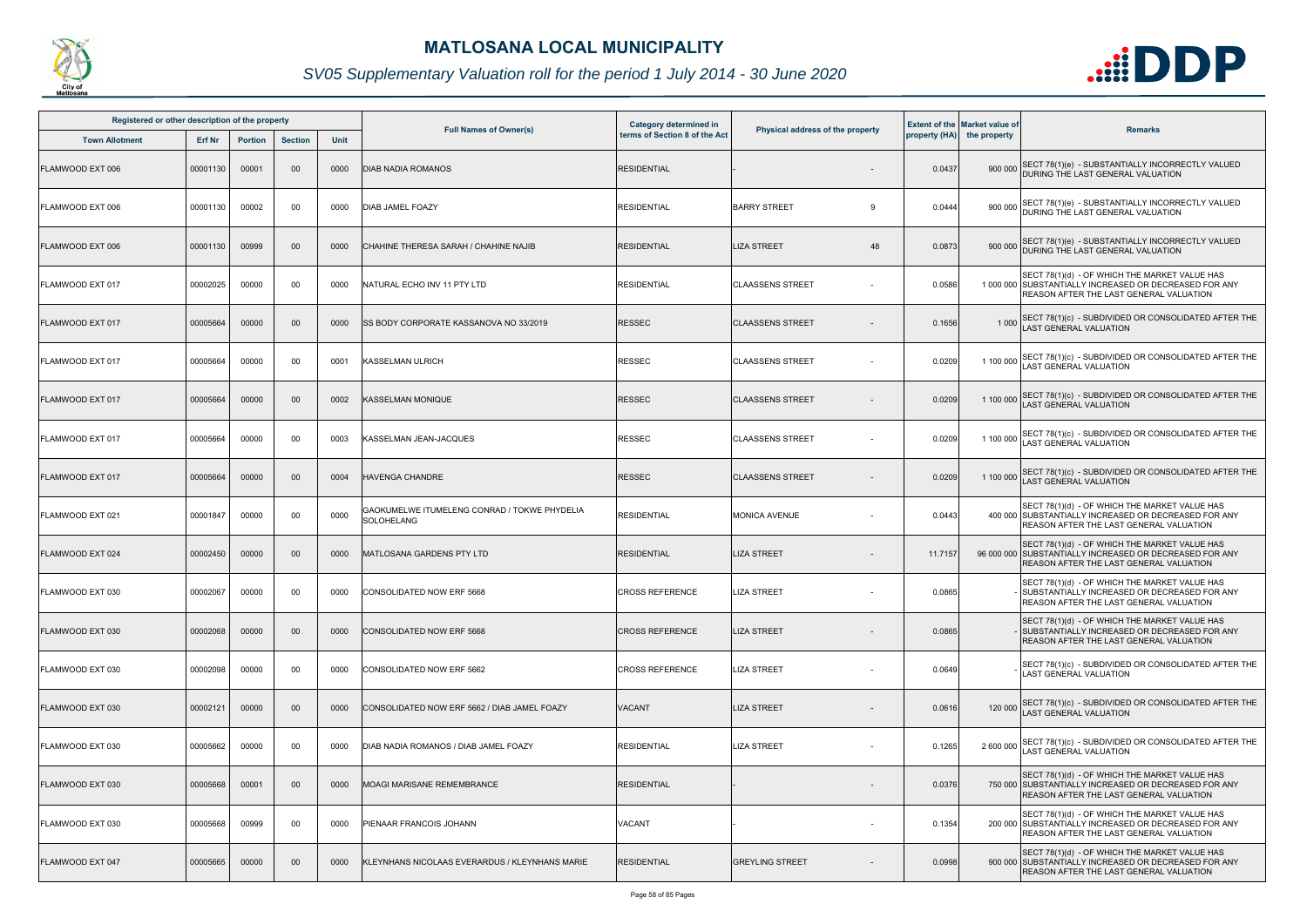

| Registered or other description of the property |               |                |                |             |                                                            | Category determined in        |                                  |         | <b>Extent of the Market value of</b> |                                                                                                                                                         |
|-------------------------------------------------|---------------|----------------|----------------|-------------|------------------------------------------------------------|-------------------------------|----------------------------------|---------|--------------------------------------|---------------------------------------------------------------------------------------------------------------------------------------------------------|
| <b>Town Allotment</b>                           | <b>Erf Nr</b> | <b>Portion</b> | <b>Section</b> | <b>Unit</b> | <b>Full Names of Owner(s)</b>                              | terms of Section 8 of the Act | Physical address of the property |         | property (HA) the property           | <b>Remarks</b>                                                                                                                                          |
| FLAMWOOD EXT 006                                | 00001130      | 00001          | 00             | 0000        | <b>DIAB NADIA ROMANOS</b>                                  | <b>RESIDENTIAL</b>            |                                  | 0.0437  |                                      | 900 000 SECT 78(1)(e) - SUBSTANTIALLY INCORRECTLY VALUED<br>DURING THE LAST GENERAL VALUATION                                                           |
| FLAMWOOD EXT 006                                | 00001130      | 00002          | 00             | 0000        | <b>DIAB JAMEL FOAZY</b>                                    | <b>RESIDENTIAL</b>            | <b>BARRY STREET</b><br>9         | 0.0444  | 900 000                              | SECT 78(1)(e) - SUBSTANTIALLY INCORRECTLY VALUED<br>DURING THE LAST GENERAL VALUATION                                                                   |
| FLAMWOOD EXT 006                                | 00001130      | 00999          | $00\,$         | 0000        | CHAHINE THERESA SARAH / CHAHINE NAJIB                      | <b>RESIDENTIAL</b>            | <b>LIZA STREET</b><br>48         | 0.0873  |                                      | 900 000 SECT 78(1)(e) - SUBSTANTIALLY INCORRECTLY VALUED<br>DURING THE LAST GENERAL VALUATION                                                           |
| FLAMWOOD EXT 017                                | 00002025      | 00000          | 00             | 0000        | NATURAL ECHO INV 11 PTY LTD                                | <b>RESIDENTIAL</b>            | <b>CLAASSENS STREET</b>          | 0.0586  |                                      | SECT 78(1)(d) - OF WHICH THE MARKET VALUE HAS<br>1 000 000 SUBSTANTIALLY INCREASED OR DECREASED FOR ANY<br>REASON AFTER THE LAST GENERAL VALUATION      |
| FLAMWOOD EXT 017                                | 00005664      | 00000          | 00             | 0000        | SS BODY CORPORATE KASSANOVA NO 33/2019                     | RESSEC                        | <b>CLAASSENS STREET</b>          | 0.1656  | 1 0 0 0                              | SECT 78(1)(c) - SUBDIVIDED OR CONSOLIDATED AFTER THE LAST GENERAL VALUATION                                                                             |
| FLAMWOOD EXT 017                                | 00005664      | 00000          | 00             | 0001        | <b>KASSELMAN ULRICH</b>                                    | RESSEC                        | <b>CLAASSENS STREET</b>          | 0.0209  | 1 100 000                            | SECT 78(1)(c) - SUBDIVIDED OR CONSOLIDATED AFTER THE<br>LAST GENERAL VALUATION                                                                          |
| FLAMWOOD EXT 017                                | 00005664      | 00000          | 00             | 0002        | <b>KASSELMAN MONIQUE</b>                                   | <b>RESSEC</b>                 | <b>CLAASSENS STREET</b>          | 0.0209  | 1 100 000                            | SECT 78(1)(c) - SUBDIVIDED OR CONSOLIDATED AFTER THE<br>LAST GENERAL VALUATION                                                                          |
| FLAMWOOD EXT 017                                | 00005664      | 00000          | 00             | 0003        | KASSELMAN JEAN-JACQUES                                     | <b>RESSEC</b>                 | <b>CLAASSENS STREET</b>          | 0.0209  | 1 100 000                            | SECT 78(1)(c) - SUBDIVIDED OR CONSOLIDATED AFTER THE<br>LAST GENERAL VALUATION                                                                          |
| FLAMWOOD EXT 017                                | 00005664      | 00000          | $00\,$         | 0004        | <b>HAVENGA CHANDRE</b>                                     | <b>RESSEC</b>                 | <b>CLAASSENS STREET</b>          | 0.0209  | 1 100 000                            | SECT 78(1)(c) - SUBDIVIDED OR CONSOLIDATED AFTER THE<br>LAST GENERAL VALUATION                                                                          |
| FLAMWOOD EXT 021                                | 00001847      | 00000          | 00             | 0000        | GAOKUMELWE ITUMELENG CONRAD / TOKWE PHYDELIA<br>SOLOHELANG | <b>RESIDENTIAL</b>            | <b>MONICA AVENUE</b>             | 0.0443  |                                      | SECT 78(1)(d) - OF WHICH THE MARKET VALUE HAS<br>400 000 SUBSTANTIALLY INCREASED OR DECREASED FOR ANY<br>REASON AFTER THE LAST GENERAL VALUATION        |
| FLAMWOOD EXT 024                                | 00002450      | 00000          | 00             | 0000        | MATLOSANA GARDENS PTY LTD                                  | <b>RESIDENTIAL</b>            | <b>LIZA STREET</b>               | 11.7157 |                                      | SECT 78(1)(d) - OF WHICH THE MARKET VALUE HAS<br>96 000 000 SUBSTANTIALLY INCREASED OR DECREASED FOR ANY<br>REASON AFTER THE LAST GENERAL VALUATION     |
| FLAMWOOD EXT 030                                | 00002067      | 00000          | 00             | 0000        | CONSOLIDATED NOW ERF 5668                                  | <b>CROSS REFERENCE</b>        | <b>LIZA STREET</b>               | 0.0865  |                                      | SECT 78(1)(d) - OF WHICH THE MARKET VALUE HAS<br>- SUBSTANTIALLY INCREASED OR DECREASED FOR ANY<br><b>REASON AFTER THE LAST GENERAL VALUATION</b>       |
| FLAMWOOD EXT 030                                | 00002068      | 00000          | $00\,$         | 0000        | CONSOLIDATED NOW ERF 5668                                  | <b>CROSS REFERENCE</b>        | <b>LIZA STREET</b>               | 0.0865  |                                      | SECT 78(1)(d) - OF WHICH THE MARKET VALUE HAS<br>SUBSTANTIALLY INCREASED OR DECREASED FOR ANY<br><b>REASON AFTER THE LAST GENERAL VALUATION</b>         |
| FLAMWOOD EXT 030                                | 00002098      | 00000          | 00             | 0000        | CONSOLIDATED NOW ERF 5662                                  | <b>CROSS REFERENCE</b>        | <b>LIZA STREET</b>               | 0.0649  |                                      | SECT 78(1)(c) - SUBDIVIDED OR CONSOLIDATED AFTER THE<br>LAST GENERAL VALUATION                                                                          |
| FLAMWOOD EXT 030                                | 00002121      | 00000          | $00\,$         | 0000        | CONSOLIDATED NOW ERF 5662 / DIAB JAMEL FOAZY               | <b>VACANT</b>                 | <b>LIZA STREET</b>               | 0.0616  | 120 000                              | SECT 78(1)(c) - SUBDIVIDED OR CONSOLIDATED AFTER THE<br><b>AST GENERAL VALUATION</b>                                                                    |
| FLAMWOOD EXT 030                                | 00005662      | 00000          | 00             | 0000        | DIAB NADIA ROMANOS / DIAB JAMEL FOAZY                      | <b>RESIDENTIAL</b>            | <b>LIZA STREET</b>               | 0.1265  | 2 600 000                            | SECT 78(1)(c) - SUBDIVIDED OR CONSOLIDATED AFTER THE<br><b>LAST GENERAL VALUATION</b>                                                                   |
| FLAMWOOD EXT 030                                | 00005668      | 00001          | $00\,$         | 0000        | <b>MOAGI MARISANE REMEMBRANCE</b>                          | <b>RESIDENTIAL</b>            |                                  | 0.0376  |                                      | SECT 78(1)(d) - OF WHICH THE MARKET VALUE HAS<br>750 000 SUBSTANTIALLY INCREASED OR DECREASED FOR ANY<br><b>REASON AFTER THE LAST GENERAL VALUATION</b> |
| FLAMWOOD EXT 030                                | 00005668      | 00999          | 00             | 0000        | PIENAAR FRANCOIS JOHANN                                    | <b>VACANT</b>                 |                                  | 0.1354  |                                      | SECT 78(1)(d) - OF WHICH THE MARKET VALUE HAS<br>200 000 SUBSTANTIALLY INCREASED OR DECREASED FOR ANY<br>REASON AFTER THE LAST GENERAL VALUATION        |
| FLAMWOOD EXT 047                                | 00005665      | 00000          | $00\,$         | 0000        | KLEYNHANS NICOLAAS EVERARDUS / KLEYNHANS MARIE             | <b>RESIDENTIAL</b>            | <b>GREYLING STREET</b>           | 0.0998  |                                      | SECT 78(1)(d) - OF WHICH THE MARKET VALUE HAS<br>900 000 SUBSTANTIALLY INCREASED OR DECREASED FOR ANY<br>REASON AFTER THE LAST GENERAL VALUATION        |

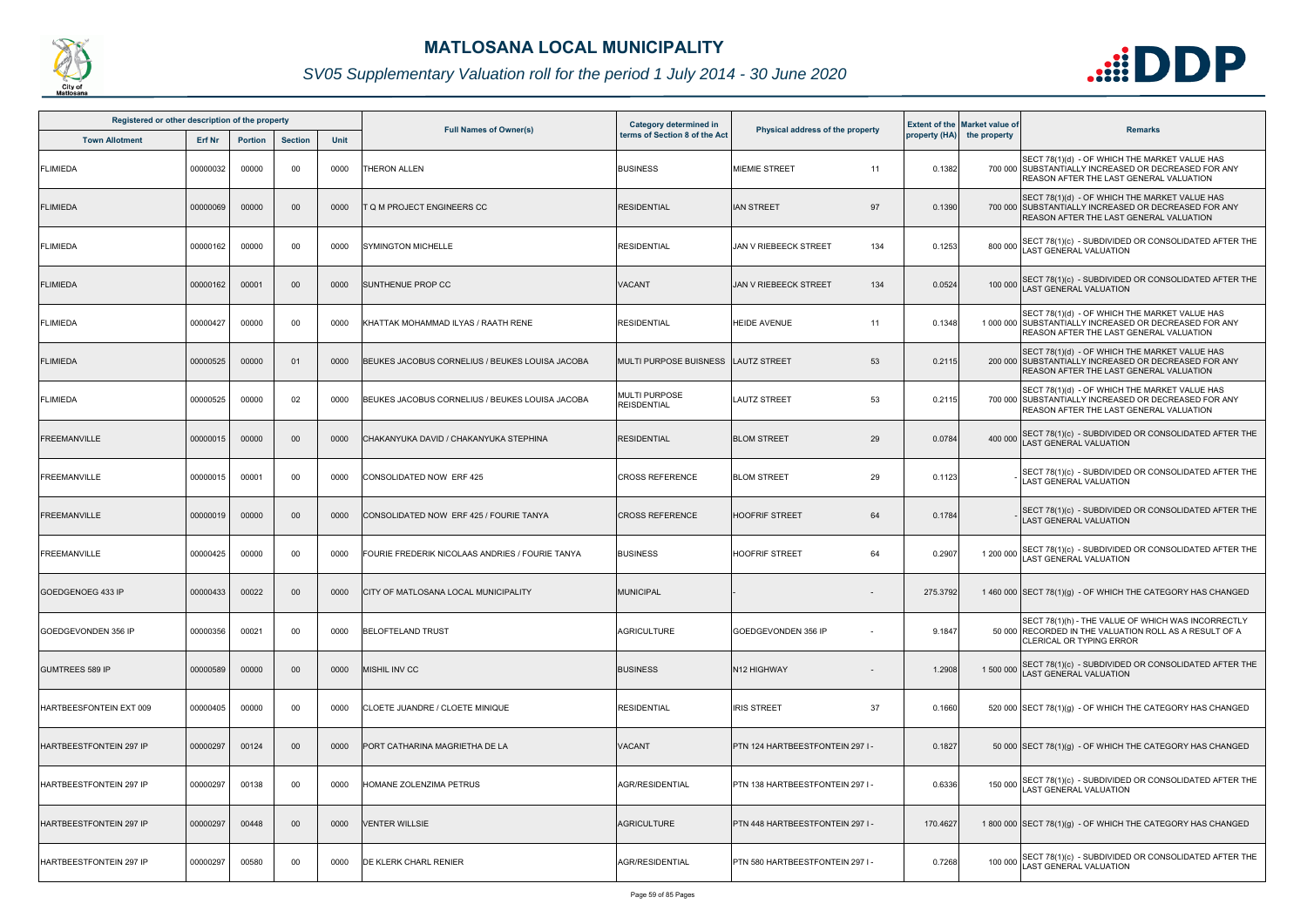

| Registered or other description of the property |               |                |                |             | <b>Full Names of Owner(s)</b>                   | Category determined in              |                                     |          | <b>Extent of the Market value of</b> |                                                                                                                                                         |
|-------------------------------------------------|---------------|----------------|----------------|-------------|-------------------------------------------------|-------------------------------------|-------------------------------------|----------|--------------------------------------|---------------------------------------------------------------------------------------------------------------------------------------------------------|
| <b>Town Allotment</b>                           | <b>Erf Nr</b> | <b>Portion</b> | <b>Section</b> | <b>Unit</b> |                                                 | terms of Section 8 of the Act       | Physical address of the property    |          | property (HA) the property           | <b>Remarks</b>                                                                                                                                          |
| <b>FLIMIEDA</b>                                 | 00000032      | 00000          | 00             | 0000        | THERON ALLEN                                    | <b>BUSINESS</b>                     | <b>MIEMIE STREET</b><br>11          | 0.1382   |                                      | SECT 78(1)(d) - OF WHICH THE MARKET VALUE HAS<br>700 000 SUBSTANTIALLY INCREASED OR DECREASED FOR ANY<br>REASON AFTER THE LAST GENERAL VALUATION        |
| <b>FLIMIEDA</b>                                 | 00000069      | 00000          | $00\,$         | 0000        | T Q M PROJECT ENGINEERS CC                      | <b>RESIDENTIAL</b>                  | <b>IAN STREET</b><br>97             | 0.1390   |                                      | SECT 78(1)(d) - OF WHICH THE MARKET VALUE HAS<br>700 000 SUBSTANTIALLY INCREASED OR DECREASED FOR ANY<br>REASON AFTER THE LAST GENERAL VALUATION        |
| <b>FLIMIEDA</b>                                 | 00000162      | 00000          | 00             | 0000        | <b>SYMINGTON MICHELLE</b>                       | <b>RESIDENTIAL</b>                  | 134<br><b>JAN V RIEBEECK STREET</b> | 0.1253   | 800 000                              | SECT 78(1)(c) - SUBDIVIDED OR CONSOLIDATED AFTER THE<br>LAST GENERAL VALUATION                                                                          |
| <b>FLIMIEDA</b>                                 | 00000162      | 00001          | 00             | 0000        | <b>SUNTHENUE PROP CC</b>                        | VACANT                              | 134<br><b>JAN V RIEBEECK STREET</b> | 0.0524   | 100 000                              | SECT 78(1)(c) - SUBDIVIDED OR CONSOLIDATED AFTER THE<br>LAST GENERAL VALUATION                                                                          |
| <b>FLIMIEDA</b>                                 | 00000427      | 00000          | 00             | 0000        | KHATTAK MOHAMMAD ILYAS / RAATH RENE             | <b>RESIDENTIAL</b>                  | <b>HEIDE AVENUE</b><br>11           | 0.1348   |                                      | SECT 78(1)(d) - OF WHICH THE MARKET VALUE HAS<br>1 000 000 SUBSTANTIALLY INCREASED OR DECREASED FOR ANY<br>REASON AFTER THE LAST GENERAL VALUATION      |
| <b>FLIMIEDA</b>                                 | 00000525      | 00000          | 01             | 0000        | BEUKES JACOBUS CORNELIUS / BEUKES LOUISA JACOBA | MULTI PURPOSE BUISNESS              | 53<br><b>LAUTZ STREET</b>           | 0.2115   |                                      | SECT 78(1)(d) - OF WHICH THE MARKET VALUE HAS<br>200 000 SUBSTANTIALLY INCREASED OR DECREASED FOR ANY<br>REASON AFTER THE LAST GENERAL VALUATION        |
| <b>FLIMIEDA</b>                                 | 00000525      | 00000          | 02             | 0000        | BEUKES JACOBUS CORNELIUS / BEUKES LOUISA JACOBA | MULTI PURPOSE<br><b>REISDENTIAL</b> | 53<br><b>LAUTZ STREET</b>           | 0.2115   |                                      | SECT 78(1)(d) - OF WHICH THE MARKET VALUE HAS<br>700 000 SUBSTANTIALLY INCREASED OR DECREASED FOR ANY<br><b>REASON AFTER THE LAST GENERAL VALUATION</b> |
| <b>FREEMANVILLE</b>                             | 00000015      | 00000          | $00\,$         | 0000        | CHAKANYUKA DAVID / CHAKANYUKA STEPHINA          | <b>RESIDENTIAL</b>                  | <b>BLOM STREET</b><br>29            | 0.0784   | 400 000                              | SECT 78(1)(c) - SUBDIVIDED OR CONSOLIDATED AFTER THE<br>AST GENERAL VALUATION                                                                           |
| <b>FREEMANVILLE</b>                             | 00000015      | 00001          | 00             | 0000        | CONSOLIDATED NOW ERF 425                        | <b>CROSS REFERENCE</b>              | 29<br><b>BLOM STREET</b>            | 0.1123   |                                      | SECT 78(1)(c) - SUBDIVIDED OR CONSOLIDATED AFTER THE<br><b>LAST GENERAL VALUATION</b>                                                                   |
| <b>FREEMANVILLE</b>                             | 00000019      | 00000          | 00             | 0000        | CONSOLIDATED NOW ERF 425 / FOURIE TANYA         | <b>CROSS REFERENCE</b>              | <b>HOOFRIF STREET</b><br>64         | 0.1784   |                                      | SECT 78(1)(c) - SUBDIVIDED OR CONSOLIDATED AFTER THE<br><b>LAST GENERAL VALUATION</b>                                                                   |
| <b>FREEMANVILLE</b>                             | 00000425      | 00000          | 00             | 0000        | FOURIE FREDERIK NICOLAAS ANDRIES / FOURIE TANYA | <b>BUSINESS</b>                     | 64<br><b>HOOFRIF STREET</b>         | 0.2907   | 1 200 000                            | SECT 78(1)(c) - SUBDIVIDED OR CONSOLIDATED AFTER THE<br>LAST GENERAL VALUATION                                                                          |
| GOEDGENOEG 433 IP                               | 00000433      | 00022          | $00\,$         | 0000        | <b>CITY OF MATLOSANA LOCAL MUNICIPALITY</b>     | <b>MUNICIPAL</b>                    | $\overline{\phantom{0}}$            | 275.3792 |                                      | 1 460 000 SECT 78(1)(g) - OF WHICH THE CATEGORY HAS CHANGED                                                                                             |
| GOEDGEVONDEN 356 IP                             | 00000356      | 00021          | 00             | 0000        | <b>BELOFTELAND TRUST</b>                        | AGRICULTURE                         | GOEDGEVONDEN 356 IP                 | 9.1847   |                                      | SECT 78(1)(h) - THE VALUE OF WHICH WAS INCORRECTLY<br>50 000 RECORDED IN THE VALUATION ROLL AS A RESULT OF A<br><b>CLERICAL OR TYPING ERROR</b>         |
| <b>GUMTREES 589 IP</b>                          | 00000589      | 00000          | $00\,$         | 0000        | <b>MISHIL INV CC</b>                            | <b>BUSINESS</b>                     | N12 HIGHWAY                         | 1.2908   | 1 500 000                            | SECT 78(1)(c) - SUBDIVIDED OR CONSOLIDATED AFTER THE<br><b>AST GENERAL VALUATION</b>                                                                    |
| HARTBEESFONTEIN EXT 009                         | 00000405      | 00000          | 00             | 0000        | CLOETE JUANDRE / CLOETE MINIQUE                 | <b>RESIDENTIAL</b>                  | <b>IRIS STREET</b><br>37            | 0.1660   |                                      | 520 000 SECT 78(1)(g) - OF WHICH THE CATEGORY HAS CHANGED                                                                                               |
| HARTBEESTFONTEIN 297 IP                         | 00000297      | 00124          | $00\,$         | 0000        | PORT CATHARINA MAGRIETHA DE LA                  | VACANT                              | PTN 124 HARTBEESTFONTEIN 297 I-     | 0.1827   |                                      | 50 000 SECT 78(1)(g) - OF WHICH THE CATEGORY HAS CHANGED                                                                                                |
| HARTBEESTFONTEIN 297 IP                         | 00000297      | 00138          | 00             | 0000        | HOMANE ZOLENZIMA PETRUS                         | <b>AGR/RESIDENTIAL</b>              | PTN 138 HARTBEESTFONTEIN 297 I-     | 0.6336   | 150 000                              | SECT 78(1)(c) - SUBDIVIDED OR CONSOLIDATED AFTER THE<br><b>AST GENERAL VALUATION</b>                                                                    |
| <b>HARTBEESTFONTEIN 297 IP</b>                  | 00000297      | 00448          | 00             | 0000        | <b>VENTER WILLSIE</b>                           | <b>AGRICULTURE</b>                  | PTN 448 HARTBEESTFONTEIN 297 I-     | 170.4627 |                                      | 1 800 000 SECT 78(1)(g) - OF WHICH THE CATEGORY HAS CHANGED                                                                                             |
| <b>HARTBEESTFONTEIN 297 IP</b>                  | 00000297      | 00580          | 00             | 0000        | DE KLERK CHARL RENIER                           | <b>AGR/RESIDENTIAL</b>              | PTN 580 HARTBEESTFONTEIN 297 I-     | 0.7268   |                                      | 100 000 SECT 78(1)(c) - SUBDIVIDED OR CONSOLIDATED AFTER THE<br>LAST GENERAL VALUATION                                                                  |

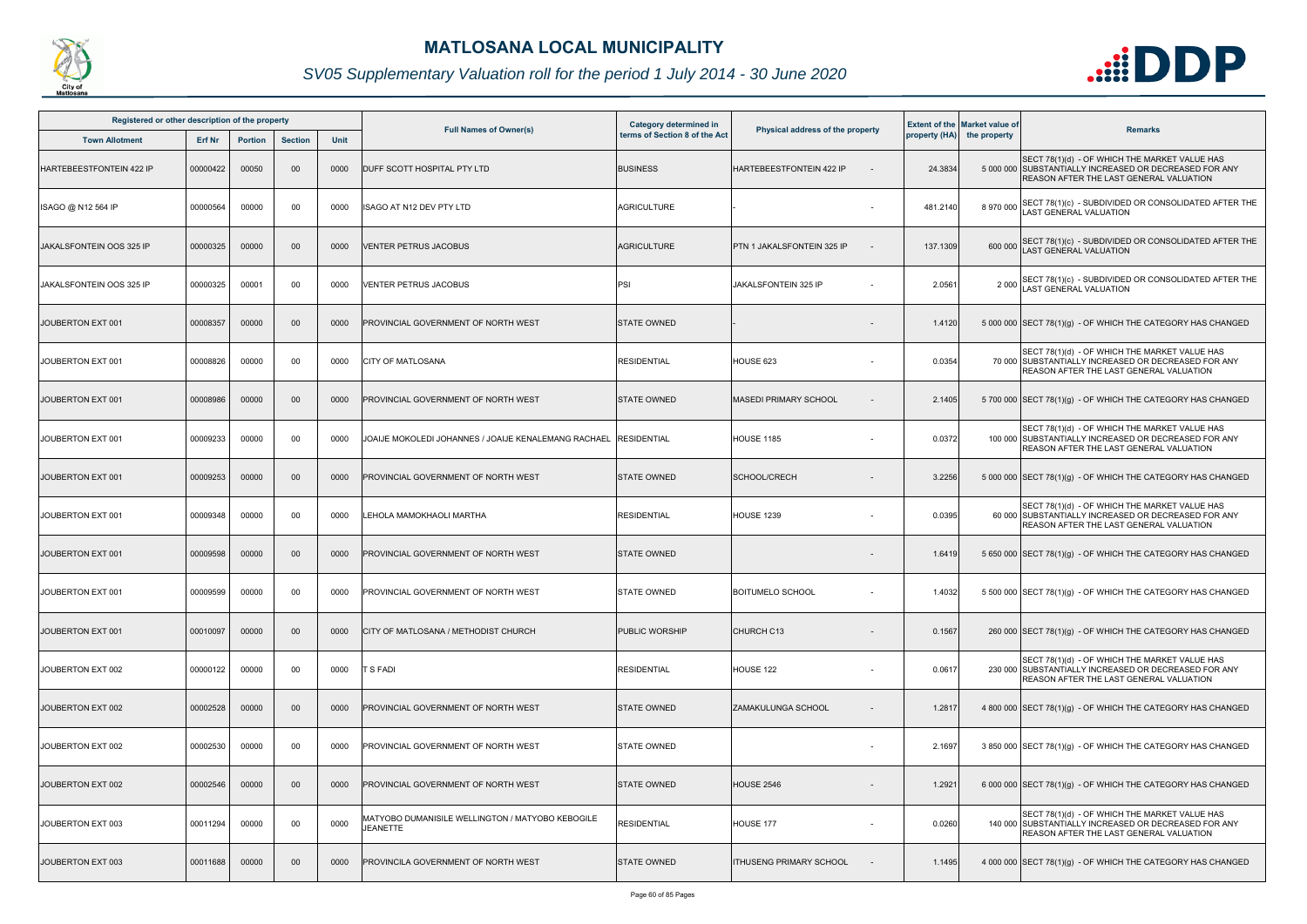

| Registered or other description of the property |          |                |                |      | <b>Full Names of Owner(s)</b>                                       | <b>Category determined in</b> |                                  |          | <b>Extent of the Market value of</b> |                                                                                                                                                           |
|-------------------------------------------------|----------|----------------|----------------|------|---------------------------------------------------------------------|-------------------------------|----------------------------------|----------|--------------------------------------|-----------------------------------------------------------------------------------------------------------------------------------------------------------|
| <b>Town Allotment</b>                           | Erf Nr   | <b>Portion</b> | <b>Section</b> | Unit |                                                                     | terms of Section 8 of the Act | Physical address of the property |          | property (HA) the property           | <b>Remarks</b>                                                                                                                                            |
| HARTEBEESTFONTEIN 422 IP                        | 00000422 | 00050          | 00             | 0000 | DUFF SCOTT HOSPITAL PTY LTD                                         | <b>BUSINESS</b>               | HARTEBEESTFONTEIN 422 IP         | 24.3834  |                                      | SECT 78(1)(d) - OF WHICH THE MARKET VALUE HAS<br>5 000 000 SUBSTANTIALLY INCREASED OR DECREASED FOR ANY<br><b>REASON AFTER THE LAST GENERAL VALUATION</b> |
| ISAGO @ N12 564 IP                              | 00000564 | 00000          | 00             | 0000 | <b>ISAGO AT N12 DEV PTY LTD</b>                                     | <b>AGRICULTURE</b>            |                                  | 481.2140 | 8970000                              | SECT 78(1)(c) - SUBDIVIDED OR CONSOLIDATED AFTER THE LAST GENERAL VALUATION                                                                               |
| JAKALSFONTEIN OOS 325 IP                        | 00000325 | 00000          | $00\,$         | 0000 | <b>VENTER PETRUS JACOBUS</b>                                        | <b>AGRICULTURE</b>            | PTN 1 JAKALSFONTEIN 325 IP       | 137.1309 | 600 000                              | SECT 78(1)(c) - SUBDIVIDED OR CONSOLIDATED AFTER THE LAST GENERAL VALUATION                                                                               |
| JAKALSFONTEIN OOS 325 IP                        | 00000325 | 00001          | 00             | 0000 | VENTER PETRUS JACOBUS                                               | PSI                           | JAKALSFONTEIN 325 IP             | 2.0561   | 2 0 0 0                              | SECT 78(1)(c) - SUBDIVIDED OR CONSOLIDATED AFTER THE LAST GENERAL VALUATION                                                                               |
| JOUBERTON EXT 001                               | 00008357 | 00000          | 00             | 0000 | PROVINCIAL GOVERNMENT OF NORTH WEST                                 | <b>STATE OWNED</b>            |                                  | 1.4120   |                                      | 5 000 000 SECT 78(1)(g) - OF WHICH THE CATEGORY HAS CHANGED                                                                                               |
| JOUBERTON EXT 001                               | 00008826 | 00000          | 00             | 0000 | <b>CITY OF MATLOSANA</b>                                            | <b>RESIDENTIAL</b>            | HOUSE 623                        | 0.0354   |                                      | SECT 78(1)(d) - OF WHICH THE MARKET VALUE HAS<br>70 000 SUBSTANTIALLY INCREASED OR DECREASED FOR ANY<br><b>REASON AFTER THE LAST GENERAL VALUATION</b>    |
| JOUBERTON EXT 001                               | 00008986 | 00000          | 00             | 0000 | PROVINCIAL GOVERNMENT OF NORTH WEST                                 | <b>STATE OWNED</b>            | <b>MASEDI PRIMARY SCHOOL</b>     | 2.1405   |                                      | 5 700 000 SECT 78(1)(g) - OF WHICH THE CATEGORY HAS CHANGED                                                                                               |
| JOUBERTON EXT 001                               | 00009233 | 00000          | 00             | 0000 | JOAIJE MOKOLEDI JOHANNES / JOAIJE KENALEMANG RACHAEL                | <b>RESIDENTIAL</b>            | <b>HOUSE 1185</b>                | 0.0372   |                                      | SECT 78(1)(d) - OF WHICH THE MARKET VALUE HAS<br>100 000 SUBSTANTIALLY INCREASED OR DECREASED FOR ANY<br><b>REASON AFTER THE LAST GENERAL VALUATION</b>   |
| JOUBERTON EXT 001                               | 00009253 | 00000          | $00\,$         | 0000 | PROVINCIAL GOVERNMENT OF NORTH WEST                                 | <b>STATE OWNED</b>            | <b>SCHOOL/CRECH</b>              | 3.2256   |                                      | 5 000 000 SECT 78(1)(g) - OF WHICH THE CATEGORY HAS CHANGED                                                                                               |
| JOUBERTON EXT 001                               | 00009348 | 00000          | 00             | 0000 | LEHOLA MAMOKHAOLI MARTHA                                            | <b>RESIDENTIAL</b>            | <b>HOUSE 1239</b>                | 0.0395   |                                      | SECT 78(1)(d) - OF WHICH THE MARKET VALUE HAS<br>60 000 SUBSTANTIALLY INCREASED OR DECREASED FOR ANY<br>REASON AFTER THE LAST GENERAL VALUATION           |
| JOUBERTON EXT 001                               | 00009598 | 00000          | 00             | 0000 | PROVINCIAL GOVERNMENT OF NORTH WEST                                 | <b>STATE OWNED</b>            |                                  | 1.6419   |                                      | 5 650 000 SECT 78(1)(g) - OF WHICH THE CATEGORY HAS CHANGED                                                                                               |
| JOUBERTON EXT 001                               | 00009599 | 00000          | 00             | 0000 | <b>PROVINCIAL GOVERNMENT OF NORTH WEST</b>                          | <b>STATE OWNED</b>            | <b>BOITUMELO SCHOOL</b>          | 1.4032   |                                      | 5 500 000 SECT 78(1)(g) - OF WHICH THE CATEGORY HAS CHANGED                                                                                               |
| JOUBERTON EXT 001                               | 00010097 | 00000          | 00             | 0000 | CITY OF MATLOSANA / METHODIST CHURCH                                | PUBLIC WORSHIP                | CHURCH C13                       | 0.1567   |                                      | 260 000 SECT 78(1)(g) - OF WHICH THE CATEGORY HAS CHANGED                                                                                                 |
| JOUBERTON EXT 002                               | 00000122 | 00000          | 00             | 0000 | T S FADI                                                            | <b>RESIDENTIAL</b>            | HOUSE 122                        | 0.0617   |                                      | SECT 78(1)(d) - OF WHICH THE MARKET VALUE HAS<br>230 000 SUBSTANTIALLY INCREASED OR DECREASED FOR ANY<br><b>REASON AFTER THE LAST GENERAL VALUATION</b>   |
| JOUBERTON EXT 002                               | 00002528 | 00000          | $00\,$         | 0000 | PROVINCIAL GOVERNMENT OF NORTH WEST                                 | <b>STATE OWNED</b>            | <b>ZAMAKULUNGA SCHOOL</b>        | 1.2817   |                                      | 4 800 000 SECT 78(1)(g) - OF WHICH THE CATEGORY HAS CHANGED                                                                                               |
| JOUBERTON EXT 002                               | 00002530 | 00000          | 00             | 0000 | PROVINCIAL GOVERNMENT OF NORTH WEST                                 | <b>STATE OWNED</b>            |                                  | 2.1697   |                                      | 3 850 000 SECT 78(1)(g) - OF WHICH THE CATEGORY HAS CHANGED                                                                                               |
| JOUBERTON EXT 002                               | 00002546 | 00000          | 00             | 0000 | PROVINCIAL GOVERNMENT OF NORTH WEST                                 | <b>STATE OWNED</b>            | <b>HOUSE 2546</b>                | 1.2921   |                                      | 6 000 000 SECT 78(1)(g) - OF WHICH THE CATEGORY HAS CHANGED                                                                                               |
| JOUBERTON EXT 003                               | 00011294 | 00000          | 00             | 0000 | MATYOBO DUMANISILE WELLINGTON / MATYOBO KEBOGILE<br><b>JEANETTE</b> | <b>RESIDENTIAL</b>            | HOUSE 177                        | 0.0260   |                                      | SECT 78(1)(d) - OF WHICH THE MARKET VALUE HAS<br>140 000 SUBSTANTIALLY INCREASED OR DECREASED FOR ANY<br>REASON AFTER THE LAST GENERAL VALUATION          |
| JOUBERTON EXT 003                               | 00011688 | 00000          | 00             | 0000 | PROVINCILA GOVERNMENT OF NORTH WEST                                 | <b>STATE OWNED</b>            | <b>ITHUSENG PRIMARY SCHOOL</b>   | 1.1495   |                                      | 4 000 000 SECT 78(1)(g) - OF WHICH THE CATEGORY HAS CHANGED                                                                                               |

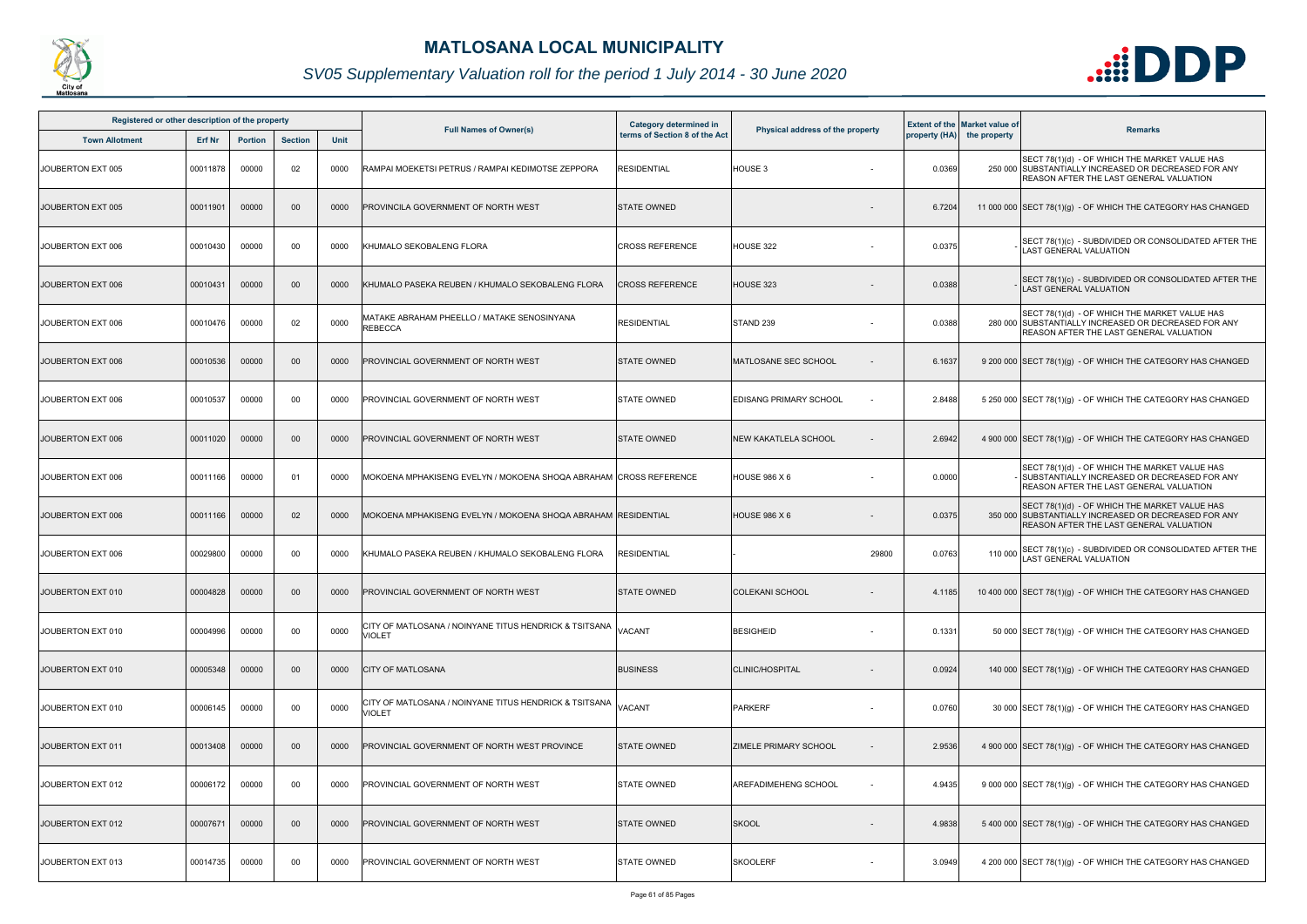

| Registered or other description of the property |          |                |                |      |                                                                         | Category determined in        |                                  |                 | <b>Extent of the Market value of</b> |                                                                                                                                                         |
|-------------------------------------------------|----------|----------------|----------------|------|-------------------------------------------------------------------------|-------------------------------|----------------------------------|-----------------|--------------------------------------|---------------------------------------------------------------------------------------------------------------------------------------------------------|
| <b>Town Allotment</b>                           | Erf Nr   | <b>Portion</b> | <b>Section</b> | Unit | <b>Full Names of Owner(s)</b>                                           | terms of Section 8 of the Act | Physical address of the property |                 | property (HA) the property           | <b>Remarks</b>                                                                                                                                          |
| JOUBERTON EXT 005                               | 00011878 | 00000          | 02             | 0000 | RAMPAI MOEKETSI PETRUS / RAMPAI KEDIMOTSE ZEPPORA                       | <b>RESIDENTIAL</b>            | HOUSE 3                          | 0.0369          |                                      | SECT 78(1)(d) - OF WHICH THE MARKET VALUE HAS<br>250 000 SUBSTANTIALLY INCREASED OR DECREASED FOR ANY<br><b>REASON AFTER THE LAST GENERAL VALUATION</b> |
| JOUBERTON EXT 005                               | 00011901 | 00000          | $00\,$         | 0000 | PROVINCILA GOVERNMENT OF NORTH WEST                                     | <b>STATE OWNED</b>            |                                  | 6.7204          |                                      | 11 000 000 SECT 78(1)(g) - OF WHICH THE CATEGORY HAS CHANGED                                                                                            |
| JOUBERTON EXT 006                               | 00010430 | 00000          | 00             | 0000 | KHUMALO SEKOBALENG FLORA                                                | <b>CROSS REFERENCE</b>        | HOUSE 322                        | 0.0375          |                                      | SECT 78(1)(c) - SUBDIVIDED OR CONSOLIDATED AFTER THE<br><b>LAST GENERAL VALUATION</b>                                                                   |
| JOUBERTON EXT 006                               | 00010431 | 00000          | $00\,$         | 0000 | KHUMALO PASEKA REUBEN / KHUMALO SEKOBALENG FLORA                        | <b>CROSS REFERENCE</b>        | HOUSE 323                        | 0.0388          |                                      | SECT 78(1)(c) - SUBDIVIDED OR CONSOLIDATED AFTER THE<br><b>LAST GENERAL VALUATION</b>                                                                   |
| JOUBERTON EXT 006                               | 00010476 | 00000          | 02             | 0000 | MATAKE ABRAHAM PHEELLO / MATAKE SENOSINYANA<br><b>REBECCA</b>           | <b>RESIDENTIAL</b>            | STAND 239                        | 0.0388          |                                      | SECT 78(1)(d) - OF WHICH THE MARKET VALUE HAS<br>280 000 SUBSTANTIALLY INCREASED OR DECREASED FOR ANY<br><b>REASON AFTER THE LAST GENERAL VALUATION</b> |
| JOUBERTON EXT 006                               | 00010536 | 00000          | $00\,$         | 0000 | PROVINCIAL GOVERNMENT OF NORTH WEST                                     | <b>STATE OWNED</b>            | <b>MATLOSANE SEC SCHOOL</b>      | 6.1637          |                                      | 9 200 000 SECT 78(1)(g) - OF WHICH THE CATEGORY HAS CHANGED                                                                                             |
| JOUBERTON EXT 006                               | 00010537 | 00000          | 00             | 0000 | PROVINCIAL GOVERNMENT OF NORTH WEST                                     | <b>STATE OWNED</b>            | EDISANG PRIMARY SCHOOL           | 2.8488          |                                      | 5 250 000 SECT 78(1)(g) - OF WHICH THE CATEGORY HAS CHANGED                                                                                             |
| JOUBERTON EXT 006                               | 00011020 | 00000          | $00\,$         | 0000 | PROVINCIAL GOVERNMENT OF NORTH WEST                                     | <b>STATE OWNED</b>            | <b>NEW KAKATLELA SCHOOL</b>      | 2.6942          |                                      | 4 900 000 SECT 78(1)(g) - OF WHICH THE CATEGORY HAS CHANGED                                                                                             |
| JOUBERTON EXT 006                               | 00011166 | 00000          | 01             | 0000 | MOKOENA MPHAKISENG EVELYN / MOKOENA SHOQA ABRAHAM  CROSS REFERENCE      |                               | <b>HOUSE 986 X 6</b>             | 0.0000          |                                      | SECT 78(1)(d) - OF WHICH THE MARKET VALUE HAS<br>SUBSTANTIALLY INCREASED OR DECREASED FOR ANY<br><b>REASON AFTER THE LAST GENERAL VALUATION</b>         |
| JOUBERTON EXT 006                               | 00011166 | 00000          | 02             | 0000 | MOKOENA MPHAKISENG EVELYN / MOKOENA SHOQA ABRAHAM RESIDENTIAL           |                               | <b>HOUSE 986 X 6</b>             | 0.0375          |                                      | SECT 78(1)(d) - OF WHICH THE MARKET VALUE HAS<br>350 000 SUBSTANTIALLY INCREASED OR DECREASED FOR ANY<br>REASON AFTER THE LAST GENERAL VALUATION        |
| JOUBERTON EXT 006                               | 00029800 | 00000          | 00             | 0000 | KHUMALO PASEKA REUBEN / KHUMALO SEKOBALENG FLORA                        | RESIDENTIAL                   |                                  | 29800<br>0.0763 | 110 000                              | SECT 78(1)(c) - SUBDIVIDED OR CONSOLIDATED AFTER THE<br><b>LAST GENERAL VALUATION</b>                                                                   |
| JOUBERTON EXT 010                               | 00004828 | 00000          | $00\,$         | 0000 | <b>PROVINCIAL GOVERNMENT OF NORTH WEST</b>                              | <b>STATE OWNED</b>            | <b>COLEKANI SCHOOL</b>           | 4.1185          |                                      | 10 400 000 SECT 78(1)(g) - OF WHICH THE CATEGORY HAS CHANGED                                                                                            |
| JOUBERTON EXT 010                               | 00004996 | 00000          | 00             | 0000 | CITY OF MATLOSANA / NOINYANE TITUS HENDRICK & TSITSANA<br>VIOLET        | VACANT                        | <b>BESIGHEID</b>                 | 0.1331          |                                      | 50 000 SECT 78(1)(g) - OF WHICH THE CATEGORY HAS CHANGED                                                                                                |
| JOUBERTON EXT 010                               | 00005348 | 00000          | $00\,$         | 0000 | <b>CITY OF MATLOSANA</b>                                                | <b>BUSINESS</b>               | <b>CLINIC/HOSPITAL</b>           | 0.0924          |                                      | 140 000 SECT 78(1)(g) - OF WHICH THE CATEGORY HAS CHANGED                                                                                               |
| JOUBERTON EXT 010                               | 00006145 | 00000          | 00             | 0000 | CITY OF MATLOSANA / NOINYANE TITUS HENDRICK & TSITSANA<br><b>VIOLET</b> | <b>VACANT</b>                 | <b>PARKERF</b>                   | 0.0760          |                                      | 30 000 SECT 78(1)(g) - OF WHICH THE CATEGORY HAS CHANGED                                                                                                |
| JOUBERTON EXT 011                               | 00013408 | 00000          | $00\,$         | 0000 | PROVINCIAL GOVERNMENT OF NORTH WEST PROVINCE                            | <b>STATE OWNED</b>            | <b>ZIMELE PRIMARY SCHOOL</b>     | 2.9536          |                                      | 4 900 000 SECT 78(1)(g) - OF WHICH THE CATEGORY HAS CHANGED                                                                                             |
| JOUBERTON EXT 012                               | 00006172 | 00000          | 00             | 0000 | PROVINCIAL GOVERNMENT OF NORTH WEST                                     | <b>STATE OWNED</b>            | <b>AREFADIMEHENG SCHOOL</b>      | 4.9435          |                                      | 9 000 000 SECT 78(1)(g) - OF WHICH THE CATEGORY HAS CHANGED                                                                                             |
| JOUBERTON EXT 012                               | 00007671 | 00000          | $00\,$         | 0000 | PROVINCIAL GOVERNMENT OF NORTH WEST                                     | <b>STATE OWNED</b>            | <b>SKOOL</b>                     | 4.9838          |                                      | 5 400 000 SECT 78(1)(g) - OF WHICH THE CATEGORY HAS CHANGED                                                                                             |
| JOUBERTON EXT 013                               | 00014735 | 00000          | 00             | 0000 | PROVINCIAL GOVERNMENT OF NORTH WEST                                     | <b>STATE OWNED</b>            | <b>SKOOLERF</b>                  | 3.0949          |                                      | 4 200 000 SECT 78(1)(g) - OF WHICH THE CATEGORY HAS CHANGED                                                                                             |

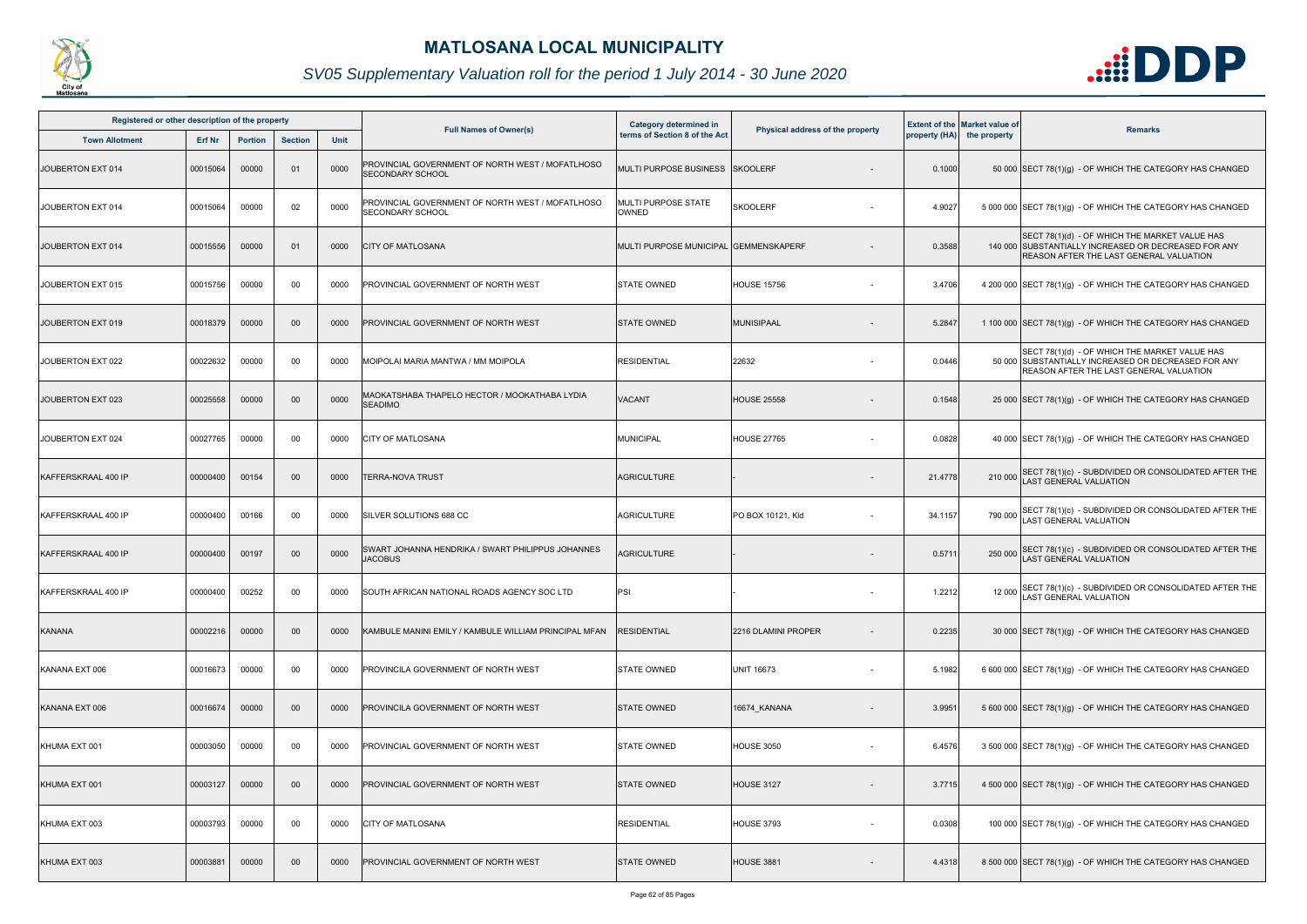

| Registered or other description of the property |          |                |                |      |                                                                             | <b>Category determined in</b>         |                                  |         | <b>Extent of the Market value of</b> |                                                                                                                                                  |
|-------------------------------------------------|----------|----------------|----------------|------|-----------------------------------------------------------------------------|---------------------------------------|----------------------------------|---------|--------------------------------------|--------------------------------------------------------------------------------------------------------------------------------------------------|
| <b>Town Allotment</b>                           | Erf Nr   | <b>Portion</b> | <b>Section</b> | Unit | <b>Full Names of Owner(s)</b>                                               | terms of Section 8 of the Act         | Physical address of the property |         | property (HA) the property           | <b>Remarks</b>                                                                                                                                   |
| JOUBERTON EXT 014                               | 00015064 | 00000          | 01             | 0000 | PROVINCIAL GOVERNMENT OF NORTH WEST / MOFATLHOSO<br><b>SECONDARY SCHOOL</b> | MULTI PURPOSE BUSINESS SKOOLERF       |                                  | 0.1000  |                                      | 50 000 SECT 78(1)(g) - OF WHICH THE CATEGORY HAS CHANGED                                                                                         |
| JOUBERTON EXT 014                               | 00015064 | 00000          | 02             | 0000 | PROVINCIAL GOVERNMENT OF NORTH WEST / MOFATLHOSO<br><b>SECONDARY SCHOOL</b> | <b>MULTI PURPOSE STATE</b><br>OWNED   | <b>SKOOLERF</b>                  | 4.9027  |                                      | 5 000 000 SECT 78(1)(g) - OF WHICH THE CATEGORY HAS CHANGED                                                                                      |
| JOUBERTON EXT 014                               | 00015556 | 00000          | 01             | 0000 | <b>CITY OF MATLOSANA</b>                                                    | MULTI PURPOSE MUNICIPAL GEMMENSKAPERF |                                  | 0.3588  |                                      | SECT 78(1)(d) - OF WHICH THE MARKET VALUE HAS<br>140 000 SUBSTANTIALLY INCREASED OR DECREASED FOR ANY<br>REASON AFTER THE LAST GENERAL VALUATION |
| JOUBERTON EXT 015                               | 00015756 | 00000          | 00             | 0000 | PROVINCIAL GOVERNMENT OF NORTH WEST                                         | <b>STATE OWNED</b>                    | <b>HOUSE 15756</b>               | 3.4706  |                                      | 4 200 000 SECT 78(1)(g) - OF WHICH THE CATEGORY HAS CHANGED                                                                                      |
| JOUBERTON EXT 019                               | 00018379 | 00000          | 00             | 0000 | PROVINCIAL GOVERNMENT OF NORTH WEST                                         | <b>STATE OWNED</b>                    | MUNISIPAAL                       | 5.2847  |                                      | 1 100 000 SECT 78(1)(g) - OF WHICH THE CATEGORY HAS CHANGED                                                                                      |
| JOUBERTON EXT 022                               | 00022632 | 00000          | 00             | 0000 | MOIPOLAI MARIA MANTWA / MM MOIPOLA                                          | <b>RESIDENTIAL</b>                    | 22632                            | 0.0446  |                                      | SECT 78(1)(d) - OF WHICH THE MARKET VALUE HAS<br>50 000 SUBSTANTIALLY INCREASED OR DECREASED FOR ANY<br>REASON AFTER THE LAST GENERAL VALUATION  |
| JOUBERTON EXT 023                               | 00025558 | 00000          | 00             | 0000 | MAOKATSHABA THAPELO HECTOR / MOOKATHABA LYDIA<br><b>SEADIMO</b>             | <b>VACANT</b>                         | <b>HOUSE 25558</b>               | 0.1548  |                                      | 25 000 SECT 78(1)(g) - OF WHICH THE CATEGORY HAS CHANGED                                                                                         |
| JOUBERTON EXT 024                               | 00027765 | 00000          | 00             | 0000 | <b>CITY OF MATLOSANA</b>                                                    | MUNICIPAL                             | <b>HOUSE 27765</b>               | 0.0828  |                                      | 40 000 SECT 78(1)(g) - OF WHICH THE CATEGORY HAS CHANGED                                                                                         |
| KAFFERSKRAAL 400 IP                             | 00000400 | 00154          | 00             | 0000 | TERRA-NOVA TRUST                                                            | <b>AGRICULTURE</b>                    |                                  | 21.4778 | 210 000                              | SECT 78(1)(c) - SUBDIVIDED OR CONSOLIDATED AFTER THE LAST GENERAL VALUATION                                                                      |
| KAFFERSKRAAL 400 IP                             | 00000400 | 00166          | 00             | 0000 | SILVER SOLUTIONS 688 CC                                                     | <b>AGRICULTURE</b>                    | PO BOX 10121, Kld                | 34.1157 | 790 000                              | SECT 78(1)(c) - SUBDIVIDED OR CONSOLIDATED AFTER THE<br><b>LAST GENERAL VALUATION</b>                                                            |
| KAFFERSKRAAL 400 IP                             | 00000400 | 00197          | 00             | 0000 | SWART JOHANNA HENDRIKA / SWART PHILIPPUS JOHANNES<br><b>JACOBUS</b>         | <b>AGRICULTURE</b>                    |                                  | 0.571   | 250 000                              | SECT 78(1)(c) - SUBDIVIDED OR CONSOLIDATED AFTER THE<br>LAST GENERAL VALUATION                                                                   |
| KAFFERSKRAAL 400 IP                             | 00000400 | 00252          | 00             | 0000 | SOUTH AFRICAN NATIONAL ROADS AGENCY SOC LTD                                 | PSI                                   | $\sim$                           | 1.2212  |                                      | 12 000 SECT 78(1)(c) - SUBDIVIDED OR CONSOLIDATED AFTER THE<br>LAST GENERAL VALUATION                                                            |
| KANANA                                          | 00002216 | 00000          | $00\,$         | 0000 | KAMBULE MANINI EMILY / KAMBULE WILLIAM PRINCIPAL MFAN                       | <b>RESIDENTIAL</b>                    | 2216 DLAMINI PROPER              | 0.2235  |                                      | 30 000 SECT 78(1)(g) - OF WHICH THE CATEGORY HAS CHANGED                                                                                         |
| KANANA EXT 006                                  | 00016673 | 00000          | 00             | 0000 | PROVINCILA GOVERNMENT OF NORTH WEST                                         | <b>STATE OWNED</b>                    | <b>UNIT 16673</b><br>$\sim$      | 5.1982  |                                      | 6 600 000 SECT 78(1)(g) - OF WHICH THE CATEGORY HAS CHANGED                                                                                      |
| KANANA EXT 006                                  | 00016674 | 00000          | 00             | 0000 | PROVINCILA GOVERNMENT OF NORTH WEST                                         | <b>STATE OWNED</b>                    | 16674_KANANA                     | 3.9951  |                                      | 5 600 000 SECT 78(1)(g) - OF WHICH THE CATEGORY HAS CHANGED                                                                                      |
| KHUMA EXT 001                                   | 00003050 | 00000          | 00             | 0000 | PROVINCIAL GOVERNMENT OF NORTH WEST                                         | <b>STATE OWNED</b>                    | <b>HOUSE 3050</b>                | 6.4576  |                                      | 3 500 000 SECT 78(1)(g) - OF WHICH THE CATEGORY HAS CHANGED                                                                                      |
| KHUMA EXT 001                                   | 00003127 | 00000          | 00             | 0000 | PROVINCIAL GOVERNMENT OF NORTH WEST                                         | <b>STATE OWNED</b>                    | <b>HOUSE 3127</b>                | 3.7715  |                                      | 4 500 000 SECT 78(1)(g) - OF WHICH THE CATEGORY HAS CHANGED                                                                                      |
| KHUMA EXT 003                                   | 00003793 | 00000          | 00             | 0000 | CITY OF MATLOSANA                                                           | <b>RESIDENTIAL</b>                    | <b>HOUSE 3793</b>                | 0.0308  |                                      | 100 000 SECT 78(1)(g) - OF WHICH THE CATEGORY HAS CHANGED                                                                                        |
| KHUMA EXT 003                                   | 00003881 | 00000          | 00             | 0000 | PROVINCIAL GOVERNMENT OF NORTH WEST                                         | <b>STATE OWNED</b>                    | <b>HOUSE 3881</b>                | 4.4318  |                                      | 8 500 000 SECT 78(1)(g) - OF WHICH THE CATEGORY HAS CHANGED                                                                                      |

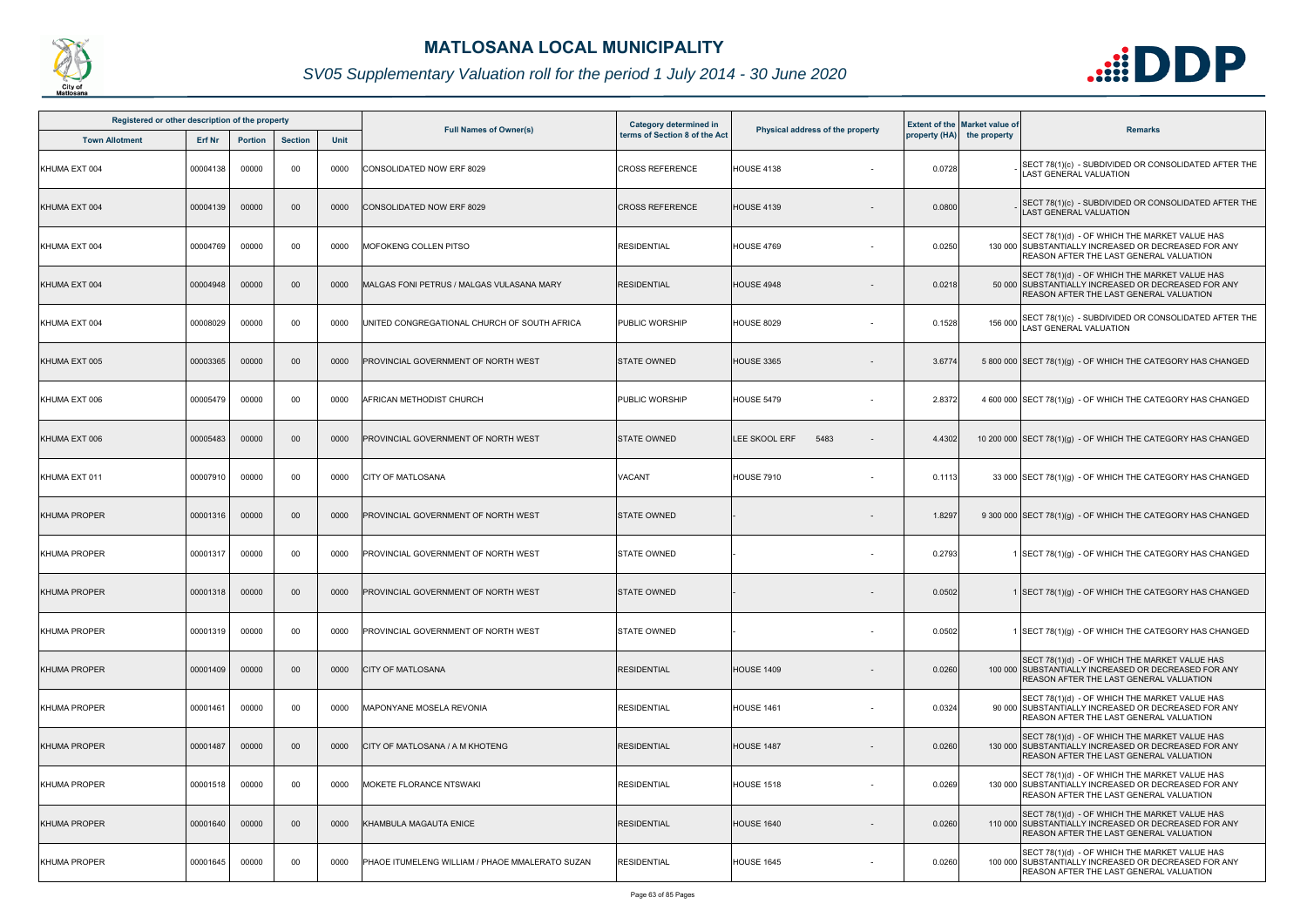

| Registered or other description of the property |               |                |                 |      |                                                 | Category determined in        |                                  |        | <b>Extent of the Market value of</b> |                                                                                                                                                         |
|-------------------------------------------------|---------------|----------------|-----------------|------|-------------------------------------------------|-------------------------------|----------------------------------|--------|--------------------------------------|---------------------------------------------------------------------------------------------------------------------------------------------------------|
| <b>Town Allotment</b>                           | <b>Erf Nr</b> | <b>Portion</b> | <b>Section</b>  | Unit | <b>Full Names of Owner(s)</b>                   | terms of Section 8 of the Act | Physical address of the property |        | property (HA) the property           | <b>Remarks</b>                                                                                                                                          |
| KHUMA EXT 004                                   | 00004138      | 00000          | 00              | 0000 | CONSOLIDATED NOW ERF 8029                       | <b>CROSS REFERENCE</b>        | <b>HOUSE 4138</b>                | 0.0728 |                                      | SECT 78(1)(c) - SUBDIVIDED OR CONSOLIDATED AFTER THE<br><b>AST GENERAL VALUATION</b>                                                                    |
| KHUMA EXT 004                                   | 00004139      | 00000          | $00\,$          | 0000 | CONSOLIDATED NOW ERF 8029                       | <b>CROSS REFERENCE</b>        | <b>HOUSE 4139</b>                | 0.0800 |                                      | SECT 78(1)(c) - SUBDIVIDED OR CONSOLIDATED AFTER THE<br>LAST GENERAL VALUATION                                                                          |
| KHUMA EXT 004                                   | 00004769      | 00000          | 00              | 0000 | <b>MOFOKENG COLLEN PITSO</b>                    | <b>RESIDENTIAL</b>            | <b>HOUSE 4769</b>                | 0.0250 |                                      | SECT 78(1)(d) - OF WHICH THE MARKET VALUE HAS<br>130 000 SUBSTANTIALLY INCREASED OR DECREASED FOR ANY<br>REASON AFTER THE LAST GENERAL VALUATION        |
| KHUMA EXT 004                                   | 00004948      | 00000          | $00\,$          | 0000 | MALGAS FONI PETRUS / MALGAS VULASANA MARY       | <b>RESIDENTIAL</b>            | <b>HOUSE 4948</b>                | 0.0218 |                                      | SECT 78(1)(d) - OF WHICH THE MARKET VALUE HAS<br>50 000 SUBSTANTIALLY INCREASED OR DECREASED FOR ANY<br>REASON AFTER THE LAST GENERAL VALUATION         |
| KHUMA EXT 004                                   | 00008029      | 00000          | 00              | 0000 | UNITED CONGREGATIONAL CHURCH OF SOUTH AFRICA    | PUBLIC WORSHIP                | <b>HOUSE 8029</b>                | 0.1528 | 156 000                              | SECT 78(1)(c) - SUBDIVIDED OR CONSOLIDATED AFTER THE<br>AST GENERAL VALUATION                                                                           |
| KHUMA EXT 005                                   | 00003365      | 00000          | 00              | 0000 | PROVINCIAL GOVERNMENT OF NORTH WEST             | <b>STATE OWNED</b>            | <b>HOUSE 3365</b>                | 3.6774 |                                      | 5 800 000 SECT 78(1)(g) - OF WHICH THE CATEGORY HAS CHANGED                                                                                             |
| KHUMA EXT 006                                   | 00005479      | 00000          | 00              | 0000 | AFRICAN METHODIST CHURCH                        | <b>PUBLIC WORSHIP</b>         | <b>HOUSE 5479</b>                | 2.8372 |                                      | 4 600 000 SECT 78(1)(g) - OF WHICH THE CATEGORY HAS CHANGED                                                                                             |
| KHUMA EXT 006                                   | 00005483      | 00000          | 00              | 0000 | PROVINCIAL GOVERNMENT OF NORTH WEST             | <b>STATE OWNED</b>            | LEE SKOOL ERF<br>5483            | 4.4302 |                                      | 10 200 000 SECT 78(1)(g) - OF WHICH THE CATEGORY HAS CHANGED                                                                                            |
| KHUMA EXT 011                                   | 00007910      | 00000          | 00              | 0000 | <b>CITY OF MATLOSANA</b>                        | VACANT                        | <b>HOUSE 7910</b>                | 0.1113 |                                      | 33 000 SECT 78(1)(g) - OF WHICH THE CATEGORY HAS CHANGED                                                                                                |
| <b>KHUMA PROPER</b>                             | 00001316      | 00000          | 00              | 0000 | PROVINCIAL GOVERNMENT OF NORTH WEST             | <b>STATE OWNED</b>            |                                  | 1.8297 |                                      | 9 300 000 SECT 78(1)(g) - OF WHICH THE CATEGORY HAS CHANGED                                                                                             |
| <b>KHUMA PROPER</b>                             | 00001317      | 00000          | 00              | 0000 | PROVINCIAL GOVERNMENT OF NORTH WEST             | <b>STATE OWNED</b>            |                                  | 0.2793 |                                      | 1 SECT 78(1)(g) - OF WHICH THE CATEGORY HAS CHANGED                                                                                                     |
| <b>KHUMA PROPER</b>                             | 00001318      | 00000          | 00 <sup>°</sup> | 0000 | <b>PROVINCIAL GOVERNMENT OF NORTH WEST</b>      | <b>STATE OWNED</b>            |                                  | 0.0502 |                                      | 1 SECT 78(1)(g) - OF WHICH THE CATEGORY HAS CHANGED                                                                                                     |
| <b>KHUMA PROPER</b>                             | 00001319      | 00000          | 00              | 0000 | PROVINCIAL GOVERNMENT OF NORTH WEST             | <b>STATE OWNED</b>            |                                  | 0.0502 |                                      | 1 SECT 78(1)(g) - OF WHICH THE CATEGORY HAS CHANGED                                                                                                     |
| <b>KHUMA PROPER</b>                             | 00001409      | 00000          | 00              | 0000 | <b>CITY OF MATLOSANA</b>                        | <b>RESIDENTIAL</b>            | <b>HOUSE 1409</b>                | 0.0260 |                                      | SECT 78(1)(d) - OF WHICH THE MARKET VALUE HAS<br>100 000 SUBSTANTIALLY INCREASED OR DECREASED FOR ANY<br><b>REASON AFTER THE LAST GENERAL VALUATION</b> |
| <b>KHUMA PROPER</b>                             | 00001461      | 00000          | 00              | 0000 | MAPONYANE MOSELA REVONIA                        | <b>RESIDENTIAL</b>            | <b>HOUSE 1461</b>                | 0.0324 |                                      | SECT 78(1)(d) - OF WHICH THE MARKET VALUE HAS<br>90 000 SUBSTANTIALLY INCREASED OR DECREASED FOR ANY<br><b>REASON AFTER THE LAST GENERAL VALUATION</b>  |
| <b>KHUMA PROPER</b>                             | 00001487      | 00000          | 00              | 0000 | CITY OF MATLOSANA / A M KHOTENG                 | <b>RESIDENTIAL</b>            | <b>HOUSE 1487</b>                | 0.0260 |                                      | SECT 78(1)(d) - OF WHICH THE MARKET VALUE HAS<br>130 000 SUBSTANTIALLY INCREASED OR DECREASED FOR ANY<br><b>REASON AFTER THE LAST GENERAL VALUATION</b> |
| <b>KHUMA PROPER</b>                             | 00001518      | 00000          | 00              | 0000 | MOKETE FLORANCE NTSWAKI                         | <b>RESIDENTIAL</b>            | <b>HOUSE 1518</b>                | 0.0269 |                                      | SECT 78(1)(d) - OF WHICH THE MARKET VALUE HAS<br>130 000 SUBSTANTIALLY INCREASED OR DECREASED FOR ANY<br><b>REASON AFTER THE LAST GENERAL VALUATION</b> |
| <b>KHUMA PROPER</b>                             | 00001640      | 00000          | $00\,$          | 0000 | KHAMBULA MAGAUTA ENICE                          | <b>RESIDENTIAL</b>            | <b>HOUSE 1640</b>                | 0.0260 |                                      | SECT 78(1)(d) - OF WHICH THE MARKET VALUE HAS<br>110 000 SUBSTANTIALLY INCREASED OR DECREASED FOR ANY<br><b>REASON AFTER THE LAST GENERAL VALUATION</b> |
| <b>KHUMA PROPER</b>                             | 00001645      | 00000          | 00              | 0000 | PHAOE ITUMELENG WILLIAM / PHAOE MMALERATO SUZAN | <b>RESIDENTIAL</b>            | <b>HOUSE 1645</b>                | 0.0260 |                                      | SECT 78(1)(d) - OF WHICH THE MARKET VALUE HAS<br>100 000 SUBSTANTIALLY INCREASED OR DECREASED FOR ANY<br>REASON AFTER THE LAST GENERAL VALUATION        |

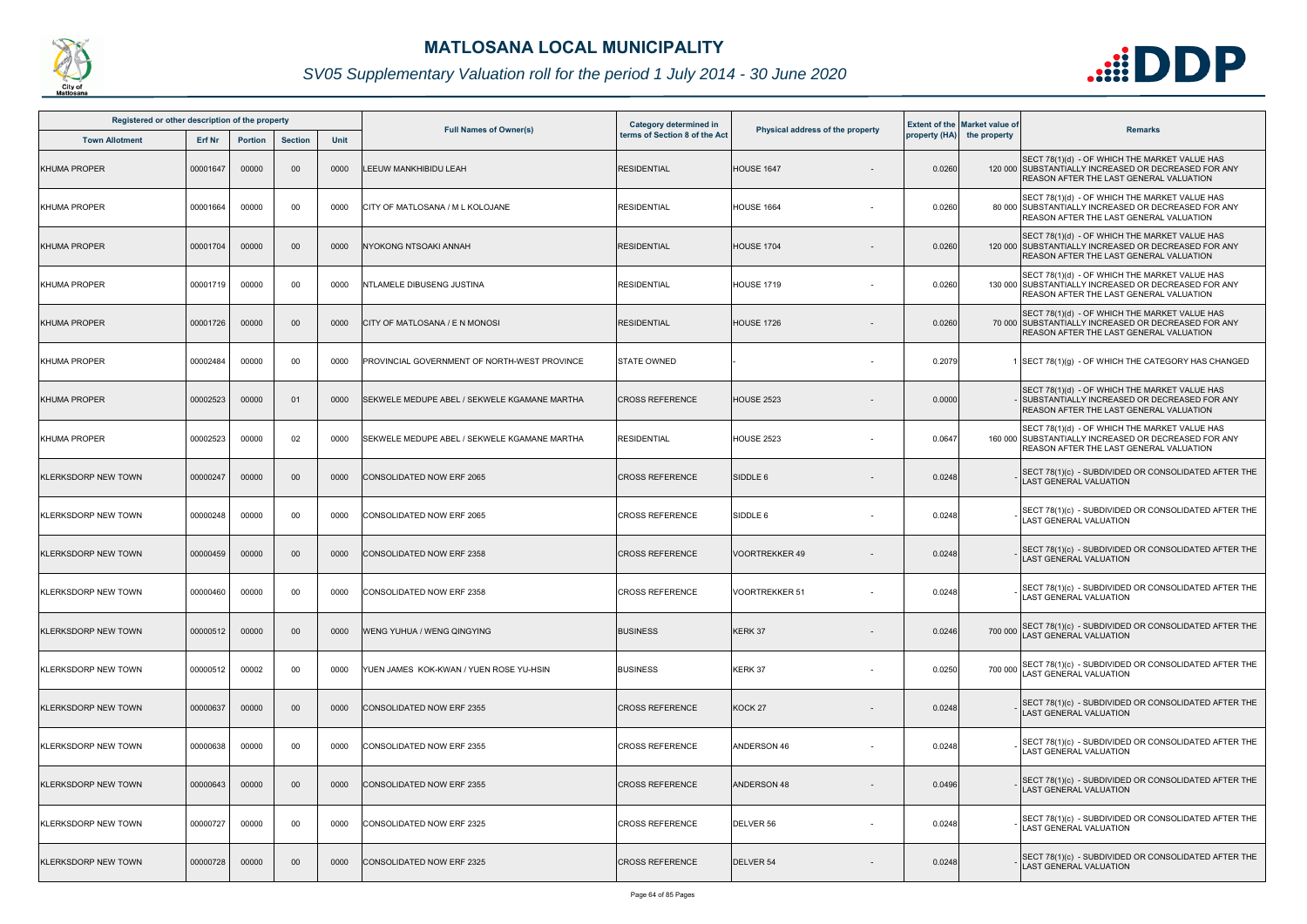

| Registered or other description of the property |               |                |                |             |                                              | Category determined in        |                                  |        | <b>Extent of the Market value of</b> |                                                                                                                                                         |
|-------------------------------------------------|---------------|----------------|----------------|-------------|----------------------------------------------|-------------------------------|----------------------------------|--------|--------------------------------------|---------------------------------------------------------------------------------------------------------------------------------------------------------|
| <b>Town Allotment</b>                           | <b>Erf Nr</b> | <b>Portion</b> | <b>Section</b> | <b>Unit</b> | <b>Full Names of Owner(s)</b>                | terms of Section 8 of the Act | Physical address of the property |        | property (HA) the property           | <b>Remarks</b>                                                                                                                                          |
| <b>KHUMA PROPER</b>                             | 00001647      | 00000          | 00             | 0000        | LEEUW MANKHIBIDU LEAH                        | <b>RESIDENTIAL</b>            | <b>HOUSE 1647</b>                | 0.0260 |                                      | SECT 78(1)(d) - OF WHICH THE MARKET VALUE HAS<br>120 000 SUBSTANTIALLY INCREASED OR DECREASED FOR ANY<br><b>REASON AFTER THE LAST GENERAL VALUATION</b> |
| <b>KHUMA PROPER</b>                             | 00001664      | 00000          | 00             | 0000        | CITY OF MATLOSANA / M L KOLOJANE             | <b>RESIDENTIAL</b>            | <b>HOUSE 1664</b>                | 0.0260 |                                      | SECT 78(1)(d) - OF WHICH THE MARKET VALUE HAS<br>80 000 SUBSTANTIALLY INCREASED OR DECREASED FOR ANY<br><b>REASON AFTER THE LAST GENERAL VALUATION</b>  |
| <b>KHUMA PROPER</b>                             | 00001704      | 00000          | $00\,$         | 0000        | NYOKONG NTSOAKI ANNAH                        | <b>RESIDENTIAL</b>            | <b>HOUSE 1704</b>                | 0.0260 |                                      | SECT 78(1)(d) - OF WHICH THE MARKET VALUE HAS<br>120 000 SUBSTANTIALLY INCREASED OR DECREASED FOR ANY<br>REASON AFTER THE LAST GENERAL VALUATION        |
| <b>KHUMA PROPER</b>                             | 00001719      | 00000          | 00             | 0000        | NTLAMELE DIBUSENG JUSTINA                    | <b>RESIDENTIAL</b>            | <b>HOUSE 1719</b>                | 0.0260 |                                      | SECT 78(1)(d) - OF WHICH THE MARKET VALUE HAS<br>130 000 SUBSTANTIALLY INCREASED OR DECREASED FOR ANY<br>REASON AFTER THE LAST GENERAL VALUATION        |
| <b>KHUMA PROPER</b>                             | 00001726      | 00000          | 00             | 0000        | CITY OF MATLOSANA / E N MONOSI               | <b>RESIDENTIAL</b>            | <b>HOUSE 1726</b>                | 0.0260 |                                      | SECT 78(1)(d) - OF WHICH THE MARKET VALUE HAS<br>70 000 SUBSTANTIALLY INCREASED OR DECREASED FOR ANY<br><b>REASON AFTER THE LAST GENERAL VALUATION</b>  |
| <b>KHUMA PROPER</b>                             | 00002484      | 00000          | 00             | 0000        | PROVINCIAL GOVERNMENT OF NORTH-WEST PROVINCE | <b>STATE OWNED</b>            |                                  | 0.2079 |                                      | 1 SECT 78(1)(g) - OF WHICH THE CATEGORY HAS CHANGED                                                                                                     |
| <b>KHUMA PROPER</b>                             | 00002523      | 00000          | 01             | 0000        | SEKWELE MEDUPE ABEL / SEKWELE KGAMANE MARTHA | <b>CROSS REFERENCE</b>        | <b>HOUSE 2523</b>                | 0.0000 |                                      | SECT 78(1)(d) - OF WHICH THE MARKET VALUE HAS<br>· ISUBSTANTIALLY INCREASED OR DECREASED FOR ANY<br><b>REASON AFTER THE LAST GENERAL VALUATION</b>      |
| <b>KHUMA PROPER</b>                             | 00002523      | 00000          | 02             | 0000        | SEKWELE MEDUPE ABEL / SEKWELE KGAMANE MARTHA | <b>RESIDENTIAL</b>            | <b>HOUSE 2523</b>                | 0.0647 |                                      | SECT 78(1)(d) - OF WHICH THE MARKET VALUE HAS<br>160 000 SUBSTANTIALLY INCREASED OR DECREASED FOR ANY<br><b>REASON AFTER THE LAST GENERAL VALUATION</b> |
| <b>KLERKSDORP NEW TOWN</b>                      | 00000247      | 00000          | 00             | 0000        | CONSOLIDATED NOW ERF 2065                    | <b>CROSS REFERENCE</b>        | SIDDLE 6                         | 0.0248 |                                      | SECT 78(1)(c) - SUBDIVIDED OR CONSOLIDATED AFTER THE<br><b>AST GENERAL VALUATION</b>                                                                    |
| <b>KLERKSDORP NEW TOWN</b>                      | 00000248      | 00000          | 00             | 0000        | CONSOLIDATED NOW ERF 2065                    | <b>CROSS REFERENCE</b>        | SIDDLE 6                         | 0.0248 |                                      | SECT 78(1)(c) - SUBDIVIDED OR CONSOLIDATED AFTER THE<br><b>LAST GENERAL VALUATION</b>                                                                   |
| <b>KLERKSDORP NEW TOWN</b>                      | 00000459      | 00000          | 00             | 0000        | CONSOLIDATED NOW ERF 2358                    | <b>CROSS REFERENCE</b>        | <b>VOORTREKKER 49</b>            | 0.0248 |                                      | SECT 78(1)(c) - SUBDIVIDED OR CONSOLIDATED AFTER THE<br>LAST GENERAL VALUATION                                                                          |
| <b>KLERKSDORP NEW TOWN</b>                      | 00000460      | 00000          | 00             | 0000        | CONSOLIDATED NOW ERF 2358                    | <b>CROSS REFERENCE</b>        | <b>VOORTREKKER 51</b>            | 0.0248 |                                      | SECT 78(1)(c) - SUBDIVIDED OR CONSOLIDATED AFTER THE<br>LAST GENERAL VALUATION                                                                          |
| <b>KLERKSDORP NEW TOWN</b>                      | 00000512      | 00000          | 00             | 0000        | WENG YUHUA / WENG QINGYING                   | <b>BUSINESS</b>               | KERK 37                          | 0.0246 |                                      | 700 000 SECT 78(1)(c) - SUBDIVIDED OR CONSOLIDATED AFTER THE<br>LAST GENERAL VALUATION                                                                  |
| <b>KLERKSDORP NEW TOWN</b>                      | 00000512      | 00002          | 00             | 0000        | YUEN JAMES KOK-KWAN / YUEN ROSE YU-HSIN      | <b>BUSINESS</b>               | KERK 37                          | 0.0250 |                                      | 700 000 SECT 78(1)(c) - SUBDIVIDED OR CONSOLIDATED AFTER THE<br>LAST GENERAL VALUATION                                                                  |
| <b>KLERKSDORP NEW TOWN</b>                      | 00000637      | 00000          | $00\,$         | 0000        | <b>CONSOLIDATED NOW ERF 2355</b>             | <b>CROSS REFERENCE</b>        | KOCK <sub>27</sub>               | 0.0248 |                                      | SECT 78(1)(c) - SUBDIVIDED OR CONSOLIDATED AFTER THE<br><b>AST GENERAL VALUATION</b>                                                                    |
| <b>KLERKSDORP NEW TOWN</b>                      | 00000638      | 00000          | 00             | 0000        | CONSOLIDATED NOW ERF 2355                    | <b>CROSS REFERENCE</b>        | ANDERSON 46                      | 0.0248 |                                      | SECT 78(1)(c) - SUBDIVIDED OR CONSOLIDATED AFTER THE<br><b>LAST GENERAL VALUATION</b>                                                                   |
| <b>KLERKSDORP NEW TOWN</b>                      | 00000643      | 00000          | $00\,$         | 0000        | CONSOLIDATED NOW ERF 2355                    | <b>CROSS REFERENCE</b>        | <b>ANDERSON 48</b>               | 0.0496 |                                      | SECT 78(1)(c) - SUBDIVIDED OR CONSOLIDATED AFTER THE<br><b>LAST GENERAL VALUATION</b>                                                                   |
| <b>KLERKSDORP NEW TOWN</b>                      | 00000727      | 00000          | 00             | 0000        | CONSOLIDATED NOW ERF 2325                    | <b>CROSS REFERENCE</b>        | DELVER 56                        | 0.0248 |                                      | SECT 78(1)(c) - SUBDIVIDED OR CONSOLIDATED AFTER THE<br>LAST GENERAL VALUATION                                                                          |
| <b>KLERKSDORP NEW TOWN</b>                      | 00000728      | 00000          | 00             | 0000        | CONSOLIDATED NOW ERF 2325                    | <b>CROSS REFERENCE</b>        | DELVER 54                        | 0.0248 |                                      | SECT 78(1)(c) - SUBDIVIDED OR CONSOLIDATED AFTER THE<br>LAST GENERAL VALUATION                                                                          |

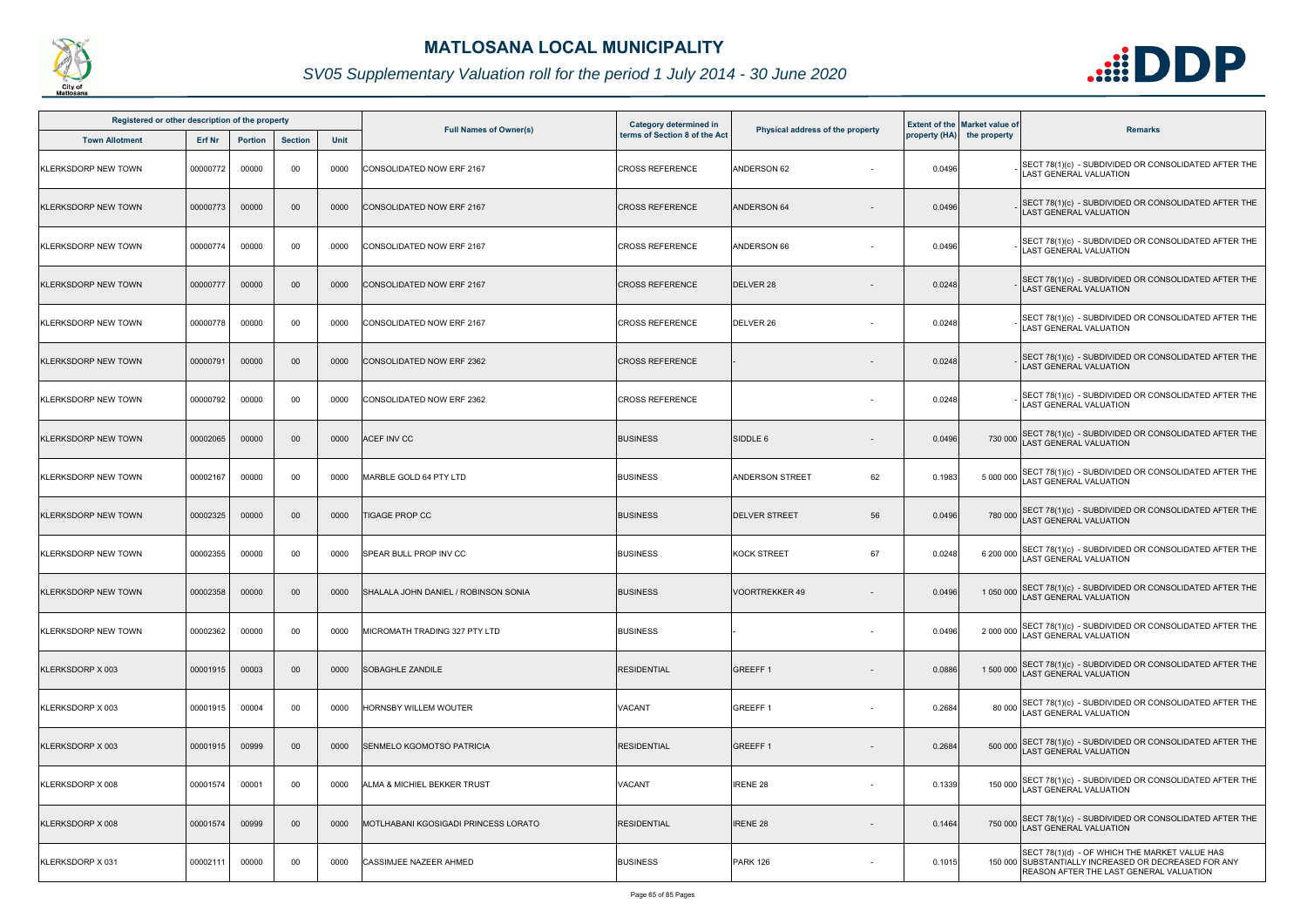

| Registered or other description of the property |               |                |                 |      |                                             | <b>Category determined in</b> |                                  |        | <b>Extent of the Market value of</b> |                                                                                                                                                         |
|-------------------------------------------------|---------------|----------------|-----------------|------|---------------------------------------------|-------------------------------|----------------------------------|--------|--------------------------------------|---------------------------------------------------------------------------------------------------------------------------------------------------------|
| <b>Town Allotment</b>                           | <b>Erf Nr</b> | <b>Portion</b> | <b>Section</b>  | Unit | <b>Full Names of Owner(s)</b>               | terms of Section 8 of the Act | Physical address of the property |        | property (HA) the property           | <b>Remarks</b>                                                                                                                                          |
| <b>KLERKSDORP NEW TOWN</b>                      | 00000772      | 00000          | 00              | 0000 | CONSOLIDATED NOW ERF 2167                   | <b>CROSS REFERENCE</b>        | ANDERSON 62                      | 0.0496 |                                      | SECT 78(1)(c) - SUBDIVIDED OR CONSOLIDATED AFTER THE<br><b>LAST GENERAL VALUATION</b>                                                                   |
| <b>KLERKSDORP NEW TOWN</b>                      | 00000773      | 00000          | $00\,$          | 0000 | <b>CONSOLIDATED NOW ERF 2167</b>            | <b>CROSS REFERENCE</b>        | ANDERSON 64                      | 0.0496 |                                      | SECT 78(1)(c) - SUBDIVIDED OR CONSOLIDATED AFTER THE<br><b>LAST GENERAL VALUATION</b>                                                                   |
| <b>KLERKSDORP NEW TOWN</b>                      | 00000774      | 00000          | 00              | 0000 | <b>CONSOLIDATED NOW ERF 2167</b>            | <b>CROSS REFERENCE</b>        | ANDERSON 66                      | 0.0496 |                                      | SECT 78(1)(c) - SUBDIVIDED OR CONSOLIDATED AFTER THE<br><b>LAST GENERAL VALUATION</b>                                                                   |
| <b>KLERKSDORP NEW TOWN</b>                      | 00000777      | 00000          | $00\,$          | 0000 | <b>CONSOLIDATED NOW ERF 2167</b>            | <b>CROSS REFERENCE</b>        | DELVER 28                        | 0.0248 |                                      | SECT 78(1)(c) - SUBDIVIDED OR CONSOLIDATED AFTER THE<br><b>LAST GENERAL VALUATION</b>                                                                   |
| <b>KLERKSDORP NEW TOWN</b>                      | 00000778      | 00000          | 00              | 0000 | <b>CONSOLIDATED NOW ERF 2167</b>            | <b>CROSS REFERENCE</b>        | DELVER 26                        | 0.0248 |                                      | SECT 78(1)(c) - SUBDIVIDED OR CONSOLIDATED AFTER THE<br><b>LAST GENERAL VALUATION</b>                                                                   |
| <b>KLERKSDORP NEW TOWN</b>                      | 00000791      | 00000          | $00\,$          | 0000 | <b>CONSOLIDATED NOW ERF 2362</b>            | <b>CROSS REFERENCE</b>        |                                  | 0.0248 |                                      | SECT 78(1)(c) - SUBDIVIDED OR CONSOLIDATED AFTER THE<br><b>LAST GENERAL VALUATION</b>                                                                   |
| <b>KLERKSDORP NEW TOWN</b>                      | 00000792      | 00000          | 00              | 0000 | <b>CONSOLIDATED NOW ERF 2362</b>            | <b>CROSS REFERENCE</b>        |                                  | 0.0248 |                                      | SECT 78(1)(c) - SUBDIVIDED OR CONSOLIDATED AFTER THE<br><b>LAST GENERAL VALUATION</b>                                                                   |
| <b>KLERKSDORP NEW TOWN</b>                      | 00002065      | 00000          | $00\,$          | 0000 | <b>ACEF INV CC</b>                          | <b>BUSINESS</b>               | SIDDLE 6                         | 0.0496 |                                      | 730 000 SECT 78(1)(c) - SUBDIVIDED OR CONSOLIDATED AFTER THE<br>LAST GENERAL VALUATION                                                                  |
| <b>KLERKSDORP NEW TOWN</b>                      | 00002167      | 00000          | 00              | 0000 | MARBLE GOLD 64 PTY LTD                      | <b>BUSINESS</b>               | 62<br><b>ANDERSON STREET</b>     | 0.1983 |                                      | 5 000 000 SECT 78(1)(c) - SUBDIVIDED OR CONSOLIDATED AFTER THE<br>LAST GENERAL VALUATION                                                                |
| <b>KLERKSDORP NEW TOWN</b>                      | 00002325      | 00000          | $00\,$          | 0000 | <b>TIGAGE PROP CC</b>                       | <b>BUSINESS</b>               | 56<br><b>DELVER STREET</b>       | 0.0496 |                                      | 780 000 SECT 78(1)(c) - SUBDIVIDED OR CONSOLIDATED AFTER THE<br>LAST GENERAL VALUATION                                                                  |
| <b>KLERKSDORP NEW TOWN</b>                      | 00002355      | 00000          | 00              | 0000 | <b>SPEAR BULL PROP INV CC</b>               | <b>BUSINESS</b>               | <b>KOCK STREET</b><br>67         | 0.0248 |                                      | 6 200 000 SECT 78(1)(c) - SUBDIVIDED OR CONSOLIDATED AFTER THE<br>LAST GENERAL VALUATION                                                                |
| <b>KLERKSDORP NEW TOWN</b>                      | 00002358      | 00000          | 00 <sup>°</sup> | 0000 | SHALALA JOHN DANIEL / ROBINSON SONIA        | <b>BUSINESS</b>               | <b>VOORTREKKER 49</b>            | 0.0496 |                                      | 1 050 000 SECT 78(1)(c) - SUBDIVIDED OR CONSOLIDATED AFTER THE<br>1 050 000 LAST GENERAL VALUATION                                                      |
| <b>KLERKSDORP NEW TOWN</b>                      | 00002362      | 00000          | 00              | 0000 | MICROMATH TRADING 327 PTY LTD               | <b>BUSINESS</b>               |                                  | 0.0496 |                                      | 2 000 000 SECT 78(1)(c) - SUBDIVIDED OR CONSOLIDATED AFTER THE<br>LAST GENERAL VALUATION                                                                |
| KLERKSDORP X 003                                | 00001915      | 00003          | $00\,$          | 0000 | <b>SOBAGHLE ZANDILE</b>                     | <b>RESIDENTIAL</b>            | <b>GREEFF1</b>                   | 0.0886 |                                      | 1 500 000 SECT 78(1)(c) - SUBDIVIDED OR CONSOLIDATED AFTER THE<br><b>LAST GENERAL VALUATION</b>                                                         |
| KLERKSDORP X 003                                | 00001915      | 00004          | 00              | 0000 | HORNSBY WILLEM WOUTER                       | VACANT                        | <b>GREEFF1</b><br>$\sim$         | 0.2684 |                                      | 80 000 SECT 78(1)(c) - SUBDIVIDED OR CONSOLIDATED AFTER THE<br>LAST GENERAL VALUATION                                                                   |
| KLERKSDORP X 003                                | 00001915      | 00999          | $00\,$          | 0000 | SENMELO KGOMOTSO PATRICIA                   | <b>RESIDENTIAL</b>            | <b>GREEFF1</b>                   | 0.2684 |                                      | 500 000 SECT 78(1)(c) - SUBDIVIDED OR CONSOLIDATED AFTER THE<br>LAST GENERAL VALUATION                                                                  |
| KLERKSDORP X 008                                | 00001574      | 00001          | 00              | 0000 | ALMA & MICHIEL BEKKER TRUST                 | <b>VACANT</b>                 | <b>IRENE 28</b>                  | 0.1339 |                                      | 150 000 SECT 78(1)(c) - SUBDIVIDED OR CONSOLIDATED AFTER THE<br>LAST GENERAL VALUATION                                                                  |
| KLERKSDORP X 008                                | 00001574      | 00999          | $00\,$          | 0000 | <b>MOTLHABANI KGOSIGADI PRINCESS LORATO</b> | <b>RESIDENTIAL</b>            | <b>IRENE 28</b>                  | 0.1464 |                                      | 750 000 SECT 78(1)(c) - SUBDIVIDED OR CONSOLIDATED AFTER THE<br><b>LAST GENERAL VALUATION</b>                                                           |
| KLERKSDORP X 031                                | 00002111      | 00000          | 00              | 0000 | <b>CASSIMJEE NAZEER AHMED</b>               | <b>BUSINESS</b>               | <b>PARK 126</b><br>$\sim$        | 0.1015 |                                      | SECT 78(1)(d) - OF WHICH THE MARKET VALUE HAS<br>150 000 SUBSTANTIALLY INCREASED OR DECREASED FOR ANY<br><b>REASON AFTER THE LAST GENERAL VALUATION</b> |

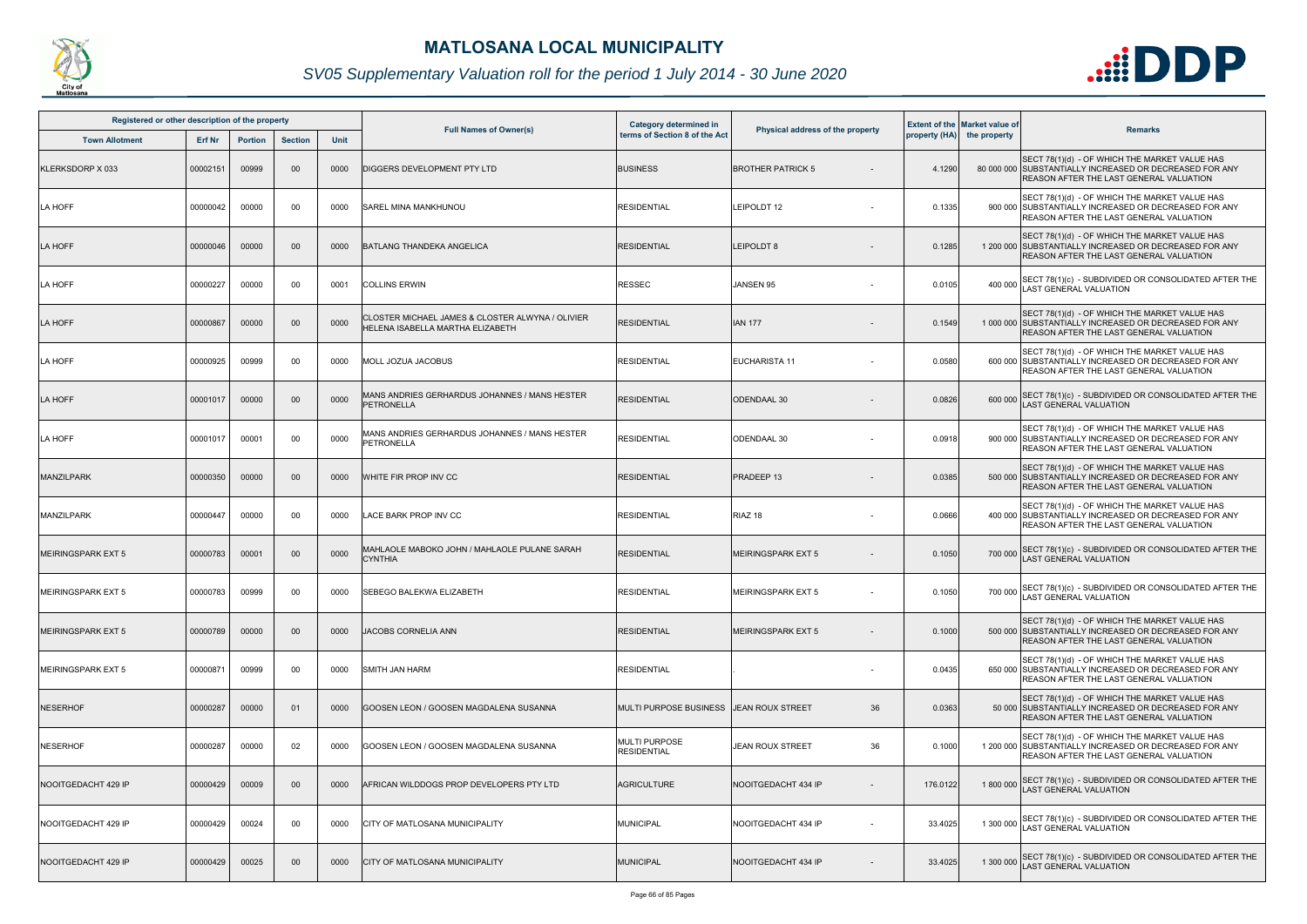

| Registered or other description of the property |               |                |                |      | <b>Full Names of Owner(s)</b>                                                        | Category determined in                     | Physical address of the property |          | <b>Extent of the Market value of</b> | <b>Remarks</b>                                                                                                                                             |
|-------------------------------------------------|---------------|----------------|----------------|------|--------------------------------------------------------------------------------------|--------------------------------------------|----------------------------------|----------|--------------------------------------|------------------------------------------------------------------------------------------------------------------------------------------------------------|
| <b>Town Allotment</b>                           | <b>Erf Nr</b> | <b>Portion</b> | <b>Section</b> | Unit |                                                                                      | terms of Section 8 of the Act              |                                  |          | property (HA) the property           |                                                                                                                                                            |
| KLERKSDORP X 033                                | 00002151      | 00999          | $00\,$         | 0000 | DIGGERS DEVELOPMENT PTY LTD                                                          | <b>BUSINESS</b>                            | <b>BROTHER PATRICK 5</b>         | 4.1290   |                                      | SECT 78(1)(d) - OF WHICH THE MARKET VALUE HAS<br>80 000 000 SUBSTANTIALLY INCREASED OR DECREASED FOR ANY<br><b>REASON AFTER THE LAST GENERAL VALUATION</b> |
| LA HOFF                                         | 00000042      | 00000          | 00             | 0000 | SAREL MINA MANKHUNOU                                                                 | <b>RESIDENTIAL</b>                         | LEIPOLDT 12                      | 0.1335   |                                      | SECT 78(1)(d) - OF WHICH THE MARKET VALUE HAS<br>900 000 SUBSTANTIALLY INCREASED OR DECREASED FOR ANY<br>REASON AFTER THE LAST GENERAL VALUATION           |
| LA HOFF                                         | 00000046      | 00000          | $00\,$         | 0000 | <b>BATLANG THANDEKA ANGELICA</b>                                                     | <b>RESIDENTIAL</b>                         | <b>LEIPOLDT 8</b>                | 0.1285   |                                      | SECT 78(1)(d) - OF WHICH THE MARKET VALUE HAS<br>1 200 000 SUBSTANTIALLY INCREASED OR DECREASED FOR ANY<br><b>REASON AFTER THE LAST GENERAL VALUATION</b>  |
| LA HOFF                                         | 00000227      | 00000          | 00             | 0001 | <b>COLLINS ERWIN</b>                                                                 | <b>RESSEC</b>                              | JANSEN 95                        | 0.0105   | 400 000                              | SECT 78(1)(c) - SUBDIVIDED OR CONSOLIDATED AFTER THE<br>LAST GENERAL VALUATION                                                                             |
| LA HOFF                                         | 00000867      | 00000          | $00\,$         | 0000 | CLOSTER MICHAEL JAMES & CLOSTER ALWYNA / OLIVIER<br>HELENA ISABELLA MARTHA ELIZABETH | <b>RESIDENTIAL</b>                         | <b>IAN 177</b>                   | 0.1549   |                                      | SECT 78(1)(d) - OF WHICH THE MARKET VALUE HAS<br>1 000 000 SUBSTANTIALLY INCREASED OR DECREASED FOR ANY<br>REASON AFTER THE LAST GENERAL VALUATION         |
| LA HOFF                                         | 00000925      | 00999          | 00             | 0000 | MOLL JOZUA JACOBUS                                                                   | <b>RESIDENTIAL</b>                         | <b>EUCHARISTA 11</b>             | 0.0580   |                                      | SECT 78(1)(d) - OF WHICH THE MARKET VALUE HAS<br>600 000 SUBSTANTIALLY INCREASED OR DECREASED FOR ANY<br>REASON AFTER THE LAST GENERAL VALUATION           |
| LA HOFF                                         | 00001017      | 00000          | $00\,$         | 0000 | MANS ANDRIES GERHARDUS JOHANNES / MANS HESTER<br><b>PETRONELLA</b>                   | <b>RESIDENTIAL</b>                         | <b>ODENDAAL 30</b>               | 0.0826   | 600 000                              | SECT 78(1)(c) - SUBDIVIDED OR CONSOLIDATED AFTER THE<br><b>LAST GENERAL VALUATION</b>                                                                      |
| LA HOFF                                         | 00001017      | 00001          | 00             | 0000 | MANS ANDRIES GERHARDUS JOHANNES / MANS HESTER<br><b>PETRONELLA</b>                   | <b>RESIDENTIAL</b>                         | <b>ODENDAAL 30</b>               | 0.0918   |                                      | SECT 78(1)(d) - OF WHICH THE MARKET VALUE HAS<br>900 000 SUBSTANTIALLY INCREASED OR DECREASED FOR ANY<br><b>REASON AFTER THE LAST GENERAL VALUATION</b>    |
| <b>MANZILPARK</b>                               | 00000350      | 00000          | $00\,$         | 0000 | WHITE FIR PROP INV CC                                                                | <b>RESIDENTIAL</b>                         | PRADEEP 13                       | 0.0385   |                                      | SECT 78(1)(d) - OF WHICH THE MARKET VALUE HAS<br>500 000 SUBSTANTIALLY INCREASED OR DECREASED FOR ANY<br><b>REASON AFTER THE LAST GENERAL VALUATION</b>    |
| <b>MANZILPARK</b>                               | 00000447      | 00000          | 00             | 0000 | LACE BARK PROP INV CC                                                                | RESIDENTIAL                                | RIAZ 18                          | 0.0666   |                                      | SECT 78(1)(d) - OF WHICH THE MARKET VALUE HAS<br>400 000 SUBSTANTIALLY INCREASED OR DECREASED FOR ANY<br>REASON AFTER THE LAST GENERAL VALUATION           |
| <b>MEIRINGSPARK EXT 5</b>                       | 00000783      | 00001          | $00\,$         | 0000 | MAHLAOLE MABOKO JOHN / MAHLAOLE PULANE SARAH<br><b>CYNTHIA</b>                       | <b>RESIDENTIAL</b>                         | <b>MEIRINGSPARK EXT 5</b>        | 0.1050   | 700 000                              | SECT 78(1)(c) - SUBDIVIDED OR CONSOLIDATED AFTER THE<br>LAST GENERAL VALUATION                                                                             |
| <b>MEIRINGSPARK EXT 5</b>                       | 00000783      | 00999          | 00             | 0000 | <b>SEBEGO BALEKWA ELIZABETH</b>                                                      | <b>RESIDENTIAL</b>                         | <b>MEIRINGSPARK EXT 5</b>        | 0.1050   |                                      | 700 000 SECT 78(1)(c) - SUBDIVIDED OR CONSOLIDATED AFTER THE<br>LAST GENERAL VALUATION                                                                     |
| <b>MEIRINGSPARK EXT 5</b>                       | 00000789      | 00000          | $00\,$         | 0000 | <b>JACOBS CORNELIA ANN</b>                                                           | RESIDENTIAL                                | <b>MEIRINGSPARK EXT 5</b>        | 0.1000   |                                      | SECT 78(1)(d) - OF WHICH THE MARKET VALUE HAS<br>500 000 SUBSTANTIALLY INCREASED OR DECREASED FOR ANY<br><b>REASON AFTER THE LAST GENERAL VALUATION</b>    |
| <b>MEIRINGSPARK EXT 5</b>                       | 00000871      | 00999          | 00             | 0000 | <b>SMITH JAN HARM</b>                                                                | <b>RESIDENTIAL</b>                         |                                  | 0.0435   |                                      | SECT 78(1)(d) - OF WHICH THE MARKET VALUE HAS<br>650 000 SUBSTANTIALLY INCREASED OR DECREASED FOR ANY<br><b>REASON AFTER THE LAST GENERAL VALUATION</b>    |
| <b>NESERHOF</b>                                 | 00000287      | 00000          | 01             | 0000 | GOOSEN LEON / GOOSEN MAGDALENA SUSANNA                                               | MULTI PURPOSE BUSINESS IJEAN ROUX STREET   | 36                               | 0.0363   |                                      | SECT 78(1)(d) - OF WHICH THE MARKET VALUE HAS<br>50 000 SUBSTANTIALLY INCREASED OR DECREASED FOR ANY<br><b>REASON AFTER THE LAST GENERAL VALUATION</b>     |
| <b>NESERHOF</b>                                 | 00000287      | 00000          | 02             | 0000 | GOOSEN LEON / GOOSEN MAGDALENA SUSANNA                                               | <b>MULTI PURPOSE</b><br><b>RESIDENTIAL</b> | 36<br><b>JEAN ROUX STREET</b>    | 0.1000   |                                      | SECT 78(1)(d) - OF WHICH THE MARKET VALUE HAS<br>1 200 000 SUBSTANTIALLY INCREASED OR DECREASED FOR ANY<br>REASON AFTER THE LAST GENERAL VALUATION         |
| NOOITGEDACHT 429 IP                             | 00000429      | 00009          | 00             | 0000 | AFRICAN WILDDOGS PROP DEVELOPERS PTY LTD                                             | <b>AGRICULTURE</b>                         | NOOITGEDACHT 434 IP              | 176.0122 | 1 800 000                            | SECT 78(1)(c) - SUBDIVIDED OR CONSOLIDATED AFTER THE<br>LAST GENERAL VALUATION                                                                             |
| NOOITGEDACHT 429 IP                             | 00000429      | 00024          | 00             | 0000 | CITY OF MATLOSANA MUNICIPALITY                                                       | <b>MUNICIPAL</b>                           | NOOITGEDACHT 434 IP              | 33.4025  | 1 300 000                            | SECT 78(1)(c) - SUBDIVIDED OR CONSOLIDATED AFTER THE<br>AST GENERAL VALUATION                                                                              |
| NOOITGEDACHT 429 IP                             | 00000429      | 00025          | $00\,$         | 0000 | CITY OF MATLOSANA MUNICIPALITY                                                       | <b>MUNICIPAL</b>                           | NOOITGEDACHT 434 IP              | 33.4025  | 1 300 000                            | SECT 78(1)(c) - SUBDIVIDED OR CONSOLIDATED AFTER THE<br>AST GENERAL VALUATION                                                                              |

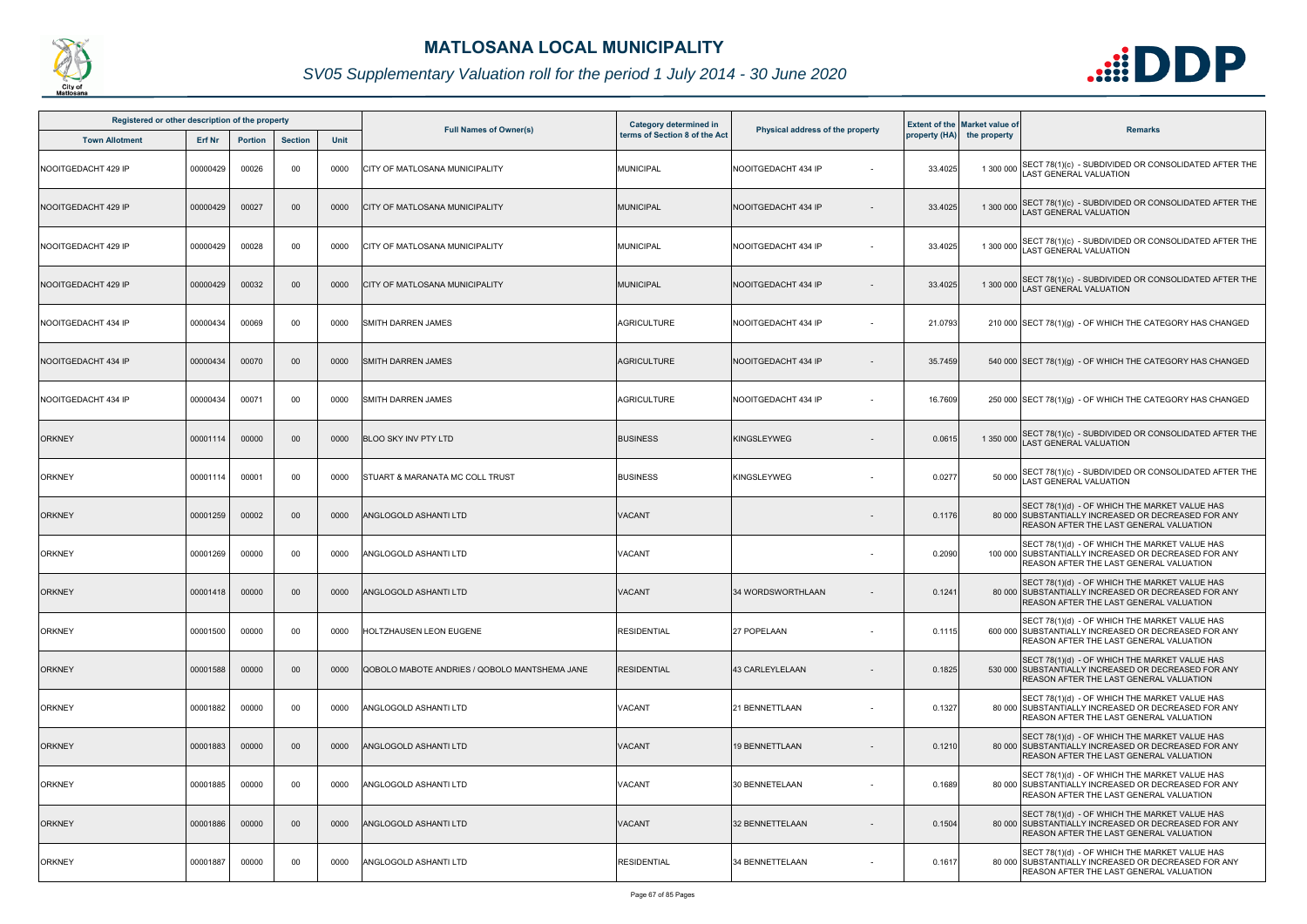

| Registered or other description of the property |          |                |                |      |                                               | Category determined in        |                                  |         | <b>Extent of the Market value of</b> |                                                                                                                                                         |
|-------------------------------------------------|----------|----------------|----------------|------|-----------------------------------------------|-------------------------------|----------------------------------|---------|--------------------------------------|---------------------------------------------------------------------------------------------------------------------------------------------------------|
| <b>Town Allotment</b>                           | Erf Nr   | <b>Portion</b> | <b>Section</b> | Unit | <b>Full Names of Owner(s)</b>                 | terms of Section 8 of the Act | Physical address of the property |         | property (HA) the property           | <b>Remarks</b>                                                                                                                                          |
| NOOITGEDACHT 429 IP                             | 00000429 | 00026          | 00             | 0000 | CITY OF MATLOSANA MUNICIPALITY                | <b>MUNICIPAL</b>              | NOOITGEDACHT 434 IP              | 33.4025 | 1 300 000                            | SECT 78(1)(c) - SUBDIVIDED OR CONSOLIDATED AFTER THE<br><b>AST GENERAL VALUATION</b>                                                                    |
| NOOITGEDACHT 429 IP                             | 00000429 | 00027          | $00\,$         | 0000 | CITY OF MATLOSANA MUNICIPALITY                | <b>MUNICIPAL</b>              | NOOITGEDACHT 434 IP              | 33.4025 | 1 300 000                            | SECT 78(1)(c) - SUBDIVIDED OR CONSOLIDATED AFTER THE<br>LAST GENERAL VALUATION                                                                          |
| NOOITGEDACHT 429 IP                             | 00000429 | 00028          | 00             | 0000 | CITY OF MATLOSANA MUNICIPALITY                | MUNICIPAL                     | NOOITGEDACHT 434 IP              | 33.4025 | 1 300 000                            | SECT 78(1)(c) - SUBDIVIDED OR CONSOLIDATED AFTER THE<br>AST GENERAL VALUATION                                                                           |
| NOOITGEDACHT 429 IP                             | 00000429 | 00032          | $00\,$         | 0000 | CITY OF MATLOSANA MUNICIPALITY                | <b>MUNICIPAL</b>              | NOOITGEDACHT 434 IP              | 33.4025 | 1 300 000                            | SECT 78(1)(c) - SUBDIVIDED OR CONSOLIDATED AFTER THE<br>AST GENERAL VALUATION                                                                           |
| NOOITGEDACHT 434 IP                             | 00000434 | 00069          | 00             | 0000 | <b>SMITH DARREN JAMES</b>                     | AGRICULTURE                   | NOOITGEDACHT 434 IP              | 21.0793 |                                      | 210 000 SECT 78(1)(g) - OF WHICH THE CATEGORY HAS CHANGED                                                                                               |
| NOOITGEDACHT 434 IP                             | 00000434 | 00070          | 00             | 0000 | <b>SMITH DARREN JAMES</b>                     | AGRICULTURE                   | NOOITGEDACHT 434 IP              | 35.7459 |                                      | 540 000 SECT 78(1)(g) - OF WHICH THE CATEGORY HAS CHANGED                                                                                               |
| NOOITGEDACHT 434 IP                             | 00000434 | 00071          | 00             | 0000 | <b>SMITH DARREN JAMES</b>                     | <b>AGRICULTURE</b>            | NOOITGEDACHT 434 IP              | 16.7609 |                                      | 250 000 SECT 78(1)(g) - OF WHICH THE CATEGORY HAS CHANGED                                                                                               |
| <b>ORKNEY</b>                                   | 00001114 | 00000          | $00\,$         | 0000 | <b>BLOO SKY INV PTY LTD</b>                   | <b>BUSINESS</b>               | <b>KINGSLEYWEG</b>               | 0.0615  | 1 350 000                            | SECT 78(1)(c) - SUBDIVIDED OR CONSOLIDATED AFTER THE<br><b>AST GENERAL VALUATION</b>                                                                    |
| <b>ORKNEY</b>                                   | 00001114 | 00001          | 00             | 0000 | STUART & MARANATA MC COLL TRUST               | <b>BUSINESS</b>               | <b>KINGSLEYWEG</b>               | 0.0277  | 50 000                               | SECT 78(1)(c) - SUBDIVIDED OR CONSOLIDATED AFTER THE<br>LAST GENERAL VALUATION                                                                          |
| <b>ORKNEY</b>                                   | 00001259 | 00002          | 00             | 0000 | <b>ANGLOGOLD ASHANTI LTD</b>                  | VACANT                        |                                  | 0.1176  |                                      | SECT 78(1)(d) - OF WHICH THE MARKET VALUE HAS<br>80 000 SUBSTANTIALLY INCREASED OR DECREASED FOR ANY<br>REASON AFTER THE LAST GENERAL VALUATION         |
| <b>ORKNEY</b>                                   | 00001269 | 00000          | 00             | 0000 | ANGLOGOLD ASHANTI LTD                         | VACANT                        |                                  | 0.2090  |                                      | SECT 78(1)(d) - OF WHICH THE MARKET VALUE HAS<br>100 000 SUBSTANTIALLY INCREASED OR DECREASED FOR ANY<br>REASON AFTER THE LAST GENERAL VALUATION        |
| <b>ORKNEY</b>                                   | 00001418 | 00000          | $00\,$         | 0000 | <b>ANGLOGOLD ASHANTI LTD</b>                  | <b>VACANT</b>                 | 34 WORDSWORTHLAAN                | 0.1241  |                                      | SECT 78(1)(d) - OF WHICH THE MARKET VALUE HAS<br>80 000 SUBSTANTIALLY INCREASED OR DECREASED FOR ANY<br><b>REASON AFTER THE LAST GENERAL VALUATION</b>  |
| <b>ORKNEY</b>                                   | 00001500 | 00000          | 00             | 0000 | HOLTZHAUSEN LEON EUGENE                       | <b>RESIDENTIAL</b>            | 27 POPELAAN                      | 0.1115  |                                      | SECT 78(1)(d) - OF WHICH THE MARKET VALUE HAS<br>600 000 SUBSTANTIALLY INCREASED OR DECREASED FOR ANY<br>REASON AFTER THE LAST GENERAL VALUATION        |
| <b>ORKNEY</b>                                   | 00001588 | 00000          | 00             | 0000 | QOBOLO MABOTE ANDRIES / QOBOLO MANTSHEMA JANE | <b>RESIDENTIAL</b>            | 43 CARLEYLELAAN                  | 0.1825  |                                      | SECT 78(1)(d) - OF WHICH THE MARKET VALUE HAS<br>530 000 SUBSTANTIALLY INCREASED OR DECREASED FOR ANY<br><b>REASON AFTER THE LAST GENERAL VALUATION</b> |
| <b>ORKNEY</b>                                   | 00001882 | 00000          | 00             | 0000 | ANGLOGOLD ASHANTI LTD                         | VACANT                        | 21 BENNETTLAAN                   | 0.1327  |                                      | SECT 78(1)(d) - OF WHICH THE MARKET VALUE HAS<br>80 000 SUBSTANTIALLY INCREASED OR DECREASED FOR ANY<br>REASON AFTER THE LAST GENERAL VALUATION         |
| <b>ORKNEY</b>                                   | 00001883 | 00000          | $00\,$         | 0000 | <b>ANGLOGOLD ASHANTI LTD</b>                  | VACANT                        | <b>19 BENNETTLAAN</b>            | 0.1210  |                                      | SECT 78(1)(d) - OF WHICH THE MARKET VALUE HAS<br>80 000 SUBSTANTIALLY INCREASED OR DECREASED FOR ANY<br>REASON AFTER THE LAST GENERAL VALUATION         |
| <b>ORKNEY</b>                                   | 00001885 | 00000          | 00             | 0000 | ANGLOGOLD ASHANTI LTD                         | VACANT                        | 30 BENNETELAAN                   | 0.1689  |                                      | SECT 78(1)(d) - OF WHICH THE MARKET VALUE HAS<br>80 000 SUBSTANTIALLY INCREASED OR DECREASED FOR ANY<br>REASON AFTER THE LAST GENERAL VALUATION         |
| <b>ORKNEY</b>                                   | 00001886 | 00000          | 00             | 0000 | ANGLOGOLD ASHANTI LTD                         | VACANT                        | 32 BENNETTELAAN                  | 0.1504  |                                      | SECT 78(1)(d) - OF WHICH THE MARKET VALUE HAS<br>80 000 SUBSTANTIALLY INCREASED OR DECREASED FOR ANY<br>REASON AFTER THE LAST GENERAL VALUATION         |
| <b>ORKNEY</b>                                   | 00001887 | 00000          | 00             | 0000 | ANGLOGOLD ASHANTI LTD                         | <b>RESIDENTIAL</b>            | 34 BENNETTELAAN                  | 0.1617  |                                      | SECT 78(1)(d) - OF WHICH THE MARKET VALUE HAS<br>80 000 SUBSTANTIALLY INCREASED OR DECREASED FOR ANY<br>REASON AFTER THE LAST GENERAL VALUATION         |

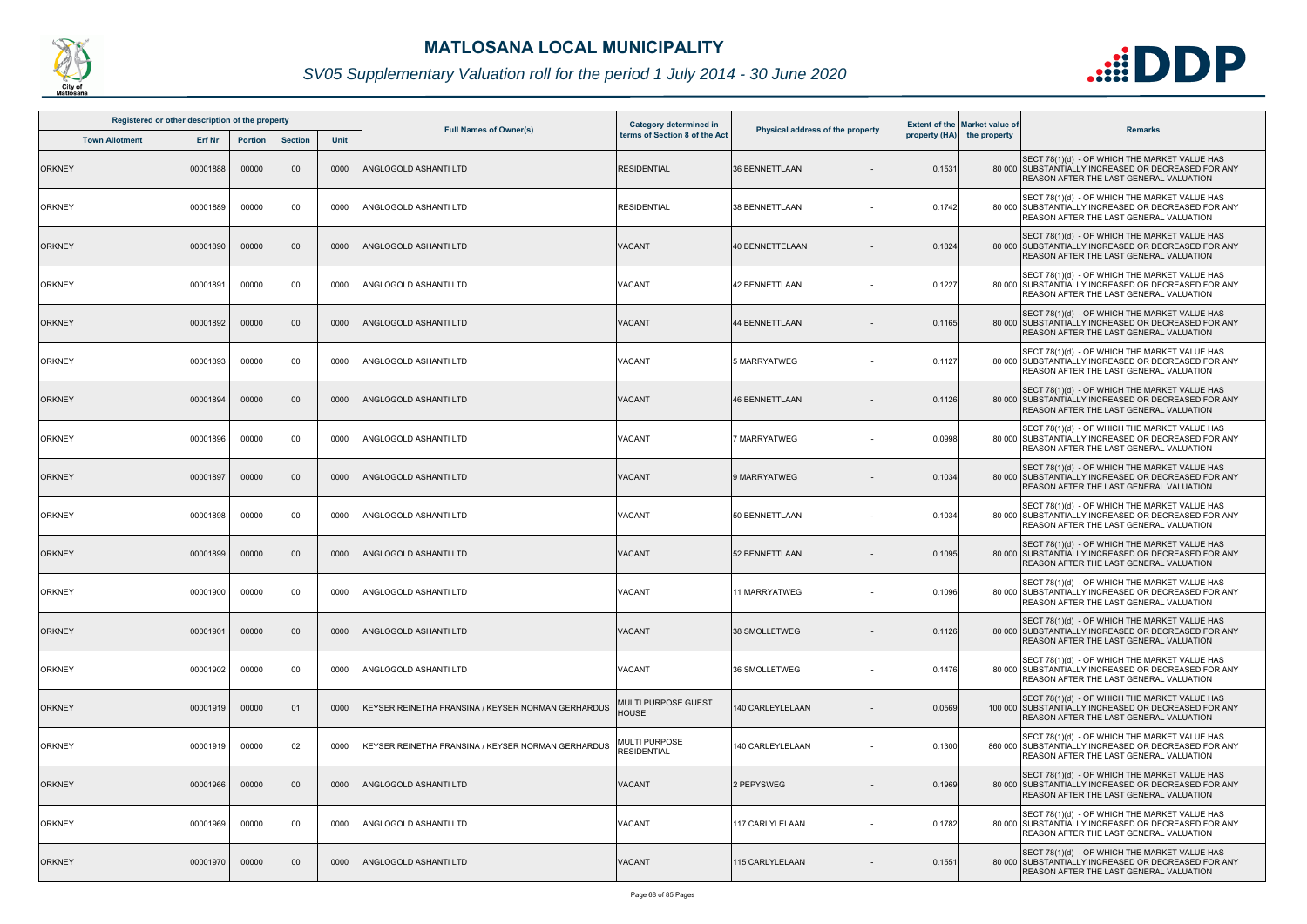

| Registered or other description of the property |               |                |                |             |                                                    | Category determined in              |                                  |        | <b>Extent of the Market value of</b> |                                                                                                                                                         |
|-------------------------------------------------|---------------|----------------|----------------|-------------|----------------------------------------------------|-------------------------------------|----------------------------------|--------|--------------------------------------|---------------------------------------------------------------------------------------------------------------------------------------------------------|
| <b>Town Allotment</b>                           | <b>Erf Nr</b> | <b>Portion</b> | <b>Section</b> | <b>Unit</b> | <b>Full Names of Owner(s)</b>                      | terms of Section 8 of the Act       | Physical address of the property |        | property (HA) the property           | <b>Remarks</b>                                                                                                                                          |
| <b>ORKNEY</b>                                   | 00001888      | 00000          | 00             | 0000        | ANGLOGOLD ASHANTI LTD                              | <b>RESIDENTIAL</b>                  | <b>36 BENNETTLAAN</b>            | 0.1531 |                                      | SECT 78(1)(d) - OF WHICH THE MARKET VALUE HAS<br>80 000 SUBSTANTIALLY INCREASED OR DECREASED FOR ANY<br><b>REASON AFTER THE LAST GENERAL VALUATION</b>  |
| <b>ORKNEY</b>                                   | 00001889      | 00000          | 00             | 0000        | ANGLOGOLD ASHANTI LTD                              | <b>RESIDENTIAL</b>                  | 38 BENNETTLAAN                   | 0.1742 |                                      | SECT 78(1)(d) - OF WHICH THE MARKET VALUE HAS<br>80 000 SUBSTANTIALLY INCREASED OR DECREASED FOR ANY<br><b>REASON AFTER THE LAST GENERAL VALUATION</b>  |
| <b>ORKNEY</b>                                   | 00001890      | 00000          | $00\,$         | 0000        | <b>ANGLOGOLD ASHANTI LTD</b>                       | VACANT                              | 40 BENNETTELAAN                  | 0.1824 |                                      | SECT 78(1)(d) - OF WHICH THE MARKET VALUE HAS<br>80 000 SUBSTANTIALLY INCREASED OR DECREASED FOR ANY<br>REASON AFTER THE LAST GENERAL VALUATION         |
| <b>ORKNEY</b>                                   | 00001891      | 00000          | 00             | 0000        | ANGLOGOLD ASHANTI LTD                              | VACANT                              | <b>42 BENNETTLAAN</b>            | 0.1227 |                                      | SECT 78(1)(d) - OF WHICH THE MARKET VALUE HAS<br>80 000 SUBSTANTIALLY INCREASED OR DECREASED FOR ANY<br>REASON AFTER THE LAST GENERAL VALUATION         |
| <b>ORKNEY</b>                                   | 00001892      | 00000          | $00\,$         | 0000        | <b>ANGLOGOLD ASHANTI LTD</b>                       | VACANT                              | 44 BENNETTLAAN                   | 0.1165 |                                      | SECT 78(1)(d) - OF WHICH THE MARKET VALUE HAS<br>80 000 SUBSTANTIALLY INCREASED OR DECREASED FOR ANY<br>REASON AFTER THE LAST GENERAL VALUATION         |
| <b>ORKNEY</b>                                   | 00001893      | 00000          | 00             | 0000        | ANGLOGOLD ASHANTI LTD                              | VACANT                              | 5 MARRYATWEG                     | 0.1127 |                                      | SECT 78(1)(d) - OF WHICH THE MARKET VALUE HAS<br>80 000 SUBSTANTIALLY INCREASED OR DECREASED FOR ANY<br>REASON AFTER THE LAST GENERAL VALUATION         |
| <b>ORKNEY</b>                                   | 00001894      | 00000          | $00\,$         | 0000        | <b>ANGLOGOLD ASHANTI LTD</b>                       | <b>VACANT</b>                       | <b>46 BENNETTLAAN</b>            | 0.1126 |                                      | SECT 78(1)(d) - OF WHICH THE MARKET VALUE HAS<br>80 000 SUBSTANTIALLY INCREASED OR DECREASED FOR ANY<br><b>REASON AFTER THE LAST GENERAL VALUATION</b>  |
| <b>ORKNEY</b>                                   | 00001896      | 00000          | 00             | 0000        | ANGLOGOLD ASHANTI LTD                              | VACANT                              | 7 MARRYATWEG                     | 0.0998 |                                      | SECT 78(1)(d) - OF WHICH THE MARKET VALUE HAS<br>80 000 SUBSTANTIALLY INCREASED OR DECREASED FOR ANY<br><b>REASON AFTER THE LAST GENERAL VALUATION</b>  |
| <b>ORKNEY</b>                                   | 00001897      | 00000          | $00\,$         | 0000        | <b>ANGLOGOLD ASHANTI LTD</b>                       | VACANT                              | 9 MARRYATWEG                     | 0.1034 |                                      | SECT 78(1)(d) - OF WHICH THE MARKET VALUE HAS<br>80 000 SUBSTANTIALLY INCREASED OR DECREASED FOR ANY<br>REASON AFTER THE LAST GENERAL VALUATION         |
| <b>ORKNEY</b>                                   | 00001898      | 00000          | 00             | 0000        | ANGLOGOLD ASHANTI LTD                              | VACANT                              | 50 BENNETTLAAN                   | 0.1034 |                                      | SECT 78(1)(d) - OF WHICH THE MARKET VALUE HAS<br>80 000 SUBSTANTIALLY INCREASED OR DECREASED FOR ANY<br><b>REASON AFTER THE LAST GENERAL VALUATION</b>  |
| <b>ORKNEY</b>                                   | 00001899      | 00000          | $00\,$         | 0000        | <b>ANGLOGOLD ASHANTI LTD</b>                       | <b>VACANT</b>                       | 52 BENNETTLAAN                   | 0.1095 |                                      | SECT 78(1)(d) - OF WHICH THE MARKET VALUE HAS<br>80 000 SUBSTANTIALLY INCREASED OR DECREASED FOR ANY<br>REASON AFTER THE LAST GENERAL VALUATION         |
| <b>ORKNEY</b>                                   | 00001900      | 00000          | 00             | 0000        | ANGLOGOLD ASHANTI LTD                              | <b>VACANT</b>                       | 11 MARRYATWEG                    | 0.1096 |                                      | SECT 78(1)(d) - OF WHICH THE MARKET VALUE HAS<br>80 000 SUBSTANTIALLY INCREASED OR DECREASED FOR ANY<br><b>REASON AFTER THE LAST GENERAL VALUATION</b>  |
| <b>ORKNEY</b>                                   | 00001901      | 00000          | $00\,$         | 0000        | ANGLOGOLD ASHANTI LTD                              | VACANT                              | 38 SMOLLETWEG                    | 0.1126 |                                      | SECT 78(1)(d) - OF WHICH THE MARKET VALUE HAS<br>80 000 SUBSTANTIALLY INCREASED OR DECREASED FOR ANY<br><b>REASON AFTER THE LAST GENERAL VALUATION</b>  |
| <b>ORKNEY</b>                                   | 00001902      | 00000          | 00             | 0000        | ANGLOGOLD ASHANTI LTD                              | VACANT                              | 36 SMOLLETWEG                    | 0.1476 |                                      | SECT 78(1)(d) - OF WHICH THE MARKET VALUE HAS<br>80 000 SUBSTANTIALLY INCREASED OR DECREASED FOR ANY<br><b>REASON AFTER THE LAST GENERAL VALUATION</b>  |
| <b>ORKNEY</b>                                   | 00001919      | 00000          | 0 <sup>1</sup> | 0000        | KEYSER REINETHA FRANSINA / KEYSER NORMAN GERHARDUS | MULTI PURPOSE GUEST<br><b>HOUSE</b> | <b>140 CARLEYLELAAN</b>          | 0.0569 |                                      | SECT 78(1)(d) - OF WHICH THE MARKET VALUE HAS<br>100 000 SUBSTANTIALLY INCREASED OR DECREASED FOR ANY<br><b>REASON AFTER THE LAST GENERAL VALUATION</b> |
| <b>ORKNEY</b>                                   | 00001919      | 00000          | 02             | 0000        | KEYSER REINETHA FRANSINA / KEYSER NORMAN GERHARDUS | MULTI PURPOSE<br><b>RESIDENTIAL</b> | 140 CARLEYLELAAN                 | 0.1300 |                                      | SECT 78(1)(d) - OF WHICH THE MARKET VALUE HAS<br>860 000 SUBSTANTIALLY INCREASED OR DECREASED FOR ANY<br>REASON AFTER THE LAST GENERAL VALUATION        |
| <b>ORKNEY</b>                                   | 00001966      | 00000          | $00\,$         | 0000        | <b>ANGLOGOLD ASHANTI LTD</b>                       | <b>VACANT</b>                       | 2 PEPYSWEG                       | 0.1969 |                                      | SECT 78(1)(d) - OF WHICH THE MARKET VALUE HAS<br>80 000 SUBSTANTIALLY INCREASED OR DECREASED FOR ANY<br><b>REASON AFTER THE LAST GENERAL VALUATION</b>  |
| <b>ORKNEY</b>                                   | 00001969      | 00000          | 00             | 0000        | ANGLOGOLD ASHANTI LTD                              | <b>VACANT</b>                       | 117 CARLYLELAAN                  | 0.1782 |                                      | SECT 78(1)(d) - OF WHICH THE MARKET VALUE HAS<br>80 000 SUBSTANTIALLY INCREASED OR DECREASED FOR ANY<br><b>REASON AFTER THE LAST GENERAL VALUATION</b>  |
| <b>ORKNEY</b>                                   | 00001970      | 00000          | $00\,$         | 0000        | ANGLOGOLD ASHANTI LTD                              | VACANT                              | 115 CARLYLELAAN                  | 0.1551 |                                      | SECT 78(1)(d) - OF WHICH THE MARKET VALUE HAS<br>80 000 SUBSTANTIALLY INCREASED OR DECREASED FOR ANY<br><b>REASON AFTER THE LAST GENERAL VALUATION</b>  |

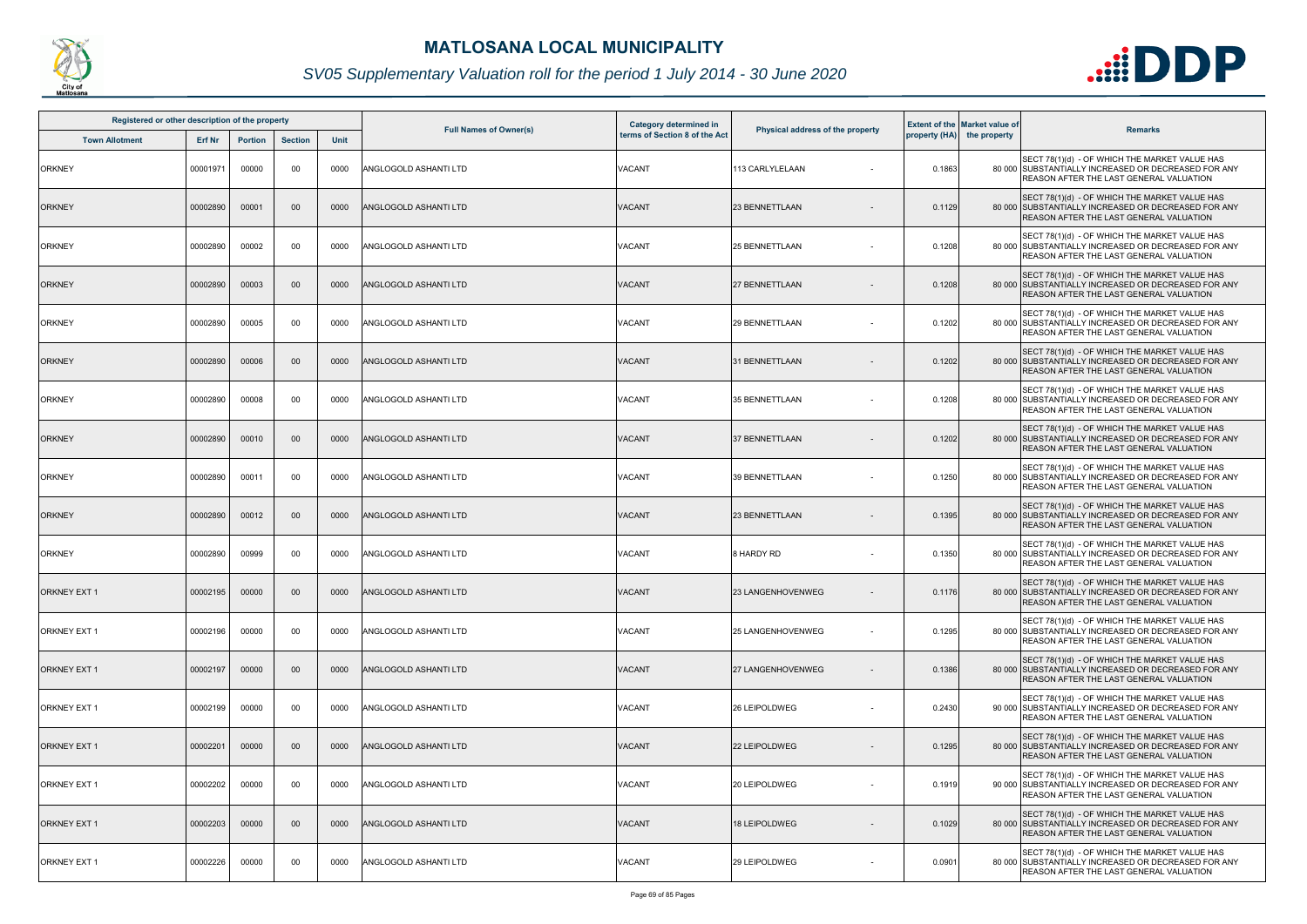

| Registered or other description of the property |               |                |                 |             |                               | Category determined in        |                                  |        | <b>Extent of the Market value of</b> |                                                                                                                                                        |
|-------------------------------------------------|---------------|----------------|-----------------|-------------|-------------------------------|-------------------------------|----------------------------------|--------|--------------------------------------|--------------------------------------------------------------------------------------------------------------------------------------------------------|
| <b>Town Allotment</b>                           | <b>Erf Nr</b> | <b>Portion</b> | <b>Section</b>  | <b>Unit</b> | <b>Full Names of Owner(s)</b> | terms of Section 8 of the Act | Physical address of the property |        | property (HA) the property           | <b>Remarks</b>                                                                                                                                         |
| <b>ORKNEY</b>                                   | 00001971      | 00000          | 00              | 0000        | ANGLOGOLD ASHANTI LTD         | VACANT                        | 113 CARLYLELAAN                  | 0.1863 |                                      | SECT 78(1)(d) - OF WHICH THE MARKET VALUE HAS<br>80 000 SUBSTANTIALLY INCREASED OR DECREASED FOR ANY<br>REASON AFTER THE LAST GENERAL VALUATION        |
| <b>ORKNEY</b>                                   | 00002890      | 00001          | 00 <sup>°</sup> | 0000        | <b>ANGLOGOLD ASHANTI LTD</b>  | <b>VACANT</b>                 | 23 BENNETTLAAN                   | 0.1129 |                                      | SECT 78(1)(d) - OF WHICH THE MARKET VALUE HAS<br>80 000 SUBSTANTIALLY INCREASED OR DECREASED FOR ANY<br>REASON AFTER THE LAST GENERAL VALUATION        |
| <b>ORKNEY</b>                                   | 00002890      | 00002          | 00              | 0000        | ANGLOGOLD ASHANTI LTD         | VACANT                        | <b>25 BENNETTLAAN</b>            | 0.1208 |                                      | SECT 78(1)(d) - OF WHICH THE MARKET VALUE HAS<br>80 000 SUBSTANTIALLY INCREASED OR DECREASED FOR ANY<br>REASON AFTER THE LAST GENERAL VALUATION        |
| <b>ORKNEY</b>                                   | 00002890      | 00003          | 00              | 0000        | <b>ANGLOGOLD ASHANTI LTD</b>  | <b>VACANT</b>                 | <b>27 BENNETTLAAN</b>            | 0.1208 |                                      | SECT 78(1)(d) - OF WHICH THE MARKET VALUE HAS<br>80 000 SUBSTANTIALLY INCREASED OR DECREASED FOR ANY<br>REASON AFTER THE LAST GENERAL VALUATION        |
| <b>ORKNEY</b>                                   | 00002890      | 00005          | 00              | 0000        | ANGLOGOLD ASHANTI LTD         | VACANT                        | 29 BENNETTLAAN                   | 0.1202 |                                      | SECT 78(1)(d) - OF WHICH THE MARKET VALUE HAS<br>80 000 SUBSTANTIALLY INCREASED OR DECREASED FOR ANY<br>REASON AFTER THE LAST GENERAL VALUATION        |
| <b>ORKNEY</b>                                   | 00002890      | 00006          | 00              | 0000        | <b>ANGLOGOLD ASHANTI LTD</b>  | VACANT                        | 31 BENNETTLAAN                   | 0.1202 |                                      | SECT 78(1)(d) - OF WHICH THE MARKET VALUE HAS<br>80 000 SUBSTANTIALLY INCREASED OR DECREASED FOR ANY<br>REASON AFTER THE LAST GENERAL VALUATION        |
| <b>ORKNEY</b>                                   | 00002890      | 00008          | 00              | 0000        | ANGLOGOLD ASHANTI LTD         | VACANT                        | 35 BENNETTLAAN                   | 0.1208 |                                      | SECT 78(1)(d) - OF WHICH THE MARKET VALUE HAS<br>80 000 SUBSTANTIALLY INCREASED OR DECREASED FOR ANY<br>REASON AFTER THE LAST GENERAL VALUATION        |
| <b>ORKNEY</b>                                   | 00002890      | 00010          | 00              | 0000        | ANGLOGOLD ASHANTI LTD         | <b>VACANT</b>                 | <b>37 BENNETTLAAN</b>            | 0.1202 |                                      | SECT 78(1)(d) - OF WHICH THE MARKET VALUE HAS<br>80 000 SUBSTANTIALLY INCREASED OR DECREASED FOR ANY<br><b>REASON AFTER THE LAST GENERAL VALUATION</b> |
| <b>ORKNEY</b>                                   | 00002890      | 00011          | 00              | 0000        | ANGLOGOLD ASHANTI LTD         | VACANT                        | 39 BENNETTLAAN                   | 0.1250 |                                      | SECT 78(1)(d) - OF WHICH THE MARKET VALUE HAS<br>80 000 SUBSTANTIALLY INCREASED OR DECREASED FOR ANY<br>REASON AFTER THE LAST GENERAL VALUATION        |
| <b>ORKNEY</b>                                   | 00002890      | 00012          | 00              | 0000        | ANGLOGOLD ASHANTI LTD         | <b>VACANT</b>                 | 23 BENNETTLAAN                   | 0.1395 |                                      | SECT 78(1)(d) - OF WHICH THE MARKET VALUE HAS<br>80 000 SUBSTANTIALLY INCREASED OR DECREASED FOR ANY<br>REASON AFTER THE LAST GENERAL VALUATION        |
| <b>ORKNEY</b>                                   | 00002890      | 00999          | 00              | 0000        | ANGLOGOLD ASHANTI LTD         | VACANT                        | 8 HARDY RD                       | 0.1350 |                                      | SECT 78(1)(d) - OF WHICH THE MARKET VALUE HAS<br>80 000 SUBSTANTIALLY INCREASED OR DECREASED FOR ANY<br>REASON AFTER THE LAST GENERAL VALUATION        |
| ORKNEY EXT 1                                    | 00002195      | 00000          | 00 <sup>°</sup> | 0000        | ANGLOGOLD ASHANTI LTD         | <b>VACANT</b>                 | 23 LANGENHOVENWEG                | 0.1176 |                                      | SECT 78(1)(d) - OF WHICH THE MARKET VALUE HAS<br>80 000 SUBSTANTIALLY INCREASED OR DECREASED FOR ANY<br><b>REASON AFTER THE LAST GENERAL VALUATION</b> |
| <b>ORKNEY EXT 1</b>                             | 00002196      | 00000          | 00              | 0000        | ANGLOGOLD ASHANTI LTD         | VACANT                        | <b>25 LANGENHOVENWEG</b>         | 0.1295 |                                      | SECT 78(1)(d) - OF WHICH THE MARKET VALUE HAS<br>80 000 SUBSTANTIALLY INCREASED OR DECREASED FOR ANY<br>REASON AFTER THE LAST GENERAL VALUATION        |
| <b>ORKNEY EXT 1</b>                             | 00002197      | 00000          | $00\,$          | 0000        | ANGLOGOLD ASHANTI LTD         | <b>VACANT</b>                 | <b>27 LANGENHOVENWEG</b>         | 0.1386 |                                      | SECT 78(1)(d) - OF WHICH THE MARKET VALUE HAS<br>80 000 SUBSTANTIALLY INCREASED OR DECREASED FOR ANY<br>REASON AFTER THE LAST GENERAL VALUATION        |
| <b>ORKNEY EXT 1</b>                             | 00002199      | 00000          | 00              | 0000        | ANGLOGOLD ASHANTI LTD         | VACANT                        | 26 LEIPOLDWEG                    | 0.2430 |                                      | SECT 78(1)(d) - OF WHICH THE MARKET VALUE HAS<br>90 000 SUBSTANTIALLY INCREASED OR DECREASED FOR ANY<br><b>REASON AFTER THE LAST GENERAL VALUATION</b> |
| <b>ORKNEY EXT 1</b>                             | 00002201      | 00000          | 00              | 0000        | ANGLOGOLD ASHANTI LTD         | VACANT                        | 22 LEIPOLDWEG                    | 0.1295 |                                      | SECT 78(1)(d) - OF WHICH THE MARKET VALUE HAS<br>80 000 SUBSTANTIALLY INCREASED OR DECREASED FOR ANY<br><b>REASON AFTER THE LAST GENERAL VALUATION</b> |
| <b>ORKNEY EXT 1</b>                             | 00002202      | 00000          | 00              | 0000        | ANGLOGOLD ASHANTI LTD         | <b>VACANT</b>                 | 20 LEIPOLDWEG                    | 0.1919 |                                      | SECT 78(1)(d) - OF WHICH THE MARKET VALUE HAS<br>90 000 SUBSTANTIALLY INCREASED OR DECREASED FOR ANY<br>REASON AFTER THE LAST GENERAL VALUATION        |
| <b>ORKNEY EXT 1</b>                             | 00002203      | 00000          | $00\,$          | 0000        | ANGLOGOLD ASHANTI LTD         | <b>VACANT</b>                 | 18 LEIPOLDWEG                    | 0.1029 |                                      | SECT 78(1)(d) - OF WHICH THE MARKET VALUE HAS<br>80 000 SUBSTANTIALLY INCREASED OR DECREASED FOR ANY<br><b>REASON AFTER THE LAST GENERAL VALUATION</b> |
| <b>ORKNEY EXT 1</b>                             | 00002226      | 00000          | 00              | 0000        | ANGLOGOLD ASHANTI LTD         | VACANT                        | 29 LEIPOLDWEG                    | 0.0901 |                                      | SECT 78(1)(d) - OF WHICH THE MARKET VALUE HAS<br>80 000 SUBSTANTIALLY INCREASED OR DECREASED FOR ANY<br><b>REASON AFTER THE LAST GENERAL VALUATION</b> |

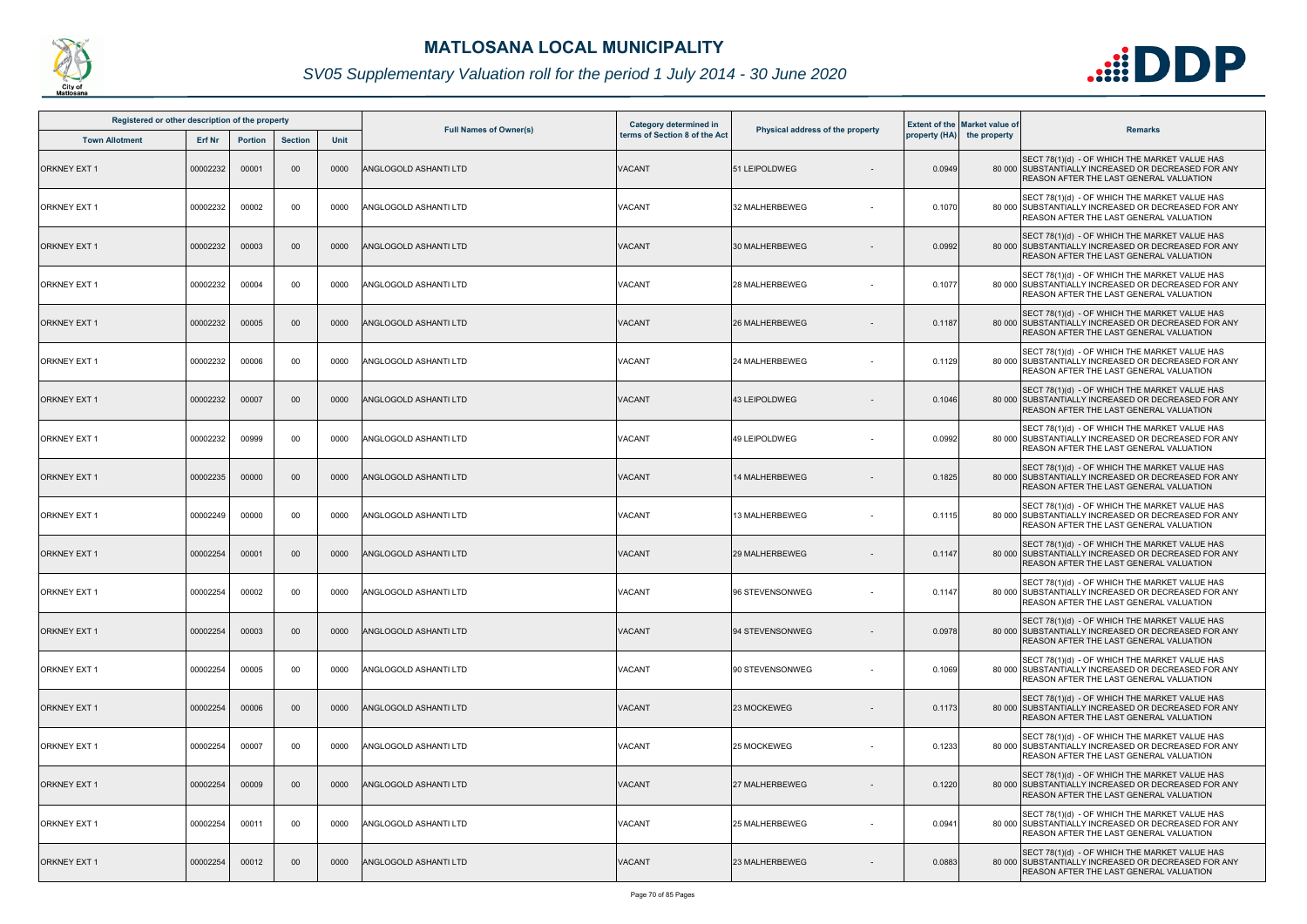

| Registered or other description of the property |               |                |                |             |                               | Category determined in        |                                  |        | <b>Extent of the Market value of</b> |                                                                                                                                                        |
|-------------------------------------------------|---------------|----------------|----------------|-------------|-------------------------------|-------------------------------|----------------------------------|--------|--------------------------------------|--------------------------------------------------------------------------------------------------------------------------------------------------------|
| <b>Town Allotment</b>                           | <b>Erf Nr</b> | <b>Portion</b> | <b>Section</b> | <b>Unit</b> | <b>Full Names of Owner(s)</b> | terms of Section 8 of the Act | Physical address of the property |        | property (HA) the property           | <b>Remarks</b>                                                                                                                                         |
| <b>ORKNEY EXT 1</b>                             | 00002232      | 00001          | 00             | 0000        | ANGLOGOLD ASHANTI LTD         | <b>VACANT</b>                 | 51 LEIPOLDWEG                    | 0.0949 |                                      | SECT 78(1)(d) - OF WHICH THE MARKET VALUE HAS<br>80 000 SUBSTANTIALLY INCREASED OR DECREASED FOR ANY<br>REASON AFTER THE LAST GENERAL VALUATION        |
| <b>ORKNEY EXT 1</b>                             | 00002232      | 00002          | 00             | 0000        | ANGLOGOLD ASHANTI LTD         | VACANT                        | 32 MALHERBEWEG                   | 0.1070 |                                      | SECT 78(1)(d) - OF WHICH THE MARKET VALUE HAS<br>80 000 SUBSTANTIALLY INCREASED OR DECREASED FOR ANY<br>REASON AFTER THE LAST GENERAL VALUATION        |
| <b>ORKNEY EXT 1</b>                             | 00002232      | 00003          | $00\,$         | 0000        | <b>ANGLOGOLD ASHANTI LTD</b>  | <b>VACANT</b>                 | 30 MALHERBEWEG                   | 0.0992 |                                      | SECT 78(1)(d) - OF WHICH THE MARKET VALUE HAS<br>80 000 SUBSTANTIALLY INCREASED OR DECREASED FOR ANY<br>REASON AFTER THE LAST GENERAL VALUATION        |
| <b>ORKNEY EXT 1</b>                             | 00002232      | 00004          | 00             | 0000        | ANGLOGOLD ASHANTI LTD         | VACANT                        | 28 MALHERBEWEG                   | 0.1077 |                                      | SECT 78(1)(d) - OF WHICH THE MARKET VALUE HAS<br>80 000 SUBSTANTIALLY INCREASED OR DECREASED FOR ANY<br>REASON AFTER THE LAST GENERAL VALUATION        |
| <b>ORKNEY EXT 1</b>                             | 00002232      | 00005          | 00             | 0000        | <b>ANGLOGOLD ASHANTI LTD</b>  | VACANT                        | 26 MALHERBEWEG                   | 0.1187 |                                      | SECT 78(1)(d) - OF WHICH THE MARKET VALUE HAS<br>80 000 SUBSTANTIALLY INCREASED OR DECREASED FOR ANY<br>REASON AFTER THE LAST GENERAL VALUATION        |
| <b>ORKNEY EXT 1</b>                             | 00002232      | 00006          | 00             | 0000        | ANGLOGOLD ASHANTI LTD         | VACANT                        | <b>24 MALHERBEWEG</b>            | 0.1129 |                                      | SECT 78(1)(d) - OF WHICH THE MARKET VALUE HAS<br>80 000 SUBSTANTIALLY INCREASED OR DECREASED FOR ANY<br><b>REASON AFTER THE LAST GENERAL VALUATION</b> |
| <b>ORKNEY EXT 1</b>                             | 00002232      | 00007          | $00\,$         | 0000        | <b>ANGLOGOLD ASHANTI LTD</b>  | <b>VACANT</b>                 | 43 LEIPOLDWEG                    | 0.1046 |                                      | SECT 78(1)(d) - OF WHICH THE MARKET VALUE HAS<br>80 000 SUBSTANTIALLY INCREASED OR DECREASED FOR ANY<br>REASON AFTER THE LAST GENERAL VALUATION        |
| <b>ORKNEY EXT 1</b>                             | 00002232      | 00999          | 00             | 0000        | ANGLOGOLD ASHANTI LTD         | VACANT                        | 49 LEIPOLDWEG                    | 0.0992 |                                      | SECT 78(1)(d) - OF WHICH THE MARKET VALUE HAS<br>80 000 SUBSTANTIALLY INCREASED OR DECREASED FOR ANY<br>REASON AFTER THE LAST GENERAL VALUATION        |
| <b>ORKNEY EXT 1</b>                             | 00002235      | 00000          | 00             | 0000        | ANGLOGOLD ASHANTI LTD         | <b>VACANT</b>                 | 14 MALHERBEWEG                   | 0.1825 |                                      | SECT 78(1)(d) - OF WHICH THE MARKET VALUE HAS<br>80 000 SUBSTANTIALLY INCREASED OR DECREASED FOR ANY<br>REASON AFTER THE LAST GENERAL VALUATION        |
| <b>ORKNEY EXT 1</b>                             | 00002249      | 00000          | 00             | 0000        | ANGLOGOLD ASHANTI LTD         | VACANT                        | 13 MALHERBEWEG                   | 0.1115 |                                      | SECT 78(1)(d) - OF WHICH THE MARKET VALUE HAS<br>80 000 SUBSTANTIALLY INCREASED OR DECREASED FOR ANY<br>REASON AFTER THE LAST GENERAL VALUATION        |
| <b>ORKNEY EXT 1</b>                             | 00002254      | 00001          | 00             | 0000        | ANGLOGOLD ASHANTI LTD         | <b>VACANT</b>                 | 29 MALHERBEWEG                   | 0.1147 |                                      | SECT 78(1)(d) - OF WHICH THE MARKET VALUE HAS<br>80 000 SUBSTANTIALLY INCREASED OR DECREASED FOR ANY<br>REASON AFTER THE LAST GENERAL VALUATION        |
| <b>ORKNEY EXT 1</b>                             | 00002254      | 00002          | 00             | 0000        | ANGLOGOLD ASHANTI LTD         | <b>VACANT</b>                 | 96 STEVENSONWEG                  | 0.1147 |                                      | SECT 78(1)(d) - OF WHICH THE MARKET VALUE HAS<br>80 000 SUBSTANTIALLY INCREASED OR DECREASED FOR ANY<br><b>REASON AFTER THE LAST GENERAL VALUATION</b> |
| <b>ORKNEY EXT 1</b>                             | 00002254      | 00003          | $00\,$         | 0000        | ANGLOGOLD ASHANTI LTD         | <b>VACANT</b>                 | 94 STEVENSONWEG                  | 0.0978 |                                      | SECT 78(1)(d) - OF WHICH THE MARKET VALUE HAS<br>80 000 SUBSTANTIALLY INCREASED OR DECREASED FOR ANY<br>REASON AFTER THE LAST GENERAL VALUATION        |
| <b>ORKNEY EXT 1</b>                             | 00002254      | 00005          | 00             | 0000        | ANGLOGOLD ASHANTI LTD         | <b>VACANT</b>                 | 90 STEVENSONWEG                  | 0.1069 |                                      | SECT 78(1)(d) - OF WHICH THE MARKET VALUE HAS<br>80 000 SUBSTANTIALLY INCREASED OR DECREASED FOR ANY<br>REASON AFTER THE LAST GENERAL VALUATION        |
| <b>ORKNEY EXT 1</b>                             | 00002254      | 00006          | $00\,$         | 0000        | ANGLOGOLD ASHANTI LTD         | <b>VACANT</b>                 | 23 MOCKEWEG                      | 0.1173 |                                      | SECT 78(1)(d) - OF WHICH THE MARKET VALUE HAS<br>80 000 SUBSTANTIALLY INCREASED OR DECREASED FOR ANY<br><b>REASON AFTER THE LAST GENERAL VALUATION</b> |
| <b>ORKNEY EXT 1</b>                             | 00002254      | 00007          | 00             | 0000        | ANGLOGOLD ASHANTI LTD         | VACANT                        | 25 MOCKEWEG                      | 0.1233 |                                      | SECT 78(1)(d) - OF WHICH THE MARKET VALUE HAS<br>80 000 SUBSTANTIALLY INCREASED OR DECREASED FOR ANY<br>REASON AFTER THE LAST GENERAL VALUATION        |
| <b>ORKNEY EXT 1</b>                             | 00002254      | 00009          | $00\,$         | 0000        | ANGLOGOLD ASHANTI LTD         | <b>VACANT</b>                 | 27 MALHERBEWEG                   | 0.1220 |                                      | SECT 78(1)(d) - OF WHICH THE MARKET VALUE HAS<br>80 000 SUBSTANTIALLY INCREASED OR DECREASED FOR ANY<br>REASON AFTER THE LAST GENERAL VALUATION        |
| <b>ORKNEY EXT 1</b>                             | 00002254      | 00011          | 00             | 0000        | ANGLOGOLD ASHANTI LTD         | <b>VACANT</b>                 | 25 MALHERBEWEG                   | 0.0941 |                                      | SECT 78(1)(d) - OF WHICH THE MARKET VALUE HAS<br>80 000 SUBSTANTIALLY INCREASED OR DECREASED FOR ANY<br>REASON AFTER THE LAST GENERAL VALUATION        |
| <b>ORKNEY EXT 1</b>                             | 00002254      | 00012          | 00             | 0000        | ANGLOGOLD ASHANTI LTD         | VACANT                        | 23 MALHERBEWEG                   | 0.0883 |                                      | SECT 78(1)(d) - OF WHICH THE MARKET VALUE HAS<br>80 000 SUBSTANTIALLY INCREASED OR DECREASED FOR ANY<br><b>REASON AFTER THE LAST GENERAL VALUATION</b> |

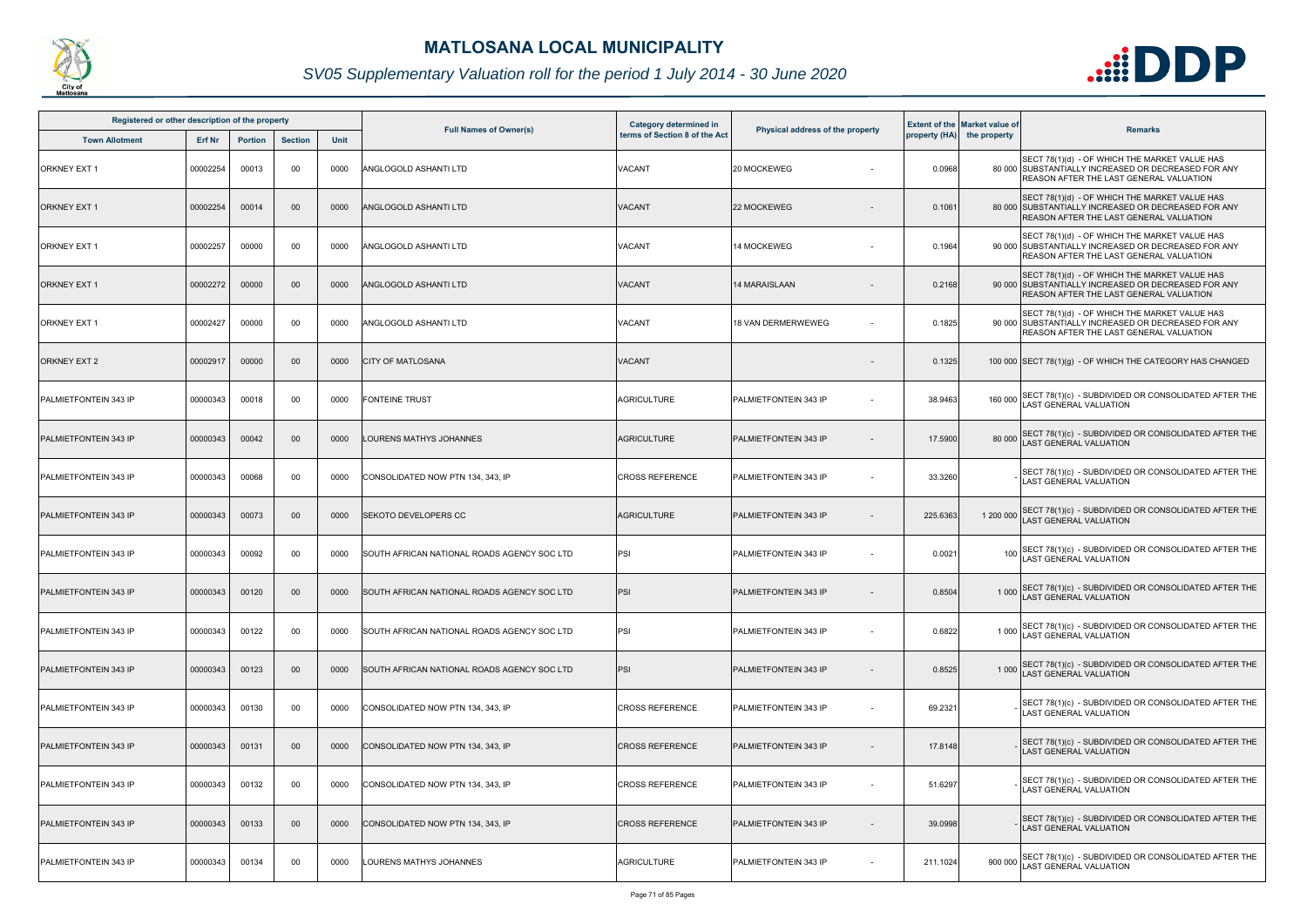

| Registered or other description of the property |          |                |                |      |                                                     | <b>Category determined in</b> |                                  |          | <b>Extent of the Market value of</b> |                                                                                                                                                        |
|-------------------------------------------------|----------|----------------|----------------|------|-----------------------------------------------------|-------------------------------|----------------------------------|----------|--------------------------------------|--------------------------------------------------------------------------------------------------------------------------------------------------------|
| <b>Town Allotment</b>                           | Erf Nr   | <b>Portion</b> | <b>Section</b> | Unit | <b>Full Names of Owner(s)</b>                       | terms of Section 8 of the Act | Physical address of the property |          | property (HA) the property           | <b>Remarks</b>                                                                                                                                         |
| <b>ORKNEY EXT 1</b>                             | 00002254 | 00013          | 00             | 0000 | <b>ANGLOGOLD ASHANTI LTD</b>                        | VACANT                        | 20 MOCKEWEG                      | 0.0968   |                                      | SECT 78(1)(d) - OF WHICH THE MARKET VALUE HAS<br>80 000 SUBSTANTIALLY INCREASED OR DECREASED FOR ANY<br><b>REASON AFTER THE LAST GENERAL VALUATION</b> |
| <b>ORKNEY EXT 1</b>                             | 00002254 | 00014          | $00\,$         | 0000 | ANGLOGOLD ASHANTI LTD                               | VACANT                        | 22 MOCKEWEG                      | 0.1061   |                                      | SECT 78(1)(d) - OF WHICH THE MARKET VALUE HAS<br>80 000 SUBSTANTIALLY INCREASED OR DECREASED FOR ANY<br>REASON AFTER THE LAST GENERAL VALUATION        |
| <b>ORKNEY EXT 1</b>                             | 00002257 | 00000          | 00             | 0000 | ANGLOGOLD ASHANTI LTD                               | VACANT                        | 14 MOCKEWEG                      | 0.1964   |                                      | SECT 78(1)(d) - OF WHICH THE MARKET VALUE HAS<br>90 000 SUBSTANTIALLY INCREASED OR DECREASED FOR ANY<br>REASON AFTER THE LAST GENERAL VALUATION        |
| ORKNEY EXT 1                                    | 00002272 | 00000          | 00             | 0000 | ANGLOGOLD ASHANTI LTD                               | <b>VACANT</b>                 | 14 MARAISLAAN                    | 0.2168   |                                      | SECT 78(1)(d) - OF WHICH THE MARKET VALUE HAS<br>90 000 SUBSTANTIALLY INCREASED OR DECREASED FOR ANY<br><b>REASON AFTER THE LAST GENERAL VALUATION</b> |
| <b>ORKNEY EXT 1</b>                             | 00002427 | 00000          | 00             | 0000 | ANGLOGOLD ASHANTI LTD                               | VACANT                        | <b>18 VAN DERMERWEWEG</b>        | 0.1825   |                                      | SECT 78(1)(d) - OF WHICH THE MARKET VALUE HAS<br>90 000 SUBSTANTIALLY INCREASED OR DECREASED FOR ANY<br><b>REASON AFTER THE LAST GENERAL VALUATION</b> |
| <b>ORKNEY EXT 2</b>                             | 00002917 | 00000          | 00             | 0000 | <b>CITY OF MATLOSANA</b>                            | <b>VACANT</b>                 |                                  | 0.1325   |                                      | 100 000 SECT 78(1)(g) - OF WHICH THE CATEGORY HAS CHANGED                                                                                              |
| PALMIETFONTEIN 343 IP                           | 00000343 | 00018          | 00             | 0000 | <b>FONTEINE TRUST</b>                               | <b>AGRICULTURE</b>            | <b>IPALMIETFONTEIN 343 IP</b>    | 38.9463  |                                      | 160 000 SECT 78(1)(c) - SUBDIVIDED OR CONSOLIDATED AFTER THE<br><b>LAST GENERAL VALUATION</b>                                                          |
| PALMIETFONTEIN 343 IP                           | 00000343 | 00042          | $00\,$         | 0000 | LOURENS MATHYS JOHANNES                             | <b>AGRICULTURE</b>            | PALMIETFONTEIN 343 IP            | 17.5900  |                                      | 80 000 SECT 78(1)(c) - SUBDIVIDED OR CONSOLIDATED AFTER THE<br>AST GENERAL VALUATION                                                                   |
| PALMIETFONTEIN 343 IP                           | 00000343 | 00068          | 00             | 0000 | CONSOLIDATED NOW PTN 134, 343, IP                   | <b>CROSS REFERENCE</b>        | PALMIETFONTEIN 343 IP            | 33.3260  |                                      | SECT 78(1)(c) - SUBDIVIDED OR CONSOLIDATED AFTER THE<br><b>LAST GENERAL VALUATION</b>                                                                  |
| PALMIETFONTEIN 343 IP                           | 00000343 | 00073          | 00             | 0000 | <b>SEKOTO DEVELOPERS CC</b>                         | <b>AGRICULTURE</b>            | PALMIETFONTEIN 343 IP            | 225.6363 |                                      | 1 200 000 SECT 78(1)(c) - SUBDIVIDED OR CONSOLIDATED AFTER THE<br>LAST GENERAL VALUATION                                                               |
| PALMIETFONTEIN 343 IP                           | 00000343 | 00092          | 00             | 0000 | SOUTH AFRICAN NATIONAL ROADS AGENCY SOC LTD         | PSI                           | PALMIETFONTEIN 343 IP            | 0.0021   |                                      | SECT 78(1)(c) - SUBDIVIDED OR CONSOLIDATED AFTER THE LAST GENERAL VALUATION                                                                            |
| PALMIETFONTEIN 343 IP                           | 00000343 | 00120          | $00\,$         | 0000 | <b>ISOUTH AFRICAN NATIONAL ROADS AGENCY SOC LTD</b> | PSI                           | PALMIETFONTEIN 343 IP            | 0.8504   |                                      | 1 000 SECT 78(1)(c) - SUBDIVIDED OR CONSOLIDATED AFTER THE<br>LAST GENERAL VALUATION                                                                   |
| PALMIETFONTEIN 343 IP                           | 00000343 | 00122          | 00             | 0000 | <b>ISOUTH AFRICAN NATIONAL ROADS AGENCY SOC LTD</b> | PSI                           | PALMIETFONTEIN 343 IP            | 0.6822   |                                      | 1 000 SECT 78(1)(c) - SUBDIVIDED OR CONSOLIDATED AFTER THE<br><b>LAST GENERAL VALUATION</b>                                                            |
| PALMIETFONTEIN 343 IP                           | 00000343 | 00123          | 00             | 0000 | SOUTH AFRICAN NATIONAL ROADS AGENCY SOC LTD         | PSI                           | PALMIETFONTEIN 343 IP            | 0.8525   |                                      | 1 000 SECT 78(1)(c) - SUBDIVIDED OR CONSOLIDATED AFTER THE<br>LAST GENERAL VALUATION                                                                   |
| PALMIETFONTEIN 343 IP                           | 00000343 | 00130          | 00             | 0000 | CONSOLIDATED NOW PTN 134, 343, IP                   | <b>CROSS REFERENCE</b>        | PALMIETFONTEIN 343 IP<br>$\sim$  | 69.2321  |                                      | SECT 78(1)(c) - SUBDIVIDED OR CONSOLIDATED AFTER THE<br><b>LAST GENERAL VALUATION</b>                                                                  |
| PALMIETFONTEIN 343 IP                           | 00000343 | 00131          | 00             | 0000 | CONSOLIDATED NOW PTN 134, 343, IP                   | <b>CROSS REFERENCE</b>        | PALMIETFONTEIN 343 IP            | 17.8148  |                                      | SECT 78(1)(c) - SUBDIVIDED OR CONSOLIDATED AFTER THE<br><b>LAST GENERAL VALUATION</b>                                                                  |
| PALMIETFONTEIN 343 IP                           | 00000343 | 00132          | 00             | 0000 | CONSOLIDATED NOW PTN 134, 343, IP                   | <b>CROSS REFERENCE</b>        | PALMIETFONTEIN 343 IP            | 51.6297  |                                      | SECT 78(1)(c) - SUBDIVIDED OR CONSOLIDATED AFTER THE<br>LAST GENERAL VALUATION                                                                         |
| PALMIETFONTEIN 343 IP                           | 00000343 | 00133          | 00             | 0000 | CONSOLIDATED NOW PTN 134, 343, IP                   | <b>CROSS REFERENCE</b>        | PALMIETFONTEIN 343 IP            | 39.0998  |                                      | SECT 78(1)(c) - SUBDIVIDED OR CONSOLIDATED AFTER THE<br><b>LAST GENERAL VALUATION</b>                                                                  |
| PALMIETFONTEIN 343 IP                           | 00000343 | 00134          | 00             | 0000 | LOURENS MATHYS JOHANNES                             | <b>AGRICULTURE</b>            | PALMIETFONTEIN 343 IP            | 211.1024 |                                      | 900 000 SECT 78(1)(c) - SUBDIVIDED OR CONSOLIDATED AFTER THE<br>LAST GENERAL VALUATION                                                                 |

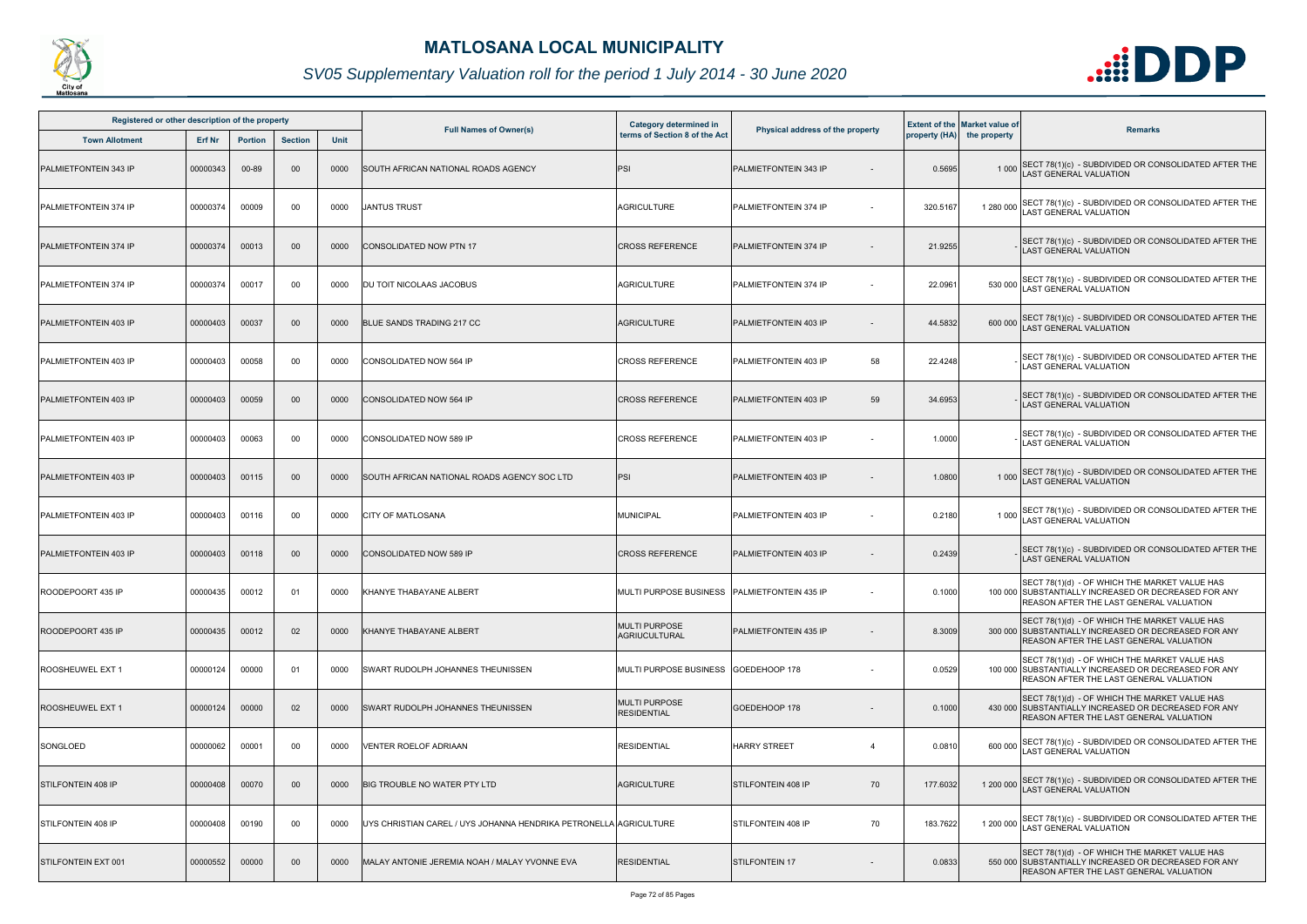

| Registered or other description of the property |          |                |                |      |                                                                   | <b>Category determined in</b>                  |                                  |          | <b>Extent of the Market value of</b> |                                                                                                                                                         |
|-------------------------------------------------|----------|----------------|----------------|------|-------------------------------------------------------------------|------------------------------------------------|----------------------------------|----------|--------------------------------------|---------------------------------------------------------------------------------------------------------------------------------------------------------|
| <b>Town Allotment</b>                           | Erf Nr   | <b>Portion</b> | <b>Section</b> | Unit | <b>Full Names of Owner(s)</b>                                     | terms of Section 8 of the Act                  | Physical address of the property |          | property (HA) the property           | <b>Remarks</b>                                                                                                                                          |
| PALMIETFONTEIN 343 IP                           | 00000343 | 00-89          | $00\,$         | 0000 | SOUTH AFRICAN NATIONAL ROADS AGENCY                               | PSI                                            | PALMIETFONTEIN 343 IP            | 0.5695   |                                      | 1 000 SECT 78(1)(c) - SUBDIVIDED OR CONSOLIDATED AFTER THE LAST GENERAL VALUATION                                                                       |
| PALMIETFONTEIN 374 IP                           | 00000374 | 00009          | 00             | 0000 | <b>JANTUS TRUST</b>                                               | <b>AGRICULTURE</b>                             | <b>PALMIETFONTEIN 374 IP</b>     | 320.5167 |                                      | 1 280 000 SECT 78(1)(c) - SUBDIVIDED OR CONSOLIDATED AFTER THE<br>LAST GENERAL VALUATION                                                                |
| PALMIETFONTEIN 374 IP                           | 00000374 | 00013          | $00\,$         | 0000 | CONSOLIDATED NOW PTN 17                                           | <b>CROSS REFERENCE</b>                         | <b>PALMIETFONTEIN 374 IP</b>     | 21.9255  |                                      | SECT 78(1)(c) - SUBDIVIDED OR CONSOLIDATED AFTER THE<br><b>LAST GENERAL VALUATION</b>                                                                   |
| PALMIETFONTEIN 374 IP                           | 00000374 | 00017          | 00             | 0000 | DU TOIT NICOLAAS JACOBUS                                          | <b>AGRICULTURE</b>                             | <b>PALMIETFONTEIN 374 IP</b>     | 22.0961  |                                      | 530 000 SECT 78(1)(c) - SUBDIVIDED OR CONSOLIDATED AFTER THE<br>LAST GENERAL VALUATION                                                                  |
| PALMIETFONTEIN 403 IP                           | 00000403 | 00037          | $00\,$         | 0000 | BLUE SANDS TRADING 217 CC                                         | <b>AGRICULTURE</b>                             | PALMIETFONTEIN 403 IP            | 44.5832  |                                      | 600 000 SECT 78(1)(c) - SUBDIVIDED OR CONSOLIDATED AFTER THE<br>LAST GENERAL VALUATION                                                                  |
| <b>PALMIETFONTEIN 403 IP</b>                    | 00000403 | 00058          | 00             | 0000 | CONSOLIDATED NOW 564 IP                                           | <b>CROSS REFERENCE</b>                         | 58<br>PALMIETFONTEIN 403 IP      | 22.4248  |                                      | SECT 78(1)(c) - SUBDIVIDED OR CONSOLIDATED AFTER THE<br>LAST GENERAL VALUATION                                                                          |
| PALMIETFONTEIN 403 IP                           | 00000403 | 00059          | $00\,$         | 0000 | CONSOLIDATED NOW 564 IP                                           | <b>CROSS REFERENCE</b>                         | 59<br>PALMIETFONTEIN 403 IP      | 34.6953  |                                      | SECT 78(1)(c) - SUBDIVIDED OR CONSOLIDATED AFTER THE<br>AST GENERAL VALUATION.                                                                          |
| PALMIETFONTEIN 403 IP                           | 00000403 | 00063          | 00             | 0000 | <b>CONSOLIDATED NOW 589 IP</b>                                    | <b>CROSS REFERENCE</b>                         | PALMIETFONTEIN 403 IP            | 1.0000   |                                      | SECT 78(1)(c) - SUBDIVIDED OR CONSOLIDATED AFTER THE<br><b>AST GENERAL VALUATION</b>                                                                    |
| PALMIETFONTEIN 403 IP                           | 00000403 | 00115          | $00\,$         | 0000 | SOUTH AFRICAN NATIONAL ROADS AGENCY SOC LTD                       | PSI                                            | PALMIETFONTEIN 403 IP            | 1.0800   |                                      | 1 000 SECT 78(1)(c) - SUBDIVIDED OR CONSOLIDATED AFTER THE LAST GENERAL VALUATION                                                                       |
| PALMIETFONTEIN 403 IP                           | 00000403 | 00116          | 00             | 0000 | <b>CITY OF MATLOSANA</b>                                          | <b>MUNICIPAL</b>                               | PALMIETFONTEIN 403 IP            | 0.2180   |                                      | 1 000 SECT 78(1)(c) - SUBDIVIDED OR CONSOLIDATED AFTER THE<br>LAST GENERAL VALUATION                                                                    |
| PALMIETFONTEIN 403 IP                           | 00000403 | 00118          | $00\,$         | 0000 | <b>CONSOLIDATED NOW 589 IP</b>                                    | <b>CROSS REFERENCE</b>                         | PALMIETFONTEIN 403 IP            | 0.2439   |                                      | SECT 78(1)(c) - SUBDIVIDED OR CONSOLIDATED AFTER THE<br><b>LAST GENERAL VALUATION</b>                                                                   |
| ROODEPOORT 435 IP                               | 00000435 | 00012          | 01             | 0000 | KHANYE THABAYANE ALBERT                                           | MULTI PURPOSE BUSINESS   PALMIETFONTEIN 435 IP |                                  | 0.1000   |                                      | SECT 78(1)(d) - OF WHICH THE MARKET VALUE HAS<br>100 000 SUBSTANTIALLY INCREASED OR DECREASED FOR ANY<br>REASON AFTER THE LAST GENERAL VALUATION        |
| ROODEPOORT 435 IP                               | 00000435 | 00012          | 02             | 0000 | KHANYE THABAYANE ALBERT                                           | <b>MULTI PURPOSE</b><br><b>AGRIUCULTURAL</b>   | <b>PALMIETFONTEIN 435 IP</b>     | 8.3009   |                                      | SECT 78(1)(d) - OF WHICH THE MARKET VALUE HAS<br>300 000 SUBSTANTIALLY INCREASED OR DECREASED FOR ANY<br><b>REASON AFTER THE LAST GENERAL VALUATION</b> |
| ROOSHEUWEL EXT 1                                | 00000124 | 00000          | 0 <sup>1</sup> | 0000 | SWART RUDOLPH JOHANNES THEUNISSEN                                 | MULTI PURPOSE BUSINESS GOEDEHOOP 178           |                                  | 0.0529   |                                      | SECT 78(1)(d) - OF WHICH THE MARKET VALUE HAS<br>100 000 SUBSTANTIALLY INCREASED OR DECREASED FOR ANY<br><b>REASON AFTER THE LAST GENERAL VALUATION</b> |
| ROOSHEUWEL EXT 1                                | 00000124 | 00000          | 02             | 0000 | SWART RUDOLPH JOHANNES THEUNISSEN                                 | <b>MULTI PURPOSE</b><br><b>RESIDENTIAL</b>     | GOEDEHOOP 178                    | 0.1000   |                                      | SECT 78(1)(d) - OF WHICH THE MARKET VALUE HAS<br>430 000 SUBSTANTIALLY INCREASED OR DECREASED FOR ANY<br><b>REASON AFTER THE LAST GENERAL VALUATION</b> |
| SONGLOED                                        | 00000062 | 00001          | 00             | 0000 | VENTER ROELOF ADRIAAN                                             | <b>RESIDENTIAL</b>                             | <b>HARRY STREET</b><br>4         | 0.0810   | 600 000                              | SECT 78(1)(c) - SUBDIVIDED OR CONSOLIDATED AFTER THE<br>LAST GENERAL VALUATION                                                                          |
| <b>STILFONTEIN 408 IP</b>                       | 00000408 | 00070          | $00\,$         | 0000 | <b>BIG TROUBLE NO WATER PTY LTD</b>                               | <b>AGRICULTURE</b>                             | 70<br><b>STILFONTEIN 408 IP</b>  | 177.6032 |                                      | 1 200 000 SECT 78(1)(c) - SUBDIVIDED OR CONSOLIDATED AFTER THE<br>LAST GENERAL VALUATION                                                                |
| STILFONTEIN 408 IP                              | 00000408 | 00190          | 00             | 0000 | UYS CHRISTIAN CAREL / UYS JOHANNA HENDRIKA PETRONELLA AGRICULTURE |                                                | 70<br>STILFONTEIN 408 IP         | 183.7622 |                                      | 1 200 000 SECT 78(1)(c) - SUBDIVIDED OR CONSOLIDATED AFTER THE<br><b>LAST GENERAL VALUATION</b>                                                         |
| STILFONTEIN EXT 001                             | 00000552 | 00000          | $00\,$         | 0000 | MALAY ANTONIE JEREMIA NOAH / MALAY YVONNE EVA                     | <b>RESIDENTIAL</b>                             | <b>STILFONTEIN 17</b>            | 0.0833   |                                      | SECT 78(1)(d) - OF WHICH THE MARKET VALUE HAS<br>550 000 SUBSTANTIALLY INCREASED OR DECREASED FOR ANY<br>REASON AFTER THE LAST GENERAL VALUATION        |

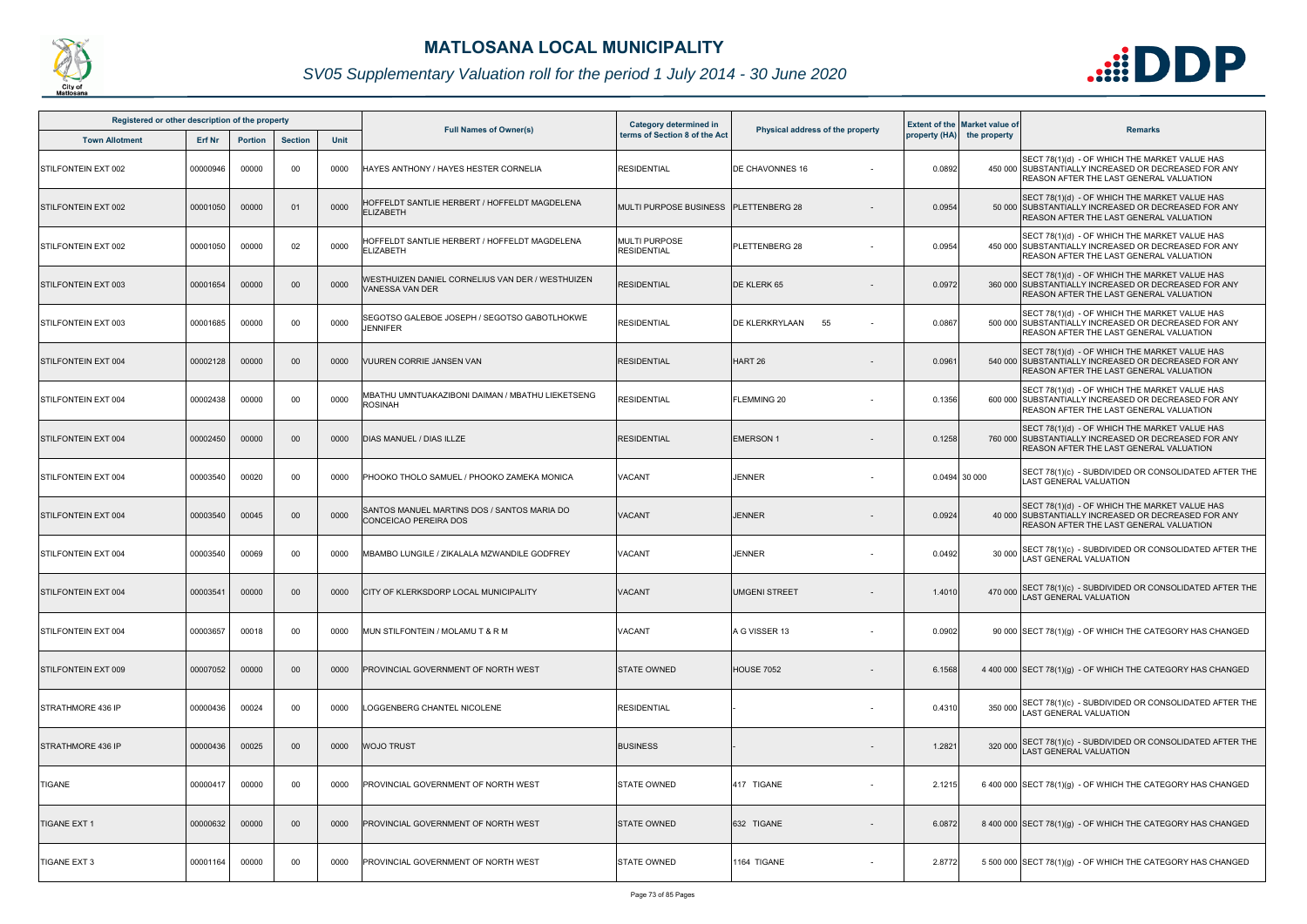

| Registered or other description of the property |          |                |                |      | Category determined in                                               |                                            |                                  | <b>Extent of the Market value of</b> |                            |                                                                                                                                                         |
|-------------------------------------------------|----------|----------------|----------------|------|----------------------------------------------------------------------|--------------------------------------------|----------------------------------|--------------------------------------|----------------------------|---------------------------------------------------------------------------------------------------------------------------------------------------------|
| <b>Town Allotment</b>                           | Erf Nr   | <b>Portion</b> | <b>Section</b> | Unit | <b>Full Names of Owner(s)</b>                                        | terms of Section 8 of the Act              | Physical address of the property |                                      | property (HA) the property | <b>Remarks</b>                                                                                                                                          |
| STILFONTEIN EXT 002                             | 00000946 | 00000          | 00             | 0000 | HAYES ANTHONY / HAYES HESTER CORNELIA                                | <b>RESIDENTIAL</b>                         | <b>DE CHAVONNES 16</b>           | 0.0892                               |                            | SECT 78(1)(d) - OF WHICH THE MARKET VALUE HAS<br>450 000 SUBSTANTIALLY INCREASED OR DECREASED FOR ANY<br><b>REASON AFTER THE LAST GENERAL VALUATION</b> |
| STILFONTEIN EXT 002                             | 00001050 | 00000          | 01             | 0000 | HOFFELDT SANTLIE HERBERT / HOFFELDT MAGDELENA<br><b>ELIZABETH</b>    | MULTI PURPOSE BUSINESS                     | <b>PLETTENBERG 28</b>            | 0.0954                               |                            | SECT 78(1)(d) - OF WHICH THE MARKET VALUE HAS<br>50 000 SUBSTANTIALLY INCREASED OR DECREASED FOR ANY<br>REASON AFTER THE LAST GENERAL VALUATION         |
| STILFONTEIN EXT 002                             | 00001050 | 00000          | 02             | 0000 | HOFFELDT SANTLIE HERBERT / HOFFELDT MAGDELENA<br><b>ELIZABETH</b>    | <b>MULTI PURPOSE</b><br><b>RESIDENTIAL</b> | PLETTENBERG 28                   | 0.0954                               |                            | SECT 78(1)(d) - OF WHICH THE MARKET VALUE HAS<br>450 000 SUBSTANTIALLY INCREASED OR DECREASED FOR ANY<br>REASON AFTER THE LAST GENERAL VALUATION        |
| STILFONTEIN EXT 003                             | 00001654 | 00000          | $00\,$         | 0000 | WESTHUIZEN DANIEL CORNELIUS VAN DER / WESTHUIZEN<br>VANESSA VAN DER  | <b>RESIDENTIAL</b>                         | DE KLERK 65                      | 0.0972                               |                            | SECT 78(1)(d) - OF WHICH THE MARKET VALUE HAS<br>360 000 SUBSTANTIALLY INCREASED OR DECREASED FOR ANY<br><b>REASON AFTER THE LAST GENERAL VALUATION</b> |
| STILFONTEIN EXT 003                             | 00001685 | 00000          | 00             | 0000 | SEGOTSO GALEBOE JOSEPH / SEGOTSO GABOTLHOKWE<br><b>JENNIFER</b>      | <b>RESIDENTIAL</b>                         | DE KLERKRYLAAN<br>55             | 0.0867                               |                            | SECT 78(1)(d) - OF WHICH THE MARKET VALUE HAS<br>500 000 SUBSTANTIALLY INCREASED OR DECREASED FOR ANY<br>REASON AFTER THE LAST GENERAL VALUATION        |
| STILFONTEIN EXT 004                             | 00002128 | 00000          | $00\,$         | 0000 | <b>VUUREN CORRIE JANSEN VAN</b>                                      | <b>RESIDENTIAL</b>                         | HART <sub>26</sub>               | 0.0961                               |                            | SECT 78(1)(d) - OF WHICH THE MARKET VALUE HAS<br>540 000 SUBSTANTIALLY INCREASED OR DECREASED FOR ANY<br><b>REASON AFTER THE LAST GENERAL VALUATION</b> |
| STILFONTEIN EXT 004                             | 00002438 | 00000          | 00             | 0000 | MBATHU UMNTUAKAZIBONI DAIMAN / MBATHU LIEKETSENG<br><b>ROSINAH</b>   | <b>RESIDENTIAL</b>                         | <b>FLEMMING 20</b>               | 0.1356                               |                            | SECT 78(1)(d) - OF WHICH THE MARKET VALUE HAS<br>600 000 SUBSTANTIALLY INCREASED OR DECREASED FOR ANY<br><b>REASON AFTER THE LAST GENERAL VALUATION</b> |
| STILFONTEIN EXT 004                             | 00002450 | 00000          | $00 \,$        | 0000 | <b>DIAS MANUEL / DIAS ILLZE</b>                                      | <b>RESIDENTIAL</b>                         | <b>EMERSON1</b>                  | 0.1258                               |                            | SECT 78(1)(d) - OF WHICH THE MARKET VALUE HAS<br>760 000 SUBSTANTIALLY INCREASED OR DECREASED FOR ANY<br><b>REASON AFTER THE LAST GENERAL VALUATION</b> |
| STILFONTEIN EXT 004                             | 00003540 | 00020          | 00             | 0000 | PHOOKO THOLO SAMUEL / PHOOKO ZAMEKA MONICA                           | VACANT                                     | <b>JENNER</b>                    |                                      | 0.0494 30 000              | SECT 78(1)(c) - SUBDIVIDED OR CONSOLIDATED AFTER THE<br><b>LAST GENERAL VALUATION</b>                                                                   |
| STILFONTEIN EXT 004                             | 00003540 | 00045          | $00\,$         | 0000 | SANTOS MANUEL MARTINS DOS / SANTOS MARIA DO<br>CONCEICAO PEREIRA DOS | <b>VACANT</b>                              | <b>JENNER</b>                    | 0.0924                               |                            | SECT 78(1)(d) - OF WHICH THE MARKET VALUE HAS<br>40 000 SUBSTANTIALLY INCREASED OR DECREASED FOR ANY<br>REASON AFTER THE LAST GENERAL VALUATION         |
| STILFONTEIN EXT 004                             | 00003540 | 00069          | 00             | 0000 | MBAMBO LUNGILE / ZIKALALA MZWANDILE GODFREY                          | VACANT                                     | <b>JENNER</b>                    | 0.0492                               | 30 000                     | SECT 78(1)(c) - SUBDIVIDED OR CONSOLIDATED AFTER THE<br><b>LAST GENERAL VALUATION</b>                                                                   |
| <b>STILFONTEIN EXT 004</b>                      | 00003541 | 00000          | $00\,$         | 0000 | <b>CITY OF KLERKSDORP LOCAL MUNICIPALITY</b>                         | <b>VACANT</b>                              | <b>UMGENI STREET</b>             | 1.4010                               |                            | 470 000 SECT 78(1)(c) - SUBDIVIDED OR CONSOLIDATED AFTER THE<br>LAST GENERAL VALUATION                                                                  |
| <b>ISTILFONTEIN EXT 004</b>                     | 00003657 | 00018          | 00             | 0000 | MUN STILFONTEIN / MOLAMU T & R M                                     | VACANT                                     | A G VISSER 13                    | 0.0902                               |                            | 90 000 SECT 78(1)(g) - OF WHICH THE CATEGORY HAS CHANGED                                                                                                |
| STILFONTEIN EXT 009                             | 00007052 | 00000          | 00             | 0000 | PROVINCIAL GOVERNMENT OF NORTH WEST                                  | <b>STATE OWNED</b>                         | <b>HOUSE 7052</b>                | 6.1568                               |                            | 4 400 000 SECT 78(1)(g) - OF WHICH THE CATEGORY HAS CHANGED                                                                                             |
| <b>STRATHMORE 436 IP</b>                        | 00000436 | 00024          | 00             | 0000 | LOGGENBERG CHANTEL NICOLENE                                          | <b>RESIDENTIAL</b>                         | $\sim$                           | 0.4310                               |                            | 350 000 SECT 78(1)(c) - SUBDIVIDED OR CONSOLIDATED AFTER THE<br>LAST GENERAL VALUATION                                                                  |
| <b>STRATHMORE 436 IP</b>                        | 00000436 | 00025          | 00             | 0000 | <b>WOJO TRUST</b>                                                    | <b>BUSINESS</b>                            |                                  | 1.2821                               |                            | 320 000 SECT 78(1)(c) - SUBDIVIDED OR CONSOLIDATED AFTER THE<br>LAST GENERAL VALUATION                                                                  |
| TIGANE                                          | 00000417 | 00000          | 00             | 0000 | PROVINCIAL GOVERNMENT OF NORTH WEST                                  | <b>STATE OWNED</b>                         | 417 TIGANE                       | 2.1215                               |                            | 6 400 000 SECT 78(1)(g) - OF WHICH THE CATEGORY HAS CHANGED                                                                                             |
| <b>TIGANE EXT 1</b>                             | 00000632 | 00000          | 00             | 0000 | PROVINCIAL GOVERNMENT OF NORTH WEST                                  | <b>STATE OWNED</b>                         | 632 TIGANE                       | 6.0872                               |                            | 8 400 000 SECT 78(1)(g) - OF WHICH THE CATEGORY HAS CHANGED                                                                                             |
| <b>TIGANE EXT 3</b>                             | 00001164 | 00000          | 00             | 0000 | PROVINCIAL GOVERNMENT OF NORTH WEST                                  | <b>STATE OWNED</b>                         | 1164 TIGANE                      | 2.8772                               |                            | 5 500 000 SECT 78(1)(g) - OF WHICH THE CATEGORY HAS CHANGED                                                                                             |

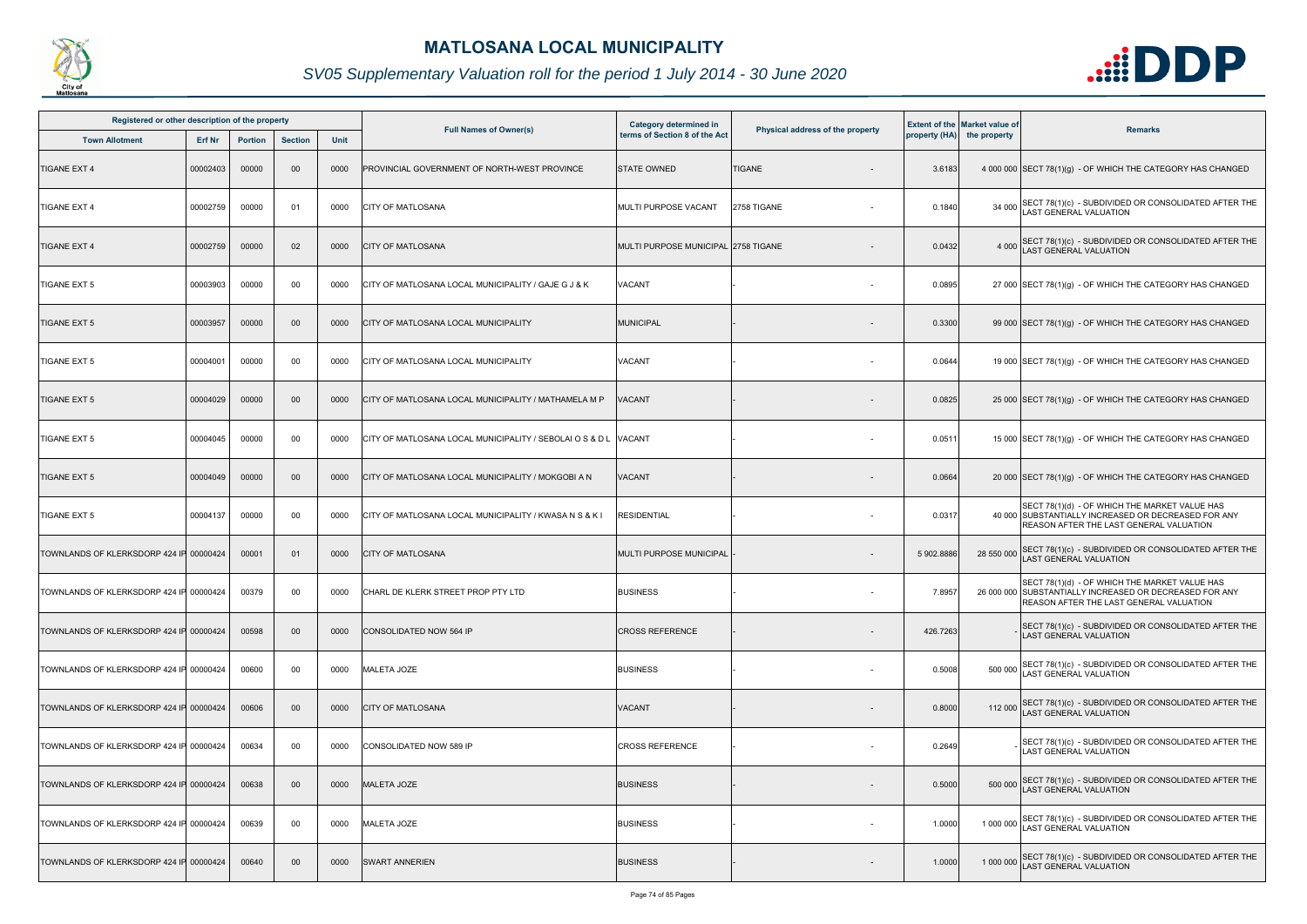

| Registered or other description of the property |          |                |                |      |                                                                 |                                                         |                                  |            |                                                                    |                                                                                                                                                            |
|-------------------------------------------------|----------|----------------|----------------|------|-----------------------------------------------------------------|---------------------------------------------------------|----------------------------------|------------|--------------------------------------------------------------------|------------------------------------------------------------------------------------------------------------------------------------------------------------|
| <b>Town Allotment</b>                           | Erf Nr   | <b>Portion</b> | <b>Section</b> | Unit | <b>Full Names of Owner(s)</b>                                   | Category determined in<br>terms of Section 8 of the Act | Physical address of the property |            | <b>Extent of the Market value of</b><br>property (HA) the property | <b>Remarks</b>                                                                                                                                             |
| <b>TIGANE EXT 4</b>                             | 00002403 | 00000          | $00\,$         | 0000 | PROVINCIAL GOVERNMENT OF NORTH-WEST PROVINCE                    | <b>STATE OWNED</b>                                      | <b>TIGANE</b>                    | 3.6183     |                                                                    | 4 000 000 SECT 78(1)(g) - OF WHICH THE CATEGORY HAS CHANGED                                                                                                |
| <b>TIGANE EXT 4</b>                             | 00002759 | 00000          | 01             | 0000 | <b>CITY OF MATLOSANA</b>                                        | <b>MULTI PURPOSE VACANT</b>                             | 2758 TIGANE                      | 0.1840     | 34 000                                                             | SECT 78(1)(c) - SUBDIVIDED OR CONSOLIDATED AFTER THE LAST GENERAL VALUATION                                                                                |
| <b>TIGANE EXT 4</b>                             | 00002759 | 00000          | 02             | 0000 | <b>CITY OF MATLOSANA</b>                                        | MULTI PURPOSE MUNICIPAL 2758 TIGANE                     |                                  | 0.0432     | 4 0 0 0                                                            | SECT 78(1)(c) - SUBDIVIDED OR CONSOLIDATED AFTER THE LAST GENERAL VALUATION                                                                                |
| <b>TIGANE EXT 5</b>                             | 00003903 | 00000          | 00             | 0000 | CITY OF MATLOSANA LOCAL MUNICIPALITY / GAJE G J & K             | VACANT                                                  |                                  | 0.0895     |                                                                    | 27 000 SECT 78(1)(g) - OF WHICH THE CATEGORY HAS CHANGED                                                                                                   |
| <b>TIGANE EXT 5</b>                             | 00003957 | 00000          | 00             | 0000 | CITY OF MATLOSANA LOCAL MUNICIPALITY                            | MUNICIPAL                                               |                                  | 0.3300     |                                                                    | 99 000 SECT 78(1)(g) - OF WHICH THE CATEGORY HAS CHANGED                                                                                                   |
| <b>TIGANE EXT 5</b>                             | 00004001 | 00000          | 00             | 0000 | CITY OF MATLOSANA LOCAL MUNICIPALITY                            | VACANT                                                  |                                  | 0.0644     |                                                                    | 19 000 SECT 78(1)(g) - OF WHICH THE CATEGORY HAS CHANGED                                                                                                   |
| <b>TIGANE EXT 5</b>                             | 00004029 | 00000          | $00\,$         | 0000 | CITY OF MATLOSANA LOCAL MUNICIPALITY / MATHAMELA M P            | VACANT                                                  |                                  | 0.0825     |                                                                    | 25 000 SECT 78(1)(g) - OF WHICH THE CATEGORY HAS CHANGED                                                                                                   |
| <b>TIGANE EXT 5</b>                             | 00004045 | 00000          | 00             | 0000 | CITY OF MATLOSANA LOCAL MUNICIPALITY / SEBOLAI O S & D L VACANT |                                                         |                                  | 0.0511     |                                                                    | 15 000 SECT 78(1)(g) - OF WHICH THE CATEGORY HAS CHANGED                                                                                                   |
| <b>TIGANE EXT 5</b>                             | 00004049 | 00000          | $00\,$         | 0000 | CITY OF MATLOSANA LOCAL MUNICIPALITY / MOKGOBI A N              | VACANT                                                  |                                  | 0.0664     |                                                                    | 20 000 SECT 78(1)(g) - OF WHICH THE CATEGORY HAS CHANGED                                                                                                   |
| <b>TIGANE EXT 5</b>                             | 00004137 | 00000          | 00             | 0000 | CITY OF MATLOSANA LOCAL MUNICIPALITY / KWASA N S & K I          | <b>RESIDENTIAL</b>                                      |                                  | 0.0317     |                                                                    | SECT 78(1)(d) - OF WHICH THE MARKET VALUE HAS<br>40 000 SUBSTANTIALLY INCREASED OR DECREASED FOR ANY<br>REASON AFTER THE LAST GENERAL VALUATION            |
| TOWNLANDS OF KLERKSDORP 424 IF 00000424         |          | 00001          | 01             | 0000 | <b>CITY OF MATLOSANA</b>                                        | MULTI PURPOSE MUNICIPAL                                 |                                  | 5 902.8886 | 28 550 000                                                         | SECT 78(1)(c) - SUBDIVIDED OR CONSOLIDATED AFTER THE<br><b>AST GENERAL VALUATION</b>                                                                       |
| TOWNLANDS OF KLERKSDORP 424 IF 00000424         |          | 00379          | 00             | 0000 | CHARL DE KLERK STREET PROP PTY LTD                              | <b>BUSINESS</b>                                         | $\sim$                           | 7.8957     |                                                                    | SECT 78(1)(d) - OF WHICH THE MARKET VALUE HAS<br>26 000 000 SUBSTANTIALLY INCREASED OR DECREASED FOR ANY<br><b>REASON AFTER THE LAST GENERAL VALUATION</b> |
| TOWNLANDS OF KLERKSDORP 424 IF 00000424         |          | 00598          | $00\,$         | 0000 | CONSOLIDATED NOW 564 IP                                         | <b>CROSS REFERENCE</b>                                  |                                  | 426.7263   |                                                                    | SECT 78(1)(c) - SUBDIVIDED OR CONSOLIDATED AFTER THE<br><b>LAST GENERAL VALUATION</b>                                                                      |
| TOWNLANDS OF KLERKSDORP 424 IF 00000424         |          | 00600          | 00             | 0000 | <b>MALETA JOZE</b>                                              | <b>BUSINESS</b>                                         | $\sim$                           | 0.5008     | 500 000                                                            | SECT 78(1)(c) - SUBDIVIDED OR CONSOLIDATED AFTER THE<br><b>AST GENERAL VALUATION</b>                                                                       |
| TOWNLANDS OF KLERKSDORP 424 IF 00000424         |          | 00606          | $00\,$         | 0000 | <b>CITY OF MATLOSANA</b>                                        | <b>VACANT</b>                                           |                                  | 0.8000     |                                                                    | 112 000 SECT 78(1)(c) - SUBDIVIDED OR CONSOLIDATED AFTER THE<br>LAST GENERAL VALUATION                                                                     |
| TOWNLANDS OF KLERKSDORP 424 IF 00000424         |          | 00634          | 00             | 0000 | CONSOLIDATED NOW 589 IP                                         | <b>CROSS REFERENCE</b>                                  |                                  | 0.2649     |                                                                    | SECT 78(1)(c) - SUBDIVIDED OR CONSOLIDATED AFTER THE<br>LAST GENERAL VALUATION                                                                             |
| TOWNLANDS OF KLERKSDORP 424 IF 00000424         |          | 00638          | $00\,$         | 0000 | <b>MALETA JOZE</b>                                              | <b>BUSINESS</b>                                         |                                  | 0.5000     |                                                                    | 500 000 SECT 78(1)(c) - SUBDIVIDED OR CONSOLIDATED AFTER THE<br>LAST GENERAL VALUATION                                                                     |
| TOWNLANDS OF KLERKSDORP 424 IF 00000424         |          | 00639          | 00             | 0000 | <b>MALETA JOZE</b>                                              | <b>BUSINESS</b>                                         | $\sim$                           | 1.0000     |                                                                    | 1 000 000 SECT 78(1)(c) - SUBDIVIDED OR CONSOLIDATED AFTER THE<br><b>LAST GENERAL VALUATION</b>                                                            |
| TOWNLANDS OF KLERKSDORP 424 IF 00000424         |          | 00640          | $00\,$         | 0000 | <b>SWART ANNERIEN</b>                                           | <b>BUSINESS</b>                                         |                                  | 1.0000     |                                                                    | 1 000 000 SECT 78(1)(c) - SUBDIVIDED OR CONSOLIDATED AFTER THE<br><b>LAST GENERAL VALUATION</b>                                                            |

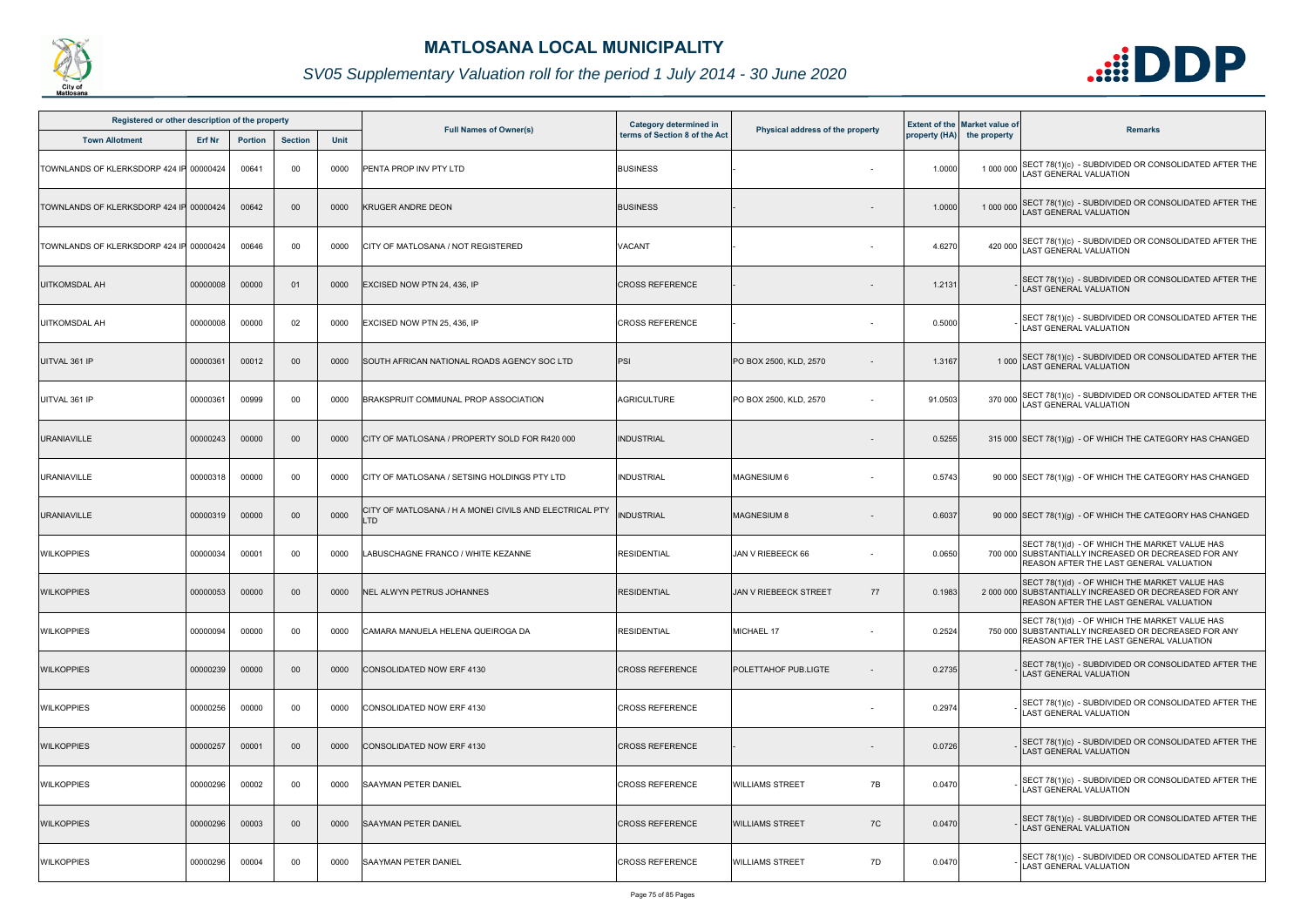

| Registered or other description of the property |          |                |                |      |                                                                       |                                                         |                                    |         |                                                                    |                                                                                                                                                           |
|-------------------------------------------------|----------|----------------|----------------|------|-----------------------------------------------------------------------|---------------------------------------------------------|------------------------------------|---------|--------------------------------------------------------------------|-----------------------------------------------------------------------------------------------------------------------------------------------------------|
| <b>Town Allotment</b>                           | Erf Nr   | <b>Portion</b> | <b>Section</b> | Unit | <b>Full Names of Owner(s)</b>                                         | Category determined in<br>terms of Section 8 of the Act | Physical address of the property   |         | <b>Extent of the Market value of</b><br>property (HA) the property | <b>Remarks</b>                                                                                                                                            |
| TOWNLANDS OF KLERKSDORP 424 IP                  | 00000424 | 00641          | 00             | 0000 | PENTA PROP INV PTY LTD                                                | <b>BUSINESS</b>                                         |                                    | 1.0000  |                                                                    | 1 000 000 SECT 78(1)(c) - SUBDIVIDED OR CONSOLIDATED AFTER THE<br>LAST GENERAL VALUATION                                                                  |
| TOWNLANDS OF KLERKSDORP 424 IF                  | 00000424 | 00642          | $00\,$         | 0000 | <b>KRUGER ANDRE DEON</b>                                              | <b>BUSINESS</b>                                         |                                    | 1.0000  |                                                                    | 1 000 000 SECT 78(1)(c) - SUBDIVIDED OR CONSOLIDATED AFTER THE<br><b>LAST GENERAL VALUATION</b>                                                           |
| TOWNLANDS OF KLERKSDORP 424 IF 00000424         |          | 00646          | 00             | 0000 | CITY OF MATLOSANA / NOT REGISTERED                                    | VACANT                                                  |                                    | 4.6270  | 420 000                                                            | SECT 78(1)(c) - SUBDIVIDED OR CONSOLIDATED AFTER THE LAST GENERAL VALUATION                                                                               |
| <b>UITKOMSDAL AH</b>                            | 00000008 | 00000          | 01             | 0000 | EXCISED NOW PTN 24, 436, IP                                           | <b>CROSS REFERENCE</b>                                  |                                    | 1.2131  |                                                                    | SECT 78(1)(c) - SUBDIVIDED OR CONSOLIDATED AFTER THE<br><b>LAST GENERAL VALUATION</b>                                                                     |
| <b>UITKOMSDAL AH</b>                            | 00000008 | 00000          | 02             | 0000 | EXCISED NOW PTN 25, 436, IP                                           | <b>CROSS REFERENCE</b>                                  |                                    | 0.5000  |                                                                    | SECT 78(1)(c) - SUBDIVIDED OR CONSOLIDATED AFTER THE<br><b>LAST GENERAL VALUATION</b>                                                                     |
| UITVAL 361 IP                                   | 00000361 | 00012          | 00             | 0000 | SOUTH AFRICAN NATIONAL ROADS AGENCY SOC LTD                           | <b>PSI</b>                                              | PO BOX 2500, KLD, 2570             | 1.3167  |                                                                    | 1 000 SECT 78(1)(c) - SUBDIVIDED OR CONSOLIDATED AFTER THE<br>LAST GENERAL VALUATION                                                                      |
| UITVAL 361 IP                                   | 00000361 | 00999          | 00             | 0000 | BRAKSPRUIT COMMUNAL PROP ASSOCIATION                                  | AGRICULTURE                                             | PO BOX 2500, KLD, 2570             | 91.0503 |                                                                    | 370 000 SECT 78(1)(c) - SUBDIVIDED OR CONSOLIDATED AFTER THE<br>LAST GENERAL VALUATION                                                                    |
| <b>URANIAVILLE</b>                              | 00000243 | 00000          | 00             | 0000 | CITY OF MATLOSANA / PROPERTY SOLD FOR R420 000                        | <b>INDUSTRIAL</b>                                       |                                    | 0.5255  |                                                                    | 315 000 SECT 78(1)(g) - OF WHICH THE CATEGORY HAS CHANGED                                                                                                 |
| <b>URANIAVILLE</b>                              | 00000318 | 00000          | 00             | 0000 | CITY OF MATLOSANA / SETSING HOLDINGS PTY LTD                          | <b>INDUSTRIAL</b>                                       | MAGNESIUM 6                        | 0.5743  |                                                                    | 90 000 SECT 78(1)(g) - OF WHICH THE CATEGORY HAS CHANGED                                                                                                  |
| <b>URANIAVILLE</b>                              | 00000319 | 00000          | $00\,$         | 0000 | CITY OF MATLOSANA / H A MONEI CIVILS AND ELECTRICAL PTY<br><b>LTD</b> | <b>INDUSTRIAL</b>                                       | <b>MAGNESIUM 8</b>                 | 0.6037  |                                                                    | 90 000 SECT 78(1)(g) - OF WHICH THE CATEGORY HAS CHANGED                                                                                                  |
| <b>WILKOPPIES</b>                               | 00000034 | 00001          | 00             | 0000 | LABUSCHAGNE FRANCO / WHITE KEZANNE                                    | <b>RESIDENTIAL</b>                                      | JAN V RIEBEECK 66                  | 0.0650  |                                                                    | SECT 78(1)(d) - OF WHICH THE MARKET VALUE HAS<br>700 000 SUBSTANTIALLY INCREASED OR DECREASED FOR ANY<br>REASON AFTER THE LAST GENERAL VALUATION          |
| <b>WILKOPPIES</b>                               | 00000053 | 00000          | 00             | 0000 | NEL ALWYN PETRUS JOHANNES                                             | <b>RESIDENTIAL</b>                                      | <b>JAN V RIEBEECK STREET</b><br>77 | 0.1983  |                                                                    | SECT 78(1)(d) - OF WHICH THE MARKET VALUE HAS<br>2 000 000 SUBSTANTIALLY INCREASED OR DECREASED FOR ANY<br><b>REASON AFTER THE LAST GENERAL VALUATION</b> |
| <b>WILKOPPIES</b>                               | 00000094 | 00000          | 00             | 0000 | CAMARA MANUELA HELENA QUEIROGA DA                                     | <b>RESIDENTIAL</b>                                      | MICHAEL 17                         | 0.2524  |                                                                    | SECT 78(1)(d) - OF WHICH THE MARKET VALUE HAS<br>750 000 SUBSTANTIALLY INCREASED OR DECREASED FOR ANY<br>REASON AFTER THE LAST GENERAL VALUATION          |
| <b>WILKOPPIES</b>                               | 00000239 | 00000          | $00\,$         | 0000 | CONSOLIDATED NOW ERF 4130                                             | <b>CROSS REFERENCE</b>                                  | POLETTAHOF PUB.LIGTE               | 0.2735  |                                                                    | SECT 78(1)(c) - SUBDIVIDED OR CONSOLIDATED AFTER THE<br>LAST GENERAL VALUATION                                                                            |
| <b>WILKOPPIES</b>                               | 00000256 | 00000          | 00             | 0000 | CONSOLIDATED NOW ERF 4130                                             | <b>CROSS REFERENCE</b>                                  | $\overline{\phantom{0}}$           | 0.2974  |                                                                    | SECT 78(1)(c) - SUBDIVIDED OR CONSOLIDATED AFTER THE<br><b>LAST GENERAL VALUATION</b>                                                                     |
| <b>WILKOPPIES</b>                               | 00000257 | 00001          | $00\,$         | 0000 | CONSOLIDATED NOW ERF 4130                                             | <b>CROSS REFERENCE</b>                                  |                                    | 0.0726  |                                                                    | SECT 78(1)(c) - SUBDIVIDED OR CONSOLIDATED AFTER THE<br>LAST GENERAL VALUATION                                                                            |
| <b>WILKOPPIES</b>                               | 00000296 | 00002          | 00             | 0000 | <b>SAAYMAN PETER DANIEL</b>                                           | <b>CROSS REFERENCE</b>                                  | <b>WILLIAMS STREET</b><br>7B       | 0.0470  |                                                                    | SECT 78(1)(c) - SUBDIVIDED OR CONSOLIDATED AFTER THE<br><b>LAST GENERAL VALUATION</b>                                                                     |
| <b>WILKOPPIES</b>                               | 00000296 | 00003          | $00\,$         | 0000 | <b>SAAYMAN PETER DANIEL</b>                                           | <b>CROSS REFERENCE</b>                                  | <b>WILLIAMS STREET</b><br>7C       | 0.0470  |                                                                    | SECT 78(1)(c) - SUBDIVIDED OR CONSOLIDATED AFTER THE<br><b>LAST GENERAL VALUATION</b>                                                                     |
| <b>WILKOPPIES</b>                               | 00000296 | 00004          | 00             | 0000 | <b>SAAYMAN PETER DANIEL</b>                                           | <b>CROSS REFERENCE</b>                                  | <b>WILLIAMS STREET</b><br>7D       | 0.0470  |                                                                    | SECT 78(1)(c) - SUBDIVIDED OR CONSOLIDATED AFTER THE<br>LAST GENERAL VALUATION                                                                            |

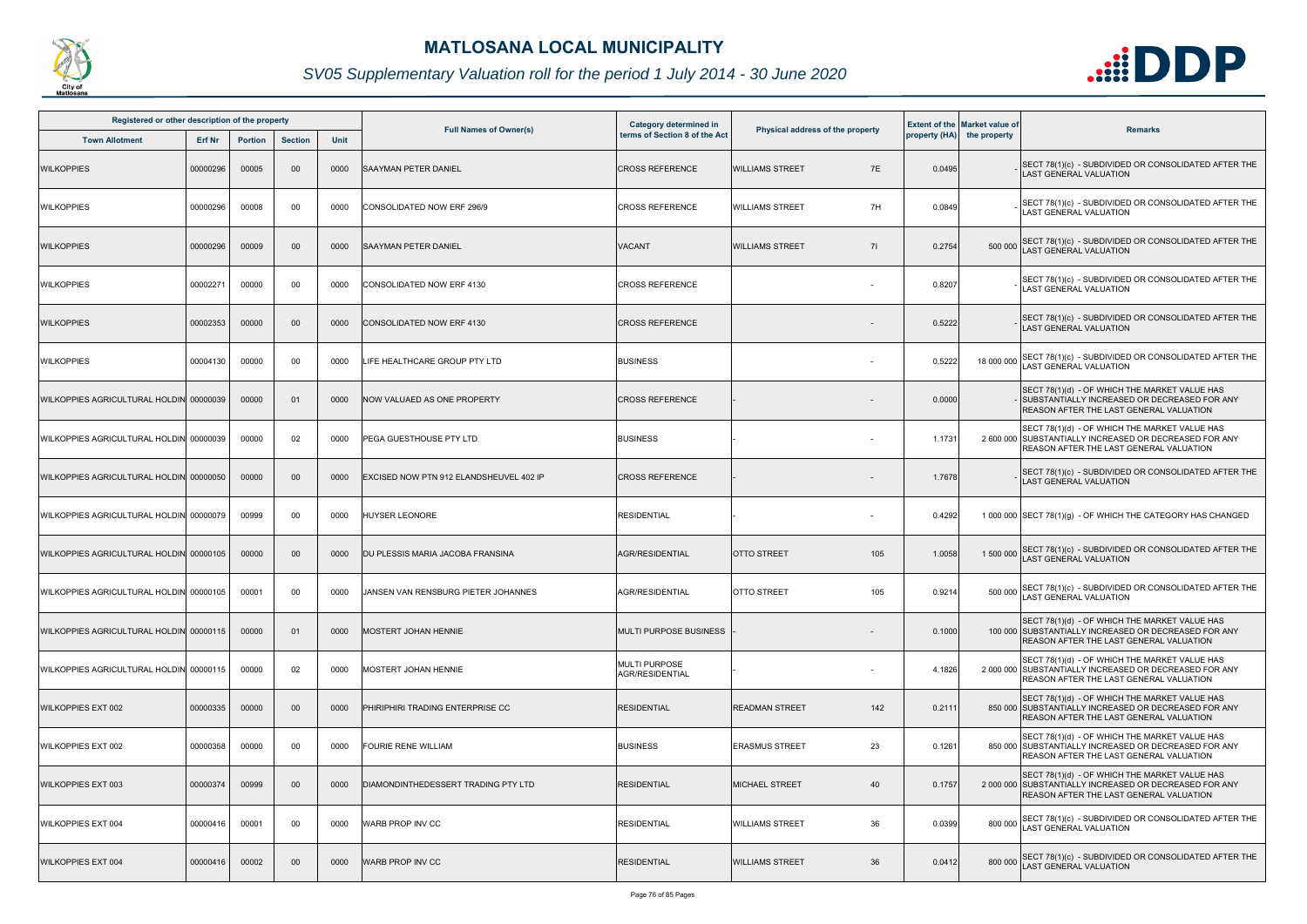

| Registered or other description of the property |          |                |                |      | Category determined in                      |                                         |                                  | <b>Extent of the Market value of</b> |                            |                                                                                                                                                           |
|-------------------------------------------------|----------|----------------|----------------|------|---------------------------------------------|-----------------------------------------|----------------------------------|--------------------------------------|----------------------------|-----------------------------------------------------------------------------------------------------------------------------------------------------------|
| <b>Town Allotment</b>                           | Erf Nr   | <b>Portion</b> | <b>Section</b> | Unit | <b>Full Names of Owner(s)</b>               | terms of Section 8 of the Act           | Physical address of the property |                                      | property (HA) the property | <b>Remarks</b>                                                                                                                                            |
| <b>WILKOPPIES</b>                               | 00000296 | 00005          | 00             | 0000 | <b>SAAYMAN PETER DANIEL</b>                 | <b>CROSS REFERENCE</b>                  | 7E<br><b>WILLIAMS STREET</b>     | 0.0495                               |                            | SECT 78(1)(c) - SUBDIVIDED OR CONSOLIDATED AFTER THE<br>LAST GENERAL VALUATION                                                                            |
| <b>WILKOPPIES</b>                               | 00000296 | 00008          | 00             | 0000 | CONSOLIDATED NOW ERF 296/9                  | <b>CROSS REFERENCE</b>                  | 7H<br><b>WILLIAMS STREET</b>     | 0.0849                               |                            | SECT 78(1)(c) - SUBDIVIDED OR CONSOLIDATED AFTER THE<br><b>LAST GENERAL VALUATION</b>                                                                     |
| <b>WILKOPPIES</b>                               | 00000296 | 00009          | 00             | 0000 | <b>SAAYMAN PETER DANIEL</b>                 | VACANT                                  | <b>WILLIAMS STREET</b><br>71     | 0.2754                               | 500 000                    | SECT 78(1)(c) - SUBDIVIDED OR CONSOLIDATED AFTER THE<br>LAST GENERAL VALUATION                                                                            |
| <b>WILKOPPIES</b>                               | 00002271 | 00000          | 00             | 0000 | CONSOLIDATED NOW ERF 4130                   | <b>CROSS REFERENCE</b>                  |                                  | 0.8207                               |                            | SECT 78(1)(c) - SUBDIVIDED OR CONSOLIDATED AFTER THE<br><b>LAST GENERAL VALUATION</b>                                                                     |
| <b>WILKOPPIES</b>                               | 00002353 | 00000          | 00             | 0000 | CONSOLIDATED NOW ERF 4130                   | <b>CROSS REFERENCE</b>                  |                                  | 0.5222                               |                            | SECT 78(1)(c) - SUBDIVIDED OR CONSOLIDATED AFTER THE<br>LAST GENERAL VALUATION                                                                            |
| <b>WILKOPPIES</b>                               | 00004130 | 00000          | 00             | 0000 | LIFE HEALTHCARE GROUP PTY LTD               | <b>BUSINESS</b>                         |                                  | 0.5222                               | 18 000 000                 | SECT 78(1)(c) - SUBDIVIDED OR CONSOLIDATED AFTER THE<br><b>AST GENERAL VALUATION</b>                                                                      |
| WILKOPPIES AGRICULTURAL HOLDIN 00000039         |          | 00000          | 0 <sup>1</sup> | 0000 | NOW VALUAED AS ONE PROPERTY                 | <b>CROSS REFERENCE</b>                  |                                  | 0.0000                               |                            | SECT 78(1)(d) - OF WHICH THE MARKET VALUE HAS<br>SUBSTANTIALLY INCREASED OR DECREASED FOR ANY<br><b>REASON AFTER THE LAST GENERAL VALUATION</b>           |
| WILKOPPIES AGRICULTURAL HOLDIN 00000039         |          | 00000          | 02             | 0000 | PEGA GUESTHOUSE PTY LTD                     | <b>BUSINESS</b>                         |                                  | 1.1731                               |                            | SECT 78(1)(d) - OF WHICH THE MARKET VALUE HAS<br>2 600 000 SUBSTANTIALLY INCREASED OR DECREASED FOR ANY<br>REASON AFTER THE LAST GENERAL VALUATION        |
| WILKOPPIES AGRICULTURAL HOLDIN 00000050         |          | 00000          | 00             | 0000 | EXCISED NOW PTN 912 ELANDSHEUVEL 402 IP     | <b>CROSS REFERENCE</b>                  |                                  | 1.7678                               |                            | SECT 78(1)(c) - SUBDIVIDED OR CONSOLIDATED AFTER THE<br><b>LAST GENERAL VALUATION</b>                                                                     |
| WILKOPPIES AGRICULTURAL HOLDIN 00000079         |          | 00999          | 00             | 0000 | <b>HUYSER LEONORE</b>                       | <b>RESIDENTIAL</b>                      |                                  | 0.4292                               |                            | 1 000 000 SECT 78(1)(g) - OF WHICH THE CATEGORY HAS CHANGED                                                                                               |
| WILKOPPIES AGRICULTURAL HOLDIN 00000105         |          | 00000          | 00             | 0000 | DU PLESSIS MARIA JACOBA FRANSINA            | AGR/RESIDENTIAL                         | <b>OTTO STREET</b><br>105        | 1.0058                               |                            | 1 500 000 SECT 78(1)(c) - SUBDIVIDED OR CONSOLIDATED AFTER THE<br>AST GENERAL VALUATION                                                                   |
| WILKOPPIES AGRICULTURAL HOLDIN 00000105         |          | 00001          | 00             | 0000 | <b>JJANSEN VAN RENSBURG PIETER JOHANNES</b> | <b>AGR/RESIDENTIAL</b>                  | <b>OTTO STREET</b><br>105        | 0.9214                               |                            | 500 000 SECT 78(1)(c) - SUBDIVIDED OR CONSOLIDATED AFTER THE<br>LAST GENERAL VALUATION                                                                    |
| WILKOPPIES AGRICULTURAL HOLDIN 00000115         |          | 00000          | 01             | 0000 | MOSTERT JOHAN HENNIE                        | <b>MULTI PURPOSE BUSINESS</b>           |                                  | 0.1000                               |                            | SECT 78(1)(d) - OF WHICH THE MARKET VALUE HAS<br>100 000 SUBSTANTIALLY INCREASED OR DECREASED FOR ANY<br><b>REASON AFTER THE LAST GENERAL VALUATION</b>   |
| WILKOPPIES AGRICULTURAL HOLDIN 00000115         |          | 00000          | 02             | 0000 | MOSTERT JOHAN HENNIE                        | <b>MULTI PURPOSE</b><br>AGR/RESIDENTIAL |                                  | 4.1826                               |                            | SECT 78(1)(d) - OF WHICH THE MARKET VALUE HAS<br>2 000 000 SUBSTANTIALLY INCREASED OR DECREASED FOR ANY<br><b>REASON AFTER THE LAST GENERAL VALUATION</b> |
| <b>WILKOPPIES EXT 002</b>                       | 00000335 | 00000          | 00             | 0000 | PHIRIPHIRI TRADING ENTERPRISE CC            | <b>RESIDENTIAL</b>                      | <b>READMAN STREET</b><br>142     | 0.211'                               |                            | SECT 78(1)(d) - OF WHICH THE MARKET VALUE HAS<br>850 000 SUBSTANTIALLY INCREASED OR DECREASED FOR ANY<br><b>REASON AFTER THE LAST GENERAL VALUATION</b>   |
| <b>WILKOPPIES EXT 002</b>                       | 00000358 | 00000          | 00             | 0000 | <b>FOURIE RENE WILLIAM</b>                  | <b>BUSINESS</b>                         | 23<br><b>ERASMUS STREET</b>      | 0.1261                               |                            | SECT 78(1)(d) - OF WHICH THE MARKET VALUE HAS<br>850 000 SUBSTANTIALLY INCREASED OR DECREASED FOR ANY<br>REASON AFTER THE LAST GENERAL VALUATION          |
| <b>WILKOPPIES EXT 003</b>                       | 00000374 | 00999          | 00             | 0000 | DIAMONDINTHEDESSERT TRADING PTY LTD         | <b>RESIDENTIAL</b>                      | <b>MICHAEL STREET</b><br>40      | 0.1757                               |                            | SECT 78(1)(d) - OF WHICH THE MARKET VALUE HAS<br>2 000 000 SUBSTANTIALLY INCREASED OR DECREASED FOR ANY<br><b>REASON AFTER THE LAST GENERAL VALUATION</b> |
| <b>WILKOPPIES EXT 004</b>                       | 00000416 | 00001          | 00             | 0000 | WARB PROP INV CC                            | <b>RESIDENTIAL</b>                      | 36<br><b>WILLIAMS STREET</b>     | 0.0399                               |                            | 800 000 SECT 78(1)(c) - SUBDIVIDED OR CONSOLIDATED AFTER THE<br><b>AST GENERAL VALUATION</b>                                                              |
| <b>WILKOPPIES EXT 004</b>                       | 00000416 | 00002          | 00             | 0000 | WARB PROP INV CC                            | <b>RESIDENTIAL</b>                      | 36<br><b>WILLIAMS STREET</b>     | 0.0412                               | 800 000                    | SECT 78(1)(c) - SUBDIVIDED OR CONSOLIDATED AFTER THE<br><b>LAST GENERAL VALUATION</b>                                                                     |

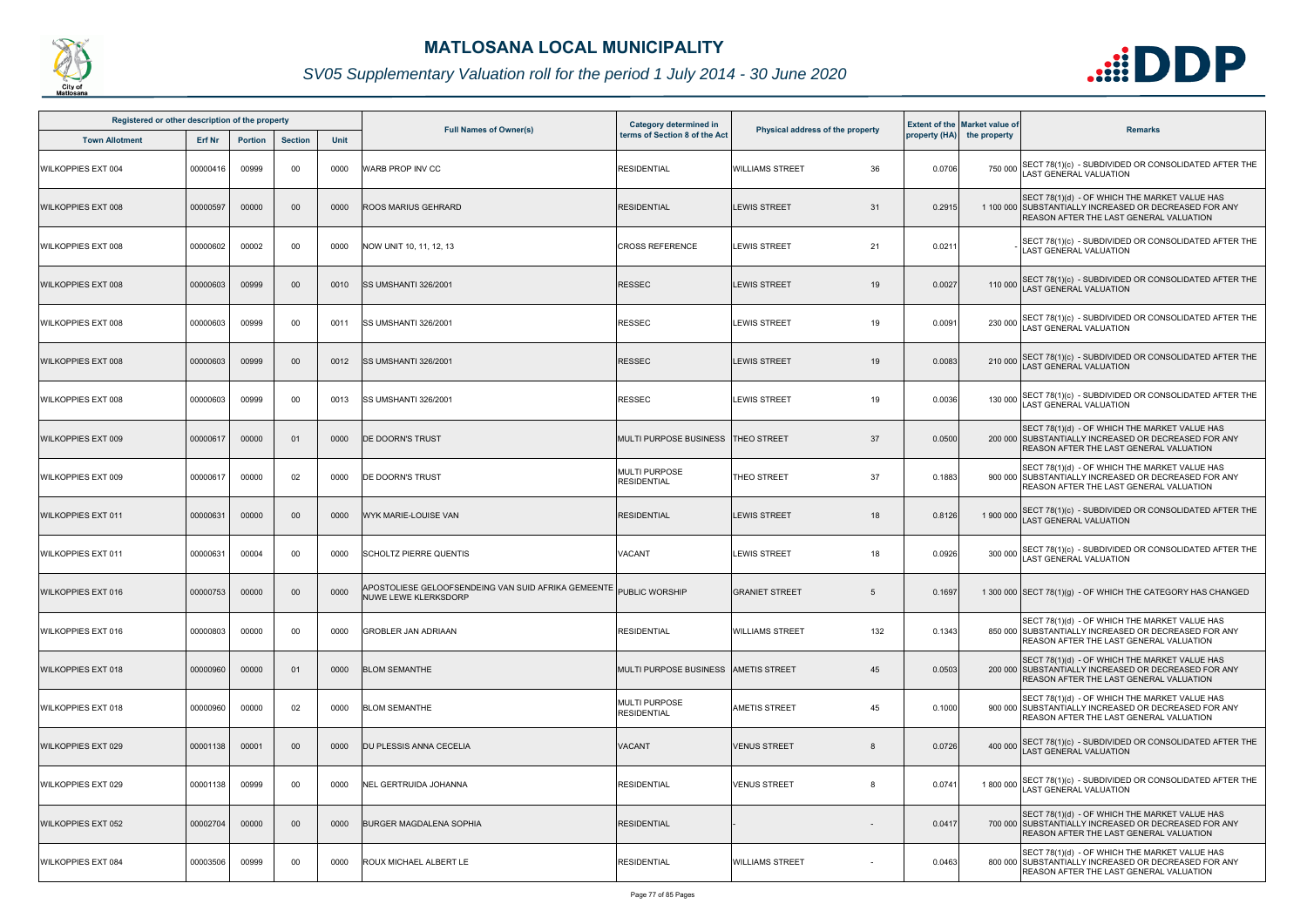

| Registered or other description of the property |               |         |                |      | <b>Full Names of Owner(s)</b>                                                              | <b>Category determined in</b><br>terms of Section 8 of the Act | Physical address of the property |        | <b>Extent of the Market value of</b>                                                                                                                    |
|-------------------------------------------------|---------------|---------|----------------|------|--------------------------------------------------------------------------------------------|----------------------------------------------------------------|----------------------------------|--------|---------------------------------------------------------------------------------------------------------------------------------------------------------|
| <b>Town Allotment</b>                           | <b>Erf Nr</b> | Portion | <b>Section</b> | Unit |                                                                                            |                                                                |                                  |        | <b>Remarks</b><br>property (HA) the property                                                                                                            |
| <b>WILKOPPIES EXT 004</b>                       | 00000416      | 00999   | 00             | 0000 | WARB PROP INV CC                                                                           | <b>RESIDENTIAL</b>                                             | <b>WILLIAMS STREET</b><br>36     | 0.0706 | SECT 78(1)(c) - SUBDIVIDED OR CONSOLIDATED AFTER THE<br>750 000<br><b>LAST GENERAL VALUATION</b>                                                        |
| <b>WILKOPPIES EXT 008</b>                       | 00000597      | 00000   | $00\,$         | 0000 | ROOS MARIUS GEHRARD                                                                        | <b>RESIDENTIAL</b>                                             | <b>LEWIS STREET</b><br>31        | 0.2915 | SECT 78(1)(d) - OF WHICH THE MARKET VALUE HAS<br>1 100 000 SUBSTANTIALLY INCREASED OR DECREASED FOR ANY<br>REASON AFTER THE LAST GENERAL VALUATION      |
| <b>WILKOPPIES EXT 008</b>                       | 00000602      | 00002   | 00             | 0000 | NOW UNIT 10, 11, 12, 13                                                                    | <b>CROSS REFERENCE</b>                                         | <b>LEWIS STREET</b><br>21        | 0.0211 | SECT 78(1)(c) - SUBDIVIDED OR CONSOLIDATED AFTER THE<br><b>LAST GENERAL VALUATION</b>                                                                   |
| <b>WILKOPPIES EXT 008</b>                       | 00000603      | 00999   | $00\,$         | 0010 | SS UMSHANTI 326/2001                                                                       | <b>RESSEC</b>                                                  | 19<br><b>LEWIS STREET</b>        | 0.0027 | 110 000 SECT 78(1)(c) - SUBDIVIDED OR CONSOLIDATED AFTER THE<br>LAST GENERAL VALUATION                                                                  |
| <b>WILKOPPIES EXT 008</b>                       | 00000603      | 00999   | 00             | 0011 | <b>ISS UMSHANTI 326/2001</b>                                                               | RESSEC                                                         | 19<br><b>LEWIS STREET</b>        | 0.0091 | SECT 78(1)(c) - SUBDIVIDED OR CONSOLIDATED AFTER THE<br>230 000<br>LAST GENERAL VALUATION                                                               |
| <b>WILKOPPIES EXT 008</b>                       | 00000603      | 00999   | 00             | 0012 | SS UMSHANTI 326/2001                                                                       | RESSEC                                                         | <b>LEWIS STREET</b><br>19        | 0.0083 | 210 000 SECT 78(1)(c) - SUBDIVIDED OR CONSOLIDATED AFTER THE<br><b>LAST GENERAL VALUATION</b>                                                           |
| <b>WILKOPPIES EXT 008</b>                       | 00000603      | 00999   | 00             | 0013 | <b>SS UMSHANTI 326/2001</b>                                                                | <b>RESSEC</b>                                                  | <b>LEWIS STREET</b><br>19        | 0.0036 | SECT 78(1)(c) - SUBDIVIDED OR CONSOLIDATED AFTER THE<br>130 000<br><b>LAST GENERAL VALUATION</b>                                                        |
| <b>WILKOPPIES EXT 009</b>                       | 00000617      | 00000   | 01             | 0000 | DE DOORN'S TRUST                                                                           | MULTI PURPOSE BUSINESS  THEO STREET                            | 37                               | 0.0500 | SECT 78(1)(d) - OF WHICH THE MARKET VALUE HAS<br>200 000 SUBSTANTIALLY INCREASED OR DECREASED FOR ANY<br><b>REASON AFTER THE LAST GENERAL VALUATION</b> |
| <b>WILKOPPIES EXT 009</b>                       | 00000617      | 00000   | 02             | 0000 | DE DOORN'S TRUST                                                                           | <b>MULTI PURPOSE</b><br><b>RESIDENTIAL</b>                     | 37<br>THEO STREET                | 0.1883 | SECT 78(1)(d) - OF WHICH THE MARKET VALUE HAS<br>900 000 SUBSTANTIALLY INCREASED OR DECREASED FOR ANY<br>REASON AFTER THE LAST GENERAL VALUATION        |
| <b>WILKOPPIES EXT 011</b>                       | 00000631      | 00000   | $00\,$         | 0000 | WYK MARIE-LOUISE VAN                                                                       | <b>RESIDENTIAL</b>                                             | <b>LEWIS STREET</b><br>18        | 0.8126 | SECT 78(1)(c) - SUBDIVIDED OR CONSOLIDATED AFTER THE<br>1 900 000<br>LAST GENERAL VALUATION                                                             |
| <b>WILKOPPIES EXT 011</b>                       | 00000631      | 00004   | 00             | 0000 | <b>SCHOLTZ PIERRE QUENTIS</b>                                                              | VACANT                                                         | <b>LEWIS STREET</b><br>18        | 0.0926 | SECT 78(1)(c) - SUBDIVIDED OR CONSOLIDATED AFTER THE<br>300 000<br><b>LAST GENERAL VALUATION</b>                                                        |
| <b>WILKOPPIES EXT 016</b>                       | 00000753      | 00000   | $00\,$         | 0000 | APOSTOLIESE GELOOFSENDEING VAN SUID AFRIKA GEMEENTE PUBLIC WORSHIP<br>NUWE LEWE KLERKSDORP |                                                                | <b>GRANIET STREET</b><br>5       | 0.1697 | 1 300 000 SECT 78(1)(g) - OF WHICH THE CATEGORY HAS CHANGED                                                                                             |
| <b>WILKOPPIES EXT 016</b>                       | 00000803      | 00000   | 00             | 0000 | <b>GROBLER JAN ADRIAAN</b>                                                                 | <b>RESIDENTIAL</b>                                             | 132<br><b>WILLIAMS STREET</b>    | 0.1343 | SECT 78(1)(d) - OF WHICH THE MARKET VALUE HAS<br>850 000 SUBSTANTIALLY INCREASED OR DECREASED FOR ANY<br><b>REASON AFTER THE LAST GENERAL VALUATION</b> |
| <b>WILKOPPIES EXT 018</b>                       | 00000960      | 00000   | 01             | 0000 | <b>BLOM SEMANTHE</b>                                                                       | MULTI PURPOSE BUSINESS  AMETIS STREET                          | 45                               | 0.0503 | SECT 78(1)(d) - OF WHICH THE MARKET VALUE HAS<br>200 000 SUBSTANTIALLY INCREASED OR DECREASED FOR ANY<br><b>REASON AFTER THE LAST GENERAL VALUATION</b> |
| <b>WILKOPPIES EXT 018</b>                       | 00000960      | 00000   | 02             | 0000 | <b>BLOM SEMANTHE</b>                                                                       | <b>MULTI PURPOSE</b><br><b>RESIDENTIAL</b>                     | <b>AMETIS STREET</b><br>45       | 0.1000 | SECT 78(1)(d) - OF WHICH THE MARKET VALUE HAS<br>900 000 SUBSTANTIALLY INCREASED OR DECREASED FOR ANY<br><b>REASON AFTER THE LAST GENERAL VALUATION</b> |
| <b>WILKOPPIES EXT 029</b>                       | 00001138      | 00001   | $00\,$         | 0000 | <b>DU PLESSIS ANNA CECELIA</b>                                                             | <b>VACANT</b>                                                  | <b>VENUS STREET</b><br>8         | 0.0726 | SECT 78(1)(c) - SUBDIVIDED OR CONSOLIDATED AFTER THE<br>400 000<br><b>LAST GENERAL VALUATION</b>                                                        |
| <b>WILKOPPIES EXT 029</b>                       | 00001138      | 00999   | 00             | 0000 | NEL GERTRUIDA JOHANNA                                                                      | <b>RESIDENTIAL</b>                                             | <b>VENUS STREET</b><br>8         | 0.0741 | SECT 78(1)(c) - SUBDIVIDED OR CONSOLIDATED AFTER THE<br>1 800 000<br><b>LAST GENERAL VALUATION</b>                                                      |
| <b>WILKOPPIES EXT 052</b>                       | 00002704      | 00000   | $00\,$         | 0000 | <b>IBURGER MAGDALENA SOPHIA</b>                                                            | <b>RESIDENTIAL</b>                                             |                                  | 0.0417 | SECT 78(1)(d) - OF WHICH THE MARKET VALUE HAS<br>700 000 SUBSTANTIALLY INCREASED OR DECREASED FOR ANY<br><b>REASON AFTER THE LAST GENERAL VALUATION</b> |
| <b>WILKOPPIES EXT 084</b>                       | 00003506      | 00999   | 00             | 0000 | ROUX MICHAEL ALBERT LE                                                                     | <b>RESIDENTIAL</b>                                             | <b>WILLIAMS STREET</b>           | 0.0463 | SECT 78(1)(d) - OF WHICH THE MARKET VALUE HAS<br>800 000 SUBSTANTIALLY INCREASED OR DECREASED FOR ANY<br>REASON AFTER THE LAST GENERAL VALUATION        |

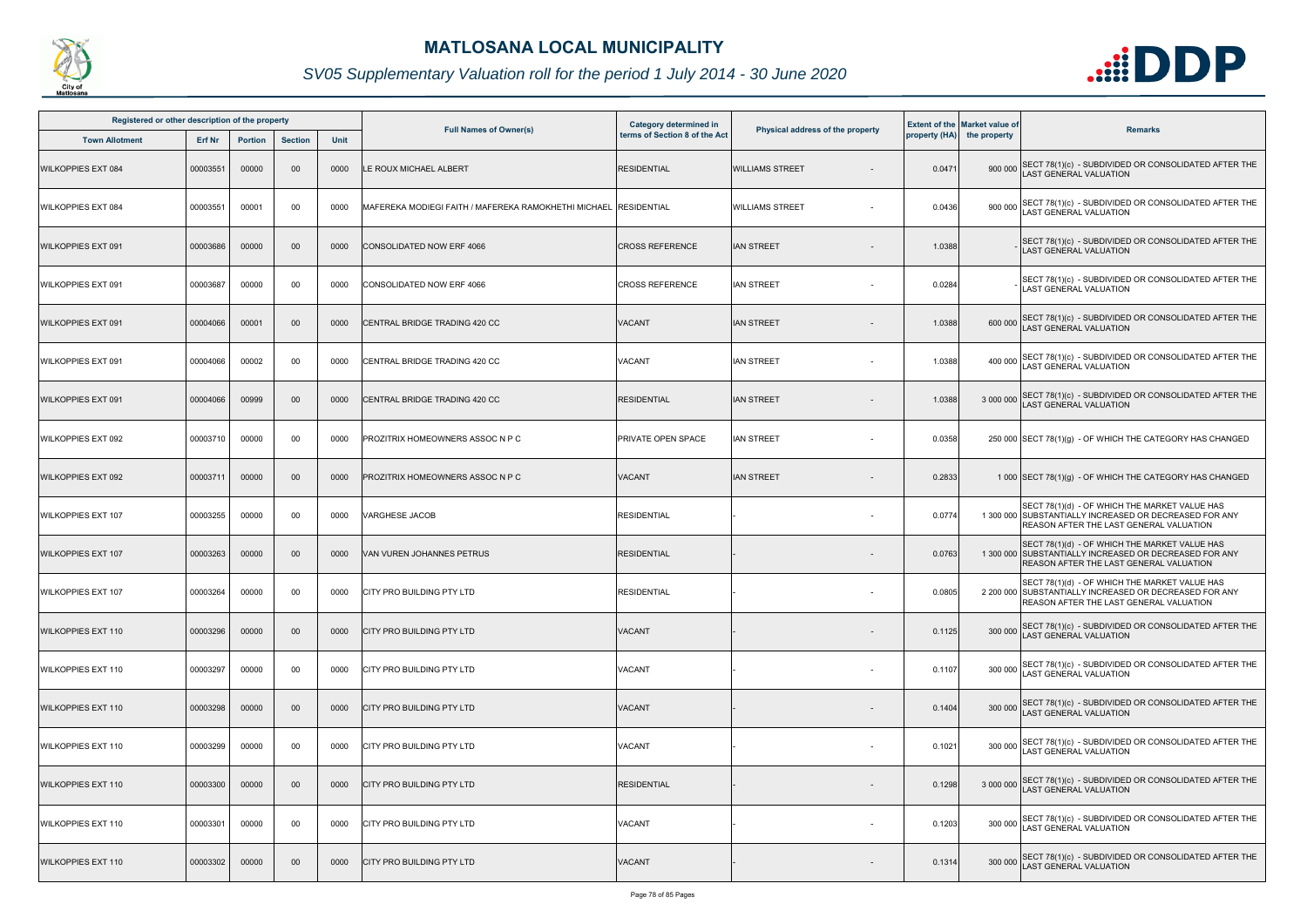

| Registered or other description of the property |          |                |                |             |                                                      |                                                                |                                  |        |                                                                    |                                                                                                                                                           |
|-------------------------------------------------|----------|----------------|----------------|-------------|------------------------------------------------------|----------------------------------------------------------------|----------------------------------|--------|--------------------------------------------------------------------|-----------------------------------------------------------------------------------------------------------------------------------------------------------|
| <b>Town Allotment</b>                           | Erf Nr   | <b>Portion</b> | <b>Section</b> | <b>Unit</b> | <b>Full Names of Owner(s)</b>                        | <b>Category determined in</b><br>terms of Section 8 of the Act | Physical address of the property |        | <b>Extent of the Market value of</b><br>property (HA) the property | <b>Remarks</b>                                                                                                                                            |
| <b>WILKOPPIES EXT 084</b>                       | 00003551 | 00000          | 00             | 0000        | LE ROUX MICHAEL ALBERT                               | <b>RESIDENTIAL</b>                                             | <b>WILLIAMS STREET</b>           | 0.0471 | 900 000                                                            | SECT 78(1)(c) - SUBDIVIDED OR CONSOLIDATED AFTER THE<br>LAST GENERAL VALUATION                                                                            |
| WILKOPPIES EXT 084                              | 00003551 | 00001          | 00             | 0000        | MAFEREKA MODIEGI FAITH / MAFEREKA RAMOKHETHI MICHAEL | <b>RESIDENTIAL</b>                                             | <b>WILLIAMS STREET</b>           | 0.0436 | 900 000                                                            | SECT 78(1)(c) - SUBDIVIDED OR CONSOLIDATED AFTER THE<br>LAST GENERAL VALUATION                                                                            |
| <b>WILKOPPIES EXT 091</b>                       | 00003686 | 00000          | 00             | 0000        | CONSOLIDATED NOW ERF 4066                            | <b>CROSS REFERENCE</b>                                         | <b>IAN STREET</b>                | 1.0388 |                                                                    | SECT 78(1)(c) - SUBDIVIDED OR CONSOLIDATED AFTER THE<br><b>LAST GENERAL VALUATION</b>                                                                     |
| <b>WILKOPPIES EXT 091</b>                       | 00003687 | 00000          | 00             | 0000        | CONSOLIDATED NOW ERF 4066                            | <b>CROSS REFERENCE</b>                                         | IAN STREET                       | 0.0284 |                                                                    | SECT 78(1)(c) - SUBDIVIDED OR CONSOLIDATED AFTER THE<br><b>LAST GENERAL VALUATION</b>                                                                     |
| <b>WILKOPPIES EXT 091</b>                       | 00004066 | 00001          | 00             | 0000        | CENTRAL BRIDGE TRADING 420 CC                        | VACANT                                                         | IAN STREET                       | 1.0388 | 600 000                                                            | SECT 78(1)(c) - SUBDIVIDED OR CONSOLIDATED AFTER THE<br>LAST GENERAL VALUATION                                                                            |
| WILKOPPIES EXT 091                              | 00004066 | 00002          | 00             | 0000        | CENTRAL BRIDGE TRADING 420 CC                        | VACANT                                                         | <b>IAN STREET</b>                | 1.0388 | 400 000                                                            | SECT 78(1)(c) - SUBDIVIDED OR CONSOLIDATED AFTER THE<br><b>AST GENERAL VALUATION</b>                                                                      |
| <b>WILKOPPIES EXT 091</b>                       | 00004066 | 00999          | 00             | 0000        | CENTRAL BRIDGE TRADING 420 CC                        | <b>RESIDENTIAL</b>                                             | IAN STREET                       | 1.0388 | 3 000 000                                                          | SECT 78(1)(c) - SUBDIVIDED OR CONSOLIDATED AFTER THE<br><b>AST GENERAL VALUATION</b>                                                                      |
| <b>WILKOPPIES EXT 092</b>                       | 00003710 | 00000          | 00             | 0000        | PROZITRIX HOMEOWNERS ASSOC N P C                     | PRIVATE OPEN SPACE                                             | IAN STREET                       | 0.0358 |                                                                    | 250 000 SECT 78(1)(g) - OF WHICH THE CATEGORY HAS CHANGED                                                                                                 |
| <b>WILKOPPIES EXT 092</b>                       | 00003711 | 00000          | 00             | 0000        | PROZITRIX HOMEOWNERS ASSOC N P C                     | <b>VACANT</b>                                                  | <b>IAN STREET</b>                | 0.2833 |                                                                    | 1 000 SECT 78(1)(g) - OF WHICH THE CATEGORY HAS CHANGED                                                                                                   |
| <b>WILKOPPIES EXT 107</b>                       | 00003255 | 00000          | 00             | 0000        | VARGHESE JACOB                                       | <b>RESIDENTIAL</b>                                             |                                  | 0.0774 |                                                                    | SECT 78(1)(d) - OF WHICH THE MARKET VALUE HAS<br>1 300 000 SUBSTANTIALLY INCREASED OR DECREASED FOR ANY<br>REASON AFTER THE LAST GENERAL VALUATION        |
| <b>WILKOPPIES EXT 107</b>                       | 00003263 | 00000          | 00             | 0000        | VAN VUREN JOHANNES PETRUS                            | <b>RESIDENTIAL</b>                                             |                                  | 0.0763 |                                                                    | SECT 78(1)(d) - OF WHICH THE MARKET VALUE HAS<br>1 300 000 SUBSTANTIALLY INCREASED OR DECREASED FOR ANY<br>REASON AFTER THE LAST GENERAL VALUATION        |
| <b>WILKOPPIES EXT 107</b>                       | 00003264 | 00000          | 00             | 0000        | <b>CITY PRO BUILDING PTY LTD</b>                     | <b>RESIDENTIAL</b>                                             | $\sim$                           | 0.0805 |                                                                    | SECT 78(1)(d) - OF WHICH THE MARKET VALUE HAS<br>2 200 000 SUBSTANTIALLY INCREASED OR DECREASED FOR ANY<br><b>REASON AFTER THE LAST GENERAL VALUATION</b> |
| <b>WILKOPPIES EXT 110</b>                       | 00003296 | 00000          | 00             | 0000        | CITY PRO BUILDING PTY LTD                            | VACANT                                                         |                                  | 0.1125 | 300 000                                                            | SECT 78(1)(c) - SUBDIVIDED OR CONSOLIDATED AFTER THE<br><b>LAST GENERAL VALUATION</b>                                                                     |
| <b>WILKOPPIES EXT 110</b>                       | 00003297 | 00000          | 00             | 0000        | CITY PRO BUILDING PTY LTD                            | <b>VACANT</b>                                                  | $\sim$                           | 0.1107 | 300 000                                                            | SECT 78(1)(c) - SUBDIVIDED OR CONSOLIDATED AFTER THE<br>AST GENERAL VALUATION                                                                             |
| <b>WILKOPPIES EXT 110</b>                       | 00003298 | 00000          | 00             | 0000        | ICITY PRO BUILDING PTY LTD                           | <b>VACANT</b>                                                  |                                  | 0.1404 | 300 000                                                            | SECT 78(1)(c) - SUBDIVIDED OR CONSOLIDATED AFTER THE LAST GENERAL VALUATION                                                                               |
| <b>WILKOPPIES EXT 110</b>                       | 00003299 | 00000          | 00             | 0000        | CITY PRO BUILDING PTY LTD                            | <b>VACANT</b>                                                  |                                  | 0.1021 | 300 000                                                            | SECT 78(1)(c) - SUBDIVIDED OR CONSOLIDATED AFTER THE<br>LAST GENERAL VALUATION                                                                            |
| <b>WILKOPPIES EXT 110</b>                       | 00003300 | 00000          | 00             | 0000        | CITY PRO BUILDING PTY LTD                            | <b>RESIDENTIAL</b>                                             |                                  | 0.1298 | 3 000 000                                                          | SECT 78(1)(c) - SUBDIVIDED OR CONSOLIDATED AFTER THE<br>LAST GENERAL VALUATION                                                                            |
| <b>WILKOPPIES EXT 110</b>                       | 00003301 | 00000          | 00             | 0000        | CITY PRO BUILDING PTY LTD                            | <b>VACANT</b>                                                  | $\sim$                           | 0.1203 |                                                                    | 300 000 SECT 78(1)(c) - SUBDIVIDED OR CONSOLIDATED AFTER THE<br>LAST GENERAL VALUATION                                                                    |
| <b>WILKOPPIES EXT 110</b>                       | 00003302 | 00000          | 00             | 0000        | CITY PRO BUILDING PTY LTD                            | <b>VACANT</b>                                                  |                                  | 0.1314 | 300 000                                                            | SECT 78(1)(c) - SUBDIVIDED OR CONSOLIDATED AFTER THE<br>LAST GENERAL VALUATION                                                                            |

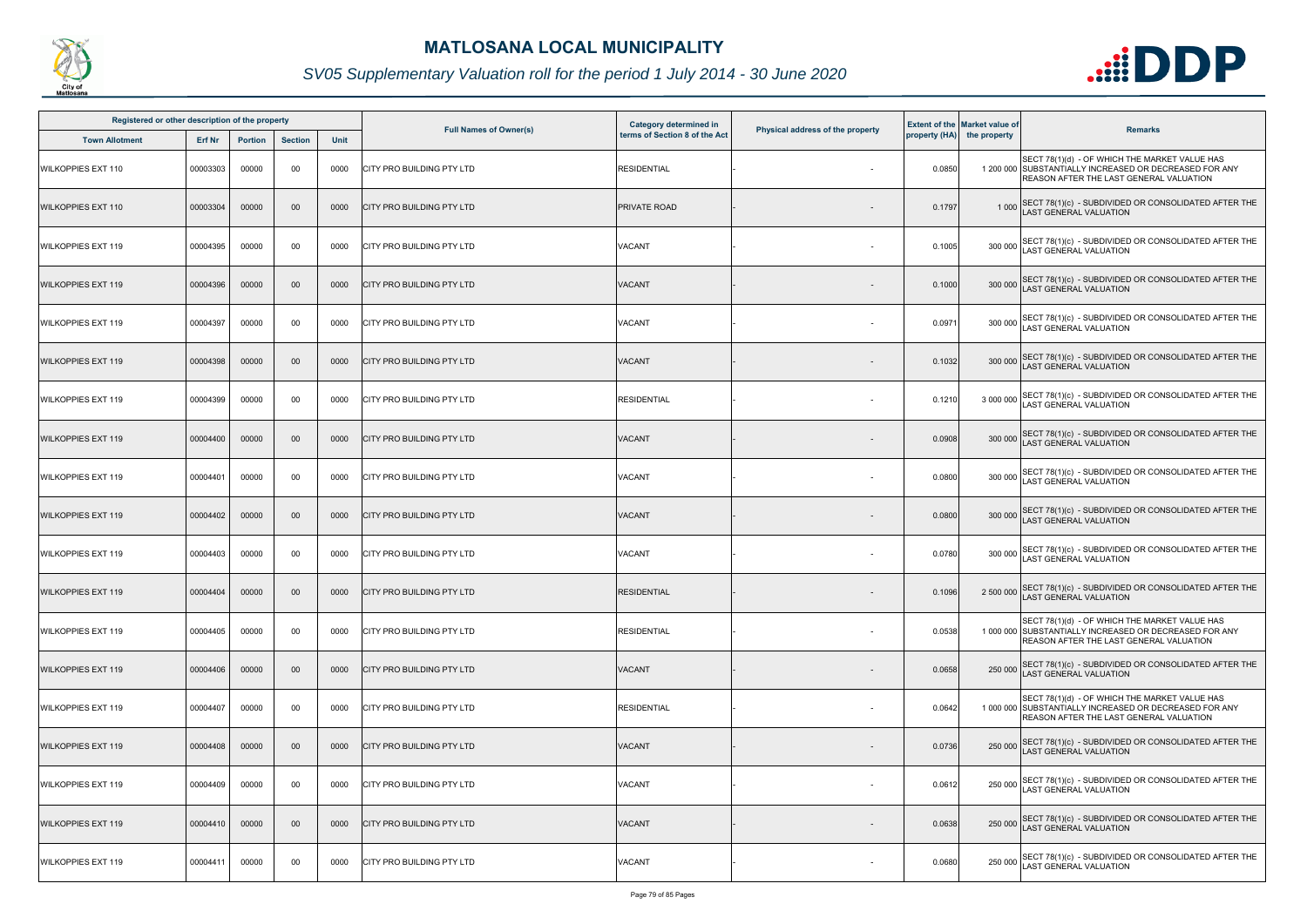

| Registered or other description of the property |               |                |                 |      |                                  | <b>Category determined in</b> |                                  |        | <b>Extent of the Market value of</b> |                                                                                                                                                    |
|-------------------------------------------------|---------------|----------------|-----------------|------|----------------------------------|-------------------------------|----------------------------------|--------|--------------------------------------|----------------------------------------------------------------------------------------------------------------------------------------------------|
| <b>Town Allotment</b>                           | <b>Erf Nr</b> | <b>Portion</b> | <b>Section</b>  | Unit | <b>Full Names of Owner(s)</b>    | terms of Section 8 of the Act | Physical address of the property |        | property (HA) the property           | <b>Remarks</b>                                                                                                                                     |
| <b>WILKOPPIES EXT 110</b>                       | 00003303      | 00000          | 00              | 0000 | CITY PRO BUILDING PTY LTD        | <b>RESIDENTIAL</b>            |                                  | 0.0850 |                                      | SECT 78(1)(d) - OF WHICH THE MARKET VALUE HAS<br>1 200 000 SUBSTANTIALLY INCREASED OR DECREASED FOR ANY<br>REASON AFTER THE LAST GENERAL VALUATION |
| <b>WILKOPPIES EXT 110</b>                       | 00003304      | 00000          | 00 <sub>o</sub> | 0000 | <b>CITY PRO BUILDING PTY LTD</b> | <b>PRIVATE ROAD</b>           |                                  | 0.1797 | 1 0 0 0                              | SECT 78(1)(c) - SUBDIVIDED OR CONSOLIDATED AFTER THE LAST GENERAL VALUATION                                                                        |
| <b>WILKOPPIES EXT 119</b>                       | 00004395      | 00000          | 00              | 0000 | CITY PRO BUILDING PTY LTD        | VACANT                        |                                  | 0.1005 | 300 000                              | SECT 78(1)(c) - SUBDIVIDED OR CONSOLIDATED AFTER THE<br>LAST GENERAL VALUATION                                                                     |
| <b>WILKOPPIES EXT 119</b>                       | 00004396      | 00000          | $00\,$          | 0000 | <b>CITY PRO BUILDING PTY LTD</b> | VACANT                        |                                  | 0.1000 | 300 000                              | SECT 78(1)(c) - SUBDIVIDED OR CONSOLIDATED AFTER THE LAST GENERAL VALUATION                                                                        |
| <b>WILKOPPIES EXT 119</b>                       | 00004397      | 00000          | 00              | 0000 | CITY PRO BUILDING PTY LTD        | <b>VACANT</b>                 |                                  | 0.0971 | 300 000                              | SECT 78(1)(c) - SUBDIVIDED OR CONSOLIDATED AFTER THE LAST GENERAL VALUATION                                                                        |
| <b>WILKOPPIES EXT 119</b>                       | 00004398      | 00000          | 00 <sub>o</sub> | 0000 | <b>CITY PRO BUILDING PTY LTD</b> | VACANT                        |                                  | 0.1032 | 300 000                              | SECT 78(1)(c) - SUBDIVIDED OR CONSOLIDATED AFTER THE<br>LAST GENERAL VALUATION                                                                     |
| <b>WILKOPPIES EXT 119</b>                       | 00004399      | 00000          | 00              | 0000 | CITY PRO BUILDING PTY LTD        | RESIDENTIAL                   |                                  | 0.1210 | 3 000 000                            | SECT 78(1)(c) - SUBDIVIDED OR CONSOLIDATED AFTER THE<br>LAST GENERAL VALUATION                                                                     |
| <b>WILKOPPIES EXT 119</b>                       | 00004400      | 00000          | $00\,$          | 0000 | <b>CITY PRO BUILDING PTY LTD</b> | VACANT                        |                                  | 0.0908 | 300 000                              | SECT 78(1)(c) - SUBDIVIDED OR CONSOLIDATED AFTER THE<br>LAST GENERAL VALUATION                                                                     |
| <b>WILKOPPIES EXT 119</b>                       | 00004401      | 00000          | 00              | 0000 | CITY PRO BUILDING PTY LTD        | VACANT                        |                                  | 0.0800 | 300 000                              | SECT 78(1)(c) - SUBDIVIDED OR CONSOLIDATED AFTER THE<br>LAST GENERAL VALUATION                                                                     |
| <b>WILKOPPIES EXT 119</b>                       | 00004402      | 00000          | $00\,$          | 0000 | <b>CITY PRO BUILDING PTY LTD</b> | VACANT                        |                                  | 0.0800 | 300 000                              | SECT 78(1)(c) - SUBDIVIDED OR CONSOLIDATED AFTER THE LAST GENERAL VALUATION                                                                        |
| <b>WILKOPPIES EXT 119</b>                       | 00004403      | 00000          | 00              | 0000 | CITY PRO BUILDING PTY LTD        | VACANT                        |                                  | 0.0780 | 300 000                              | SECT 78(1)(c) - SUBDIVIDED OR CONSOLIDATED AFTER THE<br>LAST GENERAL VALUATION                                                                     |
| <b>WILKOPPIES EXT 119</b>                       | 00004404      | 00000          | $00\,$          |      | 0000 CITY PRO BUILDING PTY LTD   | <b>RESIDENTIAL</b>            |                                  | 0.1096 |                                      | 2 500 000 SECT 78(1)(c) - SUBDIVIDED OR CONSOLIDATED AFTER THE<br>LAST GENERAL VALUATION                                                           |
| <b>WILKOPPIES EXT 119</b>                       | 00004405      | 00000          | 00              | 0000 | <b>CITY PRO BUILDING PTY LTD</b> | <b>RESIDENTIAL</b>            | $\sim$                           | 0.0538 |                                      | SECT 78(1)(d) - OF WHICH THE MARKET VALUE HAS<br>1 000 000 SUBSTANTIALLY INCREASED OR DECREASED FOR ANY<br>REASON AFTER THE LAST GENERAL VALUATION |
| <b>WILKOPPIES EXT 119</b>                       | 00004406      | 00000          | $00\,$          | 0000 | <b>CITY PRO BUILDING PTY LTD</b> | VACANT                        |                                  | 0.0658 | 250 000                              | SECT 78(1)(c) - SUBDIVIDED OR CONSOLIDATED AFTER THE<br><b>LAST GENERAL VALUATION</b>                                                              |
| <b>WILKOPPIES EXT 119</b>                       | 00004407      | 00000          | 00              | 0000 | <b>CITY PRO BUILDING PTY LTD</b> | <b>RESIDENTIAL</b>            | $\sim$                           | 0.0642 |                                      | SECT 78(1)(d) - OF WHICH THE MARKET VALUE HAS<br>1 000 000 SUBSTANTIALLY INCREASED OR DECREASED FOR ANY<br>REASON AFTER THE LAST GENERAL VALUATION |
| <b>WILKOPPIES EXT 119</b>                       | 00004408      | 00000          | 00 <sub>o</sub> | 0000 | <b>CITY PRO BUILDING PTY LTD</b> | VACANT                        |                                  | 0.0736 | 250 000                              | SECT 78(1)(c) - SUBDIVIDED OR CONSOLIDATED AFTER THE<br>LAST GENERAL VALUATION                                                                     |
| <b>WILKOPPIES EXT 119</b>                       | 00004409      | 00000          | 00              | 0000 | <b>CITY PRO BUILDING PTY LTD</b> | <b>VACANT</b>                 | $\sim$                           | 0.0612 | 250 000                              | SECT 78(1)(c) - SUBDIVIDED OR CONSOLIDATED AFTER THE<br>LAST GENERAL VALUATION                                                                     |
| <b>WILKOPPIES EXT 119</b>                       | 00004410      | 00000          | 00 <sub>o</sub> | 0000 | <b>CITY PRO BUILDING PTY LTD</b> | VACANT                        |                                  | 0.0638 | 250 000                              | SECT 78(1)(c) - SUBDIVIDED OR CONSOLIDATED AFTER THE<br>LAST GENERAL VALUATION                                                                     |
| <b>WILKOPPIES EXT 119</b>                       | 00004411      | 00000          | 00              | 0000 | CITY PRO BUILDING PTY LTD        | VACANT                        |                                  | 0.0680 | 250 000                              | SECT 78(1)(c) - SUBDIVIDED OR CONSOLIDATED AFTER THE<br>AST GENERAL VALUATION                                                                      |

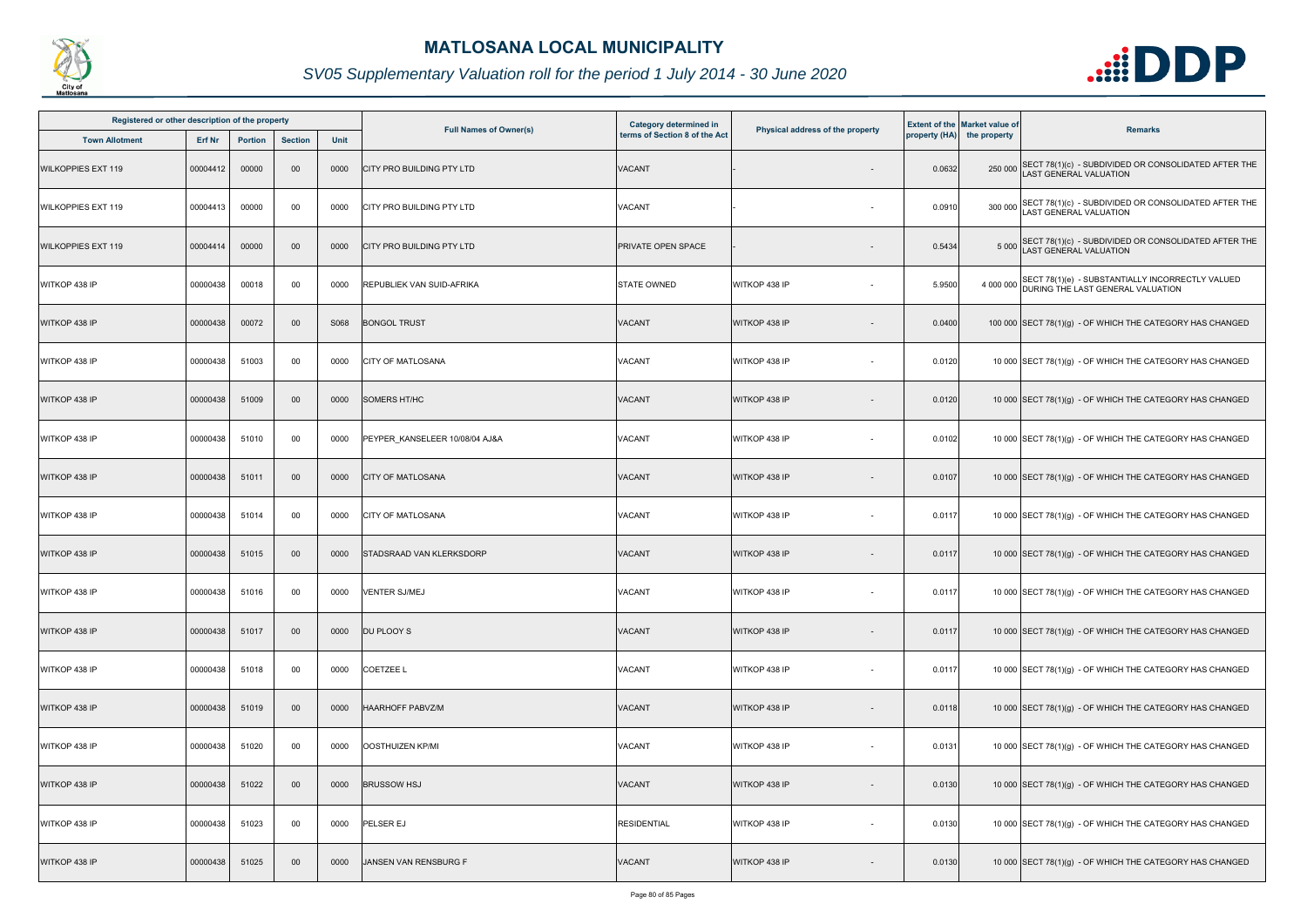

| Registered or other description of the property<br><b>Town Allotment</b><br>Erf Nr<br><b>Portion</b><br><b>Section</b> |          |       |        |      | <b>Category determined in</b>  |                               |                                  | <b>Extent of the Market value of</b> |                            |                                                                                                 |
|------------------------------------------------------------------------------------------------------------------------|----------|-------|--------|------|--------------------------------|-------------------------------|----------------------------------|--------------------------------------|----------------------------|-------------------------------------------------------------------------------------------------|
|                                                                                                                        |          |       |        | Unit | <b>Full Names of Owner(s)</b>  | terms of Section 8 of the Act | Physical address of the property |                                      | property (HA) the property | <b>Remarks</b>                                                                                  |
| <b>WILKOPPIES EXT 119</b>                                                                                              | 00004412 | 00000 | 00     | 0000 | CITY PRO BUILDING PTY LTD      | <b>VACANT</b>                 |                                  | 0.0632                               |                            | 250 000 SECT 78(1)(c) - SUBDIVIDED OR CONSOLIDATED AFTER THE<br><b>AST GENERAL VALUATION</b>    |
| <b>WILKOPPIES EXT 119</b>                                                                                              | 00004413 | 00000 | 00     | 0000 | CITY PRO BUILDING PTY LTD      | <b>VACANT</b>                 |                                  | 0.0910                               |                            | 300 000 SECT 78(1)(c) - SUBDIVIDED OR CONSOLIDATED AFTER THE<br>LAST GENERAL VALUATION          |
| <b>WILKOPPIES EXT 119</b>                                                                                              | 00004414 | 00000 | 00     | 0000 | CITY PRO BUILDING PTY LTD      | PRIVATE OPEN SPACE            |                                  | 0.5434                               |                            | 5 000 SECT 78(1)(c) - SUBDIVIDED OR CONSOLIDATED AFTER THE<br>LAST GENERAL VALUATION            |
| WITKOP 438 IP                                                                                                          | 00000438 | 00018 | $00\,$ | 0000 | REPUBLIEK VAN SUID-AFRIKA      | <b>STATE OWNED</b>            | WITKOP 438 IP                    | 5.9500                               |                            | 4 000 000 SECT 78(1)(e) - SUBSTANTIALLY INCORRECTLY VALUED<br>DURING THE LAST GENERAL VALUATION |
| WITKOP 438 IP                                                                                                          | 00000438 | 00072 | $00\,$ | S068 | <b>BONGOL TRUST</b>            | VACANT                        | WITKOP 438 IP                    | 0.0400                               |                            | 100 000 SECT 78(1)(g) - OF WHICH THE CATEGORY HAS CHANGED                                       |
| WITKOP 438 IP                                                                                                          | 00000438 | 51003 | 00     | 0000 | CITY OF MATLOSANA              | VACANT                        | WITKOP 438 IP                    | 0.0120                               |                            | 10 000 SECT 78(1)(g) - OF WHICH THE CATEGORY HAS CHANGED                                        |
| WITKOP 438 IP                                                                                                          | 00000438 | 51009 | $00\,$ | 0000 | <b>SOMERS HT/HC</b>            | VACANT                        | WITKOP 438 IP                    | 0.0120                               |                            | 10 000 SECT 78(1)(g) - OF WHICH THE CATEGORY HAS CHANGED                                        |
| WITKOP 438 IP                                                                                                          | 00000438 | 51010 | 00     | 0000 | PEYPER_KANSELEER 10/08/04 AJ&A | VACANT                        | WITKOP 438 IP                    | 0.0102                               |                            | 10 000 SECT 78(1)(g) - OF WHICH THE CATEGORY HAS CHANGED                                        |
| WITKOP 438 IP                                                                                                          | 00000438 | 51011 | $00\,$ | 0000 | <b>CITY OF MATLOSANA</b>       | VACANT                        | WITKOP 438 IP                    | 0.0107                               |                            | 10 000 SECT 78(1)(g) - OF WHICH THE CATEGORY HAS CHANGED                                        |
| WITKOP 438 IP                                                                                                          | 00000438 | 51014 | 00     | 0000 | <b>CITY OF MATLOSANA</b>       | VACANT                        | WITKOP 438 IP                    | 0.0117                               |                            | 10 000 SECT 78(1)(g) - OF WHICH THE CATEGORY HAS CHANGED                                        |
| WITKOP 438 IP                                                                                                          | 00000438 | 51015 | 00     | 0000 | STADSRAAD VAN KLERKSDORP       | VACANT                        | WITKOP 438 IP                    | 0.0117                               |                            | 10 000 SECT 78(1)(g) - OF WHICH THE CATEGORY HAS CHANGED                                        |
| WITKOP 438 IP                                                                                                          | 00000438 | 51016 | 00     | 0000 | VENTER SJ/MEJ                  | VACANT                        | WITKOP 438 IP                    | 0.0117                               |                            | 10 000 SECT 78(1)(g) - OF WHICH THE CATEGORY HAS CHANGED                                        |
| WITKOP 438 IP                                                                                                          | 00000438 | 51017 | $00\,$ | 0000 | DU PLOOY S                     | <b>VACANT</b>                 | WITKOP 438 IP                    | 0.0117                               |                            | 10 000 SECT 78(1)(g) - OF WHICH THE CATEGORY HAS CHANGED                                        |
| WITKOP 438 IP                                                                                                          | 00000438 | 51018 | 00     | 0000 | COETZEE L                      | VACANT                        | WITKOP 438 IP                    | 0.0117                               |                            | 10 000 SECT 78(1)(g) - OF WHICH THE CATEGORY HAS CHANGED                                        |
| WITKOP 438 IP                                                                                                          | 00000438 | 51019 | $00\,$ | 0000 | <b>HAARHOFF PABVZ/M</b>        | VACANT                        | WITKOP 438 IP                    | 0.0118                               |                            | 10 000 SECT 78(1)(g) - OF WHICH THE CATEGORY HAS CHANGED                                        |
| WITKOP 438 IP                                                                                                          | 00000438 | 51020 | 00     | 0000 | OOSTHUIZEN KP/MI               | <b>VACANT</b>                 | WITKOP 438 IP<br>$\sim$          | 0.0131                               |                            | 10 000 SECT 78(1)(g) - OF WHICH THE CATEGORY HAS CHANGED                                        |
| WITKOP 438 IP                                                                                                          | 00000438 | 51022 | $00\,$ | 0000 | <b>BRUSSOW HSJ</b>             | VACANT                        | WITKOP 438 IP                    | 0.0130                               |                            | 10 000 SECT 78(1)(g) - OF WHICH THE CATEGORY HAS CHANGED                                        |
| WITKOP 438 IP                                                                                                          | 00000438 | 51023 | 00     | 0000 | PELSER EJ                      | <b>RESIDENTIAL</b>            | WITKOP 438 IP<br>$\sim$          | 0.0130                               |                            | 10 000 SECT 78(1)(g) - OF WHICH THE CATEGORY HAS CHANGED                                        |
| WITKOP 438 IP                                                                                                          | 00000438 | 51025 | $00\,$ | 0000 | JANSEN VAN RENSBURG F          | VACANT                        | WITKOP 438 IP                    | 0.0130                               |                            | 10 000 SECT 78(1)(g) - OF WHICH THE CATEGORY HAS CHANGED                                        |

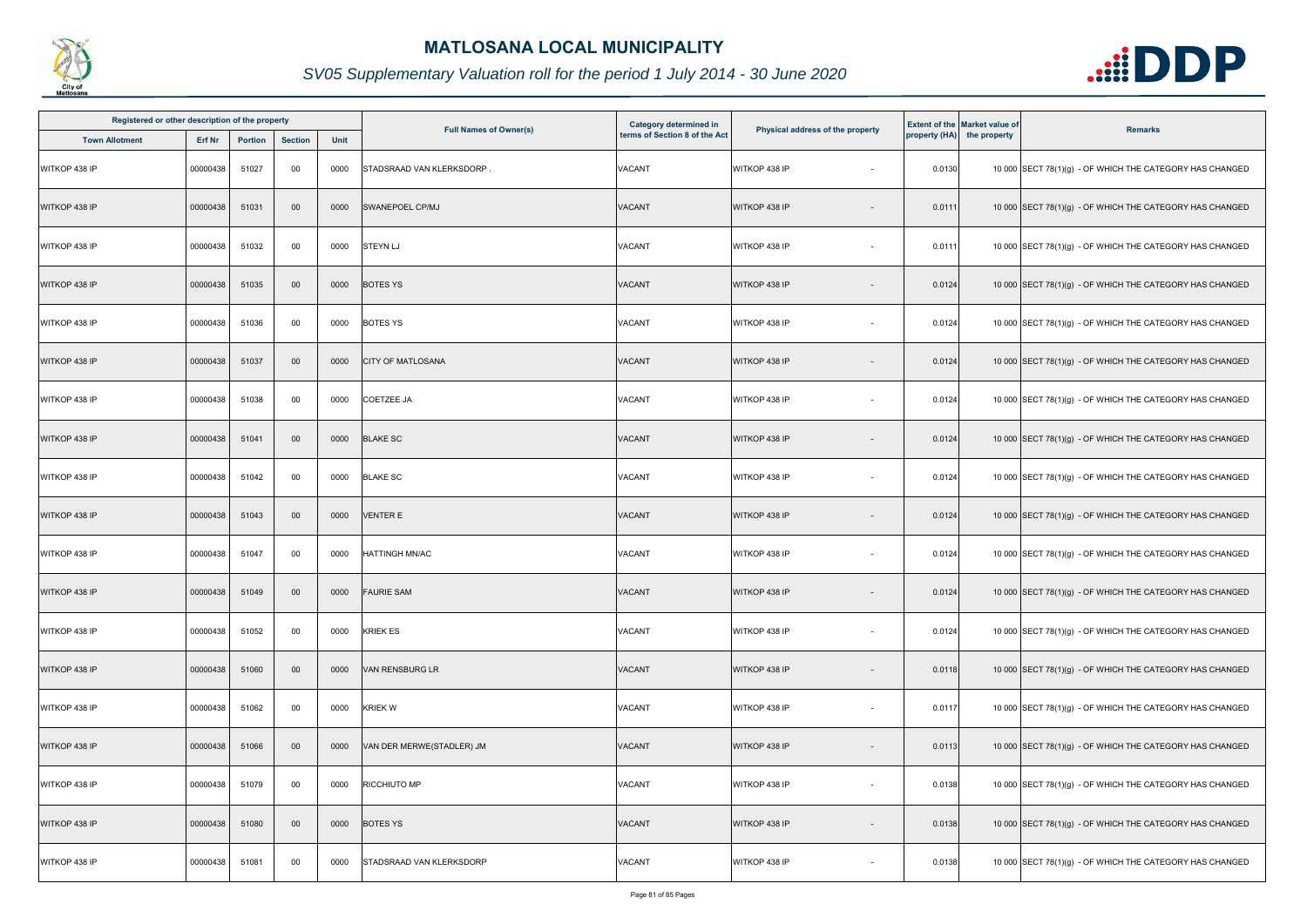

| Registered or other description of the property |          |                |                |             | <b>Full Names of Owner(s)</b> | Category determined in        |                                           |        | <b>Extent of the Market value of</b> |                                                          |
|-------------------------------------------------|----------|----------------|----------------|-------------|-------------------------------|-------------------------------|-------------------------------------------|--------|--------------------------------------|----------------------------------------------------------|
| <b>Town Allotment</b>                           | Erf Nr   | <b>Portion</b> | <b>Section</b> | <b>Unit</b> |                               | terms of Section 8 of the Act | Physical address of the property          |        | property (HA) the property           | <b>Remarks</b>                                           |
| WITKOP 438 IP                                   | 00000438 | 51027          | 00             | 0000        | STADSRAAD VAN KLERKSDORP      | VACANT                        | WITKOP 438 IP                             | 0.0130 |                                      | 10 000 SECT 78(1)(g) - OF WHICH THE CATEGORY HAS CHANGED |
| WITKOP 438 IP                                   | 00000438 | 51031          | 00             | 0000        | SWANEPOEL CP/MJ               | VACANT                        | WITKOP 438 IP                             | 0.0111 |                                      | 10 000 SECT 78(1)(g) - OF WHICH THE CATEGORY HAS CHANGED |
| WITKOP 438 IP                                   | 00000438 | 51032          | 00             | 0000        | <b>STEYN LJ</b>               | <b>VACANT</b>                 | WITKOP 438 IP                             | 0.0111 |                                      | 10 000 SECT 78(1)(g) - OF WHICH THE CATEGORY HAS CHANGED |
| WITKOP 438 IP                                   | 00000438 | 51035          | 00             | 0000        | <b>BOTES YS</b>               | VACANT                        | WITKOP 438 IP                             | 0.0124 |                                      | 10 000 SECT 78(1)(g) - OF WHICH THE CATEGORY HAS CHANGED |
| WITKOP 438 IP                                   | 00000438 | 51036          | 00             | 0000        | <b>BOTES YS</b>               | VACANT                        | WITKOP 438 IP<br>$\overline{\phantom{a}}$ | 0.0124 |                                      | 10 000 SECT 78(1)(g) - OF WHICH THE CATEGORY HAS CHANGED |
| WITKOP 438 IP                                   | 00000438 | 51037          | 00             | 0000        | <b>CITY OF MATLOSANA</b>      | VACANT                        | WITKOP 438 IP                             | 0.0124 |                                      | 10 000 SECT 78(1)(g) - OF WHICH THE CATEGORY HAS CHANGED |
| WITKOP 438 IP                                   | 00000438 | 51038          | 00             | 0000        | <b>COETZEE JA</b>             | VACANT                        | WITKOP 438 IP<br>$\sim$                   | 0.0124 |                                      | 10 000 SECT 78(1)(g) - OF WHICH THE CATEGORY HAS CHANGED |
| WITKOP 438 IP                                   | 00000438 | 51041          | 00             | 0000        | <b>BLAKE SC</b>               | <b>VACANT</b>                 | WITKOP 438 IP                             | 0.0124 |                                      | 10 000 SECT 78(1)(g) - OF WHICH THE CATEGORY HAS CHANGED |
| WITKOP 438 IP                                   | 00000438 | 51042          | 00             | 0000        | <b>BLAKE SC</b>               | VACANT                        | WITKOP 438 IP                             | 0.0124 |                                      | 10 000 SECT 78(1)(g) - OF WHICH THE CATEGORY HAS CHANGED |
| WITKOP 438 IP                                   | 00000438 | 51043          | 00             | 0000        | <b>VENTER E</b>               | <b>VACANT</b>                 | WITKOP 438 IP                             | 0.0124 |                                      | 10 000 SECT 78(1)(g) - OF WHICH THE CATEGORY HAS CHANGED |
| WITKOP 438 IP                                   | 00000438 | 51047          | 00             | 0000        | <b>HATTINGH MN/AC</b>         | VACANT                        | WITKOP 438 IP<br>$\sim$                   | 0.0124 |                                      | 10 000 SECT 78(1)(g) - OF WHICH THE CATEGORY HAS CHANGED |
| WITKOP 438 IP                                   | 00000438 | 51049          | 00             | 0000        | <b>FAURIE SAM</b>             | <b>VACANT</b>                 | WITKOP 438 IP<br>$\sim$                   | 0.0124 |                                      | 10 000 SECT 78(1)(g) - OF WHICH THE CATEGORY HAS CHANGED |
| WITKOP 438 IP                                   | 00000438 | 51052          | 00             | 0000        | <b>KRIEK ES</b>               | VACANT                        | WITKOP 438 IP                             | 0.0124 |                                      | 10 000 SECT 78(1)(g) - OF WHICH THE CATEGORY HAS CHANGED |
| WITKOP 438 IP                                   | 00000438 | 51060          | 00             | 0000        | <b>VAN RENSBURG LR</b>        | <b>VACANT</b>                 | WITKOP 438 IP<br>$\sim$                   | 0.0118 |                                      | 10 000 SECT 78(1)(g) - OF WHICH THE CATEGORY HAS CHANGED |
| WITKOP 438 IP                                   | 00000438 | 51062          | 00             | 0000        | <b>KRIEK W</b>                | <b>VACANT</b>                 | WITKOP 438 IP<br>$\sim$                   | 0.0117 |                                      | 10 000 SECT 78(1)(g) - OF WHICH THE CATEGORY HAS CHANGED |
| WITKOP 438 IP                                   | 00000438 | 51066          | 00             | 0000        | VAN DER MERWE(STADLER) JM     | <b>VACANT</b>                 | WITKOP 438 IP                             | 0.0113 |                                      | 10 000 SECT 78(1)(g) - OF WHICH THE CATEGORY HAS CHANGED |
| WITKOP 438 IP                                   | 00000438 | 51079          | 00             | 0000        | RICCHIUTO MP                  | VACANT                        | WITKOP 438 IP<br>$\sim$                   | 0.0138 |                                      | 10 000 SECT 78(1)(g) - OF WHICH THE CATEGORY HAS CHANGED |
| WITKOP 438 IP                                   | 00000438 | 51080          | 00             | 0000        | <b>BOTES YS</b>               | <b>VACANT</b>                 | WITKOP 438 IP                             | 0.0138 |                                      | 10 000 SECT 78(1)(g) - OF WHICH THE CATEGORY HAS CHANGED |
| WITKOP 438 IP                                   | 00000438 | 51081          | 00             | 0000        | STADSRAAD VAN KLERKSDORP      | VACANT                        | WITKOP 438 IP                             | 0.0138 |                                      | 10 000 SECT 78(1)(g) - OF WHICH THE CATEGORY HAS CHANGED |

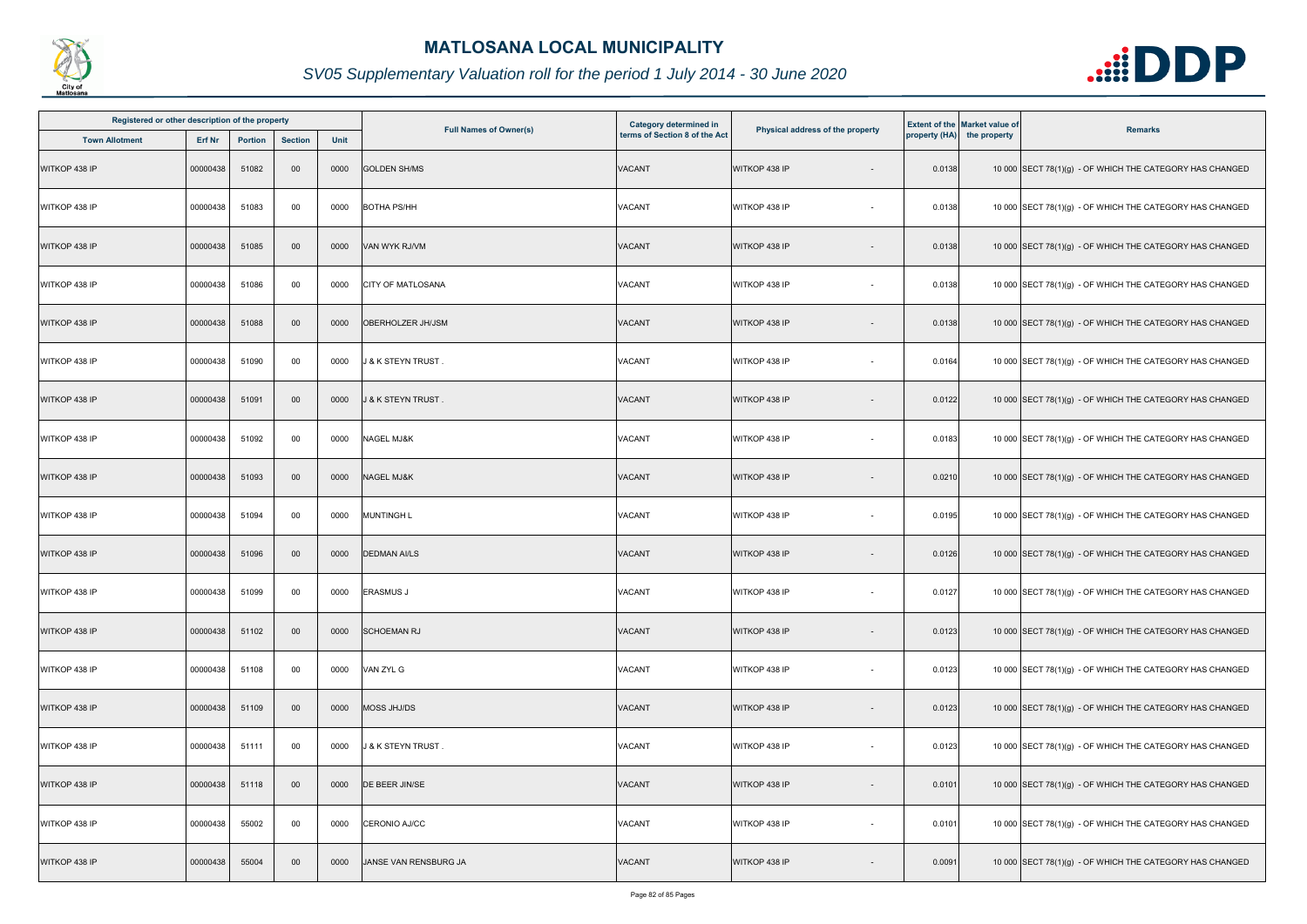

| Registered or other description of the property |          |                |                |             |                               | Category determined in        |                                  |        | <b>Extent of the Market value of</b> |                                                          |
|-------------------------------------------------|----------|----------------|----------------|-------------|-------------------------------|-------------------------------|----------------------------------|--------|--------------------------------------|----------------------------------------------------------|
| <b>Town Allotment</b>                           | Erf Nr   | <b>Portion</b> | <b>Section</b> | <b>Unit</b> | <b>Full Names of Owner(s)</b> | terms of Section 8 of the Act | Physical address of the property |        | property (HA) the property           | <b>Remarks</b>                                           |
| WITKOP 438 IP                                   | 00000438 | 51082          | 00             | 0000        | <b>GOLDEN SH/MS</b>           | <b>VACANT</b>                 | WITKOP 438 IP                    | 0.0138 |                                      | 10 000 SECT 78(1)(g) - OF WHICH THE CATEGORY HAS CHANGED |
| WITKOP 438 IP                                   | 00000438 | 51083          | 00             | 0000        | <b>BOTHA PS/HH</b>            | VACANT                        | WITKOP 438 IP                    | 0.0138 |                                      | 10 000 SECT 78(1)(g) - OF WHICH THE CATEGORY HAS CHANGED |
| WITKOP 438 IP                                   | 00000438 | 51085          | 00             | 0000        | VAN WYK RJ/VM                 | <b>VACANT</b>                 | WITKOP 438 IP                    | 0.0138 |                                      | 10 000 SECT 78(1)(g) - OF WHICH THE CATEGORY HAS CHANGED |
| WITKOP 438 IP                                   | 00000438 | 51086          | 00             | 0000        | CITY OF MATLOSANA             | <b>VACANT</b>                 | WITKOP 438 IP                    | 0.0138 |                                      | 10 000 SECT 78(1)(g) - OF WHICH THE CATEGORY HAS CHANGED |
| WITKOP 438 IP                                   | 00000438 | 51088          | 00             | 0000        | OBERHOLZER JH/JSM             | VACANT                        | WITKOP 438 IP                    | 0.0138 |                                      | 10 000 SECT 78(1)(g) - OF WHICH THE CATEGORY HAS CHANGED |
| WITKOP 438 IP                                   | 00000438 | 51090          | 00             | 0000        | J & K STEYN TRUST .           | VACANT                        | WITKOP 438 IP                    | 0.0164 |                                      | 10 000 SECT 78(1)(g) - OF WHICH THE CATEGORY HAS CHANGED |
| WITKOP 438 IP                                   | 00000438 | 51091          | 00             | 0000        | J & K STEYN TRUST             | VACANT                        | WITKOP 438 IP                    | 0.0122 |                                      | 10 000 SECT 78(1)(g) - OF WHICH THE CATEGORY HAS CHANGED |
| WITKOP 438 IP                                   | 00000438 | 51092          | 00             | 0000        | NAGEL MJ&K                    | VACANT                        | WITKOP 438 IP<br>$\sim$          | 0.0183 |                                      | 10 000 SECT 78(1)(g) - OF WHICH THE CATEGORY HAS CHANGED |
| WITKOP 438 IP                                   | 00000438 | 51093          | 00             | 0000        | <b>NAGEL MJ&amp;K</b>         | <b>VACANT</b>                 | WITKOP 438 IP                    | 0.0210 |                                      | 10 000 SECT 78(1)(g) - OF WHICH THE CATEGORY HAS CHANGED |
| WITKOP 438 IP                                   | 00000438 | 51094          | 00             | 0000        | <b>MUNTINGH L</b>             | <b>VACANT</b>                 | WITKOP 438 IP                    | 0.0195 |                                      | 10 000 SECT 78(1)(g) - OF WHICH THE CATEGORY HAS CHANGED |
| WITKOP 438 IP                                   | 00000438 | 51096          | 00             | 0000        | <b>DEDMAN AI/LS</b>           | <b>VACANT</b>                 | WITKOP 438 IP                    | 0.0126 |                                      | 10 000 SECT 78(1)(g) - OF WHICH THE CATEGORY HAS CHANGED |
| WITKOP 438 IP                                   | 00000438 | 51099          | 00             | 0000        | <b>ERASMUS J</b>              | <b>VACANT</b>                 | WITKOP 438 IP<br>$\sim$          | 0.0127 |                                      | 10 000 SECT 78(1)(g) - OF WHICH THE CATEGORY HAS CHANGED |
| WITKOP 438 IP                                   | 00000438 | 51102          | 00             | 0000        | <b>SCHOEMAN RJ</b>            | <b>VACANT</b>                 | WITKOP 438 IP                    | 0.0123 |                                      | 10 000 SECT 78(1)(g) - OF WHICH THE CATEGORY HAS CHANGED |
| WITKOP 438 IP                                   | 00000438 | 51108          | 00             | 0000        | VAN ZYL G                     | <b>VACANT</b>                 | WITKOP 438 IP<br>$\sim$          | 0.0123 |                                      | 10 000 SECT 78(1)(g) - OF WHICH THE CATEGORY HAS CHANGED |
| WITKOP 438 IP                                   | 00000438 | 51109          | 00             | 0000        | MOSS JHJ/DS                   | <b>VACANT</b>                 | WITKOP 438 IP                    | 0.0123 |                                      | 10 000 SECT 78(1)(g) - OF WHICH THE CATEGORY HAS CHANGED |
| WITKOP 438 IP                                   | 00000438 | 51111          | 00             | 0000        | J & K STEYN TRUST.            | VACANT                        | WITKOP 438 IP                    | 0.0123 |                                      | 10 000 SECT 78(1)(g) - OF WHICH THE CATEGORY HAS CHANGED |
| WITKOP 438 IP                                   | 00000438 | 51118          | 00             | 0000        | DE BEER JIN/SE                | <b>VACANT</b>                 | WITKOP 438 IP                    | 0.0101 |                                      | 10 000 SECT 78(1)(g) - OF WHICH THE CATEGORY HAS CHANGED |
| WITKOP 438 IP                                   | 00000438 | 55002          | 00             | 0000        | CERONIO AJ/CC                 | <b>VACANT</b>                 | WITKOP 438 IP<br>$\sim$          | 0.0101 |                                      | 10 000 SECT 78(1)(g) - OF WHICH THE CATEGORY HAS CHANGED |
| WITKOP 438 IP                                   | 00000438 | 55004          | 00             | 0000        | JANSE VAN RENSBURG JA         | <b>VACANT</b>                 | WITKOP 438 IP                    | 0.0091 |                                      | 10 000 SECT 78(1)(g) - OF WHICH THE CATEGORY HAS CHANGED |

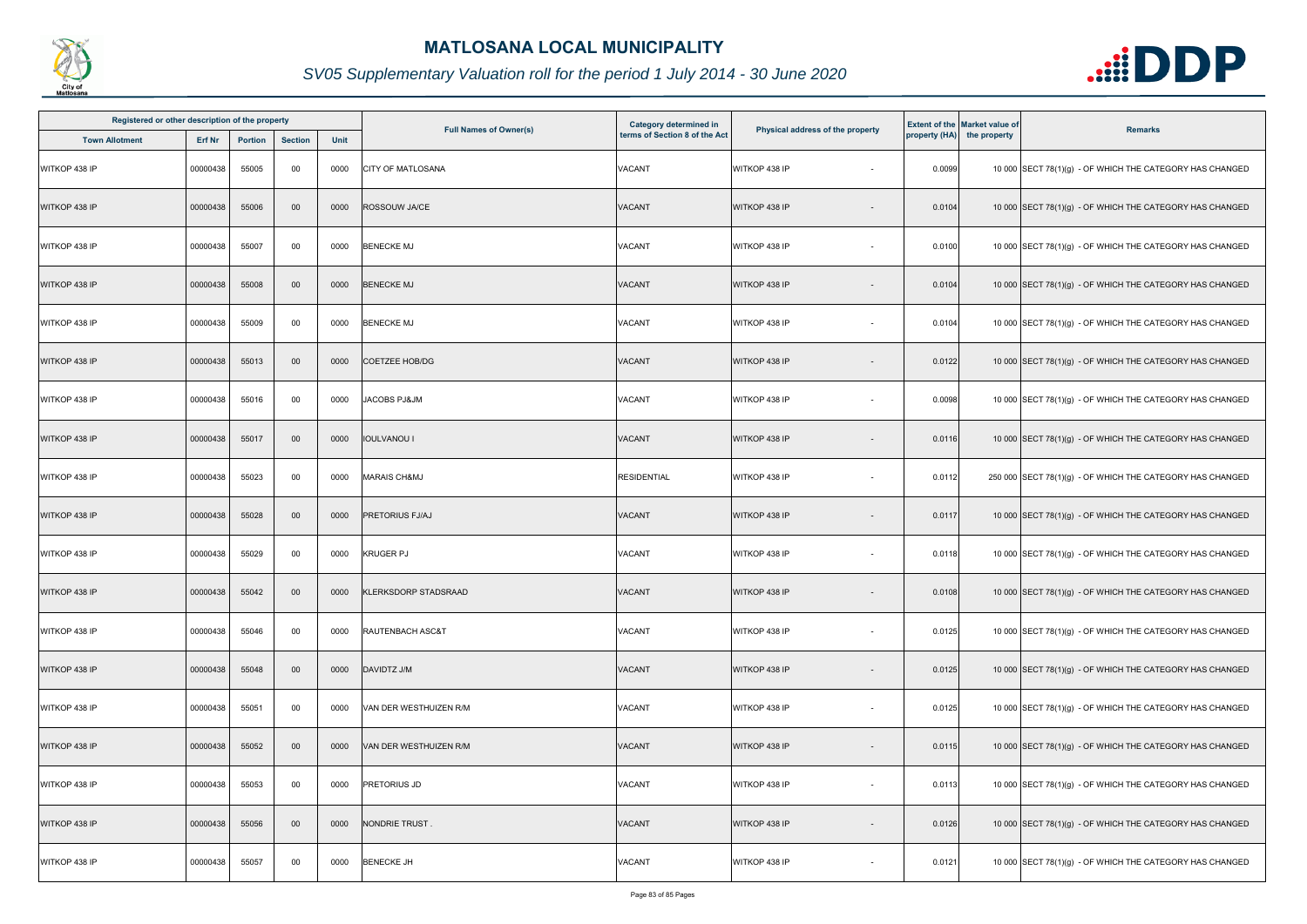

| Registered or other description of the property |          |                |                |      |                               | <b>Category determined in</b> |                                  |        | <b>Extent of the Market value of</b> |                                                           |
|-------------------------------------------------|----------|----------------|----------------|------|-------------------------------|-------------------------------|----------------------------------|--------|--------------------------------------|-----------------------------------------------------------|
| <b>Town Allotment</b>                           | Erf Nr   | <b>Portion</b> | <b>Section</b> | Unit | <b>Full Names of Owner(s)</b> | terms of Section 8 of the Act | Physical address of the property |        | property (HA) the property           | <b>Remarks</b>                                            |
| WITKOP 438 IP                                   | 00000438 | 55005          | 00             | 0000 | CITY OF MATLOSANA             | <b>VACANT</b>                 | WITKOP 438 IP                    | 0.0099 |                                      | 10 000 SECT 78(1)(g) - OF WHICH THE CATEGORY HAS CHANGED  |
| WITKOP 438 IP                                   | 00000438 | 55006          | 00             | 0000 | ROSSOUW JA/CE                 | <b>VACANT</b>                 | WITKOP 438 IP                    | 0.0104 |                                      | 10 000 SECT 78(1)(g) - OF WHICH THE CATEGORY HAS CHANGED  |
| WITKOP 438 IP                                   | 00000438 | 55007          | 00             | 0000 | <b>BENECKE MJ</b>             | VACANT                        | WITKOP 438 IP                    | 0.0100 |                                      | 10 000 SECT 78(1)(g) - OF WHICH THE CATEGORY HAS CHANGED  |
| WITKOP 438 IP                                   | 00000438 | 55008          | 00             | 0000 | <b>BENECKE MJ</b>             | <b>VACANT</b>                 | WITKOP 438 IP                    | 0.0104 |                                      | 10 000 SECT 78(1)(g) - OF WHICH THE CATEGORY HAS CHANGED  |
| WITKOP 438 IP                                   | 00000438 | 55009          | 00             | 0000 | <b>BENECKE MJ</b>             | VACANT                        | WITKOP 438 IP                    | 0.0104 |                                      | 10 000 SECT 78(1)(g) - OF WHICH THE CATEGORY HAS CHANGED  |
| WITKOP 438 IP                                   | 00000438 | 55013          | 00             | 0000 | <b>COETZEE HOB/DG</b>         | VACANT                        | WITKOP 438 IP                    | 0.0122 |                                      | 10 000 SECT 78(1)(g) - OF WHICH THE CATEGORY HAS CHANGED  |
| WITKOP 438 IP                                   | 00000438 | 55016          | 00             | 0000 | <b>JACOBS PJ&amp;JM</b>       | <b>VACANT</b>                 | WITKOP 438 IP                    | 0.0098 |                                      | 10 000 SECT 78(1)(g) - OF WHICH THE CATEGORY HAS CHANGED  |
| WITKOP 438 IP                                   | 00000438 | 55017          | 00             | 0000 | <b>IOULVANOU I</b>            | <b>VACANT</b>                 | WITKOP 438 IP                    | 0.0116 |                                      | 10 000 SECT 78(1)(g) - OF WHICH THE CATEGORY HAS CHANGED  |
| WITKOP 438 IP                                   | 00000438 | 55023          | 00             | 0000 | <b>MARAIS CH&amp;MJ</b>       | <b>RESIDENTIAL</b>            | WITKOP 438 IP                    | 0.0112 |                                      | 250 000 SECT 78(1)(g) - OF WHICH THE CATEGORY HAS CHANGED |
| WITKOP 438 IP                                   | 00000438 | 55028          | 00             | 0000 | <b>PRETORIUS FJ/AJ</b>        | <b>VACANT</b>                 | WITKOP 438 IP                    | 0.0117 |                                      | 10 000 SECT 78(1)(g) - OF WHICH THE CATEGORY HAS CHANGED  |
| WITKOP 438 IP                                   | 00000438 | 55029          | 00             | 0000 | <b>KRUGER PJ</b>              | <b>VACANT</b>                 | WITKOP 438 IP                    | 0.0118 |                                      | 10 000 SECT 78(1)(g) - OF WHICH THE CATEGORY HAS CHANGED  |
| WITKOP 438 IP                                   | 00000438 | 55042          | 00             | 0000 | <b>KLERKSDORP STADSRAAD</b>   | <b>VACANT</b>                 | WITKOP 438 IP                    | 0.0108 |                                      | 10 000 SECT 78(1)(g) - OF WHICH THE CATEGORY HAS CHANGED  |
| WITKOP 438 IP                                   | 00000438 | 55046          | 00             | 0000 | RAUTENBACH ASC&T              | VACANT                        | WITKOP 438 IP                    | 0.0125 |                                      | 10 000 SECT 78(1)(g) - OF WHICH THE CATEGORY HAS CHANGED  |
| WITKOP 438 IP                                   | 00000438 | 55048          | 00             | 0000 | DAVIDTZ J/M                   | <b>VACANT</b>                 | WITKOP 438 IP                    | 0.0125 |                                      | 10 000 SECT 78(1)(g) - OF WHICH THE CATEGORY HAS CHANGED  |
| WITKOP 438 IP                                   | 00000438 | 55051          | 00             | 0000 | VAN DER WESTHUIZEN R/M        | <b>VACANT</b>                 | WITKOP 438 IP<br>$\sim$          | 0.0125 |                                      | 10 000 SECT 78(1)(g) - OF WHICH THE CATEGORY HAS CHANGED  |
| WITKOP 438 IP                                   | 00000438 | 55052          | 00             | 0000 | VAN DER WESTHUIZEN R/M        | <b>VACANT</b>                 | WITKOP 438 IP                    | 0.0115 |                                      | 10 000 SECT 78(1)(g) - OF WHICH THE CATEGORY HAS CHANGED  |
| WITKOP 438 IP                                   | 00000438 | 55053          | 00             | 0000 | PRETORIUS JD                  | <b>VACANT</b>                 | WITKOP 438 IP                    | 0.0113 |                                      | 10 000 SECT 78(1)(g) - OF WHICH THE CATEGORY HAS CHANGED  |
| WITKOP 438 IP                                   | 00000438 | 55056          | 00             | 0000 | NONDRIE TRUST.                | <b>VACANT</b>                 | WITKOP 438 IP                    | 0.0126 |                                      | 10 000 SECT 78(1)(g) - OF WHICH THE CATEGORY HAS CHANGED  |
| WITKOP 438 IP                                   | 00000438 | 55057          | 00             | 0000 | <b>BENECKE JH</b>             | VACANT                        | WITKOP 438 IP                    | 0.0121 |                                      | 10 000 SECT 78(1)(g) - OF WHICH THE CATEGORY HAS CHANGED  |

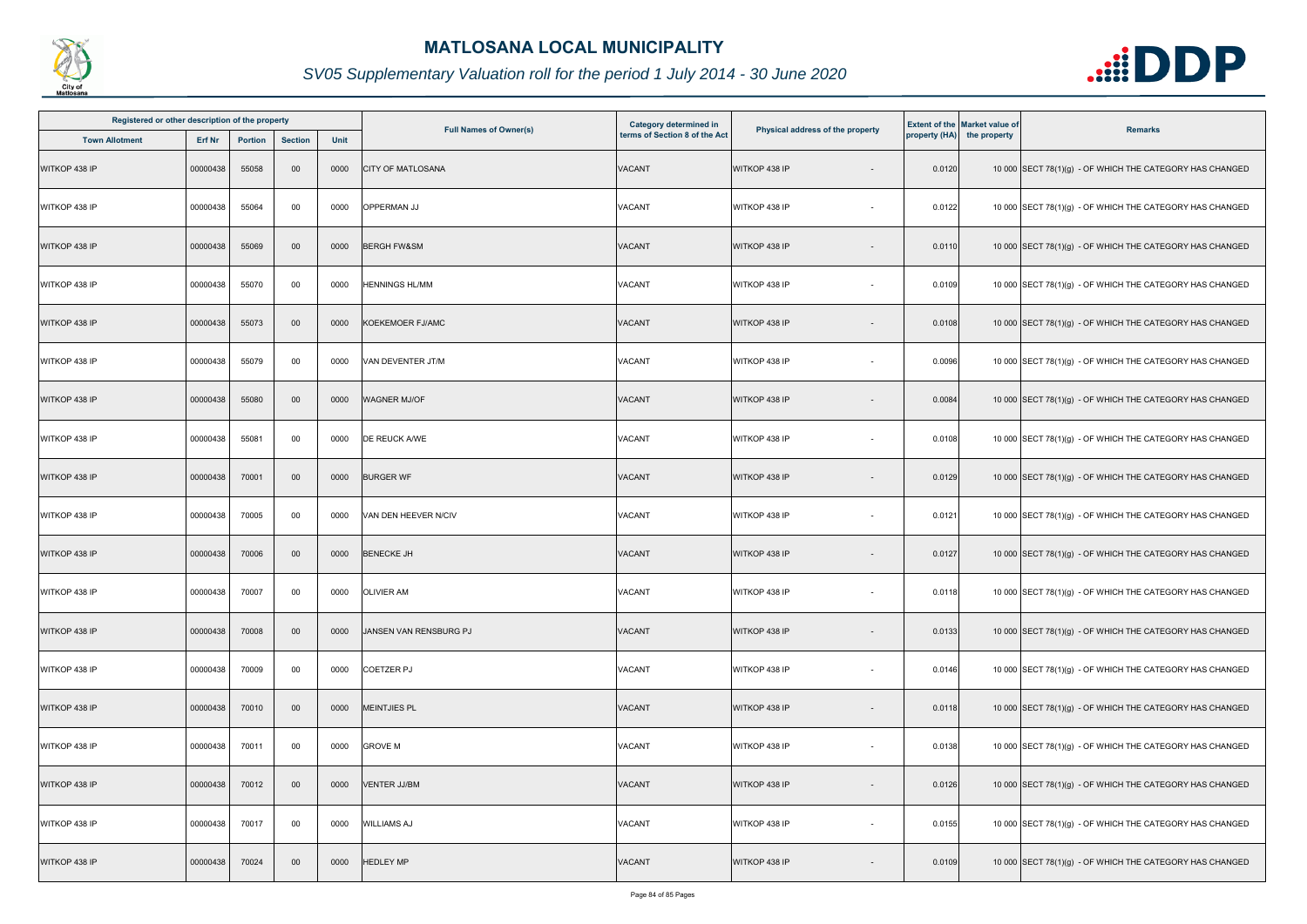

| Registered or other description of the property |          |         |                |      |                               | <b>Category determined in</b> |                                  |        | <b>Extent of the Market value of</b> |                                                          |
|-------------------------------------------------|----------|---------|----------------|------|-------------------------------|-------------------------------|----------------------------------|--------|--------------------------------------|----------------------------------------------------------|
| <b>Town Allotment</b>                           | Erf Nr   | Portion | <b>Section</b> | Unit | <b>Full Names of Owner(s)</b> | terms of Section 8 of the Act | Physical address of the property |        | property (HA) the property           | <b>Remarks</b>                                           |
| WITKOP 438 IP                                   | 00000438 | 55058   | 00             | 0000 | <b>CITY OF MATLOSANA</b>      | <b>VACANT</b>                 | WITKOP 438 IP                    | 0.0120 |                                      | 10 000 SECT 78(1)(g) - OF WHICH THE CATEGORY HAS CHANGED |
| WITKOP 438 IP                                   | 00000438 | 55064   | 00             | 0000 | OPPERMAN JJ                   | VACANT                        | WITKOP 438 IP<br>$\sim$          | 0.0122 |                                      | 10 000 SECT 78(1)(g) - OF WHICH THE CATEGORY HAS CHANGED |
| WITKOP 438 IP                                   | 00000438 | 55069   | 00             | 0000 | <b>BERGH FW&amp;SM</b>        | <b>VACANT</b>                 | WITKOP 438 IP                    | 0.0110 |                                      | 10 000 SECT 78(1)(g) - OF WHICH THE CATEGORY HAS CHANGED |
| WITKOP 438 IP                                   | 00000438 | 55070   | 00             | 0000 | <b>HENNINGS HL/MM</b>         | VACANT                        | WITKOP 438 IP                    | 0.0109 |                                      | 10 000 SECT 78(1)(g) - OF WHICH THE CATEGORY HAS CHANGED |
| WITKOP 438 IP                                   | 00000438 | 55073   | 00             | 0000 | KOEKEMOER FJ/AMC              | VACANT                        | WITKOP 438 IP                    | 0.0108 |                                      | 10 000 SECT 78(1)(g) - OF WHICH THE CATEGORY HAS CHANGED |
| WITKOP 438 IP                                   | 00000438 | 55079   | 00             | 0000 | VAN DEVENTER JT/M             | VACANT                        | WITKOP 438 IP                    | 0.0096 |                                      | 10 000 SECT 78(1)(g) - OF WHICH THE CATEGORY HAS CHANGED |
| WITKOP 438 IP                                   | 00000438 | 55080   | 00             | 0000 | <b>WAGNER MJ/OF</b>           | VACANT                        | WITKOP 438 IP                    | 0.0084 |                                      | 10 000 SECT 78(1)(g) - OF WHICH THE CATEGORY HAS CHANGED |
| WITKOP 438 IP                                   | 00000438 | 55081   | 00             | 0000 | DE REUCK A/WE                 | VACANT                        | WITKOP 438 IP                    | 0.0108 |                                      | 10 000 SECT 78(1)(g) - OF WHICH THE CATEGORY HAS CHANGED |
| WITKOP 438 IP                                   | 00000438 | 70001   | 00             | 0000 | <b>BURGER WF</b>              | VACANT                        | WITKOP 438 IP                    | 0.0129 |                                      | 10 000 SECT 78(1)(g) - OF WHICH THE CATEGORY HAS CHANGED |
| WITKOP 438 IP                                   | 00000438 | 70005   | 00             | 0000 | VAN DEN HEEVER N/CIV          | <b>VACANT</b>                 | WITKOP 438 IP                    | 0.0121 |                                      | 10 000 SECT 78(1)(g) - OF WHICH THE CATEGORY HAS CHANGED |
| WITKOP 438 IP                                   | 00000438 | 70006   | 00             | 0000 | <b>BENECKE JH</b>             | VACANT                        | WITKOP 438 IP                    | 0.0127 |                                      | 10 000 SECT 78(1)(g) - OF WHICH THE CATEGORY HAS CHANGED |
| WITKOP 438 IP                                   | 00000438 | 70007   | 00             | 0000 | <b>OLIVIER AM</b>             | <b>VACANT</b>                 | WITKOP 438 IP<br>$\sim$          | 0.0118 |                                      | 10 000 SECT 78(1)(g) - OF WHICH THE CATEGORY HAS CHANGED |
| WITKOP 438 IP                                   | 00000438 | 70008   | 00             | 0000 | JANSEN VAN RENSBURG PJ        | <b>VACANT</b>                 | WITKOP 438 IP                    | 0.0133 |                                      | 10 000 SECT 78(1)(g) - OF WHICH THE CATEGORY HAS CHANGED |
| WITKOP 438 IP                                   | 00000438 | 70009   | 00             | 0000 | <b>COETZER PJ</b>             | VACANT                        | WITKOP 438 IP<br>$\sim$          | 0.0146 |                                      | 10 000 SECT 78(1)(g) - OF WHICH THE CATEGORY HAS CHANGED |
| WITKOP 438 IP                                   | 00000438 | 70010   | 00             | 0000 | <b>MEINTJIES PL</b>           | <b>VACANT</b>                 | WITKOP 438 IP<br>$\blacksquare$  | 0.0118 |                                      | 10 000 SECT 78(1)(g) - OF WHICH THE CATEGORY HAS CHANGED |
| WITKOP 438 IP                                   | 00000438 | 70011   | 00             | 0000 | <b>GROVE M</b>                | <b>VACANT</b>                 | WITKOP 438 IP<br>$\sim$          | 0.0138 |                                      | 10 000 SECT 78(1)(g) - OF WHICH THE CATEGORY HAS CHANGED |
| WITKOP 438 IP                                   | 00000438 | 70012   | 00             | 0000 | <b>VENTER JJ/BM</b>           | <b>VACANT</b>                 | WITKOP 438 IP                    | 0.0126 |                                      | 10 000 SECT 78(1)(g) - OF WHICH THE CATEGORY HAS CHANGED |
| WITKOP 438 IP                                   | 00000438 | 70017   | 00             | 0000 | <b>WILLIAMS AJ</b>            | <b>VACANT</b>                 | WITKOP 438 IP<br>$\sim$          | 0.0155 |                                      | 10 000 SECT 78(1)(g) - OF WHICH THE CATEGORY HAS CHANGED |
| WITKOP 438 IP                                   | 00000438 | 70024   | 00             | 0000 | <b>HEDLEY MP</b>              | VACANT                        | WITKOP 438 IP                    | 0.0109 |                                      | 10 000 SECT 78(1)(g) - OF WHICH THE CATEGORY HAS CHANGED |